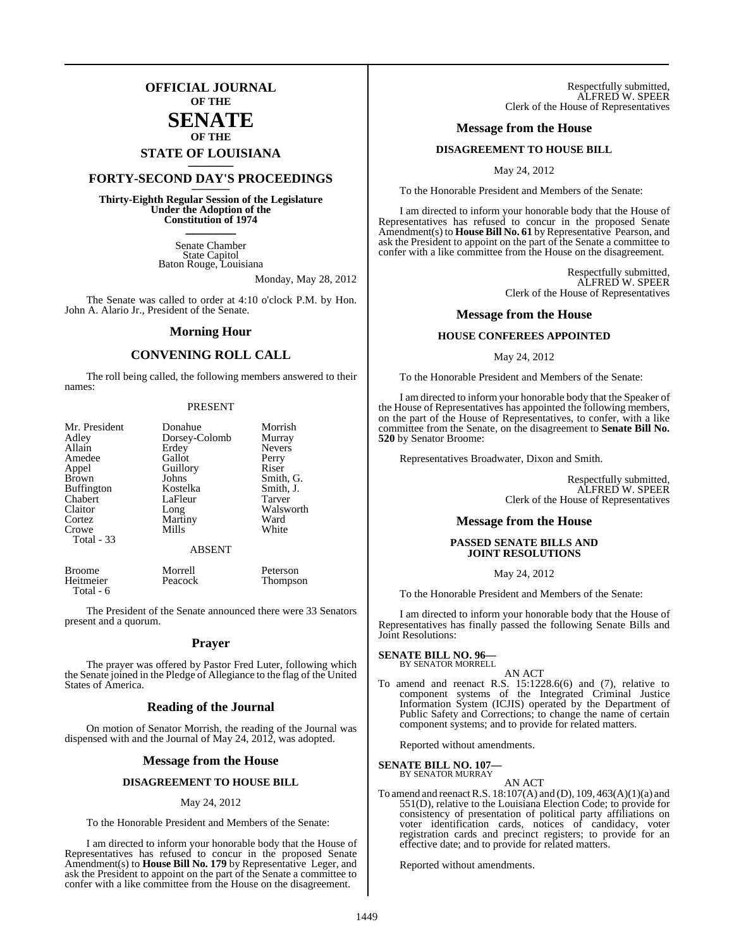# **OFFICIAL JOURNAL OF THE**

# **SENATE OF THE**

# **STATE OF LOUISIANA \_\_\_\_\_\_\_**

# **FORTY-SECOND DAY'S PROCEEDINGS \_\_\_\_\_\_\_**

**Thirty-Eighth Regular Session of the Legislature Under the Adoption of the Constitution of 1974 \_\_\_\_\_\_\_**

> Senate Chamber State Capitol Baton Rouge, Louisiana

> > Monday, May 28, 2012

The Senate was called to order at 4:10 o'clock P.M. by Hon. John A. Alario Jr., President of the Senate.

# **Morning Hour**

# **CONVENING ROLL CALL**

The roll being called, the following members answered to their names:

### PRESENT

| Mr. President     | Donahue       | Morrish       |
|-------------------|---------------|---------------|
| Adley             | Dorsey-Colomb | Murray        |
| Allain            | Erdey         | <b>Nevers</b> |
| Amedee            | Gallot        | Perry         |
| Appel             | Guillory      | Riser         |
| <b>Brown</b>      | Johns         | Smith, G.     |
| <b>Buffington</b> | Kostelka      | Smith, J.     |
| Chabert           | LaFleur       | Tarver        |
| Claitor           | Long          | Walsworth     |
| Cortez            | Martiny       | Ward          |
| Crowe             | Mills         | White         |
| Total - 33        |               |               |
|                   | <b>ABSENT</b> |               |

| <b>Broome</b> | Morrell | Peterson |
|---------------|---------|----------|
| Heitmeier     | Peacock | Thompson |
| Total - 6     |         |          |

The President of the Senate announced there were 33 Senators present and a quorum.

# **Prayer**

The prayer was offered by Pastor Fred Luter, following which the Senate joined in the Pledge of Allegiance to the flag of the United States of America.

# **Reading of the Journal**

On motion of Senator Morrish, the reading of the Journal was dispensed with and the Journal of May 24, 2012, was adopted.

# **Message from the House**

# **DISAGREEMENT TO HOUSE BILL**

# May 24, 2012

To the Honorable President and Members of the Senate:

I am directed to inform your honorable body that the House of Representatives has refused to concur in the proposed Senate Amendment(s) to **House Bill No. 179** by Representative Leger, and ask the President to appoint on the part of the Senate a committee to confer with a like committee from the House on the disagreement.

Respectfully submitted, ALFRED W. SPEER Clerk of the House of Representatives

# **Message from the House**

# **DISAGREEMENT TO HOUSE BILL**

May 24, 2012

To the Honorable President and Members of the Senate:

I am directed to inform your honorable body that the House of Representatives has refused to concur in the proposed Senate Amendment(s) to **House Bill No. 61** byRepresentative Pearson, and ask the President to appoint on the part of the Senate a committee to confer with a like committee from the House on the disagreement.

> Respectfully submitted, ALFRED W. SPEER Clerk of the House of Representatives

# **Message from the House**

# **HOUSE CONFEREES APPOINTED**

May 24, 2012

To the Honorable President and Members of the Senate:

I am directed to inform your honorable body that the Speaker of the House of Representatives has appointed the following members, on the part of the House of Representatives, to confer, with a like committee from the Senate, on the disagreement to **Senate Bill No. 520** by Senator Broome:

Representatives Broadwater, Dixon and Smith.

Respectfully submitted, ALFRED W. SPEER Clerk of the House of Representatives

# **Message from the House**

# **PASSED SENATE BILLS AND JOINT RESOLUTIONS**

May 24, 2012

To the Honorable President and Members of the Senate:

I am directed to inform your honorable body that the House of Representatives has finally passed the following Senate Bills and Joint Resolutions:

# **SENATE BILL NO. 96—** BY SENATOR MORRELL

AN ACT

To amend and reenact R.S. 15:1228.6(6) and (7), relative to component systems of the Integrated Criminal Justice Information System (ICJIS) operated by the Department of Public Safety and Corrections; to change the name of certain component systems; and to provide for related matters.

Reported without amendments.

# **SENATE BILL NO. 107—** BY SENATOR MURRAY

AN ACT

To amend and reenactR.S. 18:107(A) and (D), 109, 463(A)(1)(a) and 551(D), relative to the Louisiana Election Code; to provide for consistency of presentation of political party affiliations on voter identification cards, notices of candidacy, voter registration cards and precinct registers; to provide for an effective date; and to provide for related matters.

Reported without amendments.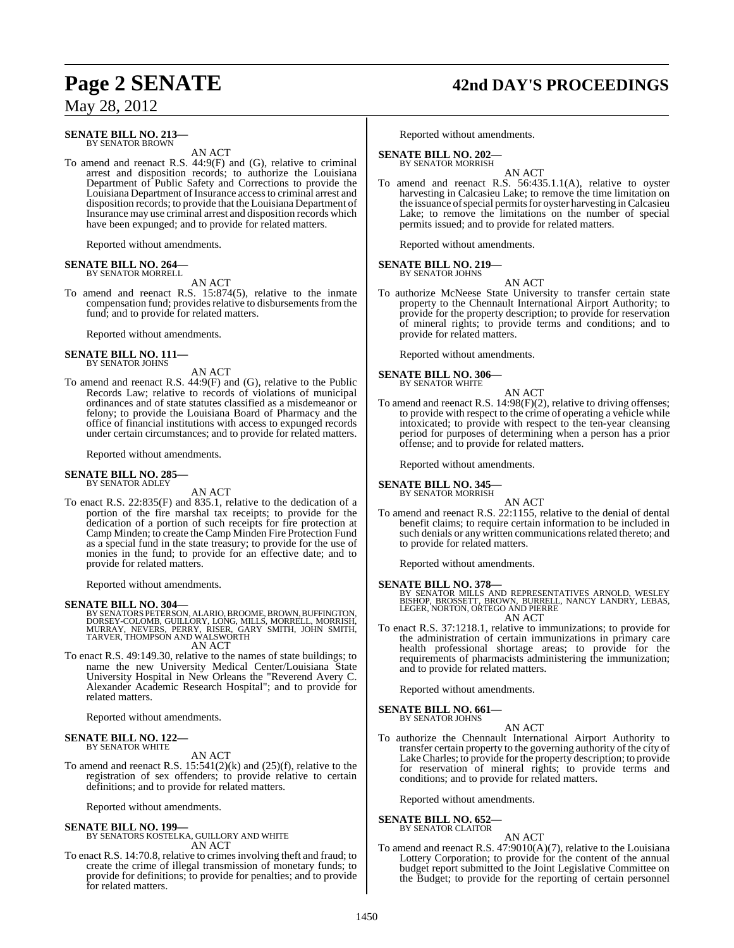### **SENATE BILL NO. 213—** BY SENATOR BROWN

AN ACT

To amend and reenact R.S. 44:9(F) and (G), relative to criminal arrest and disposition records; to authorize the Louisiana Department of Public Safety and Corrections to provide the Louisiana Department of Insurance access to criminal arrest and disposition records; to provide that the Louisiana Department of Insurance may use criminal arrest and disposition records which have been expunged; and to provide for related matters.

Reported without amendments.

# **SENATE BILL NO. 264—** BY SENATOR MORRELL

AN ACT

To amend and reenact R.S. 15:874(5), relative to the inmate compensation fund; provides relative to disbursements from the fund; and to provide for related matters.

Reported without amendments.

# **SENATE BILL NO. 111—** BY SENATOR JOHNS

AN ACT

To amend and reenact R.S. 44:9(F) and (G), relative to the Public Records Law; relative to records of violations of municipal ordinances and of state statutes classified as a misdemeanor or felony; to provide the Louisiana Board of Pharmacy and the office of financial institutions with access to expunged records under certain circumstances; and to provide for related matters.

Reported without amendments.

# **SENATE BILL NO. 285—** BY SENATOR ADLEY

AN ACT

To enact R.S. 22:835(F) and 835.1, relative to the dedication of a portion of the fire marshal tax receipts; to provide for the dedication of a portion of such receipts for fire protection at Camp Minden; to create the Camp Minden Fire Protection Fund as a special fund in the state treasury; to provide for the use of monies in the fund; to provide for an effective date; and to provide for related matters.

Reported without amendments.

# **SENATE BILL NO. 304—**

BY SENATORS PETERSON, ALARIO, BROOME, BROWN, BUFFINGTON,<br>DORSEY-COLOMB, GUILLORY, LONG, MILLS, MORRELL, MORRISH,<br>MURRAY, NEVERS, PERRY, RISER, GARY SMITH, JOHN SMITH,<br>TARVER, THOMPSON AND WALSWORTH AN ACT

To enact R.S. 49:149.30, relative to the names of state buildings; to name the new University Medical Center/Louisiana State University Hospital in New Orleans the "Reverend Avery C. Alexander Academic Research Hospital"; and to provide for related matters.

Reported without amendments.

# **SENATE BILL NO. 122—** BY SENATOR WHITE

AN ACT

To amend and reenact R.S.  $15:541(2)(k)$  and  $(25)(f)$ , relative to the registration of sex offenders; to provide relative to certain definitions; and to provide for related matters.

Reported without amendments.

### **SENATE BILL NO. 199—** BY SENATORS KOSTELKA, GUILLORY AND WHITE AN ACT

To enact R.S. 14:70.8, relative to crimesinvolving theft and fraud; to create the crime of illegal transmission of monetary funds; to provide for definitions; to provide for penalties; and to provide for related matters.

# **Page 2 SENATE 42nd DAY'S PROCEEDINGS**

Reported without amendments.

# **SENATE BILL NO. 202—**

BY SENATOR MORRISH AN ACT

To amend and reenact R.S. 56:435.1.1(A), relative to oyster harvesting in Calcasieu Lake; to remove the time limitation on the issuance of special permits for oyster harvesting in Calcasieu Lake; to remove the limitations on the number of special permits issued; and to provide for related matters.

Reported without amendments.

### **SENATE BILL NO. 219—** BY SENATOR JOHNS

AN ACT

To authorize McNeese State University to transfer certain state property to the Chennault International Airport Authority; to provide for the property description; to provide for reservation of mineral rights; to provide terms and conditions; and to provide for related matters.

Reported without amendments.

**SENATE BILL NO. 306—** BY SENATOR WHITE

AN ACT

To amend and reenact R.S. 14:98(F)(2), relative to driving offenses; to provide with respect to the crime of operating a vehicle while intoxicated; to provide with respect to the ten-year cleansing period for purposes of determining when a person has a prior offense; and to provide for related matters.

Reported without amendments.

**SENATE BILL NO. 345—** BY SENATOR MORRISH

AN ACT

To amend and reenact R.S. 22:1155, relative to the denial of dental benefit claims; to require certain information to be included in such denials or any written communications related thereto; and to provide for related matters.

Reported without amendments.

**SENATE BILL NO. 378—**<br>BY SENATOR MILLS AND REPRESENTATIVES ARNOLD, WESLEY<br>BISHOP, BROSSETT, BROWN, BURRELL, NANCY LANDRY, LEBAS,<br>LEGER, NORTON, ORTEGO AND PIERRE AN ACT

To enact R.S. 37:1218.1, relative to immunizations; to provide for the administration of certain immunizations in primary care health professional shortage areas; to provide for the requirements of pharmacists administering the immunization; and to provide for related matters.

Reported without amendments.

**SENATE BILL NO. 661—** BY SENATOR JOHNS

AN ACT

To authorize the Chennault International Airport Authority to transfer certain property to the governing authority of the city of LakeCharles; to provide for the property description; to provide for reservation of mineral rights; to provide terms and conditions; and to provide for related matters.

Reported without amendments.

### **SENATE BILL NO. 652—** BY SENATOR CLAITOR

- AN ACT
- To amend and reenact R.S. 47:9010(A)(7), relative to the Louisiana Lottery Corporation; to provide for the content of the annual budget report submitted to the Joint Legislative Committee on the Budget; to provide for the reporting of certain personnel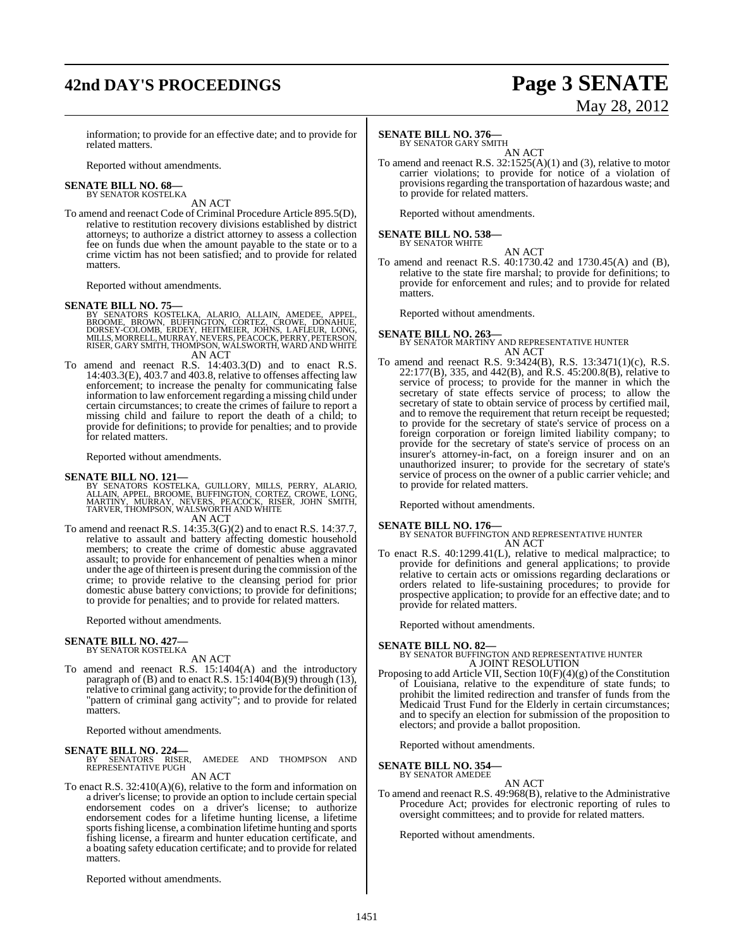# **42nd DAY'S PROCEEDINGS Page 3 SENATE**

# May 28, 2012

information; to provide for an effective date; and to provide for related matters.

Reported without amendments.

### **SENATE BILL NO. 68—** BY SENATOR KOSTELKA

AN ACT

To amend and reenact Code of Criminal Procedure Article 895.5(D), relative to restitution recovery divisions established by district attorneys; to authorize a district attorney to assess a collection fee on funds due when the amount payable to the state or to a crime victim has not been satisfied; and to provide for related matters.

Reported without amendments.

- SENATE BILL NO. 75—<br>BY SENATORS KOSTELKA, ALARIO, ALLAIN, AMEDEE, APPEL,<br>BROOME, BROWN, BUFFINGTON, CORTEZ, CROWE, DONAHUE,<br>DORSEY-COLOMB, ERDEY, HEITMEIER, JOHNS, LAFLEUR, LONG,<br>MILLS, MORRELL, MURRAY, NEVERS, PEACOCK, PE AN ACT
- To amend and reenact R.S. 14:403.3(D) and to enact R.S.  $14:403.3(E)$ , 403.7 and 403.8, relative to offenses affecting law enforcement; to increase the penalty for communicating false information to law enforcement regarding a missing child under certain circumstances; to create the crimes of failure to report a missing child and failure to report the death of a child; to provide for definitions; to provide for penalties; and to provide for related matters.

Reported without amendments.

# **SENATE BILL NO. 121—**

- BY SENATORS KOSTELKA, GUILLORY, MILLS, PERRY, ALARIO,<br>ALLAIN, APPEL, BROOME, BUFFINGTON, CORTEZ, CROWE, LONG,<br>MARTINY, MURRAY, NEVERS, PEACOCK, RISER, JOHN SMITH,<br>TARVER,THOMPSON,WALSWORTH AND WHITE AN ACT
- To amend and reenact R.S. 14:35.3(G)(2) and to enact R.S. 14:37.7, relative to assault and battery affecting domestic household members; to create the crime of domestic abuse aggravated assault; to provide for enhancement of penalties when a minor under the age of thirteen is present during the commission of the crime; to provide relative to the cleansing period for prior domestic abuse battery convictions; to provide for definitions; to provide for penalties; and to provide for related matters.

Reported without amendments.

### **SENATE BILL NO. 427—** BY SENATOR KOSTELKA

AN ACT

To amend and reenact R.S. 15:1404(A) and the introductory paragraph of (B) and to enact R.S.  $15:1404(B)(9)$  through (13), relative to criminal gang activity; to provide for the definition of "pattern of criminal gang activity"; and to provide for related matters.

Reported without amendments.

# **SENATE BILL NO. 224—**

AMEDEE AND THOMPSON AND REPRESENTATIVE PUGH AN ACT

To enact R.S. 32:410(A)(6), relative to the form and information on a driver's license; to provide an option to include certain special endorsement codes on a driver's license; to authorize endorsement codes for a lifetime hunting license, a lifetime sports fishing license, a combination lifetime hunting and sports fishing license, a firearm and hunter education certificate, and a boating safety education certificate; and to provide for related matters.

Reported without amendments.

# **SENATE BILL NO. 376—**

BY SENATOR GARY SMITH

AN ACT To amend and reenact R.S. 32:1525(A)(1) and (3), relative to motor carrier violations; to provide for notice of a violation of provisions regarding the transportation of hazardous waste; and to provide for related matters.

Reported without amendments.

# **SENATE BILL NO. 538—** BY SENATOR WHITE

AN ACT

To amend and reenact R.S. 40:1730.42 and 1730.45(A) and (B), relative to the state fire marshal; to provide for definitions; to provide for enforcement and rules; and to provide for related matters.

Reported without amendments.

# **SENATE BILL NO. 263—** BY SENATOR MARTINY AND REPRESENTATIVE HUNTER AN ACT

To amend and reenact R.S. 9:3424(B), R.S. 13:3471(1)(c), R.S. 22:177(B), 335, and 442(B), and R.S. 45:200.8(B), relative to service of process; to provide for the manner in which the secretary of state effects service of process; to allow the secretary of state to obtain service of process by certified mail, and to remove the requirement that return receipt be requested; to provide for the secretary of state's service of process on a foreign corporation or foreign limited liability company; to provide for the secretary of state's service of process on an insurer's attorney-in-fact, on a foreign insurer and on an unauthorized insurer; to provide for the secretary of state's service of process on the owner of a public carrier vehicle; and to provide for related matters.

Reported without amendments.

**SENATE BILL NO. 176—** BY SENATOR BUFFINGTON AND REPRESENTATIVE HUNTER AN ACT

To enact R.S. 40:1299.41(L), relative to medical malpractice; to provide for definitions and general applications; to provide relative to certain acts or omissions regarding declarations or orders related to life-sustaining procedures; to provide for prospective application; to provide for an effective date; and to provide for related matters.

Reported without amendments.

# **SENATE BILL NO. 82—**

BY SENATOR BUFFINGTON AND REPRESENTATIVE HUNTER A JOINT RESOLUTION

Proposing to add Article VII, Section 10(F)(4)(g) of the Constitution of Louisiana, relative to the expenditure of state funds; to prohibit the limited redirection and transfer of funds from the Medicaid Trust Fund for the Elderly in certain circumstances; and to specify an election for submission of the proposition to electors; and provide a ballot proposition.

Reported without amendments.

# **SENATE BILL NO. 354—** BY SENATOR AMEDEE

AN ACT

To amend and reenact R.S. 49:968(B), relative to the Administrative Procedure Act; provides for electronic reporting of rules to oversight committees; and to provide for related matters.

Reported without amendments.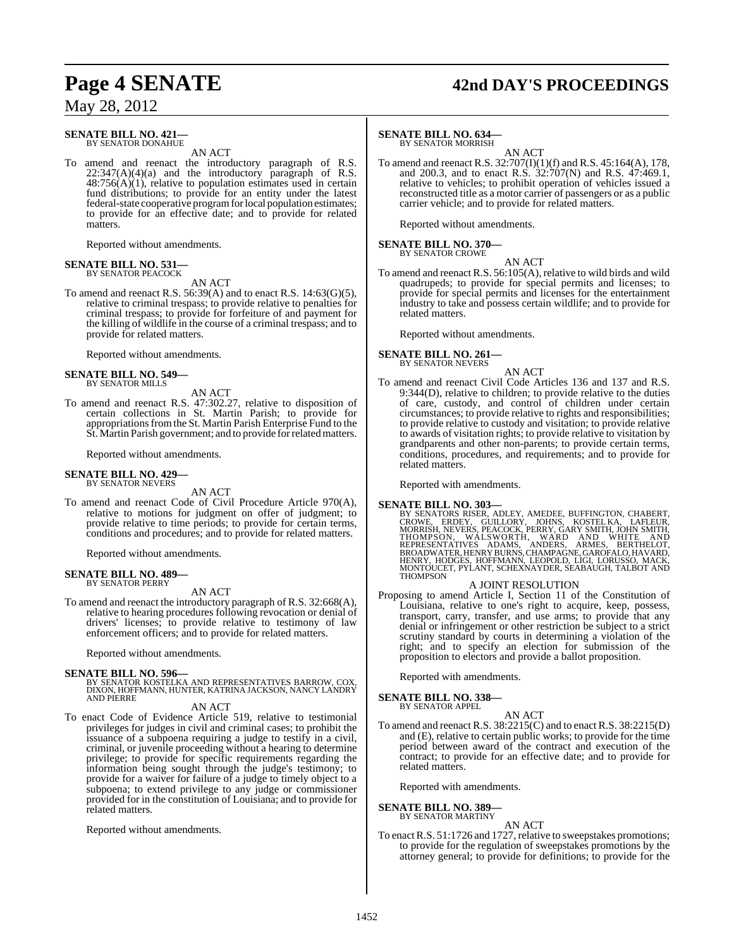### **SENATE BILL NO. 421—** BY SENATOR DONAHUE

AN ACT

To amend and reenact the introductory paragraph of R.S.  $22:347(A)(4)(a)$  and the introductory paragraph of R.S.  $48:756(A)(1)$ , relative to population estimates used in certain fund distributions; to provide for an entity under the latest federal-state cooperative program for local population estimates; to provide for an effective date; and to provide for related matters.

Reported without amendments.

# **SENATE BILL NO. 531—** BY SENATOR PEACOCK

AN ACT

To amend and reenact R.S.  $56:39(A)$  and to enact R.S.  $14:63(G)(5)$ , relative to criminal trespass; to provide relative to penalties for criminal trespass; to provide for forfeiture of and payment for the killing of wildlife in the course of a criminal trespass; and to provide for related matters.

Reported without amendments.

### **SENATE BILL NO. 549—** BY SENATOR MILLS

AN ACT To amend and reenact R.S. 47:302.27, relative to disposition of certain collections in St. Martin Parish; to provide for appropriations from the St. Martin Parish Enterprise Fund to the St. Martin Parish government; and to provide forrelatedmatters.

Reported without amendments.

### **SENATE BILL NO. 429—** BY SENATOR NEVERS

AN ACT

To amend and reenact Code of Civil Procedure Article 970(A), relative to motions for judgment on offer of judgment; to provide relative to time periods; to provide for certain terms, conditions and procedures; and to provide for related matters.

Reported without amendments.

### **SENATE BILL NO. 489—** BY SENATOR PERRY

AN ACT

To amend and reenact the introductory paragraph of R.S. 32:668(A), relative to hearing procedures following revocation or denial of drivers' licenses; to provide relative to testimony of law enforcement officers; and to provide for related matters.

Reported without amendments.

**SENATE BILL NO. 596—** BY SENATOR KOSTELKA AND REPRESENTATIVES BARROW, COX, DIXON, HOFFMANN, HUNTER, KATRINA JACKSON, NANCY LANDRY AND PIERRE

# AN ACT

To enact Code of Evidence Article 519, relative to testimonial privileges for judges in civil and criminal cases; to prohibit the issuance of a subpoena requiring a judge to testify in a civil, criminal, or juvenile proceeding without a hearing to determine privilege; to provide for specific requirements regarding the information being sought through the judge's testimony; to provide for a waiver for failure of a judge to timely object to a subpoena; to extend privilege to any judge or commissioner provided for in the constitution of Louisiana; and to provide for related matters.

Reported without amendments.

# **Page 4 SENATE 42nd DAY'S PROCEEDINGS**

# **SENATE BILL NO. 634—**

BY SENATOR MORRISH

AN ACT To amend and reenact R.S. 32:707(I)(1)(f) and R.S. 45:164(A), 178, and 200.3, and to enact R.S. 32:707(N) and R.S. 47:469.1, relative to vehicles; to prohibit operation of vehicles issued a reconstructed title as a motor carrier of passengers or as a public carrier vehicle; and to provide for related matters.

Reported without amendments.

# **SENATE BILL NO. 370—** BY SENATOR CROWE

AN ACT To amend and reenact R.S. 56:105(A), relative to wild birds and wild quadrupeds; to provide for special permits and licenses; to provide for special permits and licenses for the entertainment industry to take and possess certain wildlife; and to provide for related matters.

Reported without amendments.

# **SENATE BILL NO. 261—**

BY SENATOR NEVERS AN ACT

To amend and reenact Civil Code Articles 136 and 137 and R.S. 9:344(D), relative to children; to provide relative to the duties of care, custody, and control of children under certain circumstances; to provide relative to rights and responsibilities; to provide relative to custody and visitation; to provide relative to awards of visitation rights; to provide relative to visitation by grandparents and other non-parents; to provide certain terms, conditions, procedures, and requirements; and to provide for related matters.

Reported with amendments.

# **SENATE BILL NO. 303—**

BY SENATORS RISER, ADLEY, AMEDEE, BUFFINGTON, CHABERT,<br>CROWE, ERDEY, GUILLORY, JOHNS, KOSTEL KA, LAFLEUR,<br>MORRISH, NEVERS, PEACOCK, PERRY, GARY SMITH, JOHN SMITH, THOMPSON, WALSWORTH, WARD AND WHITE AND<br>REPRESENTATIVES ADAMS, ANDERS, ARMES, BERTHELOT,<br>BROADWATER,HENRY BURNS,CHAMPAGNE,GAROFALO,HAVARD,<br>HENRY,HODGES,HOFFMANN,LEOPOLD,LIGI,LORUSSO,MACK,<br>MONTOUCET,PYLANT,SCHEXNAYDER,SEABA

### A JOINT RESOLUTION

Proposing to amend Article I, Section 11 of the Constitution of Louisiana, relative to one's right to acquire, keep, possess, transport, carry, transfer, and use arms; to provide that any denial or infringement or other restriction be subject to a strict scrutiny standard by courts in determining a violation of the right; and to specify an election for submission of the proposition to electors and provide a ballot proposition.

Reported with amendments.

**SENATE BILL NO. 338—** BY SENATOR APPEL

AN ACT

To amend and reenact R.S. 38:2215(C) and to enact R.S. 38:2215(D) and (E), relative to certain public works; to provide for the time period between award of the contract and execution of the contract; to provide for an effective date; and to provide for related matters.

Reported with amendments.

**SENATE BILL NO. 389—**

BY SENATOR MARTINY

AN ACT

To enactR.S. 51:1726 and 1727, relative to sweepstakes promotions; to provide for the regulation of sweepstakes promotions by the attorney general; to provide for definitions; to provide for the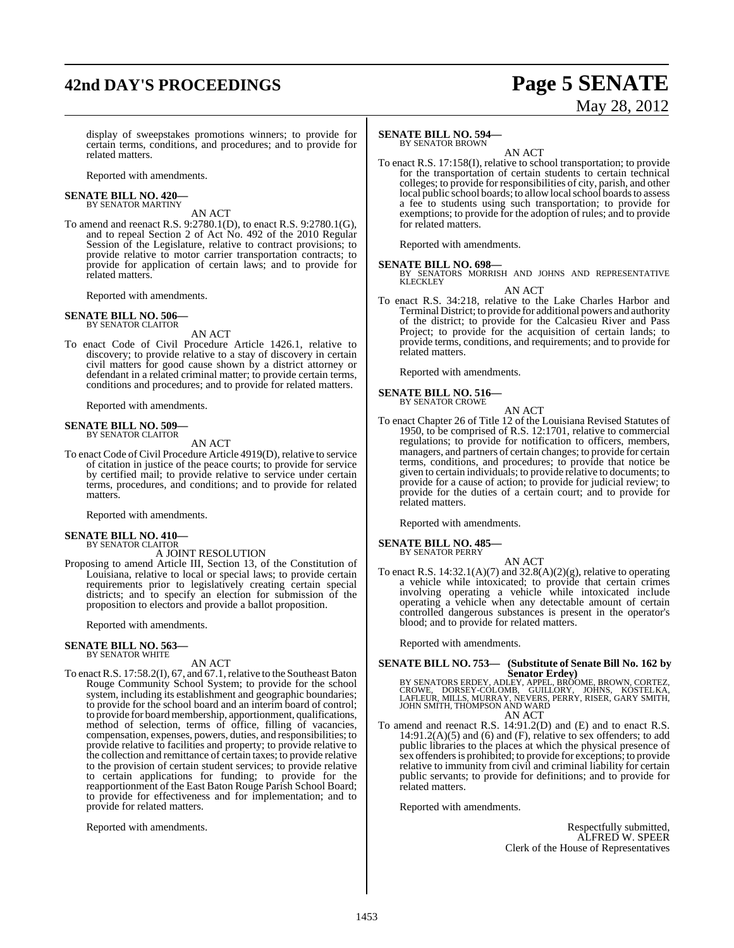# **42nd DAY'S PROCEEDINGS Page 5 SENATE**

# May 28, 2012

display of sweepstakes promotions winners; to provide for certain terms, conditions, and procedures; and to provide for related matters.

Reported with amendments.

### **SENATE BILL NO. 420—** BY SENATOR MARTINY

AN ACT

To amend and reenact R.S. 9:2780.1(D), to enact R.S. 9:2780.1(G), and to repeal Section 2 of Act No. 492 of the 2010 Regular Session of the Legislature, relative to contract provisions; to provide relative to motor carrier transportation contracts; to provide for application of certain laws; and to provide for related matters.

Reported with amendments.

### **SENATE BILL NO. 506—** BY SENATOR CLAITOR

AN ACT

To enact Code of Civil Procedure Article 1426.1, relative to discovery; to provide relative to a stay of discovery in certain civil matters for good cause shown by a district attorney or defendant in a related criminal matter; to provide certain terms, conditions and procedures; and to provide for related matters.

Reported with amendments.

### **SENATE BILL NO. 509—** BY SENATOR CLAITOR

AN ACT

To enact Code of Civil Procedure Article 4919(D), relative to service of citation in justice of the peace courts; to provide for service by certified mail; to provide relative to service under certain terms, procedures, and conditions; and to provide for related matters.

Reported with amendments.

# **SENATE BILL NO. 410—** BY SENATOR CLAITOR

# A JOINT RESOLUTION

Proposing to amend Article III, Section 13, of the Constitution of Louisiana, relative to local or special laws; to provide certain requirements prior to legislatively creating certain special districts; and to specify an election for submission of the proposition to electors and provide a ballot proposition.

Reported with amendments.

### **SENATE BILL NO. 563—** BY SENATOR WHITE

AN ACT

To enact R.S. 17:58.2(I), 67, and 67.1, relative to the Southeast Baton Rouge Community School System; to provide for the school system, including its establishment and geographic boundaries; to provide for the school board and an interim board of control; to provide for board membership, apportionment, qualifications, method of selection, terms of office, filling of vacancies, compensation, expenses, powers, duties, and responsibilities; to provide relative to facilities and property; to provide relative to the collection and remittance of certain taxes; to provide relative to the provision of certain student services; to provide relative to certain applications for funding; to provide for the reapportionment of the East Baton Rouge Parish School Board; to provide for effectiveness and for implementation; and to provide for related matters.

Reported with amendments.

# **SENATE BILL NO. 594—**

BY SENATOR BROWN

AN ACT To enact R.S. 17:158(I), relative to school transportation; to provide for the transportation of certain students to certain technical colleges; to provide for responsibilities of city, parish, and other local public school boards; to allow local school boards to assess a fee to students using such transportation; to provide for exemptions; to provide for the adoption of rules; and to provide for related matters.

Reported with amendments.

**SENATE BILL NO. 698—**<br>BY SENATORS MORRISH AND JOHNS AND REPRESENTATIVE<br>KLECKLEY

AN ACT

To enact R.S. 34:218, relative to the Lake Charles Harbor and Terminal District; to provide for additional powers and authority of the district; to provide for the Calcasieu River and Pass Project; to provide for the acquisition of certain lands; to provide terms, conditions, and requirements; and to provide for related matters.

Reported with amendments.

# **SENATE BILL NO. 516—** BY SENATOR CROWE

AN ACT

To enact Chapter 26 of Title 12 of the Louisiana Revised Statutes of 1950, to be comprised of R.S. 12:1701, relative to commercial regulations; to provide for notification to officers, members, managers, and partners of certain changes; to provide for certain terms, conditions, and procedures; to provide that notice be given to certain individuals; to provide relative to documents; to provide for a cause of action; to provide for judicial review; to provide for the duties of a certain court; and to provide for related matters.

Reported with amendments.

### **SENATE BILL NO. 485—** BY SENATOR PERRY

AN ACT To enact R.S. 14:32.1(A)(7) and 32.8(A)(2)(g), relative to operating a vehicle while intoxicated; to provide that certain crimes involving operating a vehicle while intoxicated include operating a vehicle when any detectable amount of certain controlled dangerous substances is present in the operator's blood; and to provide for related matters.

Reported with amendments.

# **SENATE BILL NO. 753— (Substitute of Senate Bill No. 162 by**

Senators Erdey)<br>BY SENATORS ERDEY, ADLEY, APPEL, BROOME, BROWN, CORTEZ,<br>CROWE, DORSEY-COLOMB, GUILLORY, JOHNS, KOSTELKA,<br>LAFLEUR, MILLS, MURRAY, NEVERS, PERRY, RISER, GARY SMITH,<br>JOHN SMITH, THOMPSON AND WARD AN ACT

To amend and reenact R.S. 14:91.2(D) and (E) and to enact R.S.  $14:91.2(A)(5)$  and  $(6)$  and  $(F)$ , relative to sex offenders; to add public libraries to the places at which the physical presence of sex offendersis prohibited; to provide for exceptions; to provide relative to immunity from civil and criminal liability for certain public servants; to provide for definitions; and to provide for related matters.

Reported with amendments.

Respectfully submitted, ALFRED W. SPEER Clerk of the House of Representatives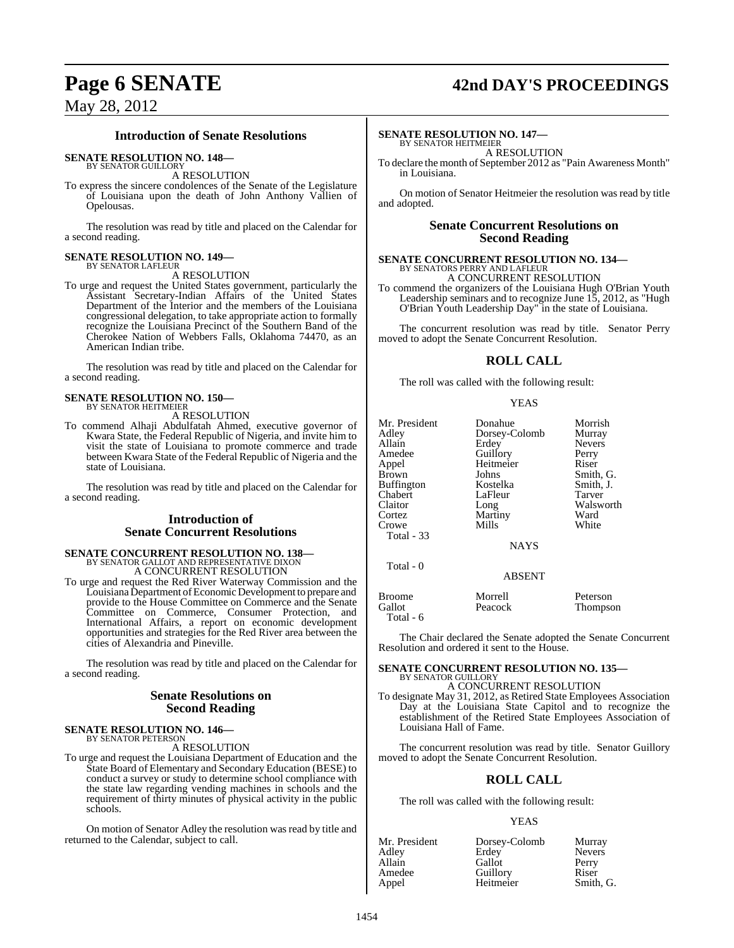# **Page 6 SENATE 42nd DAY'S PROCEEDINGS**

# May 28, 2012

# **Introduction of Senate Resolutions**

# **SENATE RESOLUTION NO. 148—**

BY SENATOR GUILLORY A RESOLUTION

To express the sincere condolences of the Senate of the Legislature of Louisiana upon the death of John Anthony Vallien of Opelousas.

The resolution was read by title and placed on the Calendar for a second reading.

# **SENATE RESOLUTION NO. 149—** BY SENATOR LAFLEUR

# A RESOLUTION

To urge and request the United States government, particularly the Assistant Secretary-Indian Affairs of the United States Department of the Interior and the members of the Louisiana congressional delegation, to take appropriate action to formally recognize the Louisiana Precinct of the Southern Band of the Cherokee Nation of Webbers Falls, Oklahoma 74470, as an American Indian tribe.

The resolution was read by title and placed on the Calendar for a second reading.

### **SENATE RESOLUTION NO. 150—** BY SENATOR HEITMEIER

A RESOLUTION

To commend Alhaji Abdulfatah Ahmed, executive governor of Kwara State, the Federal Republic of Nigeria, and invite him to visit the state of Louisiana to promote commerce and trade between Kwara State of the Federal Republic of Nigeria and the state of Louisiana.

The resolution was read by title and placed on the Calendar for a second reading.

# **Introduction of Senate Concurrent Resolutions**

# **SENATE CONCURRENT RESOLUTION NO. 138—** BY SENATOR GALLOT AND REPRESENTATIVE DIXON A CONCURRENT RESOLUTION

To urge and request the Red River Waterway Commission and the Louisiana Department of Economic Development to prepare and provide to the House Committee on Commerce and the Senate Committee on Commerce, Consumer Protection, and International Affairs, a report on economic development opportunities and strategies for the Red River area between the cities of Alexandria and Pineville.

The resolution was read by title and placed on the Calendar for a second reading.

# **Senate Resolutions on Second Reading**

**SENATE RESOLUTION NO. 146—** BY SENATOR PETERSON

# A RESOLUTION

To urge and request the Louisiana Department of Education and the State Board of Elementary and Secondary Education (BESE) to conduct a survey or study to determine school compliance with the state law regarding vending machines in schools and the requirement of thirty minutes of physical activity in the public schools.

On motion of Senator Adley the resolution was read by title and returned to the Calendar, subject to call.

# **SENATE RESOLUTION NO. 147—**

BY SENATOR HEITMEIER A RESOLUTION

To declare the month of September 2012 as "Pain Awareness Month" in Louisiana.

On motion of Senator Heitmeier the resolution was read by title and adopted.

# **Senate Concurrent Resolutions on Second Reading**

# **SENATE CONCURRENT RESOLUTION NO. 134—** BY SENATORS PERRY AND LAFLEUR

A CONCURRENT RESOLUTION

To commend the organizers of the Louisiana Hugh O'Brian Youth Leadership seminars and to recognize June 15, 2012, as "Hugh O'Brian Youth Leadership Day" in the state of Louisiana.

The concurrent resolution was read by title. Senator Perry moved to adopt the Senate Concurrent Resolution.

# **ROLL CALL**

The roll was called with the following result:

## YEAS

| Mr. President<br>Adley<br>Allain<br>Amedee<br>Appel<br>Brown<br>Buffington<br>Chabert<br>Claitor<br>Cortez<br>Crowe<br>Total $-33$<br>Total - 0 | Donahue<br>Dorsey-Colomb<br>Erdey<br>Guillory<br>Heitmeier<br>Johns<br>Kostelka<br>LaFleur<br>Long<br>Martiny<br>Mills<br><b>NAYS</b><br><b>ABSENT</b> | Morrish<br>Murray<br><b>Nevers</b><br>Perry<br>Riser<br>Smith, G.<br>Smith, J.<br>Tarver<br>Walsworth<br>Ward<br>White |
|-------------------------------------------------------------------------------------------------------------------------------------------------|--------------------------------------------------------------------------------------------------------------------------------------------------------|------------------------------------------------------------------------------------------------------------------------|
| <b>Broome</b>                                                                                                                                   | Morrell                                                                                                                                                | Peterson                                                                                                               |
| Gallot<br>Total - 6                                                                                                                             | Peacock                                                                                                                                                | Thompson                                                                                                               |

The Chair declared the Senate adopted the Senate Concurrent Resolution and ordered it sent to the House.

### **SENATE CONCURRENT RESOLUTION NO. 135—** BY SENATOR GUILLORY

A CONCURRENT RESOLUTION

To designate May 31, 2012, as Retired State Employees Association Day at the Louisiana State Capitol and to recognize the establishment of the Retired State Employees Association of Louisiana Hall of Fame.

The concurrent resolution was read by title. Senator Guillory moved to adopt the Senate Concurrent Resolution.

# **ROLL CALL**

The roll was called with the following result:

# YEAS

| Mr. President | Dorsey-Colomb | Murray        |
|---------------|---------------|---------------|
| Adlev         | Erdey         | <b>Nevers</b> |
| Allain        | Gallot        | Perry         |
| Amedee        | Guillory      | Riser         |
| Appel         | Heitmeier     | Smith, G.     |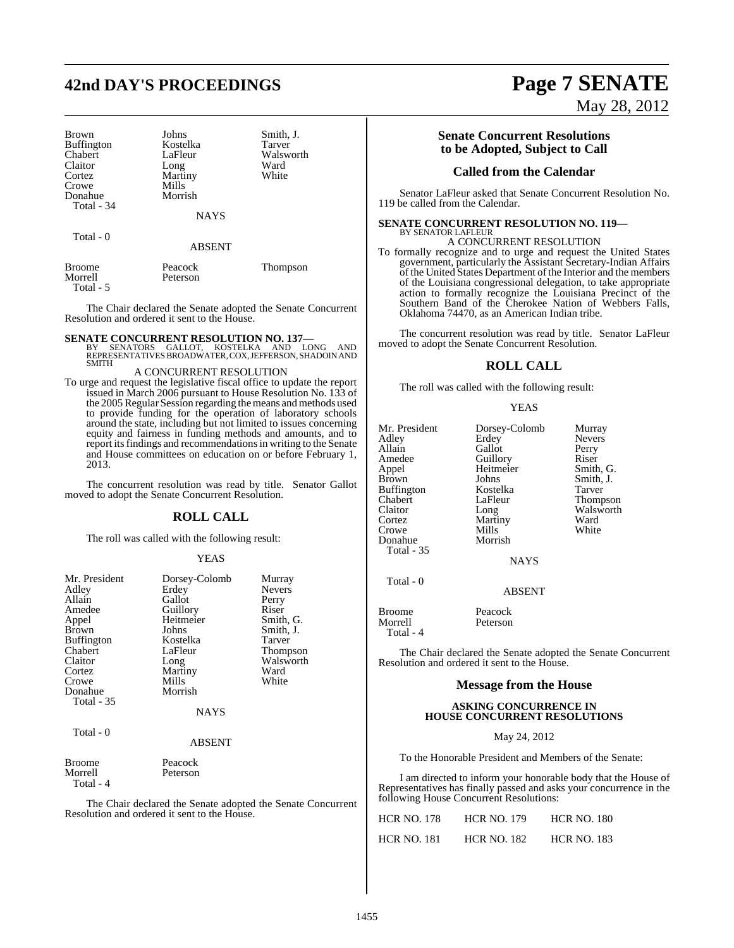# **42nd DAY'S PROCEEDINGS Page 7 SENATE**

| <b>Brown</b>      | Johns         | Smith, J.     |
|-------------------|---------------|---------------|
| <b>Buffington</b> | Kostelka      | <b>Tarver</b> |
| Chabert           | LaFleur       | Walsworth     |
| Claitor           | Long          | Ward          |
| Cortez            | Martiny       | White         |
| Crowe             | Mills         |               |
| Donahue           | Morrish       |               |
| Total - 34        |               |               |
|                   | <b>NAYS</b>   |               |
| Total - 0         |               |               |
|                   | <b>ABSENT</b> |               |
| <b>Broome</b>     | Peacock       | Thompson      |
| Morrell           | Peterson      |               |

The Chair declared the Senate adopted the Senate Concurrent Resolution and ordered it sent to the House.

Total - 5

**SENATE CONCURRENT RESOLUTION NO. 137—**<br>BY SENATORS GALLOT, KOSTELKA AND LONG AND<br>REPRESENTATIVES BROADWATER, COX, JEFFERSON, SHADOIN AND SMITH

# A CONCURRENT RESOLUTION

To urge and request the legislative fiscal office to update the report issued in March 2006 pursuant to House Resolution No. 133 of the 2005 Regular Session regarding the means and methods used to provide funding for the operation of laboratory schools around the state, including but not limited to issues concerning equity and fairness in funding methods and amounts, and to report its findings and recommendations in writing to the Senate and House committees on education on or before February 1, 2013.

The concurrent resolution was read by title. Senator Gallot moved to adopt the Senate Concurrent Resolution.

# **ROLL CALL**

The roll was called with the following result:

### YEAS

| Mr. President<br>Adley<br>Allain<br>Amedee<br>Appel<br>Brown<br><b>Buffington</b><br>Chabert<br>Claitor<br>Cortez<br>Crowe<br>Donahue<br><b>Total - 35</b><br>Total - 0 | Dorsey-Colomb<br>Erdey<br>Gallot<br>Guillory<br>Heitmeier<br>Johns<br>Kostelka<br>LaFleur<br>Long<br>Martiny<br>Mills<br>Morrish<br><b>NAYS</b><br><b>ABSENT</b> | Murray<br><b>Nevers</b><br>Perry<br>Riser<br>Smith, G.<br>Smith, J.<br>Tarver<br>Thompson<br>Walsworth<br>Ward<br>White |
|-------------------------------------------------------------------------------------------------------------------------------------------------------------------------|------------------------------------------------------------------------------------------------------------------------------------------------------------------|-------------------------------------------------------------------------------------------------------------------------|
|                                                                                                                                                                         |                                                                                                                                                                  |                                                                                                                         |
| <b>Broome</b><br>Morrell<br>Total - 4                                                                                                                                   | Peacock<br>Peterson                                                                                                                                              |                                                                                                                         |

The Chair declared the Senate adopted the Senate Concurrent Resolution and ordered it sent to the House.

# May 28, 2012

# **Senate Concurrent Resolutions to be Adopted, Subject to Call**

# **Called from the Calendar**

Senator LaFleur asked that Senate Concurrent Resolution No. 119 be called from the Calendar.

### **SENATE CONCURRENT RESOLUTION NO. 119—** BY SENATOR LAFLEUR

# A CONCURRENT RESOLUTION

To formally recognize and to urge and request the United States government, particularly the Assistant Secretary-Indian Affairs of the United States Department ofthe Interior and the members of the Louisiana congressional delegation, to take appropriate action to formally recognize the Louisiana Precinct of the Southern Band of the Cherokee Nation of Webbers Falls, Oklahoma 74470, as an American Indian tribe.

The concurrent resolution was read by title. Senator LaFleur moved to adopt the Senate Concurrent Resolution.

# **ROLL CALL**

The roll was called with the following result:

### YEAS

| Mr. President     | Dorsey-Colomb | Murray          |
|-------------------|---------------|-----------------|
| Adley             | Erdey         | <b>Nevers</b>   |
| Allain            | Gallot        | Perry           |
| Amedee            | Guillory      | Riser           |
| Appel             | Heitmeier     | Smith, G.       |
| <b>Brown</b>      | Johns         | Smith, J.       |
| <b>Buffington</b> | Kostelka      | Tarver          |
| Chabert           | LaFleur       | <b>Thompson</b> |
| Claitor           | Long          | Walsworth       |
| Cortez            | Martiny       | Ward            |
| Crowe             | Mills         | White           |
| Donahue           | Morrish       |                 |
| Total - 35        |               |                 |
|                   | <b>NAYS</b>   |                 |
| Total - 0         |               |                 |

Morrell

Broome Peacock<br>Morrell Peterson Total - 4

The Chair declared the Senate adopted the Senate Concurrent Resolution and ordered it sent to the House.

ABSENT

# **Message from the House**

# **ASKING CONCURRENCE IN HOUSE CONCURRENT RESOLUTIONS**

May 24, 2012

To the Honorable President and Members of the Senate:

I am directed to inform your honorable body that the House of Representatives has finally passed and asks your concurrence in the following House Concurrent Resolutions:

| <b>HCR NO. 178</b> | <b>HCR NO. 179</b> | <b>HCR NO. 180</b> |
|--------------------|--------------------|--------------------|
| <b>HCR NO. 181</b> | <b>HCR NO. 182</b> | <b>HCR NO. 183</b> |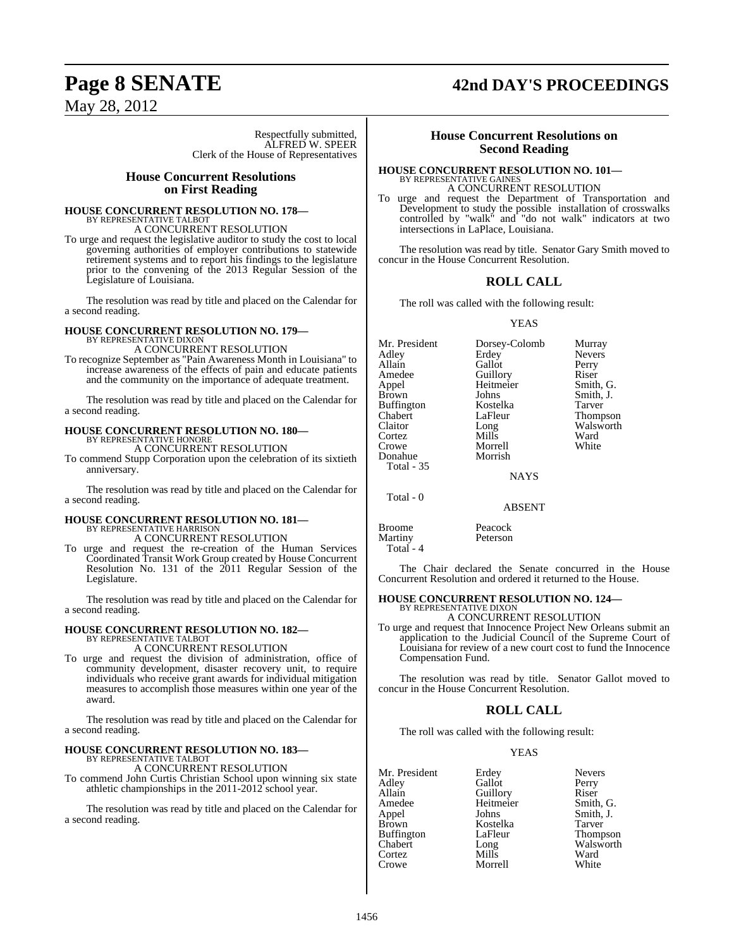# **Page 8 SENATE 42nd DAY'S PROCEEDINGS**

May 28, 2012

Respectfully submitted, ALFRED W. SPEER Clerk of the House of Representatives

# **House Concurrent Resolutions on First Reading**

# **HOUSE CONCURRENT RESOLUTION NO. 178—**

BY REPRESENTATIVE TALBOT A CONCURRENT RESOLUTION

To urge and request the legislative auditor to study the cost to local governing authorities of employer contributions to statewide retirement systems and to report his findings to the legislature prior to the convening of the 2013 Regular Session of the Legislature of Louisiana.

The resolution was read by title and placed on the Calendar for a second reading.

## **HOUSE CONCURRENT RESOLUTION NO. 179—** BY REPRESENTATIVE DIXON

A CONCURRENT RESOLUTION

To recognize September as "Pain Awareness Month in Louisiana" to increase awareness of the effects of pain and educate patients and the community on the importance of adequate treatment.

The resolution was read by title and placed on the Calendar for a second reading.

### **HOUSE CONCURRENT RESOLUTION NO. 180—** BY REPRESENTATIVE HONORE A CONCURRENT RESOLUTION

To commend Stupp Corporation upon the celebration of its sixtieth

anniversary.

The resolution was read by title and placed on the Calendar for a second reading.

# **HOUSE CONCURRENT RESOLUTION NO. 181—** BY REPRESENTATIVE HARRISON A CONCURRENT RESOLUTION

To urge and request the re-creation of the Human Services Coordinated Transit Work Group created by House Concurrent Resolution No. 131 of the 2011 Regular Session of the Legislature.

The resolution was read by title and placed on the Calendar for a second reading.

# **HOUSE CONCURRENT RESOLUTION NO. 182—** BY REPRESENTATIVE TALBOT

A CONCURRENT RESOLUTION

To urge and request the division of administration, office of community development, disaster recovery unit, to require individuals who receive grant awards for individual mitigation measures to accomplish those measures within one year of the award.

The resolution was read by title and placed on the Calendar for a second reading.

# **HOUSE CONCURRENT RESOLUTION NO. 183—** BY REPRESENTATIVE TALBOT

A CONCURRENT RESOLUTION

To commend John Curtis Christian School upon winning six state athletic championships in the 2011-2012 school year.

The resolution was read by title and placed on the Calendar for a second reading.

# **House Concurrent Resolutions on Second Reading**

### **HOUSE CONCURRENT RESOLUTION NO. 101—** BY REPRESENTATIVE GAINES A CONCURRENT RESOLUTION

To urge and request the Department of Transportation and Development to study the possible installation of crosswalks controlled by "walk" and "do not walk" indicators at two intersections in LaPlace, Louisiana.

The resolution was read by title. Senator Gary Smith moved to concur in the House Concurrent Resolution.

# **ROLL CALL**

The roll was called with the following result:

# YEAS

| Mr. President<br>Adlev<br>Allain<br>Amedee<br>Appel<br>Brown<br>Buffington<br>Chabert<br>Claitor<br>Cortez<br>Crowe<br>Donahue<br><b>Total - 35</b> | Dorsey-Colomb<br>Erdey<br>Gallot<br>Guillory<br>Heitmeier<br>Johns<br>Kostelka<br>LaFleur<br>Long<br>Mills<br>Morrell<br>Morrish<br><b>NAYS</b> | Murray<br><b>Nevers</b><br>Perry<br>Riser<br>Smith, G.<br>Smith, J.<br>Tarver<br>Thompson<br>Walsworth<br>Ward<br>White |
|-----------------------------------------------------------------------------------------------------------------------------------------------------|-------------------------------------------------------------------------------------------------------------------------------------------------|-------------------------------------------------------------------------------------------------------------------------|
| Total - 0                                                                                                                                           |                                                                                                                                                 |                                                                                                                         |

ABSENT

# Broome Peacock Martiny Peterson

Total - 4

The Chair declared the Senate concurred in the House Concurrent Resolution and ordered it returned to the House.

# **HOUSE CONCURRENT RESOLUTION NO. 124—** BY REPRESENTATIVE DIXON

A CONCURRENT RESOLUTION

To urge and request that Innocence Project New Orleans submit an application to the Judicial Council of the Supreme Court of Louisiana for review of a new court cost to fund the Innocence Compensation Fund.

The resolution was read by title. Senator Gallot moved to concur in the House Concurrent Resolution.

# **ROLL CALL**

The roll was called with the following result:

Heitmeier

Morrell

# **YEAS**

Mr. President Erdey Nevers<br>
Adley Gallot Perry Adley Gallot<br>Allain Guillo Allain Cuillory Riser<br>Amedee Heitmeier Smith, G. Appel Johns Smith, J.<br>Brown Kostelka Tarver Buffington LaFle<br>Chabert Long Chabert Long Walsworth<br>
Cortez Mills Ward Cortez Mills Ward<br>Crowe Morrell White

Kostelka Tarver<br>LaFleur Thompson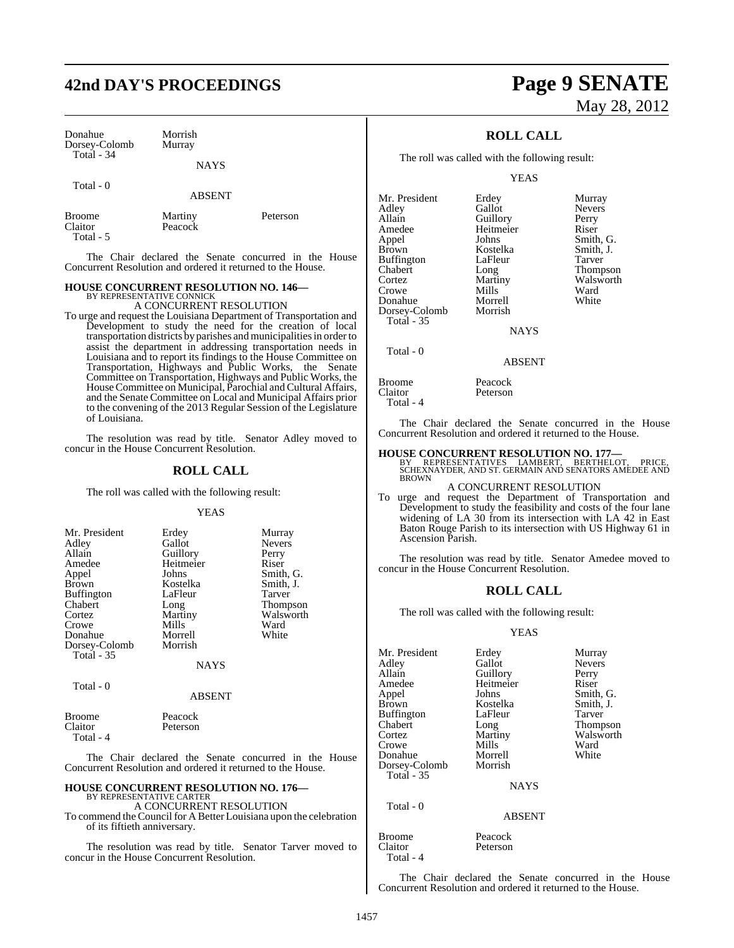# **42nd DAY'S PROCEEDINGS Page 9 SENATE**

Donahue Morrish<br>Dorsey-Colomb Murray Dorsey-Colomb Total - 34

# NAYS

Total - 0

ABSENT

| <b>Broome</b> | Martiny | Peterson |
|---------------|---------|----------|
| Claitor       | Peacock |          |
| Total - 5     |         |          |

The Chair declared the Senate concurred in the House Concurrent Resolution and ordered it returned to the House.

# **HOUSE CONCURRENT RESOLUTION NO. 146—** BY REPRESENTATIVE CONNICK A CONCURRENT RESOLUTION

To urge and request the Louisiana Department of Transportation and Development to study the need for the creation of local transportation districts by parishes and municipalities in order to assist the department in addressing transportation needs in Louisiana and to report its findings to the House Committee on Transportation, Highways and Public Works, the Senate Committee on Transportation, Highways and Public Works, the House Committee on Municipal, Parochial and Cultural Affairs, and the Senate Committee on Local and Municipal Affairs prior to the convening of the 2013 Regular Session of the Legislature of Louisiana.

The resolution was read by title. Senator Adley moved to concur in the House Concurrent Resolution.

# **ROLL CALL**

The roll was called with the following result:

## YEAS

| Mr. President     | Erdey       | Murray          |
|-------------------|-------------|-----------------|
|                   |             |                 |
| Adley             | Gallot      | <b>Nevers</b>   |
| Allain            | Guillory    | Perry           |
| Amedee            | Heitmeier   | Riser           |
| Appel             | Johns       | Smith, G.       |
| <b>Brown</b>      | Kostelka    | Smith, J.       |
| <b>Buffington</b> | LaFleur     | <b>Tarver</b>   |
| Chabert           | Long        | <b>Thompson</b> |
| Cortez            | Martiny     | Walsworth       |
| Crowe             | Mills       | Ward            |
| Donahue           | Morrell     | White           |
| Dorsey-Colomb     | Morrish     |                 |
| <b>Total - 35</b> |             |                 |
|                   | <b>NAYS</b> |                 |

Total - 0

### ABSENT

| Broome    | Peacock  |
|-----------|----------|
| Claitor   | Peterson |
| Total - 4 |          |

The Chair declared the Senate concurred in the House Concurrent Resolution and ordered it returned to the House.

# **HOUSE CONCURRENT RESOLUTION NO. 176—** BY REPRESENTATIVE CARTER

A CONCURRENT RESOLUTION

To commend the Council for A Better Louisiana upon the celebration of its fiftieth anniversary.

The resolution was read by title. Senator Tarver moved to concur in the House Concurrent Resolution.

# May 28, 2012

# **ROLL CALL**

The roll was called with the following result:

YEAS

| Mr. President     | Erdey       | Murray          |
|-------------------|-------------|-----------------|
| Adley             | Gallot      | <b>Nevers</b>   |
| Allain            | Guillory    | Perry           |
| Amedee            | Heitmeier   | Riser           |
| Appel             | Johns       | Smith, G.       |
| <b>Brown</b>      | Kostelka    | Smith, J.       |
| <b>Buffington</b> | LaFleur     | Tarver          |
| Chabert           | Long        | <b>Thompson</b> |
| Cortez            | Martiny     | Walsworth       |
| Crowe             | Mills       | Ward            |
| Donahue           | Morrell     | White           |
| Dorsey-Colomb     | Morrish     |                 |
| Total - 35        |             |                 |
|                   | <b>NAYS</b> |                 |

Total - 0

**NAYS** 

### ABSENT

| Broome    | Peacock  |
|-----------|----------|
| Claitor   | Peterson |
| Total - 4 |          |

The Chair declared the Senate concurred in the House Concurrent Resolution and ordered it returned to the House.

# **HOUSE CONCURRENT RESOLUTION NO. 177—**

BY REPRESENTATIVES LAMBERT, BERTHELOT, PRICE,<br>SCHEXNAYDER,AND ST. GERMAIN AND SENATORS AMEDEE AND<br>BROWN

# A CONCURRENT RESOLUTION

To urge and request the Department of Transportation and Development to study the feasibility and costs of the four lane widening of LA 30 from its intersection with LA 42 in East Baton Rouge Parish to its intersection with US Highway 61 in Ascension Parish.

The resolution was read by title. Senator Amedee moved to concur in the House Concurrent Resolution.

# **ROLL CALL**

The roll was called with the following result:

# YEAS

Mr. President Erdey Murray<br>Adley Gallot Nevers Adley Gallot Nevers Allain Guillory Perry<br>
Amedee Heitmeier Riser Amedee Heitmeier<br>
Appel Johns Appel Johns Smith, G. Buffington LaFle<br>Chabert Long Cortez Martiny Walsworth Crowe Mills Ward<br>
Donahue Morrell White Donahue Morrell<br>Dorsey-Colomb Morrish Dorsey-Colomb Total - 35

Kostelka Smith,<br>LaFleur Tarver Thompson

**NAYS** 

# ABSENT

Broome Peacock<br>Claitor Peterson Total - 4

Total - 0

Peterson

The Chair declared the Senate concurred in the House Concurrent Resolution and ordered it returned to the House.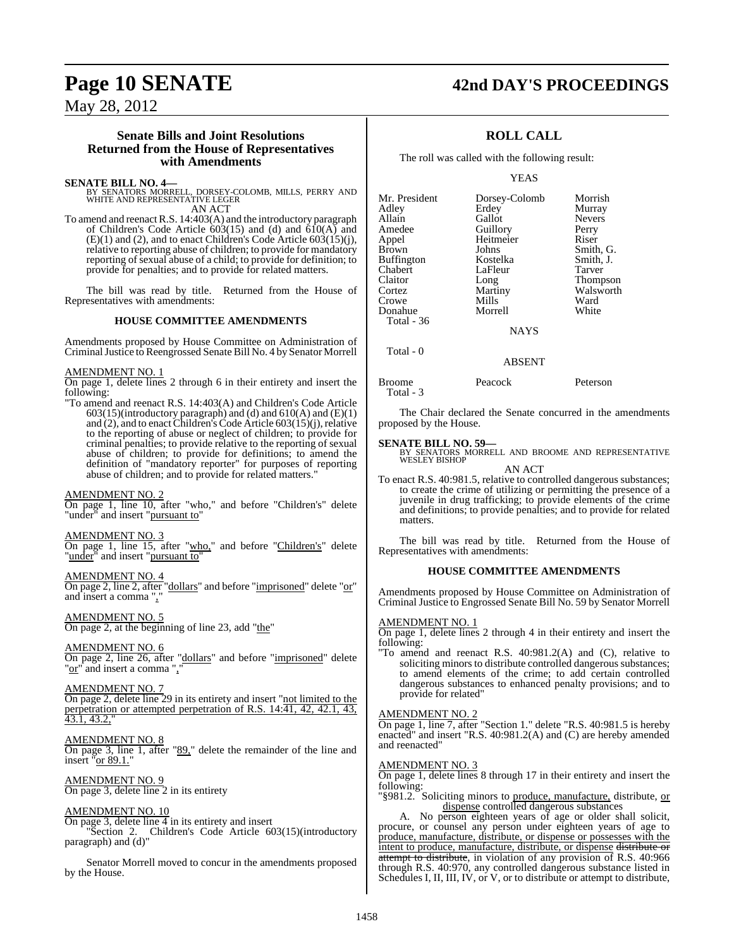# **Page 10 SENATE 42nd DAY'S PROCEEDINGS**

May 28, 2012

# **Senate Bills and Joint Resolutions Returned from the House of Representatives with Amendments**

# **SENATE BILL NO. 4—**

BY SENATORS MORRELL, DORSEY-COLOMB, MILLS, PERRY AND WHITE AND REPRESENTATIVE LEGER AN ACT

To amend and reenactR.S. 14:403(A) and the introductory paragraph of Children's Code Article  $603(15)$  and  $(d)$  and  $610(A)$  and  $(E)(1)$  and (2), and to enact Children's Code Article 603(15)(j), relative to reporting abuse of children; to provide for mandatory reporting of sexual abuse of a child; to provide for definition; to provide for penalties; and to provide for related matters.

The bill was read by title. Returned from the House of Representatives with amendments:

# **HOUSE COMMITTEE AMENDMENTS**

Amendments proposed by House Committee on Administration of CriminalJustice to Reengrossed Senate Bill No. 4 by Senator Morrell

# AMENDMENT NO. 1

On page 1, delete lines 2 through 6 in their entirety and insert the following:

"To amend and reenact R.S. 14:403(A) and Children's Code Article 603(15)(introductory paragraph) and (d) and 610(A) and (E)(1) and (2), and to enact Children's Code Article 603(15)(j), relative to the reporting of abuse or neglect of children; to provide for criminal penalties; to provide relative to the reporting of sexual abuse of children; to provide for definitions; to amend the definition of "mandatory reporter" for purposes of reporting abuse of children; and to provide for related matters."

# AMENDMENT NO. 2

On page 1, line 10, after "who," and before "Children's" delete "under" and insert "pursuant to"

# AMENDMENT NO. 3

On page 1, line 15, after "who," and before "Children's" delete "under" and insert "pursuant to"

# AMENDMENT NO. 4

On page 2, line 2, after "dollars" and before "imprisoned" delete "or" and insert a comma",

# AMENDMENT NO. 5

On page 2, at the beginning of line 23, add "the"

# AMENDMENT NO. 6

On page 2, line 26, after "dollars" and before "imprisoned" delete "or" and insert a comma ","

# AMENDMENT NO. 7

On page 2, delete line 29 in its entirety and insert "not limited to the perpetration or attempted perpetration of R.S. 14:41, 42, 42.1, 43, 43.1, 43.2,"

# AMENDMENT NO. 8

On page 3, line 1, after "89," delete the remainder of the line and insert "or 89.1."

AMENDMENT NO. 9 On page 3, delete line 2 in its entirety

# AMENDMENT NO. 10

On page 3, delete line  $\overline{4}$  in its entirety and insert

"Section 2. Children's Code Article 603(15)(introductory paragraph) and (d)"

Senator Morrell moved to concur in the amendments proposed by the House.

# **ROLL CALL**

The roll was called with the following result:

YEAS

| Mr. President | Dorsey-Colomb | Morrish         |
|---------------|---------------|-----------------|
| Adley         | Erdey         | Murray          |
| Allain        | Gallot        | <b>Nevers</b>   |
| Amedee        | Guillory      | Perry           |
| Appel         | Heitmeier     | Riser           |
| Brown         | Johns         | Smith, G.       |
| Buffington    | Kostelka      | Smith, J.       |
| Chabert       | LaFleur       | Tarver          |
| Claitor       | Long          | <b>Thompson</b> |
| Cortez        | Martiny       | Walsworth       |
| Crowe         | Mills         | Ward            |
| Donahue       | Morrell       | White           |
| Total - 36    |               |                 |
|               | <b>NAYS</b>   |                 |
|               |               |                 |

# ABSENT

Broome Peacock Peterson Total - 3

The Chair declared the Senate concurred in the amendments proposed by the House.

# **SENATE BILL NO. 59—**

Total - 0

BY SENATORS MORRELL AND BROOME AND REPRESENTATIVE WESLEY BISHOP AN ACT

To enact R.S. 40:981.5, relative to controlled dangerous substances; to create the crime of utilizing or permitting the presence of a juvenile in drug trafficking; to provide elements of the crime and definitions; to provide penalties; and to provide for related matters.

The bill was read by title. Returned from the House of Representatives with amendments:

# **HOUSE COMMITTEE AMENDMENTS**

Amendments proposed by House Committee on Administration of Criminal Justice to Engrossed Senate Bill No. 59 by Senator Morrell

# AMENDMENT NO. 1

On page 1, delete lines 2 through 4 in their entirety and insert the following:

"To amend and reenact R.S. 40:981.2(A) and (C), relative to soliciting minors to distribute controlled dangerous substances; to amend elements of the crime; to add certain controlled dangerous substances to enhanced penalty provisions; and to provide for related"

# AMENDMENT NO. 2

On page 1, line 7, after "Section 1." delete "R.S. 40:981.5 is hereby enacted" and insert "R.S. 40:981.2(A) and (C) are hereby amended and reenacted"

# AMENDMENT NO. 3

On page 1, delete lines 8 through 17 in their entirety and insert the following:

"§981.2. Soliciting minors to produce, manufacture, distribute, or dispense controlled dangerous substances

A. No person eighteen years of age or older shall solicit, procure, or counsel any person under eighteen years of age to produce, manufacture, distribute, or dispense or possesses with the intent to produce, manufacture, distribute, or dispense distribute or attempt to distribute, in violation of any provision of R.S. 40:966 through R.S. 40:970, any controlled dangerous substance listed in Schedules I, II, III, IV, or V, or to distribute or attempt to distribute,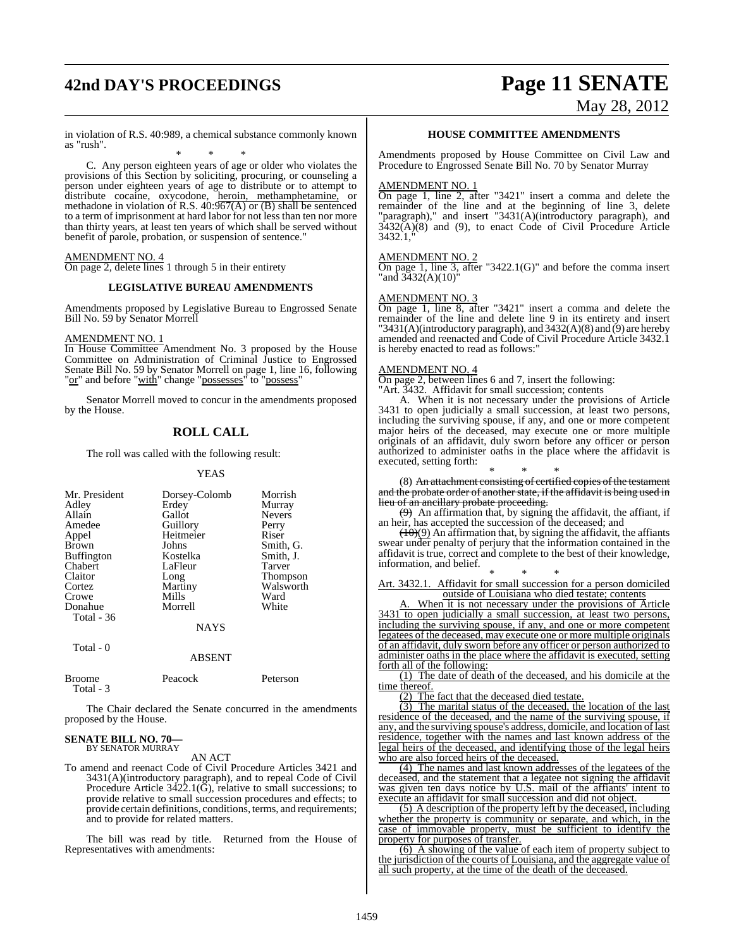# **42nd DAY'S PROCEEDINGS Page 11 SENATE**

# May 28, 2012

in violation of R.S. 40:989, a chemical substance commonly known as "rush".

\* \* \* C. Any person eighteen years of age or older who violates the provisions of this Section by soliciting, procuring, or counseling a person under eighteen years of age to distribute or to attempt to distribute cocaine, oxycodone, heroin, methamphetamine, or methadone in violation of R.S.  $40:967(A)$  or (B) shall be sentenced to a term of imprisonment at hard labor for not less than ten nor more than thirty years, at least ten years of which shall be served without benefit of parole, probation, or suspension of sentence.'

# AMENDMENT NO. 4

On page 2, delete lines 1 through 5 in their entirety

# **LEGISLATIVE BUREAU AMENDMENTS**

Amendments proposed by Legislative Bureau to Engrossed Senate Bill No. 59 by Senator Morrell

# AMENDMENT NO. 1

In House Committee Amendment No. 3 proposed by the House Committee on Administration of Criminal Justice to Engrossed Senate Bill No. 59 by Senator Morrell on page 1, line 16, following "<u>or</u>" and before "<u>with</u>" change "possesses" to "possess"

Senator Morrell moved to concur in the amendments proposed by the House.

# **ROLL CALL**

The roll was called with the following result:

### YEAS

| Mr. President | Dorsey-Colomb | Morrish         |
|---------------|---------------|-----------------|
|               |               |                 |
| Adley         | Erdey         | Murray          |
| Allain        | Gallot        | <b>Nevers</b>   |
| Amedee        | Guillory      | Perry           |
| Appel         | Heitmeier     | Riser           |
| <b>Brown</b>  | Johns         | Smith, G.       |
| Buffington    | Kostelka      | Smith, J.       |
| Chabert       | LaFleur       | Tarver          |
| Claitor       | Long          | <b>Thompson</b> |
| Cortez        | Martiny       | Walsworth       |
| Crowe         | Mills         | Ward            |
| Donahue       | Morrell       | White           |
| Total - 36    |               |                 |
|               | <b>NAYS</b>   |                 |
| Total - 0     |               |                 |
|               | ABSENT        |                 |

| <b>Broome</b> | Peacock | Peterson |
|---------------|---------|----------|
| Total - 3     |         |          |

The Chair declared the Senate concurred in the amendments proposed by the House.

# **SENATE BILL NO. 70—** BY SENATOR MURRAY

# AN ACT

To amend and reenact Code of Civil Procedure Articles 3421 and 3431(A)(introductory paragraph), and to repeal Code of Civil Procedure Article 3422.1(G), relative to small successions; to provide relative to small succession procedures and effects; to provide certain definitions, conditions, terms, and requirements; and to provide for related matters.

The bill was read by title. Returned from the House of Representatives with amendments:

# **HOUSE COMMITTEE AMENDMENTS**

Amendments proposed by House Committee on Civil Law and Procedure to Engrossed Senate Bill No. 70 by Senator Murray

## AMENDMENT NO. 1

On page 1, line 2, after "3421" insert a comma and delete the remainder of the line and at the beginning of line 3, delete "paragraph)," and insert "3431(A)(introductory paragraph), and 3432(A)(8) and (9), to enact Code of Civil Procedure Article 3432.1,"

### AMENDMENT NO. 2

On page 1, line 3, after "3422.1(G)" and before the comma insert "and 3432(A)(10)"

# AMENDMENT NO. 3

On page 1, line 8, after "3421" insert a comma and delete the remainder of the line and delete line 9 in its entirety and insert "3431(A)(introductory paragraph), and 3432(A)(8) and (9) are hereby amended and reenacted and Code of Civil Procedure Article 3432.1 is hereby enacted to read as follows:"

### AMENDMENT NO. 4

On page 2, between lines 6 and 7, insert the following: "Art. 3432. Affidavit for small succession; contents

A. When it is not necessary under the provisions of Article 3431 to open judicially a small succession, at least two persons, including the surviving spouse, if any, and one or more competent major heirs of the deceased, may execute one or more multiple originals of an affidavit, duly sworn before any officer or person authorized to administer oaths in the place where the affidavit is executed, setting forth:

\* \* \* (8) An attachment consisting of certified copies of the testament and the probate order of another state, if the affidavit is being used in

lieu of an ancillary probate proceeding.  $(9)$  An affirmation that, by signing the affidavit, the affiant, if an heir, has accepted the succession of the deceased; and

 $(10)(9)$  An affirmation that, by signing the affidavit, the affiants swear under penalty of perjury that the information contained in the affidavit is true, correct and complete to the best of their knowledge, information, and belief.

\* \* \* Art. 3432.1. Affidavit for small succession for a person domiciled outside of Louisiana who died testate; contents

A. When it is not necessary under the provisions of Article 3431 to open judicially a small succession, at least two persons, including the surviving spouse, if any, and one or more competent legatees of the deceased, may execute one or more multiple originals of an affidavit, duly sworn before any officer or person authorized to administer oaths in the place where the affidavit is executed, setting forth all of the following:

(1) The date of death of the deceased, and his domicile at the time thereof.

(2) The fact that the deceased died testate.

(3) The marital status of the deceased, the location of the last residence of the deceased, and the name of the surviving spouse, if any, and the surviving spouse's address, domicile, and location of last residence, together with the names and last known address of the legal heirs of the deceased, and identifying those of the legal heirs who are also forced heirs of the deceased.

(4) The names and last known addresses of the legatees of the deceased, and the statement that a legatee not signing the affidavit was given ten days notice by U.S. mail of the affiants' intent to execute an affidavit for small succession and did not object.

(5) A description of the property left by the deceased, including whether the property is community or separate, and which, in the case of immovable property, must be sufficient to identify the property for purposes of transfer.

(6) A showing of the value of each item of property subject to the jurisdiction of the courts of Louisiana, and the aggregate value of all such property, at the time of the death of the deceased.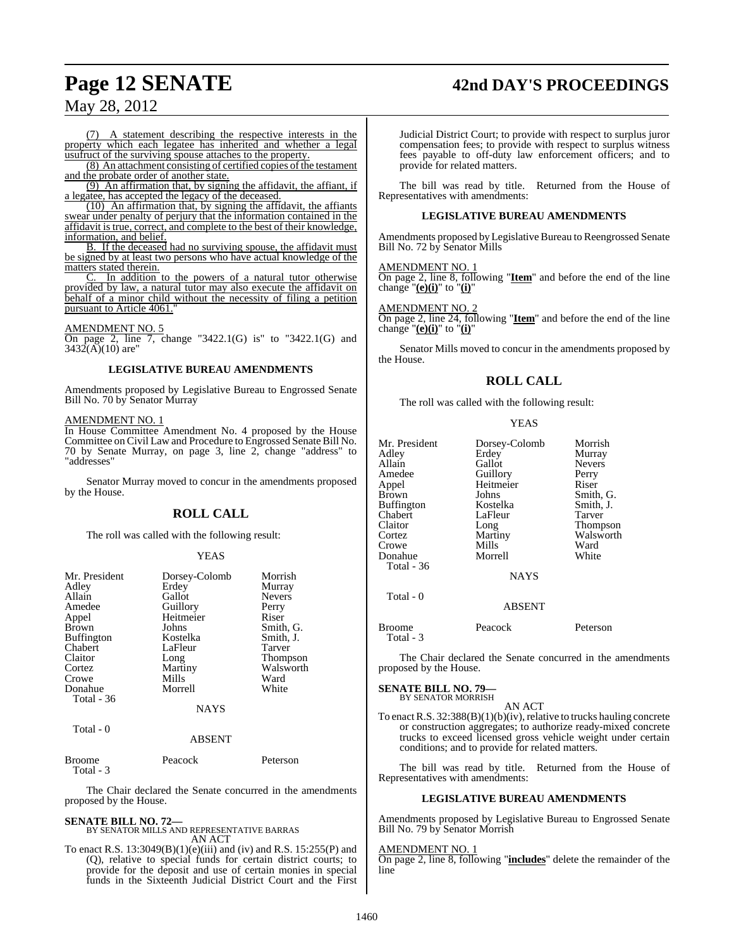# **Page 12 SENATE 42nd DAY'S PROCEEDINGS**

# May 28, 2012

(7) A statement describing the respective interests in the property which each legatee has inherited and whether a legal usufruct of the surviving spouse attaches to the property.

(8) An attachment consisting of certified copies of the testament and the probate order of another state.

(9) An affirmation that, by signing the affidavit, the affiant, if a legatee, has accepted the legacy of the deceased.

 $(10)$  An affirmation that, by signing the affidavit, the affiants swear under penalty of perjury that the information contained in the affidavit is true, correct, and complete to the best of their knowledge, information, and belief.

B. If the deceased had no surviving spouse, the affidavit must be signed by at least two persons who have actual knowledge of the matters stated therein.

In addition to the powers of a natural tutor otherwise provided by law, a natural tutor may also execute the affidavit on behalf of a minor child without the necessity of filing a petition pursuant to Article 4061.

### AMENDMENT NO. 5

On page 2, line 7, change "3422.1(G) is" to "3422.1(G) and  $3432(A)(10)$  are"

# **LEGISLATIVE BUREAU AMENDMENTS**

Amendments proposed by Legislative Bureau to Engrossed Senate Bill No. 70 by Senator Murray

# AMENDMENT NO. 1

In House Committee Amendment No. 4 proposed by the House Committee on Civil Law and Procedure to Engrossed Senate Bill No. 70 by Senate Murray, on page 3, line 2, change "address" to "addresses"

Senator Murray moved to concur in the amendments proposed by the House.

# **ROLL CALL**

The roll was called with the following result:

# YEAS

| Mr. President     | Dorsey-Colomb | Morrish         |
|-------------------|---------------|-----------------|
| Adley             | Erdey         | Murray          |
| Allain            | Gallot        | <b>Nevers</b>   |
| Amedee            | Guillory      | Perry           |
| Appel             | Heitmeier     | Riser           |
| <b>Brown</b>      | Johns         | Smith, G.       |
| <b>Buffington</b> | Kostelka      | Smith, J.       |
| Chabert           | LaFleur       | Tarver          |
| Claitor           | Long          | <b>Thompson</b> |
| Cortez            | Martiny       | Walsworth       |
| Crowe             | Mills         | Ward            |
| Donahue           | Morrell       | White           |
| Total $-36$       |               |                 |
|                   | <b>NAYS</b>   |                 |
| Total - 0         |               |                 |
|                   | ABSENT        |                 |

| <b>Broome</b> | Peacock | Peterson |
|---------------|---------|----------|
| Total - 3     |         |          |

The Chair declared the Senate concurred in the amendments proposed by the House.

# **SENATE BILL NO. 72—**

BY SENATOR MILLS AND REPRESENTATIVE BARRAS AN ACT

To enact R.S. 13:3049(B)(1)(e)(iii) and (iv) and R.S. 15:255(P) and (Q), relative to special funds for certain district courts; to provide for the deposit and use of certain monies in special funds in the Sixteenth Judicial District Court and the First Judicial District Court; to provide with respect to surplus juror compensation fees; to provide with respect to surplus witness fees payable to off-duty law enforcement officers; and to provide for related matters.

The bill was read by title. Returned from the House of Representatives with amendments:

# **LEGISLATIVE BUREAU AMENDMENTS**

Amendments proposed by Legislative Bureau to Reengrossed Senate Bill No. 72 by Senator Mills

# AMENDMENT NO. 1

On page 2, line 8, following "**Item**" and before the end of the line change "**(e)(i)**" to "**(i)**"

# AMENDMENT NO. 2

On page 2, line 24, following "**Item**" and before the end of the line change "**(e)(i)**" to "**(i)**"

Senator Mills moved to concur in the amendments proposed by the House.

# **ROLL CALL**

The roll was called with the following result:

|--|--|

| Mr. President<br>Adley<br>Allain<br>Amedee<br>Appel<br>Brown<br>Buffington<br>Chabert<br>Claitor<br>Cortez<br>Crowe<br>Donahue<br>Total - 36 | Dorsey-Colomb<br>Erdey<br>Gallot<br>Guillory<br>Heitmeier<br>Johns<br>Kostelka<br>LaFleur<br>Long<br>Martiny<br>Mills<br>Morrell<br><b>NAYS</b> | Morrish<br>Murray<br><b>Nevers</b><br>Perry<br>Riser<br>Smith, G.<br>Smith, J.<br>Tarver<br>Thompson<br>Walsworth<br>Ward<br>White |
|----------------------------------------------------------------------------------------------------------------------------------------------|-------------------------------------------------------------------------------------------------------------------------------------------------|------------------------------------------------------------------------------------------------------------------------------------|
| Total - 0                                                                                                                                    | <b>ABSENT</b>                                                                                                                                   |                                                                                                                                    |
| <b>Broome</b>                                                                                                                                | Peacock                                                                                                                                         | Peterson                                                                                                                           |

The Chair declared the Senate concurred in the amendments proposed by the House.

# **SENATE BILL NO. 79—**

Total - 3

BY SENATOR MORRISH

AN ACT To enact R.S.  $32:388(B)(1)(b)(iv)$ , relative to trucks hauling concrete or construction aggregates; to authorize ready-mixed concrete trucks to exceed licensed gross vehicle weight under certain conditions; and to provide for related matters.

The bill was read by title. Returned from the House of Representatives with amendments:

# **LEGISLATIVE BUREAU AMENDMENTS**

Amendments proposed by Legislative Bureau to Engrossed Senate Bill No. 79 by Senator Morrish

# AMENDMENT NO. 1

On page 2, line 8, following "**includes**" delete the remainder of the line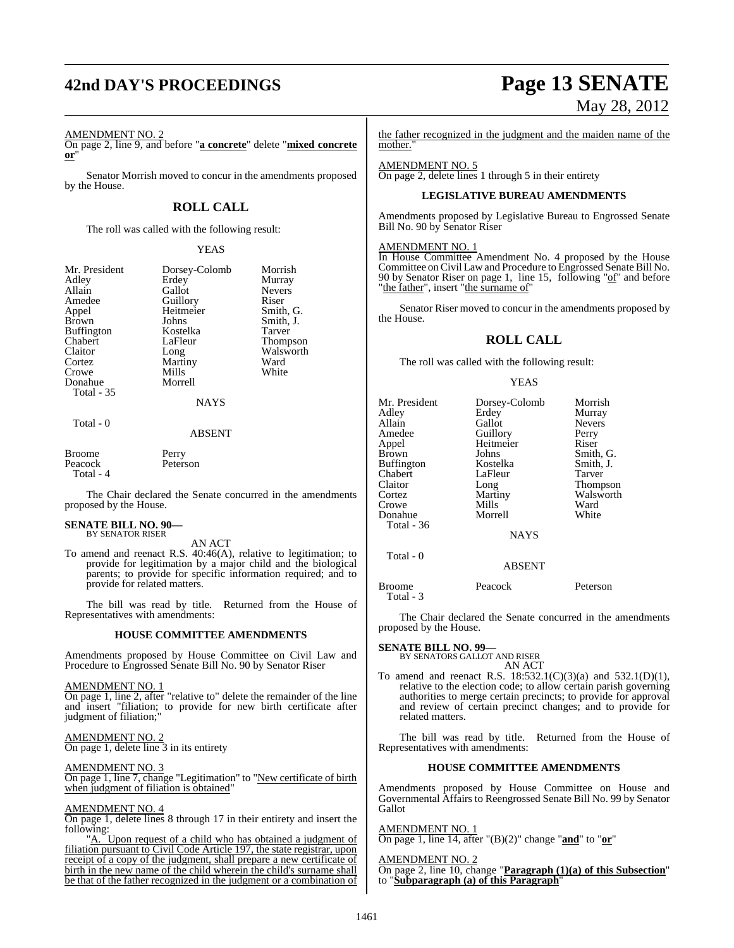# **42nd DAY'S PROCEEDINGS Page 13 SENATE**

# AMENDMENT NO. 2

On page 2, line 9, and before "**a concrete**" delete "**mixed concrete or**"

Senator Morrish moved to concur in the amendments proposed by the House.

# **ROLL CALL**

The roll was called with the following result:

# YEAS

| Mr. President<br>Adley<br>Allain<br>Amedee<br>Appel<br><b>Brown</b><br><b>Buffington</b><br>Chabert<br>Claitor<br>Cortez | Dorsey-Colomb<br>Erdey<br>Gallot<br>Guillory<br>Heitmeier<br>Johns<br>Kostelka<br>LaFleur<br>Long<br>Martiny | Morrish<br>Murray<br><b>Nevers</b><br>Riser<br>Smith, G.<br>Smith, J.<br>Tarver<br><b>Thompson</b><br>Walsworth<br>Ward |
|--------------------------------------------------------------------------------------------------------------------------|--------------------------------------------------------------------------------------------------------------|-------------------------------------------------------------------------------------------------------------------------|
| Crowe                                                                                                                    | Mills                                                                                                        | White                                                                                                                   |
| Donahue<br><b>Total - 35</b>                                                                                             | Morrell                                                                                                      |                                                                                                                         |
|                                                                                                                          | <b>NAYS</b>                                                                                                  |                                                                                                                         |
| Total - 0                                                                                                                | ARSENT                                                                                                       |                                                                                                                         |

Broome Perry<br>Peacock Peterson Peacock

Total - 4

The Chair declared the Senate concurred in the amendments proposed by the House.

### **SENATE BILL NO. 90—** BY SENATOR RISER

AN ACT

To amend and reenact R.S. 40:46(A), relative to legitimation; to provide for legitimation by a major child and the biological parents; to provide for specific information required; and to provide for related matters.

The bill was read by title. Returned from the House of Representatives with amendments:

# **HOUSE COMMITTEE AMENDMENTS**

Amendments proposed by House Committee on Civil Law and Procedure to Engrossed Senate Bill No. 90 by Senator Riser

## AMENDMENT NO. 1

On page 1, line 2, after "relative to" delete the remainder of the line and insert "filiation; to provide for new birth certificate after judgment of filiation;"

# AMENDMENT NO. 2

On page 1, delete line 3 in its entirety

### AMENDMENT NO. 3

On page 1, line 7, change "Legitimation" to "New certificate of birth when judgment of filiation is obtained"

## AMENDMENT NO. 4

On page 1, delete lines 8 through 17 in their entirety and insert the following:

"A. Upon request of a child who has obtained a judgment of filiation pursuant to Civil Code Article 197, the state registrar, upon receipt of a copy of the judgment, shall prepare a new certificate of birth in the new name of the child wherein the child's surname shall be that of the father recognized in the judgment or a combination of

# May 28, 2012

the father recognized in the judgment and the maiden name of the mother."

### AMENDMENT NO. 5 On page 2, delete lines 1 through 5 in their entirety

# **LEGISLATIVE BUREAU AMENDMENTS**

Amendments proposed by Legislative Bureau to Engrossed Senate Bill No. 90 by Senator Riser

## AMENDMENT NO. 1

In House Committee Amendment No. 4 proposed by the House Committee onCivil Law and Procedure to Engrossed Senate Bill No. 90 by Senator Riser on page 1, line 15, following "of" and before "the father", insert "the surname of"

Senator Riser moved to concur in the amendments proposed by the House.

# **ROLL CALL**

The roll was called with the following result:

## YEAS

| Mr. President     | Dorsey-Colomb | Morrish       |
|-------------------|---------------|---------------|
| Adley             | Erdey         | Murray        |
| Allain            | Gallot        | <b>Nevers</b> |
| Amedee            | Guillory      | Perry         |
| Appel             | Heitmeier     | Riser         |
| Brown             | Johns         | Smith, G.     |
| Buffington        | Kostelka      | Smith, J.     |
| Chabert           | LaFleur       | Tarver        |
| Claitor           | Long          | Thompson      |
| Cortez            | Martiny       | Walsworth     |
| Crowe             | Mills         | Ward          |
| Donahue           | Morrell       | White         |
| <b>Total - 36</b> |               |               |
|                   | <b>NAYS</b>   |               |
| Total - 0         |               |               |
|                   | <b>ABSENT</b> |               |
| <b>Broome</b>     | Peacock       | Peterson      |

The Chair declared the Senate concurred in the amendments proposed by the House.

# **SENATE BILL NO. 99—**

Total - 3

BY SENATORS GALLOT AND RISER AN ACT

To amend and reenact R.S. 18:532.1(C)(3)(a) and 532.1(D)(1), relative to the election code; to allow certain parish governing authorities to merge certain precincts; to provide for approval and review of certain precinct changes; and to provide for related matters.

The bill was read by title. Returned from the House of Representatives with amendments:

# **HOUSE COMMITTEE AMENDMENTS**

Amendments proposed by House Committee on House and Governmental Affairs to Reengrossed Senate Bill No. 99 by Senator Gallot

# AMENDMENT NO. 1

On page 1, line 14, after "(B)(2)" change "**and**" to "**or**"

# AMENDMENT NO.

On page 2, line 10, change "**Paragraph (1)(a) of this Subsection**" to "**Subparagraph (a) of this Paragraph**"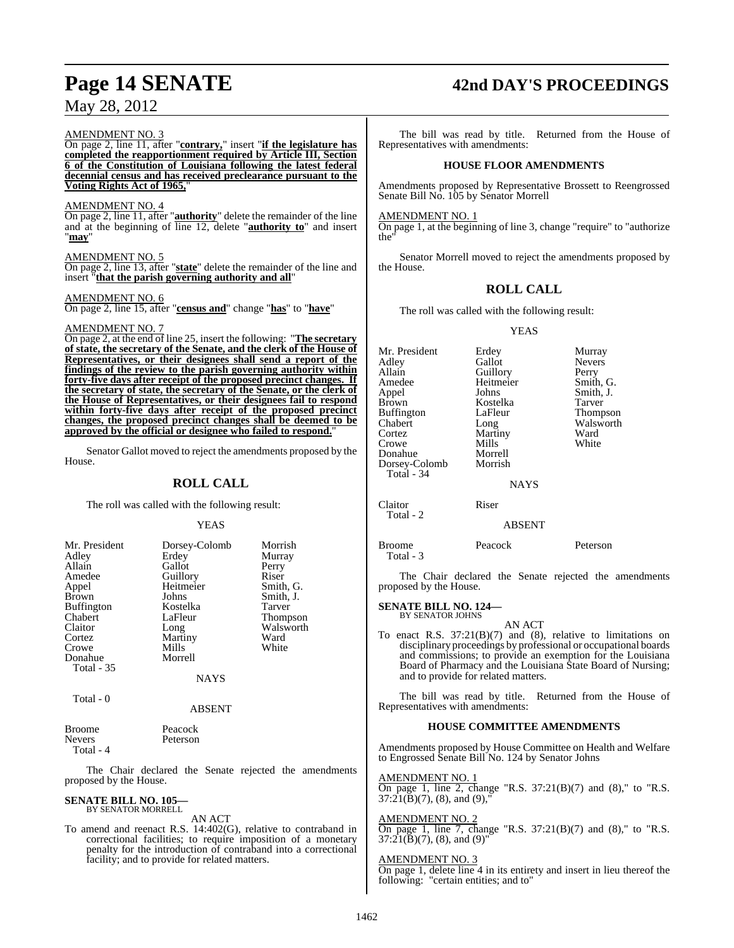# AMENDMENT NO. 3

On page 2, line 11, after "**contrary,**" insert "**if the legislature has completed the reapportionment required by Article III, Section 6 of the Constitution of Louisiana following the latest federal decennial census and has received preclearance pursuant to the Voting Rights Act of 1965,**"

# AMENDMENT NO. 4

On page 2, line 11, after "**authority**" delete the remainder of the line and at the beginning of line 12, delete "**authority to**" and insert "**may**"

# AMENDMENT NO. 5

On page 2, line 13, after "**state**" delete the remainder of the line and insert "**that the parish governing authority and all**"

# AMENDMENT NO. 6

On page 2, line 15, after "**census and**" change "**has**" to "**have**"

# AMENDMENT NO. 7

On page 2, at the end of line 25, insert the following: "**The secretary of state, the secretary of the Senate, and the clerk of the House of Representatives, or their designees shall send a report of the findings of the review to the parish governing authority within forty-five days after receipt of the proposed precinct changes. If the secretary of state, the secretary of the Senate, or the clerk of the House of Representatives, or their designees fail to respond within forty-five days after receipt of the proposed precinct changes, the proposed precinct changes shall be deemed to be approved by the official or designee who failed to respond.**"

Senator Gallot moved to reject the amendments proposed by the House.

# **ROLL CALL**

The roll was called with the following result:

# **YEAS**

| Mr. President<br>Adley<br>Allain<br>Amedee<br>Appel<br><b>Brown</b><br><b>Buffington</b><br>Chabert<br>Claitor<br>Cortez | Dorsey-Colomb<br>Erdey<br>Gallot<br>Guillory<br>Heitmeier<br>Johns<br>Kostelka<br>LaFleur<br>Long<br>Martiny | Morrish<br>Murray<br>Perry<br>Riser<br>Smith, G.<br>Smith, J.<br>Tarver<br><b>Thompson</b><br>Walsworth<br>Ward |
|--------------------------------------------------------------------------------------------------------------------------|--------------------------------------------------------------------------------------------------------------|-----------------------------------------------------------------------------------------------------------------|
| Crowe<br>Donahue                                                                                                         | Mills<br>Morrell                                                                                             | White                                                                                                           |
| Total - 35                                                                                                               | NAYS                                                                                                         |                                                                                                                 |

Total - 0

# ABSENT

| Broome    | Peacock  |
|-----------|----------|
| Nevers    | Peterson |
| Total - 4 |          |

The Chair declared the Senate rejected the amendments proposed by the House.

# **SENATE BILL NO. 105—** BY SENATOR MORRELL

AN ACT

To amend and reenact R.S. 14:402(G), relative to contraband in correctional facilities; to require imposition of a monetary penalty for the introduction of contraband into a correctional facility; and to provide for related matters.

# **Page 14 SENATE 42nd DAY'S PROCEEDINGS**

The bill was read by title. Returned from the House of Representatives with amendments:

# **HOUSE FLOOR AMENDMENTS**

Amendments proposed by Representative Brossett to Reengrossed Senate Bill No. 105 by Senator Morrell

## AMENDMENT NO. 1

On page 1, at the beginning of line 3, change "require" to "authorize the"

Senator Morrell moved to reject the amendments proposed by the House.

# **ROLL CALL**

The roll was called with the following result:

# YEAS

| Mr. President<br>Adley<br>Allain<br>Amedee<br>Appel<br>Brown<br>Buffington<br>Chabert<br>Cortez<br>Crowe<br>Donahue<br>Dorsey-Colomb<br>Total - 34 | Erdey<br>Gallot<br>Guillory<br>Heitmeier<br>Johns<br>Kostelka<br>LaFleur<br>Long<br>Martiny<br>Mills<br>Morrell<br>Morrish<br><b>NAYS</b> | Murray<br><b>Nevers</b><br>Perry<br>Smith, G.<br>Smith, J.<br>Tarver<br>Thompson<br>Walsworth<br>Ward<br>White |
|----------------------------------------------------------------------------------------------------------------------------------------------------|-------------------------------------------------------------------------------------------------------------------------------------------|----------------------------------------------------------------------------------------------------------------|
| Claitor<br>Total - 2                                                                                                                               | Riser                                                                                                                                     |                                                                                                                |

# ABSENT

| Broome    | Peacock | Peterson |
|-----------|---------|----------|
| Total - 3 |         |          |

The Chair declared the Senate rejected the amendments proposed by the House.

### **SENATE BILL NO. 124—** BY SENATOR JOHNS

AN ACT

To enact R.S. 37:21(B)(7) and (8), relative to limitations on disciplinary proceedings by professional or occupational boards and commissions; to provide an exemption for the Louisiana Board of Pharmacy and the Louisiana State Board of Nursing; and to provide for related matters.

The bill was read by title. Returned from the House of Representatives with amendments:

# **HOUSE COMMITTEE AMENDMENTS**

Amendments proposed by House Committee on Health and Welfare to Engrossed Senate Bill No. 124 by Senator Johns

AMENDMENT NO. 1

On page 1, line 2, change "R.S. 37:21(B)(7) and (8)," to "R.S.  $37:21(\bar{B})(7)$ , (8), and (9),

# AMENDMENT NO. 2

On page 1, line 7, change "R.S. 37:21(B)(7) and (8)," to "R.S.  $37:21(\bar{B})(7)$ , (8), and (9)

# AMENDMENT NO. 3

On page 1, delete line 4 in its entirety and insert in lieu thereof the following: "certain entities; and to"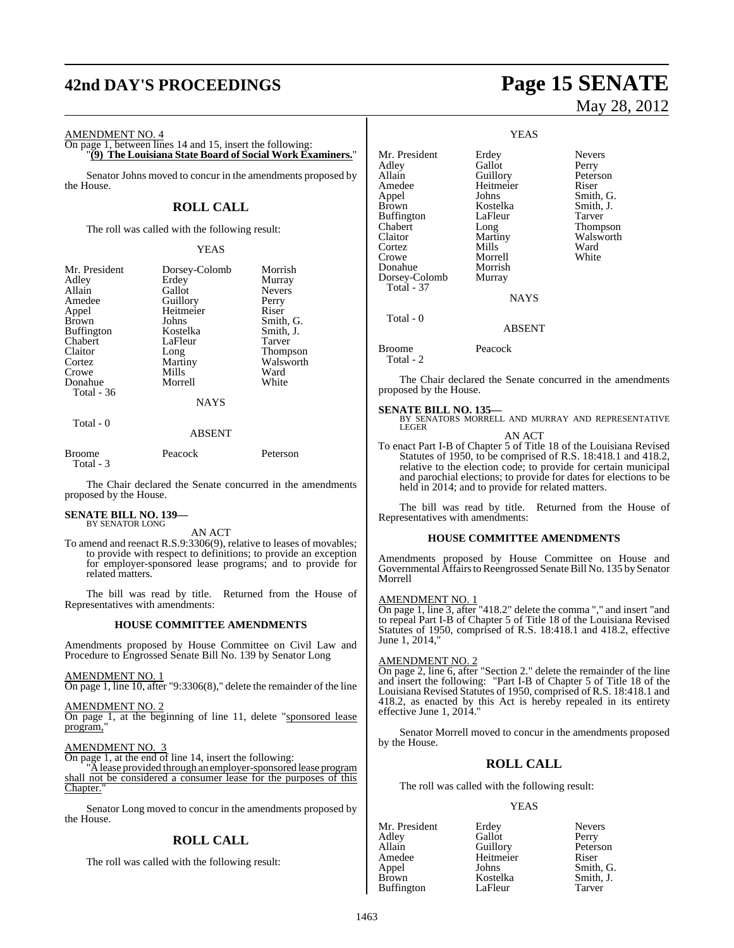# **42nd DAY'S PROCEEDINGS Page 15 SENATE**

AMENDMENT NO. 4

On page 1, between lines 14 and 15, insert the following: "**(9) The Louisiana State Board of Social Work Examiners.**"

Senator Johns moved to concur in the amendments proposed by the House.

# **ROLL CALL**

The roll was called with the following result:

# YEAS

| Mr. President     | Dorsey-Colomb | Morrish         |
|-------------------|---------------|-----------------|
| Adley             | Erdey         | Murray          |
| Allain            | Gallot        | <b>Nevers</b>   |
| Amedee            |               |                 |
|                   | Guillory      | Perry           |
| Appel             | Heitmeier     | Riser           |
| <b>Brown</b>      | Johns         | Smith, G.       |
| <b>Buffington</b> | Kostelka      | Smith, J.       |
| Chabert           | LaFleur       | Tarver          |
| Claitor           | Long          | <b>Thompson</b> |
| Cortez            | Martiny       | Walsworth       |
| Crowe             | Mills         | Ward            |
| Donahue           | Morrell       | White           |
| Total - 36        |               |                 |
|                   | <b>NAYS</b>   |                 |
| Total - 0         |               |                 |

ABSENT

| Broome    | Peacock | Peterson |
|-----------|---------|----------|
|           |         |          |
| Total - 3 |         |          |

The Chair declared the Senate concurred in the amendments proposed by the House.

### **SENATE BILL NO. 139—** BY SENATOR LONG

AN ACT

To amend and reenact R.S.9:3306(9), relative to leases of movables; to provide with respect to definitions; to provide an exception for employer-sponsored lease programs; and to provide for related matters.

The bill was read by title. Returned from the House of Representatives with amendments:

# **HOUSE COMMITTEE AMENDMENTS**

Amendments proposed by House Committee on Civil Law and Procedure to Engrossed Senate Bill No. 139 by Senator Long

AMENDMENT NO. 1

On page 1, line 10, after "9:3306(8)," delete the remainder of the line

AMENDMENT NO. 2 On page 1, at the beginning of line 11, delete "sponsored lease program,

AMENDMENT NO. 3

On page 1, at the end of line 14, insert the following:

"Alease provided through an employer-sponsored lease program shall not be considered a consumer lease for the purposes of this Chapter."

Senator Long moved to concur in the amendments proposed by the House.

# **ROLL CALL**

The roll was called with the following result:

# May 28, 2012

Peterson

YEAS

Mr. President Erdey Nevers<br>Adley Gallot Perry Adley Gallot<br>Allain Guillory Amedee Heitmeier Riser<br>Appel Johns Smith Appel Johns Smith, G.<br>Brown Kostelka Smith, J. Kostelka<br>LaFleur Buffington LaFleur Tarver<br>
Chabert Long Thomp Chabert Long Thompson<br>Claitor Martiny Walsworth Martiny Walsworth<br>
Mills Ward Cortez Mills Ward<br>Crowe Morrell White Crowe Morrell<br>
Donahue Morrish Donahue Morrish<br>Dorsey-Colomb Murray Dorsey-Colomb

NAYS

# ABSENT

Broome Peacock

Total - 2

Total - 37

Total - 0

The Chair declared the Senate concurred in the amendments proposed by the House.

**SENATE BILL NO. 135—**<br>BY SENATORS MORRELL AND MURRAY AND REPRESENTATIVE<br>LEGER

AN ACT

To enact Part I-B of Chapter 5 of Title 18 of the Louisiana Revised Statutes of 1950, to be comprised of R.S. 18:418.1 and 418.2, relative to the election code; to provide for certain municipal and parochial elections; to provide for dates for elections to be held in 2014; and to provide for related matters.

The bill was read by title. Returned from the House of Representatives with amendments:

# **HOUSE COMMITTEE AMENDMENTS**

Amendments proposed by House Committee on House and Governmental Affairs to Reengrossed Senate Bill No. 135 by Senator Morrell

# AMENDMENT NO. 1

On page 1, line 3, after "418.2" delete the comma "," and insert "and to repeal Part I-B of Chapter 5 of Title 18 of the Louisiana Revised Statutes of 1950, comprised of R.S. 18:418.1 and 418.2, effective June 1, 2014,"

# AMENDMENT NO. 2

On page 2, line 6, after "Section 2." delete the remainder of the line and insert the following: "Part I-B of Chapter 5 of Title 18 of the Louisiana Revised Statutes of 1950, comprised of R.S. 18:418.1 and 418.2, as enacted by this Act is hereby repealed in its entirety effective June 1, 2014."

Senator Morrell moved to concur in the amendments proposed by the House.

# **ROLL CALL**

The roll was called with the following result:

# YEAS

| Mr. President     | Erdey     | <b>Nevers</b> |
|-------------------|-----------|---------------|
| Adley             | Gallot    | Perry         |
| Allain            | Guillory  | Peterson      |
| Amedee            | Heitmeier | Riser         |
| Appel             | Johns     | Smith, G.     |
| <b>Brown</b>      | Kostelka  | Smith, J.     |
| <b>Buffington</b> | LaFleur   | Tarver        |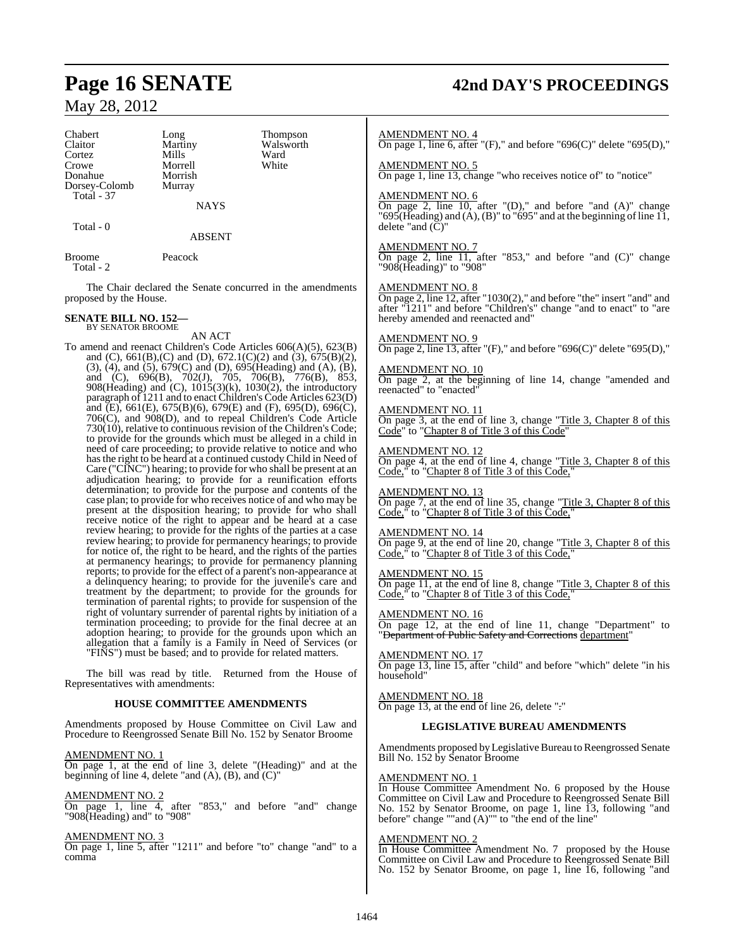## Chabert Long Thompson<br>Claitor Martiny Walsworth Claitor Martiny Walsworth<br>
Cortez Mills Ward Cortez Mills Ward Crowe Morrell White Donahue Dorsey-Colomb Murray Total - 37 **NAYS**

Total - 0

Broome Peacock

Total - 2

The Chair declared the Senate concurred in the amendments proposed by the House.

ABSENT

### **SENATE BILL NO. 152—** BY SENATOR BROOME

AN ACT

To amend and reenact Children's Code Articles 606(A)(5), 623(B) and (C), 661(B),(C) and (D), 672.1(C)(2) and (3), 675(B)(2), (3), (4), and (5), 679(C) and (D), 695(Heading) and (A), (B), and (C), 696(B), 702(J), 705, 706(B), 776(B), 853, 908(Heading) and (C), 1015(3)(k), 1030(2), the introductory paragraph of 1211 and to enact Children's Code Articles 623(D) and (E), 661(E), 675(B)(6), 679(E) and (F), 695(D), 696(C), 706(C), and 908(D), and to repeal Children's Code Article 730(10), relative to continuous revision of the Children's Code; to provide for the grounds which must be alleged in a child in need of care proceeding; to provide relative to notice and who hasthe right to be heard at a continued custody Child in Need of Care ("CINC") hearing; to provide for who shall be present at an adjudication hearing; to provide for a reunification efforts determination; to provide for the purpose and contents of the case plan; to provide for who receives notice of and who may be present at the disposition hearing; to provide for who shall receive notice of the right to appear and be heard at a case review hearing; to provide for the rights of the parties at a case review hearing; to provide for permanency hearings; to provide for notice of, the right to be heard, and the rights of the parties at permanency hearings; to provide for permanency planning reports; to provide for the effect of a parent's non-appearance at a delinquency hearing; to provide for the juvenile's care and treatment by the department; to provide for the grounds for termination of parental rights; to provide for suspension of the right of voluntary surrender of parental rights by initiation of a termination proceeding; to provide for the final decree at an adoption hearing; to provide for the grounds upon which an allegation that a family is a Family in Need of Services (or "FINS") must be based; and to provide for related matters.

The bill was read by title. Returned from the House of Representatives with amendments:

# **HOUSE COMMITTEE AMENDMENTS**

Amendments proposed by House Committee on Civil Law and Procedure to Reengrossed Senate Bill No. 152 by Senator Broome

AMENDMENT NO. 1

On page 1, at the end of line 3, delete "(Heading)" and at the beginning of line 4, delete "and  $(A)$ ,  $(B)$ , and  $(C)$ "

AMENDMENT NO.

On page 1, line 4, after "853," and before "and" change "908(Heading) and" to "908"

AMENDMENT NO. 3

On page 1, line 5, after "1211" and before "to" change "and" to a comma

# **Page 16 SENATE 42nd DAY'S PROCEEDINGS**

# AMENDMENT NO. 4

On page 1, line 6, after "(F)," and before "696(C)" delete "695(D),"

AMENDMENT NO. 5

On page 1, line 13, change "who receives notice of" to "notice"

# AMENDMENT NO. 6

On page 2, line  $\overline{10}$ , after "(D)," and before "and  $(A)$ " change " $695$ (Heading) and  $(A)$ ,  $(B)$ " to " $695$ " and at the beginning of line 11, delete "and  $(\breve{C})$ "

# AMENDMENT NO. 7

On page 2, line 11, after "853," and before "and (C)" change "908(Heading)" to "908"

### AMENDMENT NO. 8

On page 2, line 12, after "1030(2)," and before "the" insert "and" and after "1211" and before "Children's" change "and to enact" to "are hereby amended and reenacted and"

# AMENDMENT NO. 9

On page 2, line 13, after " $(F)$ ," and before " $696(C)$ " delete " $695(D)$ ,"

### AMENDMENT NO. 10

On page 2, at the beginning of line 14, change "amended and reenacted" to "enacted"

# AMENDMENT NO. 11

On page 3, at the end of line 3, change "Title 3, Chapter 8 of this Code" to "Chapter 8 of Title 3 of this Code"

## AMENDMENT NO. 12

On page 4, at the end of line 4, change "Title 3, Chapter 8 of this Code," to "Chapter 8 of Title 3 of this Code,"

### AMENDMENT NO. 13

On page 7, at the end of line 35, change "Title 3, Chapter 8 of this Code," to "Chapter 8 of Title 3 of this Code,"

# AMENDMENT NO. 14

On page 9, at the end of line 20, change "Title 3, Chapter 8 of this Code," to "Chapter 8 of Title 3 of this Code,"

# AMENDMENT NO. 15

On page 11, at the end of line 8, change "Title 3, Chapter 8 of this Code," to "Chapter 8 of Title 3 of this Code,"

# AMENDMENT NO. 16

On page 12, at the end of line 11, change "Department" to "Department of Public Safety and Corrections department"

### AMENDMENT NO. 17

On page 13, line 15, after "child" and before "which" delete "in his household"

# AMENDMENT NO. 18 On page 13, at the end of line 26, delete "."

# **LEGISLATIVE BUREAU AMENDMENTS**

Amendments proposed by Legislative Bureau to Reengrossed Senate Bill No. 152 by Senator Broome

# AMENDMENT NO. 1

In House Committee Amendment No. 6 proposed by the House Committee on Civil Law and Procedure to Reengrossed Senate Bill No. 152 by Senator Broome, on page 1, line 13, following "and before" change ""and (A)"" to "the end of the line"

### AMENDMENT NO. 2

In House Committee Amendment No. 7 proposed by the House Committee on Civil Law and Procedure to Reengrossed Senate Bill No. 152 by Senator Broome, on page 1, line 16, following "and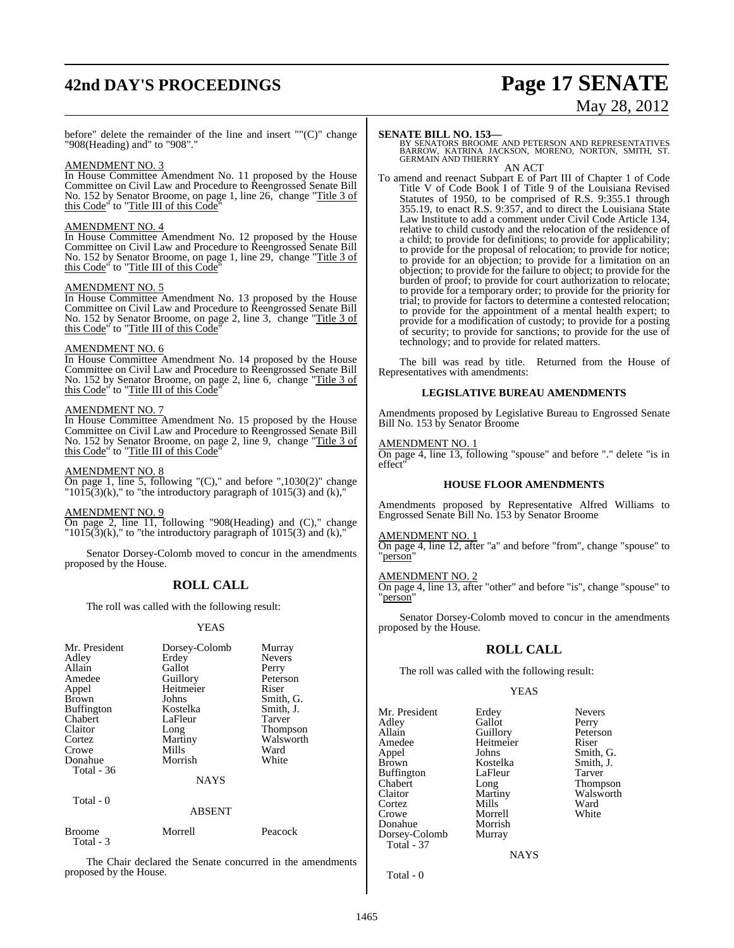# **42nd DAY'S PROCEEDINGS Page 17 SENATE**

# May 28, 2012

before" delete the remainder of the line and insert "" $(C)$ " change "908(Heading) and" to "908".

# AMENDMENT NO. 3

In House Committee Amendment No. 11 proposed by the House Committee on Civil Law and Procedure to Reengrossed Senate Bill No. 152 by Senator Broome, on page 1, line 26, change "Title 3 of this Code" to "Title III of this Code"

# AMENDMENT NO. 4

In House Committee Amendment No. 12 proposed by the House Committee on Civil Law and Procedure to Reengrossed Senate Bill No. 152 by Senator Broome, on page 1, line 29, change "Title 3 of this Code" to "Title III of this Code"

## AMENDMENT NO. 5

In House Committee Amendment No. 13 proposed by the House Committee on Civil Law and Procedure to Reengrossed Senate Bill No. 152 by Senator Broome, on page 2, line 3, change "Title 3 of this Code" to "Title III of this Code"

## AMENDMENT NO. 6

In House Committee Amendment No. 14 proposed by the House Committee on Civil Law and Procedure to Reengrossed Senate Bill No. 152 by Senator Broome, on page 2, line 6, change "Title 3 of this Code" to "Title III of this Code"

# AMENDMENT NO. 7

In House Committee Amendment No. 15 proposed by the House Committee on Civil Law and Procedure to Reengrossed Senate Bill No. 152 by Senator Broome, on page 2, line 9, change "Title 3 of this Code" to "Title III of this Code"

# AMENDMENT NO. 8

On page 1, line 5, following "(C)," and before ",1030(2)" change  $"1015(3)$ (k)," to "the introductory paragraph of  $1015(3)$  and (k),"

### AMENDMENT NO. 9

On page 2, line 11, following "908(Heading) and (C)," change  $"1015(3)$ (k)," to "the introductory paragraph of  $1015(3)$  and (k),"

Senator Dorsey-Colomb moved to concur in the amendments proposed by the House.

# **ROLL CALL**

The roll was called with the following result:

# YEAS

| Mr. President<br>Adley<br>Allain<br>Amedee<br>Appel<br><b>Brown</b><br><b>Buffington</b><br>Chabert<br>Claitor<br>Cortez<br>Crowe<br>Donahue<br>Total - 36 | Dorsey-Colomb<br>Erdey<br>Gallot<br>Guillory<br>Heitmeier<br>Johns<br>Kostelka<br>LaFleur<br>Long<br>Martiny<br>Mills<br>Morrish<br><b>NAYS</b> | Murray<br><b>Nevers</b><br>Perry<br>Peterson<br>Riser<br>Smith, G.<br>Smith, J.<br>Tarver<br><b>Thompson</b><br>Walsworth<br>Ward<br>White |
|------------------------------------------------------------------------------------------------------------------------------------------------------------|-------------------------------------------------------------------------------------------------------------------------------------------------|--------------------------------------------------------------------------------------------------------------------------------------------|
|                                                                                                                                                            |                                                                                                                                                 |                                                                                                                                            |
| Total - 0                                                                                                                                                  | A DOENT                                                                                                                                         |                                                                                                                                            |

### ABSENT

| Broome<br>Total - 3 | Morrell | Peacock |
|---------------------|---------|---------|
|                     |         |         |

The Chair declared the Senate concurred in the amendments proposed by the House.

**SENATE BILL NO. 153—**<br>BY SENATORS BROOME AND PETERSON AND REPRESENTATIVES<br>BARROW, KATRINA JACKSON, MORENO, NORTON, SMITH, ST.<br>GERMAIN AND THIERRY AN ACT

To amend and reenact Subpart E of Part III of Chapter 1 of Code Title V of Code Book I of Title 9 of the Louisiana Revised Statutes of 1950, to be comprised of R.S. 9:355.1 through 355.19, to enact R.S. 9:357, and to direct the Louisiana State Law Institute to add a comment under Civil Code Article 134, relative to child custody and the relocation of the residence of a child; to provide for definitions; to provide for applicability; to provide for the proposal of relocation; to provide for notice; to provide for an objection; to provide for a limitation on an objection; to provide for the failure to object; to provide for the burden of proof; to provide for court authorization to relocate; to provide for a temporary order; to provide for the priority for trial; to provide for factors to determine a contested relocation; to provide for the appointment of a mental health expert; to provide for a modification of custody; to provide for a posting of security; to provide for sanctions; to provide for the use of technology; and to provide for related matters.

The bill was read by title. Returned from the House of Representatives with amendments:

# **LEGISLATIVE BUREAU AMENDMENTS**

Amendments proposed by Legislative Bureau to Engrossed Senate Bill No. 153 by Senator Broome

# AMENDMENT NO. 1

On page 4, line 13, following "spouse" and before "." delete "is in effect"

# **HOUSE FLOOR AMENDMENTS**

Amendments proposed by Representative Alfred Williams to Engrossed Senate Bill No. 153 by Senator Broome

## AMENDMENT NO. 1

On page 4, line 12, after "a" and before "from", change "spouse" to "person"

# AMENDMENT NO. 2

On page 4, line 13, after "other" and before "is", change "spouse" to "person"

Senator Dorsey-Colomb moved to concur in the amendments proposed by the House.

# **ROLL CALL**

The roll was called with the following result:

# YEAS

Mr. President Erdey Nevers Adley Gallot Perry Allain Guillory Peters<br>Amedee Heitmeier Riser Amedee Heitmeier<br>Appel Johns Appel Johns Smith, G.<br>Brown Kostelka Smith, J. Buffington LaFle<br>Chabert Long Chabert Long Thompson Claitor Martiny Walsworth<br>
Cortez Mills Ward Cortez Mills Ward Crowe Morrell White<br>
Donahue Morrish Donahue Morrish<br>Dorsey-Colomb Murray Dorsey-Colomb Total - 37

Kostelka Smith,<br>LaFleur Tarver

**NAYS** 

Total - 0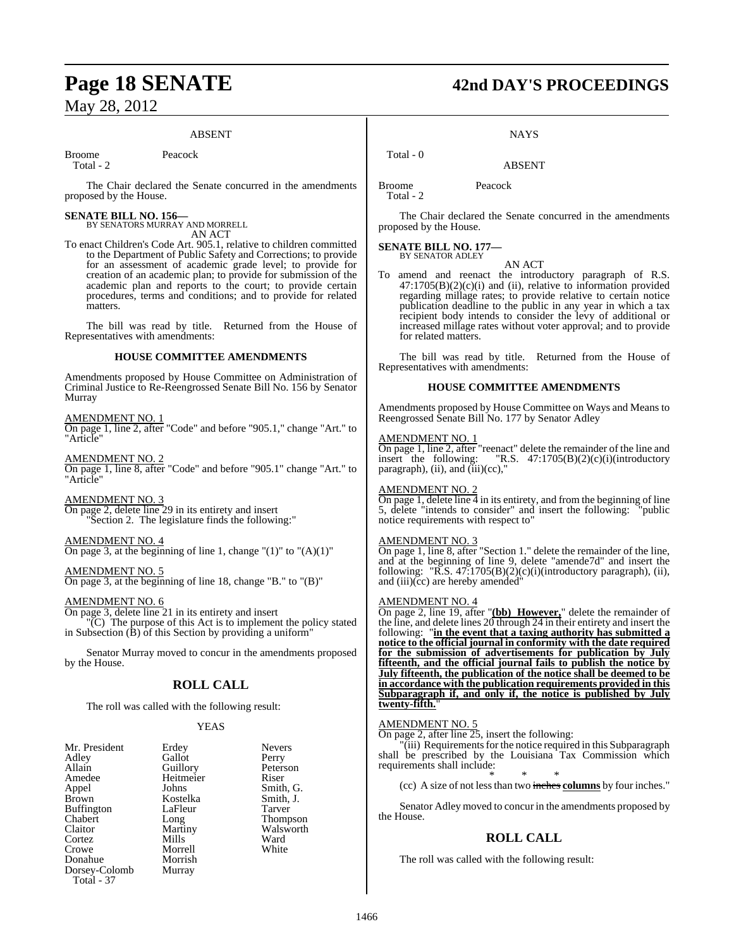# ABSENT

Broome Peacock

Total - 2

The Chair declared the Senate concurred in the amendments proposed by the House.

# **SENATE BILL NO. 156—** BY SENATORS MURRAY AND MORRELL

AN ACT

To enact Children's Code Art. 905.1, relative to children committed to the Department of Public Safety and Corrections; to provide for an assessment of academic grade level; to provide for creation of an academic plan; to provide for submission of the academic plan and reports to the court; to provide certain procedures, terms and conditions; and to provide for related matters.

The bill was read by title. Returned from the House of Representatives with amendments:

# **HOUSE COMMITTEE AMENDMENTS**

Amendments proposed by House Committee on Administration of Criminal Justice to Re-Reengrossed Senate Bill No. 156 by Senator Murray

## AMENDMENT NO. 1

On page 1, line 2, after "Code" and before "905.1," change "Art." to "Article"

AMENDMENT NO. 2 On page 1, line 8, after "Code" and before "905.1" change "Art." to "Article"

AMENDMENT NO. 3 On page 2, delete line 29 in its entirety and insert "Section 2. The legislature finds the following:"

AMENDMENT NO. 4

On page 3, at the beginning of line 1, change " $(1)$ " to " $(A)(1)$ "

AMENDMENT NO. 5 On page 3, at the beginning of line 18, change "B." to "(B)"

# AMENDMENT NO. 6

On page 3, delete line 21 in its entirety and insert "(C) The purpose of this Act is to implement the policy stated in Subsection (B) of this Section by providing a uniform"

Senator Murray moved to concur in the amendments proposed by the House.

# **ROLL CALL**

The roll was called with the following result:

# YEAS

| Mr. President     | Erdey     | <b>Nevers</b> |
|-------------------|-----------|---------------|
| Adley             | Gallot    | Perry         |
| Allain            | Guillory  | Petersc       |
| Amedee            | Heitmeier | Riser         |
| Appel             | Johns     | Smith,        |
| Brown             | Kostelka  | Smith,        |
| <b>Buffington</b> | LaFleur   | Tarver        |
| Chabert           | Long      | Thomp         |
| Claitor           | Martiny   | Walsw         |
| Cortez            | Mills     | Ward          |
| Crowe             | Morrell   | White         |
| Donahue           | Morrish   |               |
| Dorsey-Colomb     | Murray    |               |
| Total - 37        |           |               |

Peterson Heitmeier Riser<br>Johns Smith Smith, G.<br>Smith, J. Kostelka Smith,<br>LaFleur Tarver Thompson Martiny Walsworth<br>
Mills Ward Mills Ward<br>
Morrell White

# **Page 18 SENATE 42nd DAY'S PROCEEDINGS**

**NAYS** 

# ABSENT

Broome Peacock Total - 2

Total - 0

The Chair declared the Senate concurred in the amendments proposed by the House.

# **SENATE BILL NO. 177—** BY SENATOR ADLEY

To amend and reenact the introductory paragraph of R.S.  $47:1705(B)(2)(c)(i)$  and (ii), relative to information provided regarding millage rates; to provide relative to certain notice publication deadline to the public in any year in which a tax recipient body intends to consider the levy of additional or increased millage rates without voter approval; and to provide for related matters.

AN ACT

The bill was read by title. Returned from the House of Representatives with amendments:

# **HOUSE COMMITTEE AMENDMENTS**

Amendments proposed by House Committee on Ways and Means to Reengrossed Senate Bill No. 177 by Senator Adley

# AMENDMENT NO. 1

On page 1, line 2, after "reenact" delete the remainder of the line and insert the following: "R.S.  $47:1705(B)(2)(c)(i)(introductor)$ "R.S.  $47:1705(B)(2)(c)(i)(introducing$ paragraph),  $(ii)$ , and  $(iii)(cc)$ ,"

# AMENDMENT NO. 2

On page 1, delete line  $\overline{4}$  in its entirety, and from the beginning of line 5, delete "intends to consider" and insert the following: "public notice requirements with respect to"

# AMENDMENT NO. 3

On page 1, line 8, after "Section 1." delete the remainder of the line, and at the beginning of line 9, delete "amende7d" and insert the following: " $\overline{R}$ .S. 47:1705(B)(2)(c)(i)(introductory paragraph), (ii), and (iii)(cc) are hereby amended

# AMENDMENT NO. 4

On page 2, line 19, after "**(bb) However,**" delete the remainder of the line, and delete lines 20 through 24 in their entirety and insert the following: "**in the event that a taxing authority has submitted a notice to the official journal in conformity with the date required for the submission of advertisements for publication by July fifteenth, and the official journal fails to publish the notice by July fifteenth, the publication of the notice shall be deemed to be in accordance with the publication requirements provided in this Subparagraph if, and only if, the notice is published by July twenty-fifth.**"

# AMENDMENT NO. 5

On page 2, after line 25, insert the following:

"(iii) Requirements for the notice required in this Subparagraph shall be prescribed by the Louisiana Tax Commission which requirements shall include:

\* \* \* (cc) A size of not less than two inches **columns** by four inches."

Senator Adley moved to concur in the amendments proposed by the House.

# **ROLL CALL**

The roll was called with the following result: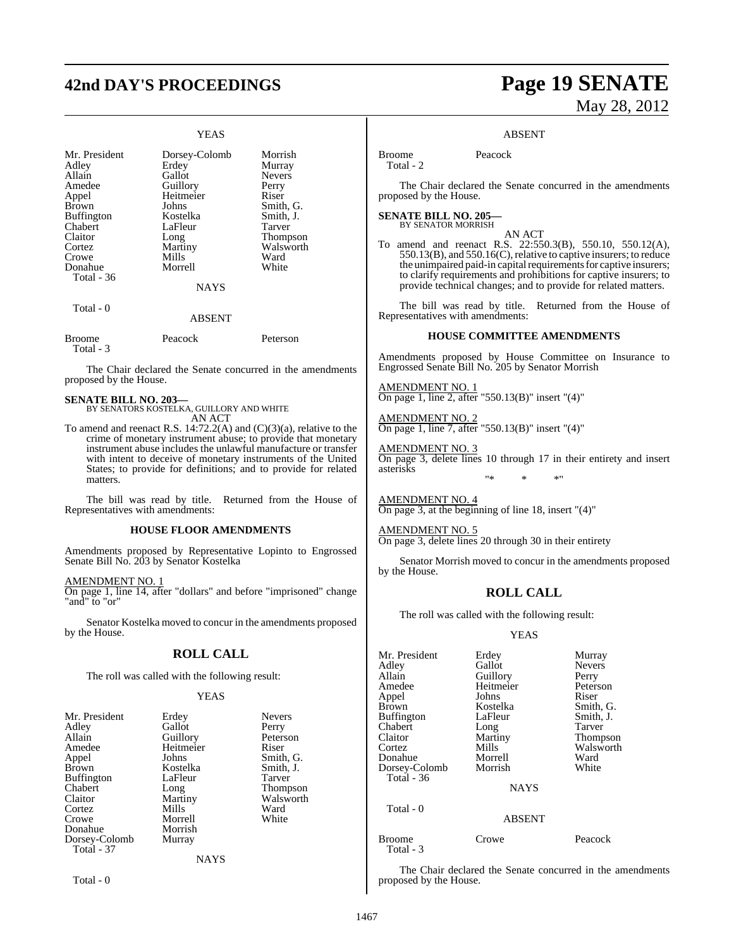# **42nd DAY'S PROCEEDINGS Page 19 SENATE**

# YEAS

| Mr. President<br>Adley<br>Allain<br>Amedee<br>Appel<br><b>Brown</b><br><b>Buffington</b><br>Chabert<br>Claitor<br>Cortez<br>Crowe<br>Donahue | Dorsey-Colomb<br>Erdey<br>Gallot<br>Guillory<br>Heitmeier<br>Johns<br>Kostelka<br>LaFleur<br>Long<br>Martiny<br><b>Mills</b><br>Morrell | Morrish<br>Murray<br><b>Nevers</b><br>Perry<br>Riser<br>Smith, G.<br>Smith, J.<br>Tarver<br>Thompson<br>Walsworth<br>Ward<br>White |
|----------------------------------------------------------------------------------------------------------------------------------------------|-----------------------------------------------------------------------------------------------------------------------------------------|------------------------------------------------------------------------------------------------------------------------------------|
| Total - 36                                                                                                                                   | <b>NAYS</b>                                                                                                                             |                                                                                                                                    |
| Total - 0                                                                                                                                    | <b>ABSENT</b>                                                                                                                           |                                                                                                                                    |
| Broome                                                                                                                                       | Peacock                                                                                                                                 | Peterson                                                                                                                           |

The Chair declared the Senate concurred in the amendments proposed by the House.

Total - 3

**SENATE BILL NO. 203—** BY SENATORS KOSTELKA, GUILLORY AND WHITE AN ACT

To amend and reenact R.S. 14:72.2(A) and (C)(3)(a), relative to the crime of monetary instrument abuse; to provide that monetary instrument abuse includes the unlawful manufacture or transfer with intent to deceive of monetary instruments of the United States; to provide for definitions; and to provide for related matters.

The bill was read by title. Returned from the House of Representatives with amendments:

# **HOUSE FLOOR AMENDMENTS**

Amendments proposed by Representative Lopinto to Engrossed Senate Bill No. 203 by Senator Kostelka

AMENDMENT NO. 1

On page 1, line 14, after "dollars" and before "imprisoned" change "and" to "or"

Senator Kostelka moved to concur in the amendments proposed by the House.

# **ROLL CALL**

The roll was called with the following result:

# YEAS

|             | <b>Nevers</b>     |
|-------------|-------------------|
| Gallot      | Perry             |
|             | Peterson          |
| Heitmeier   | Riser             |
| Johns       | Smith, G.         |
| Kostelka    | Smith, J.         |
| LaFleur     | Tarver            |
| Long        | <b>Thompson</b>   |
| Martiny     | Walsworth         |
| Mills       | Ward              |
| Morrell     | White             |
| Morrish     |                   |
| Murray      |                   |
|             |                   |
| <b>NAYS</b> |                   |
|             | Erdey<br>Guillory |

Total - 0

# May 28, 2012

### ABSENT

Broome Peacock Total - 2

The Chair declared the Senate concurred in the amendments proposed by the House.

**SENATE BILL NO. 205—** BY SENATOR MORRISH

AN ACT

To amend and reenact R.S. 22:550.3(B), 550.10, 550.12(A), 550.13(B), and 550.16(C), relative to captive insurers; to reduce the unimpaired paid-in capital requirements for captive insurers; to clarify requirements and prohibitions for captive insurers; to provide technical changes; and to provide for related matters.

The bill was read by title. Returned from the House of Representatives with amendments:

# **HOUSE COMMITTEE AMENDMENTS**

Amendments proposed by House Committee on Insurance to Engrossed Senate Bill No. 205 by Senator Morrish

AMENDMENT NO. 1 On page 1, line 2, after "550.13(B)" insert "(4)"

AMENDMENT NO. 2 On page 1, line 7, after "550.13(B)" insert "(4)"

AMENDMENT NO. 3 On page 3, delete lines 10 through 17 in their entirety and insert asterisks "\* \* \*"

AMENDMENT NO. 4 On page 3, at the beginning of line 18, insert "(4)"

AMENDMENT NO. 5 On page 3, delete lines 20 through 30 in their entirety

Senator Morrish moved to concur in the amendments proposed by the House.

# **ROLL CALL**

The roll was called with the following result:

# YEAS

| Mr. President     | Erdey       | Murray        |
|-------------------|-------------|---------------|
| Adley             | Gallot      | <b>Nevers</b> |
| Allain            | Guillory    | Perry         |
| Amedee            | Heitmeier   | Peterson      |
| Appel             | Johns       | Riser         |
| <b>Brown</b>      | Kostelka    | Smith, G.     |
| <b>Buffington</b> | LaFleur     | Smith, J.     |
| Chabert           | Long        | Tarver        |
| Claitor           | Martiny     | Thompson      |
| Cortez            | Mills       | Walsworth     |
| Donahue           | Morrell     | Ward          |
| Dorsey-Colomb     | Morrish     | White         |
| Total - $36$      |             |               |
|                   | <b>NAYS</b> |               |
| Total - 0         |             |               |

# ABSENT

| Broome    | Crowe | Peacock |
|-----------|-------|---------|
|           |       |         |
| Total - 3 |       |         |

The Chair declared the Senate concurred in the amendments proposed by the House.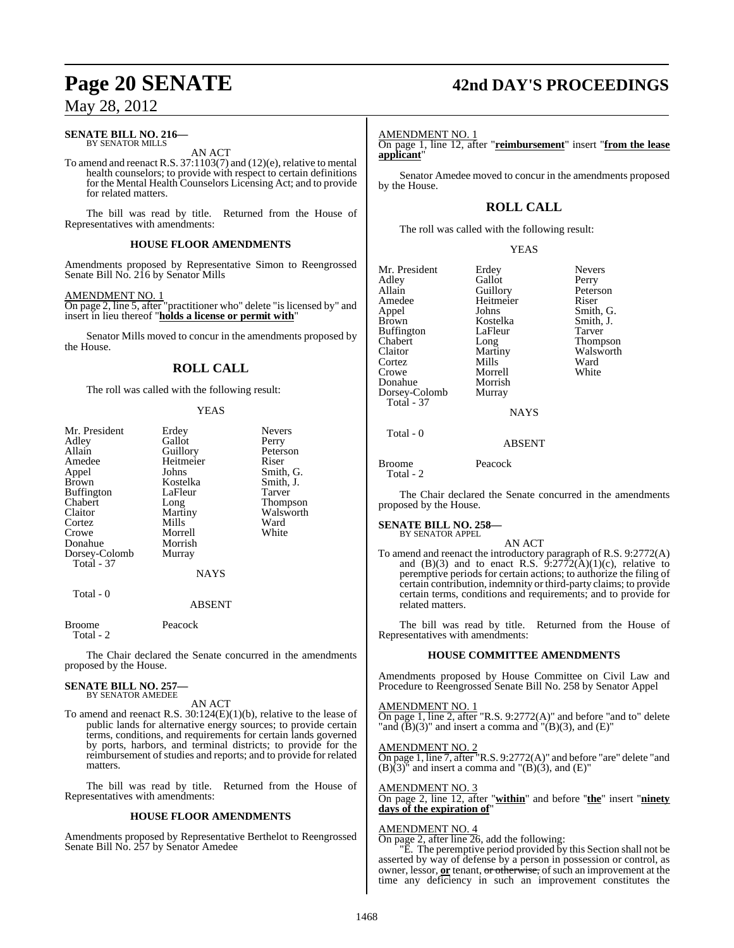### **SENATE BILL NO. 216—** BY SENATOR MILLS

AN ACT

To amend and reenact R.S. 37:1103(7) and (12)(e), relative to mental health counselors; to provide with respect to certain definitions for the Mental Health Counselors Licensing Act; and to provide for related matters.

The bill was read by title. Returned from the House of Representatives with amendments:

# **HOUSE FLOOR AMENDMENTS**

Amendments proposed by Representative Simon to Reengrossed Senate Bill No. 216 by Senator Mills

# AMENDMENT NO. 1

On page 2, line 5, after "practitioner who" delete "is licensed by" and insert in lieu thereof "**holds a license or permit with**"

Senator Mills moved to concur in the amendments proposed by the House.

# **ROLL CALL**

The roll was called with the following result:

# YEAS

| Mr. President<br>Adley<br>Allain<br>Amedee<br>Appel<br><b>Brown</b><br><b>Buffington</b><br>Chabert<br>Claitor<br>Cortez<br>Crowe | Erdey<br>Gallot<br>Guillory<br>Heitmeier<br>Johns<br>Kostelka<br>LaFleur<br>Long<br>Martiny<br>Mills<br>Morrell | <b>Nevers</b><br>Perry<br>Peterson<br>Riser<br>Smith, G.<br>Smith, J.<br>Tarver<br><b>Thompson</b><br>Walsworth<br>Ward<br>White |
|-----------------------------------------------------------------------------------------------------------------------------------|-----------------------------------------------------------------------------------------------------------------|----------------------------------------------------------------------------------------------------------------------------------|
| Donahue                                                                                                                           | Morrish                                                                                                         |                                                                                                                                  |
| Dorsey-Colomb<br><b>Total - 37</b>                                                                                                | Murray<br><b>NAYS</b>                                                                                           |                                                                                                                                  |
| Total - 0                                                                                                                         | <b>ABSENT</b>                                                                                                   |                                                                                                                                  |

Broome Peacock Total - 2

The Chair declared the Senate concurred in the amendments proposed by the House.

### **SENATE BILL NO. 257—** BY SENATOR AMEDEE

AN ACT

To amend and reenact R.S. 30:124(E)(1)(b), relative to the lease of public lands for alternative energy sources; to provide certain terms, conditions, and requirements for certain lands governed by ports, harbors, and terminal districts; to provide for the reimbursement of studies and reports; and to provide for related matters.

The bill was read by title. Returned from the House of Representatives with amendments:

# **HOUSE FLOOR AMENDMENTS**

Amendments proposed by Representative Berthelot to Reengrossed Senate Bill No. 257 by Senator Amedee

# **Page 20 SENATE 42nd DAY'S PROCEEDINGS**

# AMENDMENT NO. 1

On page 1, line 12, after "**reimbursement**" insert "**from the lease applicant**"

Senator Amedee moved to concur in the amendments proposed by the House.

# **ROLL CALL**

The roll was called with the following result:

## YEAS

Mr. President Erdey Nevers<br>Adley Gallot Perry Adley Gallot Perry Allain Guillory Peters<br>Amedee Heitmeier Riser Amedee Heitmeier<br>Appel Johns Appel Johns Smith, G.<br>Brown Kostelka Smith, J. Buffington LaFle<br>Chabert Long Chabert Long Thompson Cortez Mills Ward<br>Crowe Morrell White Morrell<br>Morrish Donahue Morrish<br>Dorsey-Colomb Murray Dorsey-Colomb Total - 37

Kostelka Smith,<br>LaFleur Tarver Walsworth

# **NAYS**

Total - 0

Broome Peacock

Total - 2

The Chair declared the Senate concurred in the amendments proposed by the House.

ABSENT

### **SENATE BILL NO. 258—** BY SENATOR APPEL

AN ACT To amend and reenact the introductory paragraph of R.S. 9:2772(A) and  $(B)(3)$  and to enact R.S.  $9:2772(\text{A})(1)(\text{c})$ , relative to peremptive periods for certain actions; to authorize the filing of certain contribution, indemnity or third-party claims; to provide certain terms, conditions and requirements; and to provide for related matters.

The bill was read by title. Returned from the House of Representatives with amendments:

# **HOUSE COMMITTEE AMENDMENTS**

Amendments proposed by House Committee on Civil Law and Procedure to Reengrossed Senate Bill No. 258 by Senator Appel

AMENDMENT NO. 1 On page 1, line 2, after "R.S. 9:2772(A)" and before "and to" delete 'and  $(\overline{B})(3)$ " and insert a comma and " $(\overline{B})(3)$ , and  $(\overline{E})$ "

AMENDMENT NO. 2 On page 1, line 7, after "R.S. 9:2772(A)" and before "are" delete "and  $(B)(3)$ <sup>"</sup> and insert a comma and " $(B)(3)$ , and  $(E)$ "

AMENDMENT NO. 3 On page 2, line 12, after "**within**" and before ''**the**" insert "**ninety days of the expiration of**"

# AMENDMENT NO. 4

On page 2, after line 26, add the following: "E. The peremptive period provided by this Section shall not be

asserted by way of defense by a person in possession or control, as owner, lessor, or tenant, or otherwise, of such an improvement at the time any deficiency in such an improvement constitutes the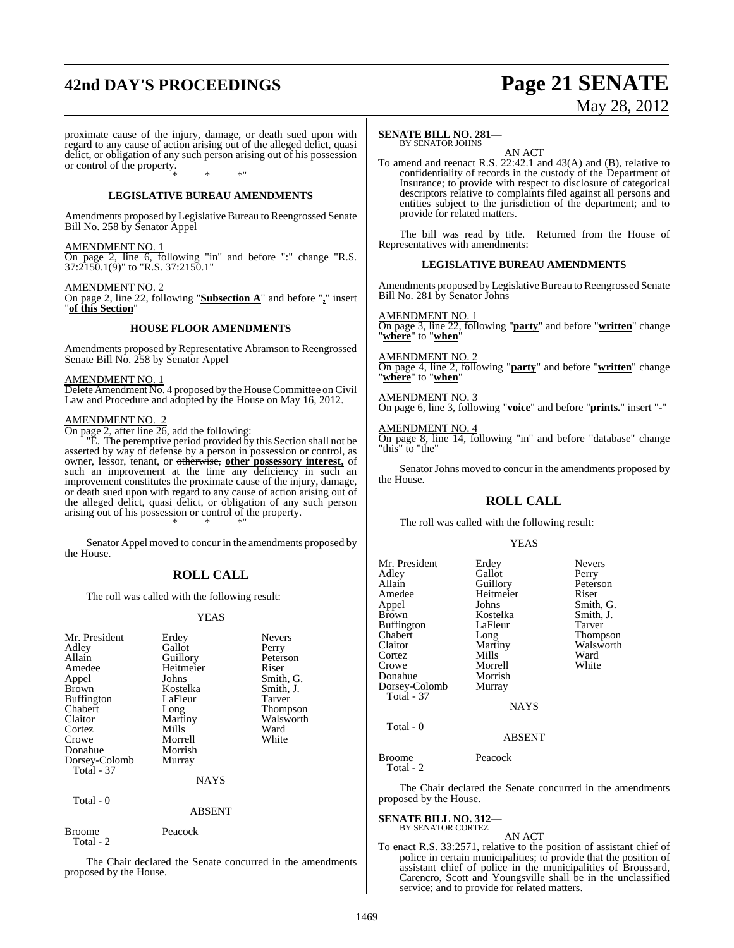# **42nd DAY'S PROCEEDINGS Page 21 SENATE**

# May 28, 2012

proximate cause of the injury, damage, or death sued upon with regard to any cause of action arising out of the alleged delict, quasi delict, or obligation of any such person arising out of his possession or control of the property. \* \* \*"

# **LEGISLATIVE BUREAU AMENDMENTS**

Amendments proposed by Legislative Bureau to Reengrossed Senate Bill No. 258 by Senator Appel

# AMENDMENT NO. 1

On page 2, line 6, following "in" and before ":" change "R.S. 37:2150.1(9)" to "R.S. 37:2150.1"

AMENDMENT NO. 2

On page 2, line 22, following "**Subsection A**" and before "**,**" insert "**of this Section**"

# **HOUSE FLOOR AMENDMENTS**

Amendments proposed by Representative Abramson to Reengrossed Senate Bill No. 258 by Senator Appel

### AMENDMENT NO. 1

Delete Amendment No. 4 proposed by the House Committee on Civil Law and Procedure and adopted by the House on May 16, 2012.

# AMENDMENT NO.

On page 2, after line 26, add the following:

"E. The peremptive period provided by this Section shall not be asserted by way of defense by a person in possession or control, as owner, lessor, tenant, or otherwise, **other possessory interest,** of such an improvement at the time any deficiency in such an improvement constitutes the proximate cause of the injury, damage, or death sued upon with regard to any cause of action arising out of the alleged delict, quasi delict, or obligation of any such person arising out of his possession or control of the property. \* \* \*"

Senator Appel moved to concur in the amendments proposed by the House.

# **ROLL CALL**

The roll was called with the following result:

# YEAS

| Mr. President<br>Adley<br>Allain<br>Amedee<br>Appel<br><b>Brown</b><br><b>Buffington</b><br>Chabert<br>Claitor<br>Cortez<br>Crowe<br>Donahue<br>Dorsey-Colomb | Erdey<br>Gallot<br>Guillory<br>Heitmeier<br>Johns<br>Kostelka<br>LaFleur<br>Long<br>Martiny<br>Mills<br>Morrell<br>Morrish<br>Murray | <b>Nevers</b><br>Perry<br>Peterson<br>Riser<br>Smith, G.<br>Smith, J.<br>Tarver<br><b>Thompson</b><br>Walsworth<br>Ward<br>White |
|---------------------------------------------------------------------------------------------------------------------------------------------------------------|--------------------------------------------------------------------------------------------------------------------------------------|----------------------------------------------------------------------------------------------------------------------------------|
| Total - 37<br>Total - 0                                                                                                                                       | <b>NAYS</b>                                                                                                                          |                                                                                                                                  |

## ABSENT

| Broome    | Peacock |
|-----------|---------|
| Total - 2 |         |

The Chair declared the Senate concurred in the amendments proposed by the House.

# **SENATE BILL NO. 281—**

# BY SENATOR JOHNS

AN ACT To amend and reenact R.S. 22:42.1 and 43(A) and (B), relative to confidentiality of records in the custody of the Department of Insurance; to provide with respect to disclosure of categorical descriptors relative to complaints filed against all persons and entities subject to the jurisdiction of the department; and to provide for related matters.

The bill was read by title. Returned from the House of Representatives with amendments:

# **LEGISLATIVE BUREAU AMENDMENTS**

Amendments proposed by Legislative Bureau to Reengrossed Senate Bill No. 281 by Senator Johns

## AMENDMENT NO. 1

On page 3, line 22, following "**party**" and before "**written**" change "**where**" to "**when**"

### AMENDMENT NO. 2

On page 4, line 2, following "**party**" and before "**written**" change "**where**" to "**when**"

# AMENDMENT NO. 3

On page 6, line 3, following "**voice**" and before "**prints.**" insert "**-**"

# AMENDMENT NO. 4

On page 8, line 14, following "in" and before "database" change "this" to "the"

Senator Johns moved to concur in the amendments proposed by the House.

# **ROLL CALL**

The roll was called with the following result:

## YEAS

Thompson Walsworth<br>Ward

| Mr. President<br>Adley<br>Allain<br>Amedee<br>Appel<br><b>Brown</b><br>Buffington<br>Chabert<br>Claitor<br>Cortez<br>Crowe<br>Donahue<br>Dorsey-Colomb | Erdey<br>Gallot<br>Guillory<br>Heitmeier<br>Johns<br>Kostelka<br>LaFleur<br>Long<br>Martiny<br>Mills<br>Morrell<br>Morrish<br>Murray | <b>Nevers</b><br>Perry<br>Peterson<br>Riser<br>Smith, G.<br>Smith, J.<br>Tarver<br><b>Thompson</b><br>Walswort<br>Ward<br>White |
|--------------------------------------------------------------------------------------------------------------------------------------------------------|--------------------------------------------------------------------------------------------------------------------------------------|---------------------------------------------------------------------------------------------------------------------------------|
| <b>Total - 37</b>                                                                                                                                      | <b>NAYS</b>                                                                                                                          |                                                                                                                                 |
| Total $-0$                                                                                                                                             | <b>ABSENT</b>                                                                                                                        |                                                                                                                                 |
| Broome                                                                                                                                                 | Peacock                                                                                                                              |                                                                                                                                 |

Total - 2

The Chair declared the Senate concurred in the amendments proposed by the House.

### **SENATE BILL NO. 312—** BY SENATOR CORTEZ

# AN ACT

To enact R.S. 33:2571, relative to the position of assistant chief of police in certain municipalities; to provide that the position of assistant chief of police in the municipalities of Broussard, Carencro, Scott and Youngsville shall be in the unclassified service; and to provide for related matters.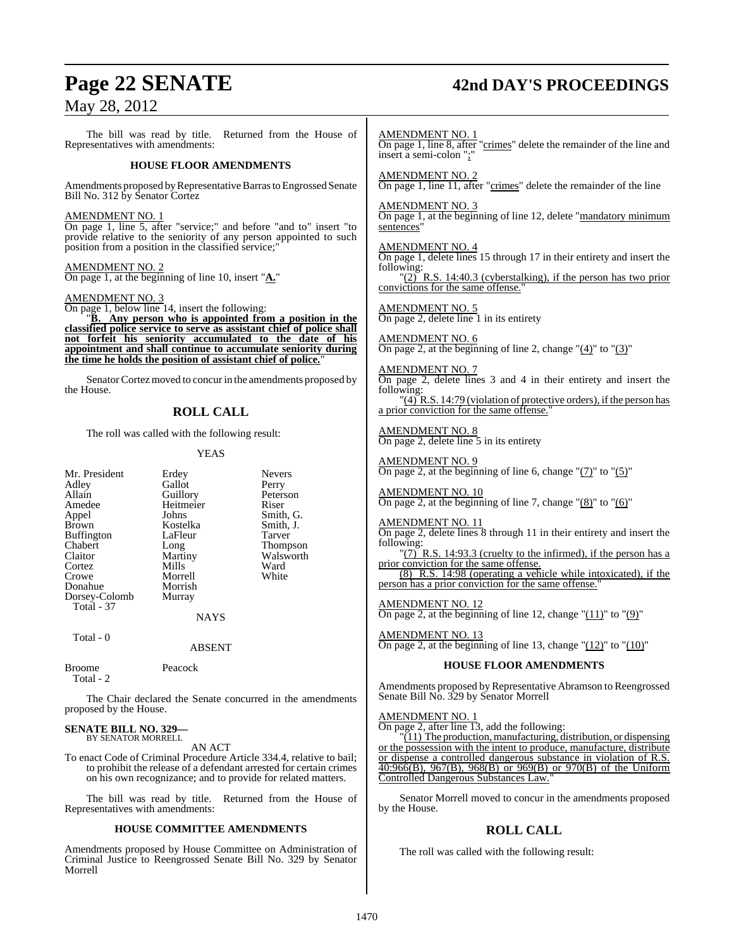# **Page 22 SENATE 42nd DAY'S PROCEEDINGS**

# May 28, 2012

The bill was read by title. Returned from the House of Representatives with amendments:

# **HOUSE FLOOR AMENDMENTS**

Amendments proposed by Representative Barras to Engrossed Senate Bill No. 312 by Senator Cortez

# AMENDMENT NO. 1

On page 1, line 5, after "service;" and before "and to" insert "to provide relative to the seniority of any person appointed to such position from a position in the classified service;"

# AMENDMENT NO. 2

On page 1, at the beginning of line 10, insert "**A.**"

# AMENDMENT NO. 3

On page 1, below line 14, insert the following:

"**B. Any person who is appointed from a position in the classified police service to serve as assistant chief of police shall not forfeit his seniority accumulated to the date of his appointment and shall continue to accumulate seniority during the time he holds the position of assistant chief of police.**"

Senator Cortez moved to concur in the amendments proposed by the House.

# **ROLL CALL**

The roll was called with the following result:

Kostelka

# YEAS

Mr. President Erdey Nevers<br>Adley Gallot Perry Adley Gallot<br>Allain Guillorv Allain Guillory Peterson<br>Amedee Heitmeier Riser Amedee Heitmeier<br>
Appel Johns Appel Johns Smith, G.<br>Brown Kostelka Smith, J. Buffington LaFleur Tarver<br>
Chabert Long Thomp Chabert Long Thompson<br>Claitor Martiny Walsworth Claitor Martiny Walsworth<br>
Cortez Mills Ward Cortez Mills Ward Crowe Morrell White Donahue Morrish<br>Dorsey-Colomb Murray Dorsey-Colomb Total - 37

NAYS

```
 Total - 0
```
ABSENT

```
Broome Peacock
  Total - 2
```
The Chair declared the Senate concurred in the amendments proposed by the House.

### **SENATE BILL NO. 329—** BY SENATOR MORRELL

AN ACT

To enact Code of Criminal Procedure Article 334.4, relative to bail; to prohibit the release of a defendant arrested for certain crimes on his own recognizance; and to provide for related matters.

The bill was read by title. Returned from the House of Representatives with amendments:

# **HOUSE COMMITTEE AMENDMENTS**

Amendments proposed by House Committee on Administration of Criminal Justice to Reengrossed Senate Bill No. 329 by Senator Morrell

# AMENDMENT NO. 1

On page 1, line 8, after "crimes" delete the remainder of the line and insert a semi-colon ";"

AMENDMENT NO. 2 On page 1, line 11, after "crimes" delete the remainder of the line

# AMENDMENT NO. 3

On page 1, at the beginning of line 12, delete "mandatory minimum sentences'

# AMENDMENT NO. 4

On page 1, delete lines 15 through 17 in their entirety and insert the following:

" $(2)$ <sup>"</sup> R.S. 14:40.3 (cyberstalking), if the person has two prior convictions for the same offense."

# AMENDMENT NO. 5

On page 2, delete line 1 in its entirety

# AMENDMENT NO. 6

On page 2, at the beginning of line 2, change  $(4)$ " to  $(3)$ "

# AMENDMENT NO. 7

On page 2, delete lines 3 and 4 in their entirety and insert the following:

 $\frac{1}{4}$  R.S. 14:79 (violation of protective orders), if the person has a prior conviction for the same offense.

# AMENDMENT NO. 8 On page 2, delete line 5 in its entirety

# AMENDMENT NO. 9

On page 2, at the beginning of line 6, change " $(7)$ " to " $(5)$ "

# AMENDMENT NO. 10 On page 2, at the beginning of line 7, change " $(8)$ " to " $(6)$ "

# AMENDMENT NO. 11

On page 2, delete lines 8 through 11 in their entirety and insert the following:

" $(7)$ <sup>"</sup> R.S. 14:93.3 (cruelty to the infirmed), if the person has a prior conviction for the same offense.

(8) R.S. 14:98 (operating a vehicle while intoxicated), if the person has a prior conviction for the same offense."

# AMENDMENT NO. 12

On page 2, at the beginning of line 12, change " $(11)$ " to " $(9)$ "

# AMENDMENT NO. 13

On page 2, at the beginning of line 13, change " $(12)$ " to " $(10)$ "

# **HOUSE FLOOR AMENDMENTS**

Amendments proposed by Representative Abramson to Reengrossed Senate Bill No. 329 by Senator Morrell

AMENDMENT NO. 1

On page 2, after line 13, add the following:

 $(11)$  The production, manufacturing, distribution, or dispensing or the possession with the intent to produce, manufacture, distribute or dispense a controlled dangerous substance in violation of R.S. 40:966(B), 967(B), 968(B) or 969(B) or 970(B) of the Uniform Controlled Dangerous Substances Law.

Senator Morrell moved to concur in the amendments proposed by the House.

# **ROLL CALL**

The roll was called with the following result: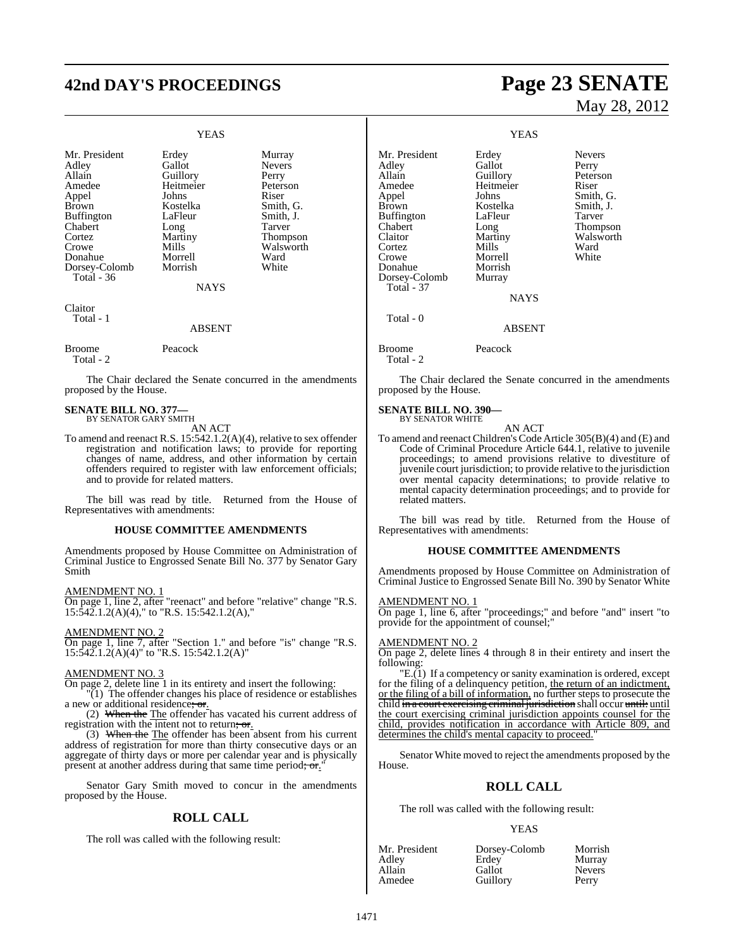# **42nd DAY'S PROCEEDINGS Page 23 SENATE**

# YEAS

| Mr. President     | Erdey       | Murray        |
|-------------------|-------------|---------------|
| Adley             | Gallot      | <b>Nevers</b> |
| Allain            | Guillory    | Perry         |
| Amedee            | Heitmeier   | Peterson      |
| Appel             | Johns       | Riser         |
| <b>Brown</b>      | Kostelka    | Smith, G.     |
| <b>Buffington</b> | LaFleur     | Smith, J.     |
| Chabert           | Long        | Tarver        |
| Cortez            | Martiny     | Thompson      |
| Crowe             | Mills       | Walsworth     |
| Donahue           | Morrell     | Ward          |
| Dorsey-Colomb     | Morrish     | White         |
| Total - 36        |             |               |
|                   | <b>NAYS</b> |               |
|                   |             |               |
|                   |             |               |

Claitor Total - 1

# ABSENT

Broome Peacock

Total - 2

The Chair declared the Senate concurred in the amendments proposed by the House.

### **SENATE BILL NO. 377—** BY SENATOR GARY SMITH

AN ACT

To amend and reenact R.S. 15:542.1.2(A)(4), relative to sex offender registration and notification laws; to provide for reporting changes of name, address, and other information by certain offenders required to register with law enforcement officials; and to provide for related matters.

The bill was read by title. Returned from the House of Representatives with amendments:

# **HOUSE COMMITTEE AMENDMENTS**

Amendments proposed by House Committee on Administration of Criminal Justice to Engrossed Senate Bill No. 377 by Senator Gary Smith

# AMENDMENT NO. 1

On page 1, line 2, after "reenact" and before "relative" change "R.S.  $15:\overline{542}.1.2(A)(4)$ ," to "R.S. 15:542.1.2(A),"

AMENDMENT NO. 2

On page 1, line 7, after "Section 1." and before "is" change "R.S. 15:542.1.2(A)(4)" to "R.S. 15:542.1.2(A)"

# AMENDMENT NO. 3

On page 2, delete line 1 in its entirety and insert the following:

"(1) The offender changes his place of residence or establishes a new or additional residence; or.

(2) When the The offender has vacated his current address of registration with the intent not to return; or.

(3) When the The offender has been absent from his current address of registration for more than thirty consecutive days or an aggregate of thirty days or more per calendar year and is physically present at another address during that same time period; or."

Senator Gary Smith moved to concur in the amendments proposed by the House.

# **ROLL CALL**

The roll was called with the following result:

# May 28, 2012

YEAS Mr. President Erdey Nevers<br>Adley Gallot Perry Adley Gallot<br>Allain Guillorv Peterson Amedee Heitmeier Riser<br>Appel Johns Smith Appel Johns Smith, G.<br>Brown Kostelka Smith, J. Kostelka<br>LaFleur Buffington LaFleur Tarver<br>
Chabert Long Thomp Chabert Long Thompson<br>Claitor Martiny Walsworth Claitor Martiny Walsworth<br>
Cortez Mills Ward Cortez Mills Ward Crowe Morrell White Donahue Morrish<br>Dorsey-Colomb Murray Dorsey-Colomb Total - 37 **NAYS**  Total - 0 ABSENT Broome Peacock Total - 2

The Chair declared the Senate concurred in the amendments proposed by the House.

### **SENATE BILL NO. 390—** BY SENATOR WHITE

AN ACT

To amend and reenact Children's Code Article 305(B)(4) and (E) and Code of Criminal Procedure Article 644.1, relative to juvenile proceedings; to amend provisions relative to divestiture of juvenile court jurisdiction; to provide relative to the jurisdiction over mental capacity determinations; to provide relative to mental capacity determination proceedings; and to provide for related matters.

The bill was read by title. Returned from the House of Representatives with amendments:

# **HOUSE COMMITTEE AMENDMENTS**

Amendments proposed by House Committee on Administration of Criminal Justice to Engrossed Senate Bill No. 390 by Senator White

### AMENDMENT NO. 1

On page 1, line 6, after "proceedings;" and before "and" insert "to provide for the appointment of counsel;

# AMENDMENT NO. 2

On page 2, delete lines 4 through 8 in their entirety and insert the following:

"E.(1) If a competency or sanity examination is ordered, except for the filing of a delinquency petition, the return of an indictment, or the filing of a bill of information, no further steps to prosecute the child in a court exercising criminal jurisdiction shall occur until: until the court exercising criminal jurisdiction appoints counsel for the child, provides notification in accordance with Article 809, and determines the child's mental capacity to proceed.

Senator White moved to reject the amendments proposed by the House.

# **ROLL CALL**

The roll was called with the following result:

# YEAS

| Mr. President | Dorsey-Colomb | Morrish       |
|---------------|---------------|---------------|
| Adley         | Erdey         | Murray        |
| Allain        | Gallot        | <b>Nevers</b> |
| Amedee        | Guillory      | Perry         |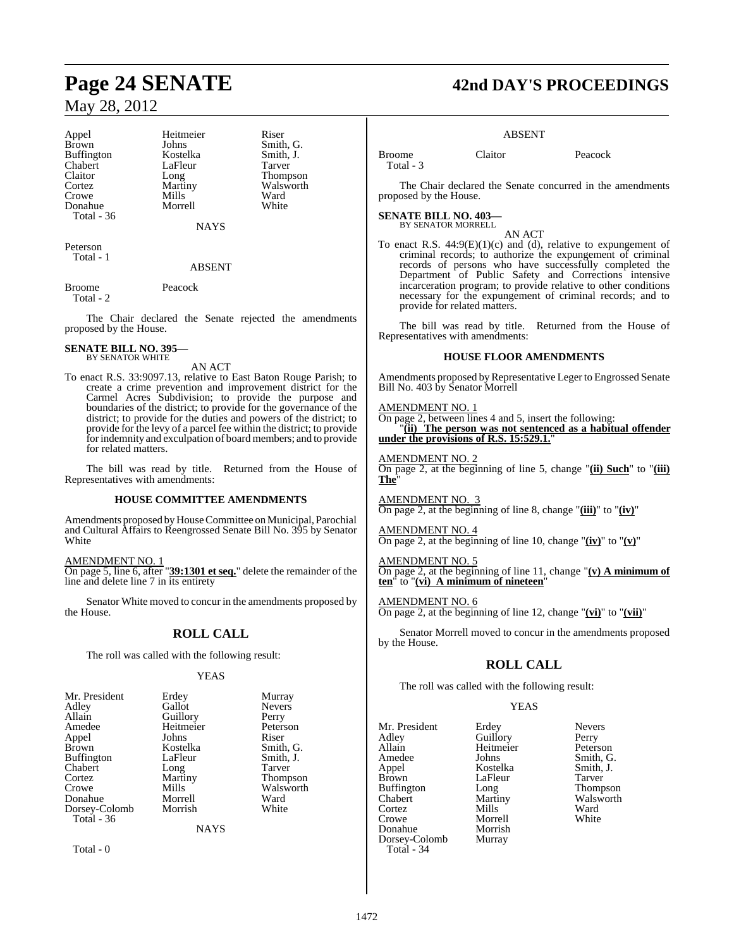Appel Heitmeier Riser<br>Brown Johns Smith Buffington Kostelka Smith,<br>
Chabert LaFleur Tarver Chabert LaFle<br>Claitor Long Cortez Martiny Walsworth<br>
Crowe Mills Ward Donahue Total - 36

Johns Smith, G.<br>Kostelka Smith, J. Long Thompson<br>Martiny Walsworth Mills Ward<br>
Morrell White

**NAYS** 

Peterson Total - 1

ABSENT

Broome Peacock Total - 2

The Chair declared the Senate rejected the amendments proposed by the House.

### **SENATE BILL NO. 395—** BY SENATOR WHITE

AN ACT

To enact R.S. 33:9097.13, relative to East Baton Rouge Parish; to create a crime prevention and improvement district for the Carmel Acres Subdivision; to provide the purpose and boundaries of the district; to provide for the governance of the district; to provide for the duties and powers of the district; to provide for the levy of a parcel fee within the district; to provide for indemnity and exculpation of board members; and to provide for related matters.

The bill was read by title. Returned from the House of Representatives with amendments:

# **HOUSE COMMITTEE AMENDMENTS**

Amendments proposed by House Committee on Municipal, Parochial and Cultural Affairs to Reengrossed Senate Bill No. 395 by Senator **White** 

AMENDMENT NO. 1

On page 5, line 6, after "**39:1301 et seq.**" delete the remainder of the line and delete line 7 in its entirety

Senator White moved to concur in the amendments proposed by the House.

# **ROLL CALL**

The roll was called with the following result:

# YEAS

| Mr. President | Erdey       | Murray          |
|---------------|-------------|-----------------|
| Adley         | Gallot      | <b>Nevers</b>   |
| Allain        | Guillory    | Perry           |
| Amedee        | Heitmeier   | Peterson        |
| Appel         | Johns       | Riser           |
| Brown         | Kostelka    | Smith, G.       |
| Buffington    | LaFleur     | Smith, J.       |
| Chabert       | Long        | Tarver          |
| Cortez        | Martiny     | <b>Thompson</b> |
| Crowe         | Mills       | Walsworth       |
| Donahue       | Morrell     | Ward            |
| Dorsey-Colomb | Morrish     | White           |
| Total - 36    |             |                 |
|               | <b>NAYS</b> |                 |
|               |             |                 |

Total - 0

# **Page 24 SENATE 42nd DAY'S PROCEEDINGS**

# ABSENT

Total - 3

Broome Claitor Peacock

The Chair declared the Senate concurred in the amendments proposed by the House.

**SENATE BILL NO. 403—** BY SENATOR MORRELL

AN ACT

To enact R.S.  $44:9(E)(1)(c)$  and (d), relative to expungement of criminal records; to authorize the expungement of criminal records of persons who have successfully completed the Department of Public Safety and Corrections intensive incarceration program; to provide relative to other conditions necessary for the expungement of criminal records; and to provide for related matters.

The bill was read by title. Returned from the House of Representatives with amendments:

# **HOUSE FLOOR AMENDMENTS**

Amendments proposed by Representative Leger to Engrossed Senate Bill No. 403 by Senator Morrell

# AMENDMENT NO. 1

On page 2, between lines 4 and 5, insert the following: "**(ii) The person was not sentenced as a habitual offender under the provisions of R.S. 15:529.1.**"

AMENDMENT NO. 2 On page 2, at the beginning of line 5, change "**(ii) Such**" to "**(iii) The**"

AMENDMENT NO. 3 On page 2, at the beginning of line 8, change "**(iii)**" to "**(iv)**"

AMENDMENT NO. 4 On page 2, at the beginning of line 10, change " $(iv)$ " to " $(v)$ "

AMENDMENT NO. 5 On page 2, at the beginning of line 11, change "**(v) A minimum of ten**" to "**(vi) A minimum of nineteen**"

# AMENDMENT NO. 6

On page 2, at the beginning of line 12, change "**(vi)**" to "**(vii)**"

Senator Morrell moved to concur in the amendments proposed by the House.

# **ROLL CALL**

The roll was called with the following result:

Morrell<br>Morrish

# **YEAS**

Mr. President Erdey Nevers<br>Adley Guillory Perry Adley Guillory<br>Allain Heitmei Allain Heitmeier Peterson Amedee Johns Smith, G.<br>Appel Kostelka Smith, J. Appel Kostelka Smith, J. Buffington Long<br>Chabert Martiny Cortez Mills Ward<br>Crowe Morrell White Donahue Morrish<br>Dorsey-Colomb Murray Dorsey-Colomb Total - 34

LaFleur Tarver<br>
Long Thompson Martiny Walsworth<br>
Mills Ward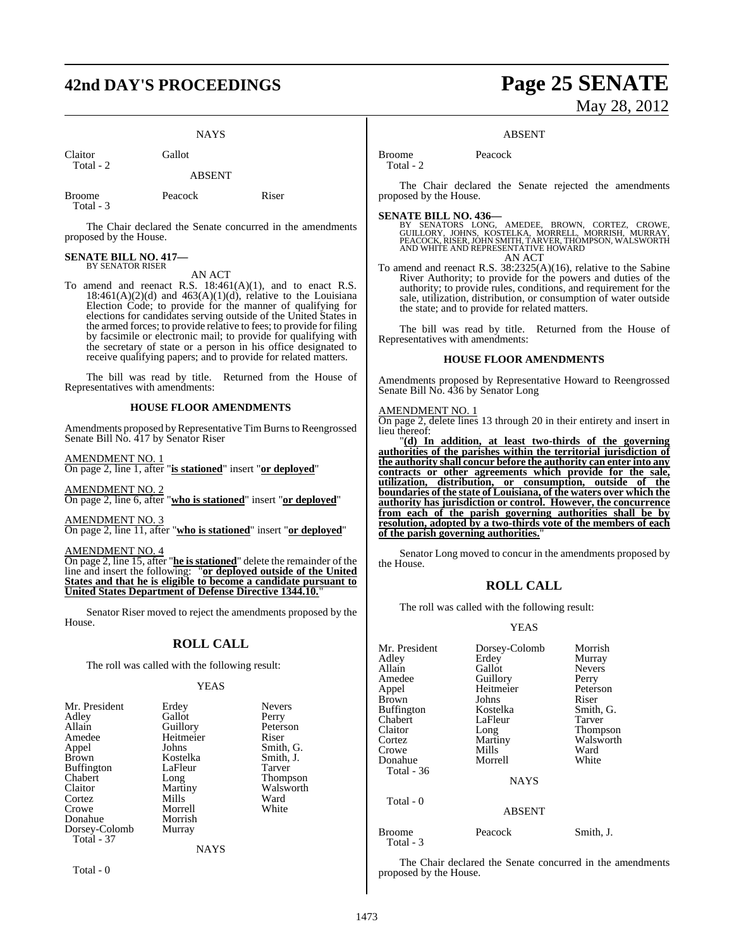# **42nd DAY'S PROCEEDINGS Page 25 SENATE**

**NAYS** 

Claitor Gallot Total - 2

ABSENT

Broome Peacock Riser Total - 3

The Chair declared the Senate concurred in the amendments proposed by the House.

# **SENATE BILL NO. 417—** BY SENATOR RISER

AN ACT

To amend and reenact R.S.  $18:461(A)(1)$ , and to enact R.S.  $18:461(A)(2)(d)$  and  $463(A)(1)(d)$ , relative to the Louisiana Election Code; to provide for the manner of qualifying for elections for candidates serving outside of the United States in the armed forces; to provide relative to fees; to provide for filing by facsimile or electronic mail; to provide for qualifying with the secretary of state or a person in his office designated to receive qualifying papers; and to provide for related matters.

The bill was read by title. Returned from the House of Representatives with amendments:

# **HOUSE FLOOR AMENDMENTS**

Amendments proposed by Representative Tim Burns to Reengrossed Senate Bill No. 417 by Senator Riser

AMENDMENT NO. 1 On page 2, line 1, after "**is stationed**" insert "**or deployed**"

AMENDMENT NO. 2 On page 2, line 6, after "**who is stationed**" insert "**or deployed**"

AMENDMENT NO. 3 On page 2, line 11, after "**who is stationed**" insert "**or deployed**"

AMENDMENT NO. 4

On page 2, line 15, after "**he is stationed**" delete the remainder of the line and insert the following: "**or deployed outside of the United States and that he is eligible to become a candidate pursuant to United States Department of Defense Directive 1344.10.**"

Senator Riser moved to reject the amendments proposed by the House.

# **ROLL CALL**

The roll was called with the following result:

# YEAS

| Mr. President     | Erdey       | <b>Nevers</b>   |
|-------------------|-------------|-----------------|
| Adley             | Gallot      | Perry           |
| Allain            | Guillory    | Peterson        |
| Amedee            | Heitmeier   | Riser           |
| Appel             | Johns       | Smith, G.       |
| <b>Brown</b>      | Kostelka    | Smith, J.       |
| <b>Buffington</b> | LaFleur     | <b>Tarver</b>   |
| Chabert           | Long        | <b>Thompson</b> |
| Claitor           | Martiny     | Walsworth       |
| Cortez            | Mills       | Ward            |
| Crowe             | Morrell     | White           |
| Donahue           | Morrish     |                 |
| Dorsey-Colomb     | Murray      |                 |
| <b>Total - 37</b> |             |                 |
|                   | <b>NAYS</b> |                 |

Total - 0

# May 28, 2012

# ABSENT

Broome Peacock Total  $-2$ 

The Chair declared the Senate rejected the amendments proposed by the House.

**SENATE BILL NO. 436—**<br>BY SENATORS LONG, AMEDEE, BROWN, CORTEZ, CROWE,<br>GUILLORY, JOHNS, KOSTELKA, MORRELL, MORRISH, MURRAY,<br>PEACOCK, RISER, JOHN SMITH, TARVER, THOMPSON, WALSWORTH<br>AND WHITE AND REPRESENTATIVE HOWARD

AN ACT

To amend and reenact R.S. 38:2325(A)(16), relative to the Sabine River Authority; to provide for the powers and duties of the authority; to provide rules, conditions, and requirement for the sale, utilization, distribution, or consumption of water outside the state; and to provide for related matters.

The bill was read by title. Returned from the House of Representatives with amendments:

# **HOUSE FLOOR AMENDMENTS**

Amendments proposed by Representative Howard to Reengrossed Senate Bill No. 436 by Senator Long

# AMENDMENT NO. 1

On page 2, delete lines 13 through 20 in their entirety and insert in lieu thereof:

"**(d) In addition, at least two-thirds of the governing authorities of the parishes within the territorial jurisdiction of the authority shall concur before the authority can enter into any contracts or other agreements which provide for the sale, utilization, distribution, or consumption, outside of the boundaries of the state of Louisiana, of the waters over which the authority has jurisdiction or control. However, the concurrence from each of the parish governing authorities shall be by resolution, adopted by a two-thirds vote of the members of each of the parish governing authorities.**"

Senator Long moved to concur in the amendments proposed by the House.

# **ROLL CALL**

The roll was called with the following result:

# YEAS

| Mr. President<br>Adley<br>Allain<br>Amedee<br>Appel<br>Brown<br>Buffington<br>Chabert<br>Claitor<br>Cortez<br>Crowe<br>Donahue<br>Total - 36 | Dorsey-Colomb<br>Erdey<br>Gallot<br>Guillory<br>Heitmeier<br>Johns<br>Kostelka<br>LaFleur<br>Long<br>Martiny<br>Mills<br>Morrell<br><b>NAYS</b> | Morrish<br>Murray<br><b>Nevers</b><br>Perry<br>Peterson<br>Riser<br>Smith, G.<br>Tarver<br>Thompson<br>Walsworth<br>Ward<br>White |
|----------------------------------------------------------------------------------------------------------------------------------------------|-------------------------------------------------------------------------------------------------------------------------------------------------|-----------------------------------------------------------------------------------------------------------------------------------|
| Total - 0                                                                                                                                    | <b>ABSENT</b>                                                                                                                                   |                                                                                                                                   |
|                                                                                                                                              |                                                                                                                                                 |                                                                                                                                   |

Broome Peacock Smith, J. Total - 3

The Chair declared the Senate concurred in the amendments proposed by the House.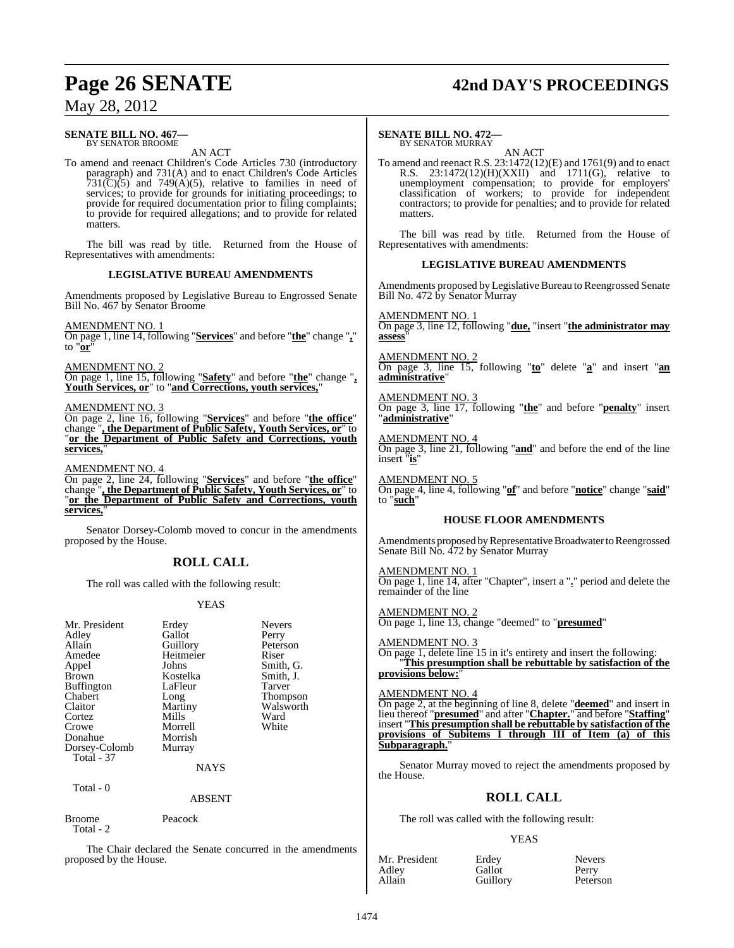# **Page 26 SENATE 42nd DAY'S PROCEEDINGS**

# May 28, 2012

### **SENATE BILL NO. 467—** BY SENATOR BROOME

AN ACT

To amend and reenact Children's Code Articles 730 (introductory paragraph) and 731(A) and to enact Children's Code Articles  $731(\text{C})(5)$  and  $749(\text{A})(5)$ , relative to families in need of services; to provide for grounds for initiating proceedings; to provide for required documentation prior to filing complaints; to provide for required allegations; and to provide for related matters.

The bill was read by title. Returned from the House of Representatives with amendments:

# **LEGISLATIVE BUREAU AMENDMENTS**

Amendments proposed by Legislative Bureau to Engrossed Senate Bill No. 467 by Senator Broome

# AMENDMENT NO. 1

On page 1, line 14, following "**Services**" and before "**the**" change "**,**" to "**or**"

# AMENDMENT NO. 2

On page 1, line 15, following "**Safety**" and before "**the**" change "**, Youth Services, or**" to "**and Corrections, youth services,**"

### AMENDMENT NO. 3

On page 2, line 16, following "**Services**" and before "**the office**" change "**, the Department of Public Safety, Youth Services, or**" to "**or the Department of Public Safety and Corrections, youth services,**"

# AMENDMENT NO. 4

On page 2, line 24, following "**Services**" and before "**the office**" change "**, the Department of Public Safety, Youth Services, or**" to "**or the Department of Public Safety and Corrections, youth services,**"

Senator Dorsey-Colomb moved to concur in the amendments proposed by the House.

# **ROLL CALL**

The roll was called with the following result:

# YEAS

| Mr. President<br>Adley<br>Allain<br>Amedee<br>Appel<br>Brown<br><b>Buffington</b><br>Chabert<br>Claitor<br>Cortez<br>Crowe<br>Donahue<br>Dorsey-Colomb<br>Total - 37 | Erdey<br>Gallot<br>Guillory<br>Heitmeier<br>Johns<br>Kostelka<br>LaFleur<br>Long<br>Martiny<br>Mills<br>Morrell<br>Morrish<br>Murray | <b>Nevers</b><br>Perry<br>Peterson<br>Riser<br>Smith, G.<br>Smith, J.<br>Tarver<br><b>Thompson</b><br>Walsworth<br>Ward<br>White |
|----------------------------------------------------------------------------------------------------------------------------------------------------------------------|--------------------------------------------------------------------------------------------------------------------------------------|----------------------------------------------------------------------------------------------------------------------------------|
|                                                                                                                                                                      | <b>NAYS</b>                                                                                                                          |                                                                                                                                  |
| Total - 0                                                                                                                                                            |                                                                                                                                      |                                                                                                                                  |

# ABSENT

Broome Peacock

Total - 2

The Chair declared the Senate concurred in the amendments proposed by the House.

### **SENATE BILL NO. 472—** BY SENATOR MURRAY

AN ACT

To amend and reenact R.S. 23:1472(12)(E) and 1761(9) and to enact R.S. 23:1472(12)(H)(XXII) and 1711(G), relative to unemployment compensation; to provide for employers' classification of workers; to provide for independent contractors; to provide for penalties; and to provide for related matters.

The bill was read by title. Returned from the House of Representatives with amendments:

# **LEGISLATIVE BUREAU AMENDMENTS**

Amendments proposed by Legislative Bureau to Reengrossed Senate Bill No. 472 by Senator Murray

### AMENDMENT NO

On page 3, line 12, following "**due,** "insert "**the administrator may assess**"

# AMENDMENT NO. 2

On page 3, line 15, following "**to**" delete "**a**" and insert "**an administrative**"

# AMENDMENT NO. 3

On page 3, line 17, following "**the**" and before "**penalty**" insert "**administrative**"

# AMENDMENT NO. 4

On page 3, line 21, following "**and**" and before the end of the line insert "**is**"

AMENDMENT NO. 5

On page 4, line 4, following "**of**" and before "**notice**" change "**said**" to "**such**"

# **HOUSE FLOOR AMENDMENTS**

Amendments proposed by Representative Broadwater to Reengrossed Senate Bill No. 472 by Senator Murray

AMENDMENT NO. 1 On page 1, line 14, after "Chapter", insert a "**.**" period and delete the remainder of the line

AMENDMENT NO. 2 On page 1, line 13, change "deemed" to "**presumed**"

AMENDMENT NO. 3 On page 1, delete line 15 in it's entirety and insert the following: "**This presumption shall be rebuttable by satisfaction of the provisions below:**"

# AMENDMENT NO. 4

On page 2, at the beginning of line 8, delete "**deemed**" and insert in lieu thereof "**presumed**" and after "**Chapter.**" and before "**Staffing**" insert "**This presumption shall be rebuttable by satisfaction of the provisions of Subitems I through III of Item (a) of this Subparagraph.**"

Senator Murray moved to reject the amendments proposed by the House.

# **ROLL CALL**

The roll was called with the following result:

# YEAS

| Mr. President | Erdey    | Nevers  |
|---------------|----------|---------|
| Adley         | Gallot   | Perry   |
| Allain        | Guillory | Peterso |

Peterson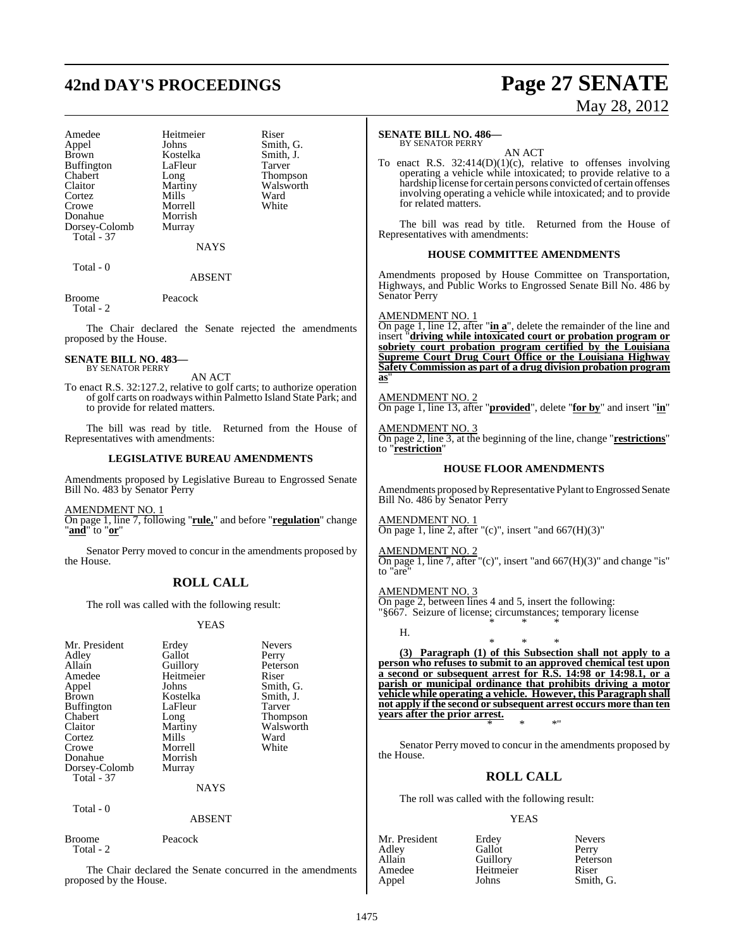# **42nd DAY'S PROCEEDINGS Page 27 SENATE**

| Amedee        | Heitmeier | Riser  |
|---------------|-----------|--------|
| Appel         | Johns     | Smith, |
| <b>Brown</b>  | Kostelka  | Smith, |
| Buffington    | LaFleur   | Tarver |
| Chabert       | Long      | Thomp  |
| Claitor       | Martiny   | Walsw  |
| Cortez        | Mills     | Ward   |
| Crowe         | Morrell   | White  |
| Donahue       | Morrish   |        |
| Dorsey-Colomb | Murray    |        |
| Total - 37    |           |        |

**NAYS** 

Smith, G. Smith, J.<br>Tarver

Thompson Walsworth<br>Ward

 $Total = 0$ 

ABSENT

Broome Peacock Total - 2

The Chair declared the Senate rejected the amendments proposed by the House.

### **SENATE BILL NO. 483—** BY SENATOR PERRY

AN ACT To enact R.S. 32:127.2, relative to golf carts; to authorize operation of golf carts on roadways within Palmetto Island State Park; and to provide for related matters.

The bill was read by title. Returned from the House of Representatives with amendments:

# **LEGISLATIVE BUREAU AMENDMENTS**

Amendments proposed by Legislative Bureau to Engrossed Senate Bill No. 483 by Senator Perry

AMENDMENT NO. 1

On page 1, line 7, following "**rule,**" and before "**regulation**" change "**and**" to "**or**"

Senator Perry moved to concur in the amendments proposed by the House.

# **ROLL CALL**

The roll was called with the following result:

# YEAS

| Mr. President     | Erdey       | <b>Nevers</b>   |
|-------------------|-------------|-----------------|
| Adlev             | Gallot      | Perry           |
| Allain            | Guillory    | Peterson        |
| Amedee            | Heitmeier   | Riser           |
| Appel             | Johns       | Smith, G.       |
| Brown             | Kostelka    | Smith, J.       |
| Buffington        | LaFleur     | Tarver          |
| Chabert           | Long        | <b>Thompson</b> |
| Claitor           | Martiny     | Walsworth       |
| Cortez            | Mills       | Ward            |
| Crowe             | Morrell     | White           |
| Donahue           | Morrish     |                 |
| Dorsey-Colomb     | Murray      |                 |
| <b>Total - 37</b> |             |                 |
|                   | <b>NAYS</b> |                 |
|                   |             |                 |

Total - 0

# ABSENT

Broome Peacock Total - 2

The Chair declared the Senate concurred in the amendments proposed by the House.

# May 28, 2012

# **SENATE BILL NO. 486—**

BY SENATOR PERRY

AN ACT To enact R.S.  $32:414(D)(1)(c)$ , relative to offenses involving operating a vehicle while intoxicated; to provide relative to a hardship license for certain persons convicted of certain offenses involving operating a vehicle while intoxicated; and to provide for related matters.

The bill was read by title. Returned from the House of Representatives with amendments:

# **HOUSE COMMITTEE AMENDMENTS**

Amendments proposed by House Committee on Transportation, Highways, and Public Works to Engrossed Senate Bill No. 486 by Senator Perry

AMENDMENT NO. 1

On page 1, line 12, after "**in a**", delete the remainder of the line and insert "**driving while intoxicated court or probation program or sobriety court probation program certified by the Louisiana Supreme Court Drug Court Office or the Louisiana Highway Safety Commission as part of a drug division probation program as**"

AMENDMENT NO. 2

H.

On page 1, line 13, after "**provided**", delete "**for by**" and insert "**in**"

AMENDMENT NO. 3 On page 2, line 3, at the beginning of the line, change "**restrictions**" to "**restriction**"

# **HOUSE FLOOR AMENDMENTS**

Amendments proposed by Representative Pylant to Engrossed Senate Bill No. 486 by Senator Perry

AMENDMENT NO. 1 On page 1, line 2, after "(c)", insert "and  $667(H)(3)$ "

AMENDMENT NO. 2 On page 1, line 7, after "(c)", insert "and  $667(H)(3)$ " and change "is" to "are"

AMENDMENT NO. 3 On page 2, between lines 4 and 5, insert the following: "§667. Seizure of license; circumstances; temporary license \* \* \*

\* \* \* **(3) Paragraph (1) of this Subsection shall not apply to a person who refuses to submit to an approved chemical test upon a second or subsequent arrest for R.S. 14:98 or 14:98.1, or a parish or municipal ordinance that prohibits driving a motor vehicle while operating a vehicle. However, this Paragraph shall not apply if the second or subsequent arrest occurs more than ten years after the prior arrest.** \* \* \*"

Senator Perry moved to concur in the amendments proposed by the House.

# **ROLL CALL**

The roll was called with the following result:

# YEAS

| Mr. President | Erdey     | <b>Nevers</b> |
|---------------|-----------|---------------|
| Adlev         | Gallot    | Perry         |
| Allain        | Guillory  | Peterson      |
| Amedee        | Heitmeier | Riser         |
| Appel         | Johns     | Smith, G.     |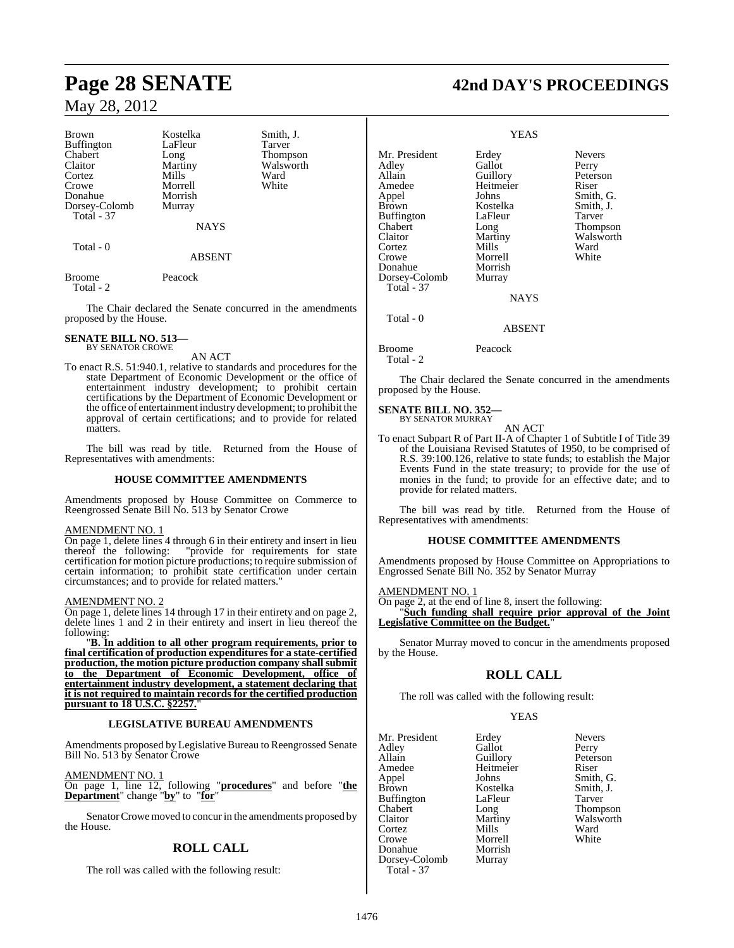| <b>Brown</b>      | Kostelka       | Smith, J.      |
|-------------------|----------------|----------------|
| <b>Buffington</b> | LaFleur        | Tarver         |
| Chabert           | Long           | <b>Thompso</b> |
| Claitor           | Martiny        | Walswor        |
| Cortez            | Mills          | Ward           |
| Crowe             | Morrell        | White          |
| Donahue           | Morrish        |                |
| Dorsey-Colomb     | Murray         |                |
| Total - 37        |                |                |
|                   | <b>NI A VC</b> |                |

LaFleur<br>Long Long Thompson<br>
Martiny Walsworth Martiny Walsworth<br>
Mills Ward Morrell White Morrish Murray

NAYS

Total - 0

ABSENT

Broome Peacock Total - 2

The Chair declared the Senate concurred in the amendments proposed by the House.

# **SENATE BILL NO. 513—** BY SENATOR CROWE

# AN ACT

To enact R.S. 51:940.1, relative to standards and procedures for the state Department of Economic Development or the office of entertainment industry development; to prohibit certain certifications by the Department of Economic Development or the office of entertainment industry development; to prohibit the approval of certain certifications; and to provide for related matters.

The bill was read by title. Returned from the House of Representatives with amendments:

# **HOUSE COMMITTEE AMENDMENTS**

Amendments proposed by House Committee on Commerce to Reengrossed Senate Bill No. 513 by Senator Crowe

# AMENDMENT NO. 1

On page 1, delete lines 4 through 6 in their entirety and insert in lieu thereof the following: "provide for requirements for state certification for motion picture productions; to require submission of certain information; to prohibit state certification under certain circumstances; and to provide for related matters."

# AMENDMENT NO. 2

On page 1, delete lines 14 through 17 in their entirety and on page 2, delete lines 1 and 2 in their entirety and insert in lieu thereof the following:

"**B. In addition to all other program requirements, prior to final certification of production expenditures for a state-certified production, the motion picture production company shall submit to the Department of Economic Development, office of entertainment industry development, a statement declaring that it is not required to maintain records for the certified production pursuant to 18 U.S.C. §2257.**"

# **LEGISLATIVE BUREAU AMENDMENTS**

Amendments proposed by Legislative Bureau to Reengrossed Senate Bill No. 513 by Senator Crowe

AMENDMENT NO. 1

On page 1, line 12, following "**procedures**" and before "**the Department**" change "**by**" to "**for**"

Senator Crowe moved to concur in the amendments proposed by the House.

# **ROLL CALL**

The roll was called with the following result:

# **Page 28 SENATE 42nd DAY'S PROCEEDINGS**

# YEAS

Mr. President Erdey Nevers<br>Adley Gallot Perry Adley Gallot<br>Allain Guillory Amedee Heitmeier Riser<br>
Appel Johns Smith Appel Johns Smith, G.<br>Brown Kostelka Smith, J. Kostelka<br>LaFleur Buffington LaFleur Tarver<br>
Chabert Long Thomp Chabert Long Thompson<br>Claitor Martiny Walsworth Cortez Mills Ward<br>Crowe Morrell White Crowe Morrell<br>
Donahue Morrish Donahue Morrish<br>Dorsey-Colomb Murray Dorsey-Colomb

Peterson Martiny Walsworth<br>
Mills Ward

**NAYS** 

# ABSENT

Broome Peacock

Total - 2

Total - 37

Total - 0

The Chair declared the Senate concurred in the amendments proposed by the House.

### **SENATE BILL NO. 352—** BY SENATOR MURRAY

AN ACT

To enact Subpart R of Part II-A of Chapter 1 of Subtitle I of Title 39 of the Louisiana Revised Statutes of 1950, to be comprised of R.S. 39:100.126, relative to state funds; to establish the Major Events Fund in the state treasury; to provide for the use of monies in the fund; to provide for an effective date; and to provide for related matters.

The bill was read by title. Returned from the House of Representatives with amendments:

# **HOUSE COMMITTEE AMENDMENTS**

Amendments proposed by House Committee on Appropriations to Engrossed Senate Bill No. 352 by Senator Murray

# AMENDMENT NO. 1

On page 2, at the end of line 8, insert the following: "**Such funding shall require prior approval of the Joint Legislative Committee on the Budget.**"

Senator Murray moved to concur in the amendments proposed by the House.

# **ROLL CALL**

The roll was called with the following result:

Heitmeier<br>Johns

Morrell<br>Morrish

# YEAS

Mr. President Erdey Nevers Adley Gallot Perry Allain Guillory Peters<br>Amedee Heitmeier Riser Appel Johns Smith, G.<br>Brown Kostelka Smith, J. Buffington LaFle<br>Chabert Long Chabert Long Thompson Cortez Mills Ward Donahue Dorsey-Colomb Murray Total - 37

Kostelka Smith,<br>LaFleur Tarver Walsworth<br>Ward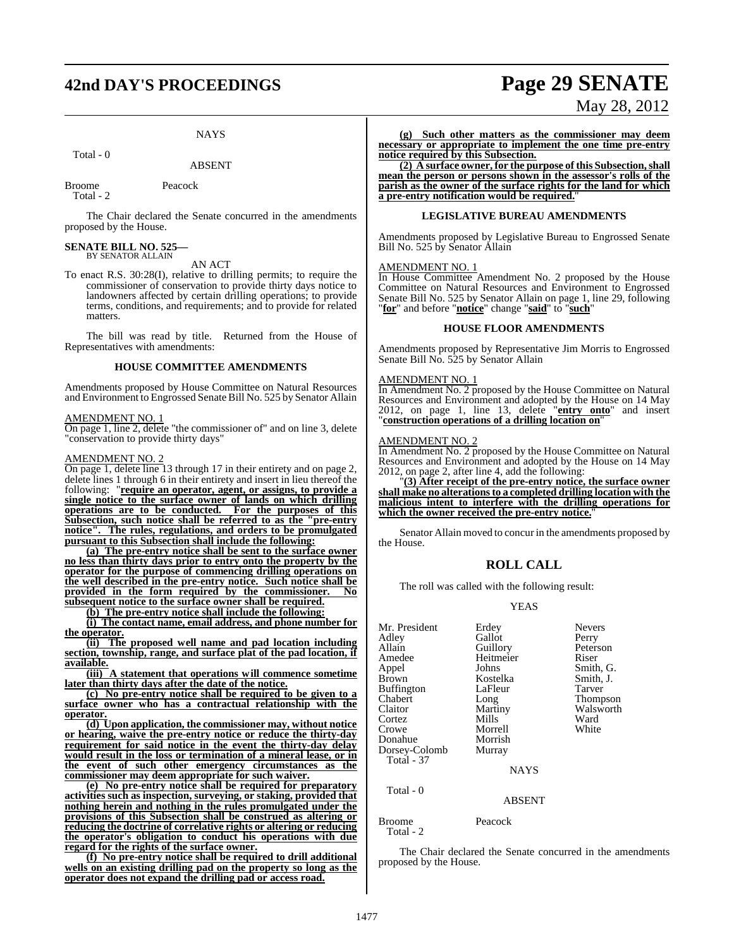# **42nd DAY'S PROCEEDINGS Page 29 SENATE**

# **NAYS**

Total - 0

Broome Peacock Total - 2

The Chair declared the Senate concurred in the amendments proposed by the House.

# **SENATE BILL NO. 525—** BY SENATOR ALLAIN

AN ACT

To enact R.S. 30:28(I), relative to drilling permits; to require the commissioner of conservation to provide thirty days notice to landowners affected by certain drilling operations; to provide terms, conditions, and requirements; and to provide for related matters.

The bill was read by title. Returned from the House of Representatives with amendments:

# **HOUSE COMMITTEE AMENDMENTS**

Amendments proposed by House Committee on Natural Resources and Environment to Engrossed Senate Bill No. 525 by Senator Allain

## AMENDMENT NO. 1

On page 1, line 2, delete "the commissioner of" and on line 3, delete "conservation to provide thirty days"

# AMENDMENT NO. 2

On page 1, delete line 13 through 17 in their entirety and on page 2, delete lines 1 through 6 in their entirety and insert in lieu thereof the following: "**require an operator, agent, or assigns, to provide a single notice to the surface owner of lands on which drilling operations are to be conducted. For the purposes of this Subsection, such notice shall be referred to as the "pre-entry notice". The rules, regulations, and orders to be promulgated pursuant to this Subsection shall include the following:**

**(a) The pre-entry notice shall be sent to the surface owner no less than thirty days prior to entry onto the property by the operator for the purpose of commencing drilling operations on the well described in the pre-entry notice. Such notice shall be provided in the form required by the commissioner. No subsequent notice to the surface owner shall be required.**

**(b) The pre-entry notice shall include the following:**

**(i) The contact name, email address, and phone number for the operator.**

**(ii) The proposed well name and pad location including section, township, range, and surface plat of the pad location, if available.**

**(iii) A statement that operations will commence sometime later than thirty days after the date of the notice.**

**(c) No pre-entry notice shall be required to be given to a surface owner who has a contractual relationship with the operator.**

**(d) Upon application, the commissioner may, without notice or hearing, waive the pre-entry notice or reduce the thirty-day requirement for said notice in the event the thirty-day delay would result in the loss or termination of a mineral lease, or in the event of such other emergency circumstances as the commissioner may deem appropriate for such waiver.**

**(e) No pre-entry notice shall be required for preparatory activities such as inspection, surveying, or staking, provided that nothing herein and nothing in the rules promulgated under the provisions of this Subsection shall be construed as altering or reducing the doctrine of correlative rights or altering or reducing the operator's obligation to conduct his operations with due regard for the rights of the surface owner.**

**(f) No pre-entry notice shall be required to drill additional wells on an existing drilling pad on the property so long as the operator does not expand the drilling pad or access road.**

# May 28, 2012

**(g) Such other matters as the commissioner may deem necessary or appropriate to implement the one time pre-entry notice required by this Subsection.**

**(2) A surface owner, for the purpose of this Subsection, shall mean the person or persons shown in the assessor's rolls of the parish as the owner of the surface rights for the land for which a pre-entry notification would be required.**"

### **LEGISLATIVE BUREAU AMENDMENTS**

Amendments proposed by Legislative Bureau to Engrossed Senate Bill No. 525 by Senator Allain

# AMENDMENT NO. 1

In House Committee Amendment No. 2 proposed by the House Committee on Natural Resources and Environment to Engrossed Senate Bill No. 525 by Senator Allain on page 1, line 29, following "**for**" and before "**notice**" change "**said**" to "**such**"

### **HOUSE FLOOR AMENDMENTS**

Amendments proposed by Representative Jim Morris to Engrossed Senate Bill No. 525 by Senator Allain

### AMENDMENT NO. 1

In Amendment No. 2 proposed by the House Committee on Natural Resources and Environment and adopted by the House on 14 May 2012, on page 1, line 13, delete "**entry onto**" and insert "**construction operations of a drilling location on**"

# AMENDMENT NO. 2

In Amendment No. 2 proposed by the House Committee on Natural Resources and Environment and adopted by the House on 14 May 2012, on page 2, after line 4, add the following:

"**(3) After receipt of the pre-entry notice, the surface owner shall make no alterationsto a completed drilling location with the malicious intent to interfere with the drilling operations for** which the owner received the pre-entry notice.<sup>"</sup>

Senator Allain moved to concur in the amendments proposed by the House.

# **ROLL CALL**

The roll was called with the following result:

## YEAS

| Mr. President<br>Adley<br>Allain<br>Amedee | Erdey<br>Gallot<br>Guillory<br>Heitmeier | <b>Nevers</b><br>Perry<br>Peterson<br>Riser |
|--------------------------------------------|------------------------------------------|---------------------------------------------|
| Appel                                      | Johns                                    | Smith, G.                                   |
| <b>Brown</b><br><b>Buffington</b>          | Kostelka<br>LaFleur                      | Smith, J.<br>Tarver                         |
| Chabert                                    | Long                                     | <b>Thompson</b>                             |
| Claitor                                    | Martiny                                  | Walsworth                                   |
| Cortez                                     | Mills                                    | Ward                                        |
| Crowe                                      | Morrell                                  | White                                       |
| Donahue                                    | Morrish                                  |                                             |
| Dorsey-Colomb                              | Murray                                   |                                             |
| <b>Total - 37</b>                          |                                          |                                             |
|                                            | <b>NAYS</b>                              |                                             |
| Total - 0                                  |                                          |                                             |
|                                            | <b>ABSENT</b>                            |                                             |

Broome Peacock

Total - 2

The Chair declared the Senate concurred in the amendments proposed by the House.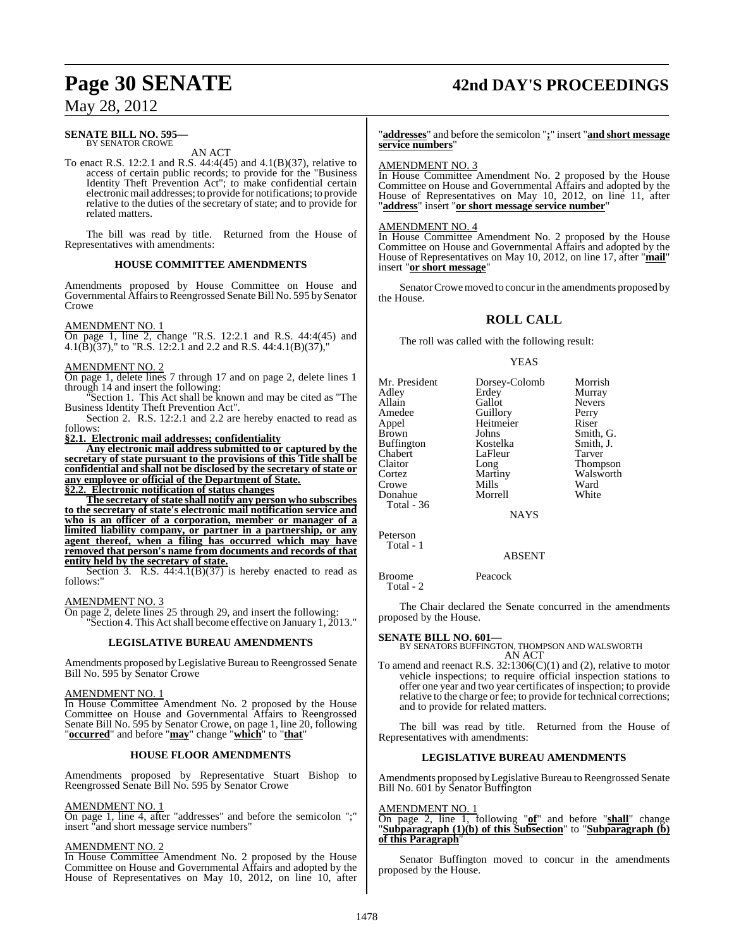# **Page 30 SENATE 42nd DAY'S PROCEEDINGS**

# May 28, 2012

### **SENATE BILL NO. 595—** BY SENATOR CROWE

AN ACT

To enact R.S. 12:2.1 and R.S. 44:4(45) and 4.1(B)(37), relative to access of certain public records; to provide for the "Business Identity Theft Prevention Act"; to make confidential certain electronicmail addresses; to provide for notifications; to provide relative to the duties of the secretary of state; and to provide for related matters.

The bill was read by title. Returned from the House of Representatives with amendments:

# **HOUSE COMMITTEE AMENDMENTS**

Amendments proposed by House Committee on House and Governmental Affairsto Reengrossed Senate Bill No. 595 by Senator Crowe

# AMENDMENT NO. 1

On page 1, line 2, change "R.S. 12:2.1 and R.S. 44:4(45) and 4.1(B)(37)," to "R.S. 12:2.1 and 2.2 and R.S. 44:4.1(B)(37),"

# AMENDMENT NO. 2

On page 1, delete lines 7 through 17 and on page 2, delete lines 1 through 14 and insert the following:

Section 1. This Act shall be known and may be cited as "The Business Identity Theft Prevention Act".

Section 2. R.S. 12:2.1 and 2.2 are hereby enacted to read as follows:

**§2.1. Electronic mail addresses; confidentiality**

**Any electronic mail address submitted to or captured by the secretary of state pursuant to the provisions of this Title shall be confidential and shall not be disclosed by the secretary of state or any employee or official of the Department of State. §2.2. Electronic notification of status changes**

**The secretary ofstate shall notify any person who subscribes to the secretary of state's electronic mail notification service and who is an officer of a corporation, member or manager of a limited liability company, or partner in a partnership, or any agent thereof, when a filing has occurred which may have removed that person's name from documents and records of that entity held by the secretary of state.**

Section 3. R.S.  $44:4.1(B)(37)$  is hereby enacted to read as follows:"

## AMENDMENT NO. 3

On page 2, delete lines 25 through 29, and insert the following: 'Section 4. This Act shall become effective on January 1, 2013."

# **LEGISLATIVE BUREAU AMENDMENTS**

Amendments proposed by Legislative Bureau to Reengrossed Senate Bill No. 595 by Senator Crowe

# AMENDMENT NO. 1

In House Committee Amendment No. 2 proposed by the House Committee on House and Governmental Affairs to Reengrossed Senate Bill No. 595 by Senator Crowe, on page 1, line 20, following "**occurred**" and before "**may**" change "**which**" to "**that**"

# **HOUSE FLOOR AMENDMENTS**

Amendments proposed by Representative Stuart Bishop to Reengrossed Senate Bill No. 595 by Senator Crowe

# AMENDMENT NO. 1

On page 1, line 4, after "addresses" and before the semicolon ";" insert "and short message service numbers"

# AMENDMENT NO. 2

In House Committee Amendment No. 2 proposed by the House Committee on House and Governmental Affairs and adopted by the House of Representatives on May 10, 2012, on line 10, after

"**addresses**" and before the semicolon "**;**" insert "**and short message service numbers**"

# AMENDMENT NO. 3

In House Committee Amendment No. 2 proposed by the House Committee on House and Governmental Affairs and adopted by the House of Representatives on May 10, 2012, on line 11, after "**address**" insert "**or short message service number**"

# AMENDMENT NO. 4

In House Committee Amendment No. 2 proposed by the House Committee on House and Governmental Affairs and adopted by the House of Representatives on May 10, 2012, on line 17, after "**mail**" insert "**or short message**"

Senator Crowe moved to concur in the amendments proposed by the House.

# **ROLL CALL**

The roll was called with the following result:

# YEAS

| Mr. President     | Dorsey-Colomb | Morrish       |
|-------------------|---------------|---------------|
| Adley             | Erdey         | Murray        |
| Allain            | Gallot        | <b>Nevers</b> |
| Amedee            | Guillory      | Perry         |
| Appel             | Heitmeier     | Riser         |
| <b>Brown</b>      | Johns         | Smith, G.     |
| <b>Buffington</b> | Kostelka      | Smith, J.     |
| Chabert           | LaFleur       | Tarver        |
| Claitor           | Long          | Thompson      |
| Cortez            | Martiny       | Walsworth     |
| Crowe             | Mills         | Ward          |
| Donahue           | Morrell       | White         |
| Total - 36        |               |               |
|                   | NAYS          |               |

Peterson Total - 1

# ABSENT

Broome Peacock Total - 2

The Chair declared the Senate concurred in the amendments proposed by the House.

# **SENATE BILL NO. 601—**

BY SENATORS BUFFINGTON, THOMPSON AND WALSWORTH AN ACT

To amend and reenact R.S.  $32:1306(C)(1)$  and (2), relative to motor vehicle inspections; to require official inspection stations to offer one year and two year certificates of inspection; to provide relative to the charge or fee; to provide for technical corrections; and to provide for related matters.

The bill was read by title. Returned from the House of Representatives with amendments:

# **LEGISLATIVE BUREAU AMENDMENTS**

Amendments proposed byLegislative Bureau to Reengrossed Senate Bill No. 601 by Senator Buffington

# AMENDMENT NO.

On page 2, line 1, following "**of**" and before "**shall**" change "**Subparagraph (1)(b) of this Subsection**" to "**Subparagraph (b) of this Paragraph**"

Senator Buffington moved to concur in the amendments proposed by the House.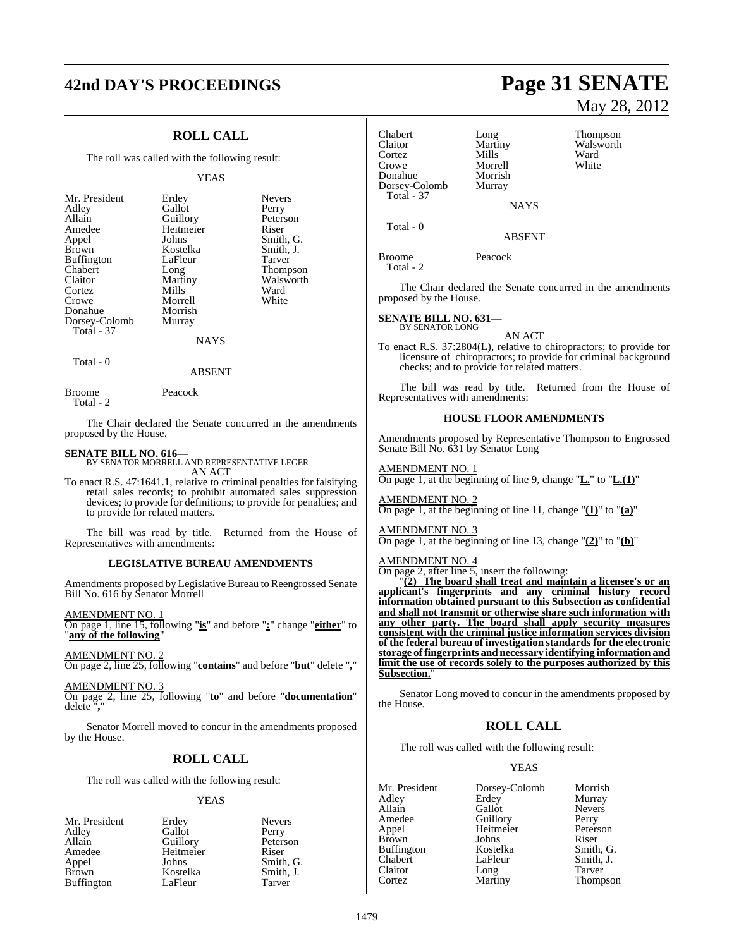# **42nd DAY'S PROCEEDINGS Page 31 SENATE**

# **ROLL CALL**

The roll was called with the following result:

### YEAS

| Mr. President     | Erdey     | <b>Nevers</b> |
|-------------------|-----------|---------------|
| Adley             | Gallot    | Perry         |
| Allain            | Guillory  | Peterson      |
| Amedee            | Heitmeier | Riser         |
| Appel             | Johns     | Smith, G.     |
| <b>Brown</b>      | Kostelka  | Smith, J.     |
| <b>Buffington</b> | LaFleur   | Tarver        |
| Chabert           | Long      | Thompson      |
| Claitor           | Martiny   | Walsworth     |
| Cortez            | Mills     | Ward          |
| Crowe             | Morrell   | White         |
| Donahue           | Morrish   |               |
| Dorsey-Colomb     | Murray    |               |
| Total - 37        |           |               |
|                   | NAYS      |               |

Total - 0

Broome Peacock

Total - 2

The Chair declared the Senate concurred in the amendments proposed by the House.

ABSENT

# **SENATE BILL NO. 616—**

BY SENATOR MORRELL AND REPRESENTATIVE LEGER AN ACT

To enact R.S. 47:1641.1, relative to criminal penalties for falsifying retail sales records; to prohibit automated sales suppression devices; to provide for definitions; to provide for penalties; and to provide for related matters.

The bill was read by title. Returned from the House of Representatives with amendments:

# **LEGISLATIVE BUREAU AMENDMENTS**

Amendments proposed by Legislative Bureau to Reengrossed Senate Bill No. 616 by Senator Morrell

AMENDMENT NO. 1 On page 1, line 15, following "**is**" and before "**:**" change "**either**" to "**any of the following**"

AMENDMENT NO. 2

On page 2, line 25, following "**contains**" and before "**but**" delete "**,**"

AMENDMENT NO. 3

On page 2, line 25, following "**to**" and before "**documentation**" delete "**,**"

Senator Morrell moved to concur in the amendments proposed by the House.

# **ROLL CALL**

The roll was called with the following result:

### YEAS

| Mr. President | Erdey     | <b>Nevers</b> |
|---------------|-----------|---------------|
| Adley         | Gallot    | Perry         |
| Allain        | Guillory  | Peterson      |
| Amedee        | Heitmeier | Riser         |
| Appel         | Johns     | Smith, G.     |
| Brown         | Kostelka  | Smith. J.     |
| Buffington    | LaFleur   | Tarver        |

# May 28, 2012

Chabert Long Thompson<br>Claitor Martiny Walsworth Martiny Walsworth<br>
Mills Ward Cortez Mills Ward<br>Crowe Morrell White Morrell<br>Morrish Donahue Morrish<br>Dorsey-Colomb Murray Dorsey-Colomb Total - 37 **NAYS**  Total - 0 ABSENT Broome Peacock Total - 2 The Chair declared the Senate concurred in the amendments proposed by the House. **SENATE BILL NO. 631—** BY SENATOR LONG AN ACT To enact R.S. 37:2804(L), relative to chiropractors; to provide for licensure of chiropractors; to provide for criminal background checks; and to provide for related matters. The bill was read by title. Returned from the House of Representatives with amendments: **HOUSE FLOOR AMENDMENTS** Amendments proposed by Representative Thompson to Engrossed Senate Bill No. 631 by Senator Long AMENDMENT NO. 1 On page 1, at the beginning of line 9, change "**L.**" to "**L.(1)**" AMENDMENT NO. 2 On page 1, at the beginning of line 11, change "**(1)**" to "**(a)**" AMENDMENT NO. 3 On page 1, at the beginning of line 13, change "**(2)**" to "**(b)**" AMENDMENT NO. 4 On page 2, after line  $\overline{5}$ , insert the following: "**(2) The board shall treat and maintain a licensee's or an applicant's fingerprints and any criminal history record information obtained pursuant to this Subsection as confidential and shall not transmit or otherwise share such information with any other party. The board shall apply security measures consistent with the criminal justice information services division of the federal bureau of investigation standards for the electronic storage offingerprints and necessary identifying information and limit the use of records solely to the purposes authorized by this Subsection.** 

Senator Long moved to concur in the amendments proposed by the House.

# **ROLL CALL**

The roll was called with the following result:

# YEAS

| Mr. President | Dorsey-Colomb | Morrish       |
|---------------|---------------|---------------|
| Adley         | Erdey         | Murray        |
| Allain        | Gallot        | <b>Nevers</b> |
| Amedee        | Guillory      | Perry         |
| Appel         | Heitmeier     | Peterson      |
| <b>Brown</b>  | Johns         | Riser         |
| Buffington    | Kostelka      | Smith, G.     |
| Chabert       | LaFleur       | Smith, J.     |
| Claitor       | Long          | Tarver        |
| Cortez        | Martiny       | Thompson      |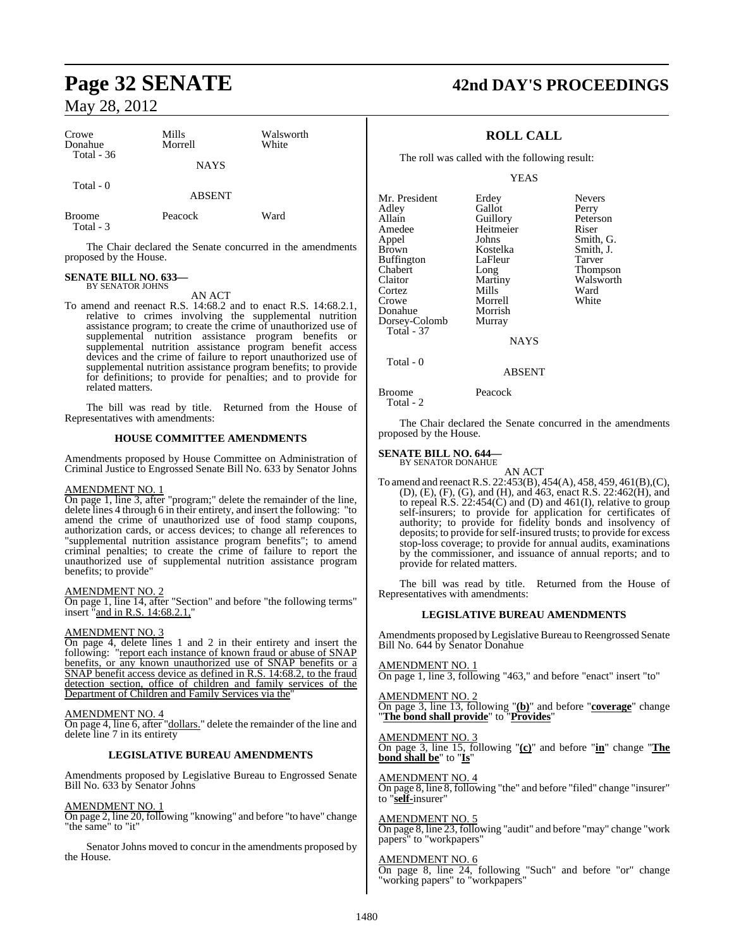| Crowe<br>Donahue<br>Total $-36$ | Mills<br>Morrell | Walsworth<br>White |
|---------------------------------|------------------|--------------------|
|                                 | <b>NAYS</b>      |                    |
| Total - 0                       | <b>ABSENT</b>    |                    |
| <b>Broome</b>                   | Peacock          | Ward               |

Total - 3

The Chair declared the Senate concurred in the amendments proposed by the House.

### **SENATE BILL NO. 633—** BY SENATOR JOHNS

AN ACT

To amend and reenact R.S. 14:68.2 and to enact R.S. 14:68.2.1, relative to crimes involving the supplemental nutrition assistance program; to create the crime of unauthorized use of supplemental nutrition assistance program benefits or supplemental nutrition assistance program benefit access devices and the crime of failure to report unauthorized use of supplemental nutrition assistance program benefits; to provide for definitions; to provide for penalties; and to provide for related matters.

The bill was read by title. Returned from the House of Representatives with amendments:

# **HOUSE COMMITTEE AMENDMENTS**

Amendments proposed by House Committee on Administration of Criminal Justice to Engrossed Senate Bill No. 633 by Senator Johns

# AMENDMENT NO. 1

On page 1, line 3, after "program;" delete the remainder of the line, delete lines 4 through 6 in their entirety, and insert the following: "to amend the crime of unauthorized use of food stamp coupons, authorization cards, or access devices; to change all references to "supplemental nutrition assistance program benefits"; to amend criminal penalties; to create the crime of failure to report the unauthorized use of supplemental nutrition assistance program benefits; to provide"

# AMENDMENT NO. 2

On page 1, line 14, after "Section" and before "the following terms" insert "and in R.S. 14:68.2.1,"

# AMENDMENT NO. 3

On page 4, delete lines 1 and 2 in their entirety and insert the following: "report each instance of known fraud or abuse of SNAP benefits, or any known unauthorized use of SNAP benefits or a SNAP benefit access device as defined in R.S. 14:68.2, to the fraud detection section, office of children and family services of the Department of Children and Family Services via the

# AMENDMENT NO. 4

On page 4, line 6, after "dollars." delete the remainder of the line and delete line 7 in its entirety

# **LEGISLATIVE BUREAU AMENDMENTS**

Amendments proposed by Legislative Bureau to Engrossed Senate Bill No. 633 by Senator Johns

# AMENDMENT NO. 1

On page 2, line 20, following "knowing" and before "to have" change "the same" to "it"

Senator Johns moved to concur in the amendments proposed by the House.

# **Page 32 SENATE 42nd DAY'S PROCEEDINGS**

# **ROLL CALL**

The roll was called with the following result:

YEAS

| Mr. President     | Erdey          | <b>Nevers</b> |
|-------------------|----------------|---------------|
| Adley             | Gallot         | Perry         |
| Allain            | Guillory       | Peterson      |
| Amedee            | Heitmeier      | Riser         |
| Appel             | Johns          | Smith, G.     |
| <b>Brown</b>      | Kostelka       | Smith, J.     |
| <b>Buffington</b> | LaFleur        | Tarver        |
| Chabert           | Long           | Thompson      |
| Claitor           | Martiny        | Walsworth     |
| Cortez            | Mills          | Ward          |
| Crowe             | Morrell        | White         |
| Donahue           | Morrish        |               |
| Dorsey-Colomb     | Murray         |               |
| Total - 37        |                |               |
|                   | <b>ATA 370</b> |               |

NAYS

Total - 0

Broome Peacock Total - 2

The Chair declared the Senate concurred in the amendments proposed by the House.

ABSENT

## **SENATE BILL NO. 644—** BY SENATOR DONAHUE

AN ACT

To amend and reenact R.S. 22:453(B), 454(A), 458, 459, 461(B), (C), (D), (E), (F), (G), and (H), and 463, enact R.S. 22:462(H), and to repeal  $R.S. 22:454(\tilde{C})$  and (D) and 461(I), relative to group self-insurers; to provide for application for certificates of authority; to provide for fidelity bonds and insolvency of deposits; to provide forself-insured trusts; to provide for excess stop-loss coverage; to provide for annual audits, examinations by the commissioner, and issuance of annual reports; and to provide for related matters.

The bill was read by title. Returned from the House of Representatives with amendments:

# **LEGISLATIVE BUREAU AMENDMENTS**

Amendments proposed byLegislative Bureau to Reengrossed Senate Bill No. 644 by Senator Donahue

AMENDMENT NO. 1 On page 1, line 3, following "463," and before "enact" insert "to"

AMENDMENT NO. 2 On page 3, line 13, following "**(b)**" and before "**coverage**" change "**The bond shall provide**" to "**Provides**"

### AMENDMENT NO. 3 On page 3, line 15, following "**(c)**" and before "**in**" change "**The bond shall be**" to "**Is**"

AMENDMENT NO. 4 On page 8, line 8, following "the" and before "filed" change "insurer" to "**self-**insurer"

# AMENDMENT NO. 5

On page 8, line 23, following "audit" and before "may" change "work papers" to "workpapers"

# AMENDMENT NO. 6

On page 8, line 24, following "Such" and before "or" change "working papers" to "workpapers"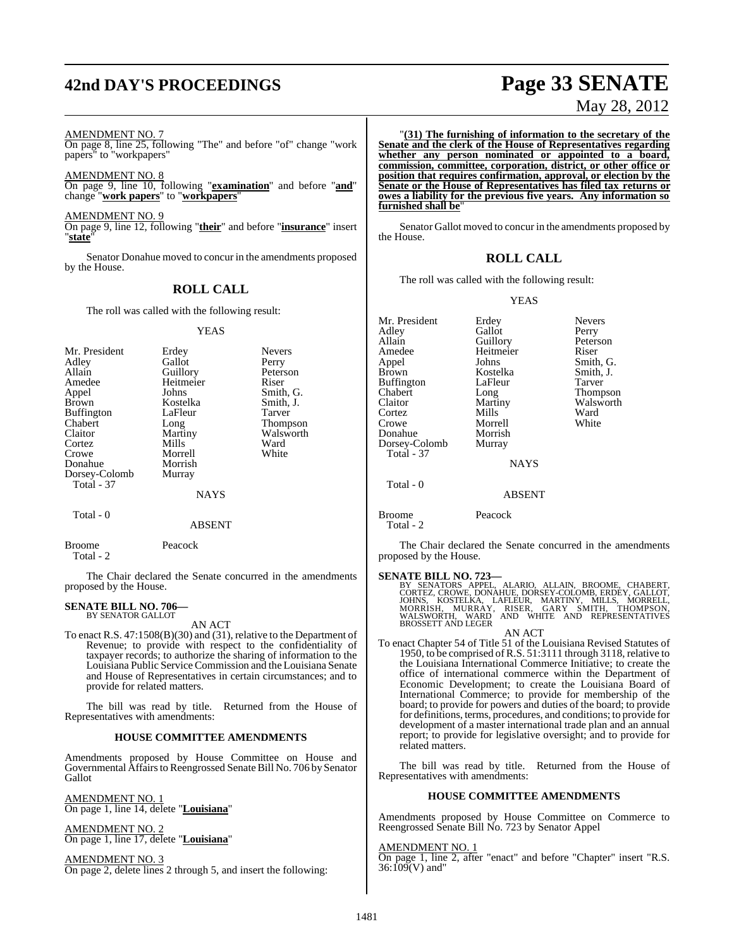# **42nd DAY'S PROCEEDINGS Page 33 SENATE**

# May 28, 2012

AMENDMENT NO. 7

On page 8, line 25, following "The" and before "of" change "work papers" to "workpapers"

AMENDMENT NO. 8 On page 9, line 10, following "**examination**" and before "**and**" change "**work papers**" to "**workpapers**"

AMENDMENT NO. 9

On page 9, line 12, following "**their**" and before "**insurance**" insert "**state**"

Senator Donahue moved to concur in the amendments proposed by the House.

# **ROLL CALL**

The roll was called with the following result:

### YEAS

| Mr. President<br>Adley<br>Allain<br>Amedee<br>Appel<br><b>Brown</b><br><b>Buffington</b><br>Chabert<br>Claitor<br>Cortez<br>Crowe<br>Donahue | Erdey<br>Gallot<br>Guillory<br>Heitmeier<br>Johns<br>Kostelka<br>LaFleur<br>Long<br>Martiny<br>Mills<br>Morrell<br>Morrish | <b>Nevers</b><br>Perry<br>Peterson<br>Riser<br>Smith, G.<br>Smith, J.<br>Tarver<br><b>Thompson</b><br>Walsworth<br>Ward<br>White |
|----------------------------------------------------------------------------------------------------------------------------------------------|----------------------------------------------------------------------------------------------------------------------------|----------------------------------------------------------------------------------------------------------------------------------|
| Dorsey-Colomb<br><b>Total - 37</b><br>Total - 0                                                                                              | Murray<br>NAYS                                                                                                             |                                                                                                                                  |

# ABSENT

Broome Peacock Total - 2

The Chair declared the Senate concurred in the amendments proposed by the House.

### **SENATE BILL NO. 706—** BY SENATOR GALLOT

AN ACT

To enact R.S. 47:1508(B)(30) and (31), relative to the Department of Revenue; to provide with respect to the confidentiality of taxpayer records; to authorize the sharing of information to the Louisiana Public Service Commission and the Louisiana Senate and House of Representatives in certain circumstances; and to provide for related matters.

The bill was read by title. Returned from the House of Representatives with amendments:

# **HOUSE COMMITTEE AMENDMENTS**

Amendments proposed by House Committee on House and Governmental Affairs to Reengrossed Senate Bill No. 706 by Senator Gallot

AMENDMENT NO. 1 On page 1, line 14, delete "**Louisiana**"

AMENDMENT NO. 2 On page 1, line 17, delete "**Louisiana**"

AMENDMENT NO. 3 On page 2, delete lines 2 through 5, and insert the following:

"**(31) The furnishing of information to the secretary of the Senate and the clerk of the House of Representatives regarding whether any person nominated or appointed to a board, commission, committee, corporation, district, or other office or position that requires confirmation, approval, or election by the Senate or the House of Representatives has filed tax returns or owes a liability for the previous five years. Any information so furnished shall be**"

Senator Gallot moved to concur in the amendments proposed by the House.

# **ROLL CALL**

The roll was called with the following result:

# YEAS

Mr. President Erdey Nevers<br>Adley Gallot Perry Adley Gallot<br>Allain Guillory Allain Guillory Peterson<br>Amedee Heitmeier Riser Appel Johns Smith, G. Buffington<br>Chabert Example 2013<br>Chabert Long Long Thompson<br>Claitor Martiny Walsworth Claitor Martiny Walsworth<br>
Cortez Mills Ward Cortez Mills Ward<br>Crowe Morrell White Donahue Dorsey-Colomb Murray Total - 37

Heitmeier Kostelka Smith,<br>LaFleur Tarver Morrell<br>Morrish

**NAYS** 

ABSENT

Broome Peacock

Total - 0

Total - 2

The Chair declared the Senate concurred in the amendments proposed by the House.

SENATE BILL NO. 723—<br>BY SENATORS APPEL, ALARIO, ALLAIN, BROOME, CHABERT, CORTEZ, CROWE, DONAHUE, DORSEY-COLOMB, ERDÉY, GALLOT, JOHNS, KOSTELKA, LAFLEUR, MARTINY, MILLS, MORRELL, MORRISH, MURRAY, RISER, GARY SMITH, THOMPSON AN ACT

To enact Chapter 54 of Title 51 of the Louisiana Revised Statutes of 1950, to be comprised ofR.S. 51:3111 through 3118, relative to the Louisiana International Commerce Initiative; to create the office of international commerce within the Department of Economic Development; to create the Louisiana Board of International Commerce; to provide for membership of the board; to provide for powers and duties of the board; to provide for definitions, terms, procedures, and conditions; to provide for development of a master international trade plan and an annual report; to provide for legislative oversight; and to provide for related matters.

The bill was read by title. Returned from the House of Representatives with amendments:

# **HOUSE COMMITTEE AMENDMENTS**

Amendments proposed by House Committee on Commerce to Reengrossed Senate Bill No. 723 by Senator Appel

AMENDMENT NO. 1

On page 1, line 2, after "enact" and before "Chapter" insert "R.S. 36:109(V) and"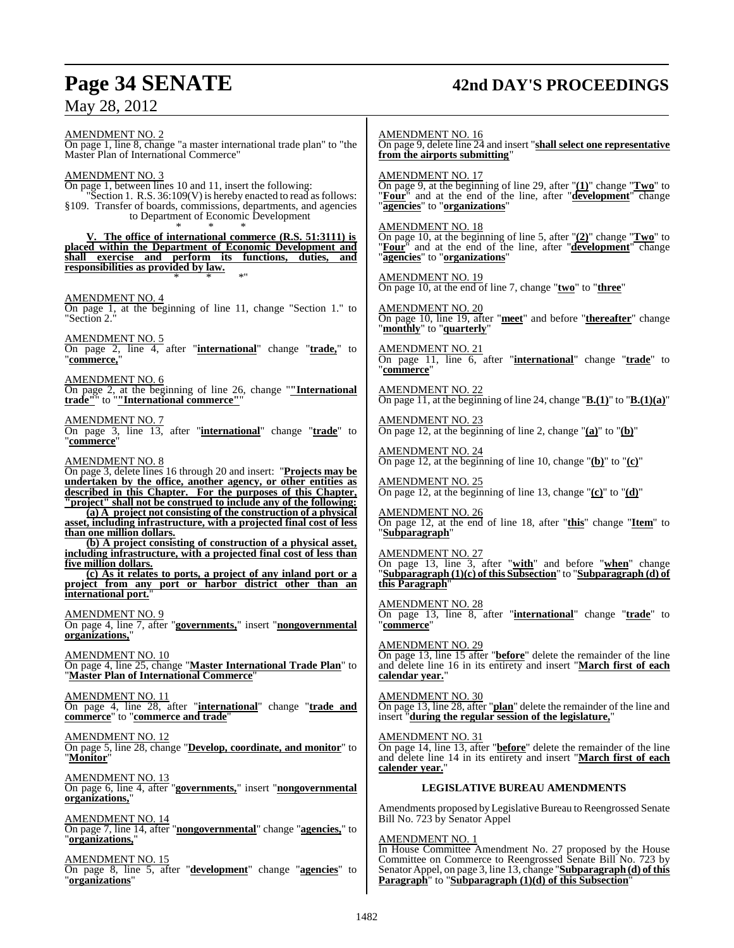**Page 34 SENATE 42nd DAY'S PROCEEDINGS** May 28, 2012 AMENDMENT NO. 2 On page 1, line 8, change "a master international trade plan" to "the Master Plan of International Commerce" AMENDMENT NO. 3 On page 1, between lines 10 and 11, insert the following: "Section 1. R.S. 36:109(V) is hereby enacted to read as follows: §109. Transfer of boards, commissions, departments, and agencies to Department of Economic Development \* \* \* **V. The office of international commerce (R.S. 51:3111) is placed within the Department of Economic Development and shall exercise and perform its functions, duties, and responsibilities as provided by law.** \* \* \*" AMENDMENT NO. 4 On page 1, at the beginning of line 11, change "Section 1." to "Section 2." AMEND<u>MENT NO. 5</u> On page 2, line 4, after "**international**" change "**trade,**" to "commerce. AMENDMENT NO. 6 On page 2, at the beginning of line 26, change "**"International trade"**" to "**"International commerce"**" AMENDMENT NO. 7 On page 3, line 13, after "**international**" change "**trade**" to "**commerce**" AMENDMENT NO. 8 On page 3, delete lines 16 through 20 and insert: "**Projects may be undertaken by the office, another agency, or other entities as described in this Chapter. For the purposes of this Chapter, "project" shall not be construed to include any of the following: (a) A project not consisting of the construction of a physical asset, including infrastructure, with a projected final cost of less than one million dollars. (b) A project consisting of construction of a physical asset, including infrastructure, with a projected final cost of less than five million dollars. (c) As it relates to ports, a project of any inland port or a project from any port or harbor district other than an international port.** AMENDMENT NO. 9 On page 4, line 7, after "**governments,**" insert "**nongovernmental organizations,**" AMENDMENT NO. 10 On page 4, line 25, change "**Master International Trade Plan**" to "**Master Plan of International Commerce**" AMENDMENT NO. 11 On page 4, line 28, after "**international**" change "**trade and commerce**" to "**commerce and trade**" AMENDMENT NO. 12 On page 5, line 28, change "**Develop, coordinate, and monitor**" to "**Monitor**" AMENDMENT NO. 13 On page 6, line 4, after "**governments,**" insert "**nongovernmental organizations,**" AMENDMENT NO. 14 On page 7, line 14, after "**nongovernmental**" change "**agencies,**" to "**organizations,**" AMENDMENT NO. 15 On page 8, line 5, after "**development**" change "**agencies**" to "**organizations**" **Paragraph**" to "**Subparagraph (1)(d) of this Subsection**"

AMENDMENT NO. 16 On page 9, delete line 24 and insert "**shall select one representative from the airports submitting**" AMENDMENT NO. 17 On page 9, at the beginning of line 29, after "**(1)**" change "**Two**" to "**Four**" and at the end of the line, after "**development**" change "**agencies**" to "**organizations**" AMENDMENT NO. 18 On page 10, at the beginning of line 5, after "**(2)**" change "**Two**" to "**Four**" and at the end of the line, after "**development**" change "**agencies**" to "**organizations**" AMENDMENT NO. 19 On page 10, at the end of line 7, change "**two**" to "**three**" AMENDMENT NO. 20 On page 10, line 19, after "**meet**" and before "**thereafter**" change "**monthly**" to "**quarterly**" AMENDMENT NO. 21 On page 11, line 6, after "**international**" change "**trade**" to "**commerce**" AMENDMENT NO. 22 On page 11, at the beginning of line 24, change "**B.(1)**" to "**B.(1)(a)**" AMENDMENT NO. 23 On page 12, at the beginning of line 2, change "**(a)**" to "**(b)**" AMENDMENT NO. 24 On page 12, at the beginning of line 10, change "**(b)**" to "**(c)**" AMENDMENT NO. 25 On page 12, at the beginning of line 13, change "**(c)**" to "**(d)**" AMENDMENT NO. 26 On page 12, at the end of line 18, after "**this**" change "**Item**" to "**Subparagraph**" AMENDMENT NO. 27 On page 13, line 3, after "**with**" and before "**when**" change "**Subparagraph (1)(c) of this Subsection**" to "**Subparagraph (d) of this Paragraph**" AMENDMENT NO. 28 On page 13, line 8, after "**international**" change "**trade**" to "**commerce**" AMENDMENT NO. 29 On page 13, line 15 after "**before**" delete the remainder of the line and delete line 16 in its entirety and insert "**March first of each calendar year.**" AMENDMENT NO. 30 On page 13, line 28, after "**plan**" delete the remainder of the line and insert "**during the regular session of the legislature,**" AMENDMENT NO. 31 On page 14, line 13, after "**before**" delete the remainder of the line and delete line 14 in its entirety and insert "**March first of each calender year.**" **LEGISLATIVE BUREAU AMENDMENTS** Amendments proposed by Legislative Bureau to Reengrossed Senate Bill No. 723 by Senator Appel AMENDMENT NO. 1 In House Committee Amendment No. 27 proposed by the House Committee on Commerce to Reengrossed Senate Bill No. 723 by Senator Appel, on page 3, line 13, change "**Subparagraph** (d) of this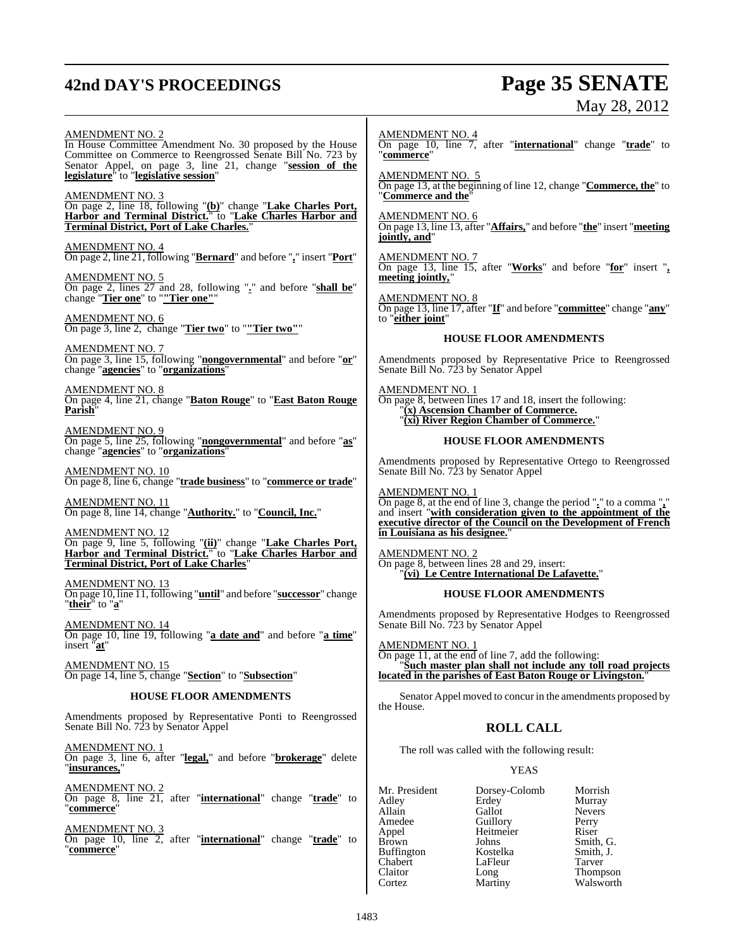# **42nd DAY'S PROCEEDINGS Page 35 SENATE**

# May 28, 2012

Walsworth

AMENDMENT NO. 2 In House Committee Amendment No. 30 proposed by the House Committee on Commerce to Reengrossed Senate Bill No. 723 by Senator Appel, on page 3, line 21, change "**session of the legislature**" to "**legislative session**" AMENDMENT NO. 3 On page 2, line 18, following "**(b)**" change "**Lake Charles Port, Harbor and Terminal District.**" to "**Lake Charles Harbor and Terminal District, Port of Lake Charles.**" AMENDMENT NO. 4 On page 2, line 21, following "**Bernard**" and before "**,**" insert "**Port**" AMENDMENT NO. 5 On page 2, lines 27 and 28, following "**.**" and before "**shall be**" change "**Tier one**" to "**"Tier one"**" AMENDMENT NO. 6 On page 3, line 2, change "**Tier two**" to "**"Tier two"**" AMENDMENT NO. 7 On page 3, line 15, following "**nongovernmental**" and before "**or**" change "**agencies**" to "**organizations**" AMENDMENT NO. 8 On page 4, line 21, change "**Baton Rouge**" to "**East Baton Rouge Parish**" AMENDMENT NO. 9 On page 5, line 25, following "**nongovernmental**" and before "**as**" change "**agencies**" to "**organizations**" AMENDMENT NO. 10 On page 8, line 6, change "**trade business**" to "**commerce or trade**" AMENDMENT NO. 11 On page 8, line 14, change "**Authority.**" to "**Council, Inc.**" AMENDMENT NO. 12 On page 9, line 5, following "**(ii)**" change "**Lake Charles Port, Harbor and Terminal District.**" to "**Lake Charles Harbor and Terminal District, Port of Lake Charles**" AMENDMENT NO. 13 On page 10, line 11, following "**until**" and before "**successor**" change "**their**" to "**a**" AMENDMENT NO. 14 On page 10, line 19, following "**a date and**" and before "**a time**" insert "**at**" AMENDMENT NO. 15 On page 14, line 5, change "**Section**" to "**Subsection**" **HOUSE FLOOR AMENDMENTS** Amendments proposed by Representative Ponti to Reengrossed Senate Bill No. 723 by Senator Appel AMENDMENT NO. 1 On page 3, line 6, after "**legal,**" and before "**brokerage**" delete "**insurances,**" AMENDMENT NO. 2 On page 8, line 21, after "**international**" change "**trade**" to "**commerce**" AMENDMENT NO. 3 On page 10, line 2, after "**international**" change "**trade**" to "**commerce**" AMENDMENT NO. 4 On page 10, line 7, after "**international**" change "**trade**" to "**commerce**" AMENDMENT NO. 5 On page 13, at the beginning of line 12, change "**Commerce, the**" to "**Commerce and the**" AMENDMENT NO. 6 On page 13, line 13, after "**Affairs,**" and before "**the**" insert "**meeting jointly, and**" AMENDMENT NO. 7 On page 13, line 15, after "**Works**" and before "**for**" insert "**, meeting jointly,**" AMENDMENT NO. 8 On page 13, line 17, after "**If**" and before "**committee**" change "**any**" to "**either joint**" **HOUSE FLOOR AMENDMENTS** Amendments proposed by Representative Price to Reengrossed Senate Bill No. 723 by Senator Appel AMENDMENT NO. 1 On page 8, between lines 17 and 18, insert the following: "**(x) Ascension Chamber of Commerce.** "**(xi) River Region Chamber of Commerce.**" **HOUSE FLOOR AMENDMENTS** Amendments proposed by Representative Ortego to Reengrossed Senate Bill No. 723 by Senator Appel AMENDMENT NO. 1 On page 8, at the end of line 3, change the period "**.**" to a comma "**,**" and insert "**with consideration given to the appointment of the executive director of the Council on the Development of French in Louisiana as his designee.**" AMENDMENT NO. 2 On page 8, between lines 28 and 29, insert: "**(vi) Le Centre International De Lafayette.**" **HOUSE FLOOR AMENDMENTS** Amendments proposed by Representative Hodges to Reengrossed Senate Bill No. 723 by Senator Appel AMENDMENT NO. 1 On page 11, at the end of line 7, add the following: "**Such master plan shall not include any toll road projects located in the parishes of East Baton Rouge or Livingston.**" Senator Appel moved to concur in the amendments proposed by the House. **ROLL CALL** The roll was called with the following result: YEAS Mr. President Dorsey-Colomb Morrish<br>Adley Erdey Murray Adley Erdey<br>Allain Gallot Allain Gallot Nevers<br>
Amedee Guillory Perry Amedee Guillory Perry<br>
Appel Heitmeier Riser Appel Heitmeier<br>Brown Johns France Smith, G.<br>Kostelka Smith, J. Buffington **Kostelka** Smith,<br>Chabert LaFleur Tarver Chabert LaFleur<br>Claitor Long Claitor Long Thompson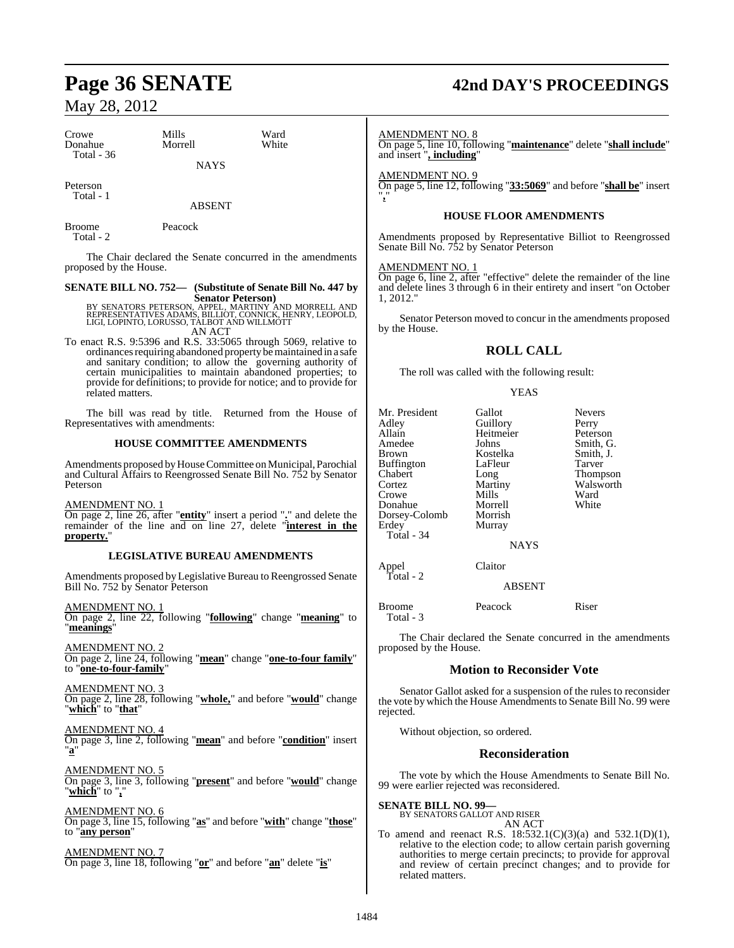| Crowe        | Mills       | Ward  |
|--------------|-------------|-------|
| Donahue      | Morrell     | White |
| Total - $36$ | <b>NAYS</b> |       |

Peterson Total - 1

ABSENT

Broome Peacock Total - 2

The Chair declared the Senate concurred in the amendments proposed by the House.

# **SENATE BILL NO. 752— (Substitute of Senate Bill No. 447 by**

**Senator Peterson)**<br>BY SENATORS PETERSON, APPEL, MARTINY AND MORRELL AND<br>REPRESENTATIVES ADAMS, BILLIOT, CONNICK, HENRY, LEOPOLD,<br>LIGI, LOPINTO, LORUSSO, TALBOT AND WILLMOTT<br>AN ACT

To enact R.S. 9:5396 and R.S. 33:5065 through 5069, relative to ordinances requiring abandoned property be maintained in a safe and sanitary condition; to allow the governing authority of certain municipalities to maintain abandoned properties; to provide for definitions; to provide for notice; and to provide for related matters.

The bill was read by title. Returned from the House of Representatives with amendments:

# **HOUSE COMMITTEE AMENDMENTS**

Amendments proposed byHouseCommittee on Municipal, Parochial and Cultural Affairs to Reengrossed Senate Bill No. 752 by Senator Peterson

AMENDMENT NO. 1

On page 2, line 26, after "**entity**" insert a period "**.**" and delete the remainder of the line and on line 27, delete "**interest in the** property.

# **LEGISLATIVE BUREAU AMENDMENTS**

Amendments proposed by Legislative Bureau to Reengrossed Senate Bill No. 752 by Senator Peterson

AMENDMENT NO. 1 On page 2, line 22, following "**following**" change "**meaning**" to "**meanings**"

AMENDMENT NO. 2 On page 2, line 24, following "**mean**" change "**one-to-four family**" to "**one-to-four-family**"

AMENDMENT NO. 3 On page 2, line 28, following "**whole,**" and before "**would**" change "**which**" to "**that**"

AMENDMENT NO. 4 On page 3, line 2, following "**mean**" and before "**condition**" insert "**a**"

AMENDMENT NO. 5 On page 3, line 3, following "**present**" and before "**would**" change "**which**" to "**,**"

AMENDMENT NO. 6 On page 3, line 15, following "**as**" and before "**with**" change "**those**" to "**any person**"

AMENDMENT NO. 7 On page 3, line 18, following "**or**" and before "**an**" delete "**is**"

# **Page 36 SENATE 42nd DAY'S PROCEEDINGS**

AMENDMENT NO. 8

On page 5, line 10, following "**maintenance**" delete "**shall include**" and insert "**, including**"

AMENDMENT NO. 9

On page 5, line 12, following "**33:5069**" and before "**shall be**" insert "**,**"

# **HOUSE FLOOR AMENDMENTS**

Amendments proposed by Representative Billiot to Reengrossed Senate Bill No. 752 by Senator Peterson

# AMENDMENT NO. 1

On page 6, line 2, after "effective" delete the remainder of the line and delete lines 3 through 6 in their entirety and insert "on October 1, 2012."

Senator Peterson moved to concur in the amendments proposed by the House.

# **ROLL CALL**

The roll was called with the following result:

# YEAS

| Mr. President<br>Adley<br>Allain<br>Amedee<br>Brown<br>Buffington<br>Chabert<br>Cortez<br>Crowe<br>Donahue | Gallot<br>Guillory<br>Heitmeier<br>Johns<br>Kostelka<br>LaFleur<br>Long<br>Martiny<br>Mills<br>Morrell | <b>Nevers</b><br>Perry<br>Peterson<br>Smith, G.<br>Smith, J.<br>Tarver<br>Thompson<br>Walsworth<br>Ward<br>White |
|------------------------------------------------------------------------------------------------------------|--------------------------------------------------------------------------------------------------------|------------------------------------------------------------------------------------------------------------------|
| Dorsey-Colomb<br>Erdev<br>Total - 34                                                                       | Morrish<br>Murray<br><b>NAYS</b>                                                                       |                                                                                                                  |
| Appel<br>Total - 2                                                                                         | Claitor<br><b>ABSENT</b>                                                                               |                                                                                                                  |
| <b>Broome</b>                                                                                              | Peacock                                                                                                | Riser                                                                                                            |

The Chair declared the Senate concurred in the amendments proposed by the House.

# **Motion to Reconsider Vote**

Senator Gallot asked for a suspension of the rules to reconsider the vote by which the House Amendments to Senate Bill No. 99 were rejected.

Without objection, so ordered.

# **Reconsideration**

The vote by which the House Amendments to Senate Bill No. 99 were earlier rejected was reconsidered.

# **SENATE BILL NO. 99—**

Total - 3

BY SENATORS GALLOT AND RISER AN ACT

To amend and reenact R.S. 18:532.1(C)(3)(a) and 532.1(D)(1), relative to the election code; to allow certain parish governing authorities to merge certain precincts; to provide for approval and review of certain precinct changes; and to provide for related matters.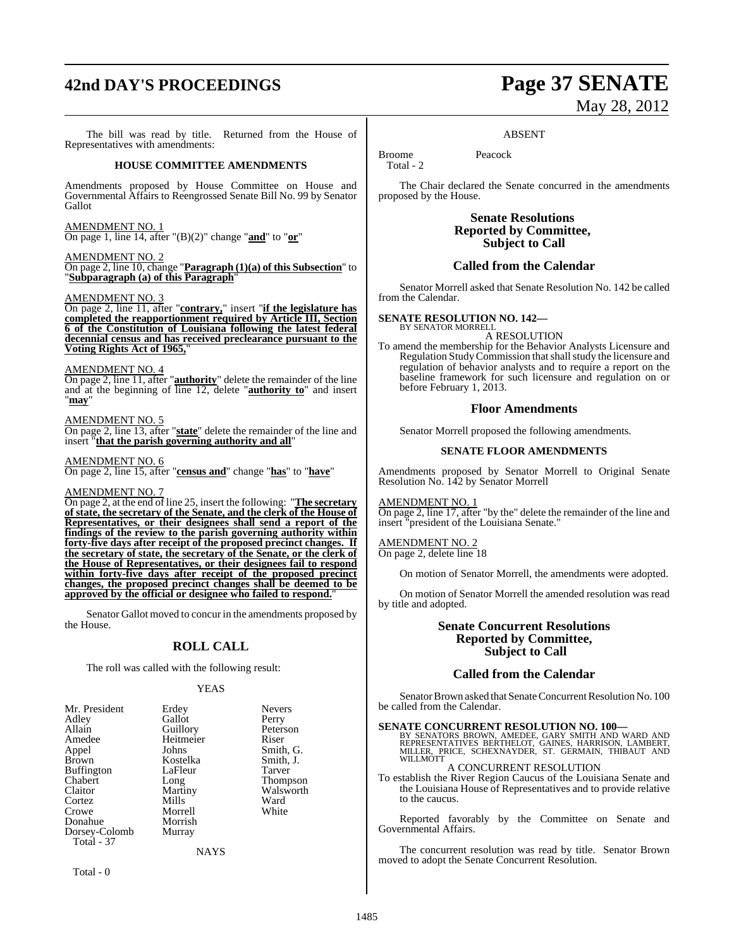## **42nd DAY'S PROCEEDINGS Page 37 SENATE**

The bill was read by title. Returned from the House of Representatives with amendments:

#### **HOUSE COMMITTEE AMENDMENTS**

Amendments proposed by House Committee on House and Governmental Affairs to Reengrossed Senate Bill No. 99 by Senator Gallot

#### AMENDMENT NO. 1

On page 1, line 14, after "(B)(2)" change "**and**" to "**or**"

AMENDMENT NO. 2

On page 2, line 10, change "**Paragraph (1)(a) of this Subsection**" to "**Subparagraph (a) of this Paragraph**"

#### AMENDMENT NO. 3

On page 2, line 11, after "**contrary,**" insert "**if the legislature has completed the reapportionment required by Article III, Section 6 of the Constitution of Louisiana following the latest federal decennial census and has received preclearance pursuant to the Voting Rights Act of 1965,**"

#### AMENDMENT NO. 4

On page 2, line 11, after "**authority**" delete the remainder of the line and at the beginning of line 12, delete "**authority to**" and insert "**may**"

#### AMENDMENT NO. 5

On page 2, line 13, after "**state**" delete the remainder of the line and insert "**that the parish governing authority and all**"

#### AMENDMENT NO. 6

On page 2, line 15, after "**census and**" change "**has**" to "**have**"

#### AMENDMENT NO. 7

On page 2, at the end of line 25, insert the following: "**The secretary of state, the secretary of the Senate, and the clerk of the House of Representatives, or their designees shall send a report of the findings of the review to the parish governing authority within forty-five days after receipt of the proposed precinct changes. If the secretary of state, the secretary of the Senate, or the clerk of the House of Representatives, or their designees fail to respond within forty-five days after receipt of the proposed precinct changes, the proposed precinct changes shall be deemed to be approved by the official or designee who failed to respond.**"

Senator Gallot moved to concur in the amendments proposed by the House.

### **ROLL CALL**

The roll was called with the following result:

#### YEAS

| Mr. President | Erdey       | <b>Nevers</b>   |
|---------------|-------------|-----------------|
| Adley         | Gallot      | Perry           |
| Allain        | Guillory    | Peterson        |
| Amedee        | Heitmeier   | Riser           |
| Appel         | Johns       | Smith, G.       |
| Brown         | Kostelka    | Smith, J.       |
| Buffington    | LaFleur     | Tarver          |
| Chabert       | Long        | <b>Thompson</b> |
| Claitor       | Martiny     | Walsworth       |
| Cortez        | Mills       | Ward            |
| Crowe         | Morrell     | White           |
| Donahue       | Morrish     |                 |
| Dorsey-Colomb | Murray      |                 |
| Total - 37    |             |                 |
|               | <b>NAYS</b> |                 |
|               |             |                 |

Total - 0

# May 28, 2012

#### ABSENT

Broome Peacock Total - 2

The Chair declared the Senate concurred in the amendments proposed by the House.

> **Senate Resolutions Reported by Committee, Subject to Call**

#### **Called from the Calendar**

Senator Morrell asked that Senate Resolution No. 142 be called from the Calendar.

#### **SENATE RESOLUTION NO. 142—**

BY SENATOR MORRELL A RESOLUTION

To amend the membership for the Behavior Analysts Licensure and Regulation Study Commission that shall study the licensure and regulation of behavior analysts and to require a report on the baseline framework for such licensure and regulation on or before February 1, 2013.

#### **Floor Amendments**

Senator Morrell proposed the following amendments.

#### **SENATE FLOOR AMENDMENTS**

Amendments proposed by Senator Morrell to Original Senate Resolution No. 142 by Senator Morrell

#### AMENDMENT NO. 1

On page 2, line 17, after "by the" delete the remainder of the line and insert "president of the Louisiana Senate."

#### AMENDMENT NO. 2

On page 2, delete line 18

On motion of Senator Morrell, the amendments were adopted.

On motion of Senator Morrell the amended resolution was read by title and adopted.

#### **Senate Concurrent Resolutions Reported by Committee, Subject to Call**

#### **Called from the Calendar**

Senator Brown asked that Senate Concurrent Resolution No. 100 be called from the Calendar.

#### **SENATE CONCURRENT RESOLUTION NO. 100—**

BY SENATORS BROWN, AMEDEE, GARY SMITH AND WARD AND<br>REPRESENTATIVES BERTHELOT, GAINES, HARRISON, LAMBERT,<br>MILLER, PRICE, SCHEXNAYDER, ST. GERMAIN, THIBAUT AND WILLMOTT

#### A CONCURRENT RESOLUTION

To establish the River Region Caucus of the Louisiana Senate and the Louisiana House of Representatives and to provide relative to the caucus.

Reported favorably by the Committee on Senate and Governmental Affairs.

The concurrent resolution was read by title. Senator Brown moved to adopt the Senate Concurrent Resolution.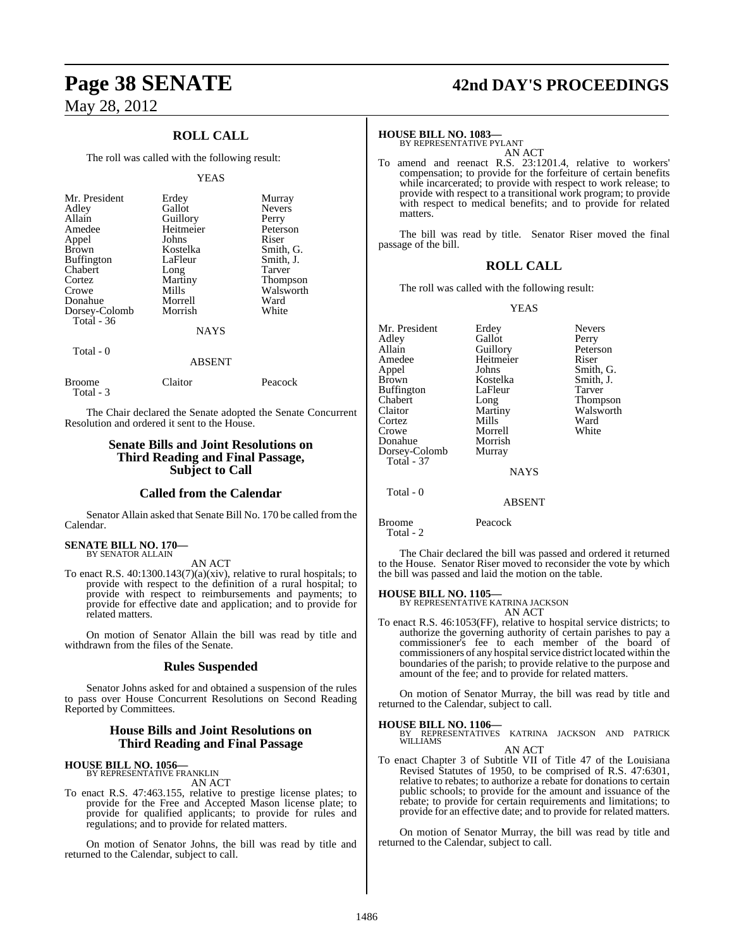### **ROLL CALL**

The roll was called with the following result:

#### YEAS

| Mr. President<br>Adley<br>Allain<br>Amedee<br>Appel<br><b>Brown</b><br><b>Buffington</b><br>Chabert<br>Cortez | Erdey<br>Gallot<br>Guillory<br>Heitmeier<br>Johns<br>Kostelka<br>LaFleur<br>Long<br>Martiny | Murray<br><b>Nevers</b><br>Perry<br>Peterson<br>Riser<br>Smith, G.<br>Smith, J.<br>Tarver<br>Thompson |
|---------------------------------------------------------------------------------------------------------------|---------------------------------------------------------------------------------------------|-------------------------------------------------------------------------------------------------------|
| Crowe                                                                                                         | Mills                                                                                       | Walsworth                                                                                             |
| Donahue<br>Dorsey-Colomb                                                                                      | Morrell<br>Morrish                                                                          | Ward<br>White                                                                                         |
| Total $-36$                                                                                                   | <b>NAYS</b>                                                                                 |                                                                                                       |
| Total - 0                                                                                                     |                                                                                             |                                                                                                       |

|                             | <b>ABSENT</b> |         |
|-----------------------------|---------------|---------|
| <b>Broome</b><br>Total $-3$ | Claitor       | Peacock |

The Chair declared the Senate adopted the Senate Concurrent Resolution and ordered it sent to the House.

### **Senate Bills and Joint Resolutions on Third Reading and Final Passage, Subject to Call**

#### **Called from the Calendar**

Senator Allain asked that Senate Bill No. 170 be called from the Calendar.

#### **SENATE BILL NO. 170—** BY SENATOR ALLAIN

AN ACT

To enact R.S. 40:1300.143(7)(a)(xiv), relative to rural hospitals; to provide with respect to the definition of a rural hospital; to provide with respect to reimbursements and payments; to provide for effective date and application; and to provide for related matters.

On motion of Senator Allain the bill was read by title and withdrawn from the files of the Senate.

### **Rules Suspended**

Senator Johns asked for and obtained a suspension of the rules to pass over House Concurrent Resolutions on Second Reading Reported by Committees.

#### **House Bills and Joint Resolutions on Third Reading and Final Passage**

### **HOUSE BILL NO. 1056—** BY REPRESENTATIVE FRANKLIN

AN ACT

To enact R.S. 47:463.155, relative to prestige license plates; to provide for the Free and Accepted Mason license plate; to provide for qualified applicants; to provide for rules and regulations; and to provide for related matters.

On motion of Senator Johns, the bill was read by title and returned to the Calendar, subject to call.

## **Page 38 SENATE 42nd DAY'S PROCEEDINGS**

#### **HOUSE BILL NO. 1083—**

BY REPRESENTATIVE PYLANT AN ACT

To amend and reenact R.S. 23:1201.4, relative to workers' compensation; to provide for the forfeiture of certain benefits while incarcerated; to provide with respect to work release; to provide with respect to a transitional work program; to provide with respect to medical benefits; and to provide for related matters.

The bill was read by title. Senator Riser moved the final passage of the bill.

#### **ROLL CALL**

The roll was called with the following result:

YEAS

| Mr. President<br>Adley<br>Allain<br>Amedee<br>Appel<br>Brown<br>Buffington<br>Chabert<br>Claitor<br>Cortez<br>Crowe<br>Donahue<br>Dorsey-Colomb<br><b>Total - 37</b> | Erdev<br>Gallot<br>Guillory<br>Heitmeier<br>Johns<br>Kostelka<br>LaFleur<br>Long<br>Martiny<br>Mills<br>Morrell<br>Morrish<br>Murray<br><b>NAYS</b> | <b>Nevers</b><br>Perry<br>Peterson<br>Riser<br>Smith, G.<br>Smith, J.<br>Tarver<br><b>Thompson</b><br>Walsworth<br>Ward<br>White |
|----------------------------------------------------------------------------------------------------------------------------------------------------------------------|-----------------------------------------------------------------------------------------------------------------------------------------------------|----------------------------------------------------------------------------------------------------------------------------------|
| Total - 0                                                                                                                                                            | <b>ABSENT</b>                                                                                                                                       |                                                                                                                                  |

Broome Peacock Total - 2

The Chair declared the bill was passed and ordered it returned to the House. Senator Riser moved to reconsider the vote by which the bill was passed and laid the motion on the table.

**HOUSE BILL NO. 1105—**

BY REPRESENTATIVE KATRINA JACKSON AN ACT

To enact R.S. 46:1053(FF), relative to hospital service districts; to authorize the governing authority of certain parishes to pay a commissioner's fee to each member of the board of commissioners of any hospital service district located within the boundaries of the parish; to provide relative to the purpose and amount of the fee; and to provide for related matters.

On motion of Senator Murray, the bill was read by title and returned to the Calendar, subject to call.

## **HOUSE BILL NO. 1106—**

BILLE NO. 1100<br>REPRESENTATIVES KATRINA JACKSON AND PATRICK **BY KEPK**<br>WILLIAMS AN ACT

To enact Chapter 3 of Subtitle VII of Title 47 of the Louisiana Revised Statutes of 1950, to be comprised of R.S. 47:6301, relative to rebates; to authorize a rebate for donations to certain public schools; to provide for the amount and issuance of the rebate; to provide for certain requirements and limitations; to provide for an effective date; and to provide for related matters.

On motion of Senator Murray, the bill was read by title and returned to the Calendar, subject to call.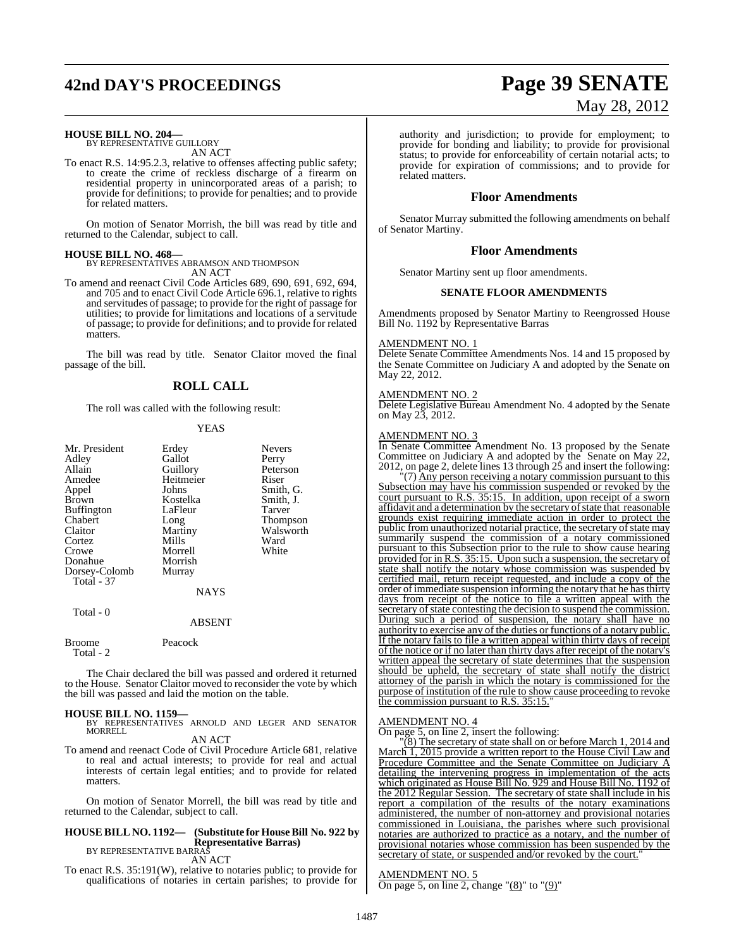## **42nd DAY'S PROCEEDINGS Page 39 SENATE**

### **HOUSE BILL NO. 204—** BY REPRESENTATIVE GUILLORY

AN ACT

To enact R.S. 14:95.2.3, relative to offenses affecting public safety; to create the crime of reckless discharge of a firearm on residential property in unincorporated areas of a parish; to provide for definitions; to provide for penalties; and to provide for related matters.

On motion of Senator Morrish, the bill was read by title and returned to the Calendar, subject to call.

#### **HOUSE BILL NO. 468—**

BY REPRESENTATIVES ABRAMSON AND THOMPSON AN ACT

To amend and reenact Civil Code Articles 689, 690, 691, 692, 694, and 705 and to enact Civil Code Article 696.1, relative to rights and servitudes of passage; to provide for the right of passage for utilities; to provide for limitations and locations of a servitude of passage; to provide for definitions; and to provide for related matters.

The bill was read by title. Senator Claitor moved the final passage of the bill.

### **ROLL CALL**

The roll was called with the following result:

#### YEAS

| Mr. President<br>Adley<br>Allain<br>Amedee<br>Appel<br>Brown<br><b>Buffington</b><br>Chabert<br>Claitor<br>Cortez<br>Crowe<br>Donahue<br>Dorsey-Colomb<br>Total - 37 | Erdey<br>Gallot<br>Guillory<br>Heitmeier<br>Johns<br>Kostelka<br>LaFleur<br>Long<br>Martiny<br>Mills<br>Morrell<br>Morrish<br>Murray | <b>Nevers</b><br>Perry<br>Peterson<br>Riser<br>Smith, G.<br>Smith, J.<br>Tarver<br>Thompson<br>Walsworth<br>Ward<br>White |
|----------------------------------------------------------------------------------------------------------------------------------------------------------------------|--------------------------------------------------------------------------------------------------------------------------------------|---------------------------------------------------------------------------------------------------------------------------|
|                                                                                                                                                                      | <b>NAYS</b>                                                                                                                          |                                                                                                                           |
| Total - 0                                                                                                                                                            |                                                                                                                                      |                                                                                                                           |

#### ABSENT

Broome Peacock Total - 2

The Chair declared the bill was passed and ordered it returned to the House. Senator Claitor moved to reconsider the vote by which the bill was passed and laid the motion on the table.

**HOUSE BILL NO. 1159—** BY REPRESENTATIVES ARNOLD AND LEGER AND SENATOR MORRELL

AN ACT

To amend and reenact Code of Civil Procedure Article 681, relative to real and actual interests; to provide for real and actual interests of certain legal entities; and to provide for related matters.

On motion of Senator Morrell, the bill was read by title and returned to the Calendar, subject to call.

### **HOUSE BILL NO. 1192— (Substitute for HouseBill No. 922 by Representative Barras)** BY REPRESENTATIVE BARRAS

AN ACT

To enact R.S. 35:191(W), relative to notaries public; to provide for qualifications of notaries in certain parishes; to provide for

authority and jurisdiction; to provide for employment; to provide for bonding and liability; to provide for provisional status; to provide for enforceability of certain notarial acts; to provide for expiration of commissions; and to provide for related matters.

#### **Floor Amendments**

Senator Murray submitted the following amendments on behalf of Senator Martiny.

#### **Floor Amendments**

Senator Martiny sent up floor amendments.

#### **SENATE FLOOR AMENDMENTS**

Amendments proposed by Senator Martiny to Reengrossed House Bill No. 1192 by Representative Barras

#### AMENDMENT NO. 1

Delete Senate Committee Amendments Nos. 14 and 15 proposed by the Senate Committee on Judiciary A and adopted by the Senate on May 22, 2012.

#### AMENDMENT NO. 2

Delete Legislative Bureau Amendment No. 4 adopted by the Senate on May 23, 2012.

#### AMENDMENT NO. 3

In Senate Committee Amendment No. 13 proposed by the Senate Committee on Judiciary A and adopted by the Senate on May 22, 2012, on page 2, delete lines 13 through 25 and insert the following:

"(7) Any person receiving a notary commission pursuant to this Subsection may have his commission suspended or revoked by the court pursuant to R.S. 35:15. In addition, upon receipt of a sworn affidavit and a determination by the secretary of state that reasonable grounds exist requiring immediate action in order to protect the public from unauthorized notarial practice, the secretary of state may summarily suspend the commission of a notary commissioned pursuant to this Subsection prior to the rule to show cause hearing provided for in R.S. 35:15. Upon such a suspension, the secretary of state shall notify the notary whose commission was suspended by certified mail, return receipt requested, and include a copy of the order of immediate suspension informing the notary that he has thirty days from receipt of the notice to file a written appeal with the secretary of state contesting the decision to suspend the commission. During such a period of suspension, the notary shall have no authority to exercise any of the duties or functions of a notary public. If the notary fails to file a written appeal within thirty days of receipt of the notice or if no later than thirty days after receipt of the notary's written appeal the secretary of state determines that the suspension should be upheld, the secretary of state shall notify the district attorney of the parish in which the notary is commissioned for the purpose of institution of the rule to show cause proceeding to revoke the commission pursuant to R.S.  $35:15$ .

#### AMENDMENT NO. 4

On page 5, on line 2, insert the following:

"(8) The secretary of state shall on or before March 1, 2014 and March 1, 2015 provide a written report to the House Civil Law and Procedure Committee and the Senate Committee on Judiciary A detailing the intervening progress in implementation of the acts which originated as House Bill No. 929 and House Bill No. 1192 of the 2012 Regular Session. The secretary of state shall include in his report a compilation of the results of the notary examinations administered, the number of non-attorney and provisional notaries commissioned in Louisiana, the parishes where such provisional notaries are authorized to practice as a notary, and the number of provisional notaries whose commission has been suspended by the secretary of state, or suspended and/or revoked by the court.

AMENDMENT NO. 5 On page 5, on line 2, change " $(8)$ " to " $(9)$ "

# May 28, 2012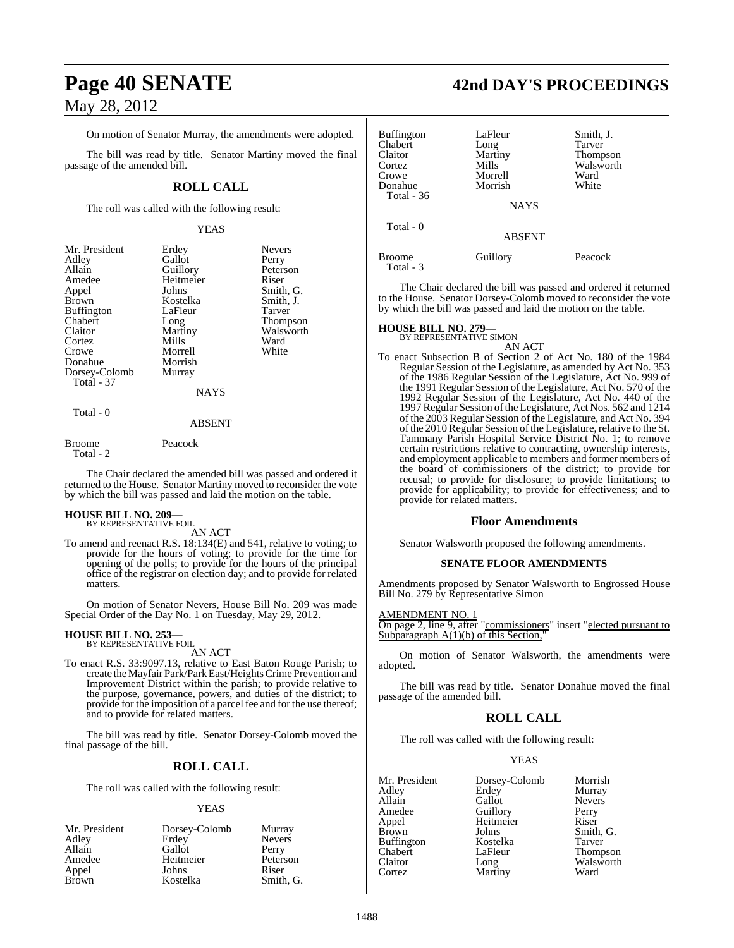On motion of Senator Murray, the amendments were adopted.

The bill was read by title. Senator Martiny moved the final passage of the amended bill.

### **ROLL CALL**

The roll was called with the following result:

#### YEAS

| Mr. President     | Erdey     | <b>Nevers</b> |
|-------------------|-----------|---------------|
| Adley             | Gallot    | Perry         |
| Allain            | Guillory  | Peterson      |
| Amedee            | Heitmeier | Riser         |
| Appel             | Johns     | Smith, G.     |
| <b>Brown</b>      | Kostelka  | Smith, J.     |
| <b>Buffington</b> | LaFleur   | Tarver        |
| Chabert           | Long      | Thompson      |
| Claitor           | Martiny   | Walsworth     |
| Cortez            | Mills     | Ward          |
| Crowe             | Morrell   | White         |
| Donahue           | Morrish   |               |
| Dorsey-Colomb     | Murray    |               |
| Total - 37        |           |               |
|                   | NAYS      |               |
|                   |           |               |

### ABSENT

#### Broome Peacock Total - 2

Total - 0

The Chair declared the amended bill was passed and ordered it returned to the House. Senator Martiny moved to reconsider the vote by which the bill was passed and laid the motion on the table.

#### **HOUSE BILL NO. 209—** BY REPRESENTATIVE FOIL

AN ACT

To amend and reenact R.S. 18:134(E) and 541, relative to voting; to provide for the hours of voting; to provide for the time for opening of the polls; to provide for the hours of the principal office of the registrar on election day; and to provide for related matters.

On motion of Senator Nevers, House Bill No. 209 was made Special Order of the Day No. 1 on Tuesday, May 29, 2012.

#### **HOUSE BILL NO. 253—** BY REPRESENTATIVE FOIL

### AN ACT

To enact R.S. 33:9097.13, relative to East Baton Rouge Parish; to create the Mayfair Park/Park East/Heights Crime Prevention and Improvement District within the parish; to provide relative to the purpose, governance, powers, and duties of the district; to provide for the imposition of a parcel fee and for the use thereof; and to provide for related matters.

The bill was read by title. Senator Dorsey-Colomb moved the final passage of the bill.

### **ROLL CALL**

The roll was called with the following result:

#### YEAS

| Mr. President | Dorsey-Colomb | Murray        |
|---------------|---------------|---------------|
| Adley         | Erdey         | <b>Nevers</b> |
| Allain        | Gallot        | Perry         |
| Amedee        | Heitmeier     | Peterson      |
| Appel         | Johns         | Riser         |
| <b>Brown</b>  | Kostelka      | Smith, G.     |

### **Page 40 SENATE 42nd DAY'S PROCEEDINGS**

| <b>Buffington</b> | LaFleur       | Smith, J. |
|-------------------|---------------|-----------|
| Chabert           | Long          | Tarver    |
| Claitor           | Martiny       | Thompson  |
| Cortez            | Mills         | Walsworth |
|                   |               |           |
| Crowe             | Morrell       | Ward      |
| Donahue           | Morrish       | White     |
| Total - 36        |               |           |
|                   | <b>NAYS</b>   |           |
| Total - 0         |               |           |
|                   | <b>ABSENT</b> |           |
| <b>Broome</b>     | Guillory      | Peacock   |
| Total - 3         |               |           |

The Chair declared the bill was passed and ordered it returned to the House. Senator Dorsey-Colomb moved to reconsider the vote by which the bill was passed and laid the motion on the table.

#### **HOUSE BILL NO. 279—**

BY REPRESENTATIVE SIMON AN ACT

To enact Subsection B of Section 2 of Act No. 180 of the 1984 Regular Session of the Legislature, as amended by Act No. 353 of the 1986 Regular Session of the Legislature, Act No. 999 of the 1991 Regular Session of the Legislature, Act No. 570 of the 1992 Regular Session of the Legislature, Act No. 440 of the 1997 Regular Session ofthe Legislature, Act Nos. 562 and 1214 of the 2003 Regular Session of the Legislature, and Act No. 394 of the 2010 Regular Session of the Legislature, relative to the St. Tammany Parish Hospital Service District No. 1; to remove certain restrictions relative to contracting, ownership interests, and employment applicable to members and former members of the board of commissioners of the district; to provide for recusal; to provide for disclosure; to provide limitations; to provide for applicability; to provide for effectiveness; and to provide for related matters.

#### **Floor Amendments**

Senator Walsworth proposed the following amendments.

#### **SENATE FLOOR AMENDMENTS**

Amendments proposed by Senator Walsworth to Engrossed House Bill No. 279 by Representative Simon

#### AMENDMENT NO. 1

On page 2, line 9, after "commissioners" insert "elected pursuant to Subparagraph  $A(1)(b)$  of this Section,

On motion of Senator Walsworth, the amendments were adopted.

The bill was read by title. Senator Donahue moved the final passage of the amended bill.

### **ROLL CALL**

The roll was called with the following result:

#### YEAS

| Mr. President | Dorsey-Colomb | Morrish       |
|---------------|---------------|---------------|
| Adley         | Erdey         | Murray        |
| Allain        | Gallot        | <b>Nevers</b> |
| Amedee        | Guillory      | Perry         |
| Appel         | Heitmeier     | Riser         |
| Brown         | Johns         | Smith, G.     |
| Buffington    | Kostelka      | Tarver        |
| Chabert       | LaFleur       | Thompson      |
| Claitor       | Long          | Walsworth     |
| Cortez        | Martiny       | Ward          |
|               |               |               |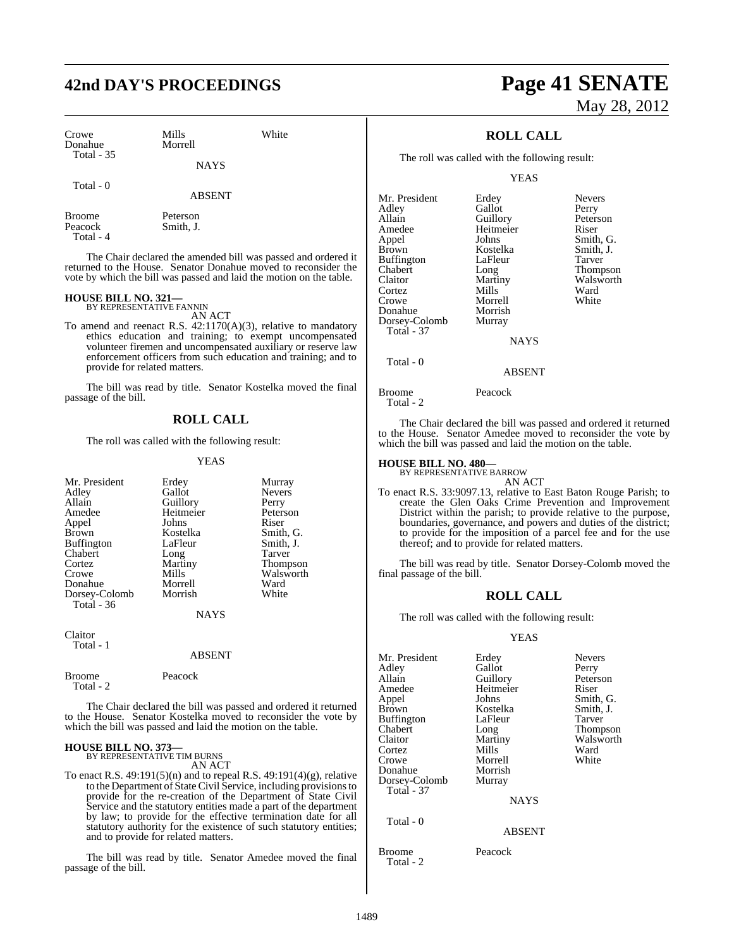### **42nd DAY'S PROCEEDINGS Page 41 SENATE**

Smith, J.

| Crowe<br>Donahue  | Mills<br>Morrell | White |
|-------------------|------------------|-------|
| <b>Total - 35</b> | <b>NAYS</b>      |       |
| Total $-0$        |                  |       |

**NAYS** ABSENT

Broome Peterson<br>Peacock Smith, J. Total - 4

The Chair declared the amended bill was passed and ordered it returned to the House. Senator Donahue moved to reconsider the vote by which the bill was passed and laid the motion on the table.

### **HOUSE BILL NO. 321—** BY REPRESENTATIVE FANNIN

AN ACT

To amend and reenact R.S. 42:1170(A)(3), relative to mandatory ethics education and training; to exempt uncompensated volunteer firemen and uncompensated auxiliary or reserve law enforcement officers from such education and training; and to provide for related matters.

The bill was read by title. Senator Kostelka moved the final passage of the bill.

### **ROLL CALL**

The roll was called with the following result:

#### YEAS

| Mr. President<br>Adley<br>Allain<br>Amedee<br>Appel<br><b>Brown</b><br><b>Buffington</b><br>Chabert<br>Cortez<br>Crowe<br>Donahue<br>Dorsey-Colomb | Erdey<br>Gallot<br>Guillory<br>Heitmeier<br>Johns<br>Kostelka<br>LaFleur<br>Long<br>Martiny<br>Mills<br>Morrell<br>Morrish | Murray<br><b>Nevers</b><br>Perry<br>Peterson<br>Riser<br>Smith, G.<br>Smith, J.<br>Tarver<br><b>Thompson</b><br>Walsworth<br>Ward<br>White |
|----------------------------------------------------------------------------------------------------------------------------------------------------|----------------------------------------------------------------------------------------------------------------------------|--------------------------------------------------------------------------------------------------------------------------------------------|
| Total - 36                                                                                                                                         | <b>NAYS</b>                                                                                                                |                                                                                                                                            |
| Claitor                                                                                                                                            |                                                                                                                            |                                                                                                                                            |

ABSENT

| Broome    | Peacock |
|-----------|---------|
| Total - 2 |         |
|           |         |

Total - 1

The Chair declared the bill was passed and ordered it returned to the House. Senator Kostelka moved to reconsider the vote by which the bill was passed and laid the motion on the table.

## **HOUSE BILL NO. 373—** BY REPRESENTATIVE TIM BURNS

AN ACT To enact R.S. 49:191(5)(n) and to repeal R.S. 49:191(4)(g), relative to the Department of State Civil Service, including provisionsto provide for the re-creation of the Department of State Civil Service and the statutory entities made a part of the department by law; to provide for the effective termination date for all statutory authority for the existence of such statutory entities; and to provide for related matters.

The bill was read by title. Senator Amedee moved the final passage of the bill.

# May 28, 2012

### **ROLL CALL**

The roll was called with the following result:

YEAS

| Mr. President<br>Adley<br>Allain<br>Amedee | Erdey<br>Gallot<br>Guillory<br>Heitmeier | <b>Nevers</b><br>Perry<br>Peterson<br>Riser |
|--------------------------------------------|------------------------------------------|---------------------------------------------|
| Appel                                      | Johns                                    | Smith, G.                                   |
| <b>Brown</b>                               | Kostelka                                 | Smith, J.                                   |
| <b>Buffington</b>                          | LaFleur                                  | Tarver                                      |
| Chabert                                    | Long                                     | Thompson                                    |
| Claitor                                    | Martiny                                  | Walsworth                                   |
| Cortez                                     | Mills                                    | Ward                                        |
| Crowe                                      | Morrell                                  | White                                       |
| Donahue                                    | Morrish                                  |                                             |
| Dorsey-Colomb                              | Murray                                   |                                             |
| <b>Total - 37</b>                          |                                          |                                             |
|                                            | <b>NAYS</b>                              |                                             |
|                                            |                                          |                                             |

ABSENT

Total - 0

Broome Peacock

Total - 2

The Chair declared the bill was passed and ordered it returned to the House. Senator Amedee moved to reconsider the vote by which the bill was passed and laid the motion on the table.

### **HOUSE BILL NO. 480—** BY REPRESENTATIVE BARROW

AN ACT

To enact R.S. 33:9097.13, relative to East Baton Rouge Parish; to create the Glen Oaks Crime Prevention and Improvement District within the parish; to provide relative to the purpose, boundaries, governance, and powers and duties of the district; to provide for the imposition of a parcel fee and for the use thereof; and to provide for related matters.

The bill was read by title. Senator Dorsey-Colomb moved the final passage of the bill.

### **ROLL CALL**

The roll was called with the following result:

#### YEAS

| Mr. President<br>Adley<br>Allain<br>Amedee<br>Appel<br><b>Brown</b><br><b>Buffington</b><br>Chabert<br>Claitor<br>Cortez<br>Crowe<br>Donahue<br>Dorsey-Colomb | Erdey<br>Gallot<br>Guillory<br>Heitmeier<br>Johns<br>Kostelka<br>LaFleur<br>Long<br>Martiny<br>Mills<br>Morrell<br>Morrish<br>Murray | <b>Nevers</b><br>Perry<br>Peterson<br>Riser<br>Smith, G.<br>Smith, J.<br>Tarver<br>Thompson<br>Walsworth<br>Ward<br>White |
|---------------------------------------------------------------------------------------------------------------------------------------------------------------|--------------------------------------------------------------------------------------------------------------------------------------|---------------------------------------------------------------------------------------------------------------------------|
| <b>Total - 37</b><br>Total - 0                                                                                                                                | <b>NAYS</b>                                                                                                                          |                                                                                                                           |

ABSENT

Broome Peacock Total - 2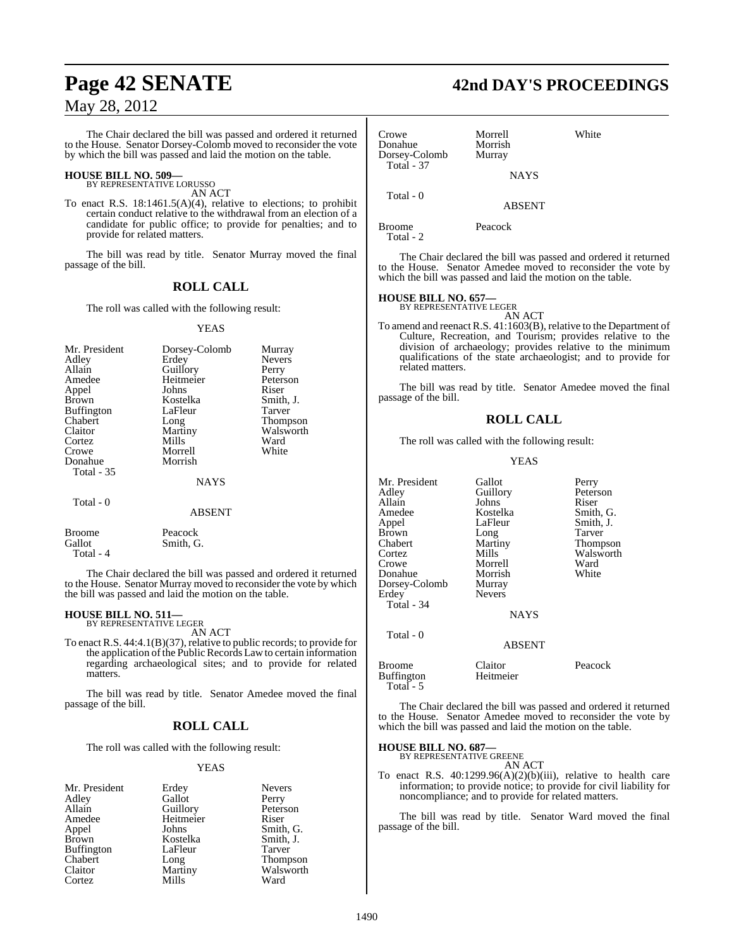The Chair declared the bill was passed and ordered it returned to the House. Senator Dorsey-Colomb moved to reconsider the vote by which the bill was passed and laid the motion on the table.

### **HOUSE BILL NO. 509—** BY REPRESENTATIVE LORUSSO

AN ACT

To enact R.S. 18:1461.5(A)(4), relative to elections; to prohibit certain conduct relative to the withdrawal from an election of a candidate for public office; to provide for penalties; and to provide for related matters.

The bill was read by title. Senator Murray moved the final passage of the bill.

### **ROLL CALL**

The roll was called with the following result:

#### YEAS

| Mr. President     | Dorsey-Colomb | Murray        |
|-------------------|---------------|---------------|
| Adley             | Erdey         | <b>Nevers</b> |
| Allain            | Guillory      | Perry         |
| Amedee            | Heitmeier     | Peterson      |
| Appel             | Johns         | Riser         |
| <b>Brown</b>      | Kostelka      | Smith, J.     |
| <b>Buffington</b> | LaFleur       | Tarver        |
| Chabert           | Long          | Thompson      |
| Claitor           | Martiny       | Walsworth     |
| Cortez            | Mills         | Ward          |
| Crowe             | Morrell       | White         |
| Donahue           | Morrish       |               |
| <b>Total</b> - 35 |               |               |
|                   | <b>NAYS</b>   |               |
| Total - 0         | <b>ABSENT</b> |               |

Broome Peacock<br>Gallot Smith, C Smith, G. Total - 4

The Chair declared the bill was passed and ordered it returned to the House. Senator Murray moved to reconsider the vote by which the bill was passed and laid the motion on the table.

### **HOUSE BILL NO. 511—** BY REPRESENTATIVE LEGER

AN ACT

To enact R.S. 44:4.1(B)(37), relative to public records; to provide for the application of the Public Records Law to certain information regarding archaeological sites; and to provide for related matters.

The bill was read by title. Senator Amedee moved the final passage of the bill.

### **ROLL CALL**

The roll was called with the following result:

#### YEAS

Perry Peterson<br>Riser

Smith, G. Smith, J. Tarver Thompson Walsworth<br>Ward

| Mr. President | Erdey     | <b>Nevers</b> |
|---------------|-----------|---------------|
| Adley         | Gallot    | Perry         |
| Allain        | Guillory  | Peterso       |
| Amedee        | Heitmeier | Riser         |
| Appel         | Johns     | Smith,        |
| Brown         | Kostelka  | Smith,        |
| Buffington    | LaFleur   | Tarver        |
| Chabert       | Long      | Thomp         |
| Claitor       | Martiny   | Walsw         |
| Cortez        | Mills     | Ward          |
|               |           |               |

**Page 42 SENATE 42nd DAY'S PROCEEDINGS**

| Crowe<br>Donahue<br>Dorsey-Colomb<br><b>Total - 37</b>                                                                                                                                        | Morrell<br>Morrish<br>Murray<br><b>NAYS</b> | White |
|-----------------------------------------------------------------------------------------------------------------------------------------------------------------------------------------------|---------------------------------------------|-------|
| Total - 0                                                                                                                                                                                     | <b>ABSENT</b>                               |       |
| Broome<br>Total - 2                                                                                                                                                                           | Peacock                                     |       |
| The Chair declared the bill was passed and ordered it returned<br>to the House. Senator Amedee moved to reconsider the vote by<br>which the bill was passed and laid the motion on the table. |                                             |       |

### **HOUSE BILL NO. 657—** BY REPRESENTATIVE LEGER

AN ACT

To amend and reenact R.S. 41:1603(B), relative to the Department of Culture, Recreation, and Tourism; provides relative to the division of archaeology; provides relative to the minimum qualifications of the state archaeologist; and to provide for related matters.

The bill was read by title. Senator Amedee moved the final passage of the bill.

#### **ROLL CALL**

The roll was called with the following result:

#### YEAS

| Mr. President<br>Adley<br>Allain<br>Amedee<br>Appel<br>Brown<br>Chabert<br>Cortez<br>Crowe<br>Donahue<br>Dorsey-Colomb<br>Erdey | Gallot<br>Guillory<br>Johns<br>Kostelka<br>LaFleur<br>Long<br>Martiny<br>Mills<br>Morrell<br>Morrish<br>Murray<br><b>Nevers</b> | Perry<br>Peterson<br>Riser<br>Smith, G.<br>Smith, J.<br>Tarver<br>Thompson<br>Walsworth<br>Ward<br>White |
|---------------------------------------------------------------------------------------------------------------------------------|---------------------------------------------------------------------------------------------------------------------------------|----------------------------------------------------------------------------------------------------------|
| Total - 34<br>Total - 0                                                                                                         | <b>NAYS</b><br><b>ABSENT</b>                                                                                                    |                                                                                                          |
| <b>Broome</b>                                                                                                                   | Claitor                                                                                                                         | Peacock                                                                                                  |

Buffington Heitmeier Total - 5

The Chair declared the bill was passed and ordered it returned to the House. Senator Amedee moved to reconsider the vote by which the bill was passed and laid the motion on the table.

#### **HOUSE BILL NO. 687—**

BY REPRESENTATIVE GREENE AN ACT

To enact R.S. 40:1299.96(A)(2)(b)(iii), relative to health care information; to provide notice; to provide for civil liability for noncompliance; and to provide for related matters.

The bill was read by title. Senator Ward moved the final passage of the bill.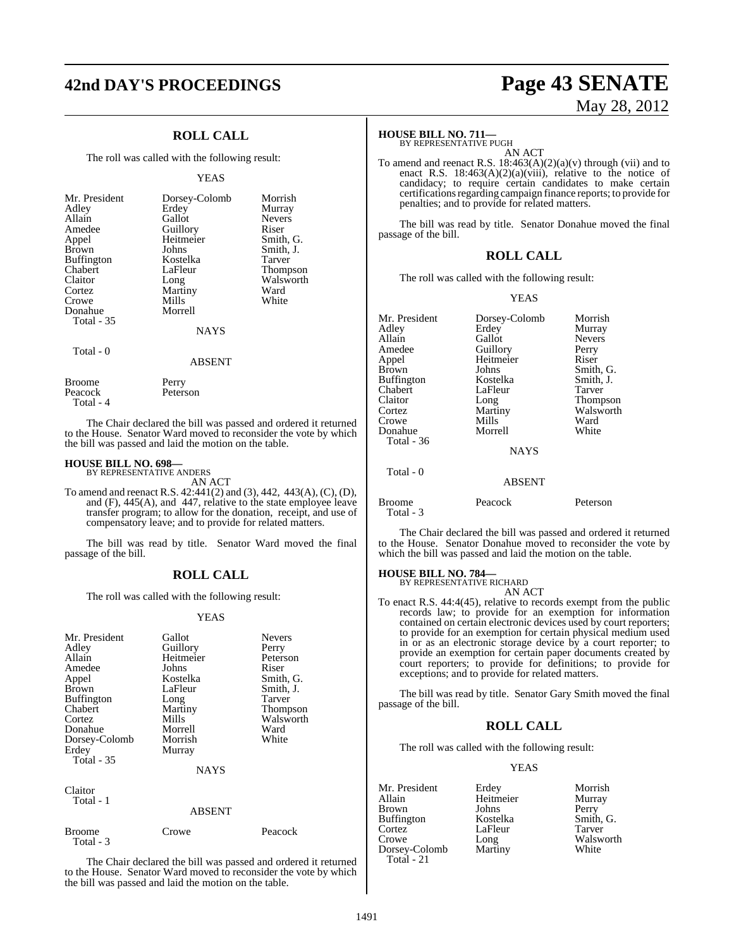## **42nd DAY'S PROCEEDINGS Page 43 SENATE**

### **ROLL CALL**

The roll was called with the following result:

#### YEAS

| Mr. President<br>Adley<br>Allain<br>Amedee<br>Appel<br>Brown<br><b>Buffington</b><br>Chabert<br>Claitor<br>Cortez<br>Crowe<br>Donahue<br>Total - 35 | Dorsey-Colomb<br>Erdey<br>Gallot<br>Guillory<br>Heitmeier<br>Johns<br>Kostelka<br>LaFleur<br>Long<br>Martiny<br>Mills<br>Morrell<br><b>NAYS</b> | Morrish<br>Murray<br><b>Nevers</b><br>Riser<br>Smith, G.<br>Smith, J.<br>Tarver<br><b>Thompson</b><br>Walsworth<br>Ward<br>White |
|-----------------------------------------------------------------------------------------------------------------------------------------------------|-------------------------------------------------------------------------------------------------------------------------------------------------|----------------------------------------------------------------------------------------------------------------------------------|
| Total $-0$                                                                                                                                          | <b>ABSENT</b>                                                                                                                                   |                                                                                                                                  |
| Broome                                                                                                                                              | Perry                                                                                                                                           |                                                                                                                                  |

 Total - 4 The Chair declared the bill was passed and ordered it returned to the House. Senator Ward moved to reconsider the vote by which the bill was passed and laid the motion on the table.

### **HOUSE BILL NO. 698—** BY REPRESENTATIVE ANDERS

Total - 3

Peacock Peterson

AN ACT

To amend and reenact R.S. 42:441(2) and (3), 442, 443(A), (C), (D), and (F), 445(A), and 447, relative to the state employee leave transfer program; to allow for the donation, receipt, and use of compensatory leave; and to provide for related matters.

The bill was read by title. Senator Ward moved the final passage of the bill.

#### **ROLL CALL**

The roll was called with the following result:

#### YEAS

| Mr. President<br>Adley<br>Allain<br>Amedee<br>Appel<br><b>Brown</b><br>Buffington<br>Chabert<br>Cortez<br>Donahue<br>Dorsey-Colomb<br>Erdey<br><b>Total - 35</b> | Gallot<br>Guillory<br>Heitmeier<br>Johns<br>Kostelka<br>LaFleur<br>Long<br>Martiny<br>Mills<br>Morrell<br>Morrish<br>Murray<br><b>NAYS</b> | <b>Nevers</b><br>Perry<br>Peterson<br>Riser<br>Smith, G.<br>Smith, J.<br>Tarver<br>Thompson<br>Walsworth<br>Ward<br>White |
|------------------------------------------------------------------------------------------------------------------------------------------------------------------|--------------------------------------------------------------------------------------------------------------------------------------------|---------------------------------------------------------------------------------------------------------------------------|
| Claitor<br>Total - 1                                                                                                                                             | <b>ABSENT</b>                                                                                                                              |                                                                                                                           |
| Broome                                                                                                                                                           | Crowe                                                                                                                                      | Peacock                                                                                                                   |

The Chair declared the bill was passed and ordered it returned to the House. Senator Ward moved to reconsider the vote by which the bill was passed and laid the motion on the table.

# May 28, 2012

### **HOUSE BILL NO. 711—**

BY REPRESENTATIVE PUGH AN ACT

To amend and reenact R.S.  $18:463(A)(2)(a)(v)$  through (vii) and to enact R.S.  $18:463(A)(2)(a)(viii)$ , relative to the notice of candidacy; to require certain candidates to make certain certifications regarding campaign finance reports; to provide for penalties; and to provide for related matters.

The bill was read by title. Senator Donahue moved the final passage of the bill.

#### **ROLL CALL**

The roll was called with the following result:

#### YEAS

| Mr. President<br>Adley<br>Allain<br>Amedee<br>Appel<br><b>Brown</b><br>Buffington<br>Chabert<br>Claitor | Dorsey-Colomb<br>Erdey<br>Gallot<br>Guillory<br>Heitmeier<br>Johns<br>Kostelka<br>LaFleur<br>Long | Morrish<br>Murray<br><b>Nevers</b><br>Perry<br>Riser<br>Smith, G.<br>Smith, J.<br>Tarver<br>Thompson |
|---------------------------------------------------------------------------------------------------------|---------------------------------------------------------------------------------------------------|------------------------------------------------------------------------------------------------------|
| Cortez                                                                                                  | Martiny                                                                                           | Walsworth                                                                                            |
| Crowe                                                                                                   | Mills                                                                                             | Ward                                                                                                 |
| Donahue                                                                                                 | Morrell                                                                                           | White                                                                                                |
| <b>Total - 36</b>                                                                                       |                                                                                                   |                                                                                                      |
|                                                                                                         | <b>NAYS</b>                                                                                       |                                                                                                      |
| Total - 0                                                                                               | <b>ABSENT</b>                                                                                     |                                                                                                      |
| Broome<br>Total - 3                                                                                     | Peacock                                                                                           | Peterson                                                                                             |

The Chair declared the bill was passed and ordered it returned to the House. Senator Donahue moved to reconsider the vote by which the bill was passed and laid the motion on the table.

### **HOUSE BILL NO. 784—** BY REPRESENTATIVE RICHARD

AN ACT

To enact R.S. 44:4(45), relative to records exempt from the public records law; to provide for an exemption for information contained on certain electronic devices used by court reporters; to provide for an exemption for certain physical medium used in or as an electronic storage device by a court reporter; to provide an exemption for certain paper documents created by court reporters; to provide for definitions; to provide for exceptions; and to provide for related matters.

The bill was read by title. Senator Gary Smith moved the final passage of the bill.

#### **ROLL CALL**

The roll was called with the following result:

#### YEAS

| Mr. President               | Erdey     | Morrish   |
|-----------------------------|-----------|-----------|
| Allain                      | Heitmeier | Murray    |
| <b>Brown</b>                | Johns     | Perry     |
| <b>Buffington</b>           | Kostelka  | Smith, G. |
| Cortez                      | LaFleur   | Tarver    |
| Crowe                       | Long      | Walsworth |
| Dorsey-Colomb<br>Total - 21 | Martiny   | White     |
|                             |           |           |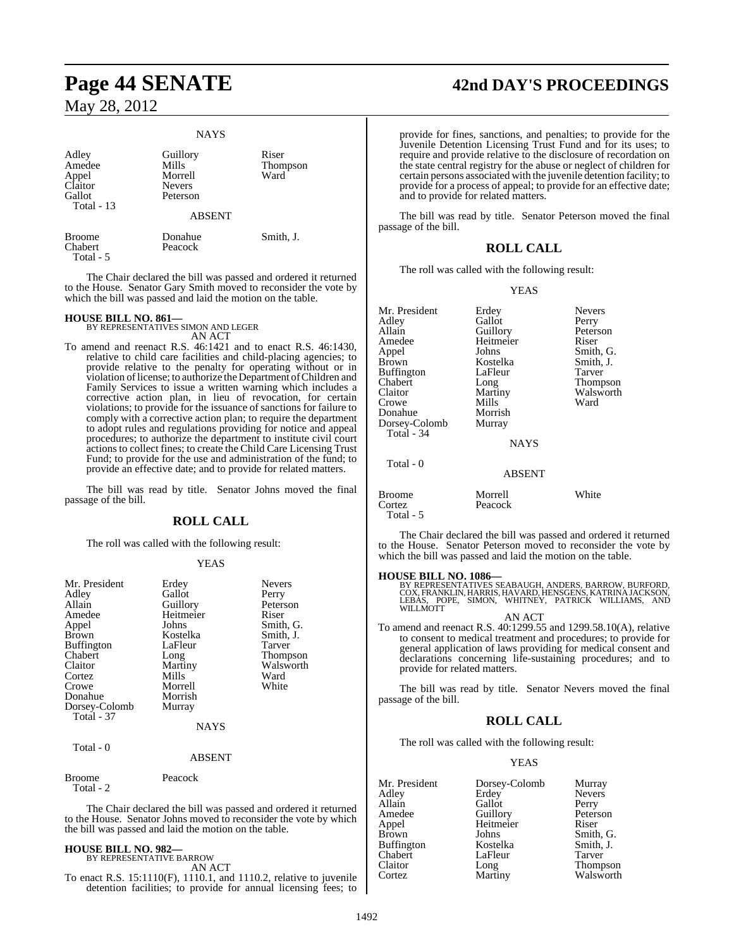#### **NAYS**

| Adley<br>Amedee<br>Appel<br>Claitor<br>Gallot<br>Total - 13 | Guillory<br>Mills<br>Morrell<br><b>Nevers</b><br>Peterson | Riser<br><b>Thompson</b><br>Ward |
|-------------------------------------------------------------|-----------------------------------------------------------|----------------------------------|
|                                                             | <b>ABSENT</b>                                             |                                  |
| <b>Broome</b><br>Chabert<br>Total - 5                       | Donahue<br>Peacock                                        | Smith, J.                        |

The Chair declared the bill was passed and ordered it returned to the House. Senator Gary Smith moved to reconsider the vote by which the bill was passed and laid the motion on the table.

**HOUSE BILL NO. 861—** BY REPRESENTATIVES SIMON AND LEGER AN ACT

To amend and reenact R.S. 46:1421 and to enact R.S. 46:1430, relative to child care facilities and child-placing agencies; to provide relative to the penalty for operating without or in violation of license; to authorize the Department of Children and Family Services to issue a written warning which includes a corrective action plan, in lieu of revocation, for certain violations; to provide for the issuance of sanctions for failure to comply with a corrective action plan; to require the department to adopt rules and regulations providing for notice and appeal procedures; to authorize the department to institute civil court actions to collect fines; to create the Child Care Licensing Trust Fund; to provide for the use and administration of the fund; to provide an effective date; and to provide for related matters.

The bill was read by title. Senator Johns moved the final passage of the bill.

### **ROLL CALL**

The roll was called with the following result:

#### YEAS

| Mr. President<br>Adley<br>Allain<br>Amedee<br>Appel<br>Brown<br><b>Buffington</b><br>Chabert<br>Claitor<br>Cortez<br>Crowe<br>Donahue<br>Dorsey-Colomb<br>Total - 37 | Erdey<br>Gallot<br>Guillory<br>Heitmeier<br>Johns<br>Kostelka<br>LaFleur<br>Long<br>Martiny<br>Mills<br>Morrell<br>Morrish<br>Murray<br>NAYS | <b>Nevers</b><br>Perry<br>Peterson<br>Riser<br>Smith, G.<br>Smith, J.<br>Tarver<br>Thompson<br>Walsworth<br>Ward<br>White |
|----------------------------------------------------------------------------------------------------------------------------------------------------------------------|----------------------------------------------------------------------------------------------------------------------------------------------|---------------------------------------------------------------------------------------------------------------------------|
| Total - 0                                                                                                                                                            | <b>ABSENT</b>                                                                                                                                |                                                                                                                           |
| Broome<br>Total - 2                                                                                                                                                  | Peacock                                                                                                                                      |                                                                                                                           |

The Chair declared the bill was passed and ordered it returned to the House. Senator Johns moved to reconsider the vote by which the bill was passed and laid the motion on the table.

#### **HOUSE BILL NO. 982—** BY REPRESENTATIVE BARROW

AN ACT

To enact R.S. 15:1110(F), 1110.1, and 1110.2, relative to juvenile detention facilities; to provide for annual licensing fees; to

### **Page 44 SENATE 42nd DAY'S PROCEEDINGS**

provide for fines, sanctions, and penalties; to provide for the Juvenile Detention Licensing Trust Fund and for its uses; to require and provide relative to the disclosure of recordation on the state central registry for the abuse or neglect of children for certain persons associated with the juvenile detention facility; to provide for a process of appeal; to provide for an effective date; and to provide for related matters.

The bill was read by title. Senator Peterson moved the final passage of the bill.

#### **ROLL CALL**

The roll was called with the following result:

#### YEAS

| Mr. President     | Erdey         | <b>Nevers</b> |
|-------------------|---------------|---------------|
| Adley             | Gallot        | Perry         |
| Allain            | Guillory      | Peterson      |
| Amedee            | Heitmeier     | Riser         |
| Appel             | Johns         | Smith, G.     |
| <b>Brown</b>      | Kostelka      | Smith, J.     |
| <b>Buffington</b> | LaFleur       | Tarver        |
| Chabert           | Long          | Thompson      |
| Claitor           | Martiny       | Walsworth     |
| Crowe             | Mills         | Ward          |
| Donahue           | Morrish       |               |
| Dorsey-Colomb     | Murray        |               |
| Total - 34        |               |               |
|                   | <b>NAYS</b>   |               |
| Total - 0         |               |               |
|                   | <b>ABSENT</b> |               |
| Broome            | Morrell       | White         |

| Cortez    | Peacock                                       |  |
|-----------|-----------------------------------------------|--|
| Total - 5 |                                               |  |
|           | The Chair dealered the bill wes nessed and or |  |

Chair declared the bill was passed and ordered it returned to the House. Senator Peterson moved to reconsider the vote by which the bill was passed and laid the motion on the table.

#### **HOUSE BILL NO. 1086—**

BY REPRESENTATIVES SEABAUGH, ANDERS, BARROW, BURFORD, COX, FRANKLIN, HARRIS, HAVARD, HENSGENS, KATRINA JACKSON,<br>LEBAS, POPE, SIMON, WHITNEY, PATRICK WILLIAMS, AND<br>WILLMOTT

AN ACT

To amend and reenact R.S. 40:1299.55 and 1299.58.10(A), relative to consent to medical treatment and procedures; to provide for general application of laws providing for medical consent and declarations concerning life-sustaining procedures; and to provide for related matters.

The bill was read by title. Senator Nevers moved the final passage of the bill.

### **ROLL CALL**

The roll was called with the following result:

#### YEAS

| Mr. President | Dorsey-Colomb | Murray        |
|---------------|---------------|---------------|
| Adlev         | Erdey         | <b>Nevers</b> |
| Allain        | Gallot        | Perry         |
| Amedee        | Guillory      | Peterson      |
| Appel         | Heitmeier     | Riser         |
| Brown         | Johns         | Smith, G.     |
| Buffington    | Kostelka      | Smith, J.     |
| Chabert       | LaFleur       | Tarver        |
| Claitor       | Long          | Thompson      |
| Cortez        | Martiny       | Walsworth     |
|               |               |               |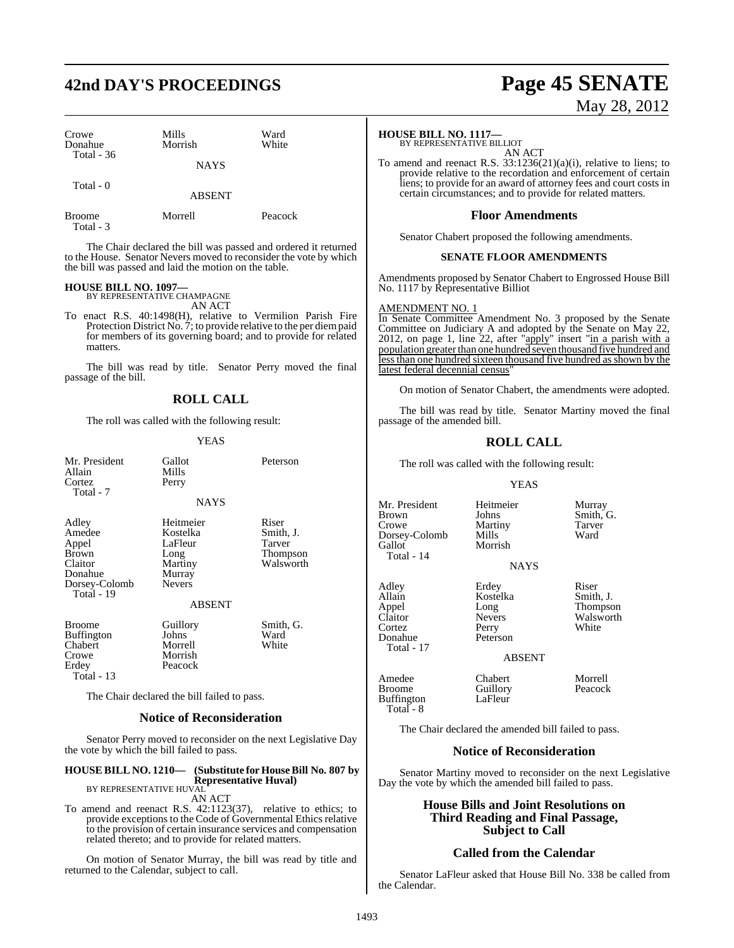### **42nd DAY'S PROCEEDINGS Page 45 SENATE**

| Crowe<br>Donahue<br>Total $-36$ | Mills<br>Morrish | Ward<br>White |
|---------------------------------|------------------|---------------|
|                                 | <b>NAYS</b>      |               |
| Total - 0                       | <b>ABSENT</b>    |               |

Broome Morrell Peacock Total - 3

The Chair declared the bill was passed and ordered it returned to the House. Senator Nevers moved to reconsider the vote by which the bill was passed and laid the motion on the table.

#### **HOUSE BILL NO. 1097—**

BY REPRESENTATIVE CHAMPAGNE AN ACT

To enact R.S. 40:1498(H), relative to Vermilion Parish Fire Protection District No. 7; to provide relative to the per diempaid for members of its governing board; and to provide for related matters.

The bill was read by title. Senator Perry moved the final passage of the bill.

### **ROLL CALL**

The roll was called with the following result:

#### YEAS

| Mr. President<br>Allain<br>Cortez<br>Total - 7                                                | Gallot<br>Mills<br>Perry                                                       | Peterson                                              |
|-----------------------------------------------------------------------------------------------|--------------------------------------------------------------------------------|-------------------------------------------------------|
|                                                                                               | <b>NAYS</b>                                                                    |                                                       |
| Adley<br>Amedee<br>Appel<br><b>Brown</b><br>Claitor<br>Donahue<br>Dorsey-Colomb<br>Total - 19 | Heitmeier<br>Kostelka<br>LaFleur<br>Long<br>Martiny<br>Murray<br><b>Nevers</b> | Riser<br>Smith, J.<br>Tarver<br>Thompson<br>Walsworth |
|                                                                                               | <b>ABSENT</b>                                                                  |                                                       |
| Broome<br><b>Buffington</b><br>Chabert<br>Crowe<br>Erdey<br>Total - 13                        | Guillory<br>Johns<br>Morrell<br>Morrish<br>Peacock                             | Smith, G.<br>Ward<br>White                            |
|                                                                                               | The Chair declared the bill failed to pass.                                    |                                                       |

#### **Notice of Reconsideration**

Senator Perry moved to reconsider on the next Legislative Day the vote by which the bill failed to pass.

#### **HOUSE BILL NO. 1210— (Substitute for House Bill No. 807 by Representative Huval)**

BY REPRESENTATIVE HUVAL AN ACT

To amend and reenact R.S. 42:1123(37), relative to ethics; to provide exceptions to the Code of Governmental Ethics relative to the provision of certain insurance services and compensation related thereto; and to provide for related matters.

On motion of Senator Murray, the bill was read by title and returned to the Calendar, subject to call.

# May 28, 2012

#### **HOUSE BILL NO. 1117—**

BY REPRESENTATIVE BILLIOT AN ACT

To amend and reenact R.S. 33:1236(21)(a)(i), relative to liens; to provide relative to the recordation and enforcement of certain liens; to provide for an award of attorney fees and court costs in certain circumstances; and to provide for related matters.

### **Floor Amendments**

Senator Chabert proposed the following amendments.

#### **SENATE FLOOR AMENDMENTS**

Amendments proposed by Senator Chabert to Engrossed House Bill No. 1117 by Representative Billiot

#### AMENDMENT NO. 1

In Senate Committee Amendment No. 3 proposed by the Senate Committee on Judiciary A and adopted by the Senate on May 22, 2012, on page 1, line 22, after "apply" insert "in a parish with a population greater than one hundred seven thousand five hundred and lessthan one hundred sixteen thousand five hundred asshown by the latest federal decennial census'

On motion of Senator Chabert, the amendments were adopted.

The bill was read by title. Senator Martiny moved the final passage of the amended bill.

### **ROLL CALL**

The roll was called with the following result:

#### YEAS

| Mr. President<br><b>Brown</b><br>Crowe<br>Dorsey-Colomb<br>Gallot<br>Total - 14 | Heitmeier<br>Johns<br>Martiny<br>Mills<br>Morrish<br><b>NAYS</b>                 | Murray<br>Smith, G.<br>Tarver<br>Ward               |
|---------------------------------------------------------------------------------|----------------------------------------------------------------------------------|-----------------------------------------------------|
| Adley<br>Allain<br>Appel<br>Claitor<br>Cortez<br>Donahue<br>Total - 17          | Erdey<br>Kostelka<br>Long<br><b>Nevers</b><br>Perry<br>Peterson<br><b>ABSENT</b> | Riser<br>Smith, J.<br>Thompson<br>Walswort<br>White |
| Amedee<br>Broome                                                                | Chabert<br>Guillory                                                              | Morrell<br>Peacock                                  |

Thompson Walsworth<br>White

Buffington

Guillory Peacock<br>LaFleur

Total - 8

The Chair declared the amended bill failed to pass.

### **Notice of Reconsideration**

Senator Martiny moved to reconsider on the next Legislative Day the vote by which the amended bill failed to pass.

### **House Bills and Joint Resolutions on Third Reading and Final Passage, Subject to Call**

### **Called from the Calendar**

Senator LaFleur asked that House Bill No. 338 be called from the Calendar.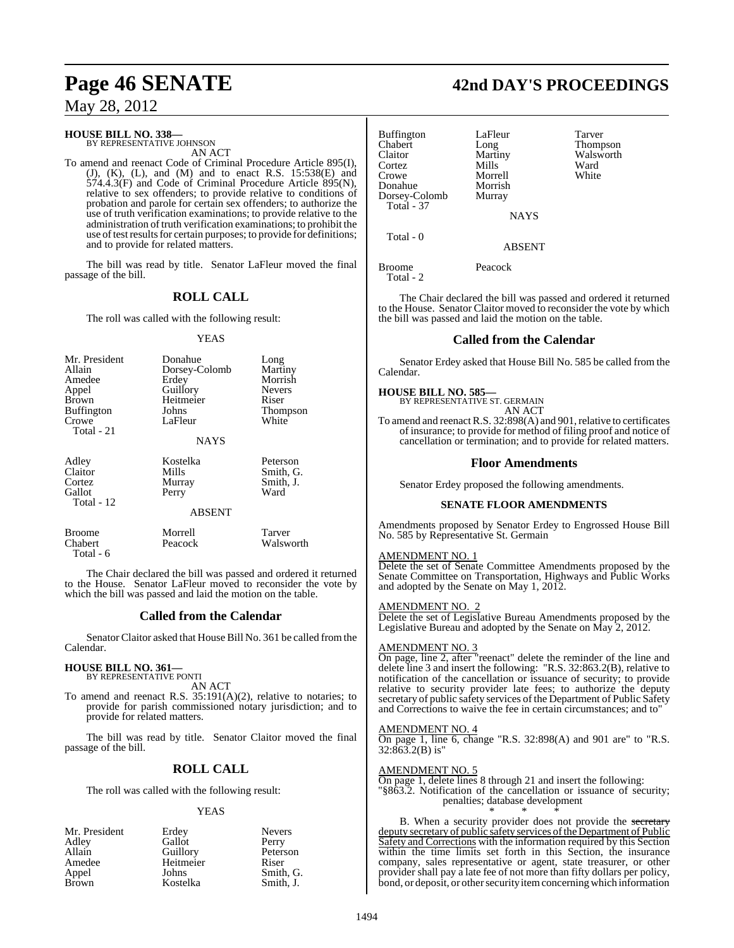## **Page 46 SENATE 42nd DAY'S PROCEEDINGS**

May 28, 2012

### **HOUSE BILL NO. 338—** BY REPRESENTATIVE JOHNSON

AN ACT

To amend and reenact Code of Criminal Procedure Article 895(I),  $(J)$ ,  $(K)$ ,  $(L)$ , and  $(M)$  and to enact R.S. 15:538 $(E)$  and  $574.4.3$ (F) and Code of Criminal Procedure Article 895(N), relative to sex offenders; to provide relative to conditions of probation and parole for certain sex offenders; to authorize the use of truth verification examinations; to provide relative to the administration of truth verification examinations; to prohibit the use of test results for certain purposes; to provide for definitions; and to provide for related matters.

The bill was read by title. Senator LaFleur moved the final passage of the bill.

### **ROLL CALL**

The roll was called with the following result:

#### YEAS

| Mr. President<br>Allain<br>Amedee<br>Appel<br><b>Brown</b><br><b>Buffington</b><br>Crowe<br>Total - 21 | Donahue<br>Dorsey-Colomb<br>Erdey<br>Guillory<br>Heitmeier<br>Johns<br>LaFleur<br><b>NAYS</b> | Long<br>Martiny<br>Morrish<br><b>Nevers</b><br>Riser<br>Thompson<br>White |
|--------------------------------------------------------------------------------------------------------|-----------------------------------------------------------------------------------------------|---------------------------------------------------------------------------|
| Adley<br>Claitor<br>Cortez<br>Gallot<br>Total - 12                                                     | Kostelka<br>Mills<br>Murray<br>Perry<br><b>ABSENT</b>                                         | Peterson<br>Smith, G.<br>Smith, J.<br>Ward                                |
| <b>Broome</b>                                                                                          | Morrell                                                                                       | Tarver                                                                    |

Chabert Peacock Walsworth

The Chair declared the bill was passed and ordered it returned to the House. Senator LaFleur moved to reconsider the vote by which the bill was passed and laid the motion on the table.

#### **Called from the Calendar**

Senator Claitor asked that House Bill No. 361 be called fromthe Calendar.

## **HOUSE BILL NO. 361—** BY REPRESENTATIVE PONTI

Total - 6

AN ACT

To amend and reenact R.S. 35:191(A)(2), relative to notaries; to provide for parish commissioned notary jurisdiction; and to provide for related matters.

The bill was read by title. Senator Claitor moved the final passage of the bill.

### **ROLL CALL**

The roll was called with the following result:

#### YEAS

| Mr. President | Erdey     | <b>Nevers</b> |
|---------------|-----------|---------------|
| Adley         | Gallot    | Perry         |
| Allain        | Guillory  | Peterson      |
| Amedee        | Heitmeier | Riser         |
| Appel         | Johns     | Smith, G.     |
| Brown         | Kostelka  | Smith, J.     |

| <b>42nd DAY'S PROCEEDING</b> |
|------------------------------|
|------------------------------|

| Buffington<br>Chabert<br>Claitor<br>Cortez<br>Crowe<br>Donahue<br>Dorsey-Colomb<br>Total - 37 | LaFleur<br>Long<br>Martiny<br>Mills<br>Morrell<br>Morrish<br>Murray | Tarver<br>Thompson<br>Walsworth<br>Ward<br>White |
|-----------------------------------------------------------------------------------------------|---------------------------------------------------------------------|--------------------------------------------------|
|                                                                                               | <b>NAYS</b>                                                         |                                                  |
| Total - 0                                                                                     | <b>ABSENT</b>                                                       |                                                  |
| Broome<br>Total - 2                                                                           | Peacock                                                             |                                                  |

The Chair declared the bill was passed and ordered it returned to the House. Senator Claitor moved to reconsider the vote by which the bill was passed and laid the motion on the table.

### **Called from the Calendar**

Senator Erdey asked that House Bill No. 585 be called from the Calendar.

## **HOUSE BILL NO. 585—** BY REPRESENTATIVE ST. GERMAIN

AN ACT

To amend and reenact R.S. 32:898(A) and 901, relative to certificates of insurance; to provide for method of filing proof and notice of cancellation or termination; and to provide for related matters.

#### **Floor Amendments**

Senator Erdey proposed the following amendments.

#### **SENATE FLOOR AMENDMENTS**

Amendments proposed by Senator Erdey to Engrossed House Bill No. 585 by Representative St. Germain

#### AMENDMENT NO. 1

Delete the set of Senate Committee Amendments proposed by the Senate Committee on Transportation, Highways and Public Works and adopted by the Senate on May 1, 2012.

#### AMENDMENT NO. 2

Delete the set of Legislative Bureau Amendments proposed by the Legislative Bureau and adopted by the Senate on May 2, 2012.

#### AMENDMENT NO. 3

On page, line 2, after "reenact" delete the reminder of the line and delete line 3 and insert the following: "R.S. 32:863.2(B), relative to notification of the cancellation or issuance of security; to provide relative to security provider late fees; to authorize the deputy secretary of public safety services of the Department of Public Safety and Corrections to waive the fee in certain circumstances; and to"

#### AMENDMENT NO. 4

On page 1, line 6, change "R.S. 32:898(A) and 901 are" to "R.S. 32:863.2(B) is"

#### AMENDMENT NO. 5

On page 1, delete lines 8 through 21 and insert the following: "§863.2. Notification of the cancellation or issuance of security; penalties; database development \* \* \*

B. When a security provider does not provide the secretary deputy secretary of public safety services of the Department of Public Safety and Corrections with the information required by this Section within the time limits set forth in this Section, the insurance company, sales representative or agent, state treasurer, or other provider shall pay a late fee of not more than fifty dollars per policy, bond, or deposit, or other security item concerning which information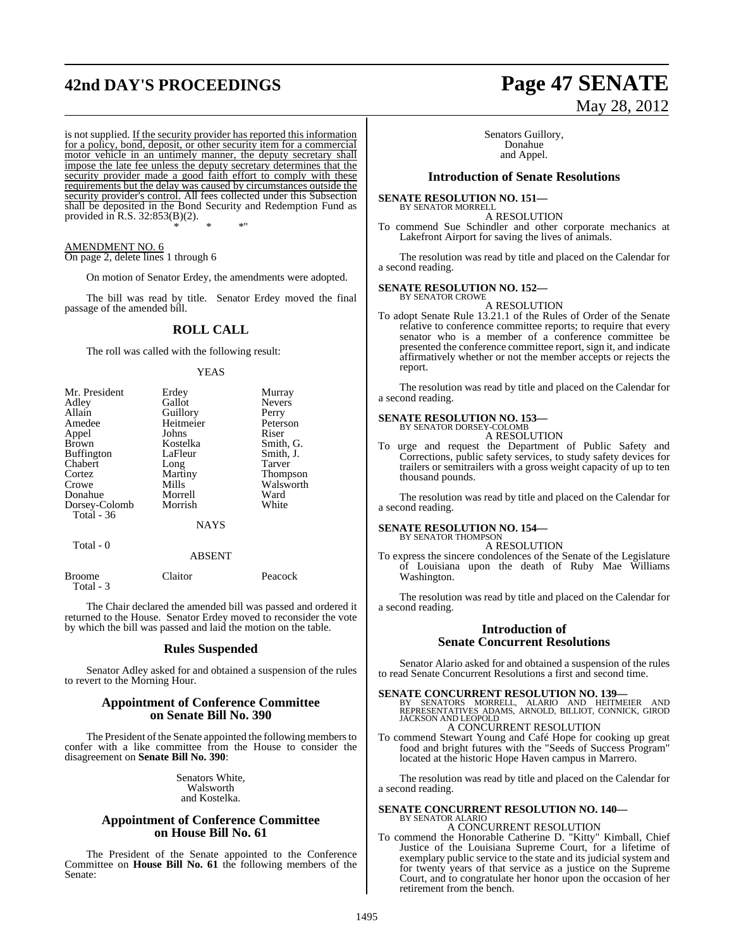### **42nd DAY'S PROCEEDINGS Page 47 SENATE**

is not supplied. If the security provider has reported this information for a policy, bond, deposit, or other security item for a commercial motor vehicle in an untimely manner, the deputy secretary shall impose the late fee unless the deputy secretary determines that the security provider made a good faith effort to comply with these requirements but the delay was caused by circumstances outside the security provider's control. All fees collected under this Subsection shall be deposited in the Bond Security and Redemption Fund as provided in R.S. 32:853(B)(2). \* \* \*"

AMENDMENT NO. 6 On page 2, delete lines 1 through 6

On motion of Senator Erdey, the amendments were adopted.

The bill was read by title. Senator Erdey moved the final passage of the amended bill.

### **ROLL CALL**

The roll was called with the following result:

#### YEAS

| Mr. President | Erdey       | Murray          |
|---------------|-------------|-----------------|
| Adley         | Gallot      | <b>Nevers</b>   |
| Allain        | Guillory    | Perry           |
| Amedee        | Heitmeier   | Peterson        |
| Appel         | Johns       | Riser           |
| <b>Brown</b>  | Kostelka    | Smith, G.       |
| Buffington    | LaFleur     | Smith, J.       |
| Chabert       | Long        | Tarver          |
| Cortez        | Martiny     | <b>Thompson</b> |
| Crowe         | Mills       | Walsworth       |
| Donahue       | Morrell     | Ward            |
| Dorsey-Colomb | Morrish     | White           |
| Total - 36    |             |                 |
|               | <b>NAYS</b> |                 |
|               |             |                 |

#### Total - 0

#### ABSENT

| Broome    | Claitor | Peacock |
|-----------|---------|---------|
| Total - 3 |         |         |
|           |         |         |

The Chair declared the amended bill was passed and ordered it returned to the House. Senator Erdey moved to reconsider the vote by which the bill was passed and laid the motion on the table.

#### **Rules Suspended**

Senator Adley asked for and obtained a suspension of the rules to revert to the Morning Hour.

#### **Appointment of Conference Committee on Senate Bill No. 390**

The President of the Senate appointed the following members to confer with a like committee from the House to consider the disagreement on **Senate Bill No. 390**:

> Senators White, Walsworth and Kostelka.

#### **Appointment of Conference Committee on House Bill No. 61**

The President of the Senate appointed to the Conference Committee on **House Bill No. 61** the following members of the Senate:

# May 28, 2012

Senators Guillory, Donahue and Appel.

#### **Introduction of Senate Resolutions**

#### **SENATE RESOLUTION NO. 151—**

BY SENATOR MORRELL A RESOLUTION To commend Sue Schindler and other corporate mechanics at Lakefront Airport for saving the lives of animals.

The resolution was read by title and placed on the Calendar for a second reading.

#### **SENATE RESOLUTION NO. 152—**

BY SENATOR CROWE A RESOLUTION

To adopt Senate Rule 13.21.1 of the Rules of Order of the Senate relative to conference committee reports; to require that every senator who is a member of a conference committee be presented the conference committee report, sign it, and indicate affirmatively whether or not the member accepts or rejects the report.

The resolution was read by title and placed on the Calendar for a second reading.

### **SENATE RESOLUTION NO. 153—** BY SENATOR DORSEY-COLOMB

A RESOLUTION

To urge and request the Department of Public Safety and Corrections, public safety services, to study safety devices for trailers or semitrailers with a gross weight capacity of up to ten thousand pounds.

The resolution was read by title and placed on the Calendar for a second reading.

#### **SENATE RESOLUTION NO. 154—** BY SENATOR THOMPSON

A RESOLUTION

To express the sincere condolences of the Senate of the Legislature of Louisiana upon the death of Ruby Mae Williams Washington.

The resolution was read by title and placed on the Calendar for a second reading.

#### **Introduction of Senate Concurrent Resolutions**

Senator Alario asked for and obtained a suspension of the rules to read Senate Concurrent Resolutions a first and second time.

**SENATE CONCURRENT RESOLUTION NO. 139—**<br>BY SENATORS MORRELL, ALARIO AND HEITMEIER AND<br>REPRESENTATIVES ADAMS, ARNOLD, BILLIOT, CONNICK, GIROD<br>JACKSON AND LEOPOLD A CONCURRENT RESOLUTION

To commend Stewart Young and Café Hope for cooking up great food and bright futures with the "Seeds of Success Program" located at the historic Hope Haven campus in Marrero.

The resolution was read by title and placed on the Calendar for a second reading.

## **SENATE CONCURRENT RESOLUTION NO. 140—** BY SENATOR ALARIO

A CONCURRENT RESOLUTION

To commend the Honorable Catherine D. "Kitty" Kimball, Chief Justice of the Louisiana Supreme Court, for a lifetime of exemplary public service to the state and its judicial system and for twenty years of that service as a justice on the Supreme Court, and to congratulate her honor upon the occasion of her retirement from the bench.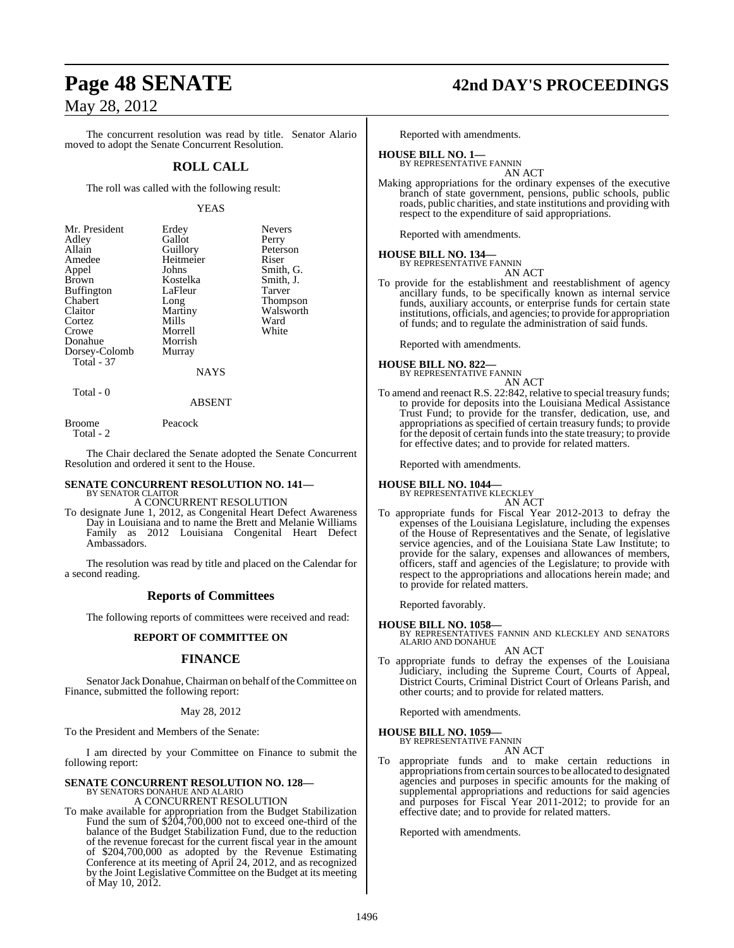The concurrent resolution was read by title. Senator Alario moved to adopt the Senate Concurrent Resolution.

#### **ROLL CALL**

The roll was called with the following result:

#### YEAS

| Mr. President | Erdey     | <b>Nevers</b>   |
|---------------|-----------|-----------------|
| Adley         | Gallot    | Perry           |
| Allain        | Guillory  | Peterson        |
| Amedee        | Heitmeier | Riser           |
| Appel         | Johns     | Smith, G.       |
| <b>Brown</b>  | Kostelka  | Smith, J.       |
| Buffington    | LaFleur   | Tarver          |
| Chabert       | Long      | <b>Thompson</b> |
| Claitor       | Martiny   | Walsworth       |
| Cortez        | Mills     | Ward            |
| Crowe         | Morrell   | White           |
| Donahue       | Morrish   |                 |
| Dorsey-Colomb | Murray    |                 |
| Total - 37    |           |                 |
|               | NAYS      |                 |

Total - 0

#### ABSENT

Broome Peacock Total - 2

The Chair declared the Senate adopted the Senate Concurrent Resolution and ordered it sent to the House.

## **SENATE CONCURRENT RESOLUTION NO. 141—** BY SENATOR CLAITOR

A CONCURRENT RESOLUTION

To designate June 1, 2012, as Congenital Heart Defect Awareness Day in Louisiana and to name the Brett and Melanie Williams Family as 2012 Louisiana Congenital Heart Defect Ambassadors.

The resolution was read by title and placed on the Calendar for a second reading.

#### **Reports of Committees**

The following reports of committees were received and read:

#### **REPORT OF COMMITTEE ON**

#### **FINANCE**

Senator Jack Donahue, Chairman on behalf of the Committee on Finance, submitted the following report:

#### May 28, 2012

To the President and Members of the Senate:

I am directed by your Committee on Finance to submit the following report:

### **SENATE CONCURRENT RESOLUTION NO. 128—**

BY SENATORS DONAHUE AND ALARIO A CONCURRENT RESOLUTION

To make available for appropriation from the Budget Stabilization Fund the sum of \$204,700,000 not to exceed one-third of the balance of the Budget Stabilization Fund, due to the reduction of the revenue forecast for the current fiscal year in the amount of \$204,700,000 as adopted by the Revenue Estimating Conference at its meeting of April 24, 2012, and as recognized by the Joint Legislative Committee on the Budget at its meeting of May 10, 2012.

### **Page 48 SENATE 42nd DAY'S PROCEEDINGS**

Reported with amendments.

#### **HOUSE BILL NO. 1—**

BY REPRESENTATIVE FANNIN AN ACT

Making appropriations for the ordinary expenses of the executive branch of state government, pensions, public schools, public roads, public charities, and state institutions and providing with respect to the expenditure of said appropriations.

Reported with amendments.

#### **HOUSE BILL NO. 134—**

BY REPRESENTATIVE FANNIN AN ACT

To provide for the establishment and reestablishment of agency ancillary funds, to be specifically known as internal service funds, auxiliary accounts, or enterprise funds for certain state institutions, officials, and agencies; to provide for appropriation of funds; and to regulate the administration of said funds.

Reported with amendments.

### **HOUSE BILL NO. 822—** BY REPRESENTATIVE FANNIN

AN ACT To amend and reenact R.S. 22:842, relative to special treasury funds; to provide for deposits into the Louisiana Medical Assistance Trust Fund; to provide for the transfer, dedication, use, and appropriations as specified of certain treasury funds; to provide for the deposit of certain fundsinto the state treasury; to provide for effective dates; and to provide for related matters.

Reported with amendments.

### **HOUSE BILL NO. 1044—** BY REPRESENTATIVE KLECKLEY

AN ACT

To appropriate funds for Fiscal Year 2012-2013 to defray the expenses of the Louisiana Legislature, including the expenses of the House of Representatives and the Senate, of legislative service agencies, and of the Louisiana State Law Institute; to provide for the salary, expenses and allowances of members, officers, staff and agencies of the Legislature; to provide with respect to the appropriations and allocations herein made; and to provide for related matters.

Reported favorably.

**HOUSE BILL NO. 1058—** BY REPRESENTATIVES FANNIN AND KLECKLEY AND SENATORS ALARIO AND DONAHUE

AN ACT

To appropriate funds to defray the expenses of the Louisiana Judiciary, including the Supreme Court, Courts of Appeal, District Courts, Criminal District Court of Orleans Parish, and other courts; and to provide for related matters.

Reported with amendments.

#### **HOUSE BILL NO. 1059—**

BY REPRESENTATIVE FANNIN

AN ACT

To appropriate funds and to make certain reductions in appropriations from certain sources to be allocated to designated agencies and purposes in specific amounts for the making of supplemental appropriations and reductions for said agencies and purposes for Fiscal Year 2011-2012; to provide for an effective date; and to provide for related matters.

Reported with amendments.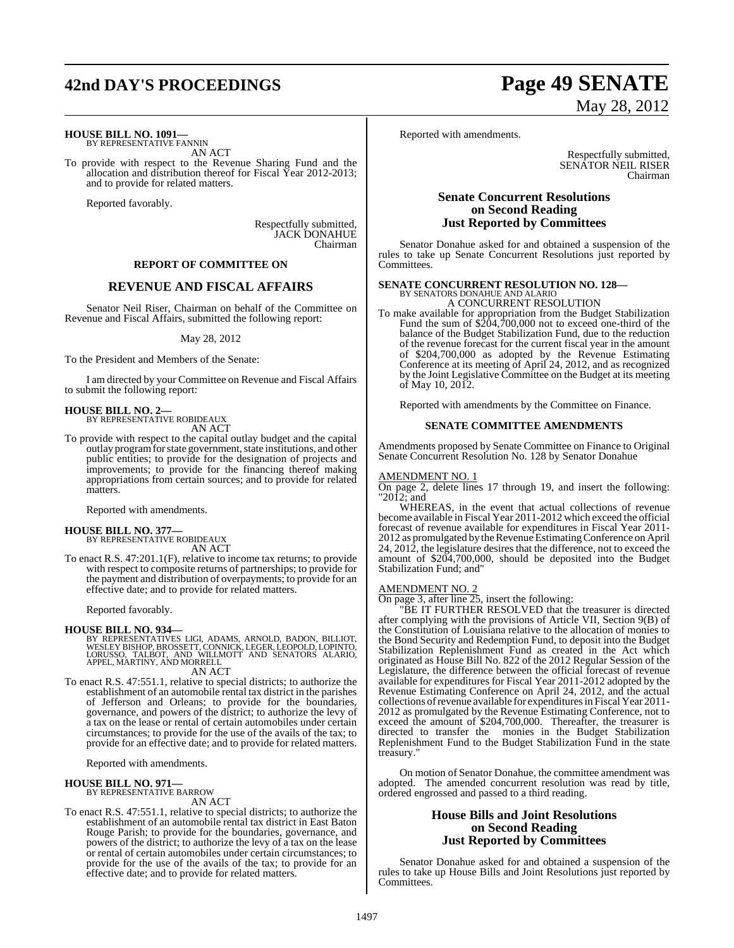## **42nd DAY'S PROCEEDINGS Page 49 SENATE**

#### **HOUSE BILL NO. 1091—**

BY REPRESENTATIVE FANNIN AN ACT

To provide with respect to the Revenue Sharing Fund and the allocation and distribution thereof for Fiscal Year 2012-2013; and to provide for related matters.

Reported favorably.

Respectfully submitted, JACK DONAHUE Chairman

#### **REPORT OF COMMITTEE ON**

#### **REVENUE AND FISCAL AFFAIRS**

Senator Neil Riser, Chairman on behalf of the Committee on Revenue and Fiscal Affairs, submitted the following report:

#### May 28, 2012

To the President and Members of the Senate:

I am directed by your Committee on Revenue and Fiscal Affairs to submit the following report:

### **HOUSE BILL NO. 2—** BY REPRESENTATIVE ROBIDEAUX

AN ACT

To provide with respect to the capital outlay budget and the capital outlay program for state government, state institutions, and other public entities; to provide for the designation of projects and improvements; to provide for the financing thereof making appropriations from certain sources; and to provide for related matters.

Reported with amendments.

### **HOUSE BILL NO. 377—** BY REPRESENTATIVE ROBIDEAUX

AN ACT

To enact R.S. 47:201.1(F), relative to income tax returns; to provide with respect to composite returns of partnerships; to provide for the payment and distribution of overpayments; to provide for an effective date; and to provide for related matters.

Reported favorably.

#### **HOUSE BILL NO. 934—**

BY REPRESENTATIVES LIGI, ADAMS, ARNOLD, BADON, BILLIOT,<br>WESLEY BISHOP, BROSSETT, CONNICK, LEGER, LEOPOLD, LOPINTO,<br>LORUSSO, TALBOT, AND WILLMOTT AND SENATORS ALARIO,<br>APPEL, MARTINY, AND MORRELL

AN ACT

To enact R.S. 47:551.1, relative to special districts; to authorize the establishment of an automobile rental tax district in the parishes of Jefferson and Orleans; to provide for the boundaries, governance, and powers of the district; to authorize the levy of a tax on the lease or rental of certain automobiles under certain circumstances; to provide for the use of the avails of the tax; to provide for an effective date; and to provide for related matters.

Reported with amendments.

#### **HOUSE BILL NO. 971—** BY REPRESENTATIVE BARROW

AN ACT

To enact R.S. 47:551.1, relative to special districts; to authorize the establishment of an automobile rental tax district in East Baton Rouge Parish; to provide for the boundaries, governance, and powers of the district; to authorize the levy of a tax on the lease or rental of certain automobiles under certain circumstances; to provide for the use of the avails of the tax; to provide for an effective date; and to provide for related matters.

# May 28, 2012

Reported with amendments.

Respectfully submitted, SENATOR NEIL RISER Chairman

#### **Senate Concurrent Resolutions on Second Reading Just Reported by Committees**

Senator Donahue asked for and obtained a suspension of the rules to take up Senate Concurrent Resolutions just reported by Committees.

### **SENATE CONCURRENT RESOLUTION NO. 128—** BY SENATORS DONAHUE AND ALARIO

A CONCURRENT RESOLUTION

To make available for appropriation from the Budget Stabilization Fund the sum of \$204,700,000 not to exceed one-third of the balance of the Budget Stabilization Fund, due to the reduction of the revenue forecast for the current fiscal year in the amount of \$204,700,000 as adopted by the Revenue Estimating Conference at its meeting of April 24, 2012, and as recognized by the Joint Legislative Committee on the Budget at its meeting of May 10, 2012.

Reported with amendments by the Committee on Finance.

#### **SENATE COMMITTEE AMENDMENTS**

Amendments proposed by Senate Committee on Finance to Original Senate Concurrent Resolution No. 128 by Senator Donahue

#### AMENDMENT NO. 1

On page 2, delete lines 17 through 19, and insert the following: "2012; and

WHEREAS, in the event that actual collections of revenue become available in Fiscal Year 2011-2012 which exceed the official forecast of revenue available for expenditures in Fiscal Year 2011- 2012 as promulgated by the Revenue Estimating Conference on April 24, 2012, the legislature desires that the difference, not to exceed the amount of \$204,700,000, should be deposited into the Budget Stabilization Fund; and"

#### AMENDMENT NO. 2

On page 3, after line 25, insert the following:

"BE IT FURTHER RESOLVED that the treasurer is directed after complying with the provisions of Article VII, Section 9(B) of the Constitution of Louisiana relative to the allocation of monies to the Bond Security and Redemption Fund, to deposit into the Budget Stabilization Replenishment Fund as created in the Act which originated as House Bill No. 822 of the 2012 Regular Session of the Legislature, the difference between the official forecast of revenue available for expenditures for Fiscal Year 2011-2012 adopted by the Revenue Estimating Conference on April 24, 2012, and the actual collections ofrevenue available for expendituresin Fiscal Year 2011- 2012 as promulgated by the Revenue Estimating Conference, not to exceed the amount of \$204,700,000. Thereafter, the treasurer is directed to transfer the monies in the Budget Stabilization Replenishment Fund to the Budget Stabilization Fund in the state treasury."

On motion of Senator Donahue, the committee amendment was adopted. The amended concurrent resolution was read by title, ordered engrossed and passed to a third reading.

#### **House Bills and Joint Resolutions on Second Reading Just Reported by Committees**

Senator Donahue asked for and obtained a suspension of the rules to take up House Bills and Joint Resolutions just reported by Committees.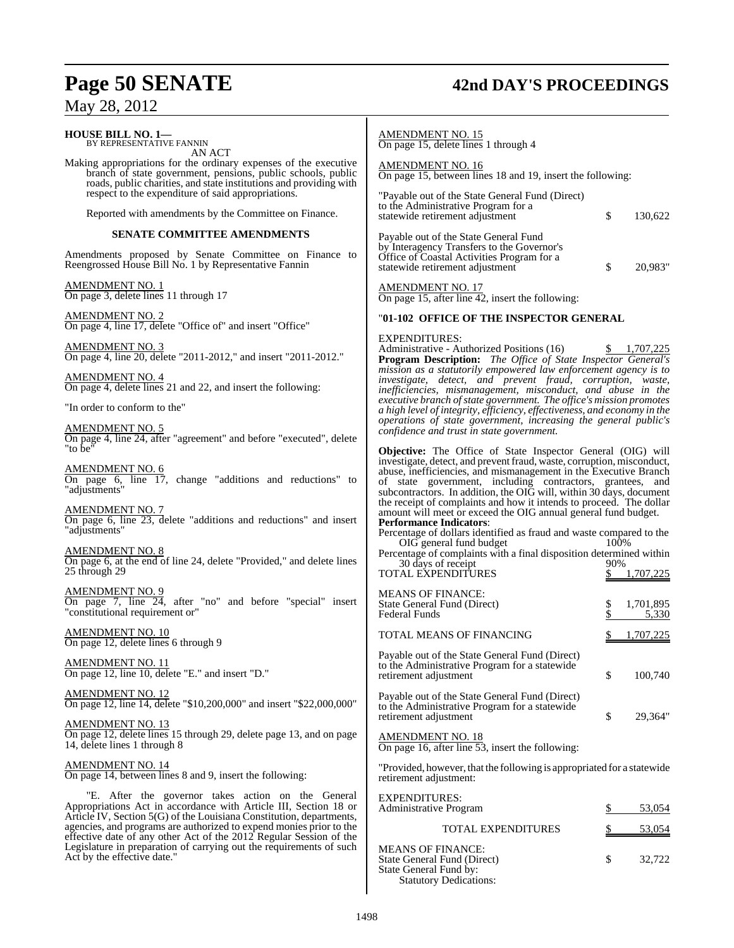## **Page 50 SENATE 42nd DAY'S PROCEEDINGS** May 28, 2012

| <b>HOUSE BILL NO. 1—</b><br>BY REPRESENTATIVE FANNIN                                                                                                                                           | <b>AMENDMENT NO. 15</b><br>On page 15, delete lines 1 through 4                                                                                                                                                                                                                |
|------------------------------------------------------------------------------------------------------------------------------------------------------------------------------------------------|--------------------------------------------------------------------------------------------------------------------------------------------------------------------------------------------------------------------------------------------------------------------------------|
| AN ACT<br>Making appropriations for the ordinary expenses of the executive<br>branch of state government, pensions, public schools, public                                                     | <b>AMENDMENT NO. 16</b><br>On page 15, between lines 18 and 19, insert the following:                                                                                                                                                                                          |
| roads, public charities, and state institutions and providing with<br>respect to the expenditure of said appropriations.<br>Reported with amendments by the Committee on Finance.              | "Payable out of the State General Fund (Direct)<br>to the Administrative Program for a<br>\$<br>130,622<br>statewide retirement adjustment                                                                                                                                     |
| <b>SENATE COMMITTEE AMENDMENTS</b>                                                                                                                                                             |                                                                                                                                                                                                                                                                                |
| Amendments proposed by Senate Committee on Finance to<br>Reengrossed House Bill No. 1 by Representative Fannin                                                                                 | Payable out of the State General Fund<br>by Interagency Transfers to the Governor's<br>Office of Coastal Activities Program for a<br>\$<br>statewide retirement adjustment<br>20,983"                                                                                          |
| AMENDMENT NO. 1<br>On page 3, delete lines 11 through 17                                                                                                                                       | <b>AMENDMENT NO. 17</b><br>On page 15, after line 42, insert the following:                                                                                                                                                                                                    |
| <u>AMENDMENT NO. 2</u>                                                                                                                                                                         | "01-102 OFFICE OF THE INSPECTOR GENERAL                                                                                                                                                                                                                                        |
| On page 4, line 17, delete "Office of" and insert "Office"                                                                                                                                     | <b>EXPENDITURES:</b>                                                                                                                                                                                                                                                           |
| AMENDMENT NO. 3<br>On page 4, line 20, delete "2011-2012," and insert "2011-2012."                                                                                                             | Administrative - Authorized Positions (16)<br>1,707,225<br>S.<br><b>Program Description:</b> The Office of State Inspector General's<br>mission as a statutorily empowered law enforcement agency is to                                                                        |
| <u>AMENDMENT NO. 4</u><br>On page 4, delete lines 21 and 22, and insert the following:                                                                                                         | investigate, detect, and prevent fraud, corruption, waste,<br>inefficiencies, mismanagement, misconduct, and abuse in the                                                                                                                                                      |
| "In order to conform to the"                                                                                                                                                                   | executive branch of state government. The office's mission promotes<br>a high level of integrity, efficiency, effectiveness, and economy in the<br>operations of state government, increasing the general public's                                                             |
| AMENDMENT NO. 5<br>On page 4, line 24, after "agreement" and before "executed", delete<br>"to be"                                                                                              | confidence and trust in state government.<br><b>Objective:</b> The Office of State Inspector General (OIG) will                                                                                                                                                                |
| AMENDMENT NO. 6<br>On page 6, line 17, change "additions and reductions" to<br>"adjustments"                                                                                                   | investigate, detect, and prevent fraud, waste, corruption, misconduct,<br>abuse, inefficiencies, and mismanagement in the Executive Branch<br>of state government, including contractors, grantees, and<br>subcontractors. In addition, the OIG will, within 30 days, document |
| AMENDMENT NO. 7<br>On page 6, line 23, delete "additions and reductions" and insert<br>"adjustments"                                                                                           | the receipt of complaints and how it intends to proceed. The dollar<br>amount will meet or exceed the OIG annual general fund budget.<br><b>Performance Indicators:</b><br>Percentage of dollars identified as fraud and waste compared to the                                 |
| <u>AMENDMENT NO. 8</u><br>On page 6, at the end of line 24, delete "Provided," and delete lines<br>25 through 29                                                                               | OIG general fund budget<br>100%<br>Percentage of complaints with a final disposition determined within<br>30 days of receipt<br>90%<br><b>TOTAL EXPENDITURES</b><br><u>1,707,225</u>                                                                                           |
| <u>AMENDMENT NO. 9</u><br>On page 7, line 24, after "no" and before "special" insert<br>"constitutional requirement or"                                                                        | <b>MEANS OF FINANCE:</b><br>State General Fund (Direct)<br>\$<br>1,701,895<br><b>Federal Funds</b><br>5,330                                                                                                                                                                    |
| AMENDMENT NO. 10<br>On page 12, delete lines 6 through 9                                                                                                                                       | TOTAL MEANS OF FINANCING<br>1,707,225                                                                                                                                                                                                                                          |
| <b>AMENDMENT NO. 11</b><br>On page 12, line 10, delete "E." and insert "D."                                                                                                                    | Payable out of the State General Fund (Direct)<br>to the Administrative Program for a statewide<br>\$<br>retirement adjustment<br>100,740                                                                                                                                      |
| AMENDMENT NO. 12<br>On page 12, line 14, delete "\$10,200,000" and insert "\$22,000,000"                                                                                                       | Payable out of the State General Fund (Direct)<br>to the Administrative Program for a statewide<br>\$<br>29.364"<br>retirement adjustment                                                                                                                                      |
| AMENDMENT NO. 13<br>On page 12, delete lines 15 through 29, delete page 13, and on page<br>14, delete lines 1 through 8                                                                        | <b>AMENDMENT NO. 18</b><br>On page 16, after line 53, insert the following:                                                                                                                                                                                                    |
| <u>AMENDMENT NO. 14</u><br>On page 14, between lines 8 and 9, insert the following:                                                                                                            | "Provided, however, that the following is appropriated for a statewide<br>retirement adjustment:                                                                                                                                                                               |
| "E. After the governor takes action on the General<br>Appropriations Act in accordance with Article III, Section 18 or<br>Article IV, Section 5(G) of the Louisiana Constitution, departments, | <b>EXPENDITURES:</b><br>Administrative Program<br>53,054                                                                                                                                                                                                                       |
| agencies, and programs are authorized to expend monies prior to the                                                                                                                            | TOTAL EXPENDITURES<br>53,054                                                                                                                                                                                                                                                   |
| effective date of any other Act of the 2012 Regular Session of the<br>Legislature in preparation of carrying out the requirements of such<br>Act by the effective date."                       | <b>MEANS OF FINANCE:</b><br>\$<br>State General Fund (Direct)<br>32,722<br>State General Fund by:<br><b>Statutory Dedications:</b>                                                                                                                                             |
|                                                                                                                                                                                                |                                                                                                                                                                                                                                                                                |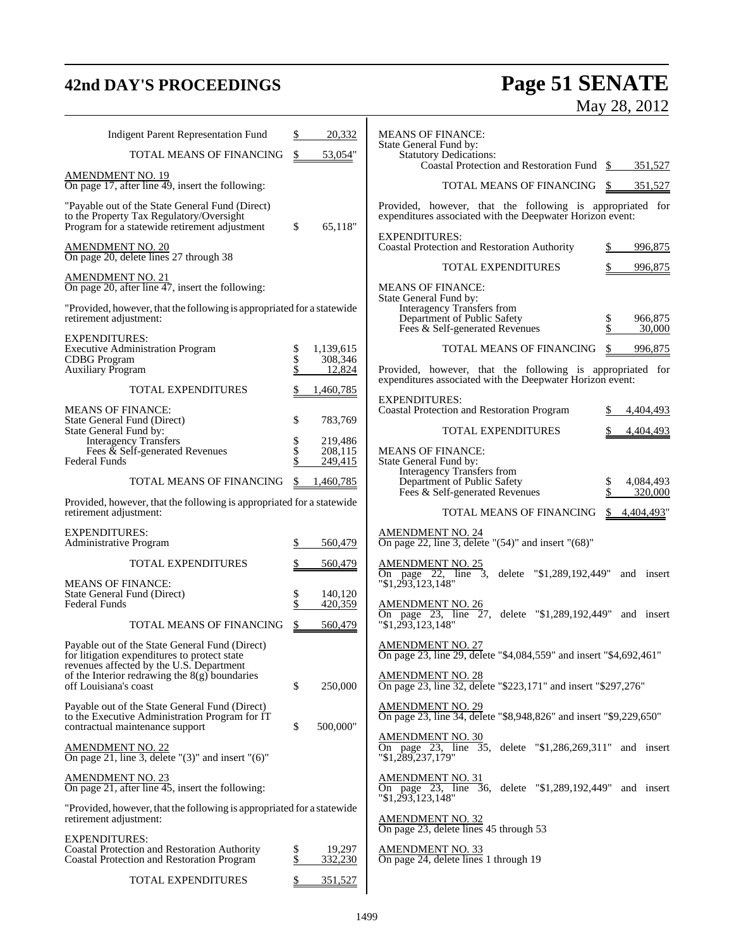## **42nd DAY'S PROCEEDINGS Page 51 SENATE** May 28, 2012

| <b>Indigent Parent Representation Fund</b>                                                                                                   |                | 20,332               | <b>MEANS OF FINANCE:</b>                                                                                               |
|----------------------------------------------------------------------------------------------------------------------------------------------|----------------|----------------------|------------------------------------------------------------------------------------------------------------------------|
| TOTAL MEANS OF FINANCING                                                                                                                     |                | 53,054"              | State General Fund by:<br><b>Statutory Dedications:</b><br>Coastal Protection and Restoration Fund \$<br>351,527       |
| <b>AMENDMENT NO. 19</b><br>On page 17, after line 49, insert the following:                                                                  |                |                      | TOTAL MEANS OF FINANCING \$<br>351,527                                                                                 |
| "Payable out of the State General Fund (Direct)<br>to the Property Tax Regulatory/Oversight<br>Program for a statewide retirement adjustment | \$             | 65,118"              | Provided, however, that the following is appropriated for<br>expenditures associated with the Deepwater Horizon event: |
| AMENDMENT NO. 20<br>On page 20, delete lines 27 through 38                                                                                   |                |                      | <b>EXPENDITURES:</b><br>Coastal Protection and Restoration Authority<br>996,875<br>\$.                                 |
| <b>AMENDMENT NO. 21</b>                                                                                                                      |                |                      | TOTAL EXPENDITURES<br>996,875                                                                                          |
| On page 20, after line 47, insert the following:                                                                                             |                |                      | <b>MEANS OF FINANCE:</b><br>State General Fund by:                                                                     |
| "Provided, however, that the following is appropriated for a statewide<br>retirement adjustment:                                             |                |                      | Interagency Transfers from<br>Department of Public Safety<br>\$<br>966,875<br>Fees & Self-generated Revenues<br>30,000 |
| <b>EXPENDITURES:</b><br><b>Executive Administration Program</b><br><b>CDBG</b> Program                                                       | \$<br>\$<br>\$ | 1,139,615<br>308,346 | TOTAL MEANS OF FINANCING<br>\$<br>996,875                                                                              |
| Auxiliary Program                                                                                                                            |                | 12,824               | Provided, however, that the following is appropriated for<br>expenditures associated with the Deepwater Horizon event: |
| <b>TOTAL EXPENDITURES</b>                                                                                                                    |                | 1,460,785            | <b>EXPENDITURES:</b>                                                                                                   |
| <b>MEANS OF FINANCE:</b><br>State General Fund (Direct)                                                                                      | \$             | 783,769              | Coastal Protection and Restoration Program<br>4.404.493                                                                |
| State General Fund by:<br><b>Interagency Transfers</b>                                                                                       | \$             | 219,486              | <b>TOTAL EXPENDITURES</b><br>4,404,493                                                                                 |
| Fees $\&$ Self-generated Revenues<br><b>Federal Funds</b>                                                                                    | \$             | 208.115<br>249,415   | <b>MEANS OF FINANCE:</b><br>State General Fund by:                                                                     |
| TOTAL MEANS OF FINANCING                                                                                                                     | \$             | 1,460,785            | Interagency Transfers from<br>Department of Public Safety<br>4,084,493                                                 |
| Provided, however, that the following is appropriated for a statewide<br>retirement adjustment:                                              |                |                      | Fees & Self-generated Revenues<br>320,000<br>TOTAL MEANS OF FINANCING<br>4,404,493"<br>S                               |
| <b>EXPENDITURES:</b>                                                                                                                         |                |                      | <b>AMENDMENT NO. 24</b>                                                                                                |
| Administrative Program<br><b>TOTAL EXPENDITURES</b>                                                                                          | \$             | 560,479<br>560,479   | On page 22, line 3, delete " $(54)$ " and insert " $(68)$ "<br><b>AMENDMENT NO. 25</b>                                 |
| <b>MEANS OF FINANCE:</b>                                                                                                                     |                |                      | On page 22, line 3, delete "\$1,289,192,449"<br>and insert<br>"\$1,293,123,148"                                        |
| State General Fund (Direct)<br><b>Federal Funds</b>                                                                                          | \$<br>\$       | 140,120<br>420,359   | <b>AMENDMENT NO. 26</b>                                                                                                |
| TOTAL MEANS OF FINANCING                                                                                                                     |                | 560,479              | On page 23, line 27, delete "\$1,289,192,449" "\$1,293,123,148"<br>and insert                                          |
| Payable out of the State General Fund (Direct)<br>for litigation expenditures to protect state<br>revenues affected by the U.S. Department   |                |                      | <b>AMENDMENT NO. 27</b><br>On page 23, line 29, delete "\$4,084,559" and insert "\$4,692,461"                          |
| of the Interior redrawing the $8(g)$ boundaries<br>off Louisiana's coast                                                                     | \$             | 250,000              | <b>AMENDMENT NO. 28</b><br>On page 23, line 32, delete "\$223,171" and insert "\$297,276"                              |
| Payable out of the State General Fund (Direct)<br>to the Executive Administration Program for IT<br>contractual maintenance support          | \$             | 500,000"             | <b>AMENDMENT NO. 29</b><br>On page 23, line 34, delete "\$8,948,826" and insert "\$9,229,650"                          |
| <b>AMENDMENT NO. 22</b><br>On page 21, line 3, delete " $(3)$ " and insert " $(6)$ "                                                         |                |                      | <b>AMENDMENT NO. 30</b><br>On page 23, line 35, delete "\$1,286,269,311" and insert<br>"\$1,289,237,179"               |
| <b>AMENDMENT NO. 23</b><br>On page 21, after line 45, insert the following:                                                                  |                |                      | <b>AMENDMENT NO. 31</b><br>On page 23, line 36, delete "\$1,289,192,449"<br>and insert<br>$"\$1,293,123,148"$          |
| "Provided, however, that the following is appropriated for a statewide<br>retirement adjustment:                                             |                |                      | <b>AMENDMENT NO. 32</b><br>On page 23, delete lines 45 through 53                                                      |
| <b>EXPENDITURES:</b><br><b>Coastal Protection and Restoration Authority</b><br><b>Coastal Protection and Restoration Program</b>             | \$<br>\$       | 19,297<br>332,230    | <b>AMENDMENT NO. 33</b><br>On page 24, delete lines 1 through 19                                                       |
| <b>TOTAL EXPENDITURES</b>                                                                                                                    |                | 351,527              |                                                                                                                        |

T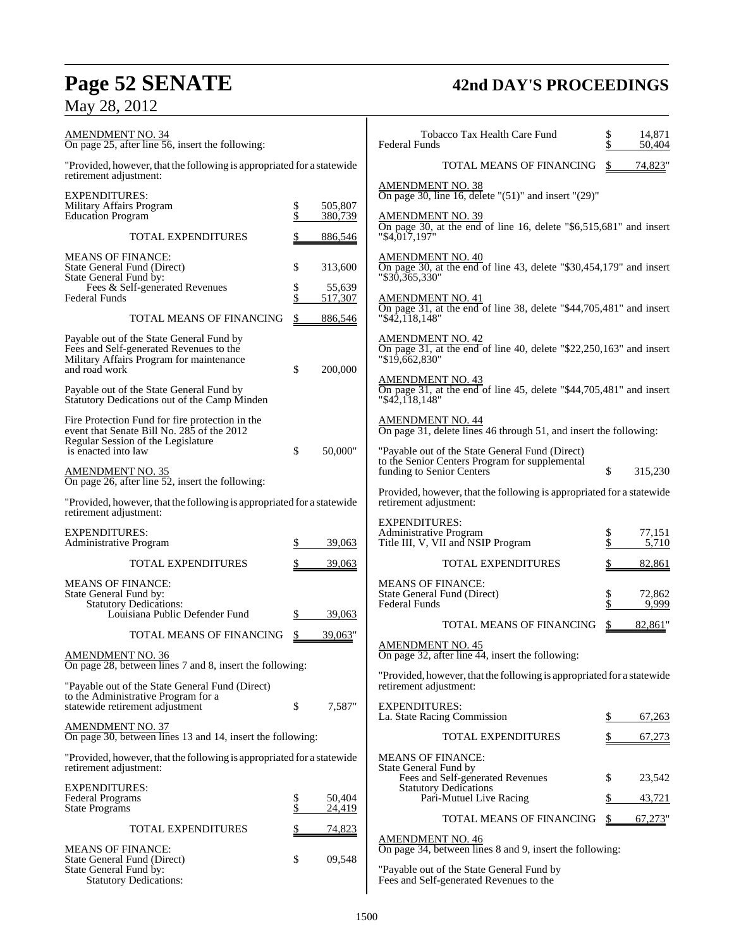## **Page 52 SENATE 42nd DAY'S PROCEEDINGS**

## May 28, 2012

| <b>AMENDMENT NO. 34</b><br>On page 25, after line 56, insert the following:                                                                                |          |                    | Tobacco Tax Health Care Fund<br><b>Federal Funds</b>                                                                                                                        | \$<br>\$      | 14,871<br>50,404 |
|------------------------------------------------------------------------------------------------------------------------------------------------------------|----------|--------------------|-----------------------------------------------------------------------------------------------------------------------------------------------------------------------------|---------------|------------------|
| "Provided, however, that the following is appropriated for a statewide<br>retirement adjustment:                                                           |          |                    | TOTAL MEANS OF FINANCING                                                                                                                                                    | \$            | 74,823"          |
| <b>EXPENDITURES:</b><br>Military Affairs Program<br><b>Education Program</b>                                                                               | \$<br>\$ | 505,807<br>380,739 | <b>AMENDMENT NO. 38</b><br>On page 30, line 16, delete " $(51)$ " and insert " $(29)$ "<br><b>AMENDMENT NO. 39</b>                                                          |               |                  |
| TOTAL EXPENDITURES                                                                                                                                         |          | 886,546            | On page 30, at the end of line 16, delete "\$6,515,681" and insert<br>"\$4,017,197"                                                                                         |               |                  |
| <b>MEANS OF FINANCE:</b><br>State General Fund (Direct)<br>State General Fund by:<br>Fees & Self-generated Revenues                                        | \$<br>\$ | 313,600<br>55,639  | AMENDMENT NO. 40<br>On page 30, at the end of line 43, delete "\$30,454,179" and insert<br>$"\$30,365,330"$                                                                 |               |                  |
| <b>Federal Funds</b><br>TOTAL MEANS OF FINANCING                                                                                                           | \$       | 517,307<br>886,546 | <b>AMENDMENT NO. 41</b><br>On page 31, at the end of line 38, delete "\$44,705,481" and insert<br>" \$42,118,148"                                                           |               |                  |
| Payable out of the State General Fund by<br>Fees and Self-generated Revenues to the<br>Military Affairs Program for maintenance<br>and road work           | \$       | 200,000            | <b>AMENDMENT NO. 42</b><br>On page 31, at the end of line 40, delete "\$22,250,163" and insert<br>"\$19,662,830"                                                            |               |                  |
| Payable out of the State General Fund by<br>Statutory Dedications out of the Camp Minden                                                                   |          |                    | $\frac{\text{AMENDMENT NO. 43}}{\text{On page 31, at the end of line 45, delete "$44,705,481" and insert}$<br>" \$42,118,148"                                               |               |                  |
| Fire Protection Fund for fire protection in the<br>event that Senate Bill No. 285 of the 2012<br>Regular Session of the Legislature<br>is enacted into law | \$       | 50,000"            | AMENDMENT NO. 44<br>On page 31, delete lines 46 through 51, and insert the following:                                                                                       |               |                  |
| <b>AMENDMENT NO. 35</b>                                                                                                                                    |          |                    | "Payable out of the State General Fund (Direct)<br>to the Senior Centers Program for supplemental<br>funding to Senior Centers                                              | \$            | 315,230          |
| On page 26, after line $52$ , insert the following:<br>"Provided, however, that the following is appropriated for a statewide<br>retirement adjustment:    |          |                    | Provided, however, that the following is appropriated for a statewide<br>retirement adjustment:                                                                             |               |                  |
| <b>EXPENDITURES:</b><br>Administrative Program                                                                                                             |          | 39,063             | <b>EXPENDITURES:</b><br>Administrative Program<br>Title III, V, VII and NSIP Program                                                                                        | \$<br>\$      | 77.151<br>5,710  |
| TOTAL EXPENDITURES                                                                                                                                         |          | 39,063             | <b>TOTAL EXPENDITURES</b>                                                                                                                                                   |               | 82,861           |
| <b>MEANS OF FINANCE:</b><br>State General Fund by:<br><b>Statutory Dedications:</b><br>Louisiana Public Defender Fund                                      |          | 39,063             | <b>MEANS OF FINANCE:</b><br>State General Fund (Direct)<br><b>Federal Funds</b>                                                                                             | $\frac{1}{3}$ | 72,862<br>9,999  |
| TOTAL MEANS OF FINANCING                                                                                                                                   | \$       | 39,063"            | TOTAL MEANS OF FINANCING<br><b>AMENDMENT NO. 45</b>                                                                                                                         | \$            | 82,861"          |
| <b>AMENDMENT NO. 36</b><br>On page 28, between lines 7 and 8, insert the following:                                                                        |          |                    | On page 32, after line 44, insert the following:<br>"Provided, however, that the following is appropriated for a statewide                                                  |               |                  |
| "Payable out of the State General Fund (Direct)<br>to the Administrative Program for a                                                                     |          |                    | retirement adjustment:                                                                                                                                                      |               |                  |
| statewide retirement adjustment<br><b>AMENDMENT NO. 37</b>                                                                                                 | \$       | 7,587"             | <b>EXPENDITURES:</b><br>La. State Racing Commission                                                                                                                         |               | 67,263           |
| On page 30, between lines 13 and 14, insert the following:                                                                                                 |          |                    | TOTAL EXPENDITURES                                                                                                                                                          |               | 67,273           |
| "Provided, however, that the following is appropriated for a statewide<br>retirement adjustment:                                                           |          |                    | <b>MEANS OF FINANCE:</b><br>State General Fund by<br>Fees and Self-generated Revenues                                                                                       | \$            | 23,542           |
| <b>EXPENDITURES:</b><br>Federal Programs                                                                                                                   | \$       | 50,404             | <b>Statutory Dedications</b><br>Pari-Mutuel Live Racing                                                                                                                     | \$            | 43,721           |
| <b>State Programs</b>                                                                                                                                      | \$       | 24,419             | TOTAL MEANS OF FINANCING                                                                                                                                                    | S             | $67,273$ "       |
| <b>TOTAL EXPENDITURES</b><br><b>MEANS OF FINANCE:</b><br>State General Fund (Direct)<br>State General Fund by:<br><b>Statutory Dedications:</b>            | \$       | 74,823<br>09,548   | <b>AMENDMENT NO. 46</b><br>On page 34, between lines 8 and 9, insert the following:<br>"Payable out of the State General Fund by<br>Fees and Self-generated Revenues to the |               |                  |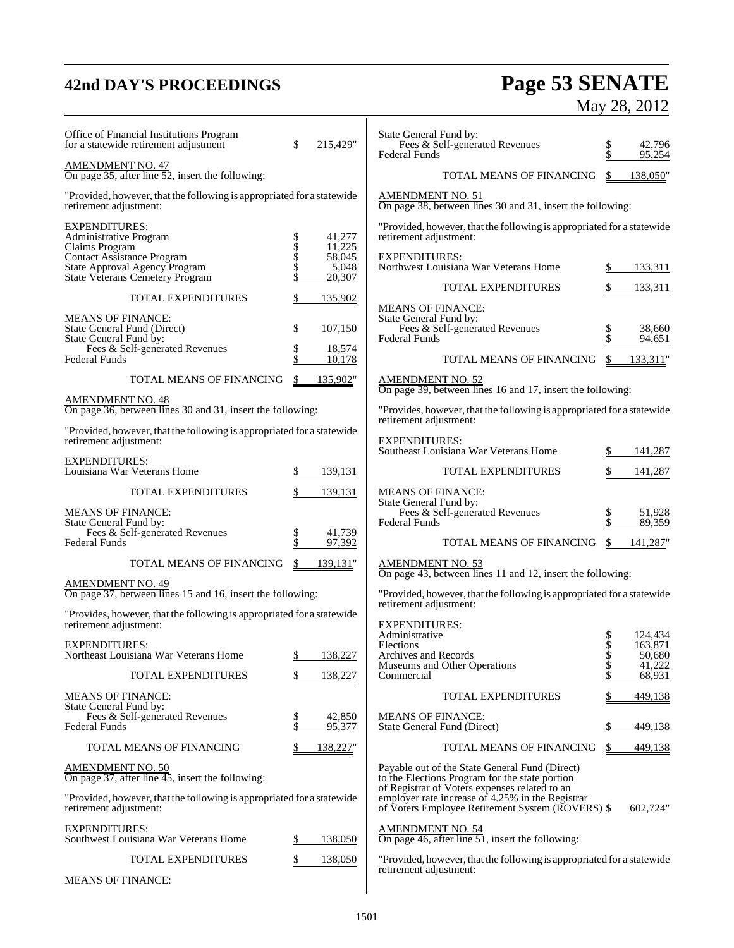## **42nd DAY'S PROCEEDINGS Page 53 SENATE** May 28, 2012

| Office of Financial Institutions Program<br>for a statewide retirement adjustment                                | \$         | 215,429"                  | State General Fund by:<br>Fees & Self-generated Revenues<br><b>Federal Funds</b>                                                                      | \$             | 42,796<br>95,254             |
|------------------------------------------------------------------------------------------------------------------|------------|---------------------------|-------------------------------------------------------------------------------------------------------------------------------------------------------|----------------|------------------------------|
| <b>AMENDMENT NO. 47</b><br>On page 35, after line 52, insert the following:                                      |            |                           | TOTAL MEANS OF FINANCING                                                                                                                              | \$             | 138,050"                     |
| "Provided, however, that the following is appropriated for a statewide<br>retirement adjustment:                 |            |                           | <b>AMENDMENT NO. 51</b><br>On page 38, between lines 30 and 31, insert the following:                                                                 |                |                              |
| <b>EXPENDITURES:</b><br>Administrative Program                                                                   |            | 41,277                    | "Provided, however, that the following is appropriated for a statewide<br>retirement adjustment:                                                      |                |                              |
| Claims Program<br>Contact Assistance Program<br>State Approval Agency Program<br>State Veterans Cemetery Program | \$\$\$\$\$ | 11,225<br>58,045<br>5,048 | <b>EXPENDITURES:</b><br>Northwest Louisiana War Veterans Home                                                                                         | \$             | 133,311                      |
| TOTAL EXPENDITURES                                                                                               | \$         | 20,307<br>135,902         | TOTAL EXPENDITURES                                                                                                                                    |                | 133,311                      |
| <b>MEANS OF FINANCE:</b><br>State General Fund (Direct)                                                          | \$         | 107,150                   | <b>MEANS OF FINANCE:</b><br>State General Fund by:<br>Fees & Self-generated Revenues                                                                  | \$             | 38,660                       |
| State General Fund by:<br>Fees & Self-generated Revenues                                                         | \$         | 18,574                    | <b>Federal Funds</b>                                                                                                                                  | Š.             | 94,651                       |
| <b>Federal Funds</b>                                                                                             | \$         | 10,178                    | TOTAL MEANS OF FINANCING                                                                                                                              | \$.            | 133,311"                     |
| TOTAL MEANS OF FINANCING                                                                                         | \$.        | 135,902"                  | <b>AMENDMENT NO. 52</b><br>On page 39, between lines 16 and 17, insert the following:                                                                 |                |                              |
| AMENDMENT NO. 48<br>On page 36, between lines 30 and 31, insert the following:                                   |            |                           | "Provides, however, that the following is appropriated for a statewide<br>retirement adjustment:                                                      |                |                              |
| "Provided, however, that the following is appropriated for a statewide<br>retirement adjustment:                 |            |                           | <b>EXPENDITURES:</b><br>Southeast Louisiana War Veterans Home                                                                                         |                | 141,287                      |
| <b>EXPENDITURES:</b><br>Louisiana War Veterans Home                                                              | S          | 139,131                   | TOTAL EXPENDITURES                                                                                                                                    |                | 141,287                      |
| <b>TOTAL EXPENDITURES</b>                                                                                        | S          | 139,131                   | <b>MEANS OF FINANCE:</b>                                                                                                                              |                |                              |
| <b>MEANS OF FINANCE:</b><br>State General Fund by:                                                               |            |                           | State General Fund by:<br>Fees & Self-generated Revenues<br><b>Federal Funds</b>                                                                      | \$<br>\$       | 51,928<br>89,359             |
| Fees & Self-generated Revenues<br><b>Federal Funds</b>                                                           | \$         | 41,739<br>97,392          | TOTAL MEANS OF FINANCING                                                                                                                              | \$             | 141,287                      |
| TOTAL MEANS OF FINANCING                                                                                         | \$         | 139,131"                  | AMENDMENT NO. 53<br>On page 43, between lines 11 and 12, insert the following:                                                                        |                |                              |
| <b>AMENDMENT NO. 49</b><br>On page 37, between lines 15 and 16, insert the following:                            |            |                           | "Provided, however, that the following is appropriated for a statewide<br>retirement adjustment:                                                      |                |                              |
| "Provides, however, that the following is appropriated for a statewide<br>retirement adjustment:                 |            |                           | <b>EXPENDITURES:</b>                                                                                                                                  |                |                              |
| <b>EXPENDITURES:</b><br>Northeast Louisiana War Veterans Home                                                    |            | 138,227                   | Administrative<br>Elections<br>Archives and Records                                                                                                   | \$<br>\$       | 124,434<br>163,871<br>50,680 |
| TOTAL EXPENDITURES                                                                                               |            | 138,227                   | Museums and Other Operations<br>Commercial                                                                                                            | \$<br>\$<br>\$ | 41,222<br>68,931             |
| <b>MEANS OF FINANCE:</b>                                                                                         |            |                           | TOTAL EXPENDITURES                                                                                                                                    |                | 449,138                      |
| State General Fund by:<br>Fees & Self-generated Revenues<br><b>Federal Funds</b>                                 | \$<br>\$   | 42,850<br>95,377          | <b>MEANS OF FINANCE:</b><br>State General Fund (Direct)                                                                                               |                | 449,138                      |
| TOTAL MEANS OF FINANCING                                                                                         |            | 138,227"                  | TOTAL MEANS OF FINANCING                                                                                                                              | \$             | 449,138                      |
| AMENDMENT NO. 50<br>On page 37, after line 45, insert the following:                                             |            |                           | Payable out of the State General Fund (Direct)<br>to the Elections Program for the state portion                                                      |                |                              |
| "Provided, however, that the following is appropriated for a statewide<br>retirement adjustment:                 |            |                           | of Registrar of Voters expenses related to an<br>employer rate increase of 4.25% in the Registrar<br>of Voters Employee Retirement System (ROVERS) \$ |                | 602,724"                     |
| <b>EXPENDITURES:</b><br>Southwest Louisiana War Veterans Home                                                    | S          | 138,050                   | <b>AMENDMENT NO. 54</b><br>On page 46, after line 51, insert the following:                                                                           |                |                              |
| TOTAL EXPENDITURES                                                                                               |            | 138,050                   | "Provided, however, that the following is appropriated for a statewide                                                                                |                |                              |
| <b>MEANS OF FINANCE:</b>                                                                                         |            |                           | retirement adjustment:                                                                                                                                |                |                              |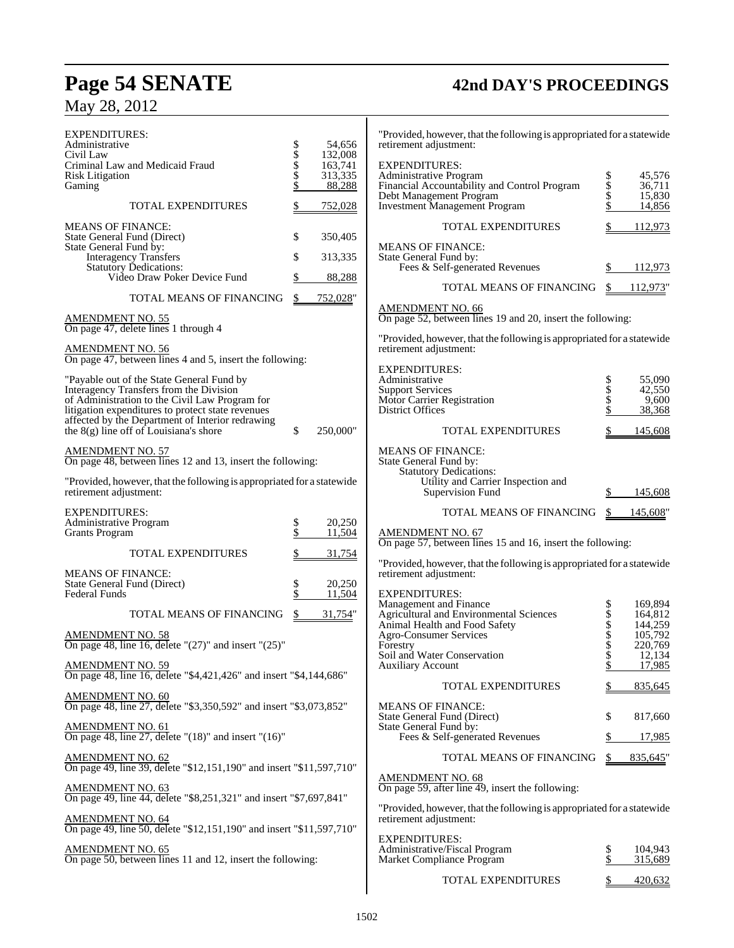## **Page 54 SENATE 42nd DAY'S PROCEEDINGS** May 28, 2012

| EXPENDITURES:<br>Administrative<br>Civil Law<br>Criminal Law and Medicaid Fraud                     | \$\$\$\$\$ | 54,656<br>132,008<br>163,741 | "Provided, however, that the following is appropriated for a statewide<br>retirement adjustment:<br><b>EXPENDITURES:</b> |                    |                    |
|-----------------------------------------------------------------------------------------------------|------------|------------------------------|--------------------------------------------------------------------------------------------------------------------------|--------------------|--------------------|
| Risk Litigation<br>Gaming                                                                           |            | 313,335<br>88,288            | Administrative Program<br>Financial Accountability and Control Program                                                   | Տ<br>Տ<br>Տ        | 45,576<br>36,711   |
| <b>TOTAL EXPENDITURES</b>                                                                           |            | 752,028                      | Debt Management Program<br><b>Investment Management Program</b>                                                          |                    | 15,830<br>14,856   |
|                                                                                                     |            |                              |                                                                                                                          |                    |                    |
| <b>MEANS OF FINANCE:</b><br>State General Fund (Direct)                                             | \$         | 350,405                      | TOTAL EXPENDITURES                                                                                                       |                    | 112,973            |
| State General Fund by:<br><b>Interagency Transfers</b>                                              | \$         | 313,335                      | <b>MEANS OF FINANCE:</b><br>State General Fund by:                                                                       |                    |                    |
| Statutory Dedications:<br>Video Draw Poker Device Fund                                              |            | 88,288                       | Fees & Self-generated Revenues                                                                                           | \$.                | 112,973            |
| TOTAL MEANS OF FINANCING                                                                            | S          | 752,028"                     | TOTAL MEANS OF FINANCING                                                                                                 | \$                 | 112,973"           |
|                                                                                                     |            |                              | <b>AMENDMENT NO. 66</b>                                                                                                  |                    |                    |
| AMENDMENT NO. 55<br>On page 47, delete lines 1 through 4                                            |            |                              | On page 52, between lines 19 and 20, insert the following:                                                               |                    |                    |
| <b>AMENDMENT NO. 56</b><br>On page 47, between lines 4 and 5, insert the following:                 |            |                              | "Provided, however, that the following is appropriated for a statewide<br>retirement adjustment:                         |                    |                    |
|                                                                                                     |            |                              | <b>EXPENDITURES:</b>                                                                                                     |                    |                    |
| "Payable out of the State General Fund by<br>Interagency Transfers from the Division                |            |                              | Administrative<br><b>Support Services</b>                                                                                |                    | 55,090<br>42,550   |
| of Administration to the Civil Law Program for<br>litigation expenditures to protect state revenues |            |                              | Motor Carrier Registration<br>District Offices                                                                           | <b>Տ</b><br>Տ<br>Տ | 9,600<br>38,368    |
| affected by the Department of Interior redrawing<br>the $8(g)$ line off of Louisiana's shore        | \$         | 250,000"                     | <b>TOTAL EXPENDITURES</b>                                                                                                |                    | 145,608            |
| AMENDMENT NO. 57<br>On page 48, between lines 12 and 13, insert the following:                      |            |                              | <b>MEANS OF FINANCE:</b><br>State General Fund by:                                                                       |                    |                    |
| "Provided, however, that the following is appropriated for a statewide<br>retirement adjustment:    |            |                              | <b>Statutory Dedications:</b><br>Utility and Carrier Inspection and<br>Supervision Fund                                  |                    | 145,608            |
| <b>EXPENDITURES:</b>                                                                                |            |                              | TOTAL MEANS OF FINANCING                                                                                                 | \$                 | 145,608"           |
| Administrative Program<br><b>Grants Program</b>                                                     | \$<br>\$   | 20,250<br>11,504             | <b>AMENDMENT NO. 67</b>                                                                                                  |                    |                    |
| TOTAL EXPENDITURES                                                                                  |            | 31,754                       | On page 57, between lines 15 and 16, insert the following:                                                               |                    |                    |
| <b>MEANS OF FINANCE:</b><br>State General Fund (Direct)                                             | \$         | 20,250                       | "Provided, however, that the following is appropriated for a statewide<br>retirement adjustment:                         |                    |                    |
| Federal Funds                                                                                       | \$         | 11,504                       | <b>EXPENDITURES:</b><br>Management and Finance                                                                           |                    | 169,894            |
| TOTAL MEANS OF FINANCING                                                                            | \$         | 31,754"                      | Agricultural and Environmental Sciences                                                                                  | \$<br>\$<br>\$     | 164,812            |
| <u>AMENDMENT NO. 58</u>                                                                             |            |                              | Animal Health and Food Safety<br><b>Agro-Consumer Services</b>                                                           |                    | 144,259<br>105,792 |
| On page 48, line 16, delete " $(27)$ " and insert " $(25)$ "                                        |            |                              | Forestry                                                                                                                 | \$                 | 220,769            |
| <b>AMENDMENT NO. 59</b>                                                                             |            |                              | Soil and Water Conservation<br><b>Auxiliary Account</b>                                                                  | \$<br>\$           | 12,134<br>17,985   |
| On page 48, line 16, delete "\$4,421,426" and insert "\$4,144,686"                                  |            |                              | TOTAL EXPENDITURES                                                                                                       |                    | 835,645            |
| <u>AMENDMENT NO. 60</u><br>On page 48, line 27, delete "\$3,350,592" and insert "\$3,073,852"       |            |                              | <b>MEANS OF FINANCE:</b>                                                                                                 |                    |                    |
| AMENDMENT NO. 61<br>On page 48, line 27, delete "(18)" and insert "(16)"                            |            |                              | State General Fund (Direct)<br>State General Fund by:                                                                    | \$                 | 817,660            |
|                                                                                                     |            |                              | Fees & Self-generated Revenues                                                                                           | S                  | 17,985             |
| <b>AMENDMENT NO. 62</b><br>On page 49, line 39, delete "\$12,151,190" and insert "\$11,597,710"     |            |                              | TOTAL MEANS OF FINANCING                                                                                                 | \$                 | 835,645            |
| <b>AMENDMENT NO. 63</b><br>On page 49, line 44, delete "\$8,251,321" and insert "\$7,697,841"       |            |                              | <b>AMENDMENT NO. 68</b><br>On page 59, after line 49, insert the following:                                              |                    |                    |
| AMENDMENT NO. 64<br>On page 49, line 50, delete "\$12,151,190" and insert "\$11,597,710"            |            |                              | "Provided, however, that the following is appropriated for a statewide<br>retirement adjustment:                         |                    |                    |
| <u>AMENDMENT NO. 65</u>                                                                             |            |                              | <b>EXPENDITURES:</b><br>Administrative/Fiscal Program                                                                    | \$                 | 104,943            |
| On page 50, between lines 11 and 12, insert the following:                                          |            |                              | Market Compliance Program                                                                                                | \$                 | 315,689            |
|                                                                                                     |            |                              | TOTAL EXPENDITURES                                                                                                       |                    | 420,632            |

 $\overline{\phantom{a}}$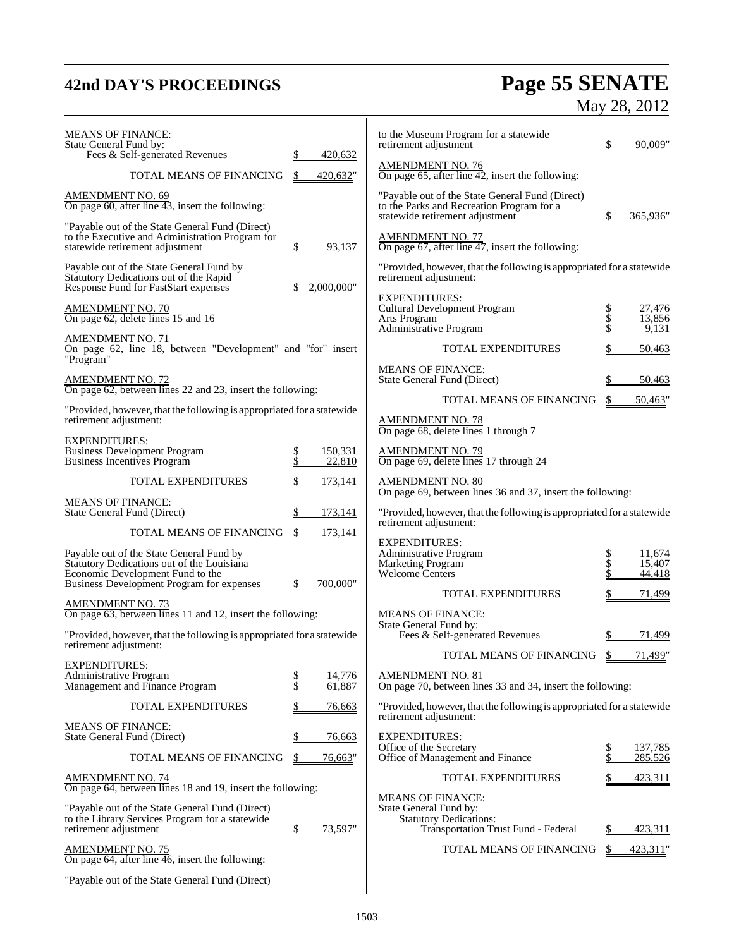## **42nd DAY'S PROCEEDINGS Page 55 SENATE** May 28, 2012

| <b>MEANS OF FINANCE:</b><br>State General Fund by:<br>Fees & Self-generated Revenues                                                                                    |              | 420,632           | to the Museum Program for a statewide<br>retirement adjustment                                                                  | \$             | 90,009"                    |
|-------------------------------------------------------------------------------------------------------------------------------------------------------------------------|--------------|-------------------|---------------------------------------------------------------------------------------------------------------------------------|----------------|----------------------------|
| TOTAL MEANS OF FINANCING                                                                                                                                                |              | 420,632"          | $\frac{\text{AMENDMENT NO. 76}}{\text{On page 65, after line 42, insert the following:}}$                                       |                |                            |
| <b>AMENDMENT NO. 69</b><br>On page 60, after line $\overline{43}$ , insert the following:                                                                               |              |                   | "Payable out of the State General Fund (Direct)<br>to the Parks and Recreation Program for a<br>statewide retirement adjustment | \$             | 365,936"                   |
| "Payable out of the State General Fund (Direct)<br>to the Executive and Administration Program for<br>statewide retirement adjustment                                   | \$           | 93,137            | <b>AMENDMENT NO. 77</b><br>On page $67$ , after line $47$ , insert the following:                                               |                |                            |
| Payable out of the State General Fund by<br>Statutory Dedications out of the Rapid<br>Response Fund for FastStart expenses                                              |              | 2,000,000"        | "Provided, however, that the following is appropriated for a statewide<br>retirement adjustment:                                |                |                            |
| <b>AMENDMENT NO. 70</b><br>On page 62, delete lines 15 and 16                                                                                                           |              |                   | <b>EXPENDITURES:</b><br>Cultural Development Program<br>Arts Program<br>Administrative Program                                  | \$<br>\$       | 27,476<br>13,856<br>9,131  |
| <b>AMENDMENT NO. 71</b><br>On page 62, line 18, between "Development" and "for" insert<br>"Program"                                                                     |              |                   | <b>TOTAL EXPENDITURES</b>                                                                                                       |                | 50,463                     |
| <b>AMENDMENT NO. 72</b>                                                                                                                                                 |              |                   | <b>MEANS OF FINANCE:</b><br>State General Fund (Direct)                                                                         | \$             | 50,463                     |
| On page 62, between lines 22 and 23, insert the following:                                                                                                              |              |                   | TOTAL MEANS OF FINANCING                                                                                                        | S.             | 50,463"                    |
| "Provided, however, that the following is appropriated for a statewide<br>retirement adjustment:                                                                        |              |                   | <b>AMENDMENT NO. 78</b><br>On page 68, delete lines 1 through 7                                                                 |                |                            |
| <b>EXPENDITURES:</b><br><b>Business Development Program</b><br>Business Incentives Program                                                                              | \$           | 150,331<br>22,810 | AMENDMENT NO. 79<br>On page 69, delete lines 17 through 24                                                                      |                |                            |
| <b>TOTAL EXPENDITURES</b>                                                                                                                                               |              | 173,141           | <b>AMENDMENT NO. 80</b><br>On page 69, between lines 36 and 37, insert the following:                                           |                |                            |
| <b>MEANS OF FINANCE:</b><br>State General Fund (Direct)                                                                                                                 |              | 173,141           | "Provided, however, that the following is appropriated for a statewide                                                          |                |                            |
| TOTAL MEANS OF FINANCING                                                                                                                                                |              | 173,141           | retirement adjustment:                                                                                                          |                |                            |
| Payable out of the State General Fund by<br>Statutory Dedications out of the Louisiana<br>Economic Development Fund to the<br>Business Development Program for expenses | $\mathbb{S}$ | 700,000"          | <b>EXPENDITURES:</b><br>Administrative Program<br>Marketing Program<br>Welcome Centers                                          | \$<br>\$<br>\$ | 11,674<br>15,407<br>44,418 |
| <b>AMENDMENT NO. 73</b>                                                                                                                                                 |              |                   | <b>TOTAL EXPENDITURES</b>                                                                                                       | \$             | 71,499                     |
| On page 63, between lines 11 and 12, insert the following:                                                                                                              |              |                   | <b>MEANS OF FINANCE:</b><br>State General Fund by:                                                                              |                |                            |
| "Provided, however, that the following is appropriated for a statewide<br>retirement adjustment:                                                                        |              |                   | Fees & Self-generated Revenues                                                                                                  | \$             | 71,499                     |
| <b>EXPENDITURES:</b>                                                                                                                                                    |              |                   | TOTAL MEANS OF FINANCING                                                                                                        | \$             | 71,499"                    |
| Administrative Program<br>Management and Finance Program                                                                                                                | \$<br>\$     | 14,776<br>61,887  | <b>AMENDMENT NO. 81</b><br>On page 70, between lines 33 and 34, insert the following:                                           |                |                            |
| TOTAL EXPENDITURES                                                                                                                                                      |              | 76,663            | "Provided, however, that the following is appropriated for a statewide<br>retirement adjustment:                                |                |                            |
| <b>MEANS OF FINANCE:</b><br>State General Fund (Direct)                                                                                                                 |              | 76,663            | <b>EXPENDITURES:</b>                                                                                                            |                |                            |
| TOTAL MEANS OF FINANCING                                                                                                                                                |              | 76,663"           | Office of the Secretary<br>Office of Management and Finance                                                                     | \$<br>\$       | 137,785<br>285,526         |
| <b>AMENDMENT NO. 74</b>                                                                                                                                                 |              |                   | TOTAL EXPENDITURES                                                                                                              |                | 423,311                    |
| On page 64, between lines 18 and 19, insert the following:<br>"Payable out of the State General Fund (Direct)                                                           |              |                   | <b>MEANS OF FINANCE:</b>                                                                                                        |                |                            |
| to the Library Services Program for a statewide<br>retirement adjustment                                                                                                | \$           | 73,597"           | State General Fund by:<br><b>Statutory Dedications:</b><br>Transportation Trust Fund - Federal                                  |                | 423,311                    |
| <b>AMENDMENT NO. 75</b><br>On page 64, after line 46, insert the following:                                                                                             |              |                   | TOTAL MEANS OF FINANCING                                                                                                        |                | 423,311"                   |
| "Payable out of the State General Fund (Direct)                                                                                                                         |              |                   |                                                                                                                                 |                |                            |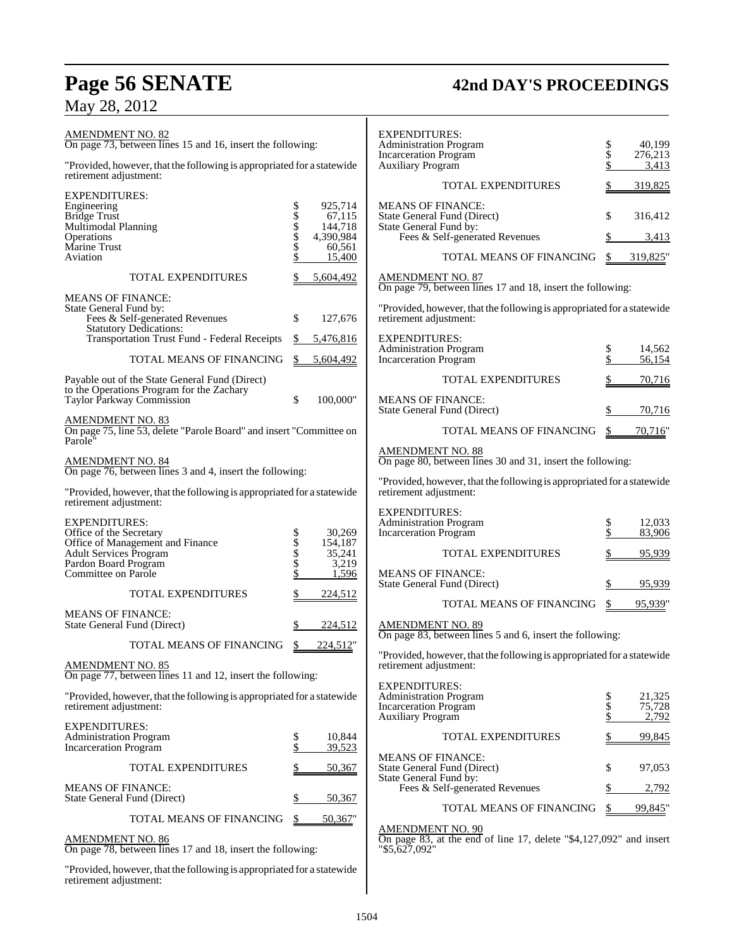## **Page 56 SENATE 42nd DAY'S PROCEEDINGS** May 28, 2012

| <b>AMENDMENT NO. 82</b><br>On page 73, between lines 15 and 16, insert the following:            |                                                                                      | <b>EXPENDITURES:</b><br><b>Administration Program</b>                                                          | $\frac{\$}{\$}$ | 40,199                    |
|--------------------------------------------------------------------------------------------------|--------------------------------------------------------------------------------------|----------------------------------------------------------------------------------------------------------------|-----------------|---------------------------|
| "Provided, however, that the following is appropriated for a statewide                           |                                                                                      | <b>Incarceration Program</b><br><b>Auxiliary Program</b>                                                       |                 | 276,213<br>3,413          |
| retirement adjustment:                                                                           |                                                                                      | TOTAL EXPENDITURES                                                                                             |                 | 319,825                   |
| EXPENDITURES:<br>Engineering                                                                     | 925,714                                                                              | <b>MEANS OF FINANCE:</b>                                                                                       |                 |                           |
| <b>Bridge Trust</b><br>Multimodal Planning                                                       | 67,115<br>144,718                                                                    | State General Fund (Direct)<br>State General Fund by:                                                          | \$              | 316,412                   |
| Operations                                                                                       | 4,390,984                                                                            | Fees & Self-generated Revenues                                                                                 | \$              | 3,413                     |
| Marine Trust<br>Aviation                                                                         | S<br>S<br>S<br>S<br>S<br>S<br>S<br>S<br>S<br>S<br>S<br>S<br><br><br>60,561<br>15,400 | TOTAL MEANS OF FINANCING                                                                                       | \$              | 319,825"                  |
| TOTAL EXPENDITURES                                                                               | 5,604,492                                                                            | <b>AMENDMENT NO. 87</b><br>On page 79, between lines 17 and 18, insert the following:                          |                 |                           |
| <b>MEANS OF FINANCE:</b>                                                                         |                                                                                      |                                                                                                                |                 |                           |
| State General Fund by:<br>Fees & Self-generated Revenues<br><b>Statutory Dedications:</b>        | \$<br>127,676                                                                        | "Provided, however, that the following is appropriated for a statewide<br>retirement adjustment:               |                 |                           |
| Transportation Trust Fund - Federal Receipts                                                     | 5,476,816<br>\$                                                                      | <b>EXPENDITURES:</b>                                                                                           |                 |                           |
| TOTAL MEANS OF FINANCING                                                                         | 5,604,492<br>S.                                                                      | <b>Administration Program</b><br>Incarceration Program                                                         | \$<br>\$        | 14,562<br>56,154          |
| Payable out of the State General Fund (Direct)                                                   |                                                                                      | <b>TOTAL EXPENDITURES</b>                                                                                      | \$              | 70,716                    |
| to the Operations Program for the Zachary<br>Taylor Parkway Commission                           | \$<br>100,000"                                                                       | <b>MEANS OF FINANCE:</b><br>State General Fund (Direct)                                                        | \$              | 70,716                    |
| <u>AMENDMENT NO. 83</u><br>On page 75, line 53, delete "Parole Board" and insert "Committee on   |                                                                                      | TOTAL MEANS OF FINANCING                                                                                       | \$              | 70,716"                   |
| Parole <sup>v</sup>                                                                              |                                                                                      | <b>AMENDMENT NO. 88</b>                                                                                        |                 |                           |
| AMENDMENT NO. 84<br>On page 76, between lines 3 and 4, insert the following:                     |                                                                                      | On page 80, between lines 30 and 31, insert the following:                                                     |                 |                           |
|                                                                                                  |                                                                                      | "Provided, however, that the following is appropriated for a statewide                                         |                 |                           |
| "Provided, however, that the following is appropriated for a statewide<br>retirement adjustment: |                                                                                      | retirement adjustment:                                                                                         |                 |                           |
| <b>EXPENDITURES:</b>                                                                             |                                                                                      | <b>EXPENDITURES:</b><br><b>Administration Program</b>                                                          | \$              | 12,033                    |
| Office of the Secretary                                                                          | 30,269                                                                               | <b>Incarceration Program</b>                                                                                   |                 | 83,906                    |
| Office of Management and Finance<br>Adult Services Program                                       | \$\$\$\$\$<br>154,187<br>35,241                                                      | <b>TOTAL EXPENDITURES</b>                                                                                      | \$              | 95,939                    |
| Pardon Board Program                                                                             | 3,219                                                                                |                                                                                                                |                 |                           |
| Committee on Parole                                                                              | 1,596                                                                                | <b>MEANS OF FINANCE:</b><br>State General Fund (Direct)                                                        | \$              | 95,939                    |
| TOTAL EXPENDITURES                                                                               | 224,512                                                                              | TOTAL MEANS OF FINANCING                                                                                       | \$              | 95,939"                   |
| MEANS OF FINANCE:<br>State General Fund (Direct)                                                 | 224,512<br>\$                                                                        | <b>AMENDMENT NO. 89</b><br>On page 83, between lines 5 and 6, insert the following:                            |                 |                           |
| TOTAL MEANS OF FINANCING                                                                         | 224,512"                                                                             |                                                                                                                |                 |                           |
| <b>AMENDMENT NO. 85</b><br>On page 77, between lines 11 and 12, insert the following:            |                                                                                      | "Provided, however, that the following is appropriated for a statewide<br>retirement adjustment:               |                 |                           |
|                                                                                                  |                                                                                      | <b>EXPENDITURES:</b>                                                                                           |                 |                           |
| "Provided, however, that the following is appropriated for a statewide<br>retirement adjustment: |                                                                                      | <b>Administration Program</b><br><b>Incarceration Program</b><br><b>Auxiliary Program</b>                      | \$<br>\$<br>\$  | 21,325<br>75,728<br>2,792 |
| <b>EXPENDITURES:</b>                                                                             |                                                                                      |                                                                                                                |                 |                           |
| <b>Administration Program</b><br><b>Incarceration Program</b>                                    | \$<br>10,844<br>\$<br>39,523                                                         | TOTAL EXPENDITURES<br><b>MEANS OF FINANCE:</b>                                                                 |                 | 99,845                    |
| TOTAL EXPENDITURES                                                                               | 50,367                                                                               | State General Fund (Direct)<br>State General Fund by:                                                          | \$              | 97,053                    |
| <b>MEANS OF FINANCE:</b><br>State General Fund (Direct)                                          | 50,367<br>\$                                                                         | Fees & Self-generated Revenues                                                                                 |                 | 2,792                     |
| TOTAL MEANS OF FINANCING                                                                         | 50,367"<br>\$                                                                        | TOTAL MEANS OF FINANCING                                                                                       | S               | 99,845"                   |
| AMENDMENT NO. 86<br>On page 78, between lines 17 and 18, insert the following:                   |                                                                                      | <b>AMENDMENT NO. 90</b><br>On page 83, at the end of line 17, delete "\$4,127,092" and insert<br>"\$5,627,092" |                 |                           |
|                                                                                                  |                                                                                      |                                                                                                                |                 |                           |

"Provided, however, that the following is appropriated for a statewide

retirement adjustment: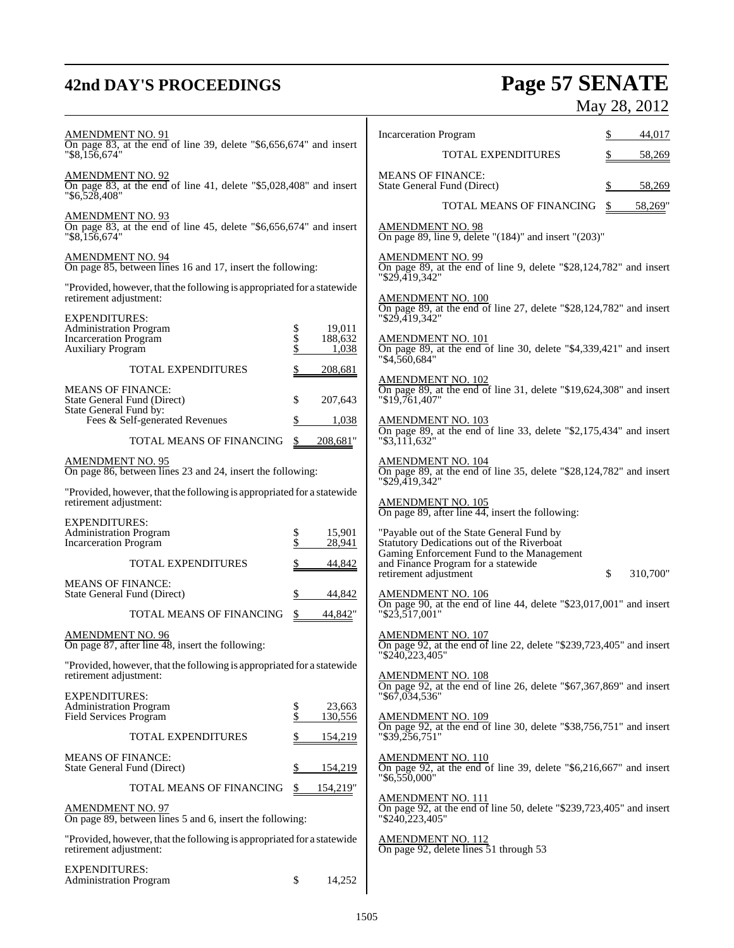## **42nd DAY'S PROCEEDINGS Page 57 SENATE** May 28, 2012

| <b>AMENDMENT NO. 91</b><br>On page 83, at the end of line 39, delete "\$6,656,674" and insert                                |                                                      | <b>Incarceration Program</b>                                                                                                     |    | 44,017   |
|------------------------------------------------------------------------------------------------------------------------------|------------------------------------------------------|----------------------------------------------------------------------------------------------------------------------------------|----|----------|
| " \$8,156,674"                                                                                                               |                                                      | <b>TOTAL EXPENDITURES</b>                                                                                                        |    | 58,269   |
| $\frac{\text{AMENDMENT NO. 92}}{\text{On page 83, at the end of line 41, delete}}$ "\$5,028,408" and insert<br>"\$6,528,408" |                                                      | <b>MEANS OF FINANCE:</b><br>State General Fund (Direct)                                                                          |    | 58,269   |
| <b>AMENDMENT NO. 93</b>                                                                                                      |                                                      | TOTAL MEANS OF FINANCING                                                                                                         | S  | 58,269"  |
| On page 83, at the end of line 45, delete "\$6,656,674" and insert<br>"\$8,156,674"                                          |                                                      | <b>AMENDMENT NO. 98</b><br>On page 89, line 9, delete " $(184)$ " and insert " $(203)$ "                                         |    |          |
| <b>AMENDMENT NO. 94</b><br>On page 85, between lines 16 and 17, insert the following:                                        |                                                      | <b>AMENDMENT NO. 99</b><br>On page 89, at the end of line 9, delete "\$28,124,782" and insert<br>"\$29,419,342"                  |    |          |
| "Provided, however, that the following is appropriated for a statewide<br>retirement adjustment:                             |                                                      | <b>AMENDMENT NO. 100</b><br>On page 89, at the end of line 27, delete "\$28,124,782" and insert                                  |    |          |
| <b>EXPENDITURES:</b><br><b>Administration Program</b>                                                                        | 19,011                                               | $"$ \$29,419,342"                                                                                                                |    |          |
| <b>Incarceration Program</b><br>Auxiliary Program                                                                            | \$<br>\$<br>188,632<br>$\ddot{\mathcal{S}}$<br>1,038 | $\frac{\text{AMENDMENT NO. 101}}{\text{On page 89}}$ , at the end of line 30, delete "\$4,339,421" and insert                    |    |          |
| <b>TOTAL EXPENDITURES</b>                                                                                                    | 208,681                                              | "\$4.560.684"                                                                                                                    |    |          |
| <b>MEANS OF FINANCE:</b><br>State General Fund (Direct)                                                                      | \$<br>207,643                                        | $\frac{\text{AMENDMENT NO. 102}}{\text{On page 89}}$ , at the end of line 31, delete "\$19,624,308" and insert<br>"\$19,761,407" |    |          |
| State General Fund by:<br>Fees & Self-generated Revenues                                                                     | 1,038                                                | <b>AMENDMENT NO. 103</b>                                                                                                         |    |          |
| TOTAL MEANS OF FINANCING                                                                                                     | \$<br>208,681"                                       | On page 89, at the end of line 33, delete "\$2,175,434" and insert<br>"\$3,111,632"                                              |    |          |
| <b>AMENDMENT NO. 95</b><br>On page 86, between lines 23 and 24, insert the following:                                        |                                                      | <b>AMENDMENT NO. 104</b><br>On page 89, at the end of line 35, delete "\$28,124,782" and insert                                  |    |          |
| "Provided, however, that the following is appropriated for a statewide<br>retirement adjustment:                             |                                                      | "\$29,419,342"<br><b>AMENDMENT NO. 105</b><br>On page 89, after line $\overline{44}$ , insert the following:                     |    |          |
| <b>EXPENDITURES:</b>                                                                                                         |                                                      |                                                                                                                                  |    |          |
| <b>Administration Program</b><br><b>Incarceration Program</b>                                                                | 15,901<br>\$<br>\$<br>28,941                         | "Payable out of the State General Fund by<br>Statutory Dedications out of the Riverboat                                          |    |          |
| TOTAL EXPENDITURES                                                                                                           | 44,842                                               | Gaming Enforcement Fund to the Management<br>and Finance Program for a statewide<br>retirement adjustment                        | \$ | 310,700" |
| <b>MEANS OF FINANCE:</b><br>State General Fund (Direct)                                                                      | 44,842<br>S                                          | <b>AMENDMENT NO. 106</b><br>On page 90, at the end of line 44, delete "\$23,017,001" and insert                                  |    |          |
| TOTAL MEANS OF FINANCING                                                                                                     | \$<br>44,842"                                        | $"\$2\overline{3},\overline{5}17,001"$                                                                                           |    |          |
| <b>AMENDMENT NO. 96</b><br>On page 87, after line 48, insert the following:                                                  |                                                      | <b>AMENDMENT NO. 107</b><br>On page 92, at the end of line 22, delete "\$239,723,405" and insert<br>"\$240,223,405"              |    |          |
| "Provided, however, that the following is appropriated for a statewide<br>retirement adjustment:                             |                                                      | <b>AMENDMENT NO. 108</b><br>On page 92, at the end of line 26, delete "\$67,367,869" and insert                                  |    |          |
| <b>EXPENDITURES:</b><br><b>Administration Program</b>                                                                        | \$<br>23,663                                         | "\$67,034,536"                                                                                                                   |    |          |
| Field Services Program                                                                                                       | \$<br>130,556                                        | <b>AMENDMENT NO. 109</b><br>On page 92, at the end of line 30, delete "\$38,756,751" and insert                                  |    |          |
| TOTAL EXPENDITURES                                                                                                           | 154,219                                              | "\$39,256,751"                                                                                                                   |    |          |
| <b>MEANS OF FINANCE:</b><br>State General Fund (Direct)                                                                      | 154,219                                              | <b>AMENDMENT NO. 110</b><br>On page 92, at the end of line 39, delete "\$6,216,667" and insert<br>$"\$6,550,000"$                |    |          |
| TOTAL MEANS OF FINANCING                                                                                                     | 154,219"<br>S                                        | <b>AMENDMENT NO. 111</b>                                                                                                         |    |          |
| <b>AMENDMENT NO. 97</b><br>On page 89, between lines 5 and 6, insert the following:                                          |                                                      | On page 92, at the end of line 50, delete "\$239,723,405" and insert<br>"\$240,223,405"                                          |    |          |
| "Provided, however, that the following is appropriated for a statewide<br>retirement adjustment:                             |                                                      | <b>AMENDMENT NO. 112</b><br>On page 92, delete lines 51 through 53                                                               |    |          |
| <b>EXPENDITURES:</b><br><b>Administration Program</b>                                                                        | \$<br>14,252                                         |                                                                                                                                  |    |          |
|                                                                                                                              |                                                      |                                                                                                                                  |    |          |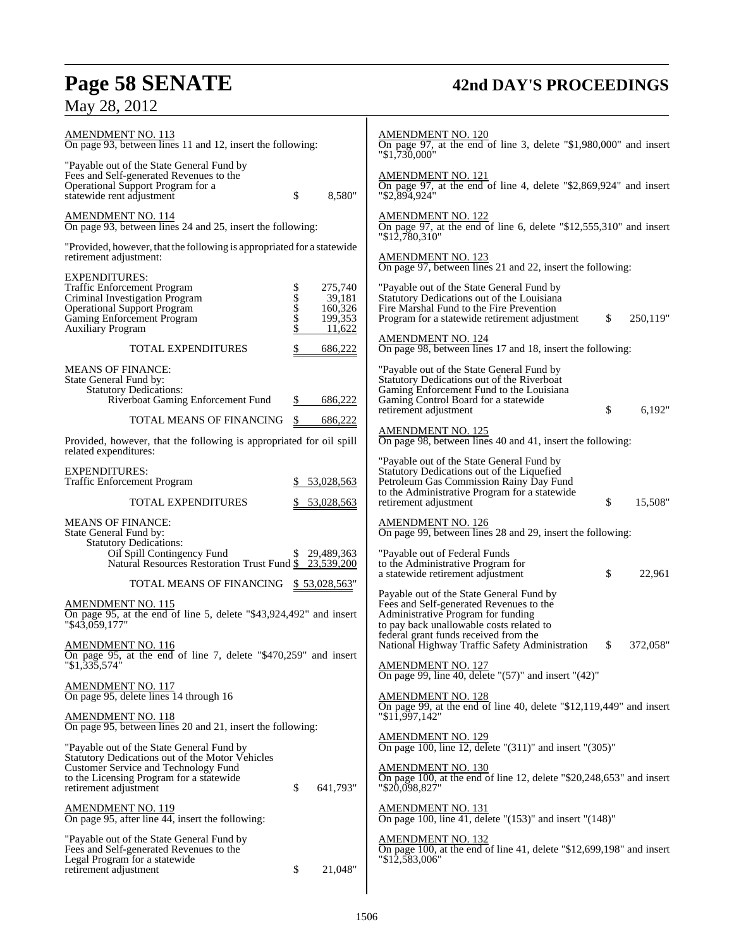## **Page 58 SENATE 42nd DAY'S PROCEEDINGS**

## May 28, 2012

| <u>AMENDMENT NO. 113</u><br>On page 93, between lines 11 and 12, insert the following:                                                                                                                                                                   | <b>AMENDMENT NO. 120</b><br>On page 97, at the end of line 3, delete "\$1,980,000" and insert<br>$"\$1,730,000"$                                                                                                     |
|----------------------------------------------------------------------------------------------------------------------------------------------------------------------------------------------------------------------------------------------------------|----------------------------------------------------------------------------------------------------------------------------------------------------------------------------------------------------------------------|
| "Payable out of the State General Fund by<br>Fees and Self-generated Revenues to the<br>Operational Support Program for a<br>\$<br>statewide rent adjustment<br>8,580"                                                                                   | <b>AMENDMENT NO. 121</b><br>On page 97, at the end of line 4, delete "\$2,869,924" and insert<br>"\$2,894,924"                                                                                                       |
| AMENDMENT NO. 114<br>On page 93, between lines 24 and 25, insert the following:                                                                                                                                                                          | <b>AMENDMENT NO. 122</b><br>On page 97, at the end of line 6, delete "\$12,555,310" and insert<br>$"\$1\overline{2,780,310"$                                                                                         |
| "Provided, however, that the following is appropriated for a statewide<br>retirement adjustment:                                                                                                                                                         | <b>AMENDMENT NO. 123</b><br>On page 97, between lines 21 and 22, insert the following:                                                                                                                               |
| <b>EXPENDITURES:</b><br>\$\$\$\$\$<br>275,740<br>Traffic Enforcement Program<br>39,181<br>Criminal Investigation Program<br><b>Operational Support Program</b><br>160,326<br>Gaming Enforcement Program<br>199,353<br>11,622<br><b>Auxiliary Program</b> | "Payable out of the State General Fund by<br>Statutory Dedications out of the Louisiana<br>Fire Marshal Fund to the Fire Prevention<br>\$<br>250,119"<br>Program for a statewide retirement adjustment               |
| <b>TOTAL EXPENDITURES</b><br>686,222                                                                                                                                                                                                                     | <b>AMENDMENT NO. 124</b><br>On page 98, between lines 17 and 18, insert the following:                                                                                                                               |
| <b>MEANS OF FINANCE:</b><br>State General Fund by:<br><b>Statutory Dedications:</b><br>Riverboat Gaming Enforcement Fund<br>686,222                                                                                                                      | "Payable out of the State General Fund by<br>Statutory Dedications out of the Riverboat<br>Gaming Enforcement Fund to the Louisiana<br>Gaming Control Board for a statewide<br>\$<br>retirement adjustment<br>6,192" |
| TOTAL MEANS OF FINANCING<br>\$<br>686,222                                                                                                                                                                                                                | <b>AMENDMENT NO. 125</b>                                                                                                                                                                                             |
| Provided, however, that the following is appropriated for oil spill<br>related expenditures:                                                                                                                                                             | On page 98, between lines 40 and 41, insert the following:                                                                                                                                                           |
| <b>EXPENDITURES:</b><br>Traffic Enforcement Program<br>53,028,563<br>\$.                                                                                                                                                                                 | "Payable out of the State General Fund by<br>Statutory Dedications out of the Liquefied<br>Petroleum Gas Commission Rainy Day Fund<br>to the Administrative Program for a statewide                                  |
| <b>TOTAL EXPENDITURES</b><br>53,028,563                                                                                                                                                                                                                  | \$<br>15,508"<br>retirement adjustment                                                                                                                                                                               |
| <b>MEANS OF FINANCE:</b><br>State General Fund by:<br><b>Statutory Dedications:</b><br>Oil Spill Contingency Fund<br>\$29,489,363<br>Natural Resources Restoration Trust Fund \$23,539,200                                                               | AMENDMENT NO. 126<br>On page 99, between lines 28 and 29, insert the following:<br>"Payable out of Federal Funds<br>to the Administrative Program for<br>\$<br>a statewide retirement adjustment<br>22,961           |
| TOTAL MEANS OF FINANCING<br><u>\$53,028,563</u> "                                                                                                                                                                                                        | Payable out of the State General Fund by                                                                                                                                                                             |
| AMENDMENT NO. 115<br>On page 95, at the end of line 5, delete "\$43,924,492" and insert<br>$"\$43,059,177"$                                                                                                                                              | Fees and Self-generated Revenues to the<br>Administrative Program for funding<br>to pay back unallowable costs related to<br>federal grant funds received from the                                                   |
| <b>AMENDMENT NO. 116</b><br>On page 95, at the end of line 7, delete "\$470,259" and insert<br>$\sqrt{31,335,574}$                                                                                                                                       | National Highway Traffic Safety Administration<br>372,058"<br>\$<br>AMENDMENT NO. 127<br>On page 99, line 40, delete "(57)" and insert "(42)"                                                                        |
| <b>AMENDMENT NO. 117</b><br>On page 95, delete lines 14 through 16                                                                                                                                                                                       | <b>AMENDMENT NO. 128</b>                                                                                                                                                                                             |
| <b>AMENDMENT NO. 118</b><br>On page 95, between lines 20 and 21, insert the following:                                                                                                                                                                   | On page 99, at the end of line 40, delete "\$12,119,449" and insert<br>"\$11,997,142"                                                                                                                                |
| "Payable out of the State General Fund by<br>Statutory Dedications out of the Motor Vehicles<br>Customer Service and Technology Fund                                                                                                                     | AMENDMENT NO. 129<br>On page 100, line 12, delete "(311)" and insert "(305)"<br><b>AMENDMENT NO. 130</b>                                                                                                             |
| to the Licensing Program for a statewide<br>\$<br>641,793"<br>retirement adjustment                                                                                                                                                                      | On page 100, at the end of line 12, delete "\$20,248,653" and insert<br>"\$20,098,827"                                                                                                                               |
| AMENDMENT NO. 119<br>On page 95, after line 44, insert the following:                                                                                                                                                                                    | AMENDMENT NO. 131<br>On page 100, line 41, delete "(153)" and insert "(148)"                                                                                                                                         |
| "Payable out of the State General Fund by<br>Fees and Self-generated Revenues to the<br>Legal Program for a statewide<br>\$<br>21,048"<br>retirement adjustment                                                                                          | <b>AMENDMENT NO. 132</b><br>On page 100, at the end of line 41, delete "\$12,699,198" and insert<br>"\$12,583,006"                                                                                                   |
|                                                                                                                                                                                                                                                          |                                                                                                                                                                                                                      |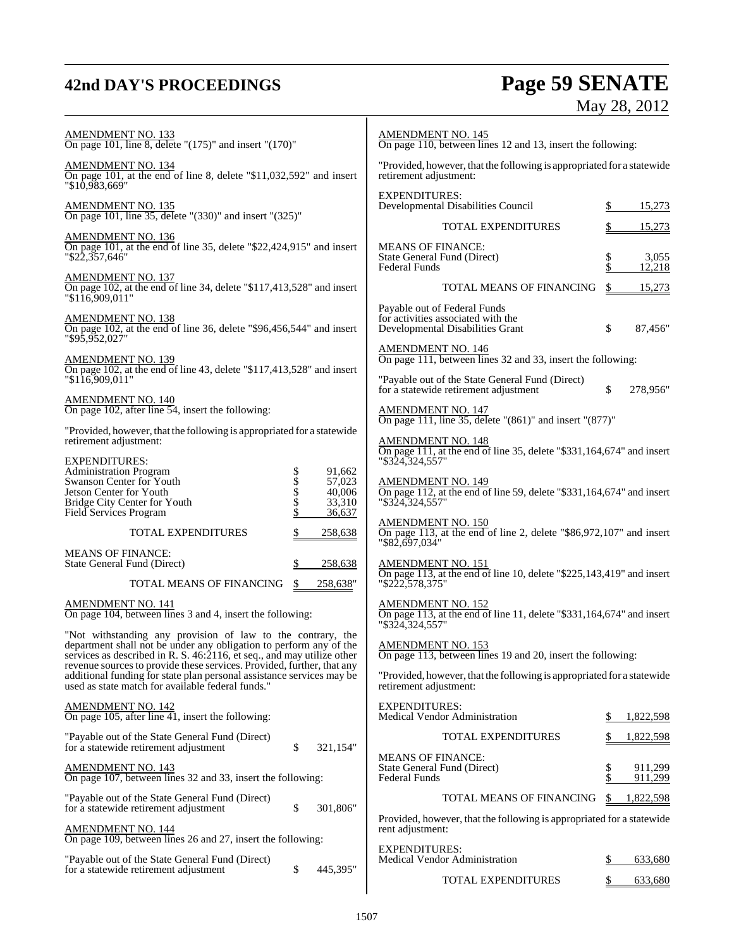## **42nd DAY'S PROCEEDINGS Page 59 SENATE** May 28, 2012

| $\frac{\text{AMENDMENT NO. 133}}{\text{On page 101, line 8, delete}}$ "(175)" and insert "(170)"                                                                                                            | <b>AMENDMENT NO. 145</b><br>On page 110, between lines 12 and 13, insert the following:                                             |
|-------------------------------------------------------------------------------------------------------------------------------------------------------------------------------------------------------------|-------------------------------------------------------------------------------------------------------------------------------------|
| AMENDMENT NO. 134<br>On page 101, at the end of line 8, delete "\$11,032,592" and insert<br>"\$10,983,669"                                                                                                  | "Provided, however, that the following is appropriated for a statewide<br>retirement adjustment:                                    |
| AMENDMENT NO. 135<br>On page 101, line 35, delete "(330)" and insert "(325)"                                                                                                                                | <b>EXPENDITURES:</b><br>Developmental Disabilities Council<br>15,273                                                                |
|                                                                                                                                                                                                             | <b>TOTAL EXPENDITURES</b><br>\$<br>15,273                                                                                           |
| <b>AMENDMENT NO. 136</b><br>On page 101, at the end of line 35, delete "\$22,424,915" and insert<br>"\$22,357,646"                                                                                          | <b>MEANS OF FINANCE:</b><br>\$<br>Տ<br>State General Fund (Direct)<br>3,055<br><b>Federal Funds</b><br>12,218                       |
| AMENDMENT NO. 137<br>On page 102, at the end of line 34, delete "\$117,413,528" and insert<br>"\$116,909,011"                                                                                               | TOTAL MEANS OF FINANCING<br>\$<br>15,273                                                                                            |
| AMENDMENT NO. 138<br>On page 102, at the end of line 36, delete "\$96,456,544" and insert<br>$"$ \$95,952,027"                                                                                              | Payable out of Federal Funds<br>for activities associated with the<br>\$<br>Developmental Disabilities Grant<br>87,456"             |
| AMENDMENT NO. 139<br>On page 102, at the end of line 43, delete "\$117,413,528" and insert                                                                                                                  | <b>AMENDMENT NO. 146</b><br>On page 111, between lines 32 and 33, insert the following:                                             |
| "\$116,909,011"                                                                                                                                                                                             | "Payable out of the State General Fund (Direct)<br>for a statewide retirement adjustment<br>\$<br>278,956"                          |
| $\frac{\text{AMENDMENT NO. 140}}{\text{On page 102, after line 54, insert the following:}}$<br>"Provided, however, that the following is appropriated for a statewide                                       | <b>AMENDMENT NO. 147</b><br>On page 111, line 35, delete "(861)" and insert "(877)"                                                 |
| retirement adjustment:<br><b>EXPENDITURES:</b>                                                                                                                                                              | <b>AMENDMENT NO. 148</b><br>On page 111, at the end of line 35, delete "\$331,164,674" and insert<br>"\$324,324,557"                |
| Administration Program<br>Swanson Center for Youth<br>\$\$\$\$\$<br>91,662<br>57,023<br>Jetson Center for Youth<br>40,006<br>33,310<br>Bridge City Center for Youth<br>Field Services Program<br>36,637     | AMENDMENT NO. 149<br>On page 112, at the end of line 59, delete "\$331,164,674" and insert<br>"\$324,324,557"                       |
| TOTAL EXPENDITURES<br>\$<br>258,638                                                                                                                                                                         | <b>AMENDMENT NO. 150</b><br>On page 113, at the end of line 2, delete "\$86,972,107" and insert<br>"\$82,697,034"                   |
| <b>MEANS OF FINANCE:</b><br>State General Fund (Direct)<br>\$<br>258,638                                                                                                                                    | <b>AMENDMENT NO. 151</b><br>On page 113, at the end of line 10, delete "\$225,143,419" and insert                                   |
| TOTAL MEANS OF FINANCING<br>258,638"<br>\$                                                                                                                                                                  | "\$222,578,375"                                                                                                                     |
| <b>AMENDMENT NO. 141</b><br>On page 104, between lines 3 and 4, insert the following:                                                                                                                       | $\frac{\text{AMENDMENT NO. 152}}{\text{On page 113}}$ , at the end of line 11, delete "\$331,164,674" and insert<br>"\$324,324,557" |
| "Not withstanding any provision of law to the contrary, the<br>department shall not be under any obligation to perform any of the<br>services as described in R. S. 46:2116, et seq., and may utilize other | <b>AMENDMENT NO. 153</b><br>On page 113, between lines 19 and 20, insert the following:                                             |
| revenue sources to provide these services. Provided, further, that any<br>additional funding for state plan personal assistance services may be<br>used as state match for available federal funds."        | "Provided, however, that the following is appropriated for a statewide<br>retirement adjustment:                                    |
| <b>AMENDMENT NO. 142</b><br>On page 105, after line 41, insert the following:                                                                                                                               | <b>EXPENDITURES:</b><br>Medical Vendor Administration<br>1,822,598<br>S                                                             |
| "Payable out of the State General Fund (Direct)<br>\$<br>for a statewide retirement adjustment<br>321,154"                                                                                                  | TOTAL EXPENDITURES<br>1,822,598                                                                                                     |
| <b>AMENDMENT NO. 143</b><br>On page 107, between lines 32 and 33, insert the following:                                                                                                                     | <b>MEANS OF FINANCE:</b><br>\$<br>\$<br>State General Fund (Direct)<br>911,299<br><b>Federal Funds</b><br>911,299                   |
| "Payable out of the State General Fund (Direct)<br>\$<br>301,806"<br>for a statewide retirement adjustment                                                                                                  | TOTAL MEANS OF FINANCING<br>\$<br>1,822,598                                                                                         |
| <b>AMENDMENT NO. 144</b><br>On page 109, between lines 26 and 27, insert the following:                                                                                                                     | Provided, however, that the following is appropriated for a statewide<br>rent adjustment:                                           |
| "Payable out of the State General Fund (Direct)<br>\$<br>445,395"<br>for a statewide retirement adjustment                                                                                                  | <b>EXPENDITURES:</b><br>Medical Vendor Administration<br>\$<br>633,680                                                              |
|                                                                                                                                                                                                             | <b>TOTAL EXPENDITURES</b><br>633,680                                                                                                |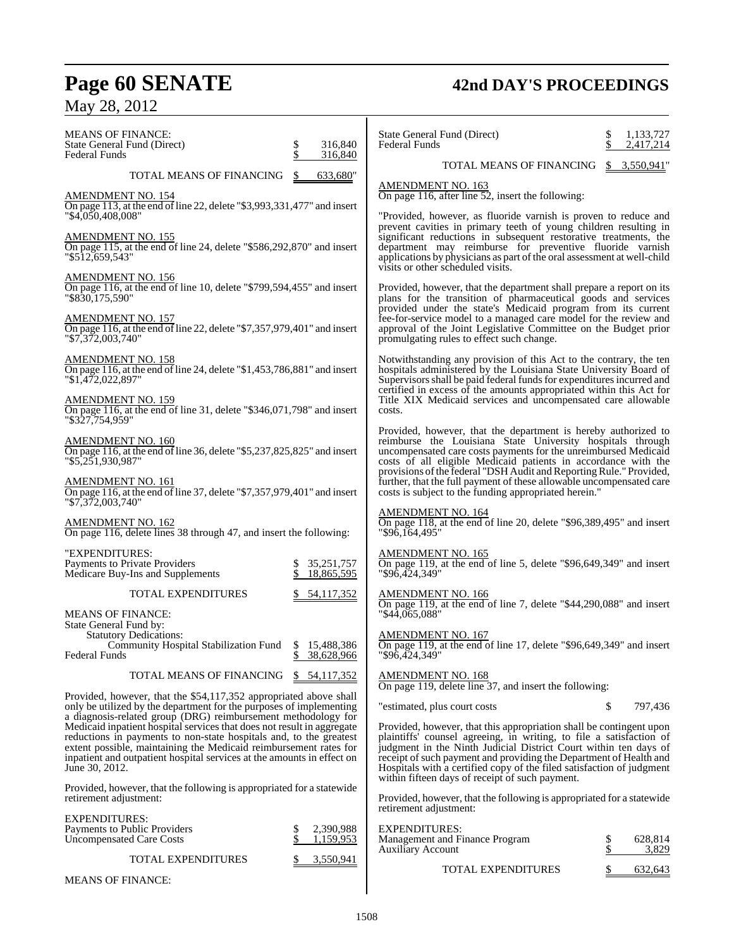## **Page 60 SENATE 42nd DAY'S PROCEEDINGS** May 28, 2012

| <b>MEANS OF FINANCE:</b><br>State General Fund (Direct)<br>Federal Funds                                                                                                                                                                                                                                                                                                       | 316,840<br>\$<br>316,840           | State General Fund (Direct)<br><b>Federal Funds</b>                                                                                                                                                                                                                                                                                                                                                              | 1,133,727<br>2,417,214      |
|--------------------------------------------------------------------------------------------------------------------------------------------------------------------------------------------------------------------------------------------------------------------------------------------------------------------------------------------------------------------------------|------------------------------------|------------------------------------------------------------------------------------------------------------------------------------------------------------------------------------------------------------------------------------------------------------------------------------------------------------------------------------------------------------------------------------------------------------------|-----------------------------|
| TOTAL MEANS OF FINANCING                                                                                                                                                                                                                                                                                                                                                       | 633,680"                           | TOTAL MEANS OF FINANCING                                                                                                                                                                                                                                                                                                                                                                                         | \$3,550,941"                |
| <b>AMENDMENT NO. 154</b><br>On page 113, at the end of line 22, delete "\$3,993,331,477" and insert<br>"\$4,050,408,008"                                                                                                                                                                                                                                                       |                                    | <b>AMENDMENT NO. 163</b><br>On page 116, after line 52, insert the following:<br>"Provided, however, as fluoride varnish is proven to reduce and                                                                                                                                                                                                                                                                 |                             |
| AM <u>ENDMENT NO. 155</u><br>On page 115, at the end of line 24, delete "\$586,292,870" and insert<br>"\$512,659,543"                                                                                                                                                                                                                                                          |                                    | prevent cavities in primary teeth of young children resulting in<br>significant reductions in subsequent restorative treatments, the<br>department may reimburse for preventive fluoride varnish<br>applications by physicians as part of the oral assessment at well-child                                                                                                                                      |                             |
| AMENDMENT NO. 156<br>On page 116, at the end of line 10, delete "\$799,594,455" and insert<br>"\$830,175,590"                                                                                                                                                                                                                                                                  |                                    | visits or other scheduled visits.<br>Provided, however, that the department shall prepare a report on its<br>plans for the transition of pharmaceutical goods and services                                                                                                                                                                                                                                       |                             |
| <u>AMENDMENT NO. 157</u><br>On page 116, at the end of line 22, delete "\$7,357,979,401" and insert<br>"\$7,372,003,740"                                                                                                                                                                                                                                                       |                                    | provided under the state's Medicaid program from its current<br>fee-for-service model to a managed care model for the review and<br>approval of the Joint Legislative Committee on the Budget prior<br>promulgating rules to effect such change.                                                                                                                                                                 |                             |
| <b>AMENDMENT NO. 158</b><br>On page 116, at the end of line 24, delete "\$1,453,786,881" and insert<br>"\$1,472,022,897"                                                                                                                                                                                                                                                       |                                    | Notwithstanding any provision of this Act to the contrary, the ten<br>hospitals administered by the Louisiana State University Board of<br>Supervisors shall be paid federal funds for expenditures incurred and<br>certified in excess of the amounts appropriated within this Act for                                                                                                                          |                             |
| AMENDMENT NO. 159<br>On page 116, at the end of line 31, delete "\$346,071,798" and insert<br>"\$327,754,959"                                                                                                                                                                                                                                                                  |                                    | Title XIX Medicaid services and uncompensated care allowable<br>costs.                                                                                                                                                                                                                                                                                                                                           |                             |
| <b>AMENDMENT NO. 160</b><br>On page 116, at the end of line 36, delete "\$5,237,825,825" and insert<br>"\$5,251,930,987"                                                                                                                                                                                                                                                       |                                    | Provided, however, that the department is hereby authorized to<br>reimburse the Louisiana State University hospitals through<br>uncompensated care costs payments for the unreimbursed Medicaid<br>costs of all eligible Medicaid patients in accordance with the                                                                                                                                                |                             |
| AMENDMENT NO. 161<br>On page 116, at the end of line 37, delete "\$7,357,979,401" and insert<br>"\$7,372,003,740"                                                                                                                                                                                                                                                              |                                    | provisions of the federal "DSH Audit and Reporting Rule." Provided,<br>further, that the full payment of these allowable uncompensated care<br>costs is subject to the funding appropriated herein."                                                                                                                                                                                                             |                             |
| AMENDMENT NO. 162<br>On page 116, delete lines 38 through 47, and insert the following:                                                                                                                                                                                                                                                                                        |                                    | <b>AMENDMENT NO. 164</b><br>On page 118, at the end of line 20, delete "\$96,389,495" and insert<br>$"$ \$96,164,495 $"$                                                                                                                                                                                                                                                                                         |                             |
| "EXPENDITURES:<br>Payments to Private Providers<br>Medicare Buy-Ins and Supplements                                                                                                                                                                                                                                                                                            | 35,251,757<br>\$<br>18,865,595     | <b>AMENDMENT NO. 165</b><br>On page 119, at the end of line 5, delete "\$96,649,349" and insert<br>"\$96.424.349"                                                                                                                                                                                                                                                                                                |                             |
| <b>TOTAL EXPENDITURES</b>                                                                                                                                                                                                                                                                                                                                                      | 54,117,352                         | <b>AMENDMENT NO. 166</b><br>On page 119, at the end of line 7, delete "\$44,290,088" and insert                                                                                                                                                                                                                                                                                                                  |                             |
| MEANS OF FINANCE:<br>State General Fund by:                                                                                                                                                                                                                                                                                                                                    |                                    | "\$44,065,088"                                                                                                                                                                                                                                                                                                                                                                                                   |                             |
| <b>Statutory Dedications:</b><br>Community Hospital Stabilization Fund \$15,488,386<br><b>Federal Funds</b>                                                                                                                                                                                                                                                                    | 38,628,966                         | <b>AMENDMENT NO. 167</b><br>On page 119, at the end of line 17, delete "\$96,649,349" and insert<br>"\$96,424,349"                                                                                                                                                                                                                                                                                               |                             |
| TOTAL MEANS OF FINANCING                                                                                                                                                                                                                                                                                                                                                       | \$54,117,352                       | <b>AMENDMENT NO. 168</b><br>On page 119, delete line 37, and insert the following:                                                                                                                                                                                                                                                                                                                               |                             |
| Provided, however, that the \$54,117,352 appropriated above shall<br>only be utilized by the department for the purposes of implementing                                                                                                                                                                                                                                       |                                    | "estimated, plus court costs"                                                                                                                                                                                                                                                                                                                                                                                    | \$<br>797,436               |
| a diagnosis-related group (DRG) reimbursement methodology for<br>Medicaid inpatient hospital services that does not result in aggregate<br>reductions in payments to non-state hospitals and, to the greatest<br>extent possible, maintaining the Medicaid reimbursement rates for<br>inpatient and outpatient hospital services at the amounts in effect on<br>June 30, 2012. |                                    | Provided, however, that this appropriation shall be contingent upon<br>plaintiffs' counsel agreeing, in writing, to file a satisfaction of<br>judgment in the Ninth Judicial District Court within ten days of<br>receipt of such payment and providing the Department of Health and<br>Hospitals with a certified copy of the filed satisfaction of judgment<br>within fifteen days of receipt of such payment. |                             |
| Provided, however, that the following is appropriated for a statewide<br>retirement adjustment:                                                                                                                                                                                                                                                                                |                                    | Provided, however, that the following is appropriated for a statewide<br>retirement adjustment:                                                                                                                                                                                                                                                                                                                  |                             |
| EXPENDITURES:<br>Payments to Public Providers<br><b>Uncompensated Care Costs</b>                                                                                                                                                                                                                                                                                               | \$<br>2,390,988<br>\$<br>1,159,953 | <b>EXPENDITURES:</b><br>Management and Finance Program<br><b>Auxiliary Account</b>                                                                                                                                                                                                                                                                                                                               | 628,814<br>Տ<br>\$<br>3,829 |
| TOTAL EXPENDITURES                                                                                                                                                                                                                                                                                                                                                             | 3,550,941                          | <b>TOTAL EXPENDITURES</b>                                                                                                                                                                                                                                                                                                                                                                                        | 632,643                     |
| MEANS OF FINANCE:                                                                                                                                                                                                                                                                                                                                                              |                                    |                                                                                                                                                                                                                                                                                                                                                                                                                  |                             |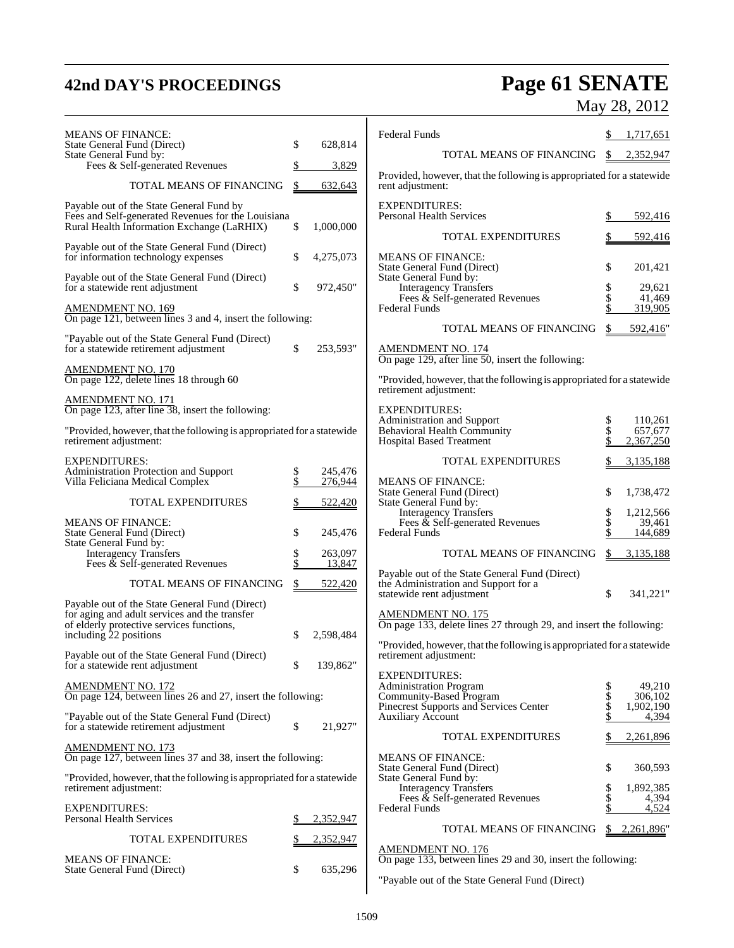## **42nd DAY'S PROCEEDINGS Page 61 SENATE** May 28, 2012

| <b>MEANS OF FINANCE:</b><br>State General Fund (Direct)                                                                                      | \$ | 628,814            | <b>Federal Funds</b>                                                                                                      |          | 1,717,651            |
|----------------------------------------------------------------------------------------------------------------------------------------------|----|--------------------|---------------------------------------------------------------------------------------------------------------------------|----------|----------------------|
| State General Fund by:<br>Fees & Self-generated Revenues                                                                                     |    | 3,829              | TOTAL MEANS OF FINANCING                                                                                                  | \$       | 2,352,947            |
| TOTAL MEANS OF FINANCING                                                                                                                     | \$ | 632,643            | Provided, however, that the following is appropriated for a statewide<br>rent adjustment:                                 |          |                      |
|                                                                                                                                              |    |                    |                                                                                                                           |          |                      |
| Payable out of the State General Fund by<br>Fees and Self-generated Revenues for the Louisiana<br>Rural Health Information Exchange (LaRHIX) | \$ | 1,000,000          | <b>EXPENDITURES:</b><br>Personal Health Services                                                                          | \$       | 592,416              |
| Payable out of the State General Fund (Direct)                                                                                               |    |                    | <b>TOTAL EXPENDITURES</b>                                                                                                 |          | 592,416              |
| for information technology expenses                                                                                                          | \$ | 4,275,073          | <b>MEANS OF FINANCE:</b><br>State General Fund (Direct)                                                                   |          | 201,421              |
| Payable out of the State General Fund (Direct)<br>for a statewide rent adjustment                                                            | \$ | 972,450"           | State General Fund by:<br><b>Interagency Transfers</b><br>Fees $\&$ Self-generated Revenues                               |          | 29,621<br>41,469     |
| <b>AMENDMENT NO. 169</b><br>On page 121, between lines 3 and 4, insert the following:                                                        |    |                    | <b>Federal Funds</b>                                                                                                      |          | 319,905              |
| "Payable out of the State General Fund (Direct)<br>for a statewide retirement adjustment                                                     | \$ | 253,593"           | TOTAL MEANS OF FINANCING                                                                                                  |          | 592,416"             |
| <b>AMENDMENT NO. 170</b><br>On page 122, delete lines 18 through 60                                                                          |    |                    | AMENDMENT NO. 174<br>On page 129, after line 50, insert the following:                                                    |          |                      |
| <b>AMENDMENT NO. 171</b>                                                                                                                     |    |                    | "Provided, however, that the following is appropriated for a statewide<br>retirement adjustment:                          |          |                      |
| On page 123, after line 38, insert the following:                                                                                            |    |                    | <b>EXPENDITURES:</b><br>Administration and Support                                                                        | \$       | 110,261              |
| "Provided, however, that the following is appropriated for a statewide<br>retirement adjustment:                                             |    |                    | Behavioral Health Community<br><b>Hospital Based Treatment</b>                                                            |          | 657,677<br>2,367,250 |
| <b>EXPENDITURES:</b>                                                                                                                         |    |                    | <b>TOTAL EXPENDITURES</b>                                                                                                 |          | 3,135,188            |
| Administration Protection and Support<br>Villa Feliciana Medical Complex                                                                     |    | 245,476<br>276,944 | <b>MEANS OF FINANCE:</b><br>State General Fund (Direct)                                                                   | \$       | 1,738,472            |
| <b>TOTAL EXPENDITURES</b>                                                                                                                    |    | 522,420            | State General Fund by:<br><b>Interagency Transfers</b>                                                                    | \$       | 1,212,566            |
| <b>MEANS OF FINANCE:</b><br>State General Fund (Direct)                                                                                      | \$ | 245,476            | Fees & Self-generated Revenues<br><b>Federal Funds</b>                                                                    | \$       | 39.461<br>144,689    |
| State General Fund by:<br><b>Interagency Transfers</b><br>Fees $\&$ Self-generated Revenues                                                  | \$ | 263,097<br>13,847  | TOTAL MEANS OF FINANCING                                                                                                  | \$       | 3,135,188            |
| TOTAL MEANS OF FINANCING                                                                                                                     |    | 522,420            | Payable out of the State General Fund (Direct)<br>the Administration and Support for a<br>statewide rent adjustment<br>\$ |          | 341,221"             |
| Payable out of the State General Fund (Direct)<br>for aging and adult services and the transfer                                              |    |                    | <b>AMENDMENT NO. 175</b><br>On page 133, delete lines 27 through 29, and insert the following:                            |          |                      |
| of elderly protective services functions,<br>including 22 positions                                                                          | S  | 2,598,484          |                                                                                                                           |          |                      |
| Payable out of the State General Fund (Direct)<br>for a statewide rent adjustment                                                            | \$ | 139,862"           | "Provided, however, that the following is appropriated for a statewide<br>retirement adjustment:                          |          |                      |
| <b>AMENDMENT NO. 172</b>                                                                                                                     |    |                    | <b>EXPENDITURES:</b><br><b>Administration Program</b>                                                                     | \$       | 49,210               |
| On page 124, between lines 26 and 27, insert the following:                                                                                  |    |                    | Community-Based Program<br>Pinecrest Supports and Services Center                                                         | \$<br>\$ | 306,102<br>1,902,190 |
| "Payable out of the State General Fund (Direct)<br>for a statewide retirement adjustment                                                     | \$ | 21,927"            | <b>Auxiliary Account</b>                                                                                                  |          | 4,394                |
| <b>AMENDMENT NO. 173</b>                                                                                                                     |    |                    | TOTAL EXPENDITURES                                                                                                        |          | 2,261,896            |
| On page 127, between lines 37 and 38, insert the following:                                                                                  |    |                    | <b>MEANS OF FINANCE:</b><br>State General Fund (Direct)                                                                   | \$       | 360,593              |
| "Provided, however, that the following is appropriated for a statewide<br>retirement adjustment:                                             |    |                    | State General Fund by:<br><b>Interagency Transfers</b><br>Fees $\&$ Self-generated Revenues                               | \$       | 1,892,385<br>4,394   |
| <b>EXPENDITURES:</b><br>Personal Health Services                                                                                             | \$ | 2,352,947          | <b>Federal Funds</b>                                                                                                      |          | 4,524                |
| TOTAL EXPENDITURES                                                                                                                           |    | 2,352,947          | TOTAL MEANS OF FINANCING                                                                                                  |          | \$2,261,896"         |
| <b>MEANS OF FINANCE:</b><br>State General Fund (Direct)                                                                                      | \$ | 635,296            | <b>AMENDMENT NO. 176</b><br>On page 133, between lines 29 and 30, insert the following:                                   |          |                      |
|                                                                                                                                              |    |                    | "Payable out of the State General Fund (Direct)                                                                           |          |                      |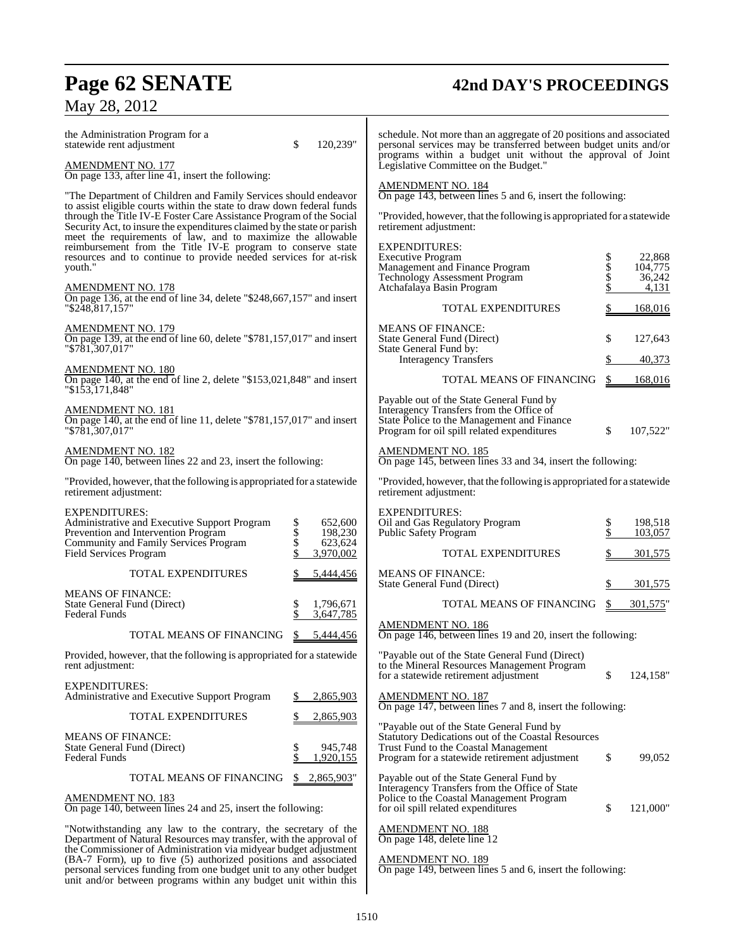## **Page 62 SENATE 42nd DAY'S PROCEEDINGS**

### May 28, 2012

| the Administration Program for a<br>statewide rent adjustment                                                                                                                                                           | \$<br>120,239"                                                                        | schedule. Not more than an aggregate of 20 positions and associated<br>personal services may be transferred between budget units and/or<br>programs within a budget unit without the approval of Joint |             |                             |
|-------------------------------------------------------------------------------------------------------------------------------------------------------------------------------------------------------------------------|---------------------------------------------------------------------------------------|--------------------------------------------------------------------------------------------------------------------------------------------------------------------------------------------------------|-------------|-----------------------------|
| <b>AMENDMENT NO. 177</b><br>On page 133, after line $\overline{41}$ , insert the following:                                                                                                                             |                                                                                       | Legislative Committee on the Budget."                                                                                                                                                                  |             |                             |
| "The Department of Children and Family Services should endeavor                                                                                                                                                         | <b>AMENDMENT NO. 184</b><br>On page 143, between lines 5 and 6, insert the following: |                                                                                                                                                                                                        |             |                             |
| to assist eligible courts within the state to draw down federal funds<br>through the Title IV-E Foster Care Assistance Program of the Social<br>Security Act, to insure the expenditures claimed by the state or parish |                                                                                       | "Provided, however, that the following is appropriated for a statewide<br>retirement adjustment:                                                                                                       |             |                             |
| meet the requirements of law, and to maximize the allowable<br>reimbursement from the Title IV-E program to conserve state<br>resources and to continue to provide needed services for at-risk<br>youth."               |                                                                                       | <b>EXPENDITURES:</b><br><b>Executive Program</b><br>Management and Finance Program<br>Technology Assessment Program                                                                                    | Տ<br>Տ<br>Տ | 22,868<br>104,775<br>36,242 |
| AMENDMENT NO. 178<br>On page 136, at the end of line 34, delete "\$248,667,157" and insert                                                                                                                              |                                                                                       | Atchafalaya Basin Program                                                                                                                                                                              |             | 4,131                       |
| "\$248,817,157"                                                                                                                                                                                                         |                                                                                       | TOTAL EXPENDITURES                                                                                                                                                                                     |             | 168,016                     |
| AMENDMENT NO. 179<br>On page 139, at the end of line 60, delete "\$781,157,017" and insert<br>"\$781,307,017"                                                                                                           |                                                                                       | <b>MEANS OF FINANCE:</b><br>State General Fund (Direct)<br>State General Fund by:                                                                                                                      | \$          | 127,643                     |
|                                                                                                                                                                                                                         |                                                                                       | <b>Interagency Transfers</b>                                                                                                                                                                           |             | 40,373                      |
| <b>AMENDMENT NO. 180</b><br>On page 140, at the end of line 2, delete "\$153,021,848" and insert<br>"\$153,171,848"                                                                                                     |                                                                                       | TOTAL MEANS OF FINANCING                                                                                                                                                                               | \$          | 168,016                     |
| <b>AMENDMENT NO. 181</b><br>On page 140, at the end of line 11, delete "\$781,157,017" and insert<br>"\$781,307,017"                                                                                                    |                                                                                       | Payable out of the State General Fund by<br>Interagency Transfers from the Office of<br>State Police to the Management and Finance<br>Program for oil spill related expenditures                       | \$          | 107,522"                    |
| <u>AMENDMENT NO. 182</u><br>On page 140, between lines 22 and 23, insert the following:                                                                                                                                 |                                                                                       | <b>AMENDMENT NO. 185</b><br>On page 145, between lines 33 and 34, insert the following:                                                                                                                |             |                             |
| "Provided, however, that the following is appropriated for a statewide<br>retirement adjustment:                                                                                                                        |                                                                                       | "Provided, however, that the following is appropriated for a statewide<br>retirement adjustment:                                                                                                       |             |                             |
| EXPENDITURES:<br>Administrative and Executive Support Program<br>Prevention and Intervention Program<br>Community and Family Services Program                                                                           | 652,600<br>\$<br>198,230<br>623,624                                                   | <b>EXPENDITURES:</b><br>Oil and Gas Regulatory Program<br>Public Safety Program                                                                                                                        | \$          | 198,518<br>103,057          |
| <b>Field Services Program</b>                                                                                                                                                                                           | 3,970,002                                                                             | TOTAL EXPENDITURES                                                                                                                                                                                     |             | 301,575                     |
| <b>TOTAL EXPENDITURES</b>                                                                                                                                                                                               | 5,444,456                                                                             | <b>MEANS OF FINANCE:</b><br>State General Fund (Direct)                                                                                                                                                |             | 301,575                     |
| <b>MEANS OF FINANCE:</b><br>State General Fund (Direct)                                                                                                                                                                 | 1,796,671                                                                             | TOTAL MEANS OF FINANCING                                                                                                                                                                               | S.          | 301,575"                    |
| <b>Federal Funds</b><br>TOTAL MEANS OF FINANCING                                                                                                                                                                        | 3,647,785<br>\$<br>5,444,456                                                          | <b>AMENDMENT NO. 186</b><br>On page 146, between lines 19 and 20, insert the following:                                                                                                                |             |                             |
| Provided, however, that the following is appropriated for a statewide<br>rent adjustment:                                                                                                                               |                                                                                       | "Payable out of the State General Fund (Direct)<br>to the Mineral Resources Management Program                                                                                                         |             |                             |
| EXPENDITURES:<br>Administrative and Executive Support Program                                                                                                                                                           | 2,865,903                                                                             | for a statewide retirement adjustment<br><b>AMENDMENT NO. 187</b>                                                                                                                                      | \$          | 124,158"                    |
| TOTAL EXPENDITURES                                                                                                                                                                                                      | 2,865,903                                                                             | On page 147, between lines 7 and 8, insert the following:                                                                                                                                              |             |                             |
| MEANS OF FINANCE:<br>State General Fund (Direct)<br>Federal Funds                                                                                                                                                       | \$<br>945,748<br>1,920,155                                                            | "Payable out of the State General Fund by<br>Statutory Dedications out of the Coastal Resources<br>Trust Fund to the Coastal Management<br>Program for a statewide retirement adjustment               | \$          | 99,052                      |
| TOTAL MEANS OF FINANCING                                                                                                                                                                                                | 2,865,903"<br>\$                                                                      | Payable out of the State General Fund by                                                                                                                                                               |             |                             |
| AMENDMENT NO. 183<br>On page 140, between lines 24 and 25, insert the following:                                                                                                                                        |                                                                                       | Interagency Transfers from the Office of State<br>Police to the Coastal Management Program<br>for oil spill related expenditures                                                                       | \$          | 121,000"                    |
| "Notwithstanding any law to the contrary, the secretary of the<br>Department of Natural Resources may transfer, with the approval of<br>the Commissioner of Administration via midyear budget adjustment                |                                                                                       | <b>AMENDMENT NO. 188</b><br>On page 148, delete line 12                                                                                                                                                |             |                             |

AMENDMENT NO. 189

On page 149, between lines 5 and 6, insert the following:

(BA-7 Form), up to five (5) authorized positions and associated personal services funding from one budget unit to any other budget unit and/or between programs within any budget unit within this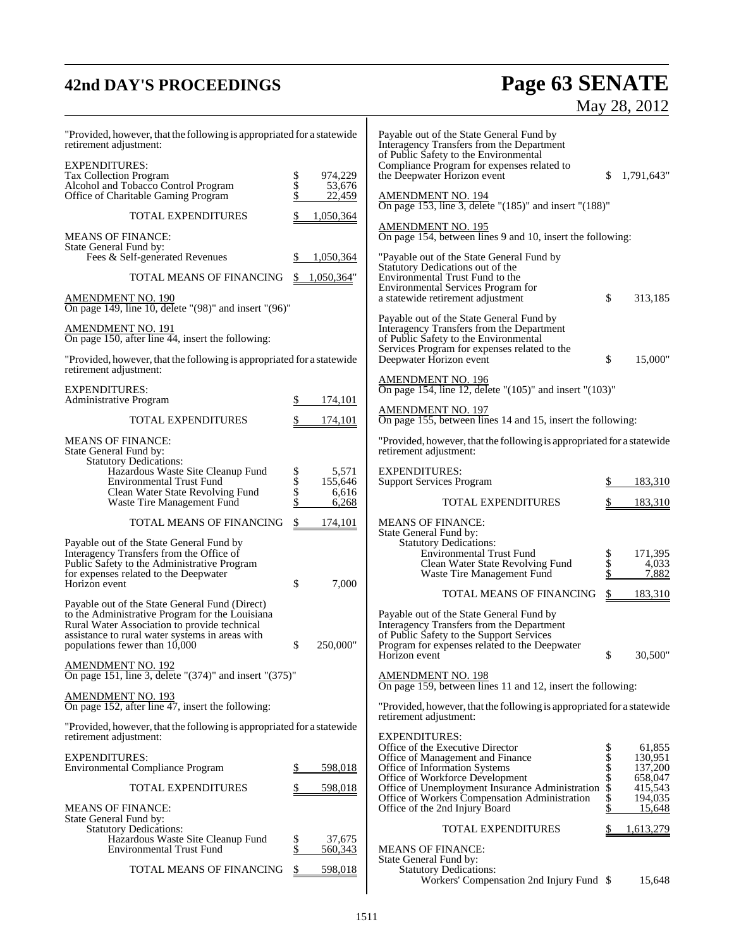## **42nd DAY'S PROCEEDINGS Page 63 SENATE** May 28, 2012

| "Provided, however, that the following is appropriated for a statewide<br>retirement adjustment:                                                                                                                                      |                    |                     | Payable out of the State General Fund by<br>Interagency Transfers from the Department<br>of Public Safety to the Environmental                                                     |                  |                               |
|---------------------------------------------------------------------------------------------------------------------------------------------------------------------------------------------------------------------------------------|--------------------|---------------------|------------------------------------------------------------------------------------------------------------------------------------------------------------------------------------|------------------|-------------------------------|
| <b>EXPENDITURES:</b><br>Tax Collection Program<br>Alcohol and Tobacco Control Program                                                                                                                                                 | Տ<br>Տ<br>Տ        | 974,229<br>53,676   | Compliance Program for expenses related to<br>the Deepwater Horizon event                                                                                                          | S.               | 1,791,643"                    |
| Office of Charitable Gaming Program<br><b>TOTAL EXPENDITURES</b>                                                                                                                                                                      | \$                 | 22,459<br>1,050,364 | AMENDMENT NO. 194<br>On page 153, line 3, delete "(185)" and insert "(188)"                                                                                                        |                  |                               |
| <b>MEANS OF FINANCE:</b>                                                                                                                                                                                                              |                    |                     | AMENDMENT NO. 195<br>On page 154, between lines 9 and 10, insert the following:                                                                                                    |                  |                               |
| State General Fund by:<br>Fees & Self-generated Revenues                                                                                                                                                                              | \$                 | 1,050,364           | "Payable out of the State General Fund by                                                                                                                                          |                  |                               |
| TOTAL MEANS OF FINANCING                                                                                                                                                                                                              | <sup>S</sup>       | 1,050,364"          | Statutory Dedications out of the<br>Environmental Trust Fund to the<br>Environmental Services Program for                                                                          |                  |                               |
| <b>AMENDMENT NO. 190</b><br>On page 149, line 10, delete "(98)" and insert "(96)"                                                                                                                                                     |                    |                     | a statewide retirement adjustment                                                                                                                                                  | \$               | 313,185                       |
| <b>AMENDMENT NO. 191</b><br>On page 150, after line 44, insert the following:                                                                                                                                                         |                    |                     | Payable out of the State General Fund by<br>Interagency Transfers from the Department<br>of Public Safety to the Environmental<br>Services Program for expenses related to the     |                  |                               |
| "Provided, however, that the following is appropriated for a statewide<br>retirement adjustment:                                                                                                                                      |                    |                     | Deepwater Horizon event                                                                                                                                                            | \$               | 15,000"                       |
| <b>EXPENDITURES:</b><br><b>Administrative Program</b>                                                                                                                                                                                 | \$                 | 174,101             | <b>AMENDMENT NO. 196</b><br>On page 154, line 12, delete "(105)" and insert "(103)"                                                                                                |                  |                               |
| <b>TOTAL EXPENDITURES</b>                                                                                                                                                                                                             | \$                 | 174,101             | <b>AMENDMENT NO. 197</b><br>On page 155, between lines 14 and 15, insert the following:                                                                                            |                  |                               |
| <b>MEANS OF FINANCE:</b><br>State General Fund by:                                                                                                                                                                                    |                    |                     | "Provided, however, that the following is appropriated for a statewide<br>retirement adjustment:                                                                                   |                  |                               |
| <b>Statutory Dedications:</b><br>Hazardous Waste Site Cleanup Fund<br><b>Environmental Trust Fund</b>                                                                                                                                 | <b>Տ</b><br>Տ<br>Տ | 5,571<br>155,646    | <b>EXPENDITURES:</b><br><b>Support Services Program</b>                                                                                                                            |                  | 183,310                       |
| Clean Water State Revolving Fund<br>Waste Tire Management Fund                                                                                                                                                                        |                    | 6,616<br>6,268      | <b>TOTAL EXPENDITURES</b>                                                                                                                                                          |                  | 183,310                       |
| TOTAL MEANS OF FINANCING                                                                                                                                                                                                              | \$                 | 174,101             | <b>MEANS OF FINANCE:</b><br>State General Fund by:                                                                                                                                 |                  |                               |
| Payable out of the State General Fund by<br>Interagency Transfers from the Office of<br>Public Safety to the Administrative Program<br>for expenses related to the Deepwater                                                          |                    |                     | <b>Statutory Dedications:</b><br><b>Environmental Trust Fund</b><br>Clean Water State Revolving Fund<br>Waste Tire Management Fund                                                 | \$<br>\$<br>\$   | 171,395<br>4,033<br>7,882     |
| Horizon event                                                                                                                                                                                                                         | \$                 | 7,000               | TOTAL MEANS OF FINANCING                                                                                                                                                           | \$               | 183,310                       |
| Payable out of the State General Fund (Direct)<br>to the Administrative Program for the Louisiana<br>Rural Water Association to provide technical<br>assistance to rural water systems in areas with<br>populations fewer than 10,000 | \$                 | 250,000"            | Payable out of the State General Fund by<br>Interagency Transfers from the Department<br>of Public Safety to the Support Services<br>Program for expenses related to the Deepwater |                  |                               |
| AMENDMENT NO. 192<br>On page 151, line 3, delete "(374)" and insert "(375)"                                                                                                                                                           |                    |                     | Horizon event<br><b>AMENDMENT NO. 198</b>                                                                                                                                          |                  | 30,500"                       |
| <b>AMENDMENT NO. 193</b>                                                                                                                                                                                                              |                    |                     | On page 159, between lines 11 and 12, insert the following:                                                                                                                        |                  |                               |
| On page 152, after line 47, insert the following:                                                                                                                                                                                     |                    |                     | "Provided, however, that the following is appropriated for a statewide<br>retirement adjustment:                                                                                   |                  |                               |
| "Provided, however, that the following is appropriated for a statewide<br>retirement adjustment:                                                                                                                                      |                    |                     | <b>EXPENDITURES:</b><br>Office of the Executive Director                                                                                                                           |                  | 61,855                        |
| <b>EXPENDITURES:</b><br><b>Environmental Compliance Program</b>                                                                                                                                                                       | \$                 | 598,018             | Office of Management and Finance<br>Office of Information Systems                                                                                                                  | Տ<br>Տ<br>Տ<br>Տ | 130,951<br>137,200            |
| <b>TOTAL EXPENDITURES</b>                                                                                                                                                                                                             | \$                 | 598,018             | Office of Workforce Development<br>Office of Unemployment Insurance Administration<br>Office of Workers Compensation Administration                                                | \$<br>\$         | 658,047<br>415,543<br>194,035 |
| <b>MEANS OF FINANCE:</b><br>State General Fund by:                                                                                                                                                                                    |                    |                     | Office of the 2nd Injury Board                                                                                                                                                     |                  | 15,648                        |
| <b>Statutory Dedications:</b><br>Hazardous Waste Site Cleanup Fund<br>Environmental Trust Fund                                                                                                                                        | \$<br>\$           | 37,675<br>560,343   | <b>TOTAL EXPENDITURES</b><br><b>MEANS OF FINANCE:</b>                                                                                                                              |                  | 1,613,279                     |
| TOTAL MEANS OF FINANCING                                                                                                                                                                                                              | \$                 | 598,018             | State General Fund by:<br><b>Statutory Dedications:</b><br>Workers' Compensation 2nd Injury Fund \$                                                                                |                  | 15,648                        |
|                                                                                                                                                                                                                                       |                    |                     |                                                                                                                                                                                    |                  |                               |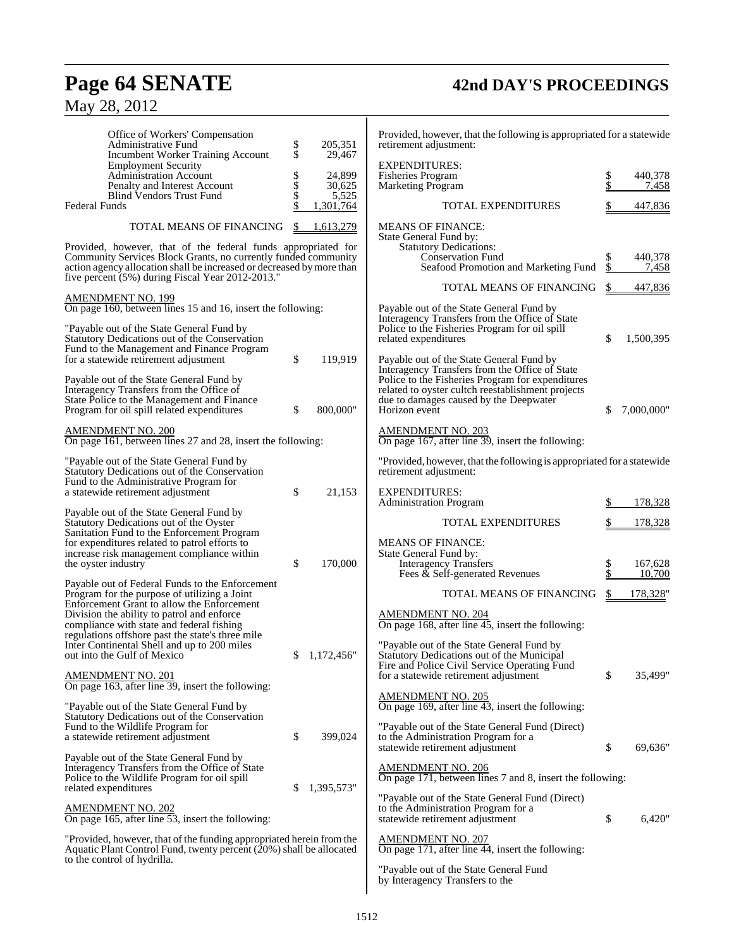## **Page 64 SENATE 42nd DAY'S PROCEEDINGS**

| Office of Workers' Compensation<br>Administrative Fund<br><b>Incumbent Worker Training Account</b>                                                                                          | \$<br>\$ | 205,351<br>29,467 | Provided, however, that the following is appropriated for a statewide<br>retirement adjustment:                         |          |                  |
|---------------------------------------------------------------------------------------------------------------------------------------------------------------------------------------------|----------|-------------------|-------------------------------------------------------------------------------------------------------------------------|----------|------------------|
| <b>Employment Security</b>                                                                                                                                                                  |          |                   | <b>EXPENDITURES:</b>                                                                                                    |          |                  |
| <b>Administration Account</b><br>Penalty and Interest Account                                                                                                                               | \$<br>\$ | 24,899<br>30,625  | Fisheries Program<br><b>Marketing Program</b>                                                                           | \$<br>\$ | 440,378<br>7,458 |
| Blind Vendors Trust Fund                                                                                                                                                                    | \$       | 5,525             |                                                                                                                         |          |                  |
| Federal Funds                                                                                                                                                                               |          | 1,301,764         | TOTAL EXPENDITURES                                                                                                      |          | 447,836          |
| TOTAL MEANS OF FINANCING                                                                                                                                                                    | S        | 1,613,279         | <b>MEANS OF FINANCE:</b><br>State General Fund by:                                                                      |          |                  |
| Provided, however, that of the federal funds appropriated for                                                                                                                               |          |                   | <b>Statutory Dedications:</b>                                                                                           |          |                  |
| Community Services Block Grants, no currently funded community<br>action agency allocation shall be increased or decreased by more than<br>five percent (5%) during Fiscal Year 2012-2013." |          |                   | <b>Conservation Fund</b><br>Seafood Promotion and Marketing Fund                                                        | \$       | 440,378<br>7,458 |
| <b>AMENDMENT NO. 199</b>                                                                                                                                                                    |          |                   | TOTAL MEANS OF FINANCING                                                                                                | \$       | 447,836          |
| On page 160, between lines 15 and 16, insert the following:                                                                                                                                 |          |                   | Payable out of the State General Fund by                                                                                |          |                  |
| "Payable out of the State General Fund by<br>Statutory Dedications out of the Conservation                                                                                                  |          |                   | Interagency Transfers from the Office of State<br>Police to the Fisheries Program for oil spill<br>related expenditures | \$       | 1,500,395        |
| Fund to the Management and Finance Program<br>for a statewide retirement adjustment                                                                                                         | \$       | 119,919           | Payable out of the State General Fund by                                                                                |          |                  |
|                                                                                                                                                                                             |          |                   | Interagency Transfers from the Office of State                                                                          |          |                  |
| Payable out of the State General Fund by<br>Interagency Transfers from the Office of                                                                                                        |          |                   | Police to the Fisheries Program for expenditures<br>related to oyster cultch reestablishment projects                   |          |                  |
| State Police to the Management and Finance                                                                                                                                                  |          |                   | due to damages caused by the Deepwater                                                                                  |          |                  |
| Program for oil spill related expenditures                                                                                                                                                  | \$       | 800,000"          | Horizon event                                                                                                           | \$       | 7,000,000"       |
| <u>AMENDMENT NO. 200</u><br>On page 161, between lines 27 and 28, insert the following:                                                                                                     |          |                   | <b>AMENDMENT NO. 203</b><br>On page 167, after line 39, insert the following:                                           |          |                  |
| "Payable out of the State General Fund by<br>Statutory Dedications out of the Conservation                                                                                                  |          |                   | "Provided, however, that the following is appropriated for a statewide<br>retirement adjustment:                        |          |                  |
| Fund to the Administrative Program for                                                                                                                                                      |          |                   |                                                                                                                         |          |                  |
| a statewide retirement adjustment                                                                                                                                                           | \$       | 21,153            | <b>EXPENDITURES:</b><br><b>Administration Program</b>                                                                   |          | 178,328          |
| Payable out of the State General Fund by                                                                                                                                                    |          |                   |                                                                                                                         |          |                  |
| Statutory Dedications out of the Oyster<br>Sanitation Fund to the Enforcement Program                                                                                                       |          |                   | TOTAL EXPENDITURES                                                                                                      |          | 178,328          |
| for expenditures related to patrol efforts to                                                                                                                                               |          |                   | <b>MEANS OF FINANCE:</b>                                                                                                |          |                  |
| increase risk management compliance within<br>the oyster industry                                                                                                                           | \$       | 170,000           | State General Fund by:<br><b>Interagency Transfers</b>                                                                  | \$       | 167,628          |
|                                                                                                                                                                                             |          |                   | Fees & Self-generated Revenues                                                                                          | \$       | 10,700           |
| Payable out of Federal Funds to the Enforcement<br>Program for the purpose of utilizing a Joint<br>Enforcement Grant to allow the Enforcement                                               |          |                   | TOTAL MEANS OF FINANCING                                                                                                | \$       | 178,328'         |
| Division the ability to patrol and enforce<br>compliance with state and federal fishing                                                                                                     |          |                   | <b>AMENDMENT NO. 204</b><br>On page 168, after line 45, insert the following:                                           |          |                  |
| regulations offshore past the state's three mile                                                                                                                                            |          |                   |                                                                                                                         |          |                  |
| Inter Continental Shell and up to 200 miles<br>out into the Gulf of Mexico                                                                                                                  |          | \$1,172,456"      | "Payable out of the State General Fund by<br>Statutory Dedications out of the Municipal                                 |          |                  |
|                                                                                                                                                                                             |          |                   | Fire and Police Civil Service Operating Fund                                                                            |          |                  |
| <b>AMENDMENT NO. 201</b><br>On page 163, after line 39, insert the following:                                                                                                               |          |                   | for a statewide retirement adjustment                                                                                   | \$       | 35,499"          |
| "Payable out of the State General Fund by                                                                                                                                                   |          |                   | <b>AMENDMENT NO. 205</b><br>On page 169, after line 43, insert the following:                                           |          |                  |
| Statutory Dedications out of the Conservation<br>Fund to the Wildlife Program for                                                                                                           |          |                   | "Payable out of the State General Fund (Direct)                                                                         |          |                  |
| a statewide retirement adjustment                                                                                                                                                           | \$       | 399,024           | to the Administration Program for a                                                                                     |          |                  |
|                                                                                                                                                                                             |          |                   | statewide retirement adjustment                                                                                         | \$       | 69,636"          |
| Payable out of the State General Fund by<br>Interagency Transfers from the Office of State                                                                                                  |          |                   | <b>AMENDMENT NO. 206</b>                                                                                                |          |                  |
| Police to the Wildlife Program for oil spill                                                                                                                                                |          |                   | On page 171, between lines 7 and 8, insert the following:                                                               |          |                  |
| related expenditures                                                                                                                                                                        |          | 1,395,573"        | "Payable out of the State General Fund (Direct)                                                                         |          |                  |
| <b>AMENDMENT NO. 202</b><br>On page 165, after line 53, insert the following:                                                                                                               |          |                   | to the Administration Program for a<br>statewide retirement adjustment                                                  | \$       | 6,420"           |
| "Provided, however, that of the funding appropriated herein from the                                                                                                                        |          |                   | <b>AMENDMENT NO. 207</b>                                                                                                |          |                  |
| Aquatic Plant Control Fund, twenty percent (20%) shall be allocated                                                                                                                         |          |                   | On page 171, after line 44, insert the following:                                                                       |          |                  |
| to the control of hydrilla.                                                                                                                                                                 |          |                   | "Payable out of the State General Fund                                                                                  |          |                  |
|                                                                                                                                                                                             |          |                   | by Interagency Transfers to the                                                                                         |          |                  |
|                                                                                                                                                                                             |          |                   |                                                                                                                         |          |                  |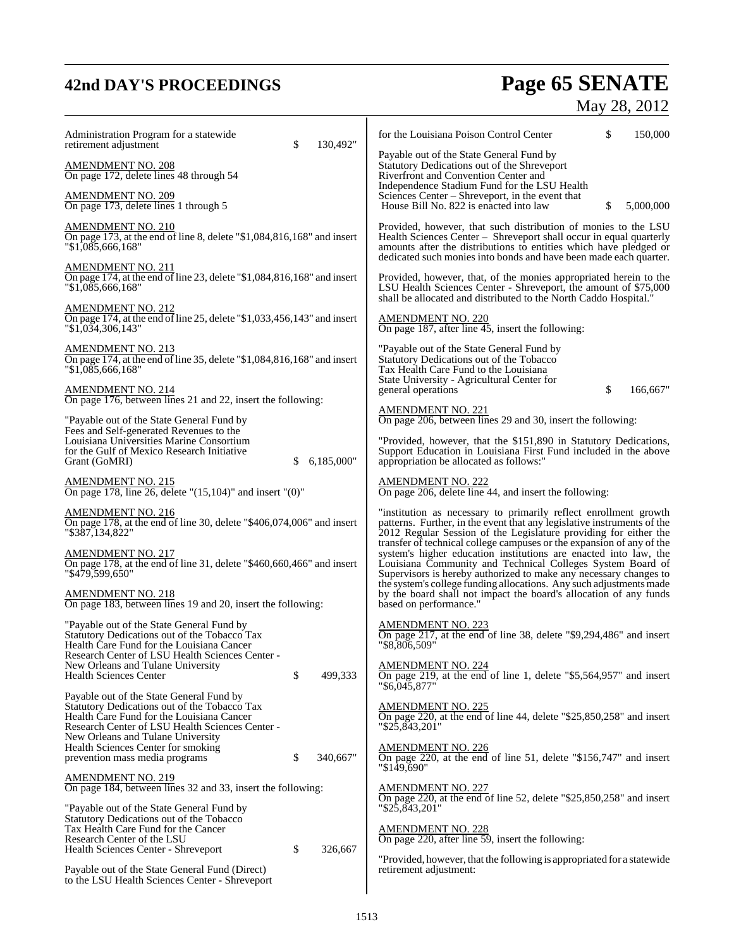# **42nd DAY'S PROCEEDINGS Page 65 SENATE**

| Administration Program for a statewide<br>\$<br>130,492"<br>retirement adjustment                                                                                                        | \$<br>for the Louisiana Poison Control Center<br>150,000                                                                                                                                                                                                                                 |
|------------------------------------------------------------------------------------------------------------------------------------------------------------------------------------------|------------------------------------------------------------------------------------------------------------------------------------------------------------------------------------------------------------------------------------------------------------------------------------------|
| AMENDMENT NO. 208<br>On page 172, delete lines 48 through 54                                                                                                                             | Payable out of the State General Fund by<br>Statutory Dedications out of the Shreveport<br>Riverfront and Convention Center and<br>Independence Stadium Fund for the LSU Health                                                                                                          |
| <u>AMENDMENT NO. 209</u><br>On page 173, delete lines 1 through 5                                                                                                                        | Sciences Center - Shreveport, in the event that<br>5,000,000<br>\$<br>House Bill No. 822 is enacted into law                                                                                                                                                                             |
| <u>AMENDMENT NO. 210</u><br>On page 173, at the end of line 8, delete " $$1,084,816,168$ " and insert<br>"\$1,085,666,168"                                                               | Provided, however, that such distribution of monies to the LSU<br>Health Sciences Center – Shreveport shall occur in equal quarterly<br>amounts after the distributions to entities which have pledged or<br>dedicated such monies into bonds and have been made each quarter.           |
| <b>AMENDMENT NO. 211</b><br>On page 174, at the end of line 23, delete "\$1,084,816,168" and insert<br>"\$1,085,666,168"                                                                 | Provided, however, that, of the monies appropriated herein to the<br>LSU Health Sciences Center - Shreveport, the amount of \$75,000<br>shall be allocated and distributed to the North Caddo Hospital."                                                                                 |
| AMENDMENT NO. 212<br>On page 174, at the end of line 25, delete " $$1,033,456,143$ " and insert<br>"\$1,034,306,143"                                                                     | <b>AMENDMENT NO. 220</b><br>On page 187, after line 45, insert the following:                                                                                                                                                                                                            |
| AMENDMENT NO. 213<br>On page 174, at the end of line 35, delete "\$1,084,816,168" and insert<br>"\$1,085,666,168"                                                                        | "Payable out of the State General Fund by<br>Statutory Dedications out of the Tobacco<br>Tax Health Care Fund to the Louisiana<br>State University - Agricultural Center for                                                                                                             |
| <b>AMENDMENT NO. 214</b><br>On page 176, between lines 21 and 22, insert the following:                                                                                                  | \$<br>166,667"<br>general operations<br><b>AMENDMENT NO. 221</b>                                                                                                                                                                                                                         |
| "Payable out of the State General Fund by<br>Fees and Self-generated Revenues to the<br>Louisiana Universities Marine Consortium                                                         | On page 206, between lines 29 and 30, insert the following:<br>"Provided, however, that the \$151,890 in Statutory Dedications,                                                                                                                                                          |
| for the Gulf of Mexico Research Initiative<br>6,185,000"<br>Grant (GoMRI)<br>\$                                                                                                          | Support Education in Louisiana First Fund included in the above<br>appropriation be allocated as follows:"                                                                                                                                                                               |
| <u>AMENDMENT NO. 215</u><br>On page 178, line 26, delete " $(15,104)$ " and insert " $(0)$ "                                                                                             | <b>AMENDMENT NO. 222</b><br>On page 206, delete line 44, and insert the following:                                                                                                                                                                                                       |
| AMENDMENT NO. 216<br>On page 178, at the end of line 30, delete " $$406,074,006"$ and insert<br>"\$387,134,822"                                                                          | "institution as necessary to primarily reflect enrollment growth<br>patterns. Further, in the event that any legislative instruments of the<br>2012 Regular Session of the Legislature providing for either the<br>transfer of technical college campuses or the expansion of any of the |
| <u>AMENDMENT NO. 217</u><br>On page 178, at the end of line 31, delete "\$460,660,466" and insert<br>"\$479,599,650"                                                                     | system's higher education institutions are enacted into law, the<br>Louisiana Community and Technical Colleges System Board of<br>Supervisors is hereby authorized to make any necessary changes to<br>the system's college funding allocations. Any such adjustments made               |
| <u>AMENDMENT NO. 218</u><br>On page 183, between lines 19 and 20, insert the following:                                                                                                  | by the board shall not impact the board's allocation of any funds<br>based on performance."                                                                                                                                                                                              |
| "Payable out of the State General Fund by<br>Statutory Dedications out of the Tobacco Tax<br>Health Care Fund for the Louisiana Cancer                                                   | <b>AMENDMENT NO. 223</b><br>On page 217, at the end of line 38, delete "\$9,294,486" and insert<br>"\$8,806,509"                                                                                                                                                                         |
| Research Center of LSU Health Sciences Center -<br>New Orleans and Tulane University<br>\$<br><b>Health Sciences Center</b><br>499,333                                                   | <b>AMENDMENT NO. 224</b><br>On page 219, at the end of line 1, delete "\$5,564,957" and insert<br>"\$6,045,877"                                                                                                                                                                          |
| Payable out of the State General Fund by<br>Statutory Dedications out of the Tobacco Tax<br>Health Care Fund for the Louisiana Cancer<br>Research Center of LSU Health Sciences Center - | <u>AMENDMENT NO. 225</u><br>On page 220, at the end of line 44, delete " $$25,850,258"$ and insert<br>"\$25,843,201"                                                                                                                                                                     |
| New Orleans and Tulane University<br>Health Sciences Center for smoking<br>\$<br>340,667"<br>prevention mass media programs                                                              | <b>AMENDMENT NO. 226</b><br>On page 220, at the end of line 51, delete "\$156,747" and insert<br>"\$149,690"                                                                                                                                                                             |
| <b>AMENDMENT NO. 219</b><br>On page 184, between lines 32 and 33, insert the following:<br>"Payable out of the State General Fund by                                                     | <b>AMENDMENT NO. 227</b><br>On page 220, at the end of line 52, delete "\$25,850,258" and insert<br>"\$25,843,201"                                                                                                                                                                       |
| Statutory Dedications out of the Tobacco<br>Tax Health Care Fund for the Cancer<br>Research Center of the LSU                                                                            | <b>AMENDMENT NO. 228</b><br>On page 220, after line 59, insert the following:                                                                                                                                                                                                            |
| \$<br>326,667<br>Health Sciences Center - Shreveport                                                                                                                                     | "Provided, however, that the following is appropriated for a statewide                                                                                                                                                                                                                   |
| Payable out of the State General Fund (Direct)<br>to the LSU Health Sciences Center - Shreveport                                                                                         | retirement adjustment:                                                                                                                                                                                                                                                                   |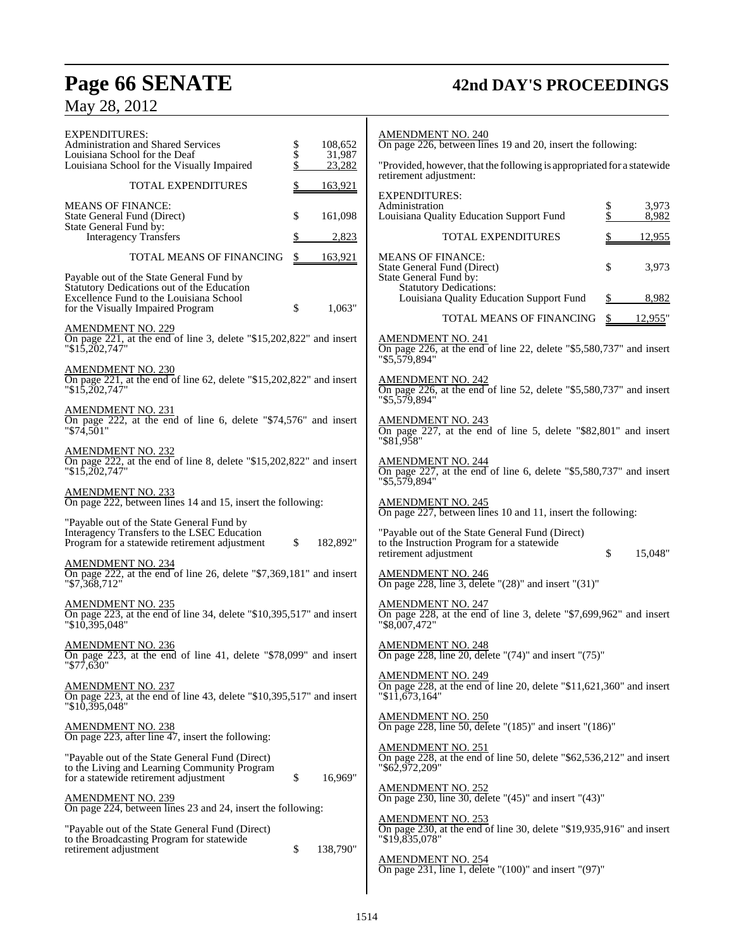## **Page 66 SENATE 42nd DAY'S PROCEEDINGS**

May 28, 2012

| <b>EXPENDITURES:</b><br><b>Administration and Shared Services</b><br>Louisiana School for the Deaf<br>Louisiana School for the Visually Impaired              | \$<br>108,652<br>$\dot{\$}$<br>31,987<br>\$<br>23,282 | <b>AMENDMENT NO. 2</b><br>On page 226, between<br>"Provided, however, that<br>retirement adjustment:                   |
|---------------------------------------------------------------------------------------------------------------------------------------------------------------|-------------------------------------------------------|------------------------------------------------------------------------------------------------------------------------|
| TOTAL EXPENDITURES<br><b>MEANS OF FINANCE:</b><br>State General Fund (Direct)<br>State General Fund by:                                                       | \$<br>163,921<br>\$<br>161,098                        | <b>EXPENDITURES:</b><br>Administration<br>Louisiana Quality Edu                                                        |
| <b>Interagency Transfers</b>                                                                                                                                  | \$<br>2,823                                           | TOTAL                                                                                                                  |
| TOTAL MEANS OF FINANCING<br>Payable out of the State General Fund by<br>Statutory Dedications out of the Education<br>Excellence Fund to the Louisiana School | \$<br>163,921                                         | MEANS OF FINANCI<br>State General Fund (Di<br>State General Fund by:<br><b>Statutory Dedicati</b><br>Louisiana Quality |
| for the Visually Impaired Program                                                                                                                             | \$<br>1,063"                                          | <b>TOTAL</b>                                                                                                           |
| <b>AMENDMENT NO. 229</b><br>On page 221, at the end of line 3, delete "\$15,202,822" and insert<br>$"\$1\overline{5},2\overline{0}2,747"$                     |                                                       | <b>AMENDMENT NO. 2</b><br>On page 226, at the en<br>"\$5,579,894"                                                      |
| <b>AMENDMENT NO. 230</b><br>On page 221, at the end of line 62, delete "\$15,202,822" and insert<br>$"\$1\overline{5},\overline{2}02,747"$                    |                                                       | <b>AMENDMENT NO. 2</b><br>On page 226, at the en<br>"\$5,579,894"                                                      |
| AMENDMENT NO. 231<br>On page 222, at the end of line 6, delete "\$74,576" and insert<br>"\$74.501"                                                            |                                                       | <b>AMENDMENT NO. 2</b><br>On page 227, at the<br>$"$ \$81,958"                                                         |
| <b>AMENDMENT NO. 232</b><br>On page 222, at the end of line 8, delete "\$15,202,822" and insert<br>$"\$1\overline{5},\overline{202},747"$                     |                                                       | <u>AMENDMENT NO. 2</u><br>On page 227, at the en<br>"\$5,579,894"                                                      |
| <b>AMENDMENT NO. 233</b><br>On page 222, between lines 14 and 15, insert the following:                                                                       |                                                       | <b>AMENDMENT NO. 2</b><br>On page 227, between                                                                         |
| "Payable out of the State General Fund by<br>Interagency Transfers to the LSEC Education<br>Program for a statewide retirement adjustment                     | \$<br>182,892"                                        | "Payable out of the Sta<br>to the Instruction Progr<br>retirement adjustment                                           |
| <b>AMENDMENT NO. 234</b><br>On page 222, at the end of line 26, delete " $$7,369,181"$ and insert<br>$"\$7,368,712"$                                          |                                                       | <b>AMENDMENT NO. 2</b><br>On page 228, line 3, de                                                                      |
| AMENDMENT NO. 235<br>On page 223, at the end of line 34, delete "\$10,395,517" and insert<br>"\$10,395,048"                                                   |                                                       | <b>AMENDMENT NO. 2</b><br>On page 228, at the en<br>"\$8,007,472"                                                      |
| <b>AMENDMENT NO. 236</b><br>On page 223, at the end of line 41, delete "\$78,099" and insert<br>"\$77,630"                                                    |                                                       | <b>AMENDMENT NO. 2</b><br>On page 228, line 20, c                                                                      |
| <b>AMENDMENT NO. 237</b><br>On page 223, at the end of line 43, delete "\$10,395,517" and insert<br>"\$10,395,048"                                            |                                                       | <b>AMENDMENT NO. 2</b><br>On page 228, at the end<br>"\$11,673,164"                                                    |
| <b>AMENDMENT NO. 238</b><br>On page 223, after line 47, insert the following:                                                                                 |                                                       | <b>AMENDMENT NO. 2</b><br>On page 228, line 50, d                                                                      |
| "Payable out of the State General Fund (Direct)<br>to the Living and Learning Community Program<br>for a statewide retirement adjustment                      | \$<br>16,969"                                         | <b>AMENDMENT NO. 2</b><br>On page 228, at the eno<br>"\$62,972,209"                                                    |
| <b>AMENDMENT NO. 239</b><br>On page 224, between lines 23 and 24, insert the following:                                                                       |                                                       | AMENDMENT NO. 2<br>On page 230, line 30, c                                                                             |
| "Payable out of the State General Fund (Direct)<br>to the Broadcasting Program for statewide<br>retirement adjustment                                         | \$<br>138,790"                                        | <b>AMENDMENT NO. 2</b><br>On page 230, at the end<br>"\$19,835,078"                                                    |
|                                                                                                                                                               |                                                       | <u>AMENDMENT NO. 2</u><br>On page 231, line 1, de                                                                      |

### AMENDMENT NO. 240 On page 226, between lines 19 and 20, insert the following: that the following is appropriated for a statewide nt: Administration \$ 3,973 ducation Support Fund  $\begin{array}{cc} \$ & 3,973 \\ \$ & 8,982 \end{array}$ AL EXPENDITURES  $$ 12,955$ VCE:<br>(Direct) State General Fund (Direct)  $\qquad$  \$ 3,973 Statutory Dedications: ity Education Support Fund \$ 8,982 AL MEANS OF FINANCING \$ 12,955" AMENDMENT NO. 241 On page 226, at the end of line 22, delete "\$5,580,737" and insert AMENDMENT NO. 242 On page 226, at the end of line 52, delete "\$5,580,737" and insert AMENDMENT NO. 243 On page 227, at the end of line 5, delete "\$82,801" and insert

AMENDMENT NO. 244 On page 227, at the end of line 6, delete "\$5,580,737" and insert

AMENDMENT NO. 245 On page 227, between lines 10 and 11, insert the following:

State General Fund (Direct) ogram for a statewide<br>nt  $$15,048"$ 

AMENDMENT NO. 246 On page 228, line 3, delete "(28)" and insert "(31)"

 $.247$  $\overline{C}$  end of line 3, delete "\$7,699,962" and insert

AMENDMENT NO. 248 On page 228, line 20, delete "(74)" and insert "(75)"

AMENDMENT NO. 249 On page 228, at the end of line 20, delete "\$11,621,360" and insert

AMENDMENT NO. 250 On page 228, line 50, delete "(185)" and insert "(186)"

AMENDMENT NO. 251 On page 228, at the end of line 50, delete "\$62,536,212" and insert

AMENDMENT NO. 252 On page 230, line 30, delete " $(45)$ " and insert " $(43)$ "

AMENDMENT NO. 253 On page 230, at the end of line 30, delete "\$19,935,916" and insert

AMENDMENT NO. 254 On page 231, line 1, delete "(100)" and insert "(97)"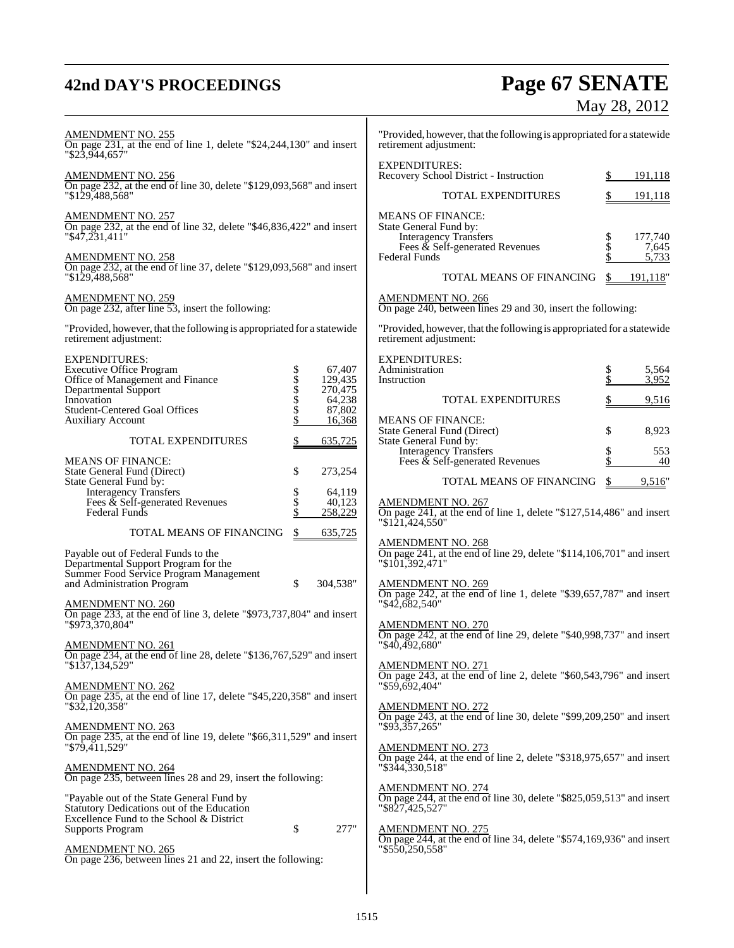## **42nd DAY'S PROCEEDINGS Page 67 SENATE** May 28, 2012

| <b>AMENDMENT NO. 255</b><br>On page $231$ , at the end of line 1, delete "\$24,244,130" and insert<br>"\$23.944.657"                                       |            | "Provided, however, that the following is appropriated for a statewide<br>retirement adjustment: |                                                                                                                                        |                 |                           |
|------------------------------------------------------------------------------------------------------------------------------------------------------------|------------|--------------------------------------------------------------------------------------------------|----------------------------------------------------------------------------------------------------------------------------------------|-----------------|---------------------------|
| <b>AMENDMENT NO. 256</b>                                                                                                                                   |            |                                                                                                  | <b>EXPENDITURES:</b><br>Recovery School District - Instruction                                                                         | S.              | 191,118                   |
| On page 232, at the end of line 30, delete "\$129,093,568" and insert<br>"\$129,488,568"                                                                   |            |                                                                                                  | TOTAL EXPENDITURES                                                                                                                     |                 | 191,118                   |
| <b>AMENDMENT NO. 257</b><br>On page 232, at the end of line 32, delete "\$46,836,422" and insert<br>$"\$4\overline{7,231,411"$<br><b>AMENDMENT NO. 258</b> |            |                                                                                                  | <b>MEANS OF FINANCE:</b><br>State General Fund by:<br><b>Interagency Transfers</b><br>Fees & Self-generated Revenues<br>Federal Funds  | Տ<br>Տ<br>Տ     | 177,740<br>7,645<br>5,733 |
| On page 232, at the end of line 37, delete "\$129,093,568" and insert<br>"\$129.488.568"                                                                   |            |                                                                                                  | TOTAL MEANS OF FINANCING                                                                                                               | \$              | 191,118"                  |
| <b>AMENDMENT NO. 259</b><br>On page 232, after line 53, insert the following:                                                                              |            |                                                                                                  | <b>AMENDMENT NO. 266</b><br>On page 240, between lines 29 and 30, insert the following:                                                |                 |                           |
| "Provided, however, that the following is appropriated for a statewide<br>retirement adjustment:                                                           |            |                                                                                                  | "Provided, however, that the following is appropriated for a statewide<br>retirement adjustment:                                       |                 |                           |
| <b>EXPENDITURES:</b><br><b>Executive Office Program</b><br>Office of Management and Finance                                                                |            | 67,407<br>129,435                                                                                | <b>EXPENDITURES:</b><br>Administration<br>Instruction                                                                                  | $\frac{\$}{\$}$ | 5,564<br>3,952            |
| Departmental Support<br>Innovation                                                                                                                         | \$\$\$\$\$ | 270,475<br>64,238                                                                                | <b>TOTAL EXPENDITURES</b>                                                                                                              | \$              | 9,516                     |
| <b>Student-Centered Goal Offices</b><br><b>Auxiliary Account</b>                                                                                           | \$         | 87,802<br>16,368                                                                                 | <b>MEANS OF FINANCE:</b><br><b>State General Fund (Direct)</b>                                                                         | \$              | 8,923                     |
| TOTAL EXPENDITURES                                                                                                                                         | \$         | 635,725                                                                                          | State General Fund by:<br>Interagency Transfers<br>Fees & Self-generated Revenues                                                      | \$<br>\$        | 553                       |
| <b>MEANS OF FINANCE:</b><br>State General Fund (Direct)                                                                                                    | \$         | 273,254                                                                                          |                                                                                                                                        |                 | 40                        |
| State General Fund by:<br><b>Interagency Transfers</b>                                                                                                     | \$         | 64,119                                                                                           | TOTAL MEANS OF FINANCING                                                                                                               | \$              | 9,516"                    |
| Fees $\&$ Self-generated Revenues<br>Federal Funds                                                                                                         | \$<br>\$   | 40.123<br>258,229                                                                                | <b>AMENDMENT NO. 267</b><br>On page 241, at the end of line 1, delete "\$127,514,486" and insert<br>"\$121,424,550"                    |                 |                           |
| TOTAL MEANS OF FINANCING                                                                                                                                   | \$         | 635,725                                                                                          |                                                                                                                                        |                 |                           |
| Payable out of Federal Funds to the<br>Departmental Support Program for the<br>Summer Food Service Program Management<br>and Administration Program        | \$         | 304,538"                                                                                         | AMENDMENT NO. 268<br>On page 241, at the end of line 29, delete "\$114,106,701" and insert<br>"\$101,392,471"                          |                 |                           |
| <b>AMENDMENT NO. 260</b><br>On page 233, at the end of line 3, delete "\$973,737,804" and insert<br>"\$973,370,804"                                        |            |                                                                                                  | AMENDMENT NO. 269<br>On page 242, at the end of line 1, delete "\$39,657,787" and insert<br>"\$42,682,540"<br><b>AMENDMENT NO. 270</b> |                 |                           |
| <b>AMENDMENT NO. 261</b><br>On page 234, at the end of line 28, delete "\$136,767,529" and insert                                                          |            |                                                                                                  | On page 242, at the end of line 29, delete "\$40,998,737" and insert<br>"\$40,492,680"                                                 |                 |                           |
| "\$137,134,529"<br><b>AMENDMENT NO. 262</b>                                                                                                                |            |                                                                                                  | <b>AMENDMENT NO. 271</b><br>On page 243, at the end of line 2, delete "\$60,543,796" and insert<br>"\$59,692,404"                      |                 |                           |
| On page 235, at the end of line 17, delete " $$45,220,358"$ and insert<br>$"\$32,120,358"$                                                                 |            |                                                                                                  | <b>AMENDMENT NO. 272</b><br>On page 243, at the end of line 30, delete "\$99,209,250" and insert                                       |                 |                           |
| <b>AMENDMENT NO. 263</b><br>On page 235, at the end of line 19, delete "\$66,311,529" and insert<br>$"$ \$79,411,529"                                      |            |                                                                                                  | $"$ \$93,357,265"<br><b>AMENDMENT NO. 273</b>                                                                                          |                 |                           |
| <b>AMENDMENT NO. 264</b><br>On page 235, between lines 28 and 29, insert the following:                                                                    |            |                                                                                                  | On page 244, at the end of line 2, delete " $$318,975,657"$ and insert<br>"\$344,330,518"                                              |                 |                           |
| "Payable out of the State General Fund by<br>Statutory Dedications out of the Education                                                                    |            |                                                                                                  | <b>AMENDMENT NO. 274</b><br>On page 244, at the end of line 30, delete "\$825,059,513" and insert<br>"\$827,425,527"                   |                 |                           |
| Excellence Fund to the School & District<br><b>Supports Program</b>                                                                                        | \$         | 277"                                                                                             | <b>AMENDMENT NO. 275</b><br>On page 244, at the end of line 34, delete "\$574,169,936" and insert                                      |                 |                           |
| <b>AMENDMENT NO. 265</b><br>On page 236, between lines 21 and 22, insert the following:                                                                    |            |                                                                                                  | "\$550,250,558"                                                                                                                        |                 |                           |
|                                                                                                                                                            |            |                                                                                                  |                                                                                                                                        |                 |                           |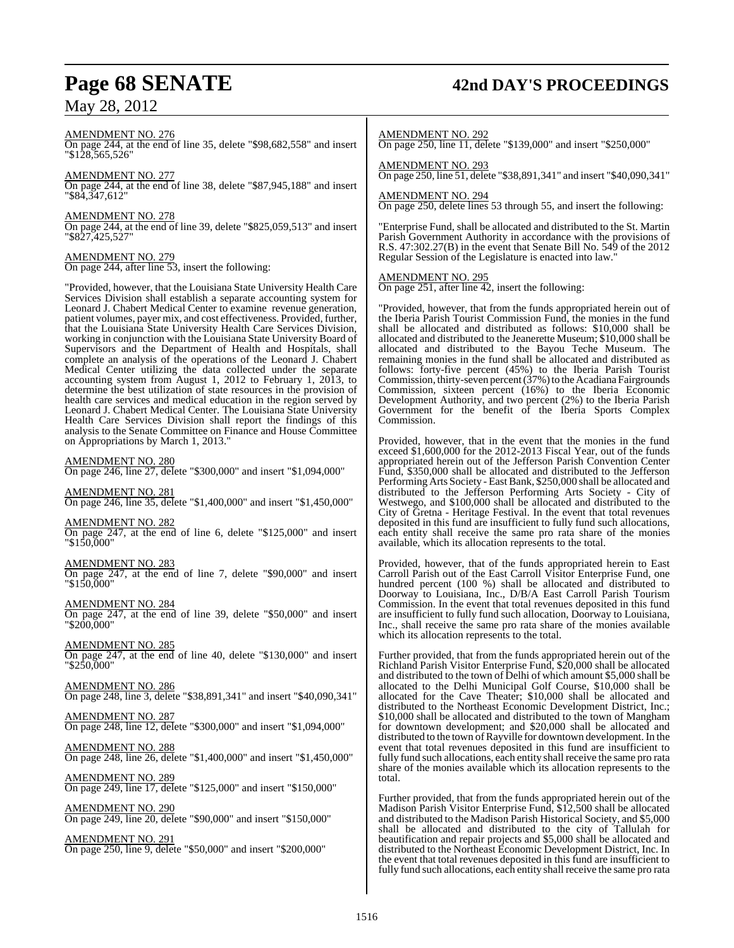## **Page 68 SENATE 42nd DAY'S PROCEEDINGS**

AMENDMENT NO. 276

On page 244, at the end of line 35, delete "\$98,682,558" and insert "\$128,565,526"

### AMENDMENT NO. 277

On page 244, at the end of line 38, delete "\$87,945,188" and insert "\$84,347,612"

#### AMENDMENT NO. 278

On page 244, at the end of line 39, delete "\$825,059,513" and insert "\$827,425,527"

### AMENDMENT NO. 279

On page 244, after line 53, insert the following:

"Provided, however, that the Louisiana State University Health Care Services Division shall establish a separate accounting system for Leonard J. Chabert Medical Center to examine revenue generation, patient volumes, payer mix, and cost effectiveness. Provided, further, that the Louisiana State University Health Care Services Division, working in conjunction with the Louisiana State University Board of Supervisors and the Department of Health and Hospitals, shall complete an analysis of the operations of the Leonard J. Chabert Medical Center utilizing the data collected under the separate accounting system from August 1, 2012 to February 1, 2013, to determine the best utilization of state resources in the provision of health care services and medical education in the region served by Leonard J. Chabert Medical Center. The Louisiana State University Health Care Services Division shall report the findings of this analysis to the Senate Committee on Finance and House Committee on Appropriations by March 1, 2013."

AMENDMENT NO. 280

On page 246, line 27, delete "\$300,000" and insert "\$1,094,000"

#### AMENDMENT NO. 281

On page 246, line 35, delete "\$1,400,000" and insert "\$1,450,000"

#### AMENDMENT NO. 282

On page 247, at the end of line 6, delete "\$125,000" and insert "\$150,000"

#### AMENDMENT NO. 283

On page 247, at the end of line 7, delete "\$90,000" and insert "\$150,000"

AMENDMENT NO. 284

On page 247, at the end of line 39, delete "\$50,000" and insert "\$200,000"

#### AMENDMENT NO. 285

On page 247, at the end of line 40, delete "\$130,000" and insert "\$250,000"

AMENDMENT NO. 286

On page 248, line 3, delete "\$38,891,341" and insert "\$40,090,341"

### AMENDMENT NO. 287

On page 248, line 12, delete "\$300,000" and insert "\$1,094,000"

AMENDMENT NO. 288 On page 248, line 26, delete "\$1,400,000" and insert "\$1,450,000"

AMENDMENT NO. 289 On page 249, line 17, delete "\$125,000" and insert "\$150,000"

AMENDMENT NO. 290 On page 249, line 20, delete "\$90,000" and insert "\$150,000"

AMENDMENT NO. 291 On page 250, line 9, delete "\$50,000" and insert "\$200,000"

#### AMENDMENT NO. 292

On page 250, line 11, delete "\$139,000" and insert "\$250,000"

#### AMENDMENT NO. 293 On page 250, line 51, delete "\$38,891,341" and insert "\$40,090,341"

### AMENDMENT NO. 294

On page 250, delete lines 53 through 55, and insert the following:

"Enterprise Fund, shall be allocated and distributed to the St. Martin Parish Government Authority in accordance with the provisions of R.S. 47:302.27(B) in the event that Senate Bill No. 549 of the 2012 Regular Session of the Legislature is enacted into law."

#### AMENDMENT NO. 295

On page 251, after line 42, insert the following:

"Provided, however, that from the funds appropriated herein out of the Iberia Parish Tourist Commission Fund, the monies in the fund shall be allocated and distributed as follows: \$10,000 shall be allocated and distributed to the Jeanerette Museum; \$10,000 shall be allocated and distributed to the Bayou Teche Museum. The remaining monies in the fund shall be allocated and distributed as follows: forty-five percent (45%) to the Iberia Parish Tourist Commission, thirty-seven percent (37%) to the Acadiana Fairgrounds Commission, sixteen percent (16%) to the Iberia Economic Development Authority, and two percent (2%) to the Iberia Parish Government for the benefit of the Iberia Sports Complex Commission.

Provided, however, that in the event that the monies in the fund exceed \$1,600,000 for the 2012-2013 Fiscal Year, out of the funds appropriated herein out of the Jefferson Parish Convention Center Fund, \$350,000 shall be allocated and distributed to the Jefferson Performing Arts Society - East Bank, \$250,000 shall be allocated and distributed to the Jefferson Performing Arts Society - City of Westwego, and \$100,000 shall be allocated and distributed to the City of Gretna - Heritage Festival. In the event that total revenues deposited in this fund are insufficient to fully fund such allocations, each entity shall receive the same pro rata share of the monies available, which its allocation represents to the total.

Provided, however, that of the funds appropriated herein to East Carroll Parish out of the East Carroll Visitor Enterprise Fund, one hundred percent (100 %) shall be allocated and distributed to Doorway to Louisiana, Inc., D/B/A East Carroll Parish Tourism Commission. In the event that total revenues deposited in this fund are insufficient to fully fund such allocation, Doorway to Louisiana, Inc., shall receive the same pro rata share of the monies available which its allocation represents to the total.

Further provided, that from the funds appropriated herein out of the Richland Parish Visitor Enterprise Fund, \$20,000 shall be allocated and distributed to the town of Delhi of which amount \$5,000 shall be allocated to the Delhi Municipal Golf Course, \$10,000 shall be allocated for the Cave Theater; \$10,000 shall be allocated and distributed to the Northeast Economic Development District, Inc.; \$10,000 shall be allocated and distributed to the town of Mangham for downtown development; and \$20,000 shall be allocated and distributed to the town of Rayville for downtown development. In the event that total revenues deposited in this fund are insufficient to fully fund such allocations, each entity shall receive the same pro rata share of the monies available which its allocation represents to the total.

Further provided, that from the funds appropriated herein out of the Madison Parish Visitor Enterprise Fund, \$12,500 shall be allocated and distributed to the Madison Parish Historical Society, and \$5,000 shall be allocated and distributed to the city of Tallulah for beautification and repair projects and \$5,000 shall be allocated and distributed to the Northeast Economic Development District, Inc. In the event that total revenues deposited in this fund are insufficient to fully fund such allocations, each entity shall receive the same pro rata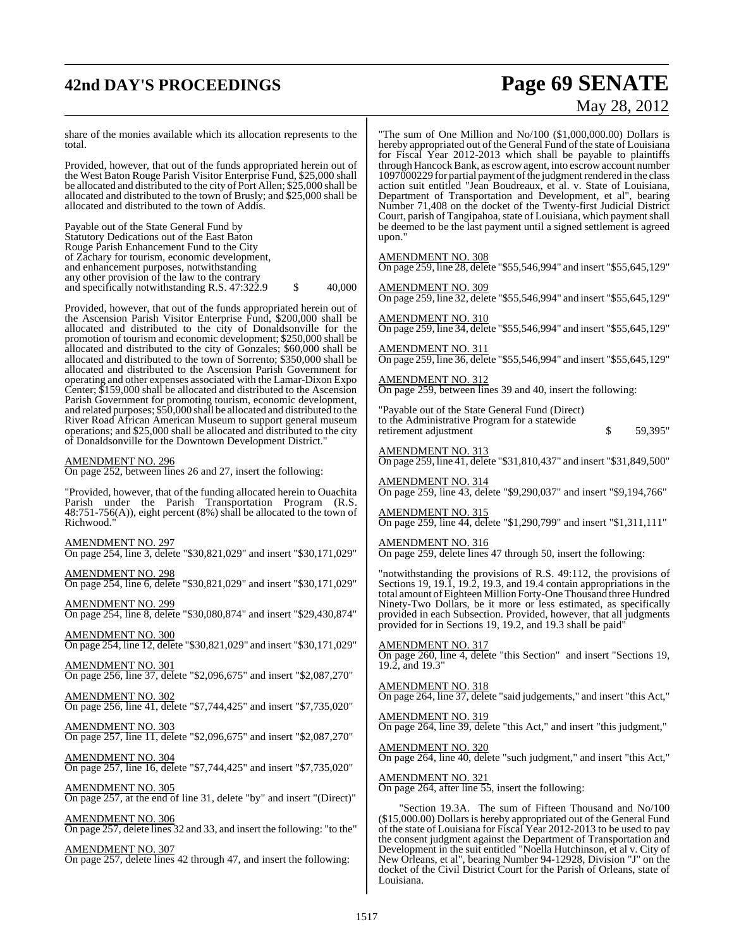## **42nd DAY'S PROCEEDINGS Page 69 SENATE**

# May 28, 2012

share of the monies available which its allocation represents to the total.

Provided, however, that out of the funds appropriated herein out of the West Baton Rouge Parish Visitor Enterprise Fund, \$25,000 shall be allocated and distributed to the city of Port Allen; \$25,000 shall be allocated and distributed to the town of Brusly; and \$25,000 shall be allocated and distributed to the town of Addis.

Payable out of the State General Fund by Statutory Dedications out of the East Baton Rouge Parish Enhancement Fund to the City of Zachary for tourism, economic development, and enhancement purposes, notwithstanding any other provision of the law to the contrary and specifically notwithstanding R.S.  $47:322.9$  \$  $40,000$ 

Provided, however, that out of the funds appropriated herein out of the Ascension Parish Visitor Enterprise Fund, \$200,000 shall be allocated and distributed to the city of Donaldsonville for the promotion of tourism and economic development; \$250,000 shall be allocated and distributed to the city of Gonzales; \$60,000 shall be allocated and distributed to the town of Sorrento; \$350,000 shall be allocated and distributed to the Ascension Parish Government for operating and other expenses associated with the Lamar-Dixon Expo Center; \$159,000 shall be allocated and distributed to the Ascension Parish Government for promoting tourism, economic development, and related purposes; \$50,000 shall be allocated and distributed to the River Road African American Museum to support general museum operations; and \$25,000 shall be allocated and distributed to the city of Donaldsonville for the Downtown Development District."

#### AMENDMENT NO. 296

On page 252, between lines 26 and 27, insert the following:

"Provided, however, that of the funding allocated herein to Ouachita Parish under the Parish Transportation Program (R.S. 48:751-756(A)), eight percent (8%) shall be allocated to the town of Richwood."

AMENDMENT NO. 297 On page 254, line 3, delete "\$30,821,029" and insert "\$30,171,029"

AMENDMENT NO. 298 On page 254, line 6, delete "\$30,821,029" and insert "\$30,171,029"

AMENDMENT NO. 299 On page 254, line 8, delete "\$30,080,874" and insert "\$29,430,874"

AMENDMENT NO. 300 On page 254, line 12, delete "\$30,821,029" and insert "\$30,171,029"

AMENDMENT NO. 301 On page 256, line 37, delete "\$2,096,675" and insert "\$2,087,270"

AMENDMENT NO. 302 On page 256, line 41, delete "\$7,744,425" and insert "\$7,735,020"

AMENDMENT NO. 303 On page 257, line 11, delete "\$2,096,675" and insert "\$2,087,270"

AMENDMENT NO. 304 On page 257, line 16, delete "\$7,744,425" and insert "\$7,735,020"

AMENDMENT NO. 305 On page 257, at the end of line 31, delete "by" and insert "(Direct)"

AMENDMENT NO. 306 On page 257, delete lines 32 and 33, and insert the following: "to the"

AMENDMENT NO. 307 On page 257, delete lines 42 through 47, and insert the following:

"The sum of One Million and No/100 (\$1,000,000.00) Dollars is hereby appropriated out of the General Fund of the state of Louisiana for Fiscal Year 2012-2013 which shall be payable to plaintiffs through Hancock Bank, as escrow agent, into escrow account number 1097000229 for partial payment of the judgment rendered in the class action suit entitled "Jean Boudreaux, et al. v. State of Louisiana, Department of Transportation and Development, et al", bearing Number 71,408 on the docket of the Twenty-first Judicial District Court, parish of Tangipahoa, state of Louisiana, which payment shall be deemed to be the last payment until a signed settlement is agreed upon.'

AMENDMENT NO. 308 On page 259, line 28, delete "\$55,546,994" and insert "\$55,645,129"

AMENDMENT NO. 309 On page 259, line 32, delete "\$55,546,994" and insert "\$55,645,129" AMENDMENT NO. 310

On page 259, line 34, delete "\$55,546,994" and insert "\$55,645,129"

AMENDMENT NO. 311 On page 259, line 36, delete "\$55,546,994" and insert "\$55,645,129"

AMENDMENT NO. 312 On page 259, between lines 39 and 40, insert the following:

"Payable out of the State General Fund (Direct) to the Administrative Program for a statewide retirement adjustment  $\frac{1}{2}$  such that  $\frac{1}{2}$  such that  $\frac{1}{2}$  such that  $\frac{1}{2}$  such that  $\frac{1}{2}$  such that  $\frac{1}{2}$  such that  $\frac{1}{2}$  such that  $\frac{1}{2}$  such that  $\frac{1}{2}$  such that  $\frac{1}{2}$  such that

AMENDMENT NO. 313 On page 259, line 41, delete "\$31,810,437" and insert "\$31,849,500"

AMENDMENT NO. 314 On page 259, line 43, delete "\$9,290,037" and insert "\$9,194,766"

AMENDMENT NO. 315 On page 259, line 44, delete "\$1,290,799" and insert "\$1,311,111"

AMENDMENT NO. 316 On page 259, delete lines 47 through 50, insert the following:

"notwithstanding the provisions of R.S. 49:112, the provisions of Sections 19, 19.1, 19.2, 19.3, and 19.4 contain appropriations in the total amount ofEighteen Million Forty-One Thousand three Hundred Ninety-Two Dollars, be it more or less estimated, as specifically provided in each Subsection. Provided, however, that all judgments provided for in Sections 19, 19.2, and 19.3 shall be paid"

AMENDMENT NO. 317 On page 260, line 4, delete "this Section" and insert "Sections 19, 19.2, and 19.3"

AMENDMENT NO. 318 On page 264, line 37, delete "said judgements," and insert "this Act,"

AMENDMENT NO. 319 On page 264, line 39, delete "this Act," and insert "this judgment,"

AMENDMENT NO. 320 On page 264, line 40, delete "such judgment," and insert "this Act,"

AMENDMENT NO. 321 On page 264, after line 55, insert the following:

"Section 19.3A. The sum of Fifteen Thousand and No/100 (\$15,000.00) Dollars is hereby appropriated out of the General Fund of the state of Louisiana for Fiscal Year 2012-2013 to be used to pay the consent judgment against the Department of Transportation and Development in the suit entitled "Noella Hutchinson, et al v. City of New Orleans, et al", bearing Number 94-12928, Division "J" on the docket of the Civil District Court for the Parish of Orleans, state of Louisiana.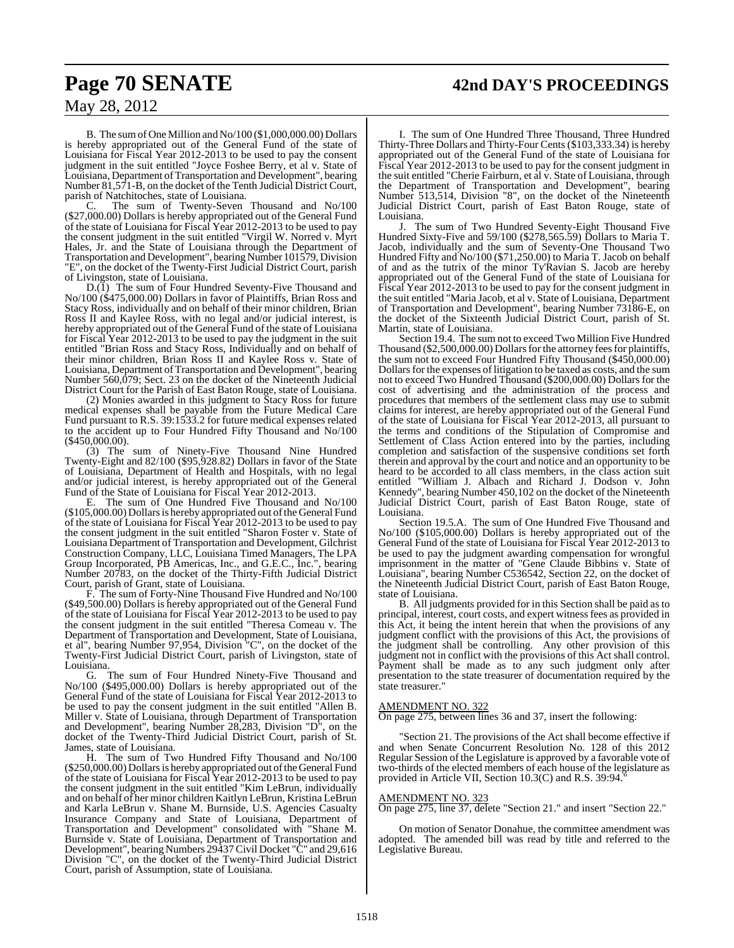### **Page 70 SENATE 42nd DAY'S PROCEEDINGS**

### May 28, 2012

B. The sum of One Million and No/100 (\$1,000,000.00) Dollars is hereby appropriated out of the General Fund of the state of Louisiana for Fiscal Year 2012-2013 to be used to pay the consent judgment in the suit entitled "Joyce Foshee Berry, et al v. State of Louisiana, Department of Transportation and Development", bearing Number 81,571-B, on the docket of the Tenth Judicial District Court, parish of Natchitoches, state of Louisiana.

C. The sum of Twenty-Seven Thousand and No/100 (\$27,000.00) Dollars is hereby appropriated out of the General Fund of the state of Louisiana for Fiscal Year 2012-2013 to be used to pay the consent judgment in the suit entitled "Virgil W. Norred v. Myrt Hales, Jr. and the State of Louisiana through the Department of Transportation and Development", bearing Number 101579, Division "E", on the docket of the Twenty-First Judicial District Court, parish of Livingston, state of Louisiana.

D.(1) The sum of Four Hundred Seventy-Five Thousand and No/100 (\$475,000.00) Dollars in favor of Plaintiffs, Brian Ross and Stacy Ross, individually and on behalf of their minor children, Brian Ross II and Kaylee Ross, with no legal and/or judicial interest, is hereby appropriated out of the General Fund of the state of Louisiana for Fiscal Year 2012-2013 to be used to pay the judgment in the suit entitled "Brian Ross and Stacy Ross, Individually and on behalf of their minor children, Brian Ross II and Kaylee Ross v. State of Louisiana, Department of Transportation and Development", bearing Number 560,079; Sect. 23 on the docket of the Nineteenth Judicial District Court for the Parish of East Baton Rouge, state of Louisiana.

(2) Monies awarded in this judgment to Stacy Ross for future medical expenses shall be payable from the Future Medical Care Fund pursuant to R.S. 39:1533.2 for future medical expenses related to the accident up to Four Hundred Fifty Thousand and No/100 (\$450,000.00).

(3) The sum of Ninety-Five Thousand Nine Hundred Twenty-Eight and 82/100 (\$95,928.82) Dollars in favor of the State of Louisiana, Department of Health and Hospitals, with no legal and/or judicial interest, is hereby appropriated out of the General Fund of the State of Louisiana for Fiscal Year 2012-2013.

The sum of One Hundred Five Thousand and No/100 (\$105,000.00) Dollars is hereby appropriated out of the General Fund of the state of Louisiana for Fiscal Year 2012-2013 to be used to pay the consent judgment in the suit entitled "Sharon Foster v. State of Louisiana Department of Transportation and Development, Gilchrist Construction Company, LLC, Louisiana Timed Managers, The LPA Group Incorporated, PB Americas, Inc., and G.E.C., Inc.", bearing Number 20783, on the docket of the Thirty-Fifth Judicial District Court, parish of Grant, state of Louisiana.

The sum of Forty-Nine Thousand Five Hundred and No/100 (\$49,500.00) Dollars is hereby appropriated out of the General Fund of the state of Louisiana for Fiscal Year 2012-2013 to be used to pay the consent judgment in the suit entitled "Theresa Comeau v. The Department of Transportation and Development, State of Louisiana, et al", bearing Number 97,954, Division "C", on the docket of the Twenty-First Judicial District Court, parish of Livingston, state of

Louisiana.<br>
G. The sum of Four Hundred Ninety-Five Thousand and G. The sum of Four Hundred Ninety-Five Thousand and No/100 (\$495,000.00) Dollars is hereby appropriated out of the General Fund of the state of Louisiana for Fiscal Year 2012-2013 to be used to pay the consent judgment in the suit entitled "Allen B. Miller v. State of Louisiana, through Department of Transportation and Development", bearing Number 28,283, Division "D", on the docket of the Twenty-Third Judicial District Court, parish of St. James, state of Louisiana.<br>H. The sum of Tw

The sum of Two Hundred Fifty Thousand and No/100 (\$250,000.00) Dollars is hereby appropriated out of the General Fund of the state of Louisiana for Fiscal Year 2012-2013 to be used to pay the consent judgment in the suit entitled "Kim LeBrun, individually and on behalf of her minor children Kaitlyn LeBrun, Kristina LeBrun and Karla LeBrun v. Shane M. Burnside, U.S. Agencies Casualty Insurance Company and State of Louisiana, Department of Transportation and Development" consolidated with "Shane M. Burnside v. State of Louisiana, Department of Transportation and Development", bearing Numbers 29437Civil Docket "C" and 29,616 Division "C", on the docket of the Twenty-Third Judicial District Court, parish of Assumption, state of Louisiana.

I. The sum of One Hundred Three Thousand, Three Hundred Thirty-Three Dollars and Thirty-Four Cents (\$103,333.34) is hereby appropriated out of the General Fund of the state of Louisiana for Fiscal Year 2012-2013 to be used to pay for the consent judgment in the suit entitled "Cherie Fairburn, et al v. State of Louisiana, through the Department of Transportation and Development", bearing Number 513,514, Division "8", on the docket of the Nineteenth Judicial District Court, parish of East Baton Rouge, state of Louisiana.

J. The sum of Two Hundred Seventy-Eight Thousand Five Hundred Sixty-Five and 59/100 (\$278,565.59) Dollars to Maria T. Jacob, individually and the sum of Seventy-One Thousand Two Hundred Fifty and No/100 (\$71,250.00) to Maria T. Jacob on behalf of and as the tutrix of the minor Ty'Ravian S. Jacob are hereby appropriated out of the General Fund of the state of Louisiana for Fiscal Year 2012-2013 to be used to pay for the consent judgment in the suit entitled "Maria Jacob, et al v. State of Louisiana, Department of Transportation and Development", bearing Number 73186-E, on the docket of the Sixteenth Judicial District Court, parish of St. Martin, state of Louisiana.

Section 19.4. The sum not to exceed Two Million Five Hundred Thousand (\$2,500,000.00) Dollars for the attorney fees for plaintiffs, the sum not to exceed Four Hundred Fifty Thousand (\$450,000.00) Dollars for the expenses of litigation to be taxed as costs, and the sum not to exceed Two Hundred Thousand (\$200,000.00) Dollars for the cost of advertising and the administration of the process and procedures that members of the settlement class may use to submit claims for interest, are hereby appropriated out of the General Fund of the state of Louisiana for Fiscal Year 2012-2013, all pursuant to the terms and conditions of the Stipulation of Compromise and Settlement of Class Action entered into by the parties, including completion and satisfaction of the suspensive conditions set forth therein and approval by the court and notice and an opportunity to be heard to be accorded to all class members, in the class action suit entitled "William J. Albach and Richard J. Dodson v. John Kennedy", bearing Number 450,102 on the docket of the Nineteenth Judicial District Court, parish of East Baton Rouge, state of Louisiana.

Section 19.5.A. The sum of One Hundred Five Thousand and No/100 (\$105,000.00) Dollars is hereby appropriated out of the General Fund of the state of Louisiana for Fiscal Year 2012-2013 to be used to pay the judgment awarding compensation for wrongful imprisonment in the matter of "Gene Claude Bibbins v. State of Louisiana", bearing Number C536542, Section 22, on the docket of the Nineteenth Judicial District Court, parish of East Baton Rouge, state of Louisiana.

B. All judgments provided for in this Section shall be paid as to principal, interest, court costs, and expert witnessfees as provided in this Act, it being the intent herein that when the provisions of any judgment conflict with the provisions of this Act, the provisions of the judgment shall be controlling. Any other provision of this judgment not in conflict with the provisions of this Act shall control. Payment shall be made as to any such judgment only after presentation to the state treasurer of documentation required by the state treasurer."

#### MENDMENT NO. 322

On page 275, between lines 36 and 37, insert the following:

"Section 21. The provisions of the Act shall become effective if and when Senate Concurrent Resolution No. 128 of this 2012 Regular Session of the Legislature is approved by a favorable vote of two-thirds of the elected members of each house of the legislature as provided in Article VII, Section 10.3(C) and R.S. 39:94.

#### AMENDMENT NO. 323

On page 275, line 37, delete "Section 21." and insert "Section 22."

On motion of Senator Donahue, the committee amendment was adopted. The amended bill was read by title and referred to the Legislative Bureau.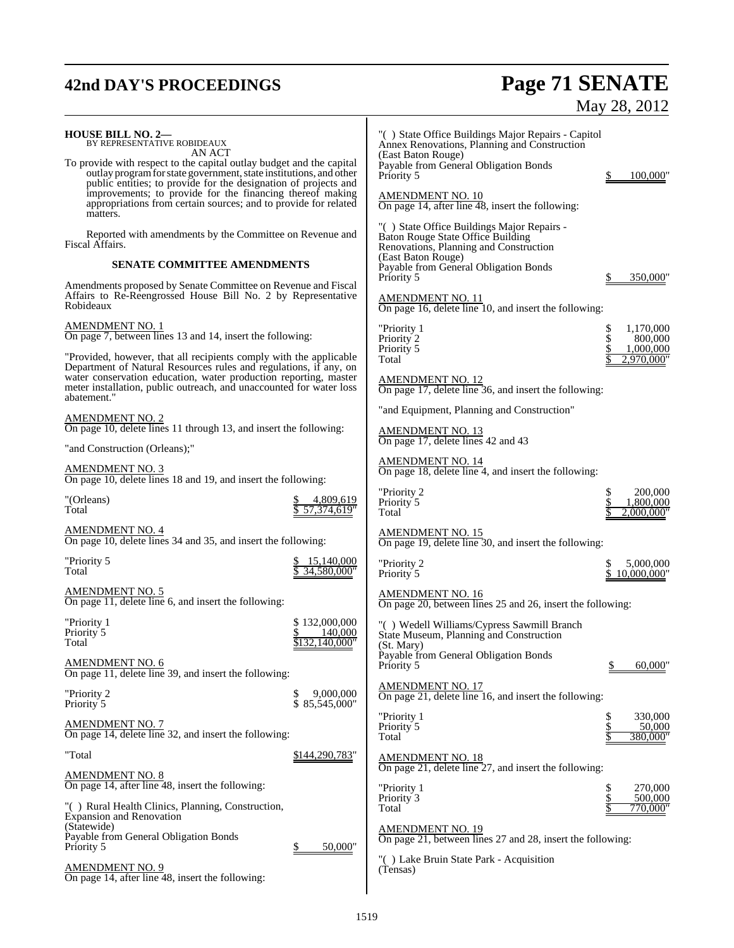## **42nd DAY'S PROCEEDINGS Page 71 SENATE** May 28, 2012

| <b>HOUSE BILL NO. 2—</b><br>BY REPRESENTATIVE ROBIDEAUX<br>AN ACT                                                                                                                                             | "() State Office Buildings Major Repairs - Capitol<br>Annex Renovations, Planning and Construction                               |
|---------------------------------------------------------------------------------------------------------------------------------------------------------------------------------------------------------------|----------------------------------------------------------------------------------------------------------------------------------|
| To provide with respect to the capital outlay budget and the capital<br>outlay program for state government, state institutions, and other<br>public entities; to provide for the designation of projects and | (East Baton Rouge)<br>Payable from General Obligation Bonds<br>Priority 5<br>100,000"                                            |
| improvements; to provide for the financing thereof making<br>appropriations from certain sources; and to provide for related<br>matters.                                                                      | <b>AMENDMENT NO. 10</b><br>On page 14, after line $\overline{48}$ , insert the following:                                        |
| Reported with amendments by the Committee on Revenue and<br>Fiscal Affairs.                                                                                                                                   | "() State Office Buildings Major Repairs -<br><b>Baton Rouge State Office Building</b><br>Renovations, Planning and Construction |
| <b>SENATE COMMITTEE AMENDMENTS</b>                                                                                                                                                                            | (East Baton Rouge)<br>Payable from General Obligation Bonds<br>Priority 5<br>350,000'                                            |
| Amendments proposed by Senate Committee on Revenue and Fiscal<br>Affairs to Re-Reengrossed House Bill No. 2 by Representative<br>Robideaux                                                                    | <b>AMENDMENT NO. 11</b><br>On page 16, delete line 10, and insert the following:                                                 |
| <b>AMENDMENT NO. 1</b><br>On page 7, between lines 13 and 14, insert the following:                                                                                                                           | 1,170,000<br>"Priority 1<br>\$<br>\$<br>Priority 2<br>800,000<br>Priority 5<br>1,000,000                                         |
| "Provided, however, that all recipients comply with the applicable<br>Department of Natural Resources rules and regulations, if any, on<br>water conservation education, water production reporting, master   | Total<br>2,970,000"                                                                                                              |
| meter installation, public outreach, and unaccounted for water loss<br>abatement."                                                                                                                            | <b>AMENDMENT NO. 12</b><br>On page 17, delete line 36, and insert the following:                                                 |
| <b>AMENDMENT NO. 2</b><br>On page 10, delete lines 11 through 13, and insert the following:                                                                                                                   | "and Equipment, Planning and Construction"                                                                                       |
| "and Construction (Orleans);"                                                                                                                                                                                 | <b>AMENDMENT NO. 13</b><br>On page 17, delete lines 42 and 43                                                                    |
| <b>AMENDMENT NO. 3</b><br>On page 10, delete lines 18 and 19, and insert the following:                                                                                                                       | <b>AMENDMENT NO. 14</b><br>On page 18, delete line $4$ , and insert the following:                                               |
| 4,809,619<br>"(Orleans)<br>Total<br>57,374,619"                                                                                                                                                               | \$<br>200,000<br>"Priority 2<br>\$<br>Priority 5<br>1,800,000<br>2,000,000"<br>Total                                             |
| <b>AMENDMENT NO. 4</b><br>On page 10, delete lines 34 and 35, and insert the following:                                                                                                                       | <b>AMENDMENT NO. 15</b><br>On page 19, delete line 30, and insert the following:                                                 |
| "Priority 5<br>15,140,000<br>34,580,000"<br>Total                                                                                                                                                             | "Priority 2<br>5,000,000<br>\$<br>Priority 5<br>10,000,000"                                                                      |
| <b>AMENDMENT NO. 5</b><br>On page 11, delete line 6, and insert the following:                                                                                                                                | <b>AMENDMENT NO. 16</b><br>On page 20, between lines 25 and 26, insert the following:                                            |
| \$132,000,000<br>"Priority 1<br>Priority <sup>5</sup><br>140,000<br>,140,000"<br>Total                                                                                                                        | "() Wedell Williams/Cypress Sawmill Branch<br>State Museum, Planning and Construction<br>(St. Mary)                              |
| <b>AMENDMENT NO. 6</b><br>On page 11, delete line 39, and insert the following:                                                                                                                               | Payable from General Obligation Bonds<br>Priority 5<br>60,000"                                                                   |
| "Priority 2<br>9,000,000<br>\$<br>\$85,545,000"<br>Priority 5                                                                                                                                                 | <b>AMENDMENT NO. 17</b><br>On page 21, delete line 16, and insert the following:                                                 |
| <b>AMENDMENT NO. 7</b><br>On page 14, delete line 32, and insert the following:                                                                                                                               | "Priority 1<br>330,000<br>\$<br>50,000<br>Priority 5<br>Total<br>380,000"                                                        |
| "Total<br>\$144,290,783"                                                                                                                                                                                      | <b>AMENDMENT NO. 18</b><br>On page 21, delete line $27$ , and insert the following:                                              |
| <b>AMENDMENT NO. 8</b><br>On page 14, after line 48, insert the following:                                                                                                                                    | "Priority 1<br>270,000<br>\$                                                                                                     |
| "() Rural Health Clinics, Planning, Construction,<br><b>Expansion and Renovation</b><br>(Statewide)                                                                                                           | Priority 3<br>500,000<br>Total<br>770,000"                                                                                       |
| Payable from General Obligation Bonds<br>Priority 5<br>50,000"<br><u>\$</u>                                                                                                                                   | <b>AMENDMENT NO. 19</b><br>On page 21, between lines 27 and 28, insert the following:                                            |
| <b>AMENDMENT NO. 9</b><br>On page 14, after line 48, insert the following:                                                                                                                                    | "() Lake Bruin State Park - Acquisition<br>(Tensas)                                                                              |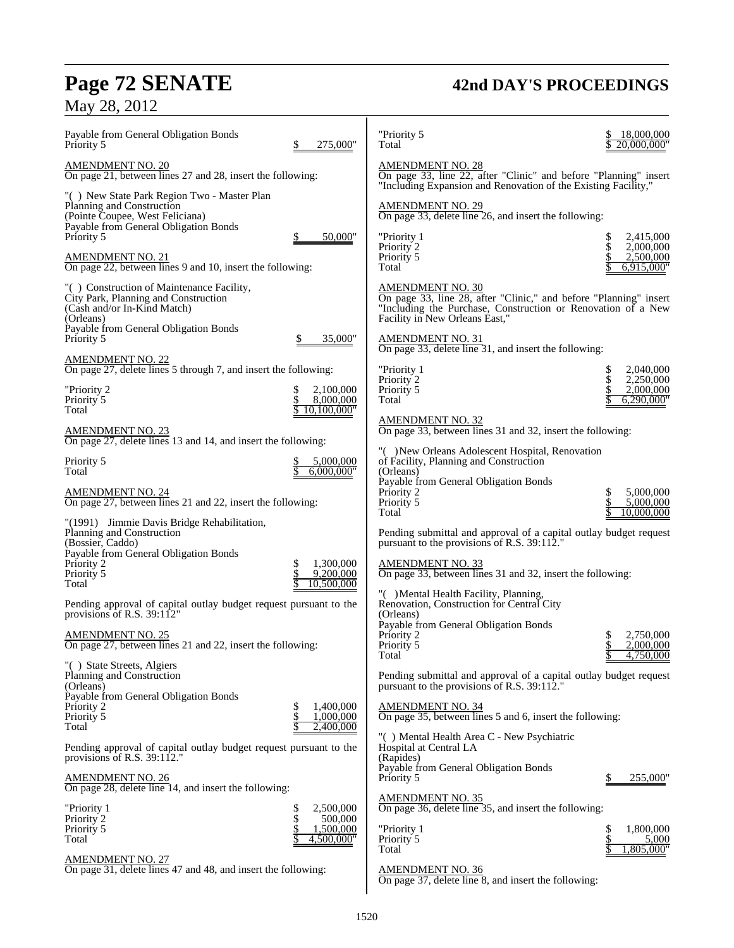## **Page 72 SENATE 42nd DAY'S PROCEEDINGS**

| Payable from General Obligation Bonds<br>Priority 5                                                                                                  | 275,000"                              | "Priority 5<br>Total                                                                                                                                                                           | 18,000,000<br>20,000,000"                 |
|------------------------------------------------------------------------------------------------------------------------------------------------------|---------------------------------------|------------------------------------------------------------------------------------------------------------------------------------------------------------------------------------------------|-------------------------------------------|
| <u>AMENDMENT NO. 20</u><br>On page 21, between lines 27 and 28, insert the following:                                                                |                                       | <b>AMENDMENT NO. 28</b><br>On page 33, line 22, after "Clinic" and before "Planning" insert<br>"Including Expansion and Renovation of the Existing Facility,"                                  |                                           |
| "() New State Park Region Two - Master Plan<br>Planning and Construction<br>(Pointe Coupee, West Feliciana)<br>Payable from General Obligation Bonds |                                       | AMENDMENT NO. 29<br>On page 33, delete line 26, and insert the following:                                                                                                                      |                                           |
| Priority 5<br>AMENDMENT NO. 21                                                                                                                       | \$<br>50,000"                         | "Priority 1<br>Priority 2<br>Priority 5                                                                                                                                                        | 2,415,000<br>\$<br>2,000,000<br>2,500,000 |
| On page 22, between lines 9 and 10, insert the following:                                                                                            |                                       | Total                                                                                                                                                                                          | 6,915,000"                                |
| "() Construction of Maintenance Facility,<br>City Park, Planning and Construction<br>(Cash and/or In-Kind Match)<br>(Orleans)                        |                                       | <b>AMENDMENT NO. 30</b><br>On page 33, line 28, after "Clinic," and before "Planning" insert<br>"Including the Purchase, Construction or Renovation of a New<br>Facility in New Orleans East," |                                           |
| Payable from General Obligation Bonds<br>Priority 5                                                                                                  | 35,000"                               | <b>AMENDMENT NO. 31</b><br>On page 33, delete line 31, and insert the following:                                                                                                               |                                           |
| <u>AMENDMENT NO. 22</u><br>On page 27, delete lines 5 through 7, and insert the following:                                                           |                                       | "Priority 1                                                                                                                                                                                    | 2,040,000<br>\$<br>\$<br>2,250,000        |
| "Priority 2<br>Priority 5<br>Total                                                                                                                   | 2,100,000<br>8,000,000<br>10,100,000" | Priority 2<br>Priority 5<br>Total                                                                                                                                                              | 2,000,000<br>6,290,000"                   |
| <u>AMENDMENT NO. 23</u><br>On page 27, delete lines 13 and 14, and insert the following:                                                             |                                       | <b>AMENDMENT NO. 32</b><br>On page 33, between lines 31 and 32, insert the following:                                                                                                          |                                           |
| Priority 5<br>Total                                                                                                                                  | 5,000,000<br>6,000,000"               | "() New Orleans Adolescent Hospital, Renovation<br>of Facility, Planning and Construction<br>(Orleans)                                                                                         |                                           |
| <u>AMENDMENT N</u> O. 24<br>On page 27, between lines 21 and 22, insert the following:                                                               |                                       | Payable from General Obligation Bonds<br>Priority 2<br>Priority 5<br>Total                                                                                                                     | 5,000,000<br>S<br>5,000,000<br>10,000,000 |
| "(1991) Jimmie Davis Bridge Rehabilitation,<br>Planning and Construction<br>(Bossier, Caddo)                                                         |                                       | Pending submittal and approval of a capital outlay budget request<br>pursuant to the provisions of R.S. 39:112.                                                                                |                                           |
| Payable from General Obligation Bonds<br>Priority 2<br>Priority 5                                                                                    | 1,300,000<br>9,200,000                | <b>AMENDMENT NO. 33</b><br>On page 33, between lines 31 and 32, insert the following:                                                                                                          |                                           |
| Total<br>Pending approval of capital outlay budget request pursuant to the                                                                           | 10,500,000                            | "() Mental Health Facility, Planning,<br>Renovation, Construction for Central City                                                                                                             |                                           |
| provisions of R.S. 39:112"<br><b>AMENDMENT NO. 25</b>                                                                                                |                                       | (Orleans)<br>Payable from General Obligation Bonds<br>Priority 2                                                                                                                               | 2,750,000                                 |
| On page 27, between lines 21 and 22, insert the following:<br>"() State Streets, Algiers                                                             |                                       | Priority 5<br>Total                                                                                                                                                                            | 2,000,000<br>4,750,000                    |
| Planning and Construction<br>(Orleans)                                                                                                               |                                       | Pending submittal and approval of a capital outlay budget request<br>pursuant to the provisions of R.S. 39:112.                                                                                |                                           |
| Payable from General Obligation Bonds<br>Priority 2<br>Priority 5<br>Total                                                                           | 1,400,000<br>1,000,000<br>2,400,000   | <b>AMENDMENT NO. 34</b><br>On page 35, between lines 5 and 6, insert the following:                                                                                                            |                                           |
| Pending approval of capital outlay budget request pursuant to the<br>provisions of R.S. $39:112."$                                                   |                                       | "() Mental Health Area C - New Psychiatric<br>Hospital at Central LA<br>(Rapides)                                                                                                              |                                           |
| <u>AMENDMENT NO. 26</u><br>On page 28, delete line 14, and insert the following:                                                                     |                                       | Payable from General Obligation Bonds<br>Priority 5                                                                                                                                            | 255,000"                                  |
| "Priority 1                                                                                                                                          | 2,500,000<br>\$<br>\$                 | <b>AMENDMENT NO. 35</b><br>On page 36, delete line 35, and insert the following:                                                                                                               |                                           |
| Priority 2<br>Priority 5<br>Total                                                                                                                    | 500,000<br>1,500,000<br>4,500,000"    | "Priority 1<br>Priority 5                                                                                                                                                                      | 1,800,000<br>\$<br>5,000                  |
| AMENDMENT NO. 27<br>On page 31, delete lines 47 and 48, and insert the following:                                                                    |                                       | Total<br><b>AMENDMENT NO. 36</b><br>On page 37, delete line 8, and insert the following:                                                                                                       | 1,805,000"                                |
|                                                                                                                                                      |                                       |                                                                                                                                                                                                |                                           |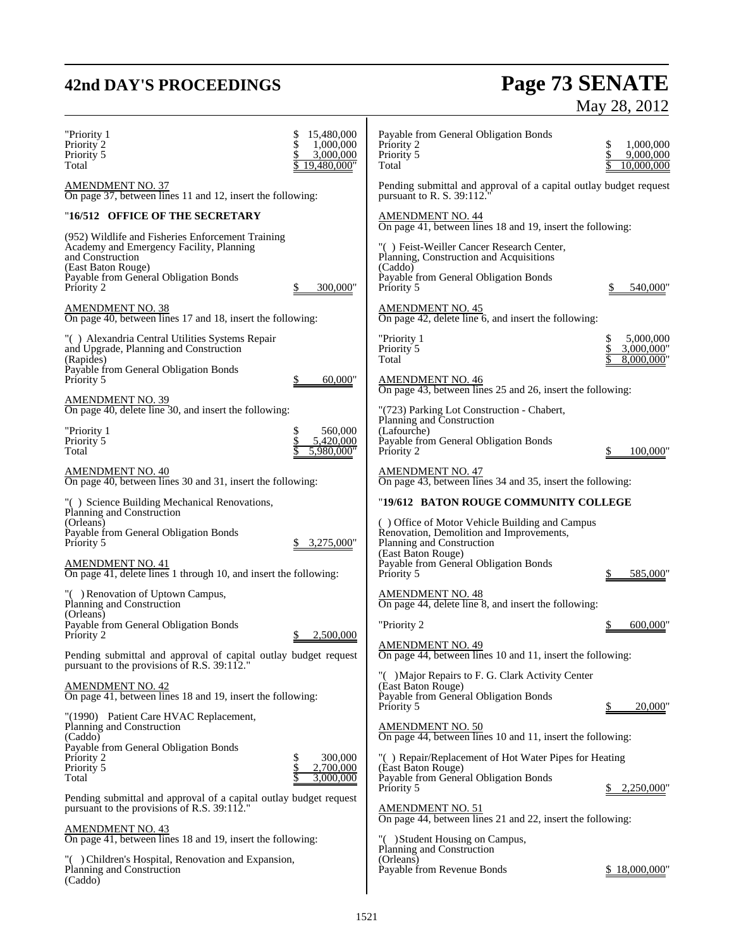# **42nd DAY'S PROCEEDINGS Page 73 SENATE** May 28, 2012

| "Priority 1<br>Priority 2<br>Priority 5<br>Total                                                                                                                                               | 15,480,000<br>1,000,000<br>3,000,000<br>19,480,000" | Payable from General Obligation Bonds<br>Priority 2<br>Priority 5<br>Total                                                                             | 1,000,000<br>9,000,000<br>10.000,000 |
|------------------------------------------------------------------------------------------------------------------------------------------------------------------------------------------------|-----------------------------------------------------|--------------------------------------------------------------------------------------------------------------------------------------------------------|--------------------------------------|
| <b>AMENDMENT NO. 37</b><br>On page 37, between lines 11 and 12, insert the following:                                                                                                          |                                                     | Pending submittal and approval of a capital outlay budget request<br>pursuant to R. S. 39:112.                                                         |                                      |
| "16/512 OFFICE OF THE SECRETARY                                                                                                                                                                |                                                     | <b>AMENDMENT NO. 44</b><br>On page 41, between lines 18 and 19, insert the following:                                                                  |                                      |
| (952) Wildlife and Fisheries Enforcement Training<br>Academy and Emergency Facility, Planning<br>and Construction<br>(East Baton Rouge)<br>Payable from General Obligation Bonds<br>Priority 2 | 300,000"                                            | "() Feist-Weiller Cancer Research Center,<br>Planning, Construction and Acquisitions<br>(Caddo)<br>Payable from General Obligation Bonds<br>Priority 5 | 540,000                              |
| <b>AMENDMENT NO. 38</b><br>On page 40, between lines 17 and 18, insert the following:                                                                                                          |                                                     | <b>AMENDMENT NO. 45</b><br>On page 42, delete line 6, and insert the following:                                                                        |                                      |
| "() Alexandria Central Utilities Systems Repair<br>and Upgrade, Planning and Construction<br>(Rapides)                                                                                         |                                                     | "Priority 1<br>Priority 5<br>Total                                                                                                                     | 5,000,000<br>3,000,000"<br>8.000.000 |
| Payable from General Obligation Bonds<br>Priority 5                                                                                                                                            | 60,000"                                             | AMENDMENT NO. 46<br>On page 43, between lines 25 and 26, insert the following:                                                                         |                                      |
| <b>AMENDMENT NO. 39</b><br>On page 40, delete line 30, and insert the following:                                                                                                               |                                                     | "(723) Parking Lot Construction - Chabert,<br>Planning and Construction                                                                                |                                      |
| "Priority 1<br>Priority 5<br>Total                                                                                                                                                             | 560,000<br>5,420,000<br>5.980.000"                  | (Lafourche)<br>Payable from General Obligation Bonds<br>Priority 2                                                                                     | 100,000                              |
| AMENDMENT NO. 40<br>On page 40, between lines 30 and 31, insert the following:                                                                                                                 |                                                     | AMENDMENT NO. 47<br>On page 43, between lines 34 and 35, insert the following:                                                                         |                                      |
| "() Science Building Mechanical Renovations,<br>Planning and Construction                                                                                                                      |                                                     | "19/612 BATON ROUGE COMMUNITY COLLEGE                                                                                                                  |                                      |
| (Orleans)<br>Payable from General Obligation Bonds<br>Priority 5                                                                                                                               | 3,275,000"                                          | () Office of Motor Vehicle Building and Campus<br>Renovation, Demolition and Improvements,<br>Planning and Construction<br>(East Baton Rouge)          |                                      |
| AMENDMENT NO. 41<br>On page 41, delete lines 1 through 10, and insert the following:                                                                                                           |                                                     | Payable from General Obligation Bonds<br>Priority 5                                                                                                    | 585,000                              |
| "() Renovation of Uptown Campus,<br>Planning and Construction                                                                                                                                  |                                                     | <b>AMENDMENT NO. 48</b><br>On page 44, delete line 8, and insert the following:                                                                        |                                      |
| (Orleans)<br>Payable from General Obligation Bonds<br>Priority 2                                                                                                                               | 2,500,000                                           | "Priority 2                                                                                                                                            | 600,000                              |
| Pending submittal and approval of capital outlay budget request<br>pursuant to the provisions of R.S. 39:112."                                                                                 |                                                     | <b>AMENDMENT NO. 49</b><br>On page 44, between lines 10 and 11, insert the following:                                                                  |                                      |
| <b>AMENDMENT NO. 42</b><br>On page 41, between lines 18 and 19, insert the following:                                                                                                          |                                                     | "() Major Repairs to F. G. Clark Activity Center<br>(East Baton Rouge)<br>Payable from General Obligation Bonds<br>Priority 5                          | 20,000'                              |
| "(1990) Patient Care HVAC Replacement,<br>Planning and Construction                                                                                                                            |                                                     | <b>AMENDMENT NO. 50</b>                                                                                                                                |                                      |
| (Caddo)<br>Payable from General Obligation Bonds<br>Priority 2                                                                                                                                 | 300,000                                             | On page 44, between lines 10 and 11, insert the following:<br>"() Repair/Replacement of Hot Water Pipes for Heating                                    |                                      |
| Priority 5<br>Total                                                                                                                                                                            | 2,700,000<br>3,000,000                              | (East Baton Rouge)<br>Payable from General Obligation Bonds<br>Priority 5                                                                              | 2,250,000                            |
| Pending submittal and approval of a capital outlay budget request<br>pursuant to the provisions of R.S. 39:112.                                                                                |                                                     | <u>AMENDMENT NO. 51</u>                                                                                                                                |                                      |
| <b>AMENDMENT NO. 43</b><br>On page 41, between lines 18 and 19, insert the following:                                                                                                          |                                                     | On page 44, between lines 21 and 22, insert the following:<br>"() Student Housing on Campus,                                                           |                                      |
| "() Children's Hospital, Renovation and Expansion,<br>Planning and Construction<br>(Caddo)                                                                                                     |                                                     | Planning and Construction<br>(Orleans)<br>Payable from Revenue Bonds                                                                                   | \$18,000,000                         |
|                                                                                                                                                                                                |                                                     |                                                                                                                                                        |                                      |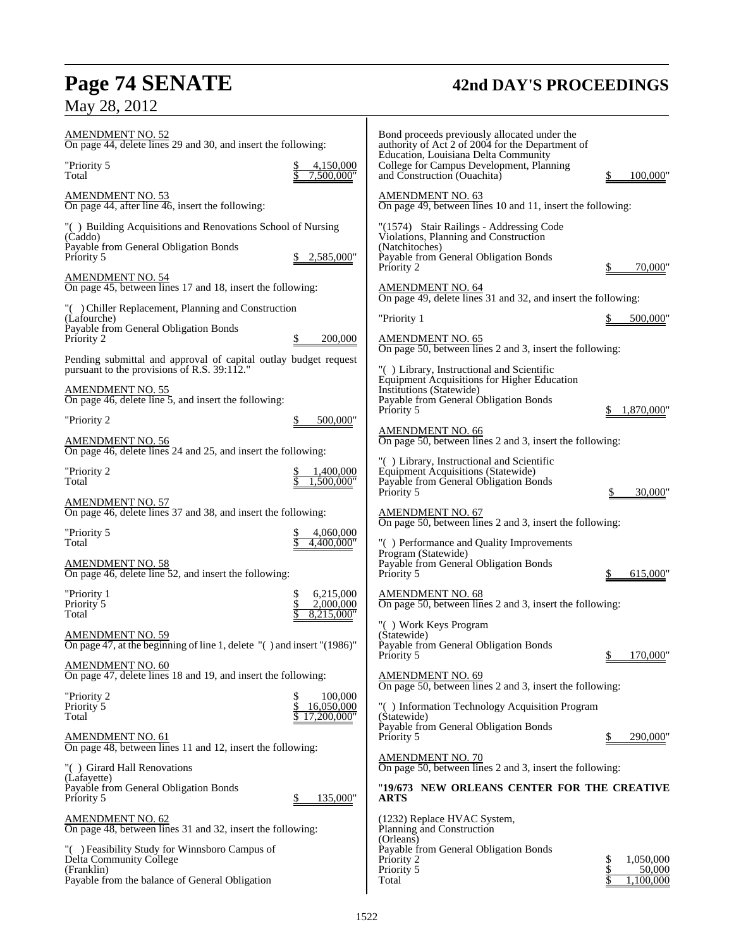# May 28, 2012

# **Page 74 SENATE 42nd DAY'S PROCEEDINGS**

| <u>AMENDMENT NO. 52</u><br>On page 44, delete lines 29 and 30, and insert the following:                                                 |                                      | Bond proceeds previously allocated under the<br>authority of Act 2 of 2004 for the Department of<br>Education, Louisiana Delta Community                   |                                        |
|------------------------------------------------------------------------------------------------------------------------------------------|--------------------------------------|------------------------------------------------------------------------------------------------------------------------------------------------------------|----------------------------------------|
| "Priority 5<br>Total                                                                                                                     | 4,150,000<br>7,500,000"              | College for Campus Development, Planning<br>and Construction (Ouachita)                                                                                    | 100,000                                |
| AMENDMENT NO. 53<br>On page 44, after line 46, insert the following:                                                                     |                                      | <b>AMENDMENT NO. 63</b><br>On page 49, between lines 10 and 11, insert the following:                                                                      |                                        |
| "() Building Acquisitions and Renovations School of Nursing<br>(Caddo)<br>Payable from General Obligation Bonds<br>Priority 5            | 2,585,000"                           | "(1574) Stair Railings - Addressing Code<br>Violations, Planning and Construction<br>(Natchitoches)<br>Payable from General Obligation Bonds<br>Priority 2 | 70,000"                                |
| <b>AMENDMENT NO. 54</b><br>On page 45, between lines 17 and 18, insert the following:                                                    |                                      | <b>AMENDMENT NO. 64</b>                                                                                                                                    |                                        |
| "() Chiller Replacement, Planning and Construction<br>(Lafourche)                                                                        |                                      | On page 49, delete lines 31 and 32, and insert the following:<br>"Priority 1                                                                               | 500,000"                               |
| Payable from General Obligation Bonds<br>Priority 2                                                                                      | 200,000                              | <b>AMENDMENT NO. 65</b><br>On page 50, between lines 2 and 3, insert the following:                                                                        |                                        |
| Pending submittal and approval of capital outlay budget request<br>pursuant to the provisions of R.S. $39:112."$                         |                                      | "() Library, Instructional and Scientific                                                                                                                  |                                        |
| AMENDMENT NO. 55<br>On page 46, delete line 5, and insert the following:                                                                 |                                      | Equipment Acquisitions for Higher Education<br>Institutions (Statewide)<br>Payable from General Obligation Bonds<br>Priority 5                             | 1.870.000                              |
| "Priority 2<br>\$                                                                                                                        | 500,000"                             | <b>AMENDMENT NO. 66</b>                                                                                                                                    |                                        |
| AMENDMENT NO. 56<br>On page 46, delete lines 24 and 25, and insert the following:                                                        |                                      | On page 50, between lines 2 and 3, insert the following:<br>"() Library, Instructional and Scientific                                                      |                                        |
| "Priority 2<br>Total                                                                                                                     | 1,400,000<br>1.500.000"              | Equipment Acquisitions (Statewide)<br>Payable from General Obligation Bonds<br>Priority 5                                                                  | 30,000'                                |
| AMENDMENT NO. 57<br>On page 46, delete lines 37 and 38, and insert the following:                                                        |                                      | <b>AMENDMENT NO. 67</b><br>On page 50, between lines 2 and 3, insert the following:                                                                        |                                        |
| "Priority 5<br>Total                                                                                                                     | 4,060,000<br>4.400.000"              | "() Performance and Quality Improvements                                                                                                                   |                                        |
| AMENDMENT NO. 58<br>On page 46, delete line 52, and insert the following:                                                                |                                      | Program (Statewide)<br>Payable from General Obligation Bonds<br>Priority 5                                                                                 | \$<br>615,000                          |
| \$<br>"Priority 1<br>Priority 5<br>Total                                                                                                 | 6,215,000<br>2,000,000<br>8,215,000" | <b>AMENDMENT NO. 68</b><br>On page 50, between lines 2 and 3, insert the following:                                                                        |                                        |
| AMENDMENT NO. 59<br>On page 47, at the beginning of line 1, delete $\degree$ () and insert $\degree$ (1986) $\degree$                    |                                      | "() Work Keys Program<br>(Statewide)<br>Payable from General Obligation Bonds                                                                              |                                        |
| <u>AMENDMENT NO. 60</u>                                                                                                                  |                                      | Priority 5                                                                                                                                                 | $\underline{\$$ 170,000"               |
| On page 47, delete lines 18 and 19, and insert the following:<br>"Priority 2<br>\$                                                       | 100,000                              | <b>AMENDMENT NO. 69</b><br>On page 50, between lines 2 and 3, insert the following:                                                                        |                                        |
| \$<br>Priority 5<br>Total                                                                                                                | 16,050,000<br>17,200,000"            | "() Information Technology Acquisition Program<br>(Statewide)                                                                                              |                                        |
| AMENDMENT NO. 61<br>On page 48, between lines 11 and 12, insert the following:                                                           |                                      | Payable from General Obligation Bonds<br>Priority 5                                                                                                        | 290,000"                               |
| "() Girard Hall Renovations<br>(Lafayette)                                                                                               |                                      | <b>AMENDMENT NO. 70</b><br>On page 50, between lines 2 and 3, insert the following:                                                                        |                                        |
| Payable from General Obligation Bonds<br>Priority 5                                                                                      | 135,000"                             | "19/673 NEW ORLEANS CENTER FOR THE CREATIVE<br>ARTS                                                                                                        |                                        |
| <u>AMENDMENT NO. 62</u><br>On page 48, between lines 31 and 32, insert the following:                                                    |                                      | (1232) Replace HVAC System,<br>Planning and Construction<br>(Orleans)                                                                                      |                                        |
| "() Feasibility Study for Winnsboro Campus of<br>Delta Community College<br>(Franklin)<br>Payable from the balance of General Obligation |                                      | Payable from General Obligation Bonds<br>Priority 2<br>Priority 5<br>Total                                                                                 | \$<br>1,050,000<br>50,000<br>1,100,000 |
|                                                                                                                                          |                                      |                                                                                                                                                            |                                        |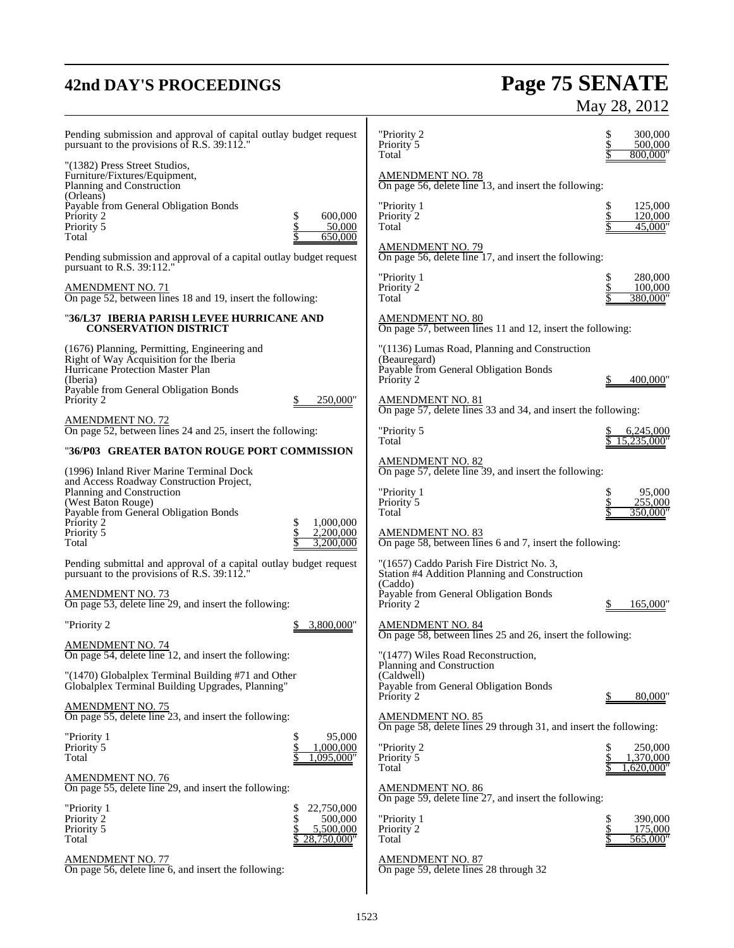# **42nd DAY'S PROCEEDINGS Page 75 SENATE** May 28, 2012

| Pending submission and approval of capital outlay budget request<br>pursuant to the provisions of R.S. 39:112."                                                                                                                                                          | "Priority 2<br>Priority 5<br>Total                                                                                                                                                                               | 300,000<br>500,000<br>800,000"       |
|--------------------------------------------------------------------------------------------------------------------------------------------------------------------------------------------------------------------------------------------------------------------------|------------------------------------------------------------------------------------------------------------------------------------------------------------------------------------------------------------------|--------------------------------------|
| "(1382) Press Street Studios,<br>Furniture/Fixtures/Equipment,<br>Planning and Construction                                                                                                                                                                              | <b>AMENDMENT NO. 78</b><br>On page 56, delete line 13, and insert the following:                                                                                                                                 |                                      |
| (Orleans)<br>Payable from General Obligation Bonds<br>600,000<br>Priority 2<br>\$<br>\$<br>Priority 5<br>50,000                                                                                                                                                          | "Priority 1<br>Priority 2<br>Total                                                                                                                                                                               | 125,000<br>120,000<br>45,000"        |
| Total<br>650,000<br>Pending submission and approval of a capital outlay budget request<br>pursuant to R.S. 39:112."                                                                                                                                                      | AMENDMENT NO. 79<br>On page 56, delete line 17, and insert the following:                                                                                                                                        |                                      |
| AMENDMENT NO. 71<br>On page 52, between lines 18 and 19, insert the following:                                                                                                                                                                                           | "Priority 1<br>Priority 2<br>Total                                                                                                                                                                               | 280,000<br>100,000<br>380,000"       |
| "36/L37   IBERIA PARISH LEVEE HURRICANE AND<br><b>CONSERVATION DISTRICT</b>                                                                                                                                                                                              | <b>AMENDMENT NO. 80</b><br>On page 57, between lines 11 and 12, insert the following:                                                                                                                            |                                      |
| (1676) Planning, Permitting, Engineering and<br>Right of Way Acquisition for the Iberia<br>Hurricane Protection Master Plan<br>(Iberia)<br>Payable from General Obligation Bonds<br>Priority 2<br>250,000"                                                               | "(1136) Lumas Road, Planning and Construction<br>(Beauregard)<br>Payable from General Obligation Bonds<br>Priority 2<br><b>AMENDMENT NO. 81</b><br>On page 57, delete lines 33 and 34, and insert the following: | 400,000                              |
| <b>AMENDMENT NO. 72</b><br>On page 52, between lines 24 and 25, insert the following:                                                                                                                                                                                    | "Priority 5<br>Total                                                                                                                                                                                             | 6,245,000<br>5.235.000"              |
| "36/P03 GREATER BATON ROUGE PORT COMMISSION                                                                                                                                                                                                                              | AMENDMENT NO. 82                                                                                                                                                                                                 |                                      |
| (1996) Inland River Marine Terminal Dock<br>and Access Roadway Construction Project,<br>Planning and Construction<br>(West Baton Rouge)<br>Payable from General Obligation Bonds<br>Priority 2<br>1,000,000<br>\$<br>Priority 5<br>\$<br>2,200,000<br>3,200,000<br>Total | On page 57, delete line 39, and insert the following:<br>"Priority 1<br>Priority 5<br>Total<br><b>AMENDMENT NO. 83</b><br>On page 58, between lines 6 and 7, insert the following:                               | \$<br>95,000<br>255,000<br>350,000"  |
| Pending submittal and approval of a capital outlay budget request<br>pursuant to the provisions of R.S. 39:112."<br><b>AMENDMENT NO. 73</b><br>On page 53, delete line 29, and insert the following:                                                                     | "(1657) Caddo Parish Fire District No. 3,<br>Station #4 Addition Planning and Construction<br>(Caddo)<br>Payable from General Obligation Bonds<br>Priority 2                                                     | 165,000                              |
| "Priority 2<br>3,800,000"                                                                                                                                                                                                                                                | AMENDMENT NO. 84<br>On page 58, between lines 25 and 26, insert the following:                                                                                                                                   |                                      |
| AMENDMENT NO. 74<br>On page 54, delete line 12, and insert the following:<br>"(1470) Globalplex Terminal Building #71 and Other<br>Globalplex Terminal Building Upgrades, Planning"                                                                                      | "(1477) Wiles Road Reconstruction,<br>Planning and Construction<br>(Caldwell)<br>Payable from General Obligation Bonds<br>Priority 2                                                                             | 80,000"                              |
| <b>AMENDMENT NO. 75</b><br>On page 55, delete line 23, and insert the following:                                                                                                                                                                                         | <b>AMENDMENT NO. 85</b>                                                                                                                                                                                          |                                      |
| "Priority 1<br>95,000<br>\$<br>\$<br>Priority 5<br>1,000,000<br>,095,000"<br>Total                                                                                                                                                                                       | On page 58, delete lines 29 through 31, and insert the following:<br>"Priority 2<br>Priority 5<br>Total                                                                                                          | 250,000<br>1,370,000<br>1,620,000"   |
| <b>AMENDMENT NO. 76</b><br>On page 55, delete line 29, and insert the following:                                                                                                                                                                                         | <b>AMENDMENT NO. 86</b>                                                                                                                                                                                          |                                      |
| "Priority 1<br>22,750,000<br>\$<br>\$<br>Priority 2<br>500,000<br>Priority 5<br>5,500,000<br>Total<br>28,750,000"                                                                                                                                                        | On page 59, delete line 27, and insert the following:<br>"Priority 1<br>Priority 2<br>Total                                                                                                                      | 390,000<br>\$<br>175,000<br>565,000" |
| <b>AMENDMENT NO. 77</b><br>On page 56, delete line 6, and insert the following:                                                                                                                                                                                          | <b>AMENDMENT NO. 87</b><br>On page 59, delete lines 28 through 32                                                                                                                                                |                                      |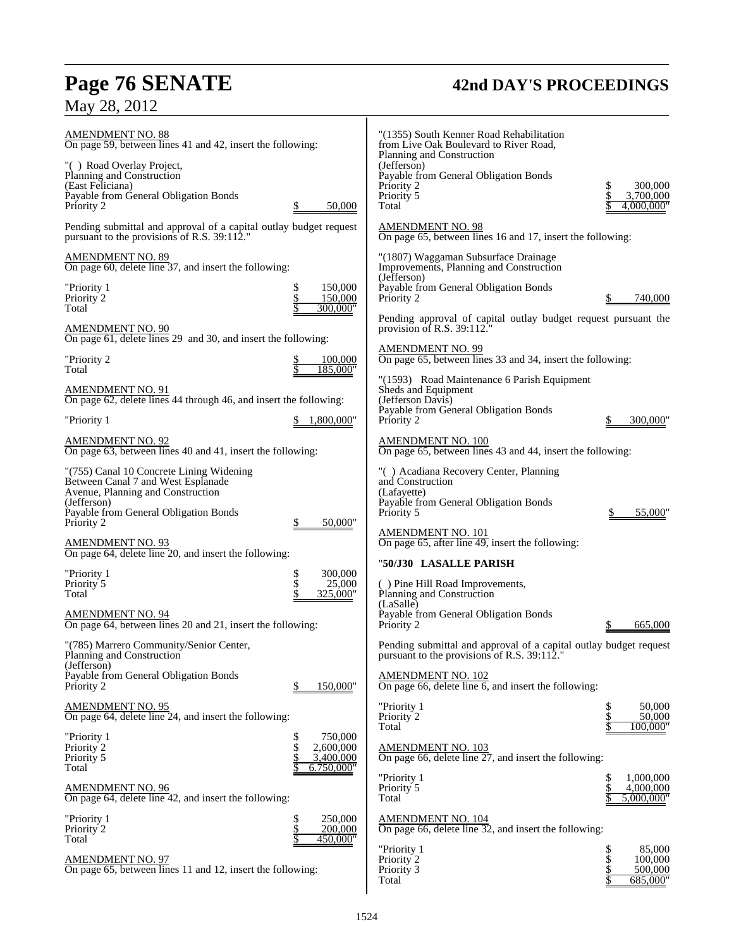# **Page 76 SENATE 42nd DAY'S PROCEEDINGS**

# May 28, 2012

| <b>AMENDMENT NO. 88</b><br>On page 59, between lines 41 and 42, insert the following:                            |                                                             | "(1355) South Kenner Road Rehabilitation<br>from Live Oak Boulevard to River Road,                              |                                                                       |
|------------------------------------------------------------------------------------------------------------------|-------------------------------------------------------------|-----------------------------------------------------------------------------------------------------------------|-----------------------------------------------------------------------|
| "() Road Overlay Project,<br>Planning and Construction                                                           |                                                             | Planning and Construction<br>(Jefferson)<br>Payable from General Obligation Bonds                               |                                                                       |
| (East Feliciana)<br>Payable from General Obligation Bonds<br>Priority 2                                          | 50,000                                                      | Priority 2<br>Priority 5<br>Total                                                                               | 300,000<br>3,700,000<br>4,000,000"                                    |
| Pending submittal and approval of a capital outlay budget request<br>pursuant to the provisions of R.S. 39:112." |                                                             | <b>AMENDMENT NO. 98</b><br>On page 65, between lines 16 and 17, insert the following:                           |                                                                       |
| <b>AMENDMENT NO. 89</b><br>On page 60, delete line 37, and insert the following:                                 |                                                             | "(1807) Waggaman Subsurface Drainage<br>Improvements, Planning and Construction                                 |                                                                       |
| "Priority 1<br>Priority 2<br>Total                                                                               | 150,000<br>\$<br>\$<br>150,000<br>\$<br>300.000"            | (Jefferson)<br>Payable from General Obligation Bonds<br>Priority 2                                              | 740,000                                                               |
| <b>AMENDMENT NO. 90</b>                                                                                          |                                                             | Pending approval of capital outlay budget request pursuant the<br>provision of R.S. $39:112$ .                  |                                                                       |
| On page 61, delete lines 29 and 30, and insert the following:<br>"Priority 2                                     | 100,000                                                     | <b>AMENDMENT NO. 99</b><br>On page 65, between lines 33 and 34, insert the following:                           |                                                                       |
| Total<br><b>AMENDMENT NO. 91</b>                                                                                 | 185,000"                                                    | "(1593) Road Maintenance 6 Parish Equipment<br>Sheds and Equipment                                              |                                                                       |
| On page 62, delete lines 44 through 46, and insert the following:<br>"Priority 1                                 | 1,800,000"                                                  | (Jefferson Davis)<br>Payable from General Obligation Bonds<br>Priority 2                                        | 300,000'                                                              |
| <b>AMENDMENT NO. 92</b><br>On page 63, between lines 40 and 41, insert the following:                            |                                                             | <b>AMENDMENT NO. 100</b><br>On page 65, between lines 43 and 44, insert the following:                          |                                                                       |
| "(755) Canal 10 Concrete Lining Widening                                                                         |                                                             | "() Acadiana Recovery Center, Planning                                                                          |                                                                       |
| Between Canal 7 and West Esplanade<br>Avenue, Planning and Construction<br>(Jefferson)                           |                                                             | and Construction<br>(Lafayette)<br>Payable from General Obligation Bonds                                        |                                                                       |
| Payable from General Obligation Bonds<br>Priority 2                                                              | 50,000"                                                     | Priority 5<br><u>AMENDMENT NO. 101</u>                                                                          | 55,000"<br>\$                                                         |
| <b>AMENDMENT NO. 93</b><br>On page 64, delete line 20, and insert the following:                                 |                                                             | On page 65, after line 49, insert the following:<br>"50/J30 LASALLE PARISH                                      |                                                                       |
| "Priority 1<br>Priority 5<br>Total                                                                               | 300,000<br>\$<br>\$<br>25,000<br>\$<br>325,000"             | () Pine Hill Road Improvements,<br>Planning and Construction                                                    |                                                                       |
| AMENDMENT NO. 94<br>On page 64, between lines 20 and 21, insert the following:                                   |                                                             | (LaSalle)<br>Payable from General Obligation Bonds<br>Priority 2                                                | 665,000                                                               |
| "(785) Marrero Community/Senior Center,<br>Planning and Construction                                             |                                                             | Pending submittal and approval of a capital outlay budget request<br>pursuant to the provisions of R.S. 39:112. |                                                                       |
| (Jefferson)<br>Payable from General Obligation Bonds<br>Priority 2                                               | 150,000"<br>\$                                              | <b>AMENDMENT NO. 102</b><br>On page 66, delete line $6$ , and insert the following:                             |                                                                       |
| <b>AMENDMENT NO. 95</b><br>On page 64, delete line 24, and insert the following:                                 |                                                             | "Priority 1<br>Priority 2                                                                                       | 50,000<br>\$<br>50,000<br>100.000"                                    |
| "Priority 1<br>Priority 2<br>Priority 5                                                                          | 750,000<br>\$<br>\$<br>2,600,000<br>$\dot{\$}$<br>3,400,000 | Total<br>AMENDMENT NO. 103<br>On page 66, delete line 27, and insert the following:                             |                                                                       |
| Total<br><b>AMENDMENT NO. 96</b><br>On page 64, delete line 42, and insert the following:                        | 6.750,000"                                                  | "Priority 1<br>Priority 5<br>Total                                                                              | 1,000,000<br>\$<br>\$<br>4,000,000<br>5,000,000"                      |
| "Priority 1<br>Priority <sup>2</sup><br>Total                                                                    | \$<br>250,000<br>$\frac{1}{3}$<br>200,000<br>450,000"       | <b>AMENDMENT NO. 104</b><br>On page 66, delete line $32$ , and insert the following:                            |                                                                       |
| <b>AMENDMENT NO. 97</b><br>On page 65, between lines 11 and 12, insert the following:                            |                                                             | "Priority 1<br>Priority 2<br>Priority 3<br>Total                                                                | 85,000<br>\$<br>\$<br>100,000<br>$\frac{3}{3}$<br>500,000<br>685,000" |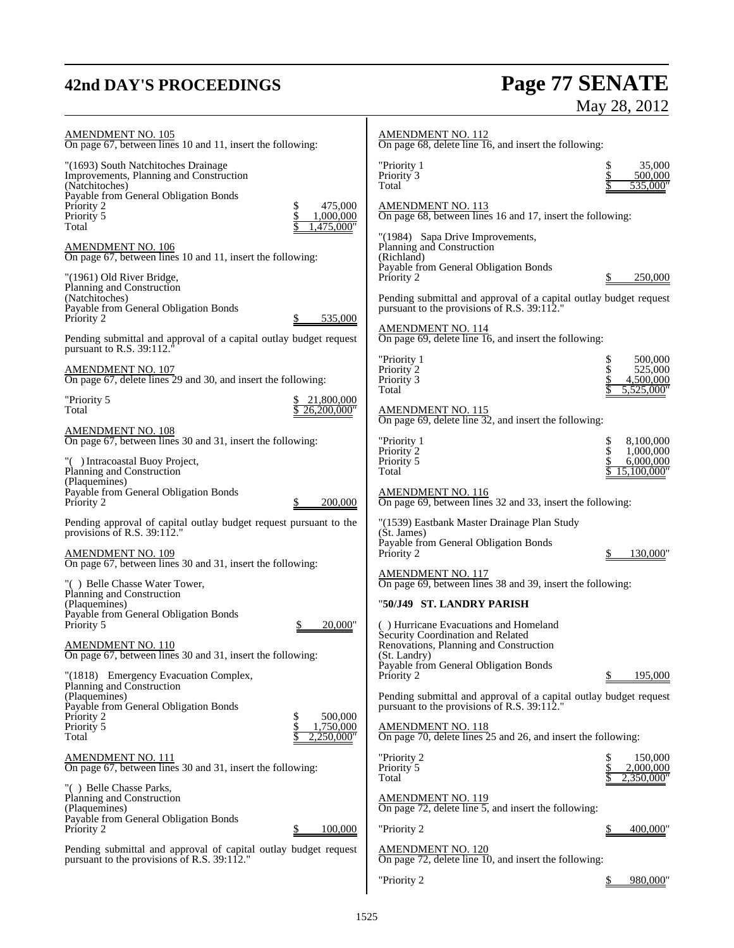# **42nd DAY'S PROCEEDINGS Page 77 SENATE** May 28, 2012

| <b>AMENDMENT NO. 105</b><br>On page 67, between lines 10 and 11, insert the following:                                                                     | <b>AMENDMENT NO. 112</b><br>On page 68, delete line 16, and insert the following:                                                         |
|------------------------------------------------------------------------------------------------------------------------------------------------------------|-------------------------------------------------------------------------------------------------------------------------------------------|
| "(1693) South Natchitoches Drainage<br>Improvements, Planning and Construction<br>(Natchitoches)<br>Payable from General Obligation Bonds<br>475,000<br>\$ | "Priority 1<br>35,000<br>Priority <sup>3</sup><br>500,000<br>Total<br>535,000"<br><b>AMENDMENT NO. 113</b>                                |
| Priority 2<br>Priority 5<br>1,000,000<br>,475,000"<br>Total                                                                                                | On page 68, between lines 16 and 17, insert the following:<br>"(1984) Sapa Drive Improvements,                                            |
| <b>AMENDMENT NO. 106</b><br>On page 67, between lines 10 and 11, insert the following:                                                                     | Planning and Construction<br>(Richland)<br>Payable from General Obligation Bonds                                                          |
| "(1961) Old River Bridge,<br>Planning and Construction<br>(Natchitoches)<br>Payable from General Obligation Bonds                                          | Priority 2<br>250,000<br>Pending submittal and approval of a capital outlay budget request<br>pursuant to the provisions of R.S. 39:112." |
| Priority 2<br>535,000<br>Pending submittal and approval of a capital outlay budget request                                                                 | <b>AMENDMENT NO. 114</b><br>On page 69, delete line 16, and insert the following:                                                         |
| pursuant to R.S. 39:112.<br><b>AMENDMENT NO. 107</b>                                                                                                       | "Priority 1<br>\$<br>500,000<br>Priority 2<br>525,000                                                                                     |
| On page 67, delete lines 29 and 30, and insert the following:<br>"Priority 5<br>21,800,000                                                                 | Priority 3<br>4,500,000<br>Total<br>5.525,000                                                                                             |
| Total<br>26,200,000"<br><u>AMENDMENT NO. 108</u>                                                                                                           | <b>AMENDMENT NO. 115</b><br>On page 69, delete line 32, and insert the following:                                                         |
| On page 67, between lines 30 and 31, insert the following:<br>"() Intracoastal Buoy Project,<br>Planning and Construction                                  | "Priority 1<br>8,100,000<br>\$<br>\$<br>Priority <sub>2</sub><br>1,000,000<br>Priority 5<br>6,000,000<br>15,100,000"<br>Total             |
| (Plaquemines)<br>Payable from General Obligation Bonds<br>Priority 2<br>200,000                                                                            | <b>AMENDMENT NO. 116</b><br>On page 69, between lines 32 and 33, insert the following:                                                    |
| Pending approval of capital outlay budget request pursuant to the<br>provisions of R.S. $39:112$ ."                                                        | "(1539) Eastbank Master Drainage Plan Study<br>(St. James)<br>Payable from General Obligation Bonds                                       |
| <b>AMENDMENT NO. 109</b><br>On page 67, between lines 30 and 31, insert the following:                                                                     | Priority 2<br>130,000<br><b>AMENDMENT NO. 117</b>                                                                                         |
| "() Belle Chasse Water Tower,<br>Planning and Construction<br>(Plaquemines)                                                                                | On page 69, between lines 38 and 39, insert the following:<br>"50/J49 ST. LANDRY PARISH                                                   |
| Payable from General Obligation Bonds<br>Priority 5<br>20,000"                                                                                             | () Hurricane Evacuations and Homeland<br>Security Coordination and Related                                                                |
| <b>AMENDMENT NO. 110</b><br>On page 67, between lines 30 and 31, insert the following:                                                                     | Renovations, Planning and Construction<br>(St. Landry)<br>Payable from General Obligation Bonds                                           |
| "(1818) Emergency Evacuation Complex,<br>Planning and Construction<br>(Plaquemines)                                                                        | Priority 2<br>195,000<br>Pending submittal and approval of a capital outlay budget request                                                |
| Payable from General Obligation Bonds<br>500,000<br>Priority 2<br>Priority 5<br>1,750,000<br>2.250.000"<br>Total                                           | pursuant to the provisions of R.S. 39:112."<br><b>AMENDMENT NO. 118</b><br>On page 70, delete lines 25 and 26, and insert the following:  |
| <u>AMENDMENT NO. 111</u><br>On page 67, between lines 30 and 31, insert the following:                                                                     | "Priority 2<br>150,000<br>Priority 5<br>2,000,000                                                                                         |
| "() Belle Chasse Parks,<br>Planning and Construction<br>(Plaquemines)                                                                                      | 2,350,000"<br>Total<br><u>AMENDMENT NO. 119</u><br>On page $72$ , delete line $5$ , and insert the following:                             |
| Payable from General Obligation Bonds<br>Priority 2<br>100,000                                                                                             | "Priority 2<br>400,000                                                                                                                    |
| Pending submittal and approval of capital outlay budget request<br>pursuant to the provisions of R.S. 39:112."                                             | <b>AMENDMENT NO. 120</b><br>On page 72, delete line 10, and insert the following:                                                         |
|                                                                                                                                                            | "Priority 2<br>980,000                                                                                                                    |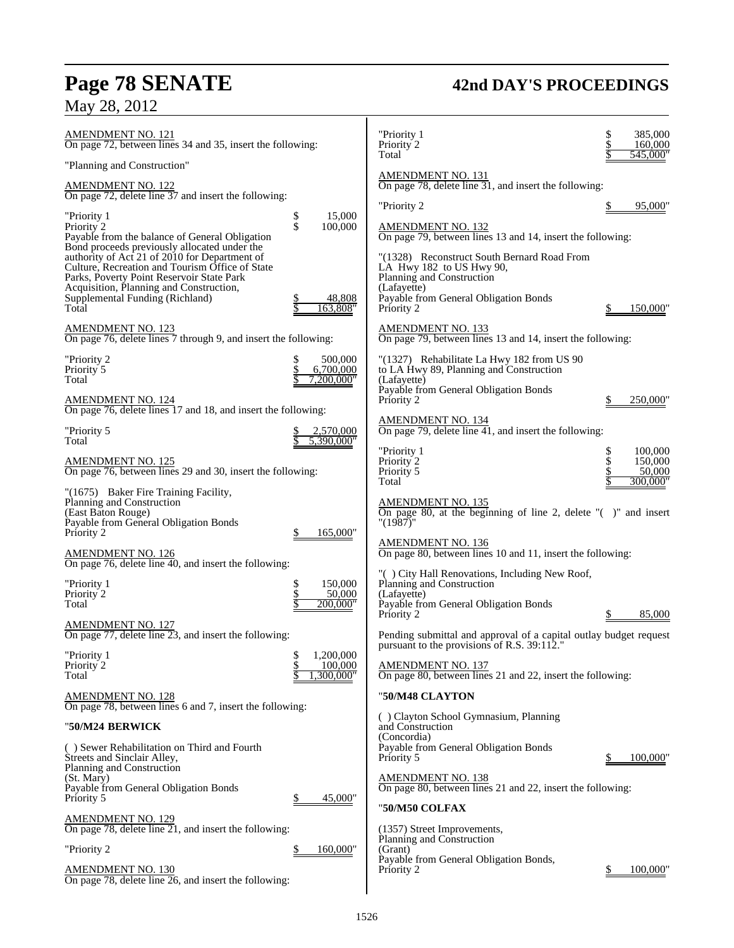# **Page 78 SENATE 42nd DAY'S PROCEEDINGS**

May 28, 2012

| <b>AMENDMENT NO. 121</b><br>On page 72, between lines 34 and 35, insert the following:                                                                                              |                                                 | "Priority 1<br>Priority 2                                                                                                                            | \$               | 385,000<br>160,000                       |
|-------------------------------------------------------------------------------------------------------------------------------------------------------------------------------------|-------------------------------------------------|------------------------------------------------------------------------------------------------------------------------------------------------------|------------------|------------------------------------------|
| "Planning and Construction"                                                                                                                                                         |                                                 | Total                                                                                                                                                |                  | 545,000"                                 |
| <b>AMENDMENT NO. 122</b><br>On page 72, delete line 37 and insert the following:                                                                                                    |                                                 | <u>AMENDMENT NO. 131</u><br>On page 78, delete line $31$ , and insert the following:                                                                 |                  |                                          |
| "Priority 1<br>Priority 2<br>Payable from the balance of General Obligation<br>Bond proceeds previously allocated under the<br>authority of Act 21 of 2010 for Department of        | 15,000<br>\$<br>\$<br>100,000                   | "Priority 2<br><b>AMENDMENT NO. 132</b><br>On page 79, between lines 13 and 14, insert the following:<br>"(1328) Reconstruct South Bernard Road From |                  | 95,000"                                  |
| Culture, Recreation and Tourism Office of State<br>Parks, Poverty Point Reservoir State Park<br>Acquisition, Planning and Construction,<br>Supplemental Funding (Richland)<br>Total | 48,808<br>163,808"                              | LA Hwy 182 to US Hwy 90,<br>Planning and Construction<br>(Lafayette)<br>Payable from General Obligation Bonds<br>Priority 2                          |                  | 150,000                                  |
| <u>AMENDMENT NO. 123</u><br>On page 76, delete lines 7 through 9, and insert the following:                                                                                         |                                                 | <u>AMENDMENT NO. 133</u><br>On page 79, between lines 13 and 14, insert the following:                                                               |                  |                                          |
| "Priority 2<br>Priority <sup>5</sup><br>Total                                                                                                                                       | 500,000<br>\$<br>6,700,000<br>7.200.000"        | "(1327) Rehabilitate La Hwy 182 from US 90<br>to LA Hwy 89, Planning and Construction<br>(Lafayette)                                                 |                  |                                          |
| AMENDMENT NO. 124<br>On page 76, delete lines 17 and 18, and insert the following:                                                                                                  |                                                 | Payable from General Obligation Bonds<br>Priority 2                                                                                                  |                  | 250,000                                  |
| "Priority 5<br>Total                                                                                                                                                                | 2,570,000<br>5,390,000"                         | <b>AMENDMENT NO. 134</b><br>On page 79, delete line $\overline{41}$ , and insert the following:                                                      |                  |                                          |
| <u>AMENDMENT NO. 125</u><br>On page 76, between lines 29 and 30, insert the following:                                                                                              |                                                 | "Priority 1<br>Priority 2<br>Priority 5<br>Total                                                                                                     | \$<br>$\dot{\$}$ | 100,000<br>150,000<br>50,000<br>300,000" |
| "(1675) Baker Fire Training Facility,<br>Planning and Construction<br>(East Baton Rouge)<br>Payable from General Obligation Bonds<br>Priority 2                                     | 165,000"                                        | AMENDMENT NO. 135<br>On page 80, at the beginning of line 2, delete $\degree$ ( $\degree$ ) and insert<br>"(1987)"                                   |                  |                                          |
| <b>AMENDMENT NO. 126</b><br>On page 76, delete line 40, and insert the following:                                                                                                   |                                                 | <b>AMENDMENT NO. 136</b><br>On page 80, between lines 10 and 11, insert the following:                                                               |                  |                                          |
| "Priority 1<br>Priority 2<br>Total                                                                                                                                                  | 150,000<br>\$<br>\$<br>50,000<br>\$<br>200.000" | "() City Hall Renovations, Including New Roof,<br>Planning and Construction<br>(Lafayette)<br>Payable from General Obligation Bonds<br>Priority 2    |                  | 85,000                                   |
| <b>AMENDMENT NO. 127</b><br>On page 77, delete line 23, and insert the following:                                                                                                   |                                                 | Pending submittal and approval of a capital outlay budget request<br>pursuant to the provisions of R.S. 39:112."                                     |                  |                                          |
| "Priority 1<br>Priority 2<br>Total                                                                                                                                                  | \$<br>\$<br>1,200,000<br>100,000<br>,300,000"   | <b>AMENDMENT NO. 137</b><br>On page 80, between lines 21 and 22, insert the following:                                                               |                  |                                          |
| <b>AMENDMENT NO. 128</b><br>On page 78, between lines 6 and 7, insert the following:                                                                                                |                                                 | "50/M48 CLAYTON                                                                                                                                      |                  |                                          |
| "50/M24 BERWICK                                                                                                                                                                     |                                                 | () Clayton School Gymnasium, Planning<br>and Construction<br>(Concordia)                                                                             |                  |                                          |
| () Sewer Rehabilitation on Third and Fourth<br>Streets and Sinclair Alley,<br>Planning and Construction                                                                             |                                                 | Payable from General Obligation Bonds<br>Priority 5                                                                                                  |                  | 100,000                                  |
| (St. Mary)<br>Payable from General Obligation Bonds<br>Priority 5                                                                                                                   | 45,000"                                         | <b>AMENDMENT NO. 138</b><br>On page 80, between lines 21 and 22, insert the following:                                                               |                  |                                          |
| <b>AMENDMENT NO. 129</b><br>On page 78, delete line 21, and insert the following:                                                                                                   |                                                 | "50/M50 COLFAX<br>(1357) Street Improvements,                                                                                                        |                  |                                          |
| "Priority 2                                                                                                                                                                         | 160,000"<br>⅀                                   | Planning and Construction<br>(Grant)<br>Payable from General Obligation Bonds,                                                                       |                  |                                          |
| <b>AMENDMENT NO. 130</b><br>On page 78, delete line $26$ , and insert the following:                                                                                                |                                                 | Priority 2                                                                                                                                           |                  | 100,000                                  |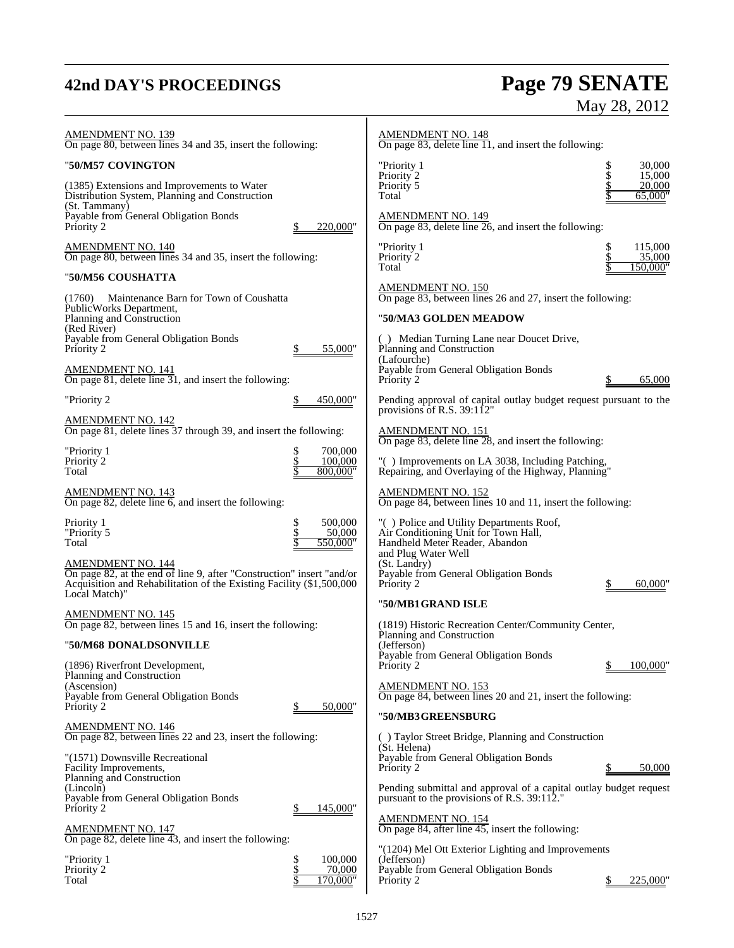# **42nd DAY'S PROCEEDINGS Page 79 SENATE** May 28, 2012

| <b>AMENDMENT NO. 139</b><br>On page 80, between lines 34 and 35, insert the following:                                                                                                     |                                            | <b>AMENDMENT NO. 148</b><br>On page 83, delete line 11, and insert the following:                                                         |                                        |
|--------------------------------------------------------------------------------------------------------------------------------------------------------------------------------------------|--------------------------------------------|-------------------------------------------------------------------------------------------------------------------------------------------|----------------------------------------|
| "50/M57 COVINGTON                                                                                                                                                                          |                                            | "Priority 1                                                                                                                               | \$<br>30,000                           |
| (1385) Extensions and Improvements to Water<br>Distribution System, Planning and Construction<br>(St. Tammany)<br>Payable from General Obligation Bonds                                    |                                            | Priority 2<br>Priority 5<br>Total<br><b>AMENDMENT NO. 149</b>                                                                             | \$<br>15,000<br>\$<br>20,000<br>65,000 |
| Priority 2                                                                                                                                                                                 | 220,000"                                   | On page 83, delete line $26$ , and insert the following:                                                                                  |                                        |
| AMENDMENT NO. 140<br>On page 80, between lines 34 and 35, insert the following:                                                                                                            |                                            | "Priority 1<br>Priority 2<br>Total                                                                                                        | \$<br>115,000<br>35,000<br>150,000"    |
| "50/M56 COUSHATTA                                                                                                                                                                          |                                            | <b>AMENDMENT NO. 150</b>                                                                                                                  |                                        |
| Maintenance Barn for Town of Coushatta<br>(1760)<br>PublicWorks Department,                                                                                                                |                                            | On page 83, between lines 26 and 27, insert the following:                                                                                |                                        |
| Planning and Construction<br>(Red River)                                                                                                                                                   |                                            | "50/MA3 GOLDEN MEADOW                                                                                                                     |                                        |
| Payable from General Obligation Bonds<br>Priority 2                                                                                                                                        | 55,000"                                    | () Median Turning Lane near Doucet Drive,<br>Planning and Construction<br>(Lafourche)                                                     |                                        |
| <b>AMENDMENT NO. 141</b><br>On page 81, delete line 31, and insert the following:                                                                                                          |                                            | Payable from General Obligation Bonds<br>Priority 2                                                                                       | 65,000                                 |
| "Priority 2                                                                                                                                                                                | 450,000"                                   | Pending approval of capital outlay budget request pursuant to the<br>provisions of R.S. $39:112"$                                         |                                        |
| <b>AMENDMENT NO. 142</b><br>On page 81, delete lines 37 through 39, and insert the following:                                                                                              |                                            | <b>AMENDMENT NO. 151</b><br>On page 83, delete line 28, and insert the following:                                                         |                                        |
| "Priority 1<br>Priority 2<br>Total                                                                                                                                                         | 700,000<br>\$<br>\$<br>100,000<br>800,000" | "() Improvements on LA 3038, Including Patching,<br>Repairing, and Overlaying of the Highway, Planning"                                   |                                        |
| <b>AMENDMENT NO. 143</b><br>On page 82, delete line 6, and insert the following:                                                                                                           |                                            | <b>AMENDMENT NO. 152</b><br>On page 84, between lines 10 and 11, insert the following:                                                    |                                        |
| Priority 1<br>"Priority 5<br>Total                                                                                                                                                         | \$<br>500,000<br>\$<br>50,000<br>550,000"  | "() Police and Utility Departments Roof,<br>Air Conditioning Unit for Town Hall,<br>Handheld Meter Reader, Abandon<br>and Plug Water Well |                                        |
| <b>AMENDMENT NO. 144</b><br>On page 82, at the end of line 9, after "Construction" insert "and/or<br>Acquisition and Rehabilitation of the Existing Facility (\$1,500,000<br>Local Match)" |                                            | (St. Landry)<br>Payable from General Obligation Bonds<br>Priority 2                                                                       | 60,000                                 |
| <b>AMENDMENT NO. 145</b>                                                                                                                                                                   |                                            | "50/MB1 GRAND ISLE                                                                                                                        |                                        |
| On page 82, between lines 15 and 16, insert the following:                                                                                                                                 |                                            | (1819) Historic Recreation Center/Community Center,<br>Planning and Construction                                                          |                                        |
| "50/M68 DONALDSONVILLE<br>(1896) Riverfront Development,                                                                                                                                   |                                            | (Jefferson)<br>Payable from General Obligation Bonds<br>Priority 2                                                                        | 100,000                                |
| Planning and Construction<br>(Ascension)<br>Payable from General Obligation Bonds                                                                                                          |                                            | <b>AMENDMENT NO. 153</b><br>On page 84, between lines 20 and 21, insert the following:                                                    |                                        |
| Priority 2                                                                                                                                                                                 | 50,000"                                    | "50/MB3GREENSBURG                                                                                                                         |                                        |
| <b>AMENDMENT NO. 146</b><br>On page 82, between lines 22 and 23, insert the following:                                                                                                     |                                            | () Taylor Street Bridge, Planning and Construction                                                                                        |                                        |
| "(1571) Downsville Recreational<br>Facility Improvements,                                                                                                                                  |                                            | (St. Helena)<br>Payable from General Obligation Bonds<br>Priority 2                                                                       | 50.000                                 |
| Planning and Construction<br>(Lincoln)<br>Payable from General Obligation Bonds                                                                                                            |                                            | Pending submittal and approval of a capital outlay budget request<br>pursuant to the provisions of R.S. 39:112."                          |                                        |
| Priority 2<br><u>AMENDMENT NO. 147</u>                                                                                                                                                     | 145,000"                                   | <b>AMENDMENT NO. 154</b><br>On page 84, after line 45, insert the following:                                                              |                                        |
| On page 82, delete line 43, and insert the following:                                                                                                                                      |                                            | "(1204) Mel Ott Exterior Lighting and Improvements                                                                                        |                                        |
| "Priority 1<br>Priority 2<br>Total                                                                                                                                                         | \$<br>100,000<br>\$<br>70,000<br>170.000"  | (Jefferson)<br>Payable from General Obligation Bonds<br>Priority 2                                                                        | 225,000                                |
|                                                                                                                                                                                            |                                            |                                                                                                                                           |                                        |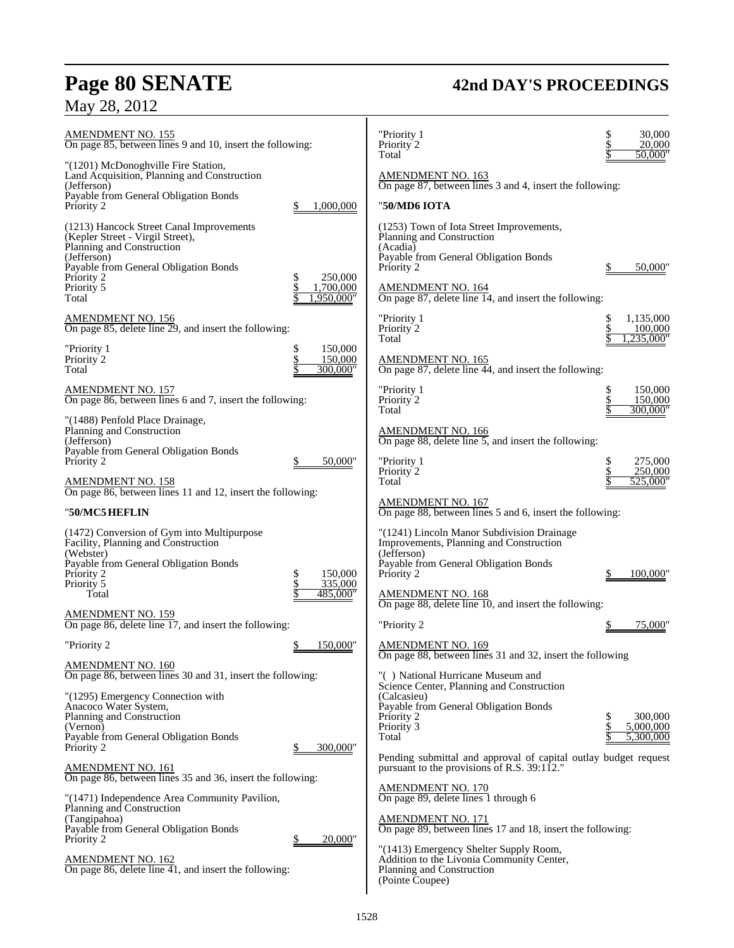# **Page 80 SENATE 42nd DAY'S PROCEEDINGS**

# May 28, 2012

| <b>AMENDMENT NO. 155</b><br>On page 85, between lines 9 and 10, insert the following:                                                                                                               |                                | "Priority 1<br>Priority 2<br>Total                                                                                                                                   | 30,000<br>20,000<br>50,000"       |
|-----------------------------------------------------------------------------------------------------------------------------------------------------------------------------------------------------|--------------------------------|----------------------------------------------------------------------------------------------------------------------------------------------------------------------|-----------------------------------|
| "(1201) McDonoghville Fire Station,<br>Land Acquisition, Planning and Construction<br>(Jefferson)                                                                                                   |                                | <b>AMENDMENT NO. 163</b><br>On page 87, between lines 3 and 4, insert the following:                                                                                 |                                   |
| Payable from General Obligation Bonds<br>Priority 2                                                                                                                                                 | 1,000,000                      | "50/MD6 IOTA                                                                                                                                                         |                                   |
| (1213) Hancock Street Canal Improvements<br>(Kepler Street - Virgil Street),<br>Planning and Construction<br>(Jefferson)<br>Payable from General Obligation Bonds<br>Priority 2<br>\$<br>Priority 5 | 250,000<br>1,700,000           | (1253) Town of Iota Street Improvements,<br>Planning and Construction<br>(Acadia)<br>Payable from General Obligation Bonds<br>Priority 2<br><b>AMENDMENT NO. 164</b> | 50.000                            |
| Total                                                                                                                                                                                               | 1,950,000"                     | On page 87, delete line 14, and insert the following:                                                                                                                |                                   |
| <b>AMENDMENT NO. 156</b><br>On page 85, delete line 29, and insert the following:                                                                                                                   |                                | "Priority 1<br>Priority 2<br>Total                                                                                                                                   | 1,135,000<br>100,000<br>,235,000" |
| \$<br>"Priority 1<br>\$<br>Priority <sup>2</sup><br>Total                                                                                                                                           | 150,000<br>150,000<br>300,000" | <b>AMENDMENT NO. 165</b><br>On page 87, delete line 44, and insert the following:                                                                                    |                                   |
| <b>AMENDMENT NO. 157</b><br>On page 86, between lines 6 and 7, insert the following:                                                                                                                |                                | "Priority 1<br>Priority 2<br>Total                                                                                                                                   | 150,000<br>150,000<br>300,000"    |
| "(1488) Penfold Place Drainage,<br>Planning and Construction<br>(Jefferson)<br>Payable from General Obligation Bonds                                                                                |                                | AMENDMENT NO. 166<br>On page 88, delete line $5$ , and insert the following:                                                                                         |                                   |
| Priority 2<br>\$                                                                                                                                                                                    | 50,000"                        | "Priority 1<br>Priority 2                                                                                                                                            | 275,000<br>250,000                |
| <b>AMENDMENT NO. 158</b><br>On page 86, between lines 11 and 12, insert the following:                                                                                                              |                                | Total                                                                                                                                                                | 525,000                           |
| "50/MC5 HEFLIN                                                                                                                                                                                      |                                | <b>AMENDMENT NO. 167</b><br>On page 88, between lines 5 and 6, insert the following:                                                                                 |                                   |
| (1472) Conversion of Gym into Multipurpose<br>Facility, Planning and Construction<br>(Webster)<br>Payable from General Obligation Bonds<br>Priority 2<br>\$<br>\$<br>Priority 5                     | 150,000<br>335,000             | "(1241) Lincoln Manor Subdivision Drainage<br>Improvements, Planning and Construction<br>(Jefferson)<br>Payable from General Obligation Bonds<br>Priority 2          | 100,000                           |
| Total                                                                                                                                                                                               | 485,000"                       | <b>AMENDMENT NO. 168</b><br>On page 88, delete line 10, and insert the following:                                                                                    |                                   |
| <b>AMENDMENT NO. 159</b><br>On page 86, delete line 17, and insert the following:                                                                                                                   |                                | "Priority 2                                                                                                                                                          | 75,000'                           |
| "Priority 2                                                                                                                                                                                         | 150,000"                       | AMENDMENT NO. 169<br>On page 88, between lines 31 and 32, insert the following                                                                                       |                                   |
| <b>AMENDMENT NO. 160</b><br>On page 86, between lines 30 and 31, insert the following:                                                                                                              |                                | "() National Hurricane Museum and<br>Science Center, Planning and Construction                                                                                       |                                   |
| "(1295) Emergency Connection with<br>Anacoco Water System,<br>Planning and Construction<br>(Vernon)<br>Payable from General Obligation Bonds                                                        |                                | (Calcasieu)<br>Payable from General Obligation Bonds<br>Priority 2<br>Priority 3<br>Total                                                                            | 300,000<br>5,000,000<br>5,300,000 |
| Priority 2                                                                                                                                                                                          | 300,000"                       | Pending submittal and approval of capital outlay budget request                                                                                                      |                                   |
| <b>AMENDMENT NO. 161</b><br>On page 86, between lines 35 and 36, insert the following:                                                                                                              |                                | pursuant to the provisions of R.S. 39:112."                                                                                                                          |                                   |
| "(1471) Independence Area Community Pavilion,<br>Planning and Construction                                                                                                                          |                                | <b>AMENDMENT NO. 170</b><br>On page 89, delete lines 1 through 6                                                                                                     |                                   |
| (Tangipahoa)<br>Payable from General Obligation Bonds                                                                                                                                               |                                | <b>AMENDMENT NO. 171</b><br>On page 89, between lines 17 and 18, insert the following:                                                                               |                                   |
| Priority 2<br><b>AMENDMENT NO. 162</b><br>On page 86, delete line 41, and insert the following:                                                                                                     | 20,000"                        | "(1413) Emergency Shelter Supply Room,<br>Addition to the Livonia Community Center,<br>Planning and Construction<br>(Pointe Coupee)                                  |                                   |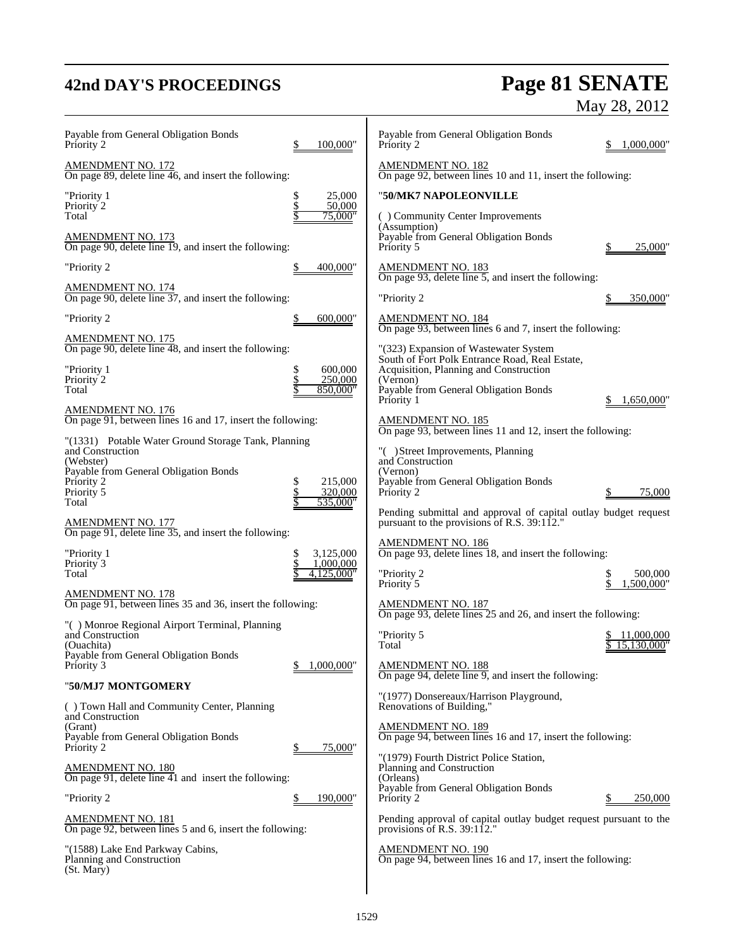# **42nd DAY'S PROCEEDINGS Page 81 SENATE**

AMENDMENT NO. 172

AMENDMENT NO. 173

AMENDMENT NO. 174

AMENDMENT NO. 175

AMENDMENT NO. 176

AMENDMENT NO. 177

AMENDMENT NO. 178

"**50/MJ7 MONTGOMERY**

AMENDMENT NO. 180

AMENDMENT NO. 181

Planning and Construction

(St. Mary)

and Construction (Ouachita)

and Construction (Grant)

and Construction (Webster)

Priority 5<br>Total

### May 28, 2012 Payable from General Obligation Bonds Priority 2 \$ 100,000" On page 89, delete line 46, and insert the following: "Priority 1  $\qquad \qquad \begin{array}{cc} \text{S} & 25,000 \\ \text{Priority 2} & \text{S} & 50,000 \end{array}$ Priority 2  $\frac{$}{8}$  50,000<br>Total  $\frac{$}{8}$  75,000 Total  $\frac{\$ \quad 75,000''$ On page 90, delete line 19, and insert the following: "Priority 2 \$ 400,000" On page 90, delete line 37, and insert the following: "Priority 2 \$ 600,000" On page 90, delete line 48, and insert the following: "Priority 1 \$ 600,000 Priority 2  $\frac{$250,000}{$80,000}$ Total \$ 850,000" On page 91, between lines 16 and 17, insert the following: "(1331) Potable Water Ground Storage Tank, Planning Payable from General Obligation Bonds Priority 2 <br>Priority 5 <br>S 215,000<br>S 320,000 535,000' On page 91, delete line 35, and insert the following: "Priority 1 \$ 3,125,000<br>Priority 3 \$ 1,000,000 Priority 3 5 1,000,000 Total  $\frac{1}{3}$  4,125,000" On page 91, between lines 35 and 36, insert the following: "( ) Monroe Regional Airport Terminal, Planning Payable from General Obligation Bonds Priority 3 \$ 1,000,000 ( ) Town Hall and Community Center, Planning Payable from General Obligation Bonds Priority 2 \$ 75,000 On page 91, delete line 41 and insert the following: "Priority 2 \$ 190,000" On page 92, between lines 5 and 6, insert the following: "(1588) Lake End Parkway Cabins, Payable from General Obligation Bonds  $1,000,000$ " AMENDMENT NO. 182 On page 92, between lines 10 and 11, insert the following: "**50/MK7 NAPOLEONVILLE** ( ) Community Center Improvements (Assumption) Payable from General Obligation Bonds Priority 5  $\qquad \qquad \frac{\$}{25,000}$ " AMENDMENT NO. 183 On page 93, delete line 5, and insert the following: "Priority 2 \$ 350,000" AMENDMENT NO. 184 On page 93, between lines 6 and 7, insert the following: "(323) Expansion of Wastewater System South of Fort Polk Entrance Road, Real Estate, Acquisition, Planning and Construction (Vernon) Payable from General Obligation Bonds  $$ 1,650,000"$ AMENDMENT NO. 185 On page 93, between lines 11 and 12, insert the following: ) Street Improvements, Planning and Construction (Vernon) Payable from General Obligation Bonds Priority 2 \$ 75,000 Pending submittal and approval of capital outlay budget request pursuant to the provisions of R.S. 39:112." AMENDMENT NO. 186 On page 93, delete lines 18, and insert the following: "Priority 2 \$ 500,000 Priority 5  $\qquad \qquad \blacksquare$ AMENDMENT NO. 187 On page 93, delete lines 25 and 26, and insert the following: "Priority 5 \$ 11,000,000 15,130,000 AMENDMENT NO. 188 On page 94, delete line 9, and insert the following: "(1977) Donsereaux/Harrison Playground, Renovations of Building," AMENDMENT NO. 189 On page 94, between lines 16 and 17, insert the following: "(1979) Fourth District Police Station, Planning and Construction (Orleans) Payable from General Obligation Bonds Priority 2 250,000 Pending approval of capital outlay budget request pursuant to the provisions of R.S. 39:112. AMENDMENT NO. 190 On page 94, between lines 16 and 17, insert the following: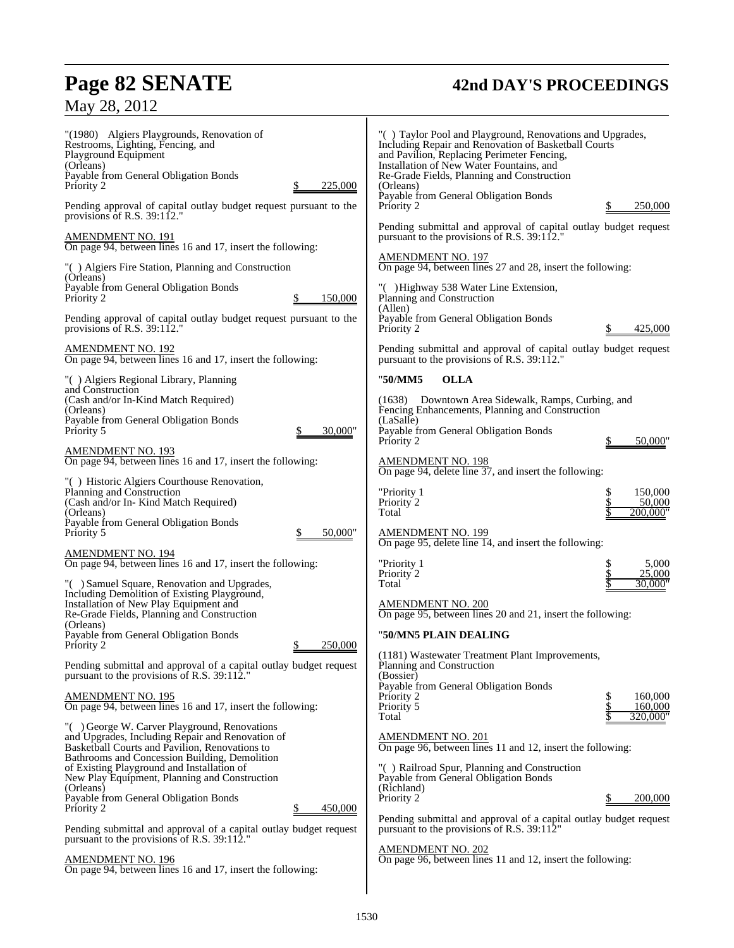# **Page 82 SENATE 42nd DAY'S PROCEEDINGS**

# May 28, 2012

| "(1980) Algiers Playgrounds, Renovation of<br>Restrooms, Lighting, Fencing, and<br>Playground Equipment<br>(Orleans)<br>Payable from General Obligation Bonds<br>225,000<br>Priority 2                                                                                                                                                                                            | "() Taylor Pool and Playground, Renovations and Upgrades,<br>Including Repair and Renovation of Basketball Courts<br>and Pavilion, Replacing Perimeter Fencing,<br>Installation of New Water Fountains, and<br>Re-Grade Fields, Planning and Construction<br>(Orleans) |
|-----------------------------------------------------------------------------------------------------------------------------------------------------------------------------------------------------------------------------------------------------------------------------------------------------------------------------------------------------------------------------------|------------------------------------------------------------------------------------------------------------------------------------------------------------------------------------------------------------------------------------------------------------------------|
| Pending approval of capital outlay budget request pursuant to the<br>provisions of R.S. $39:112."$                                                                                                                                                                                                                                                                                | Payable from General Obligation Bonds<br>250,000<br>Priority 2                                                                                                                                                                                                         |
| AMENDMENT NO. 191<br>On page 94, between lines 16 and 17, insert the following:                                                                                                                                                                                                                                                                                                   | Pending submittal and approval of capital outlay budget request<br>pursuant to the provisions of R.S. 39:112."                                                                                                                                                         |
| "() Algiers Fire Station, Planning and Construction<br>(Orleans)                                                                                                                                                                                                                                                                                                                  | <b>AMENDMENT NO. 197</b><br>On page 94, between lines 27 and 28, insert the following:                                                                                                                                                                                 |
| Payable from General Obligation Bonds<br>150,000<br>Priority 2                                                                                                                                                                                                                                                                                                                    | "() Highway 538 Water Line Extension,<br>Planning and Construction<br>(Allen)                                                                                                                                                                                          |
| Pending approval of capital outlay budget request pursuant to the<br>provisions of R.S. $39:112."$                                                                                                                                                                                                                                                                                | Payable from General Obligation Bonds<br>425,000<br>Priority 2                                                                                                                                                                                                         |
| <b>AMENDMENT NO. 192</b><br>On page 94, between lines 16 and 17, insert the following:                                                                                                                                                                                                                                                                                            | Pending submittal and approval of capital outlay budget request<br>pursuant to the provisions of R.S. 39:112."                                                                                                                                                         |
| "() Algiers Regional Library, Planning                                                                                                                                                                                                                                                                                                                                            | <b>OLLA</b><br>"50/MM5                                                                                                                                                                                                                                                 |
| and Construction<br>(Cash and/or In-Kind Match Required)<br>(Orleans)<br>Payable from General Obligation Bonds                                                                                                                                                                                                                                                                    | Downtown Area Sidewalk, Ramps, Curbing, and<br>(1638)<br>Fencing Enhancements, Planning and Construction<br>(LaSalle)                                                                                                                                                  |
| 30,000"<br>Priority 5                                                                                                                                                                                                                                                                                                                                                             | Payable from General Obligation Bonds<br>Priority 2<br>50,000"                                                                                                                                                                                                         |
| <b>AMENDMENT NO. 193</b><br>On page 94, between lines 16 and 17, insert the following:                                                                                                                                                                                                                                                                                            | <b>AMENDMENT NO. 198</b>                                                                                                                                                                                                                                               |
| "() Historic Algiers Courthouse Renovation,<br>Planning and Construction<br>(Cash and/or In- Kind Match Required)                                                                                                                                                                                                                                                                 | On page 94, delete line 37, and insert the following:<br>150,000<br>"Priority 1<br>50,000<br>Priority 2                                                                                                                                                                |
| (Orleans)<br>Payable from General Obligation Bonds<br>Priority 5<br>50,000"                                                                                                                                                                                                                                                                                                       | 200,000"<br>Total<br><b>AMENDMENT NO. 199</b>                                                                                                                                                                                                                          |
| <b>AMENDMENT NO. 194</b>                                                                                                                                                                                                                                                                                                                                                          | On page 95, delete line 14, and insert the following:                                                                                                                                                                                                                  |
| On page 94, between lines 16 and 17, insert the following:                                                                                                                                                                                                                                                                                                                        | "Priority 1<br>\$<br>5,000<br>Priority 2<br>25,000                                                                                                                                                                                                                     |
| "() Samuel Square, Renovation and Upgrades,<br>Including Demolition of Existing Playground,<br>Installation of New Play Equipment and                                                                                                                                                                                                                                             | 30,000"<br>Total<br><b>AMENDMENT NO. 200</b>                                                                                                                                                                                                                           |
| Re-Grade Fields, Planning and Construction<br>(Orleans)                                                                                                                                                                                                                                                                                                                           | On page 95, between lines 20 and 21, insert the following:                                                                                                                                                                                                             |
| Payable from General Obligation Bonds<br>250,000<br>Priority 2<br>P                                                                                                                                                                                                                                                                                                               | "50/MN5 PLAIN DEALING                                                                                                                                                                                                                                                  |
| Pending submittal and approval of a capital outlay budget request<br>pursuant to the provisions of R.S. 39:112."                                                                                                                                                                                                                                                                  | (1181) Wastewater Treatment Plant Improvements,<br>Planning and Construction<br>(Bossier)                                                                                                                                                                              |
| <b>AMENDMENT NO. 195</b><br>On page 94, between lines 16 and 17, insert the following:                                                                                                                                                                                                                                                                                            | Payable from General Obligation Bonds<br>160,000<br>\$<br>Priority 2<br>\$<br>Priority 5<br>160,000                                                                                                                                                                    |
| "() George W. Carver Playground, Renovations<br>and Upgrades, Including Repair and Renovation of<br>Basketball Courts and Pavilion, Renovations to<br>Bathrooms and Concession Building, Demolition<br>of Existing Playground and Installation of<br>New Play Equipment, Planning and Construction<br>(Orleans)<br>Payable from General Obligation Bonds<br>Priority 2<br>450,000 | 320,000"<br>Total<br><b>AMENDMENT NO. 201</b><br>On page 96, between lines 11 and 12, insert the following:<br>"() Railroad Spur, Planning and Construction<br>Payable from General Obligation Bonds<br>(Richland)<br>Priority 2<br>200,000                            |
| Pending submittal and approval of a capital outlay budget request<br>pursuant to the provisions of R.S. 39:112."                                                                                                                                                                                                                                                                  | Pending submittal and approval of a capital outlay budget request<br>pursuant to the provisions of R.S. 39:112"<br><b>AMENDMENT NO. 202</b>                                                                                                                            |
| <b>AMENDMENT NO. 196</b><br>On page 94, between lines 16 and 17, insert the following:                                                                                                                                                                                                                                                                                            | On page 96, between lines 11 and 12, insert the following:                                                                                                                                                                                                             |

 $\mathsf{l}$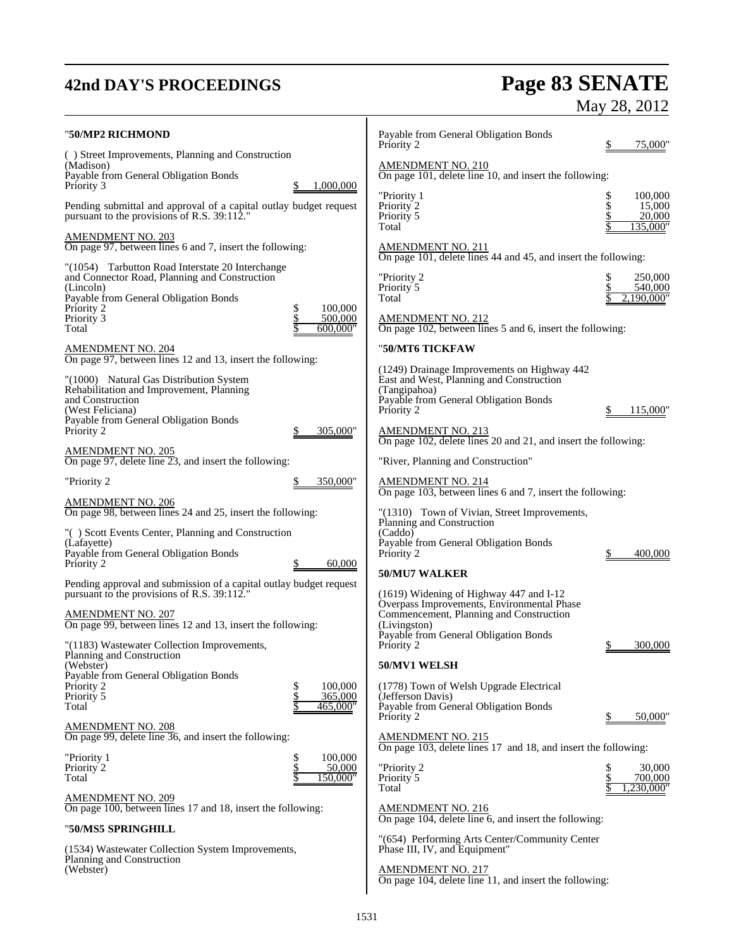# **42nd DAY'S PROCEEDINGS Page 83 SENATE** May 28, 2012

| "50/MP2 RICHMOND<br>() Street Improvements, Planning and Construction<br>(Madison)<br>Payable from General Obligation Bonds<br>Priority 3<br>Pending submittal and approval of a capital outlay budget request<br>pursuant to the provisions of R.S. 39:112."                                                                                                           | 1,000,000                                             | Payable from General Obligation Bonds<br>Priority 2<br>AMENDMENT NO. 210<br>On page 101, delete line 10, and insert the following:<br>"Priority 1<br>Priority 2<br>Priority 5                                                                                                                                                                                                                  | 75,000'<br>\$<br>100,000<br>\$<br>15,000<br>20,000 |
|-------------------------------------------------------------------------------------------------------------------------------------------------------------------------------------------------------------------------------------------------------------------------------------------------------------------------------------------------------------------------|-------------------------------------------------------|------------------------------------------------------------------------------------------------------------------------------------------------------------------------------------------------------------------------------------------------------------------------------------------------------------------------------------------------------------------------------------------------|----------------------------------------------------|
| <u>AMENDMENT NO. 203</u><br>On page 97, between lines 6 and 7, insert the following:<br>"(1054) Tarbutton Road Interstate 20 Interchange<br>and Connector Road, Planning and Construction<br>(Lincoln)<br>Payable from General Obligation Bonds<br>Priority 2<br>Priority 3<br>Total<br>AMENDMENT NO. 204<br>On page 97, between lines 12 and 13, insert the following: | 100,000<br>\$<br>$\frac{5}{5}$<br>500,000<br>600,000" | Total<br>AMENDMENT NO. 211<br>On page 101, delete lines 44 and 45, and insert the following:<br>"Priority 2<br>Priority 5<br>Total<br><b>AMENDMENT NO. 212</b><br>On page 102, between lines 5 and 6, insert the following:<br>"50/MT6 TICKFAW                                                                                                                                                 | 135,000'<br>250,000<br>540,000<br>2,190,000"       |
| "(1000) Natural Gas Distribution System<br>Rehabilitation and Improvement, Planning<br>and Construction<br>(West Feliciana)<br>Payable from General Obligation Bonds<br>Priority 2<br><u>AMENDMENT NO. 205</u><br>On page 97, delete line 23, and insert the following:<br>"Priority 2                                                                                  | 305.000"<br>350,000"                                  | (1249) Drainage Improvements on Highway 442<br>East and West, Planning and Construction<br>(Tangipahoa)<br>Payable from General Obligation Bonds<br>Priority 2<br><b>AMENDMENT NO. 213</b><br>On page 102, delete lines 20 and 21, and insert the following:<br>"River, Planning and Construction"                                                                                             | 115,000                                            |
| <b>AMENDMENT NO. 206</b><br>On page 98, between lines 24 and 25, insert the following:<br>"() Scott Events Center, Planning and Construction<br>(Lafayette)<br>Payable from General Obligation Bonds<br>Priority 2<br>Pending approval and submission of a capital outlay budget request<br>pursuant to the provisions of R.S. 39:112."                                 | 60,000<br>P                                           | $\frac{\text{AMENDMENT NO. 214}}{\text{On page 103, between lines 6 and 7, insert the following:}}$<br>"(1310) Town of Vivian, Street Improvements,<br>Planning and Construction<br>(Caddo)<br>Payable from General Obligation Bonds<br>Priority 2<br>50/MU7 WALKER<br>$(1619)$ Widening of Highway 447 and I-12<br>Overpass Improvements, Environmental Phase                                 | 400,000                                            |
| <b>AMENDMENT NO. 207</b><br>On page 99, between lines 12 and 13, insert the following:<br>"(1183) Wastewater Collection Improvements,<br>Planning and Construction<br>(Webster)<br>Payable from General Obligation Bonds<br>Priority 2<br>Priority 5<br>Total                                                                                                           | 100,000<br>\$<br>\$<br>365,000<br>465,000"            | Commencement, Planning and Construction<br>(Livingston)<br>Payable from General Obligation Bonds<br>Priority 2<br>50/MV1 WELSH<br>(1778) Town of Welsh Upgrade Electrical<br>(Jefferson Davis)<br>Payable from General Obligation Bonds<br>Priority 2                                                                                                                                          | 300,000<br>50,000"<br>\$                           |
| <b>AMENDMENT NO. 208</b><br>On page 99, delete line 36, and insert the following:<br>"Priority 1<br>Priority 2<br>Total<br><b>AMENDMENT NO. 209</b><br>On page 100, between lines 17 and 18, insert the following:<br>"50/MS5 SPRINGHILL<br>(1534) Wastewater Collection System Improvements,<br>Planning and Construction<br>(Webster)                                 | \$<br>100,000<br>\$<br>\$<br>50,000<br>150,000"       | <b>AMENDMENT NO. 215</b><br>On page 103, delete lines 17 and 18, and insert the following:<br>"Priority 2<br>Priority 5<br>Total<br><b>AMENDMENT NO. 216</b><br>On page 104, delete line 6, and insert the following:<br>"(654) Performing Arts Center/Community Center<br>Phase III, IV, and Equipment"<br><b>AMENDMENT NO. 217</b><br>On page 104, delete line 11, and insert the following: | 30,000<br>\$<br>Տ<br>700,000<br>230,000"           |
|                                                                                                                                                                                                                                                                                                                                                                         |                                                       |                                                                                                                                                                                                                                                                                                                                                                                                |                                                    |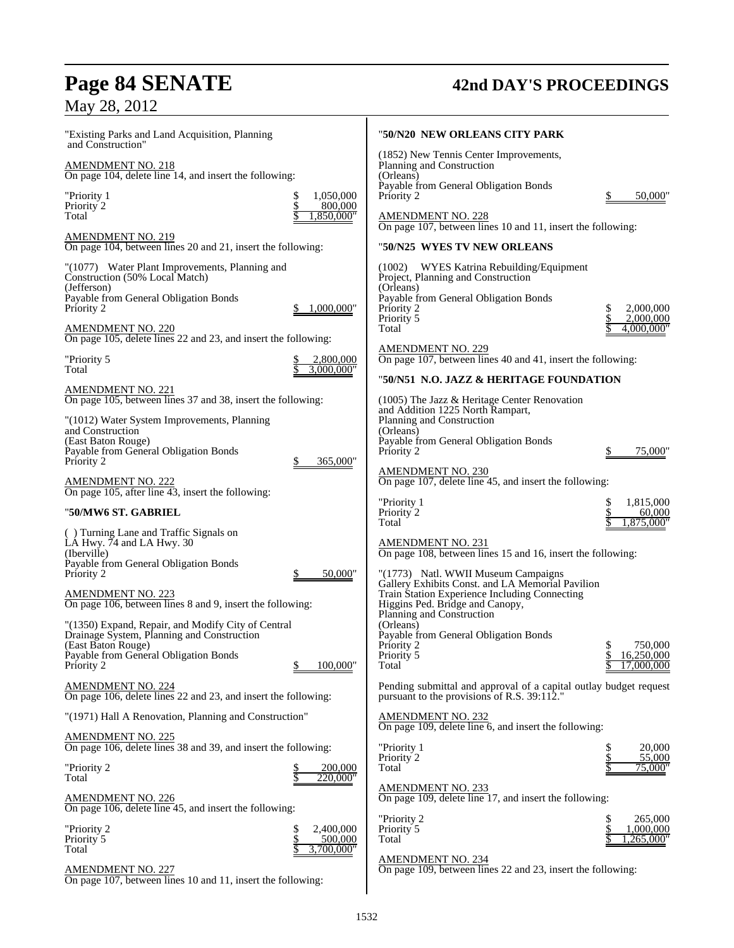# **Page 84 SENATE 42nd DAY'S PROCEEDINGS**

# May 28, 2012

| "Existing Parks and Land Acquisition, Planning<br>and Construction"                        | "50/N20 NEW ORLEANS CITY PARK                                                                                                        |
|--------------------------------------------------------------------------------------------|--------------------------------------------------------------------------------------------------------------------------------------|
| <u>AMENDMENT NO. 218</u><br>On page 104, delete line 14, and insert the following:         | (1852) New Tennis Center Improvements,<br>Planning and Construction<br>(Orleans)                                                     |
| \$<br>1,050,000<br>"Priority 1<br>\$<br>Priority <sup>2</sup><br>800,000                   | Payable from General Obligation Bonds<br>Priority 2<br>50,000"                                                                       |
| Total<br>1,850,000"                                                                        | <b>AMENDMENT NO. 228</b><br>On page 107, between lines 10 and 11, insert the following:                                              |
| <b>AMENDMENT NO. 219</b><br>On page 104, between lines 20 and 21, insert the following:    | "50/N25  WYES TV NEW ORLEANS                                                                                                         |
| "(1077) Water Plant Improvements, Planning and<br>Construction (50% Local Match)           | WYES Katrina Rebuilding/Equipment<br>(1002)<br>Project, Planning and Construction                                                    |
| (Jefferson)<br>Payable from General Obligation Bonds<br>Priority 2<br>1,000,000"<br>\$     | (Orleans)<br>Payable from General Obligation Bonds<br>Priority 2<br>\$<br>2,000,000                                                  |
| <b>AMENDMENT NO. 220</b><br>On page 105, delete lines 22 and 23, and insert the following: | Priority 5<br>2,000,000<br>Total<br>4,000,000"                                                                                       |
| "Priority 5<br>2,800,000<br>3.000.000"                                                     | <b>AMENDMENT NO. 229</b><br>On page 107, between lines 40 and 41, insert the following:                                              |
| Total                                                                                      | "50/N51 N.O. JAZZ & HERITAGE FOUNDATION                                                                                              |
| AMENDMENT NO. 221<br>On page 105, between lines 37 and 38, insert the following:           | $(1005)$ The Jazz & Heritage Center Renovation<br>and Addition 1225 North Rampart,                                                   |
| "(1012) Water System Improvements, Planning<br>and Construction<br>(East Baton Rouge)      | Planning and Construction<br>(Orleans)<br>Payable from General Obligation Bonds                                                      |
| Payable from General Obligation Bonds<br>Priority 2<br>365,000"                            | Priority 2<br>75,000"                                                                                                                |
| <b>AMENDMENT NO. 222</b><br>On page 105, after line 43, insert the following:              | AMENDMENT NO. 230<br>On page 107, delete line 45, and insert the following:                                                          |
| "50/MW6 ST. GABRIEL                                                                        | "Priority 1<br>\$<br>1,815,000<br>\$<br>Priority 2<br>60,000<br>1,875,000"<br>Total                                                  |
| () Turning Lane and Traffic Signals on<br>LA Hwy. 74 and LA Hwy. 30<br>(Iberville)         | <b>AMENDMENT NO. 231</b><br>On page 108, between lines 15 and 16, insert the following:                                              |
| Payable from General Obligation Bonds<br>Priority 2<br>50,000"                             | "(1773) Natl. WWII Museum Campaigns                                                                                                  |
| <b>AMENDMENT NO. 223</b><br>On page 106, between lines 8 and 9, insert the following:      | Gallery Exhibits Const. and LA Memorial Pavilion<br>Train Station Experience Including Connecting<br>Higgins Ped. Bridge and Canopy, |
| "(1350) Expand, Repair, and Modify City of Central                                         | Planning and Construction<br>(Orleans)                                                                                               |
| Drainage System, Planning and Construction<br>(East Baton Rouge)                           | Payable from General Obligation Bonds<br>750,000<br>Priority 2<br>\$                                                                 |
| Payable from General Obligation Bonds<br>100,000"<br>Priority 2                            | \$<br>16,250,000<br>Priority 5<br>Total<br>17,000,000                                                                                |
| <u>AMENDMENT NO. 224</u><br>On page 106, delete lines 22 and 23, and insert the following: | Pending submittal and approval of a capital outlay budget request<br>pursuant to the provisions of R.S. 39:112."                     |
| "(1971) Hall A Renovation, Planning and Construction"                                      | <b>AMENDMENT NO. 232</b><br>On page 109, delete line 6, and insert the following:                                                    |
| <b>AMENDMENT NO. 225</b><br>On page 106, delete lines 38 and 39, and insert the following: | "Priority 1<br>20,000                                                                                                                |
| "Priority 2<br>200,000<br>220,000"<br>Total                                                | Priority 2<br>55,000<br>Total<br>75,000"                                                                                             |
| AMENDMENT NO. 226<br>On page 106, delete line 45, and insert the following:                | <b>AMENDMENT NO. 233</b><br>On page 109, delete line 17, and insert the following:                                                   |
| \$<br>2,400,000<br>"Priority 2                                                             | "Priority 2<br>265,000<br>1,000,000<br>Priority 5                                                                                    |
| \$<br>Priority 5<br>500,000<br>3,700,000"<br>Total                                         | Total<br>"265,000.                                                                                                                   |
| <b>AMENDMENT NO. 227</b><br>On page 107, between lines 10 and 11, insert the following:    | <b>AMENDMENT NO. 234</b><br>On page 109, between lines 22 and 23, insert the following:                                              |
|                                                                                            |                                                                                                                                      |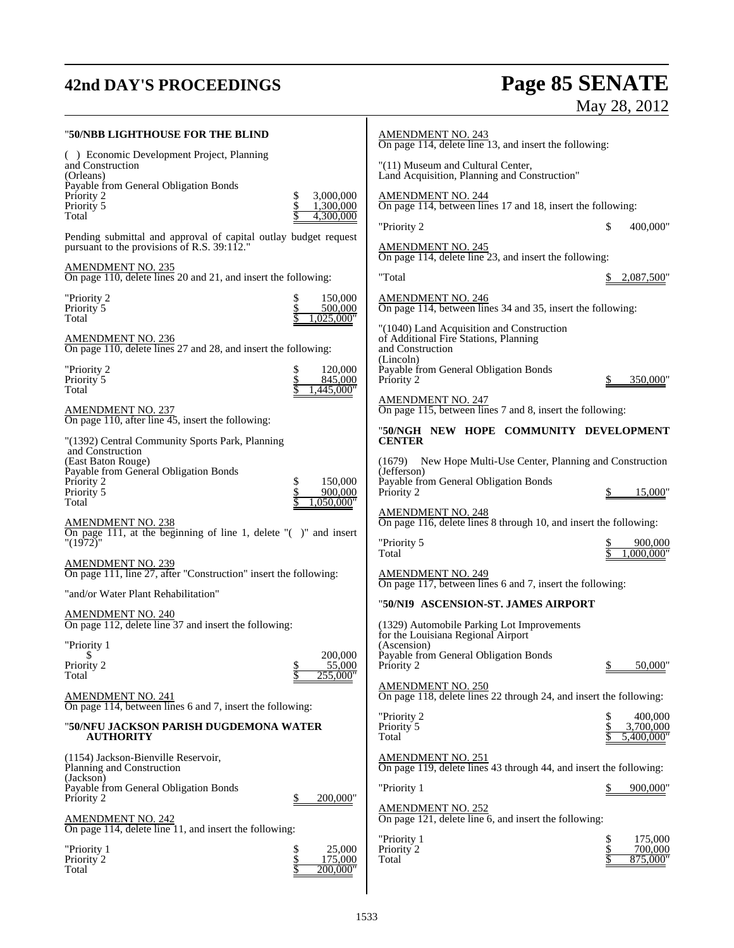# **42nd DAY'S PROCEEDINGS Page 85 SENATE** May 28, 2012

| "50/NBB LIGHTHOUSE FOR THE BLIND                                                                                          | <b>AMENDMENT NO. 243</b><br>On page 114, delete line 13, and insert the following:                                                             |
|---------------------------------------------------------------------------------------------------------------------------|------------------------------------------------------------------------------------------------------------------------------------------------|
| () Economic Development Project, Planning<br>and Construction<br>(Orleans)                                                | "(11) Museum and Cultural Center,<br>Land Acquisition, Planning and Construction"                                                              |
| Payable from General Obligation Bonds<br>3,000,000<br>Priority 2<br>\$<br>Priority 5<br>1,300,000<br>4,300,000<br>Total   | <b>AMENDMENT NO. 244</b><br>On page 114, between lines 17 and 18, insert the following:                                                        |
| Pending submittal and approval of capital outlay budget request<br>pursuant to the provisions of R.S. 39:112."            | \$<br>"Priority 2<br>400,000"<br><u>AMENDMENT NO. 245</u>                                                                                      |
| <b>AMENDMENT NO. 235</b><br>On page 110, delete lines 20 and 21, and insert the following:                                | On page 114, delete line 23, and insert the following:<br>"Total<br>2,087,500                                                                  |
| "Priority 2<br>150,000<br>\$<br>\$<br>Priority 5<br>500,000<br>Total<br>,025,000"                                         | $\frac{\text{AMENDMENT NO. 246}}{\text{On page 114, between lines 34 and 35, insert the following:}}$                                          |
| <b>AMENDMENT NO. 236</b><br>On page 110, delete lines 27 and 28, and insert the following:                                | "(1040) Land Acquisition and Construction<br>of Additional Fire Stations, Planning<br>and Construction                                         |
| "Priority 2<br>\$<br>120,000<br>\$<br>Priority 5<br>845,000<br>Total<br>,445,000"                                         | (Lincoln)<br>Payable from General Obligation Bonds<br>Priority 2<br>350,000'                                                                   |
| <u>AMENDMENT NO. 237</u><br>On page 110, after line 45, insert the following:                                             | <b>AMENDMENT NO. 247</b><br>On page 115, between lines 7 and 8, insert the following:                                                          |
| "(1392) Central Community Sports Park, Planning<br>and Construction                                                       | "50/NGH NEW HOPE COMMUNITY DEVELOPMENT<br><b>CENTER</b>                                                                                        |
| (East Baton Rouge)<br>Payable from General Obligation Bonds<br>\$<br>150,000<br>Priority 2<br>\$<br>Priority 5<br>900,000 | (1679)<br>New Hope Multi-Use Center, Planning and Construction<br>(Jefferson)<br>Payable from General Obligation Bonds<br>Priority 2<br>15,000 |
| Total<br>,050,000"<br><b>AMENDMENT NO. 238</b>                                                                            | <b>AMENDMENT NO. 248</b><br>On page 116, delete lines 8 through 10, and insert the following:                                                  |
| On page 111, at the beginning of line 1, delete $"$ ( $"$ )" and insert<br>"(1972)"                                       | "Priority 5<br>900,000<br>1.000.000"<br>Total                                                                                                  |
| <u>AMENDMENT NO. 239</u><br>On page 111, line 27, after "Construction" insert the following:                              | <b>AMENDMENT NO. 249</b><br>On page 117, between lines 6 and 7, insert the following:                                                          |
| "and/or Water Plant Rehabilitation"                                                                                       | "50/NI9 ASCENSION-ST. JAMES AIRPORT                                                                                                            |
| <b>AMENDMENT NO. 240</b><br>On page 112, delete line 37 and insert the following:                                         | (1329) Automobile Parking Lot Improvements<br>for the Louisiana Regional Airport                                                               |
| "Priority 1<br>200,000<br>\$                                                                                              | (Ascension)<br>Payable from General Obligation Bonds                                                                                           |
| \$<br>55,000<br>Priority 2<br>\$<br>Total<br>255,000"                                                                     | Priority 2<br>50,000'                                                                                                                          |
| <b>AMENDMENT NO. 241</b><br>On page 114, between lines 6 and 7, insert the following:                                     | <b>AMENDMENT NO. 250</b><br>On page 118, delete lines 22 through 24, and insert the following:                                                 |
| "50/NFU JACKSON PARISH DUGDEMONA WATER<br><b>AUTHORITY</b>                                                                | "Priority 2<br>400.000<br>Priority 5<br>3,700,000<br>Total<br>5,400,000"                                                                       |
| (1154) Jackson-Bienville Reservoir,<br>Planning and Construction                                                          | <b>AMENDMENT NO. 251</b><br>On page 119, delete lines 43 through 44, and insert the following:                                                 |
| (Jackson)<br>Payable from General Obligation Bonds<br>Priority 2<br>200,000"                                              | "Priority 1<br>900,000"                                                                                                                        |
| <b>AMENDMENT NO. 242</b>                                                                                                  | <b>AMENDMENT NO. 252</b><br>On page $121$ , delete line 6, and insert the following:                                                           |
| On page 114, delete line 11, and insert the following:<br>"Priority 1<br>25,000<br>\$                                     | "Priority 1<br>175,000<br>Priority 2<br>700,000                                                                                                |
| \$<br>Priority 2<br>175,000<br>Total<br>\$<br>200,000"                                                                    | Total<br>875,000"                                                                                                                              |
|                                                                                                                           |                                                                                                                                                |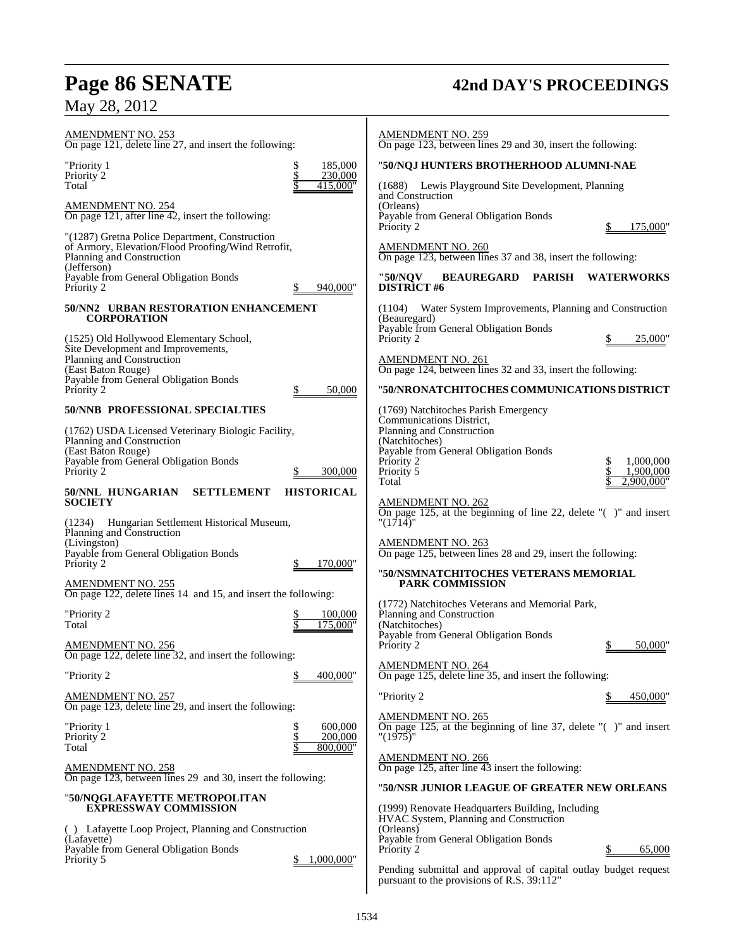# **Page 86 SENATE 42nd DAY'S PROCEEDINGS**

# May 28, 2012

| <b>AMENDMENT NO. 253</b><br>On page 121, delete line 27, and insert the following:                                                                                                        | <b>AMENDMENT NO. 259</b><br>On page 123, between lines 29 and 30, insert the following:                                                                                                                                                     |
|-------------------------------------------------------------------------------------------------------------------------------------------------------------------------------------------|---------------------------------------------------------------------------------------------------------------------------------------------------------------------------------------------------------------------------------------------|
| \$<br>"Priority 1<br>185,000                                                                                                                                                              | "50/NQJ HUNTERS BROTHERHOOD ALUMNI-NAE                                                                                                                                                                                                      |
| \$<br>230,000<br>Priority 2<br>Total<br>415,000"                                                                                                                                          | (1688) Lewis Playground Site Development, Planning                                                                                                                                                                                          |
| <b>AMENDMENT NO. 254</b><br>On page 121, after line 42, insert the following:                                                                                                             | and Construction<br>(Orleans)<br>Payable from General Obligation Bonds<br>Priority 2<br>175,000                                                                                                                                             |
| "(1287) Gretna Police Department, Construction<br>of Armory, Elevation/Flood Proofing/Wind Retrofit,<br>Planning and Construction<br>(Jefferson)                                          | <b>AMENDMENT NO. 260</b><br>On page 123, between lines 37 and 38, insert the following:                                                                                                                                                     |
| Payable from General Obligation Bonds<br>Priority 2<br>940,000"                                                                                                                           | <b>PARISH</b><br>"50/NOV<br><b>BEAUREGARD</b><br><b>WATERWORKS</b><br><b>DISTRICT#6</b>                                                                                                                                                     |
| 50/NN2 URBAN RESTORATION ENHANCEMENT<br><b>CORPORATION</b>                                                                                                                                | (1104)<br>Water System Improvements, Planning and Construction<br>(Beauregard)                                                                                                                                                              |
| (1525) Old Hollywood Elementary School,<br>Site Development and Improvements,                                                                                                             | Payable from General Obligation Bonds<br>Priority 2<br>25,000"                                                                                                                                                                              |
| Planning and Construction<br>(East Baton Rouge)<br>Payable from General Obligation Bonds                                                                                                  | <b>AMENDMENT NO. 261</b><br>On page 124, between lines 32 and 33, insert the following:                                                                                                                                                     |
| Priority 2<br>50,000<br>\$                                                                                                                                                                | "50/NRONATCHITOCHES COMMUNICATIONS DISTRICT                                                                                                                                                                                                 |
| 50/NNB PROFESSIONAL SPECIALTIES<br>(1762) USDA Licensed Veterinary Biologic Facility,<br>Planning and Construction<br>(East Baton Rouge)<br>Payable from General Obligation Bonds         | (1769) Natchitoches Parish Emergency<br>Communications District,<br>Planning and Construction<br>(Natchitoches)<br>Payable from General Obligation Bonds<br>\$<br>Priority 2<br>1,000,000                                                   |
| Priority 2<br>300,000<br><b>HISTORICAL</b><br>50/NNL HUNGARIAN<br><b>SETTLEMENT</b>                                                                                                       | Priority 5<br>1,900,000<br>Total<br>2.900.000"                                                                                                                                                                                              |
| <b>SOCIETY</b><br>(1234)<br>Hungarian Settlement Historical Museum,<br>Planning and Construction<br>(Livingston)<br>Payable from General Obligation Bonds<br>Priority 2<br>170,000"<br>\$ | <b>AMENDMENT NO. 262</b><br>On page 125, at the beginning of line 22, delete $\degree$ ( $\degree$ ) and insert<br>"(1714)"<br><b>AMENDMENT NO. 263</b><br>On page 125, between lines 28 and 29, insert the following:                      |
| <b>AMENDMENT NO. 255</b><br>On page 122, delete lines 14 and 15, and insert the following:                                                                                                | "50/NSMNATCHITOCHES VETERANS MEMORIAL<br><b>PARK COMMISSION</b>                                                                                                                                                                             |
| "Priority 2<br>100,000<br>Total<br>.75.000"                                                                                                                                               | (1772) Natchitoches Veterans and Memorial Park,<br>Planning and Construction<br>(Natchitoches)<br>Payable from General Obligation Bonds                                                                                                     |
| <b>AMENDMENT NO. 256</b><br>On page 122, delete line 32, and insert the following:                                                                                                        | Priority 2<br>50,000"                                                                                                                                                                                                                       |
| "Priority 2<br>400.000"                                                                                                                                                                   | <b>AMENDMENT NO. 264</b><br>On page 125, delete line 35, and insert the following:                                                                                                                                                          |
| <b>AMENDMENT NO. 257</b><br>On page 123, delete line 29, and insert the following:                                                                                                        | "Priority 2<br>450,000"                                                                                                                                                                                                                     |
| 600,000<br>"Priority 1<br>\$<br>\$<br>200,000<br>Priority 2<br>Total<br>800,000"                                                                                                          | <b>AMENDMENT NO. 265</b><br>On page 125, at the beginning of line 37, delete $\degree$ () and insert<br>"(1975)"                                                                                                                            |
| <b>AMENDMENT NO. 258</b><br>On page 123, between lines 29 and 30, insert the following:                                                                                                   | <b>AMENDMENT NO. 266</b><br>On page 125, after line 43 insert the following:                                                                                                                                                                |
| "50/NQGLAFAYETTE METROPOLITAN                                                                                                                                                             | "50/NSR JUNIOR LEAGUE OF GREATER NEW ORLEANS                                                                                                                                                                                                |
| <b>EXPRESSWAY COMMISSION</b><br>() Lafayette Loop Project, Planning and Construction<br>(Lafayette)<br>Payable from General Obligation Bonds<br>Priority 5<br>1,000,000"                  | (1999) Renovate Headquarters Building, Including<br>HVAC System, Planning and Construction<br>(Orleans)<br>Payable from General Obligation Bonds<br>65,000<br>Priority 2<br>Pending submittal and approval of capital outlay budget request |
|                                                                                                                                                                                           | pursuant to the provisions of R.S. 39:112"                                                                                                                                                                                                  |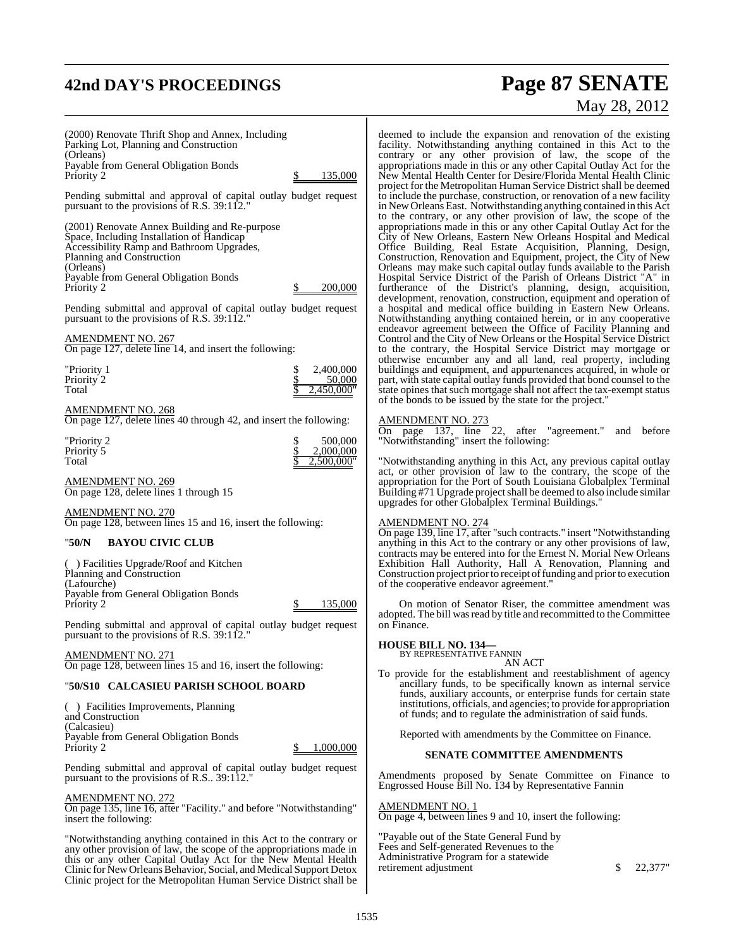# **42nd DAY'S PROCEEDINGS Page 87 SENATE**

(2000) Renovate Thrift Shop and Annex, Including Parking Lot, Planning and Construction (Orleans) Payable from General Obligation Bonds Priority 2 \$ 135,000 Pending submittal and approval of capital outlay budget request pursuant to the provisions of R.S. 39:112." (2001) Renovate Annex Building and Re-purpose Space, Including Installation of Handicap Accessibility Ramp and Bathroom Upgrades, Planning and Construction (Orleans) Payable from General Obligation Bonds Priority 2 \$ 200,000 Pending submittal and approval of capital outlay budget request pursuant to the provisions of R.S.  $39:112$ . AMENDMENT NO. 267 On page 127, delete line 14, and insert the following: Priority 1  $\begin{array}{ccccc} 1 & 0 & 0 & 0 & 0 \\ 0 & 0 & 0 & 0 & 0 \\ 0 & 0 & 0 & 0 & 0 \\ 0 & 0 & 0 & 0 & 0 \\ 0 & 0 & 0 & 0 & 0 \\ 0 & 0 & 0 & 0 & 0 \\ 0 & 0 & 0 & 0 & 0 \\ 0 & 0 & 0 & 0 & 0 \\ 0 & 0 & 0 & 0 & 0 \\ 0 & 0 & 0 & 0 & 0 \\ 0 & 0 & 0 & 0 & 0 \\ 0 & 0 & 0 & 0 & 0 \\ 0 & 0 & 0 & 0 & 0 \\ 0 & 0 &$ Priority 2  $\frac{\$}{\$}$  50,000<br>Total  $\frac{\$}{\$}$  2,450,000 Total  $\frac{1}{2}$   $\frac{1}{2,450,000}$ AMENDMENT NO. 268 On page 127, delete lines 40 through 42, and insert the following: "Priority 2 \$ 500,000 Priority 5<br>Total  $2.500,000$ " AMENDMENT NO. 269 On page 128, delete lines 1 through 15 AMENDMENT NO. 270 On page 128, between lines 15 and 16, insert the following: "**50/N BAYOU CIVIC CLUB** ( ) Facilities Upgrade/Roof and Kitchen Planning and Construction (Lafourche) Payable from General Obligation Bonds Priority 2 \$ 135,000 Pending submittal and approval of capital outlay budget request pursuant to the provisions of R.S. 39:112." AMENDMENT NO. 271 On page 128, between lines 15 and 16, insert the following: "**50/S10 CALCASIEU PARISH SCHOOL BOARD** ( ) Facilities Improvements, Planning and Construction (Calcasieu) Payable from General Obligation Bonds Priority 2 \$ 1,000,000 Pending submittal and approval of capital outlay budget request pursuant to the provisions of R.S.. 39:112."

AMENDMENT NO. 272

On page 135, line 16, after "Facility." and before "Notwithstanding" insert the following:

"Notwithstanding anything contained in this Act to the contrary or any other provision of law, the scope of the appropriations made in this or any other Capital Outlay Act for the New Mental Health Clinic for New Orleans Behavior, Social, and Medical Support Detox Clinic project for the Metropolitan Human Service District shall be

# May 28, 2012

deemed to include the expansion and renovation of the existing facility. Notwithstanding anything contained in this Act to the contrary or any other provision of law, the scope of the appropriations made in this or any other Capital Outlay Act for the New Mental Health Center for Desire/Florida Mental Health Clinic project for the Metropolitan Human Service District shall be deemed to include the purchase, construction, or renovation of a new facility in New Orleans East. Notwithstanding anything contained in this Act to the contrary, or any other provision of law, the scope of the appropriations made in this or any other Capital Outlay Act for the City of New Orleans, Eastern New Orleans Hospital and Medical Office Building, Real Estate Acquisition, Planning, Design, Construction, Renovation and Equipment, project, the City of New Orleans may make such capital outlay funds available to the Parish Hospital Service District of the Parish of Orleans District "A" in furtherance of the District's planning, design, acquisition, development, renovation, construction, equipment and operation of a hospital and medical office building in Eastern New Orleans. Notwithstanding anything contained herein, or in any cooperative endeavor agreement between the Office of Facility Planning and Control and the City of New Orleans or the Hospital Service District to the contrary, the Hospital Service District may mortgage or otherwise encumber any and all land, real property, including buildings and equipment, and appurtenances acquired, in whole or part, with state capital outlay funds provided that bond counsel to the state opines that such mortgage shall not affect the tax-exempt status of the bonds to be issued by the state for the project."

# AMENDMENT NO. 273

On page 137, line 22, after "agreement." and before "Notwithstanding" insert the following:

"Notwithstanding anything in this Act, any previous capital outlay act, or other provision of law to the contrary, the scope of the appropriation for the Port of South Louisiana Globalplex Terminal Building #71 Upgrade project shall be deemed to also include similar upgrades for other Globalplex Terminal Buildings."

## AMENDMENT NO. 274

On page 139, line 17, after "such contracts." insert "Notwithstanding anything in this Act to the contrary or any other provisions of law, contracts may be entered into for the Ernest N. Morial New Orleans Exhibition Hall Authority, Hall A Renovation, Planning and Construction project prior to receipt of funding and prior to execution of the cooperative endeavor agreement."

On motion of Senator Riser, the committee amendment was adopted. The bill was read by title and recommitted to the Committee on Finance.

# **HOUSE BILL NO. 134—** BY REPRESENTATIVE FANNIN

AN ACT

To provide for the establishment and reestablishment of agency ancillary funds, to be specifically known as internal service funds, auxiliary accounts, or enterprise funds for certain state institutions, officials, and agencies; to provide for appropriation of funds; and to regulate the administration of said funds.

Reported with amendments by the Committee on Finance.

# **SENATE COMMITTEE AMENDMENTS**

Amendments proposed by Senate Committee on Finance to Engrossed House Bill No. 134 by Representative Fannin

AMENDMENT NO. 1 On page 4, between lines 9 and 10, insert the following:

"Payable out of the State General Fund by Fees and Self-generated Revenues to the Administrative Program for a statewide retirement adjustment  $\frac{1}{22,377}$ "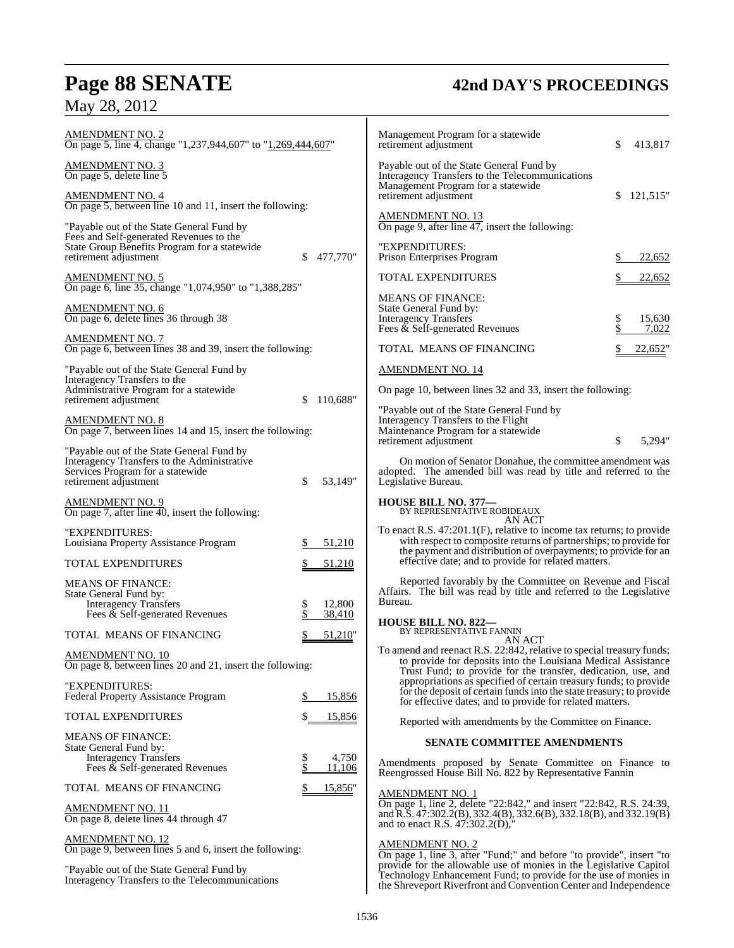# **Page 88 SENATE 42nd DAY'S PROCEEDINGS**

May 28, 2012

| <b>AMENDMENT NO. 2</b><br>On page 5, line 4, change "1,237,944,607" to "1,269,444,607"                                                                |                             | Management Program for a statewide<br>retirement adjustment                                                                                                                                                             | \$       | 413,817         |
|-------------------------------------------------------------------------------------------------------------------------------------------------------|-----------------------------|-------------------------------------------------------------------------------------------------------------------------------------------------------------------------------------------------------------------------|----------|-----------------|
| <b>AMENDMENT NO. 3</b><br>On page 5, delete line 5                                                                                                    |                             | Payable out of the State General Fund by<br>Interagency Transfers to the Telecommunications                                                                                                                             |          |                 |
| <b>AMENDMENT NO. 4</b><br>On page 5, between line 10 and 11, insert the following:                                                                    |                             | Management Program for a statewide<br>retirement adjustment                                                                                                                                                             | S        | 121,515"        |
| "Payable out of the State General Fund by<br>Fees and Self-generated Revenues to the<br>State Group Benefits Program for a statewide                  |                             | <b>AMENDMENT NO. 13</b><br>On page 9, after line $47$ , insert the following:<br>"EXPENDITURES:                                                                                                                         |          |                 |
| retirement adjustment                                                                                                                                 | 477,770"<br>\$              | Prison Enterprises Program                                                                                                                                                                                              | \$       | 22,652          |
| <b>AMENDMENT NO. 5</b><br>On page 6, line 35, change "1,074,950" to "1,388,285"                                                                       |                             | <b>TOTAL EXPENDITURES</b>                                                                                                                                                                                               |          | 22,652          |
| AMENDMENT NO. 6<br>On page 6, delete lines 36 through 38                                                                                              |                             | <b>MEANS OF FINANCE:</b><br>State General Fund by:<br><b>Interagency Transfers</b><br>Fees & Self-generated Revenues                                                                                                    | \$<br>\$ | 15,630<br>7,022 |
| <b>AMENDMENT NO. 7</b><br>On page 6, between lines 38 and 39, insert the following:                                                                   |                             | TOTAL MEANS OF FINANCING                                                                                                                                                                                                |          | 22,652"         |
| "Payable out of the State General Fund by                                                                                                             |                             | <b>AMENDMENT NO. 14</b>                                                                                                                                                                                                 |          |                 |
| Interagency Transfers to the<br>Administrative Program for a statewide                                                                                |                             | On page 10, between lines 32 and 33, insert the following:                                                                                                                                                              |          |                 |
| retirement adjustment<br><b>AMENDMENT NO. 8</b><br>On page 7, between lines 14 and 15, insert the following:                                          | 110,688"<br>\$              | "Payable out of the State General Fund by<br>Interagency Transfers to the Flight<br>Maintenance Program for a statewide                                                                                                 | \$       | 5,294"          |
| "Payable out of the State General Fund by<br>Interagency Transfers to the Administrative<br>Services Program for a statewide<br>retirement adjustment | \$<br>53,149"               | retirement adjustment<br>On motion of Senator Donahue, the committee amendment was<br>adopted. The amended bill was read by title and referred to the<br>Legislative Bureau.                                            |          |                 |
| AMENDMENT NO. 9<br>On page 7, after line 40, insert the following:                                                                                    |                             | HOUSE BILL NO. 377-<br>BY REPRESENTATIVE ROBIDEAUX                                                                                                                                                                      |          |                 |
| "EXPENDITURES:<br>Louisiana Property Assistance Program                                                                                               | 51,210                      | AN ACT<br>To enact R.S. 47:201.1(F), relative to income tax returns; to provide<br>with respect to composite returns of partnerships; to provide for<br>the payment and distribution of overpayments; to provide for an |          |                 |
| <b>TOTAL EXPENDITURES</b>                                                                                                                             | 51,210                      | effective date; and to provide for related matters.                                                                                                                                                                     |          |                 |
| <b>MEANS OF FINANCE:</b><br>State General Fund by:<br><b>Interagency Transfers</b><br>Fees & Self-generated Revenues                                  | 12,800<br>\$<br>38,410      | Reported favorably by the Committee on Revenue and Fiscal<br>Affairs. The bill was read by title and referred to the Legislative<br>Bureau.                                                                             |          |                 |
| TOTAL MEANS OF FINANCING                                                                                                                              | 51,210"                     | <b>HOUSE BILL NO. 822-</b><br>BY REPRESENTATIVE FANNIN<br>AN ACT                                                                                                                                                        |          |                 |
| <b>AMENDMENT NO. 10</b><br>On page 8, between lines 20 and 21, insert the following:                                                                  |                             | To amend and reenact R.S. 22:842, relative to special treasury funds;<br>to provide for deposits into the Louisiana Medical Assistance<br>Trust Fund; to provide for the transfer, dedication, use, and                 |          |                 |
| "EXPENDITURES:<br>Federal Property Assistance Program                                                                                                 | 15,856<br>\$                | appropriations as specified of certain treasury funds; to provide<br>for the deposit of certain funds into the state treasury; to provide<br>for effective dates; and to provide for related matters.                   |          |                 |
| TOTAL EXPENDITURES                                                                                                                                    | <u>15,856</u>               | Reported with amendments by the Committee on Finance.                                                                                                                                                                   |          |                 |
| <b>MEANS OF FINANCE:</b><br>State General Fund by:                                                                                                    |                             | <b>SENATE COMMITTEE AMENDMENTS</b>                                                                                                                                                                                      |          |                 |
| <b>Interagency Transfers</b><br>Fees $\&$ Self-generated Revenues                                                                                     | \$<br>4,750<br>\$<br>11,106 | Amendments proposed by Senate Committee on Finance to<br>Reengrossed House Bill No. 822 by Representative Fannin                                                                                                        |          |                 |
| TOTAL MEANS OF FINANCING                                                                                                                              | 15,856"                     | <b>AMENDMENT NO. 1</b>                                                                                                                                                                                                  |          |                 |
| <b>AMENDMENT NO. 11</b><br>On page 8, delete lines 44 through 47                                                                                      |                             | On page 1, line 2, delete "22:842," and insert "22:842, R.S. 24:39,<br>and R.S. 47:302.2(B), 332.4(B), 332.6(B), 332.18(B), and 332.19(B)<br>and to enact R.S. 47:302.2(D),"                                            |          |                 |
| <b>AMENDMENT NO. 12</b><br>On page 9, between lines 5 and 6, insert the following:                                                                    |                             | <b>AMENDMENT NO. 2</b><br>On page 1, line 3, after "Fund;" and before "to provide", insert "to                                                                                                                          |          |                 |
| "Payable out of the State General Fund by<br>Interagency Transfers to the Telecommunications                                                          |                             | provide for the allowable use of monies in the Legislative Capitol<br>Technology Enhancement Fund; to provide for the use of monies in<br>the Shreveport Riverfront and Convention Center and Independence              |          |                 |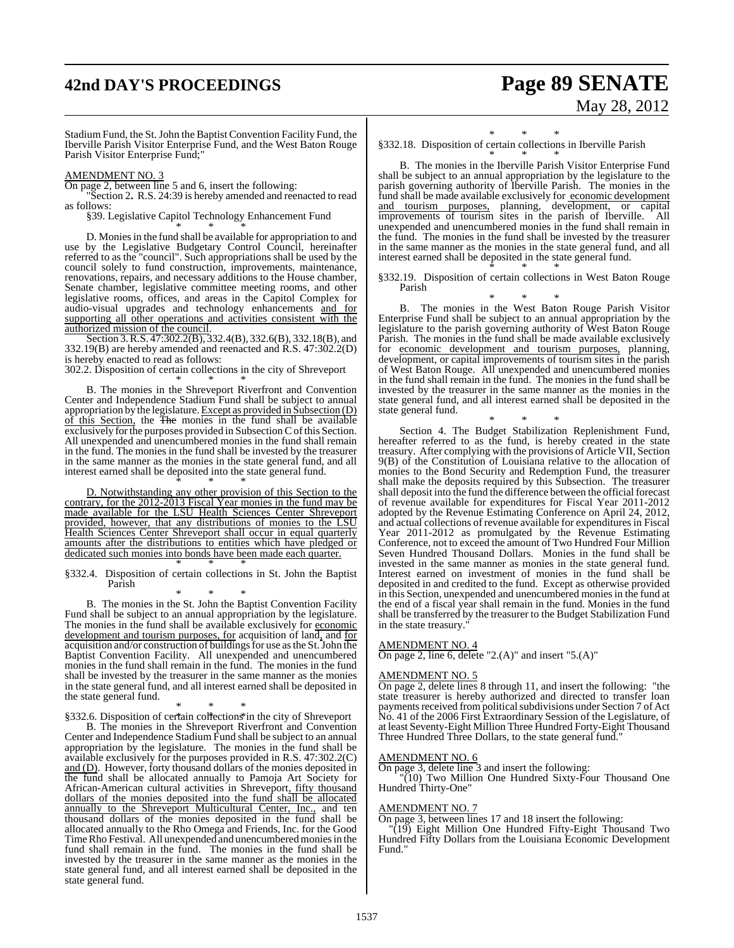# **42nd DAY'S PROCEEDINGS Page 89 SENATE** May 28, 2012

Stadium Fund, the St.John the Baptist Convention Facility Fund, the Iberville Parish Visitor Enterprise Fund, and the West Baton Rouge Parish Visitor Enterprise Fund;"

# AMENDMENT NO. 3

On page 2, between line 5 and 6, insert the following:

"Section 2**.** R.S. 24:39 is hereby amended and reenacted to read as follows:

§39. Legislative Capitol Technology Enhancement Fund

\* \* \* D. Monies in the fund shall be available for appropriation to and use by the Legislative Budgetary Control Council, hereinafter referred to as the "council". Such appropriations shall be used by the council solely to fund construction, improvements, maintenance, renovations, repairs, and necessary additions to the House chamber, Senate chamber, legislative committee meeting rooms, and other legislative rooms, offices, and areas in the Capitol Complex for audio-visual upgrades and technology enhancements and for supporting all other operations and activities consistent with the authorized mission of the council.

Section 3. R.S. 47:302.2(B), 332.4(B), 332.6(B), 332.18(B), and 332.19(B) are hereby amended and reenacted and R.S. 47:302.2(D) is hereby enacted to read as follows:

302.2. Disposition of certain collections in the city of Shreveport

\* \* \* B. The monies in the Shreveport Riverfront and Convention Center and Independence Stadium Fund shall be subject to annual appropriation by the legislature. Except as provided in Subsection (D) of this Section, the The monies in the fund shall be available exclusively for the purposes provided in Subsection C of this Section. All unexpended and unencumbered monies in the fund shall remain in the fund. The monies in the fund shall be invested by the treasurer in the same manner as the monies in the state general fund, and all interest earned shall be deposited into the state general fund.

\* \* \* D. Notwithstanding any other provision of this Section to the contrary, for the 2012-2013 Fiscal Year monies in the fund may be made available for the LSU Health Sciences Center Shreveport provided, however, that any distributions of monies to the LSU Health Sciences Center Shreveport shall occur in equal quarterly amounts after the distributions to entities which have pledged or dedicated such monies into bonds have been made each quarter. \* \* \*

§332.4. Disposition of certain collections in St. John the Baptist Parish

\* \* \* B. The monies in the St. John the Baptist Convention Facility Fund shall be subject to an annual appropriation by the legislature. The monies in the fund shall be available exclusively for economic development and tourism purposes, for acquisition of land, and for acquisition and/or construction of buildings for use as the St. John the Baptist Convention Facility. All unexpended and unencumbered monies in the fund shall remain in the fund. The monies in the fund shall be invested by the treasurer in the same manner as the monies in the state general fund, and all interest earned shall be deposited in

the state general fund. \* \* \* §332.6. Disposition of certain collections in the city of Shreveport

B. The monies in the Shreveport Riverfront and Convention Center and Independence Stadium Fund shall be subject to an annual appropriation by the legislature. The monies in the fund shall be available exclusively for the purposes provided in R.S. 47:302.2(C) and (D). However, forty thousand dollars of the monies deposited in the fund shall be allocated annually to Pamoja Art Society for African-American cultural activities in Shreveport, fifty thousand dollars of the monies deposited into the fund shall be allocated annually to the Shreveport Multicultural Center, Inc., and ten thousand dollars of the monies deposited in the fund shall be allocated annually to the Rho Omega and Friends, Inc. for the Good TimeRho Festival. All unexpended and unencumbered monies in the fund shall remain in the fund. The monies in the fund shall be invested by the treasurer in the same manner as the monies in the state general fund, and all interest earned shall be deposited in the state general fund.

\* \* \* §332.18. Disposition of certain collections in Iberville Parish

\* \* \* B. The monies in the Iberville Parish Visitor Enterprise Fund shall be subject to an annual appropriation by the legislature to the parish governing authority of Iberville Parish. The monies in the fund shall be made available exclusively for economic development and tourism purposes, planning, development, or capital improvements of tourism sites in the parish of Iberville. All unexpended and unencumbered monies in the fund shall remain in the fund. The monies in the fund shall be invested by the treasurer in the same manner as the monies in the state general fund, and all interest earned shall be deposited in the state general fund.

\* \* \* §332.19. Disposition of certain collections in West Baton Rouge Parish

\* \* \* B. The monies in the West Baton Rouge Parish Visitor Enterprise Fund shall be subject to an annual appropriation by the legislature to the parish governing authority of West Baton Rouge Parish. The monies in the fund shall be made available exclusively for economic development and tourism purposes, planning, development, or capital improvements of tourism sites in the parish of West Baton Rouge. All unexpended and unencumbered monies in the fund shall remain in the fund. The monies in the fund shall be invested by the treasurer in the same manner as the monies in the state general fund, and all interest earned shall be deposited in the state general fund.

\* \* \* Section 4. The Budget Stabilization Replenishment Fund, hereafter referred to as the fund, is hereby created in the state treasury. After complying with the provisions of Article VII, Section 9(B) of the Constitution of Louisiana relative to the allocation of monies to the Bond Security and Redemption Fund, the treasurer shall make the deposits required by this Subsection. The treasurer shall deposit into the fund the difference between the official forecast of revenue available for expenditures for Fiscal Year 2011-2012 adopted by the Revenue Estimating Conference on April 24, 2012, and actual collections of revenue available for expenditures in Fiscal Year 2011-2012 as promulgated by the Revenue Estimating Conference, not to exceed the amount of Two Hundred Four Million Seven Hundred Thousand Dollars. Monies in the fund shall be invested in the same manner as monies in the state general fund. Interest earned on investment of monies in the fund shall be deposited in and credited to the fund. Except as otherwise provided in this Section, unexpended and unencumbered monies in the fund at the end of a fiscal year shall remain in the fund. Monies in the fund shall be transferred by the treasurer to the Budget Stabilization Fund in the state treasury.

# AMENDMENT NO. 4

 $\overline{\text{On page 2, line 6, delete}}$  "2.(A)" and insert "5.(A)"

### AMENDMENT NO. 5

On page 2, delete lines 8 through 11, and insert the following: "the state treasurer is hereby authorized and directed to transfer loan payments received from political subdivisions under Section 7 of Act No. 41 of the 2006 First Extraordinary Session of the Legislature, of at least Seventy-Eight Million Three Hundred Forty-Eight Thousand Three Hundred Three Dollars, to the state general fund."

## AMENDMENT NO. 6

On page 3, delete line 3 and insert the following: "(10) Two Million One Hundred Sixty-Four Thousand One

Hundred Thirty-One"

# AMENDMENT NO. 7

On page 3, between lines 17 and 18 insert the following:

 "(19) Eight Million One Hundred Fifty-Eight Thousand Two Hundred Fifty Dollars from the Louisiana Economic Development Fund."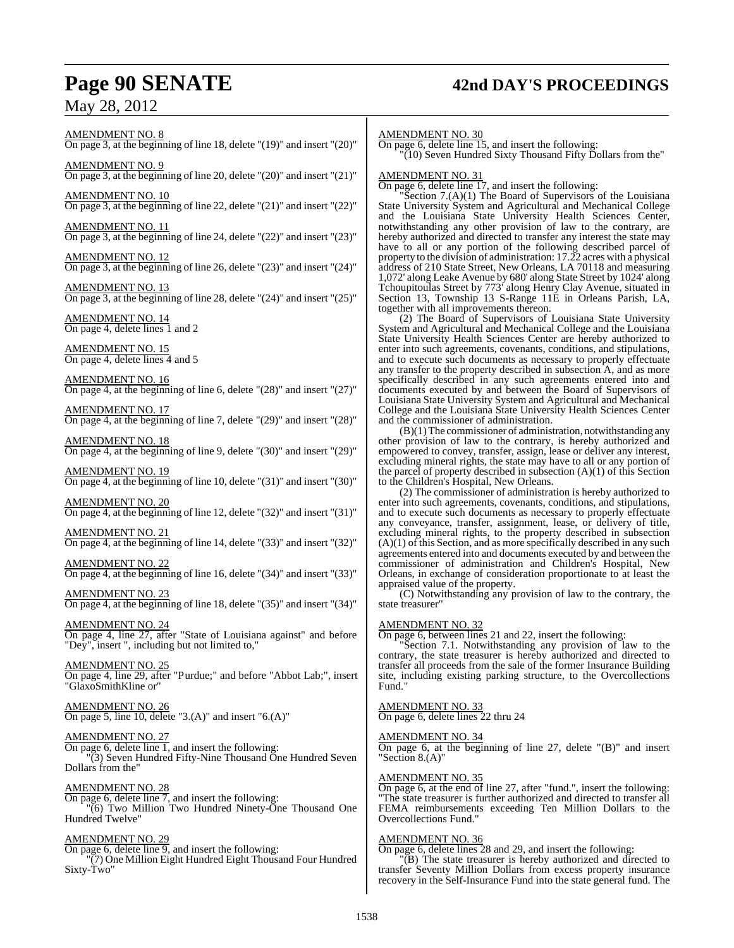# **Page 90 SENATE 42nd DAY'S PROCEEDINGS**

May 28, 2012

# AMENDMENT NO. 8

On page 3, at the beginning of line 18, delete "(19)" and insert "(20)"

AMENDMENT NO. 9 On page 3, at the beginning of line 20, delete "(20)" and insert "(21)"

AMENDMENT NO. 10 On page 3, at the beginning of line 22, delete "(21)" and insert "(22)"

AMENDMENT NO. 11 On page 3, at the beginning of line 24, delete "(22)" and insert "(23)"

AMENDMENT NO. 12 On page 3, at the beginning of line 26, delete "(23)" and insert "(24)"

AMENDMENT NO. 13 On page 3, at the beginning of line 28, delete "(24)" and insert "(25)"

AMENDMENT NO. 14 On page 4, delete lines 1 and 2

AMENDMENT NO. 15 On page 4, delete lines 4 and 5

AMENDMENT NO. 16 On page 4, at the beginning of line 6, delete "(28)" and insert "(27)"

AMENDMENT NO. 17 On page 4, at the beginning of line 7, delete "(29)" and insert "(28)"

AMENDMENT NO. 18 On page 4, at the beginning of line 9, delete "(30)" and insert "(29)"

AMENDMENT NO. 19 On page 4, at the beginning of line 10, delete "(31)" and insert "(30)"

AMENDMENT NO. 20 On page 4, at the beginning of line 12, delete "(32)" and insert "(31)"

AMENDMENT NO. 21 On page 4, at the beginning of line 14, delete "(33)" and insert "(32)"

AMENDMENT NO. 22 On page 4, at the beginning of line 16, delete "(34)" and insert "(33)"

AMENDMENT NO. 23 On page 4, at the beginning of line 18, delete "(35)" and insert "(34)"

AMENDMENT NO. 24 On page 4, line 27, after "State of Louisiana against" and before "Dey", insert ", including but not limited to,"

AMENDMENT NO. 25 On page 4, line 29, after "Purdue;" and before "Abbot Lab;", insert "GlaxoSmithKline or"

AMENDMENT NO. 26 On page 5, line 10, delete "3. $(A)$ " and insert "6. $(A)$ "

# AMENDMENT NO. 27

On page 6, delete line 1, and insert the following: "(3) Seven Hundred Fifty-Nine Thousand One Hundred Seven Dollars from the"

# AMENDMENT NO. 28

On page 6, delete line 7, and insert the following: "(6) Two Million Two Hundred Ninety-One Thousand One Hundred Twelve"

# AMENDMENT NO. 29

On page 6, delete line 9, and insert the following: "(7) One Million Eight Hundred Eight Thousand Four Hundred Sixty-Two"

## AMENDMENT NO. 30

On page 6, delete line 15, and insert the following: "(10) Seven Hundred Sixty Thousand Fifty Dollars from the"

### AMENDMENT NO. 31

On page 6, delete line 17, and insert the following:

"Section 7.(A)(1) The Board of Supervisors of the Louisiana State University System and Agricultural and Mechanical College and the Louisiana State University Health Sciences Center, notwithstanding any other provision of law to the contrary, are hereby authorized and directed to transfer any interest the state may have to all or any portion of the following described parcel of property to the division of administration:  $17.\overline{22}$  acres with a physical address of 210 State Street, New Orleans, LA 70118 and measuring 1,072' along Leake Avenue by 680' along State Street by 1024' along Tchoupitoulas Street by 773' along Henry Clay Avenue, situated in Section 13, Township 13 S-Range 11E in Orleans Parish, LA, together with all improvements thereon.

(2) The Board of Supervisors of Louisiana State University System and Agricultural and Mechanical College and the Louisiana State University Health Sciences Center are hereby authorized to enter into such agreements, covenants, conditions, and stipulations, and to execute such documents as necessary to properly effectuate any transfer to the property described in subsection A, and as more specifically described in any such agreements entered into and documents executed by and between the Board of Supervisors of Louisiana State University System and Agricultural and Mechanical College and the Louisiana State University Health Sciences Center and the commissioner of administration.

(B)(1)The commissioner of administration, notwithstanding any other provision of law to the contrary, is hereby authorized and empowered to convey, transfer, assign, lease or deliver any interest, excluding mineral rights, the state may have to all or any portion of the parcel of property described in subsection  $(A)(1)$  of this Section to the Children's Hospital, New Orleans.

(2) The commissioner of administration is hereby authorized to enter into such agreements, covenants, conditions, and stipulations, and to execute such documents as necessary to properly effectuate any conveyance, transfer, assignment, lease, or delivery of title, excluding mineral rights, to the property described in subsection  $(A)(1)$  of this Section, and as more specifically described in any such agreements entered into and documents executed by and between the commissioner of administration and Children's Hospital, New Orleans, in exchange of consideration proportionate to at least the appraised value of the property.

(C) Notwithstanding any provision of law to the contrary, the state treasurer"

## AMENDMENT NO. 32

On page 6, between lines 21 and 22, insert the following:

Section 7.1. Notwithstanding any provision of law to the contrary, the state treasurer is hereby authorized and directed to transfer all proceeds from the sale of the former Insurance Building site, including existing parking structure, to the Overcollections Fund."

# AMENDMENT NO. 33

On page 6, delete lines 22 thru 24

# AMENDMENT NO. 34

On page 6, at the beginning of line 27, delete "(B)" and insert "Section 8.(A)"

# AMENDMENT NO. 35

On page 6, at the end of line 27, after "fund.", insert the following: "The state treasurer is further authorized and directed to transfer all FEMA reimbursements exceeding Ten Million Dollars to the Overcollections Fund."

## AMENDMENT NO. 36

On page 6, delete lines 28 and 29, and insert the following:

"(B) The state treasurer is hereby authorized and directed to transfer Seventy Million Dollars from excess property insurance recovery in the Self-Insurance Fund into the state general fund. The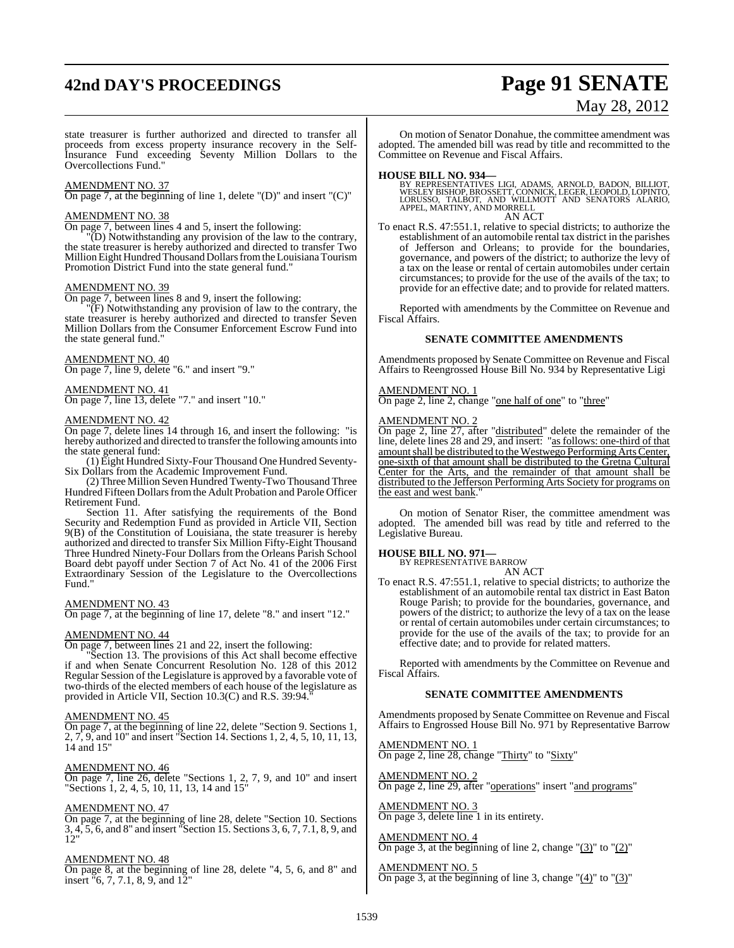# **42nd DAY'S PROCEEDINGS Page 91 SENATE**

# May 28, 2012

state treasurer is further authorized and directed to transfer all proceeds from excess property insurance recovery in the Self-Insurance Fund exceeding Seventy Million Dollars to the Overcollections Fund."

### AMENDMENT NO. 37

On page 7, at the beginning of line 1, delete "(D)" and insert "(C)"

### AMENDMENT NO. 38

On page 7, between lines 4 and 5, insert the following:

"(D) Notwithstanding any provision of the law to the contrary, the state treasurer is hereby authorized and directed to transfer Two Million Eight Hundred Thousand Dollars from the Louisiana Tourism Promotion District Fund into the state general fund."

### AMENDMENT NO. 39

On page 7, between lines 8 and 9, insert the following:

"(F) Notwithstanding any provision of law to the contrary, the state treasurer is hereby authorized and directed to transfer Seven Million Dollars from the Consumer Enforcement Escrow Fund into the state general fund."

## AMENDMENT NO. 40

On page 7, line 9, delete "6." and insert "9."

## AMENDMENT NO. 41 On page 7, line 13, delete "7." and insert "10."

# AMENDMENT NO. 42

On page 7, delete lines 14 through 16, and insert the following: "is hereby authorized and directed to transfer the following amounts into the state general fund:

(1) Eight Hundred Sixty-Four Thousand One Hundred Seventy-Six Dollars from the Academic Improvement Fund.

(2) Three Million Seven Hundred Twenty-Two Thousand Three Hundred Fifteen Dollars from the Adult Probation and Parole Officer Retirement Fund.

Section 11. After satisfying the requirements of the Bond Security and Redemption Fund as provided in Article VII, Section 9(B) of the Constitution of Louisiana, the state treasurer is hereby authorized and directed to transfer Six Million Fifty-Eight Thousand Three Hundred Ninety-Four Dollars from the Orleans Parish School Board debt payoff under Section 7 of Act No. 41 of the 2006 First Extraordinary Session of the Legislature to the Overcollections Fund."

### AMENDMENT NO. 43

On page 7, at the beginning of line 17, delete "8." and insert "12."

# AMENDMENT NO. 44

On page 7, between lines 21 and 22, insert the following:

"Section 13. The provisions of this Act shall become effective if and when Senate Concurrent Resolution No. 128 of this 2012 Regular Session of the Legislature is approved by a favorable vote of two-thirds of the elected members of each house of the legislature as provided in Article VII, Section 10.3(C) and R.S. 39:94."

### AMENDMENT NO. 45

On page 7, at the beginning of line 22, delete "Section 9. Sections 1, 2, 7, 9, and 10" and insert "Section 14. Sections 1, 2, 4, 5, 10, 11, 13, 14 and 15"

### AMENDMENT NO. 46

On page 7, line 26, delete "Sections 1, 2, 7, 9, and 10" and insert "Sections 1, 2, 4, 5, 10, 11, 13, 14 and 15"

### AMENDMENT NO. 47

On page 7, at the beginning of line 28, delete "Section 10. Sections 3, 4, 5, 6, and 8" and insert "Section 15. Sections 3, 6, 7, 7.1, 8, 9, and 12"

### AMENDMENT NO. 48

On page 8, at the beginning of line 28, delete "4, 5, 6, and 8" and insert "6, 7, 7.1, 8, 9, and 12"

On motion of Senator Donahue, the committee amendment was adopted. The amended bill was read by title and recommitted to the Committee on Revenue and Fiscal Affairs.

**HOUSE BILL NO. 934—** BY REPRESENTATIVES LIGI, ADAMS, ARNOLD, BADON, BILLIOT, WESLEY BISHOP, BROSSETT, CONNICK, LEGER, LEOPOLD, LOPINTO, LORUSSO, TALBOT, AND WILLMOTT AND SENATORS ALARIO, APPEL, MARTINY, AND MORRELL AN ACT

To enact R.S. 47:551.1, relative to special districts; to authorize the establishment of an automobile rental tax district in the parishes of Jefferson and Orleans; to provide for the boundaries, governance, and powers of the district; to authorize the levy of a tax on the lease or rental of certain automobiles under certain circumstances; to provide for the use of the avails of the tax; to provide for an effective date; and to provide for related matters.

Reported with amendments by the Committee on Revenue and Fiscal Affairs.

### **SENATE COMMITTEE AMENDMENTS**

Amendments proposed by Senate Committee on Revenue and Fiscal Affairs to Reengrossed House Bill No. 934 by Representative Ligi

## AMENDMENT NO. 1

On page 2, line 2, change "one half of one" to "three"

### AMENDMENT NO. 2

On page 2, line 27, after "distributed" delete the remainder of the line, delete lines 28 and 29, and insert: "as follows: one-third of that amount shall be distributed to the Westwego Performing Arts Center, one-sixth of that amount shall be distributed to the Gretna Cultural Center for the Arts, and the remainder of that amount shall be distributed to the Jefferson Performing Arts Society for programs on the east and west bank.

On motion of Senator Riser, the committee amendment was adopted. The amended bill was read by title and referred to the Legislative Bureau.

## **HOUSE BILL NO. 971—**

BY REPRESENTATIVE BARROW AN ACT

To enact R.S. 47:551.1, relative to special districts; to authorize the establishment of an automobile rental tax district in East Baton Rouge Parish; to provide for the boundaries, governance, and powers of the district; to authorize the levy of a tax on the lease or rental of certain automobiles under certain circumstances; to provide for the use of the avails of the tax; to provide for an effective date; and to provide for related matters.

Reported with amendments by the Committee on Revenue and Fiscal Affairs.

## **SENATE COMMITTEE AMENDMENTS**

Amendments proposed by Senate Committee on Revenue and Fiscal Affairs to Engrossed House Bill No. 971 by Representative Barrow

AMENDMENT NO. 1 On page 2, line 28, change "Thirty" to "Sixty"

AMENDMENT NO. 2 On page 2, line 29, after "operations" insert "and programs"

AMENDMENT NO. 3 On page 3, delete line 1 in its entirety.

## AMENDMENT NO. 4

On page 3, at the beginning of line 2, change  $\degree$  (3) $\degree$  to  $\degree$  (2) $\degree$ 

AMENDMENT NO. 5 On page 3, at the beginning of line 3, change " $(4)$ " to " $(3)$ "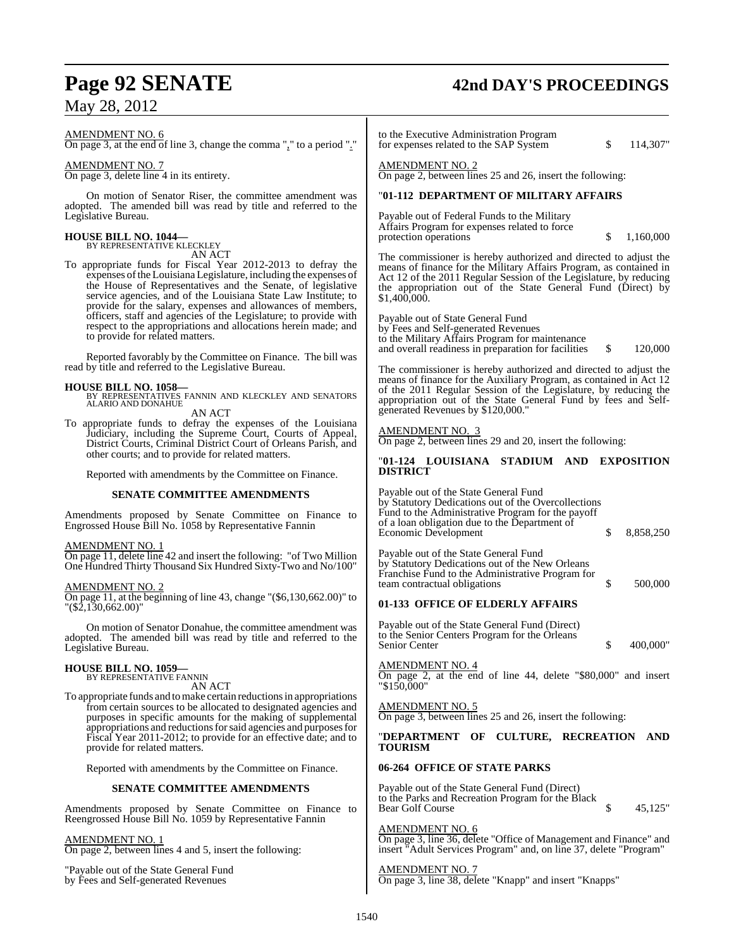# May 28, 2012

## AMENDMENT NO. 6

On page 3, at the end of line 3, change the comma "," to a period "."

AMENDMENT NO. 7

On page 3, delete line 4 in its entirety.

On motion of Senator Riser, the committee amendment was adopted. The amended bill was read by title and referred to the Legislative Bureau.

# **HOUSE BILL NO. 1044—**

BY REPRESENTATIVE KLECKLEY AN ACT

To appropriate funds for Fiscal Year 2012-2013 to defray the expenses ofthe Louisiana Legislature, including the expenses of the House of Representatives and the Senate, of legislative service agencies, and of the Louisiana State Law Institute; to provide for the salary, expenses and allowances of members, officers, staff and agencies of the Legislature; to provide with respect to the appropriations and allocations herein made; and to provide for related matters.

Reported favorably by the Committee on Finance. The bill was read by title and referred to the Legislative Bureau.

**HOUSE BILL NO. 1058—** BY REPRESENTATIVES FANNIN AND KLECKLEY AND SENATORS ALARIO AND DONAHUE

AN ACT

To appropriate funds to defray the expenses of the Louisiana Judiciary, including the Supreme Court, Courts of Appeal, District Courts, Criminal District Court of Orleans Parish, and other courts; and to provide for related matters.

Reported with amendments by the Committee on Finance.

# **SENATE COMMITTEE AMENDMENTS**

Amendments proposed by Senate Committee on Finance to Engrossed House Bill No. 1058 by Representative Fannin

## AMENDMENT NO. 1

On page 11, delete line 42 and insert the following: "of Two Million One Hundred Thirty Thousand Six Hundred Sixty-Two and No/100"

# AMENDMENT NO. 2

On page 11, at the beginning of line 43, change "(\$6,130,662.00)" to "(\$2,130,662.00)"

On motion of Senator Donahue, the committee amendment was adopted. The amended bill was read by title and referred to the Legislative Bureau.

# **HOUSE BILL NO. 1059—** BY REPRESENTATIVE FANNIN

AN ACT

To appropriate funds and to make certain reductions in appropriations from certain sources to be allocated to designated agencies and purposes in specific amounts for the making of supplemental appropriations and reductions for said agencies and purposes for Fiscal Year 2011-2012; to provide for an effective date; and to provide for related matters.

Reported with amendments by the Committee on Finance.

## **SENATE COMMITTEE AMENDMENTS**

Amendments proposed by Senate Committee on Finance to Reengrossed House Bill No. 1059 by Representative Fannin

## AMENDMENT NO. 1

On page 2, between lines 4 and 5, insert the following:

"Payable out of the State General Fund by Fees and Self-generated Revenues

# **Page 92 SENATE 42nd DAY'S PROCEEDINGS**

to the Executive Administration Program for expenses related to the SAP System  $$ 114,307"$ 

# AMENDMENT NO. 2 On page 2, between lines 25 and 26, insert the following:

# "**01-112 DEPARTMENT OF MILITARY AFFAIRS**

Payable out of Federal Funds to the Military Affairs Program for expenses related to force protection operations  $\qquad$  \$ 1,160,000

The commissioner is hereby authorized and directed to adjust the means of finance for the Military Affairs Program, as contained in Act 12 of the 2011 Regular Session of the Legislature, by reducing the appropriation out of the State General Fund (Direct) by \$1,400,000.

Payable out of State General Fund by Fees and Self-generated Revenues to the Military Affairs Program for maintenance and overall readiness in preparation for facilities \$ 120,000

The commissioner is hereby authorized and directed to adjust the means of finance for the Auxiliary Program, as contained in Act 12 of the 2011 Regular Session of the Legislature, by reducing the appropriation out of the State General Fund by fees and Selfgenerated Revenues by \$120,000."

# AMENDMENT NO. 3

On page 2, between lines 29 and 20, insert the following:

## "**01-124 LOUISIANA STADIUM AND EXPOSITION DISTRICT**

Payable out of the State General Fund by Statutory Dedications out of the Overcollections Fund to the Administrative Program for the payoff of a loan obligation due to the Department of Economic Development  $$8,858,250$ 

Payable out of the State General Fund by Statutory Dedications out of the New Orleans Franchise Fund to the Administrative Program for team contractual obligations  $\qquad$  \$ 500,000

# **01-133 OFFICE OF ELDERLY AFFAIRS**

Payable out of the State General Fund (Direct) to the Senior Centers Program for the Orleans Senior Center  $\qquad \qquad$  \$ 400,000"

# AMENDMENT NO. 4

On page 2, at the end of line 44, delete "\$80,000" and insert "\$150,000"

AMENDMENT NO. 5 On page 3, between lines 25 and 26, insert the following:

# "**DEPARTMENT OF CULTURE, RECREATION AND TOURISM**

## **06-264 OFFICE OF STATE PARKS**

Payable out of the State General Fund (Direct) to the Parks and Recreation Program for the Black Bear Golf Course  $\qquad$  \$ 45,125"

### AMENDMENT NO. 6

On page 3, line 36, delete "Office of Management and Finance" and insert "Adult Services Program" and, on line 37, delete "Program"

AMENDMENT NO. 7 On page 3, line 38, delete "Knapp" and insert "Knapps"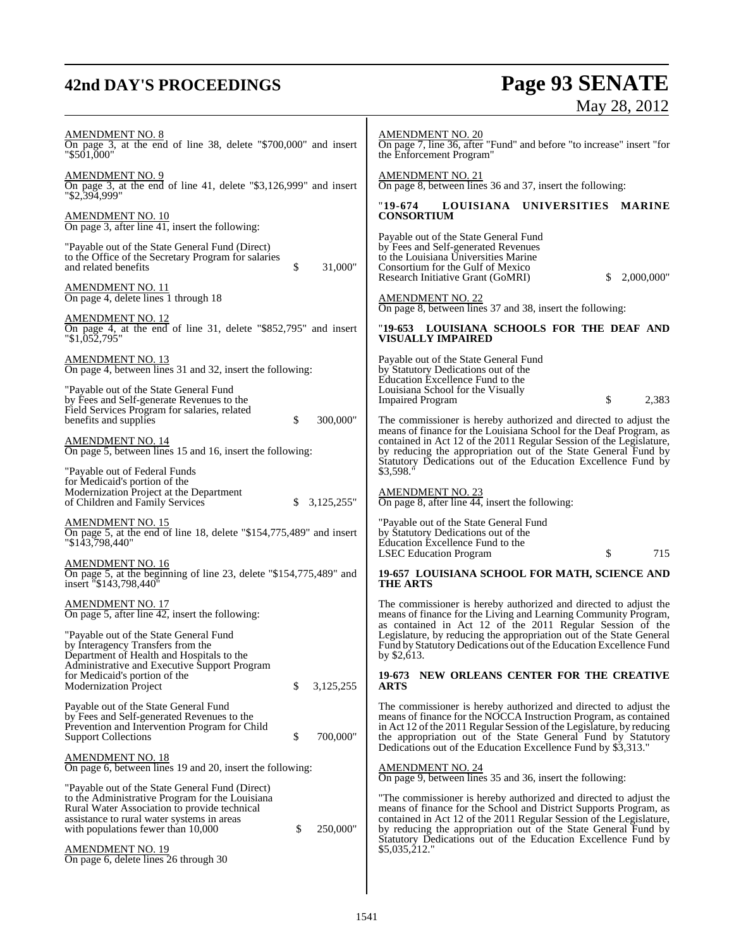# **42nd DAY'S PROCEEDINGS Page 93 SENATE** May 28, 2012

| <u>AMENDMENT NO. 8</u><br>On page 3, at the end of line 38, delete "\$700,000" and insert<br>"\$501,000"                                                                                                                                                             | <b>AMENDMENT NO. 20</b><br>On page 7, line 36, after "Fund" and before "to increase" insert "for<br>the Enforcement Program"                                                                                                                                                                                                                                 |
|----------------------------------------------------------------------------------------------------------------------------------------------------------------------------------------------------------------------------------------------------------------------|--------------------------------------------------------------------------------------------------------------------------------------------------------------------------------------------------------------------------------------------------------------------------------------------------------------------------------------------------------------|
| <u>AMENDMENT NO. 9</u><br>On page 3, at the end of line 41, delete "\$3,126,999" and insert<br>"\$2,394,999"                                                                                                                                                         | <b>AMENDMENT NO. 21</b><br>On page 8, between lines 36 and 37, insert the following:                                                                                                                                                                                                                                                                         |
| <u>AMENDMENT NO. 10</u><br>On page 3, after line $\overline{41}$ , insert the following:                                                                                                                                                                             | "19-674<br>LOUISIANA UNIVERSITIES<br><b>MARINE</b><br><b>CONSORTIUM</b>                                                                                                                                                                                                                                                                                      |
| "Payable out of the State General Fund (Direct)<br>to the Office of the Secretary Program for salaries<br>\$<br>and related benefits<br>31,000"                                                                                                                      | Payable out of the State General Fund<br>by Fees and Self-generated Revenues<br>to the Louisiana Universities Marine<br>Consortium for the Gulf of Mexico<br>Research Initiative Grant (GoMRI)<br>\$<br>2,000,000"                                                                                                                                           |
| AMENDMENT NO. 11<br>On page 4, delete lines 1 through 18                                                                                                                                                                                                             | <b>AMENDMENT NO. 22</b><br>On page 8, between lines 37 and 38, insert the following:                                                                                                                                                                                                                                                                         |
| AMENDMENT NO. 12<br>On page 4, at the end of line 31, delete "\$852,795" and insert<br>"\$1,052,795"                                                                                                                                                                 | "19-653 LOUISIANA SCHOOLS FOR THE DEAF AND<br><b>VISUALLY IMPAIRED</b>                                                                                                                                                                                                                                                                                       |
| <u>AMENDMENT NO. 13</u><br>On page 4, between lines 31 and 32, insert the following:<br>"Payable out of the State General Fund<br>by Fees and Self-generate Revenues to the                                                                                          | Payable out of the State General Fund<br>by Statutory Dedications out of the<br>Education Excellence Fund to the<br>Louisiana School for the Visually<br>\$<br>2,383<br><b>Impaired Program</b>                                                                                                                                                              |
| Field Services Program for salaries, related<br>\$<br>benefits and supplies<br>300,000"<br><u>AMENDMENT NO. 14</u><br>On page 5, between lines 15 and 16, insert the following:                                                                                      | The commissioner is hereby authorized and directed to adjust the<br>means of finance for the Louisiana School for the Deaf Program, as<br>contained in Act 12 of the 2011 Regular Session of the Legislature,<br>by reducing the appropriation out of the State General Fund by<br>Statutory Dedications out of the Education Excellence Fund by             |
| "Payable out of Federal Funds<br>for Medicaid's portion of the<br>Modernization Project at the Department<br>of Children and Family Services<br>\$<br>3,125,255"                                                                                                     | \$3,598."<br><b>AMENDMENT NO. 23</b><br>On page 8, after line $\overline{44}$ , insert the following:                                                                                                                                                                                                                                                        |
| AMENDMENT NO. 15<br>On page 5, at the end of line 18, delete "\$154,775,489" and insert<br>"\$143,798,440"                                                                                                                                                           | "Payable out of the State General Fund<br>by Statutory Dedications out of the<br>Education Excellence Fund to the<br>\$<br>715<br><b>LSEC Education Program</b>                                                                                                                                                                                              |
| AMENDMENT NO. 16<br>On page 5, at the beginning of line 23, delete "\$154,775,489" and<br>insert "\$143,798,440"                                                                                                                                                     | 19-657 LOUISIANA SCHOOL FOR MATH, SCIENCE AND<br><b>THE ARTS</b>                                                                                                                                                                                                                                                                                             |
| <u>AMENDMENT NO. 17</u><br>On page 5, after line $\overline{42}$ , insert the following:<br>"Payable out of the State General Fund<br>by Interagency Transfers from the<br>Department of Health and Hospitals to the<br>Administrative and Executive Support Program | The commissioner is hereby authorized and directed to adjust the<br>means of finance for the Living and Learning Community Program,<br>as contained in Act 12 of the 2011 Regular Session of the<br>Legislature, by reducing the appropriation out of the State General<br>Fund by Statutory Dedications out of the Education Excellence Fund<br>by \$2,613. |
| for Medicaid's portion of the<br>\$<br>3,125,255<br><b>Modernization Project</b>                                                                                                                                                                                     | 19-673<br>NEW ORLEANS CENTER FOR THE CREATIVE<br><b>ARTS</b>                                                                                                                                                                                                                                                                                                 |
| Payable out of the State General Fund<br>by Fees and Self-generated Revenues to the<br>Prevention and Intervention Program for Child<br>700,000"<br>\$<br><b>Support Collections</b>                                                                                 | The commissioner is hereby authorized and directed to adjust the<br>means of finance for the NOCCA Instruction Program, as contained<br>in Act 12 of the 2011 Regular Session of the Legislature, by reducing<br>the appropriation out of the State General Fund by Statutory<br>Dedications out of the Education Excellence Fund by \$3,313."               |
| <u>AMENDMENT NO. 18</u><br>On page 6, between lines 19 and 20, insert the following:                                                                                                                                                                                 | <b>AMENDMENT NO. 24</b><br>On page 9, between lines 35 and 36, insert the following:                                                                                                                                                                                                                                                                         |
| "Payable out of the State General Fund (Direct)<br>to the Administrative Program for the Louisiana<br>Rural Water Association to provide technical<br>assistance to rural water systems in areas<br>250,000"<br>with populations fewer than 10,000<br>\$             | "The commissioner is hereby authorized and directed to adjust the<br>means of finance for the School and District Supports Program, as<br>contained in Act 12 of the 2011 Regular Session of the Legislature,<br>by reducing the appropriation out of the State General Fund by<br>Statutory Dedications out of the Education Excellence Fund by             |
| <u>AMENDMENT NO. 19</u><br>On page 6, delete lines 26 through 30                                                                                                                                                                                                     | \$5,035,212."                                                                                                                                                                                                                                                                                                                                                |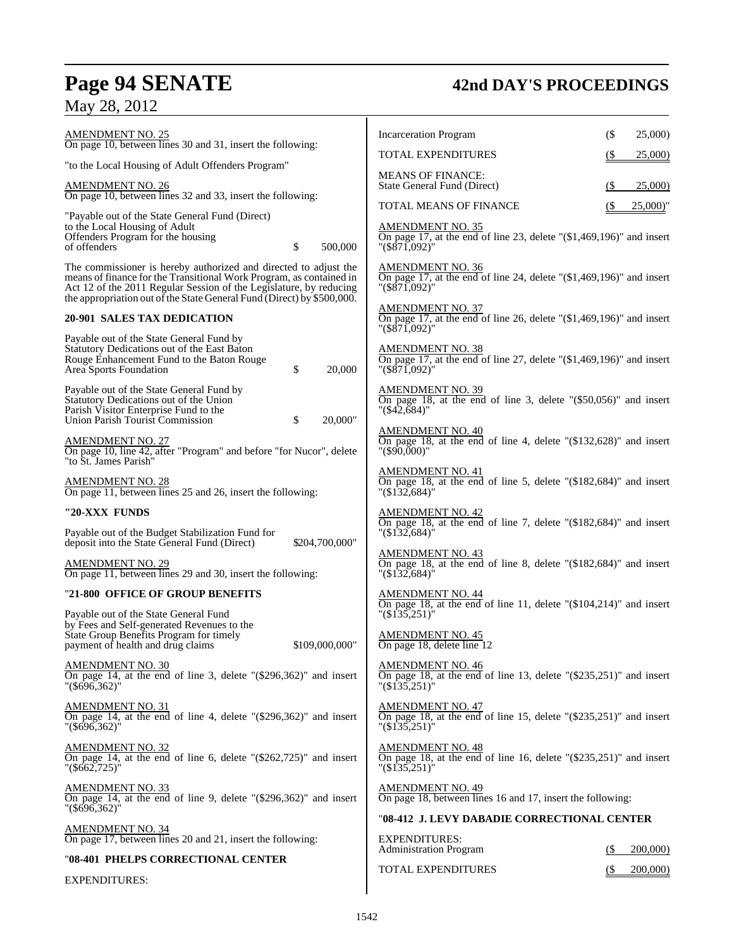|  |  | May 28, 2012 |  |
|--|--|--------------|--|
|--|--|--------------|--|

# **Page 94 SENATE 42nd DAY'S PROCEEDINGS**

| <b>AMENDMENT NO. 25</b><br>On page 10, between lines 30 and 31, insert the following:                                                                                                                                                                                                   | <b>Incarceration Program</b><br>(<br>25,000)                                                                                                                      |
|-----------------------------------------------------------------------------------------------------------------------------------------------------------------------------------------------------------------------------------------------------------------------------------------|-------------------------------------------------------------------------------------------------------------------------------------------------------------------|
| "to the Local Housing of Adult Offenders Program"                                                                                                                                                                                                                                       | TOTAL EXPENDITURES<br>25,000                                                                                                                                      |
| <b>AMENDMENT NO. 26</b><br>On page 10, between lines 32 and 33, insert the following:                                                                                                                                                                                                   | <b>MEANS OF FINANCE:</b><br>State General Fund (Direct)<br>25,000)<br>(\$                                                                                         |
|                                                                                                                                                                                                                                                                                         | <b>TOTAL MEANS OF FINANCE</b><br>25,000                                                                                                                           |
| "Payable out of the State General Fund (Direct)<br>to the Local Housing of Adult<br>Offenders Program for the housing<br>\$<br>500,000<br>of offenders                                                                                                                                  | <b>AMENDMENT NO. 35</b><br>On page 17, at the end of line 23, delete " $(\$1,469,196)$ " and insert<br>$"({\$871,092})"$                                          |
| The commissioner is hereby authorized and directed to adjust the<br>means of finance for the Transitional Work Program, as contained in<br>Act 12 of the 2011 Regular Session of the Legislature, by reducing<br>the appropriation out of the State General Fund (Direct) by \$500,000. | $\frac{\text{AMENDMENT NO. 36}}{\text{On page 17}}$ , at the end of line 24, delete "(\$1,469,196)" and insert<br>$^{\prime\prime}$ (\$871,092) $^{\prime\prime}$ |
| <b>20-901 SALES TAX DEDICATION</b>                                                                                                                                                                                                                                                      | <u>AMENDMENT NO. 37</u><br>On page 17, at the end of line 26, delete " $(\$1,469,196)$ " and insert<br>"(\$71,092)"                                               |
| Payable out of the State General Fund by<br>Statutory Dedications out of the East Baton<br>Rouge Enhancement Fund to the Baton Rouge<br>\$<br>Area Sports Foundation<br>20,000                                                                                                          | <b>AMENDMENT NO. 38</b><br>On page 17, at the end of line 27, delete " $(\$1,469,196)$ " and insert<br>"(\$71,092)"                                               |
| Payable out of the State General Fund by<br>Statutory Dedications out of the Union<br>Parish Visitor Enterprise Fund to the<br>Union Parish Tourist Commission<br>\$<br>20.000"                                                                                                         | <b>AMENDMENT NO. 39</b><br>On page 18, at the end of line 3, delete " $(\$50,056)$ " and insert<br>$"({\$42,684})"$                                               |
| <b>AMENDMENT NO. 27</b><br>On page 10, line 42, after "Program" and before "for Nucor", delete<br>"to St. James Parish"                                                                                                                                                                 | <b>AMENDMENT NO. 40</b><br>On page 18, at the end of line 4, delete $\degree$ (\$132,628) $\degree$ and insert<br>$"$ (\$90,000)"                                 |
| <b>AMENDMENT NO. 28</b><br>On page 11, between lines 25 and 26, insert the following:                                                                                                                                                                                                   | <b>AMENDMENT NO. 41</b><br>On page 18, at the end of line 5, delete " $(\$182,684)$ " and insert<br>$\frac{1}{(132,684)}$                                         |
| "20-XXX FUNDS                                                                                                                                                                                                                                                                           | <b>AMENDMENT NO. 42</b>                                                                                                                                           |
| Payable out of the Budget Stabilization Fund for<br>deposit into the State General Fund (Direct)<br>\$204,700,000"                                                                                                                                                                      | On page 18, at the end of line 7, delete " $(\$182,684)$ " and insert<br>$\sqrt{(\$132,684)}$                                                                     |
| AMENDMENT NO. 29<br>On page 11, between lines 29 and 30, insert the following:                                                                                                                                                                                                          | <b>AMENDMENT NO. 43</b><br>On page 18, at the end of line 8, delete " $(\$182,684)$ " and insert<br>$"(\$1\overline{32,684})"$                                    |
| "21-800 OFFICE OF GROUP BENEFITS                                                                                                                                                                                                                                                        | <u>AMENDMENT NO. 44</u>                                                                                                                                           |
| Payable out of the State General Fund<br>by Fees and Self-generated Revenues to the                                                                                                                                                                                                     | On page 18, at the end of line 11, delete " $(\$104,214)$ " and insert<br>"(\$135,251)"                                                                           |
| State Group Benefits Program for timely<br>payment of health and drug claims<br>\$109,000,000"                                                                                                                                                                                          | <b>AMENDMENT NO. 45</b><br>On page 18, delete line 12                                                                                                             |
| <b>AMENDMENT NO. 30</b><br>On page 14, at the end of line 3, delete $\degree$ (\$296,362) $\degree$ and insert<br>$\frac{1}{6}$ (\$696,362) <sup>"</sup>                                                                                                                                | <b>AMENDMENT NO. 46</b><br>On page 18, at the end of line 13, delete " $(\$235,251)$ " and insert<br>"(\$135,251)"                                                |
| <b>AMENDMENT NO. 31</b><br>On page 14, at the end of line 4, delete " $(\$296,362)$ " and insert<br>$\frac{1}{6}$ (\$696,362)"                                                                                                                                                          | <b>AMENDMENT NO. 47</b><br>On page 18, at the end of line 15, delete " $(\$235,251)$ " and insert<br>"(\$135,251)"                                                |
| <u>AMENDMENT NO. 32</u><br>On page 14, at the end of line 6, delete " $(\$262,725)$ " and insert<br>$\frac{1}{6662,725}$                                                                                                                                                                | <b>AMENDMENT NO. 48</b><br>On page 18, at the end of line 16, delete " $(\$235,251)$ " and insert<br>"(\$135,251)"                                                |
| <b>AMENDMENT NO. 33</b><br>On page 14, at the end of line 9, delete " $(\$296,362)$ " and insert<br>$\frac{1}{6}$ (\$696,362) <sup>"</sup>                                                                                                                                              | <b>AMENDMENT NO. 49</b><br>On page 18, between lines 16 and 17, insert the following:                                                                             |
| <b>AMENDMENT NO. 34</b><br>On page 17, between lines 20 and 21, insert the following:                                                                                                                                                                                                   | "08-412 J. LEVY DABADIE CORRECTIONAL CENTER<br><b>EXPENDITURES:</b>                                                                                               |
|                                                                                                                                                                                                                                                                                         | <b>Administration Program</b><br>200,000)<br>(\$                                                                                                                  |
| "08-401 PHELPS CORRECTIONAL CENTER                                                                                                                                                                                                                                                      | TOTAL EXPENDITURES<br>200,000)<br>(\$                                                                                                                             |
| <b>EXPENDITURES:</b>                                                                                                                                                                                                                                                                    |                                                                                                                                                                   |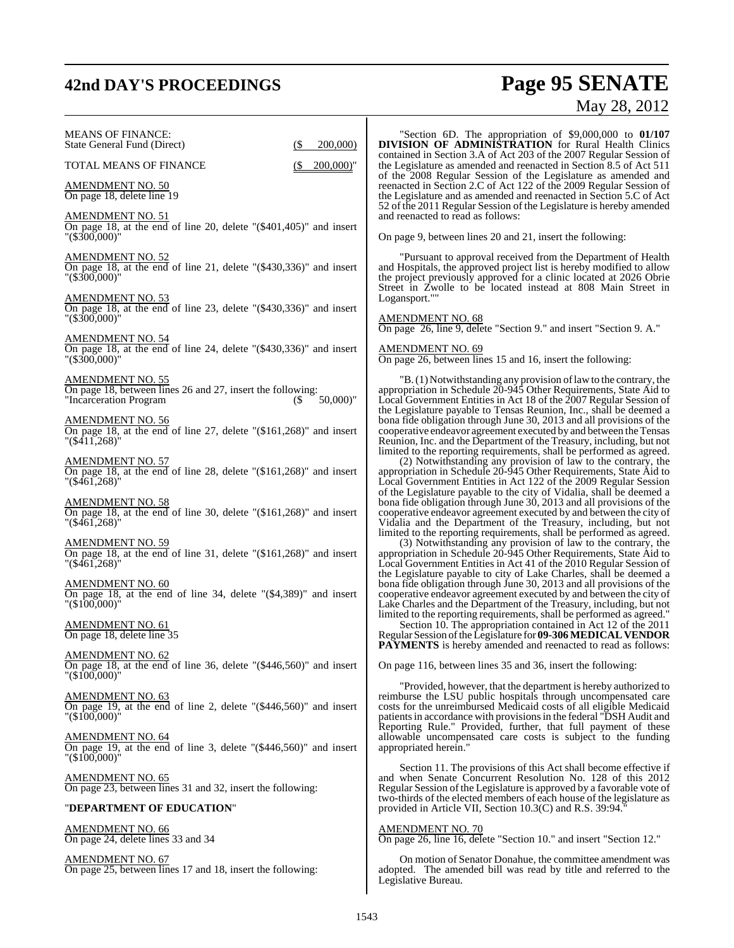# **42nd DAY'S PROCEEDINGS Page 95 SENATE** May 28, 2012

|                                                                                                                                                      | 171U Y<br>20, 2012                                                                                                                                                                                                                                                                                                                               |
|------------------------------------------------------------------------------------------------------------------------------------------------------|--------------------------------------------------------------------------------------------------------------------------------------------------------------------------------------------------------------------------------------------------------------------------------------------------------------------------------------------------|
| <b>MEANS OF FINANCE:</b><br>200,000)<br>State General Fund (Direct)<br>(\$                                                                           | "Section 6D. The appropriation of $$9,000,000$ to $01/107$<br><b>DIVISION OF ADMINISTRATION</b> for Rural Health Clinics<br>contained in Section 3.A of Act 203 of the 2007 Regular Session of                                                                                                                                                   |
| TOTAL MEANS OF FINANCE<br>$200,000$ "                                                                                                                | the Legislature as amended and reenacted in Section 8.5 of Act 511<br>of the 2008 Regular Session of the Legislature as amended and                                                                                                                                                                                                              |
| AMENDMENT NO. 50<br>On page 18, delete line 19                                                                                                       | reenacted in Section 2.C of Act 122 of the 2009 Regular Session of<br>the Legislature and as amended and reenacted in Section 5.C of Act<br>52 of the 2011 Regular Session of the Legislature is hereby amended                                                                                                                                  |
| <b>AMENDMENT NO. 51</b><br>On page 18, at the end of line 20, delete " $(\$401,405)$ " and insert<br>"(\$300,000)"                                   | and reenacted to read as follows:<br>On page 9, between lines 20 and 21, insert the following:                                                                                                                                                                                                                                                   |
|                                                                                                                                                      |                                                                                                                                                                                                                                                                                                                                                  |
| <u>AMENDMENT NO. 52</u><br>On page 18, at the end of line 21, delete " $(\$430,336)$ " and insert<br>"(\$300,000)"                                   | "Pursuant to approval received from the Department of Health<br>and Hospitals, the approved project list is hereby modified to allow<br>the project previously approved for a clinic located at 2026 Obrie<br>Street in Zwolle to be located instead at 808 Main Street in                                                                       |
| <b>AMENDMENT NO. 53</b><br>On page 18, at the end of line 23, delete " $(\$430,336)$ " and insert                                                    | Logansport.""                                                                                                                                                                                                                                                                                                                                    |
| "(\$300,000)"<br><b>AMENDMENT NO. 54</b>                                                                                                             | <b>AMENDMENT NO. 68</b><br>On page 26, line 9, delete "Section 9." and insert "Section 9. A."                                                                                                                                                                                                                                                    |
| On page 18, at the end of line 24, delete " $(\$430,336)$ " and insert<br>"(\$300,000)"                                                              | AMENDMENT NO. 69<br>On page 26, between lines 15 and 16, insert the following:                                                                                                                                                                                                                                                                   |
| <b>AMENDMENT NO. 55</b><br>On page 18, between lines 26 and 27, insert the following:<br>$50,000$ "<br>"Incarceration Program<br>(5)                 | "B. (1) Notwithstanding any provision of law to the contrary, the<br>appropriation in Schedule 20-945 Other Requirements, State Aid to<br>Local Government Entities in Act 18 of the 2007 Regular Session of<br>the Legislature payable to Tensas Reunion, Inc., shall be deemed a                                                               |
| <b>AMENDMENT NO. 56</b><br>On page 18, at the end of line 27, delete " $(\$161,268)$ " and insert<br>$\frac{1}{5}$ (\$411,268)"                      | bona fide obligation through June 30, 2013 and all provisions of the<br>cooperative endeavor agreement executed by and between the Tensas<br>Reunion, Inc. and the Department of the Treasury, including, but not<br>limited to the reporting requirements, shall be performed as agreed.                                                        |
| <b>AMENDMENT NO. 57</b><br>On page 18, at the end of line 28, delete " $(\$161,268)$ " and insert<br>$^{\prime\prime}$ (\$461,268) $^{\prime\prime}$ | (2) Notwithstanding any provision of law to the contrary, the<br>appropriation in Schedule 20-945 Other Requirements, State Aid to<br>Local Government Entities in Act 122 of the 2009 Regular Session<br>of the Legislature payable to the city of Vidalia, shall be deemed a                                                                   |
| <b>AMENDMENT NO. 58</b><br>On page 18, at the end of line 30, delete " $(\$161,268)$ " and insert<br>$^{\prime\prime}$ (\$461,268) $^{\prime\prime}$ | bona fide obligation through June 30, 2013 and all provisions of the<br>cooperative endeavor agreement executed by and between the city of<br>Vidalia and the Department of the Treasury, including, but not<br>limited to the reporting requirements, shall be performed as agreed.                                                             |
| <b>AMENDMENT NO. 59</b><br>On page 18, at the end of line 31, delete " $(\$161,268)$ " and insert<br>"(\$461,268)"                                   | (3) Notwithstanding any provision of law to the contrary, the<br>appropriation in Schedule 20-945 Other Requirements, State Aid to<br>Local Government Entities in Act 41 of the 2010 Regular Session of<br>the Legislature payable to city of Lake Charles, shall be deemed a                                                                   |
| <u>AMENDMENT NO. 60</u><br>On page 18, at the end of line 34, delete " $(\$4,389)$ " and insert<br>$"(\$100,000)"$                                   | bona fide obligation through June 30, 2013 and all provisions of the<br>cooperative endeavor agreement executed by and between the city of<br>Lake Charles and the Department of the Treasury, including, but not<br>limited to the reporting requirements, shall be performed as agreed."                                                       |
| <u>AMENDMENT NO. 61</u><br>On page 18, delete line 35                                                                                                | Section 10. The appropriation contained in Act 12 of the 2011<br>Regular Session of the Legislature for 09-306 MEDICAL VENDOR<br><b>PAYMENTS</b> is hereby amended and reenacted to read as follows:                                                                                                                                             |
| <b>AMENDMENT NO. 62</b><br>On page 18, at the end of line 36, delete " $(\$446,560)$ " and insert<br>"(\$100,000)"                                   | On page 116, between lines 35 and 36, insert the following:                                                                                                                                                                                                                                                                                      |
| <b>AMENDMENT NO. 63</b><br>On page 19, at the end of line 2, delete " $(\$446,560)$ " and insert<br>$"(\$100,000)"$                                  | "Provided, however, that the department is hereby authorized to<br>reimburse the LSU public hospitals through uncompensated care<br>costs for the unreimbursed Medicaid costs of all eligible Medicaid<br>patients in accordance with provisions in the federal "DSH Audit and<br>Reporting Rule." Provided, further, that full payment of these |
| <u>AMENDMENT NO. 64</u><br>On page 19, at the end of line 3, delete " $(\$446,560)$ " and insert<br>$"(\$100,000)"$                                  | allowable uncompensated care costs is subject to the funding<br>appropriated herein."                                                                                                                                                                                                                                                            |
| <b>AMENDMENT NO. 65</b><br>On page 23, between lines 31 and 32, insert the following:                                                                | Section 11. The provisions of this Act shall become effective if<br>and when Senate Concurrent Resolution No. 128 of this 2012<br>Regular Session of the Legislature is approved by a favorable vote of<br>two-thirds of the elected members of each house of the legislature as                                                                 |
| "DEPARTMENT OF EDUCATION"                                                                                                                            | provided in Article VII, Section 10.3(C) and R.S. 39:94.                                                                                                                                                                                                                                                                                         |
| <b>AMENDMENT NO. 66</b><br>On page 24, delete lines 33 and 34                                                                                        | <b>AMENDMENT NO. 70</b><br>On page 26, line 16, delete "Section 10." and insert "Section 12."                                                                                                                                                                                                                                                    |
|                                                                                                                                                      |                                                                                                                                                                                                                                                                                                                                                  |

AMENDMENT NO. 67 On page 25, between lines 17 and 18, insert the following:

Legislative Bureau.

On motion of Senator Donahue, the committee amendment was adopted. The amended bill was read by title and referred to the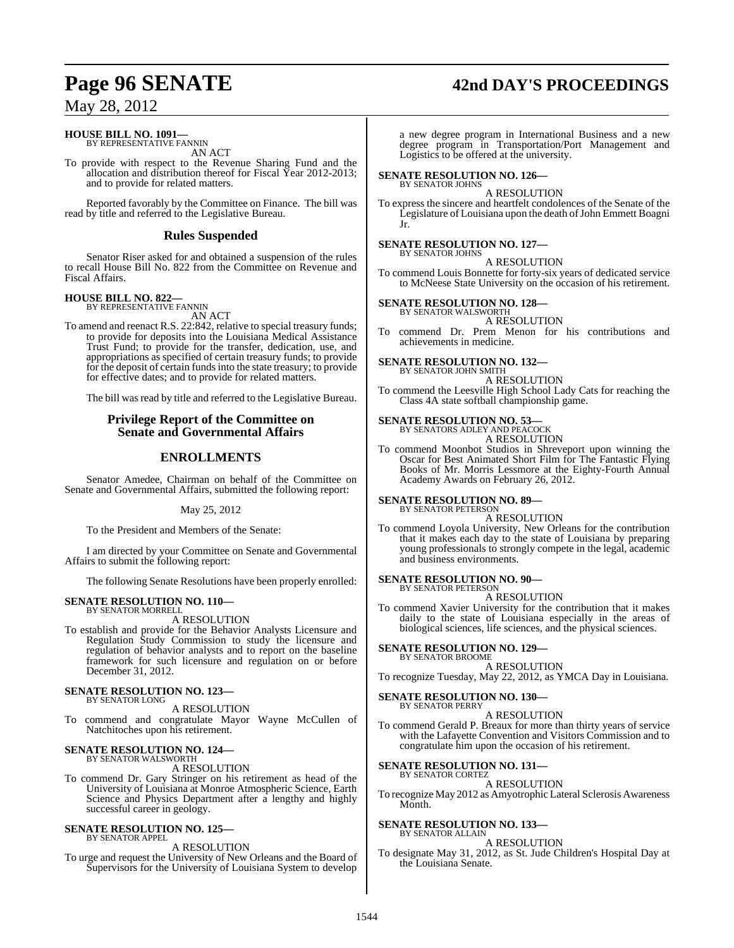# **Page 96 SENATE 42nd DAY'S PROCEEDINGS**

# May 28, 2012

# **HOUSE BILL NO. 1091—**

BY REPRESENTATIVE FANNIN AN ACT

To provide with respect to the Revenue Sharing Fund and the allocation and distribution thereof for Fiscal Year 2012-2013; and to provide for related matters.

Reported favorably by the Committee on Finance. The bill was read by title and referred to the Legislative Bureau.

# **Rules Suspended**

Senator Riser asked for and obtained a suspension of the rules to recall House Bill No. 822 from the Committee on Revenue and Fiscal Affairs.

# **HOUSE BILL NO. 822—** BY REPRESENTATIVE FANNIN

AN ACT

To amend and reenact R.S. 22:842, relative to special treasury funds; to provide for deposits into the Louisiana Medical Assistance Trust Fund; to provide for the transfer, dedication, use, and appropriations as specified of certain treasury funds; to provide for the deposit of certain fundsinto the state treasury; to provide for effective dates; and to provide for related matters.

The bill was read by title and referred to the Legislative Bureau.

# **Privilege Report of the Committee on Senate and Governmental Affairs**

# **ENROLLMENTS**

Senator Amedee, Chairman on behalf of the Committee on Senate and Governmental Affairs, submitted the following report:

## May 25, 2012

To the President and Members of the Senate:

I am directed by your Committee on Senate and Governmental Affairs to submit the following report:

The following Senate Resolutions have been properly enrolled:

### **SENATE RESOLUTION NO. 110—** BY SENATOR MORRELL

A RESOLUTION

To establish and provide for the Behavior Analysts Licensure and Regulation Study Commission to study the licensure and regulation of behavior analysts and to report on the baseline framework for such licensure and regulation on or before December 31, 2012.

### **SENATE RESOLUTION NO. 123—** BY SENATOR LONG

A RESOLUTION

To commend and congratulate Mayor Wayne McCullen of Natchitoches upon his retirement.

# **SENATE RESOLUTION NO. 124—** BY SENATOR WALSWORTH

A RESOLUTION

To commend Dr. Gary Stringer on his retirement as head of the University of Louisiana at Monroe Atmospheric Science, Earth Science and Physics Department after a lengthy and highly successful career in geology.

### **SENATE RESOLUTION NO. 125—** BY SENATOR APPEL

A RESOLUTION

To urge and request the University of New Orleans and the Board of Supervisors for the University of Louisiana System to develop

a new degree program in International Business and a new degree program in Transportation/Port Management and Logistics to be offered at the university.

### **SENATE RESOLUTION NO. 126—** BY SENATOR JOHNS

A RESOLUTION

To express the sincere and heartfelt condolences of the Senate of the Legislature of Louisiana upon the death of John Emmett Boagni Jr.

# **SENATE RESOLUTION NO. 127—** BY SENATOR JOHNS

A RESOLUTION

To commend Louis Bonnette for forty-six years of dedicated service to McNeese State University on the occasion of his retirement.

## **SENATE RESOLUTION NO. 128—**

BY SENATOR WALSWORTH A RESOLUTION

To commend Dr. Prem Menon for his contributions and achievements in medicine.

# **SENATE RESOLUTION NO. 132—**

BY SENATOR JOHN SMITH A RESOLUTION

To commend the Leesville High School Lady Cats for reaching the Class 4A state softball championship game.

### **SENATE RESOLUTION NO. 53—** BY SENATORS ADLEY AND PEACOCK

A RESOLUTION

To commend Moonbot Studios in Shreveport upon winning the Oscar for Best Animated Short Film for The Fantastic Flying Books of Mr. Morris Lessmore at the Eighty-Fourth Annual Academy Awards on February 26, 2012.

**SENATE RESOLUTION NO. 89—** BY SENATOR PETERSON

# A RESOLUTION

To commend Loyola University, New Orleans for the contribution that it makes each day to the state of Louisiana by preparing young professionals to strongly compete in the legal, academic and business environments.

### **SENATE RESOLUTION NO. 90—** BY SENATOR PETERSON

A RESOLUTION

To commend Xavier University for the contribution that it makes daily to the state of Louisiana especially in the areas of biological sciences, life sciences, and the physical sciences.

### **SENATE RESOLUTION NO. 129—** BY SENATOR BROOME

A RESOLUTION

To recognize Tuesday, May 22, 2012, as YMCA Day in Louisiana.

### **SENATE RESOLUTION NO. 130—** BY SENATOR PERRY

A RESOLUTION

To commend Gerald P. Breaux for more than thirty years of service with the Lafayette Convention and Visitors Commission and to congratulate him upon the occasion of his retirement.

# **SENATE RESOLUTION NO. 131—**

BY SENATOR CORTEZ A RESOLUTION

To recognize May 2012 as Amyotrophic Lateral Sclerosis Awareness Month.

### **SENATE RESOLUTION NO. 133—** BY SENATOR ALLAIN

A RESOLUTION

To designate May 31, 2012, as St. Jude Children's Hospital Day at the Louisiana Senate.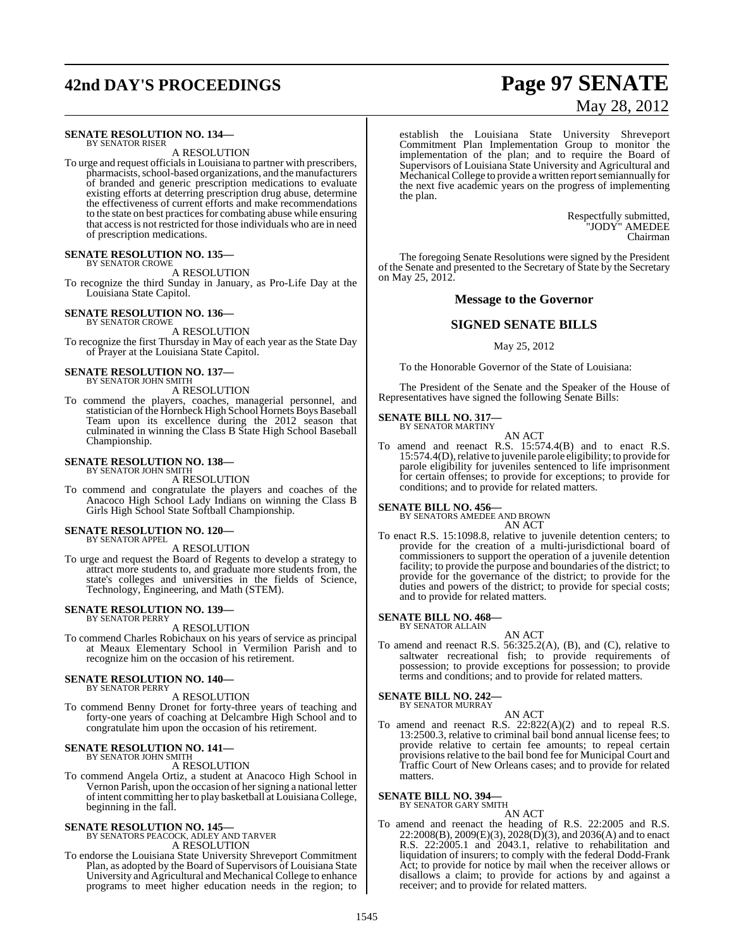# **42nd DAY'S PROCEEDINGS Page 97 SENATE**

### **SENATE RESOLUTION NO. 134—** BY SENATOR RISER

A RESOLUTION

To urge and request officials in Louisiana to partner with prescribers, pharmacists, school-based organizations, and the manufacturers of branded and generic prescription medications to evaluate existing efforts at deterring prescription drug abuse, determine the effectiveness of current efforts and make recommendations to the state on best practices for combating abuse while ensuring that accessis not restricted for those individuals who are in need of prescription medications.

# **SENATE RESOLUTION NO. 135—**

BY SENATOR CROWE A RESOLUTION

To recognize the third Sunday in January, as Pro-Life Day at the Louisiana State Capitol.

### **SENATE RESOLUTION NO. 136—** BY SENATOR CROWE

A RESOLUTION To recognize the first Thursday in May of each year as the State Day of Prayer at the Louisiana State Capitol.

# **SENATE RESOLUTION NO. 137—** BY SENATOR JOHN SMITH

A RESOLUTION

To commend the players, coaches, managerial personnel, and statistician of the Hornbeck High School Hornets Boys Baseball Team upon its excellence during the 2012 season that culminated in winning the Class B State High School Baseball Championship.

### **SENATE RESOLUTION NO. 138—** BY SENATOR JOHN SMITH

A RESOLUTION

To commend and congratulate the players and coaches of the Anacoco High School Lady Indians on winning the Class B Girls High School State Softball Championship.

### **SENATE RESOLUTION NO. 120—** BY SENATOR APPEL

A RESOLUTION

To urge and request the Board of Regents to develop a strategy to attract more students to, and graduate more students from, the state's colleges and universities in the fields of Science, Technology, Engineering, and Math (STEM).

### **SENATE RESOLUTION NO. 139—** BY SENATOR PERRY

A RESOLUTION

To commend Charles Robichaux on his years of service as principal at Meaux Elementary School in Vermilion Parish and to recognize him on the occasion of his retirement.

### **SENATE RESOLUTION NO. 140—** BY SENATOR PERRY

A RESOLUTION

To commend Benny Dronet for forty-three years of teaching and forty-one years of coaching at Delcambre High School and to congratulate him upon the occasion of his retirement.

# **SENATE RESOLUTION NO. 141—** BY SENATOR JOHN SMITH

A RESOLUTION

To commend Angela Ortiz, a student at Anacoco High School in Vernon Parish, upon the occasion of her signing a national letter ofintent committing her to play basketball at Louisiana College, beginning in the fall.

# **SENATE RESOLUTION NO. 145—** BY SENATORS PEACOCK, ADLEY AND TARVER

A RESOLUTION

To endorse the Louisiana State University Shreveport Commitment Plan, as adopted by the Board of Supervisors of Louisiana State University and Agricultural and Mechanical College to enhance programs to meet higher education needs in the region; to

# May 28, 2012

establish the Louisiana State University Shreveport Commitment Plan Implementation Group to monitor the implementation of the plan; and to require the Board of Supervisors of Louisiana State University and Agricultural and Mechanical College to provide a written report semiannually for the next five academic years on the progress of implementing the plan.

> Respectfully submitted, "JODY" AMEDEE Chairman

The foregoing Senate Resolutions were signed by the President of the Senate and presented to the Secretary of State by the Secretary on May 25, 2012.

# **Message to the Governor**

# **SIGNED SENATE BILLS**

### May 25, 2012

To the Honorable Governor of the State of Louisiana:

The President of the Senate and the Speaker of the House of Representatives have signed the following Senate Bills:

# **SENATE BILL NO. 317—** BY SENATOR MARTINY

AN ACT To amend and reenact R.S. 15:574.4(B) and to enact R.S. 15:574.4(D), relative to juvenile parole eligibility; to provide for parole eligibility for juveniles sentenced to life imprisonment for certain offenses; to provide for exceptions; to provide for conditions; and to provide for related matters.

# **SENATE BILL NO. 456—** BY SENATORS AMEDEE AND BROWN

AN ACT

To enact R.S. 15:1098.8, relative to juvenile detention centers; to provide for the creation of a multi-jurisdictional board of commissioners to support the operation of a juvenile detention facility; to provide the purpose and boundaries of the district; to provide for the governance of the district; to provide for the duties and powers of the district; to provide for special costs; and to provide for related matters.

# **SENATE BILL NO. 468—** BY SENATOR ALLAIN

AN ACT

To amend and reenact R.S. 56:325.2(A), (B), and (C), relative to saltwater recreational fish; to provide requirements of possession; to provide exceptions for possession; to provide terms and conditions; and to provide for related matters.

**SENATE BILL NO. 242—** BY SENATOR MURRAY

AN ACT

To amend and reenact R.S. 22:822(A)(2) and to repeal R.S. 13:2500.3, relative to criminal bail bond annual license fees; to provide relative to certain fee amounts; to repeal certain provisions relative to the bail bond fee for Municipal Court and Traffic Court of New Orleans cases; and to provide for related matters.

**SENATE BILL NO. 394—** BY SENATOR GARY SMITH

AN ACT

To amend and reenact the heading of R.S. 22:2005 and R.S.  $22:2008(B), 2009(E)(3), 2028(D)(3),$  and  $2036(A)$  and to enact R.S. 22:2005.1 and 2043.1, relative to rehabilitation and liquidation of insurers; to comply with the federal Dodd-Frank Act; to provide for notice by mail when the receiver allows or disallows a claim; to provide for actions by and against a receiver; and to provide for related matters.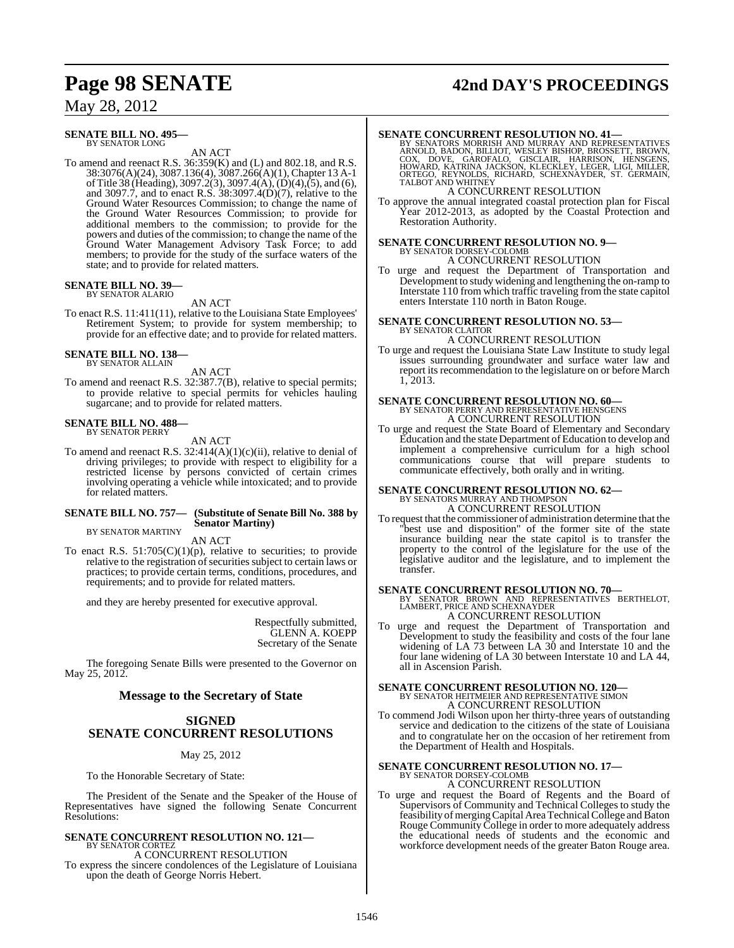# May 28, 2012

### **SENATE BILL NO. 495—** BY SENATOR LONG

AN ACT

To amend and reenact R.S. 36:359(K) and (L) and 802.18, and R.S. 38:3076(A)(24), 3087.136(4), 3087.266(A)(1), Chapter 13 A-1 ofTitle 38 (Heading), 3097.2(3), 3097.4(A), (D)(4),(5), and (6), and 3097.7, and to enact R.S. 38:3097.4(D)(7), relative to the Ground Water Resources Commission; to change the name of the Ground Water Resources Commission; to provide for additional members to the commission; to provide for the powers and duties of the commission; to change the name of the Ground Water Management Advisory Task Force; to add members; to provide for the study of the surface waters of the state; and to provide for related matters.

### **SENATE BILL NO. 39—** BY SENATOR ALARIO

AN ACT

To enact R.S. 11:411(11), relative to the Louisiana State Employees' Retirement System; to provide for system membership; to provide for an effective date; and to provide for related matters.

### **SENATE BILL NO. 138—** BY SENATOR ALLAIN

AN ACT

To amend and reenact R.S. 32:387.7(B), relative to special permits; to provide relative to special permits for vehicles hauling sugarcane; and to provide for related matters.

### **SENATE BILL NO. 488—** BY SENATOR PERRY

AN ACT

To amend and reenact R.S.  $32:414(A)(1)(c)(ii)$ , relative to denial of driving privileges; to provide with respect to eligibility for a restricted license by persons convicted of certain crimes involving operating a vehicle while intoxicated; and to provide for related matters.

### **SENATE BILL NO. 757— (Substitute of Senate Bill No. 388 by Senator Martiny)**

BY SENATOR MARTINY AN ACT

To enact R.S. 51:705(C)(1)(p), relative to securities; to provide relative to the registration of securities subject to certain laws or practices; to provide certain terms, conditions, procedures, and requirements; and to provide for related matters.

and they are hereby presented for executive approval.

Respectfully submitted, GLENN A. KOEPP Secretary of the Senate

The foregoing Senate Bills were presented to the Governor on May 25, 2012.

# **Message to the Secretary of State**

# **SIGNED SENATE CONCURRENT RESOLUTIONS**

## May 25, 2012

To the Honorable Secretary of State:

The President of the Senate and the Speaker of the House of Representatives have signed the following Senate Concurrent Resolutions:

### **SENATE CONCURRENT RESOLUTION NO. 121—** BY SENATOR CORTEZ A CONCURRENT RESOLUTION

To express the sincere condolences of the Legislature of Louisiana upon the death of George Norris Hebert.

# **Page 98 SENATE 42nd DAY'S PROCEEDINGS**

### **SENATE CONCURRENT RESOLUTION NO. 41—**

BY SENATORS MORRISH AND MURRAY AND REPRESENTATIVES<br>ARNOLD, BADON, BILLIOT, WESLEY BISHOP, BROSSETT, BROWN,<br>COX, DOVE, GAROFALO, GISCLAIR, HARRISON, HENSGENS,<br>HOWARD, KATRINA JACKSON, KLECKLEY, LEGER, LIGI, MILLER,<br>ORTEGO,

A CONCURRENT RESOLUTION

To approve the annual integrated coastal protection plan for Fiscal Year 2012-2013, as adopted by the Coastal Protection and Restoration Authority.

# **SENATE CONCURRENT RESOLUTION NO. 9—** BY SENATOR DORSEY-COLOMB A CONCURRENT RESOLUTION

To urge and request the Department of Transportation and Development to study widening and lengthening the on-ramp to Interstate 110 from which traffic traveling from the state capitol enters Interstate 110 north in Baton Rouge.

### **SENATE CONCURRENT RESOLUTION NO. 53—** BY SENATOR CLAITOR A CONCURRENT RESOLUTION

To urge and request the Louisiana State Law Institute to study legal issues surrounding groundwater and surface water law and report its recommendation to the legislature on or before March 1, 2013.

# **SENATE CONCURRENT RESOLUTION NO. 60—** BY SENATOR PERRY AND REPRESENTATIVE HENSGENS A CONCURRENT RESOLUTION

To urge and request the State Board of Elementary and Secondary Education and the state Department of Education to develop and implement a comprehensive curriculum for a high school communications course that will prepare students to communicate effectively, both orally and in writing.

# **SENATE CONCURRENT RESOLUTION NO. 62—** BY SENATORS MURRAY AND THOMPSON A CONCURRENT RESOLUTION

To request that the commissioner of administration determine that the "best use and disposition" of the former site of the state insurance building near the state capitol is to transfer the property to the control of the legislature for the use of the legislative auditor and the legislature, and to implement the transfer.

## **SENATE CONCURRENT RESOLUTION NO. 70—**

BY SENATOR BROWN AND REPRESENTATIVES BERTHELOT, LAMBERT, PRICE AND SCHEXNAYDER A CONCURRENT RESOLUTION

To urge and request the Department of Transportation and Development to study the feasibility and costs of the four lane widening of LA 73 between LA 30 and Interstate 10 and the four lane widening of LA 30 between Interstate 10 and LA 44, all in Ascension Parish.

# **SENATE CONCURRENT RESOLUTION NO. 120—** BY SENATOR HEITMEIER AND REPRESENTATIVE SIMON A CONCURRENT RESOLUTION

To commend Jodi Wilson upon her thirty-three years of outstanding service and dedication to the citizens of the state of Louisiana and to congratulate her on the occasion of her retirement from the Department of Health and Hospitals.

# **SENATE CONCURRENT RESOLUTION NO. 17—** BY SENATOR DORSEY-COLOMB A CONCURRENT RESOLUTION

To urge and request the Board of Regents and the Board of Supervisors of Community and Technical Colleges to study the feasibility of merging Capital Area Technical College and Baton Rouge Community College in order to more adequately address the educational needs of students and the economic and workforce development needs of the greater Baton Rouge area.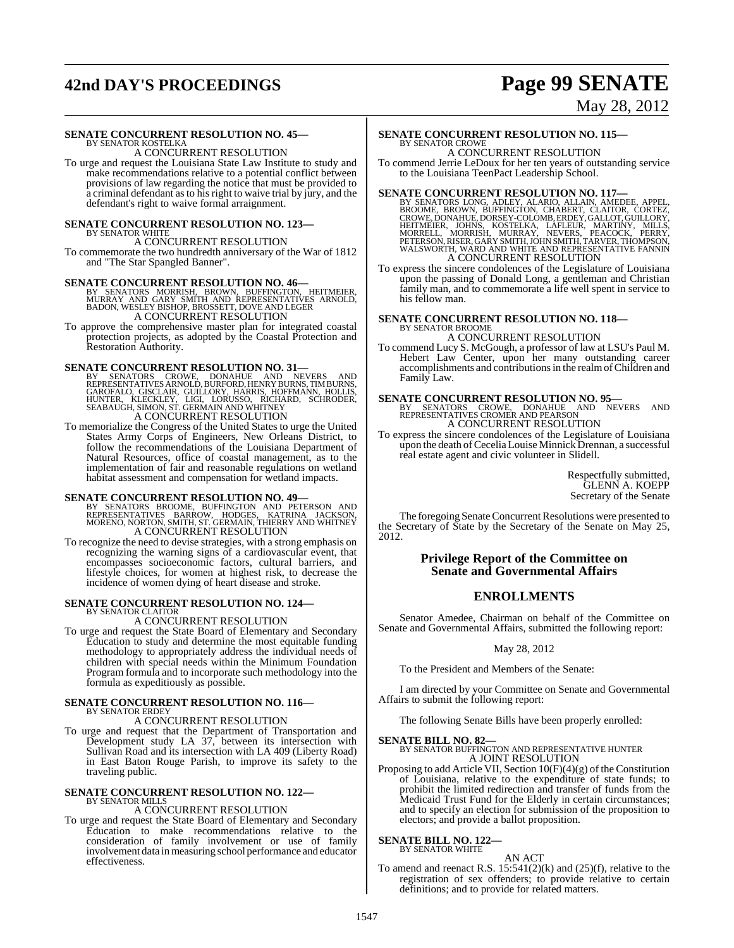# **42nd DAY'S PROCEEDINGS Page 99 SENATE**

# May 28, 2012

# **SENATE CONCURRENT RESOLUTION NO. 45—**

BY SENATOR KOSTELKA A CONCURRENT RESOLUTION

To urge and request the Louisiana State Law Institute to study and make recommendations relative to a potential conflict between provisions of law regarding the notice that must be provided to a criminal defendant asto hisright to waive trial by jury, and the defendant's right to waive formal arraignment.

## **SENATE CONCURRENT RESOLUTION NO. 123—** BY SENATOR WHITE

A CONCURRENT RESOLUTION To commemorate the two hundredth anniversary of the War of 1812 and "The Star Spangled Banner".

**SENATE CONCURRENT RESOLUTION NO. 46—**<br>BY SENATORS MORRISH, BROWN, BUFFINGTON, HEITMEIER,<br>MURRAY AND GARY SMITH AND REPRESENTATIVES ARNOLD,<br>BADON, WESLEY BISHOP, BROSSETT, DOVE AND LEGER A CONCURRENT RESOLUTION

To approve the comprehensive master plan for integrated coastal protection projects, as adopted by the Coastal Protection and Restoration Authority.

SENATE CONCURRENT RESOLUTION NO. 31—<br>BY SENATORS CROWE, DONAHUE AND NEVERS AND<br>REPRESENTATIVES ARNOLD, BURFORD, HENRY BURNS, TIMBURNS,<br>GAROFALO, GISCLAIR, GUILLORY, HARRIS, HOFFMANN, HOLLIS,<br>HUNTER, KLECKLEY, LIGI, LORUSSO A CONCURRENT RESOLUTION

To memorialize the Congress of the United States to urge the United States Army Corps of Engineers, New Orleans District, to follow the recommendations of the Louisiana Department of Natural Resources, office of coastal management, as to the implementation of fair and reasonable regulations on wetland habitat assessment and compensation for wetland impacts.

**SENATE CONCURRENT RESOLUTION NO. 49—**<br>BY SENATORS BROOME, BUFFINGTON AND PETERSON AND<br>REPRESENTATIVES BARROW, HODGES, KATRINA JACKSON,<br>MORENO, NORTON, SMITH, ST. GERMAIN, THIERRY AND WHITNEY<br>A CONCURRENT RESOLUTION

To recognize the need to devise strategies, with a strong emphasis on recognizing the warning signs of a cardiovascular event, that encompasses socioeconomic factors, cultural barriers, and lifestyle choices, for women at highest risk, to decrease the incidence of women dying of heart disease and stroke.

### **SENATE CONCURRENT RESOLUTION NO. 124—** BY SENATOR CLAITOR

# A CONCURRENT RESOLUTION

To urge and request the State Board of Elementary and Secondary Education to study and determine the most equitable funding methodology to appropriately address the individual needs of children with special needs within the Minimum Foundation Program formula and to incorporate such methodology into the formula as expeditiously as possible.

# **SENATE CONCURRENT RESOLUTION NO. 116—** BY SENATOR ERDEY

A CONCURRENT RESOLUTION

To urge and request that the Department of Transportation and Development study LA 37, between its intersection with Sullivan Road and its intersection with LA 409 (Liberty Road) in East Baton Rouge Parish, to improve its safety to the traveling public.

### **SENATE CONCURRENT RESOLUTION NO. 122—** BY SENATOR MILLS

# A CONCURRENT RESOLUTION

To urge and request the State Board of Elementary and Secondary Education to make recommendations relative to the consideration of family involvement or use of family involvement data in measuring school performance and educator effectiveness.

### **SENATE CONCURRENT RESOLUTION NO. 115—** BY SENATOR CROWE

A CONCURRENT RESOLUTION

To commend Jerrie LeDoux for her ten years of outstanding service to the Louisiana TeenPact Leadership School.

**SENATE CONCURRENT RESOLUTION NO. 117—**<br>BY SENATORS LONG, ADLEY, ALARIO, ALLAIN, AMEDEE, APPEL, BROOME, BROWE, DORSERY, CLAITOR, CORTEZ,<br>CROWE, DONAHUE, DORSEY-COLOMB, ERDEY, GALLOT, GUILLORY,<br>HEITMEIER, JOHNS, KOSTELKA, L A CONCURRENT RESOLUTION

To express the sincere condolences of the Legislature of Louisiana upon the passing of Donald Long, a gentleman and Christian family man, and to commemorate a life well spent in service to his fellow man.

### **SENATE CONCURRENT RESOLUTION NO. 118—** BY SENATOR BROOME A CONCURRENT RESOLUTION

To commend Lucy S. McGough, a professor of law at LSU's Paul M. Hebert Law Center, upon her many outstanding career accomplishments and contributionsin the realmofChildren and Family Law.

### **SENATE CONCURRENT RESOLUTION NO. 95—**

BY SENATORS CROWE, DONAHUE AND NEVERS AND REPRESENTATIVES CROMER AND PEARSON A CONCURRENT RESOLUTION

To express the sincere condolences of the Legislature of Louisiana upon the death of Cecelia Louise Minnick Drennan, a successful real estate agent and civic volunteer in Slidell.

> Respectfully submitted, GLENN A. KOEPP Secretary of the Senate

The foregoing Senate Concurrent Resolutions were presented to the Secretary of State by the Secretary of the Senate on May 25, 2012.

# **Privilege Report of the Committee on Senate and Governmental Affairs**

# **ENROLLMENTS**

Senator Amedee, Chairman on behalf of the Committee on Senate and Governmental Affairs, submitted the following report:

## May 28, 2012

To the President and Members of the Senate:

I am directed by your Committee on Senate and Governmental Affairs to submit the following report:

The following Senate Bills have been properly enrolled:

**SENATE BILL NO. 82—** BY SENATOR BUFFINGTON AND REPRESENTATIVE HUNTER A JOINT RESOLUTION

Proposing to add Article VII, Section 10(F)(4)(g) of the Constitution of Louisiana, relative to the expenditure of state funds; to prohibit the limited redirection and transfer of funds from the Medicaid Trust Fund for the Elderly in certain circumstances; and to specify an election for submission of the proposition to electors; and provide a ballot proposition.

### **SENATE BILL NO. 122—** BY SENATOR WHITE

AN ACT

To amend and reenact R.S. 15:541(2)(k) and (25)(f), relative to the registration of sex offenders; to provide relative to certain definitions; and to provide for related matters.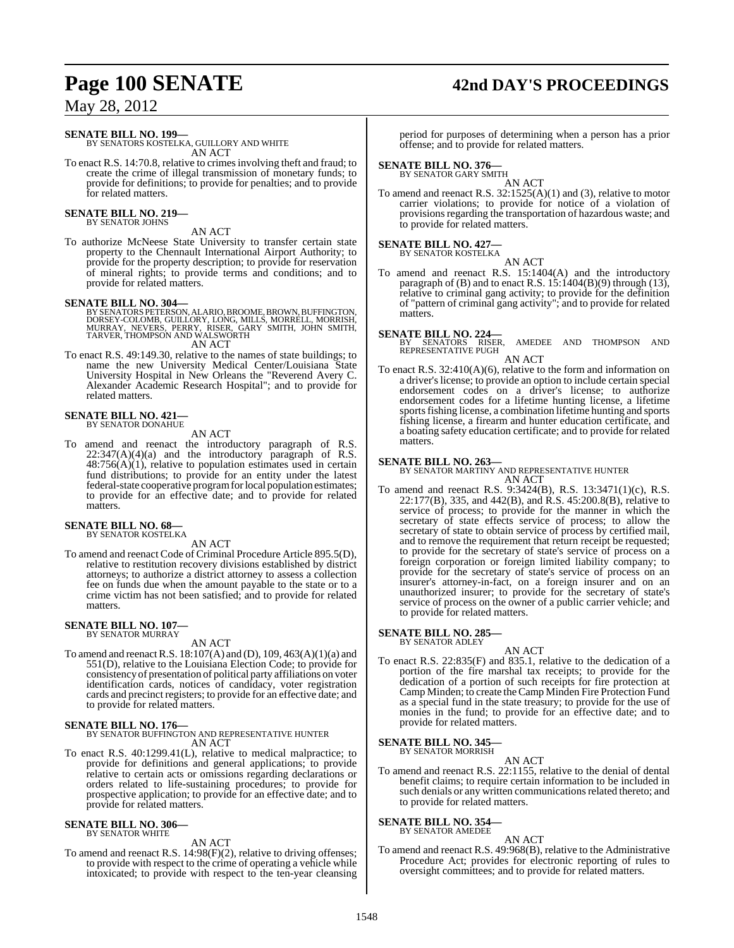# **Page 100 SENATE 42nd DAY'S PROCEEDINGS**

May 28, 2012

# **SENATE BILL NO. 199—**

BY SENATORS KOSTELKA, GUILLORY AND WHITE AN ACT

To enact R.S. 14:70.8, relative to crimesinvolving theft and fraud; to create the crime of illegal transmission of monetary funds; to provide for definitions; to provide for penalties; and to provide for related matters.

### **SENATE BILL NO. 219—** BY SENATOR JOHNS

AN ACT

To authorize McNeese State University to transfer certain state property to the Chennault International Airport Authority; to provide for the property description; to provide for reservation of mineral rights; to provide terms and conditions; and to provide for related matters.

# **SENATE BILL NO. 304—**

BY SENATORS PETERSON, ALARIO, BROOME, BROWN, BUFFINGTON,<br>DORSEY-COLOMB, GUILLORY, LONG, MILLS, MORRELL, MORRISH,<br>MURRAY, NEVERS, PERRY, RISER, GARY SMITH, JOHN SMITH,<br>TARVER, THOMPSON AND WALSWORTH AN ACT

To enact R.S. 49:149.30, relative to the names of state buildings; to name the new University Medical Center/Louisiana State University Hospital in New Orleans the "Reverend Avery C. Alexander Academic Research Hospital"; and to provide for related matters.

### **SENATE BILL NO. 421—** BY SENATOR DONAHUE

AN ACT

To amend and reenact the introductory paragraph of R.S.  $22:347(A)(4)(a)$  and the introductory paragraph of R.S.  $48:756(A)(1)$ , relative to population estimates used in certain fund distributions; to provide for an entity under the latest federal-state cooperative programfor local population estimates; to provide for an effective date; and to provide for related matters.

# **SENATE BILL NO. 68—** BY SENATOR KOSTELKA

AN ACT

To amend and reenact Code of Criminal Procedure Article 895.5(D), relative to restitution recovery divisions established by district attorneys; to authorize a district attorney to assess a collection fee on funds due when the amount payable to the state or to a crime victim has not been satisfied; and to provide for related matters.

### **SENATE BILL NO. 107—** BY SENATOR MURRAY

## AN ACT

To amend and reenactR.S. 18:107(A) and (D), 109, 463(A)(1)(a) and 551(D), relative to the Louisiana Election Code; to provide for consistency of presentation of political party affiliations on voter identification cards, notices of candidacy, voter registration cards and precinct registers; to provide for an effective date; and to provide for related matters.

# **SENATE BILL NO. 176—** BY SENATOR BUFFINGTON AND REPRESENTATIVE HUNTER AN ACT

To enact R.S. 40:1299.41(L), relative to medical malpractice; to provide for definitions and general applications; to provide relative to certain acts or omissions regarding declarations or orders related to life-sustaining procedures; to provide for prospective application; to provide for an effective date; and to provide for related matters.

### **SENATE BILL NO. 306—** BY SENATOR WHITE

AN ACT

To amend and reenact R.S. 14:98(F)(2), relative to driving offenses; to provide with respect to the crime of operating a vehicle while intoxicated; to provide with respect to the ten-year cleansing period for purposes of determining when a person has a prior offense; and to provide for related matters.

# **SENATE BILL NO. 376—** BY SENATOR GARY SMITH

AN ACT

To amend and reenact R.S.  $32:1525(A)(1)$  and (3), relative to motor carrier violations; to provide for notice of a violation of provisions regarding the transportation of hazardous waste; and to provide for related matters.

# **SENATE BILL NO. 427—** BY SENATOR KOSTELKA

AN ACT To amend and reenact R.S. 15:1404(A) and the introductory paragraph of (B) and to enact R.S. 15:1404(B)(9) through (13), relative to criminal gang activity; to provide for the definition of "pattern of criminal gang activity"; and to provide for related matters.

# **SENATE BILL NO. 224—**

AMEDEE AND THOMPSON AND REPRESENTATIVE PUGH AN ACT

### To enact R.S. 32:410(A)(6), relative to the form and information on a driver's license; to provide an option to include certain special endorsement codes on a driver's license; to authorize endorsement codes for a lifetime hunting license, a lifetime sports fishing license, a combination lifetime hunting and sports fishing license, a firearm and hunter education certificate, and

a boating safety education certificate; and to provide for related

# **SENATE BILL NO. 263—**

matters.

BY SENATOR MARTINY AND REPRESENTATIVE HUNTER AN ACT

To amend and reenact R.S. 9:3424(B), R.S. 13:3471(1)(c), R.S. 22:177(B), 335, and 442(B), and R.S. 45:200.8(B), relative to service of process; to provide for the manner in which the secretary of state effects service of process; to allow the secretary of state to obtain service of process by certified mail, and to remove the requirement that return receipt be requested; to provide for the secretary of state's service of process on a foreign corporation or foreign limited liability company; to provide for the secretary of state's service of process on an insurer's attorney-in-fact, on a foreign insurer and on an unauthorized insurer; to provide for the secretary of state's service of process on the owner of a public carrier vehicle; and to provide for related matters.

# **SENATE BILL NO. 285—** BY SENATOR ADLEY

AN ACT

To enact R.S. 22:835(F) and 835.1, relative to the dedication of a portion of the fire marshal tax receipts; to provide for the dedication of a portion of such receipts for fire protection at Camp Minden; to create theCamp Minden Fire Protection Fund as a special fund in the state treasury; to provide for the use of monies in the fund; to provide for an effective date; and to provide for related matters.

### **SENATE BILL NO. 345—** BY SENATOR MORRISH

AN ACT

To amend and reenact R.S. 22:1155, relative to the denial of dental benefit claims; to require certain information to be included in such denials or any written communications related thereto; and to provide for related matters.

# **SENATE BILL NO. 354—** BY SENATOR AMEDEE

AN ACT

To amend and reenact R.S. 49:968(B), relative to the Administrative Procedure Act; provides for electronic reporting of rules to oversight committees; and to provide for related matters.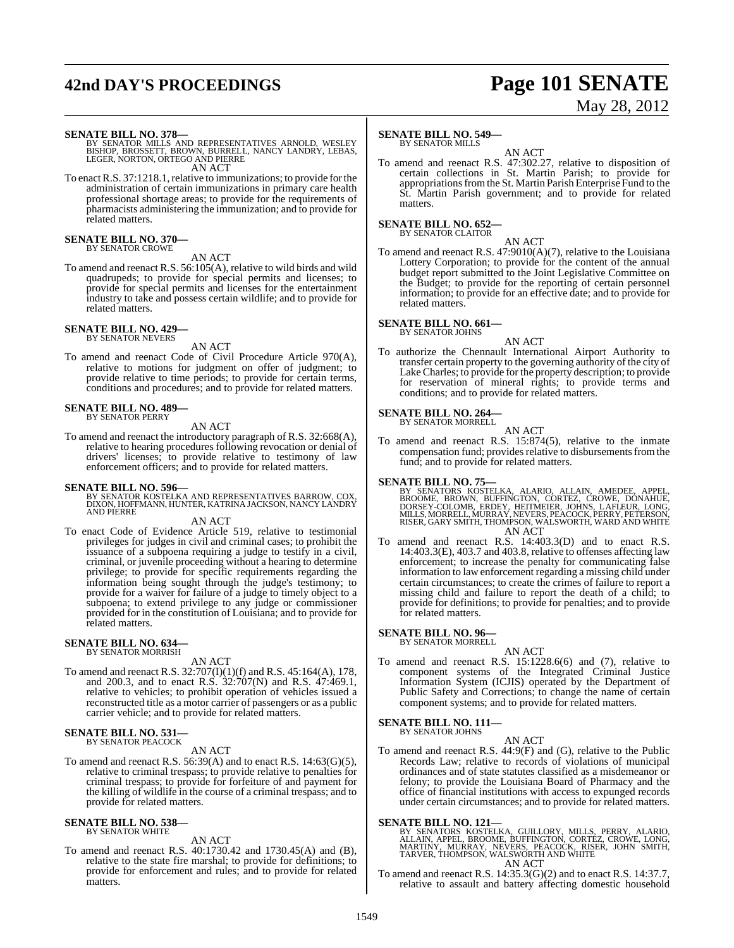# **42nd DAY'S PROCEEDINGS Page 101 SENATE**

# May 28, 2012

**SENATE BILL NO. 378—**<br>BY SENATOR MILLS AND REPRESENTATIVES ARNOLD, WESLEY<br>BISHOP, BROSSETT, BROWN, BURRELL, NANCY LANDRY, LEBAS,<br>LEGER, NORTON, ORTEGO AND PIERRE AN ACT

To enact R.S. 37:1218.1, relative to immunizations; to provide for the administration of certain immunizations in primary care health professional shortage areas; to provide for the requirements of pharmacists administering the immunization; and to provide for related matters.

### **SENATE BILL NO. 370—** BY SENATOR CROWE

AN ACT

To amend and reenact R.S. 56:105(A), relative to wild birds and wild quadrupeds; to provide for special permits and licenses; to provide for special permits and licenses for the entertainment industry to take and possess certain wildlife; and to provide for related matters.

### **SENATE BILL NO. 429—** BY SENATOR NEVERS

AN ACT

To amend and reenact Code of Civil Procedure Article 970(A), relative to motions for judgment on offer of judgment; to provide relative to time periods; to provide for certain terms, conditions and procedures; and to provide for related matters.

# **SENATE BILL NO. 489—** BY SENATOR PERRY

AN ACT

To amend and reenact the introductory paragraph of R.S. 32:668(A), relative to hearing procedures following revocation or denial of drivers' licenses; to provide relative to testimony of law enforcement officers; and to provide for related matters.

**SENATE BILL NO. 596—** BY SENATOR KOSTELKA AND REPRESENTATIVES BARROW, COX, DIXON, HOFFMANN, HUNTER, KATRINA JACKSON, NANCY LANDRY AND PIERRE

AN ACT

To enact Code of Evidence Article 519, relative to testimonial privileges for judges in civil and criminal cases; to prohibit the issuance of a subpoena requiring a judge to testify in a civil, criminal, or juvenile proceeding without a hearing to determine privilege; to provide for specific requirements regarding the information being sought through the judge's testimony; to provide for a waiver for failure of a judge to timely object to a subpoena; to extend privilege to any judge or commissioner provided for in the constitution of Louisiana; and to provide for related matters.

### **SENATE BILL NO. 634—** BY SENATOR MORRISH

AN ACT

To amend and reenact R.S. 32:707(I)(1)(f) and R.S. 45:164(A), 178, and 200.3, and to enact R.S. 32:707(N) and R.S. 47:469.1, relative to vehicles; to prohibit operation of vehicles issued a reconstructed title as a motor carrier of passengers or as a public carrier vehicle; and to provide for related matters.

### **SENATE BILL NO. 531—** BY SENATOR PEACOCK

AN ACT

To amend and reenact R.S.  $56:39(A)$  and to enact R.S.  $14:63(G)(5)$ , relative to criminal trespass; to provide relative to penalties for criminal trespass; to provide for forfeiture of and payment for the killing of wildlife in the course of a criminal trespass; and to provide for related matters.

# **SENATE BILL NO. 538—** BY SENATOR WHITE

### AN ACT

To amend and reenact R.S. 40:1730.42 and 1730.45(A) and (B), relative to the state fire marshal; to provide for definitions; to provide for enforcement and rules; and to provide for related matters.

# **SENATE BILL NO. 549—**

BY SENATOR MILLS

AN ACT To amend and reenact R.S. 47:302.27, relative to disposition of certain collections in St. Martin Parish; to provide for appropriationsfromthe St. Martin Parish Enterprise Fund to the St. Martin Parish government; and to provide for related matters.

**SENATE BILL NO. 652—** BY SENATOR CLAITOR

AN ACT

To amend and reenact R.S. 47:9010(A)(7), relative to the Louisiana Lottery Corporation; to provide for the content of the annual budget report submitted to the Joint Legislative Committee on the Budget; to provide for the reporting of certain personnel information; to provide for an effective date; and to provide for related matters.

**SENATE BILL NO. 661—** BY SENATOR JOHNS

AN ACT

To authorize the Chennault International Airport Authority to transfer certain property to the governing authority of the city of Lake Charles; to provide for the property description; to provide for reservation of mineral rights; to provide terms and conditions; and to provide for related matters.

# **SENATE BILL NO. 264—**

BY SENATOR MORRELL AN ACT

To amend and reenact R.S. 15:874(5), relative to the inmate compensation fund; provides relative to disbursements from the fund; and to provide for related matters.

**SENATE BILL NO. 75—**<br>BY SENATORS KOSTELKA, ALARIO, ALLAIN, AMEDEE, APPEL,<br>BROOME, BROWN, BUFFINGTON, CORTEZ, CROWE, DONAHUE,<br>DORSEY-COLOMB, ERDEY, HEITMEIER, JOHNS, LAFLEUR, LONG,<br>MILLS, MORRELL, MURRAY, NEVERS, PEACOCK, AN ACT

To amend and reenact R.S. 14:403.3(D) and to enact R.S. 14:403.3(E), 403.7 and 403.8, relative to offenses affecting law enforcement; to increase the penalty for communicating false information to law enforcement regarding a missing child under certain circumstances; to create the crimes of failure to report a missing child and failure to report the death of a child; to provide for definitions; to provide for penalties; and to provide for related matters.

# **SENATE BILL NO. 96—** BY SENATOR MORRELL

AN ACT

To amend and reenact R.S. 15:1228.6(6) and (7), relative to component systems of the Integrated Criminal Justice Information System (ICJIS) operated by the Department of Public Safety and Corrections; to change the name of certain component systems; and to provide for related matters.

# **SENATE BILL NO. 111—** BY SENATOR JOHNS

To amend and reenact R.S. 44:9(F) and (G), relative to the Public Records Law; relative to records of violations of municipal ordinances and of state statutes classified as a misdemeanor or felony; to provide the Louisiana Board of Pharmacy and the office of financial institutions with access to expunged records under certain circumstances; and to provide for related matters.

AN ACT

SENATE BILL NO. 121—<br>BY SENATORS KOSTELKA, GUILLORY, MILLS, PERRY, ALARIO, ALLAIN, APPEL, BROOME, BUFFINGTON, CORTEZ, CROWE, LONG,<br>MARTINY, MURRAY, NEVERS, PEACOCK, RISER, JOHN SMITH,<br>TARVER, THOMPSON, WALSWORTH AND WHITE<br>

To amend and reenact R.S. 14:35.3(G)(2) and to enact R.S. 14:37.7, To amend and reenact R.S.  $14:35.3(G)(2)$  and to enact R.S.  $14:37.7$ , relative to assault and battery affecting domestic household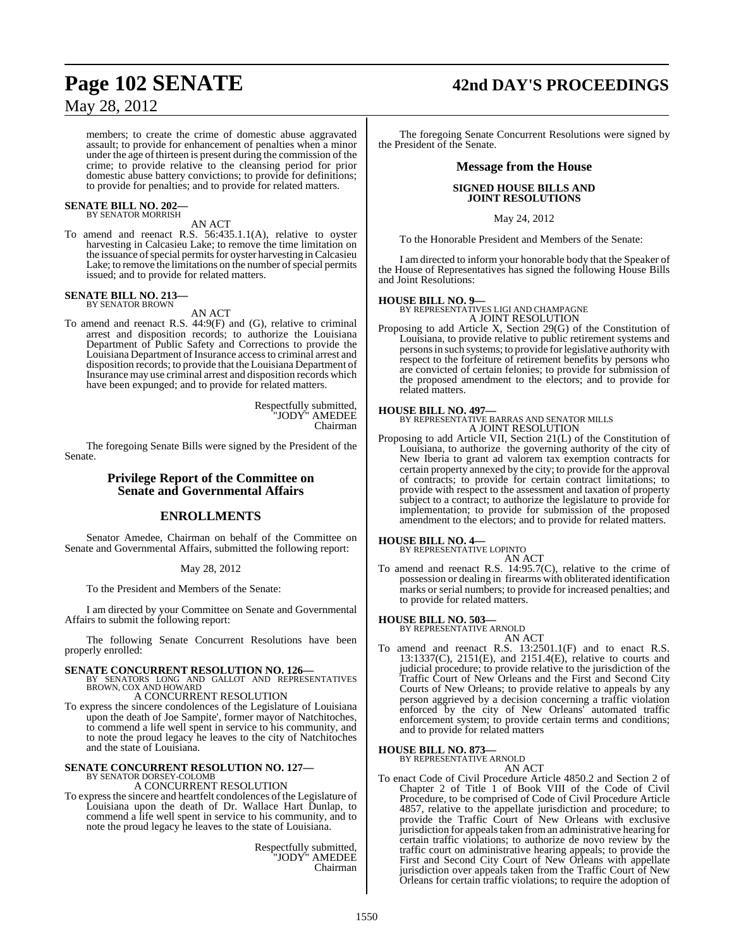# May 28, 2012

members; to create the crime of domestic abuse aggravated assault; to provide for enhancement of penalties when a minor under the age of thirteen is present during the commission of the crime; to provide relative to the cleansing period for prior domestic abuse battery convictions; to provide for definitions; to provide for penalties; and to provide for related matters.

# **SENATE BILL NO. 202—** BY SENATOR MORRISH

AN ACT

To amend and reenact R.S. 56:435.1.1(A), relative to oyster harvesting in Calcasieu Lake; to remove the time limitation on the issuance of special permits for oyster harvesting in Calcasieu Lake; to remove the limitations on the number of special permits issued; and to provide for related matters.

# **SENATE BILL NO. 213—** BY SENATOR BROWN

AN ACT

To amend and reenact R.S.  $44.9(F)$  and (G), relative to criminal arrest and disposition records; to authorize the Louisiana Department of Public Safety and Corrections to provide the Louisiana Department of Insurance access to criminal arrest and disposition records; to provide that the Louisiana Department of Insurance may use criminal arrest and disposition records which have been expunged; and to provide for related matters.

> Respectfully submitted, "JODY" AMEDEE Chairman

The foregoing Senate Bills were signed by the President of the Senate.

# **Privilege Report of the Committee on Senate and Governmental Affairs**

# **ENROLLMENTS**

Senator Amedee, Chairman on behalf of the Committee on Senate and Governmental Affairs, submitted the following report:

# May 28, 2012

To the President and Members of the Senate:

I am directed by your Committee on Senate and Governmental Affairs to submit the following report:

The following Senate Concurrent Resolutions have been properly enrolled:

**SENATE CONCURRENT RESOLUTION NO. 126—BY SENATORS LONG AND GALLOT AND REPRESENTATIVES**<br>BROWN, COX AND HOWARD A CONCURRENT RESOLUTION

To express the sincere condolences of the Legislature of Louisiana upon the death of Joe Sampite', former mayor of Natchitoches, to commend a life well spent in service to his community, and to note the proud legacy he leaves to the city of Natchitoches and the state of Louisiana.

# **SENATE CONCURRENT RESOLUTION NO. 127—**<br>BY SENATOR DORSEY-COLOMB<br>A CONCURRENT RESOLUTION

To expressthe sincere and heartfelt condolences of the Legislature of Louisiana upon the death of Dr. Wallace Hart Dunlap, to commend a life well spent in service to his community, and to note the proud legacy he leaves to the state of Louisiana.

> Respectfully submitted, "JODY" AMEDEE Chairman

# **Page 102 SENATE 42nd DAY'S PROCEEDINGS**

The foregoing Senate Concurrent Resolutions were signed by the President of the Senate.

# **Message from the House**

# **SIGNED HOUSE BILLS AND JOINT RESOLUTIONS**

May 24, 2012

To the Honorable President and Members of the Senate:

I am directed to inform your honorable body that the Speaker of the House of Representatives has signed the following House Bills and Joint Resolutions:

# **HOUSE BILL NO. 9—**

BY REPRESENTATIVES LIGI AND CHAMPAGNE A JOINT RESOLUTION

Proposing to add Article X, Section 29(G) of the Constitution of Louisiana, to provide relative to public retirement systems and persons in such systems; to provide for legislative authority with respect to the forfeiture of retirement benefits by persons who are convicted of certain felonies; to provide for submission of the proposed amendment to the electors; and to provide for related matters.

# **HOUSE BILL NO. 497—**

BY REPRESENTATIVE BARRAS AND SENATOR MILLS A JOINT RESOLUTION

Proposing to add Article VII, Section 21(L) of the Constitution of Louisiana, to authorize the governing authority of the city of New Iberia to grant ad valorem tax exemption contracts for certain property annexed by the city; to provide for the approval of contracts; to provide for certain contract limitations; to provide with respect to the assessment and taxation of property subject to a contract; to authorize the legislature to provide for implementation; to provide for submission of the proposed amendment to the electors; and to provide for related matters.

**HOUSE BILL NO. 4—**

BY REPRESENTATIVE LOPINTO AN ACT

To amend and reenact R.S. 14:95.7(C), relative to the crime of possession or dealing in firearms with obliterated identification marks or serial numbers; to provide for increased penalties; and to provide for related matters.

**HOUSE BILL NO. 503—** BY REPRESENTATIVE ARNOLD

- AN ACT
- To amend and reenact R.S. 13:2501.1(F) and to enact R.S. 13:1337(C), 2151(E), and 2151.4(E), relative to courts and judicial procedure; to provide relative to the jurisdiction of the Traffic Court of New Orleans and the First and Second City Courts of New Orleans; to provide relative to appeals by any person aggrieved by a decision concerning a traffic violation enforced by the city of New Orleans' automated traffic enforcement system; to provide certain terms and conditions; and to provide for related matters

# **HOUSE BILL NO. 873—** BY REPRESENTATIVE ARNOLD

AN ACT

To enact Code of Civil Procedure Article 4850.2 and Section 2 of Chapter 2 of Title 1 of Book VIII of the Code of Civil Procedure, to be comprised of Code of Civil Procedure Article 4857, relative to the appellate jurisdiction and procedure; to provide the Traffic Court of New Orleans with exclusive jurisdiction for appeals taken from an administrative hearing for certain traffic violations; to authorize de novo review by the traffic court on administrative hearing appeals; to provide the First and Second City Court of New Orleans with appellate jurisdiction over appeals taken from the Traffic Court of New Orleans for certain traffic violations; to require the adoption of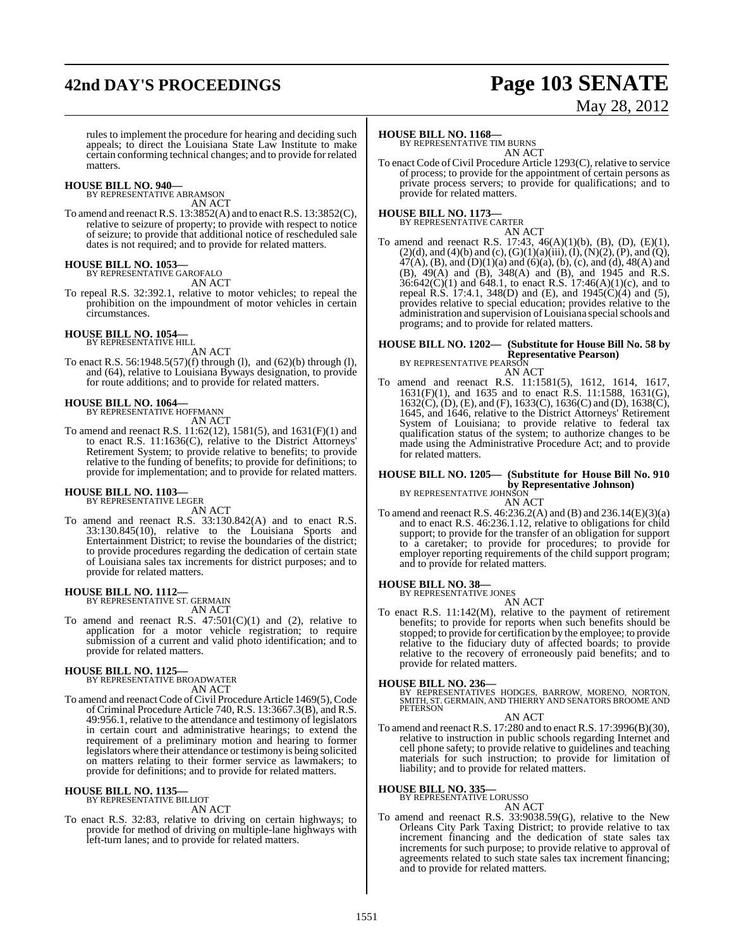# **42nd DAY'S PROCEEDINGS Page 103 SENATE**

# May 28, 2012

rules to implement the procedure for hearing and deciding such appeals; to direct the Louisiana State Law Institute to make certain conforming technical changes; and to provide for related matters.

## **HOUSE BILL NO. 940—**

BY REPRESENTATIVE ABRAMSON AN ACT

To amend and reenact R.S.  $13:3852(A)$  and to enact R.S.  $13:3852(C)$ , relative to seizure of property; to provide with respect to notice of seizure; to provide that additional notice of rescheduled sale dates is not required; and to provide for related matters.

### **HOUSE BILL NO. 1053—**

BY REPRESENTATIVE GAROFALO AN ACT

To repeal R.S. 32:392.1, relative to motor vehicles; to repeal the prohibition on the impoundment of motor vehicles in certain circumstances.

### **HOUSE BILL NO. 1054—** BY REPRESENTATIVE HILL

AN ACT

To enact R.S. 56:1948.5(57)(f) through (l), and (62)(b) through (l), and (64), relative to Louisiana Byways designation, to provide for route additions; and to provide for related matters.

### **HOUSE BILL NO. 1064—**

BY REPRESENTATIVE HOFFMANN AN ACT

To amend and reenact R.S. 11:62(12), 1581(5), and 1631(F)(1) and to enact R.S. 11:1636(C), relative to the District Attorneys' Retirement System; to provide relative to benefits; to provide relative to the funding of benefits; to provide for definitions; to provide for implementation; and to provide for related matters.

### **HOUSE BILL NO. 1103—** BY REPRESENTATIVE LEGER

AN ACT

To amend and reenact R.S. 33:130.842(A) and to enact R.S. 33:130.845(10), relative to the Louisiana Sports and Entertainment District; to revise the boundaries of the district; to provide procedures regarding the dedication of certain state of Louisiana sales tax increments for district purposes; and to provide for related matters.

# **HOUSE BILL NO. 1112—** BY REPRESENTATIVE ST. GERMAIN

AN ACT

To amend and reenact R.S.  $47:501(C)(1)$  and  $(2)$ , relative to application for a motor vehicle registration; to require submission of a current and valid photo identification; and to provide for related matters.

# **HOUSE BILL NO. 1125—** BY REPRESENTATIVE BROADWATER

AN ACT

To amend and reenact Code of Civil Procedure Article 1469(5), Code of Criminal Procedure Article 740, R.S. 13:3667.3(B), and R.S. 49:956.1, relative to the attendance and testimony of legislators in certain court and administrative hearings; to extend the requirement of a preliminary motion and hearing to former legislators where their attendance or testimony is being solicited on matters relating to their former service as lawmakers; to provide for definitions; and to provide for related matters.

# **HOUSE BILL NO. 1135—** BY REPRESENTATIVE BILLIOT

AN ACT

To enact R.S. 32:83, relative to driving on certain highways; to provide for method of driving on multiple-lane highways with left-turn lanes; and to provide for related matters.

## **HOUSE BILL NO. 1168—**

BY REPRESENTATIVE TIM BURNS AN ACT

To enact Code of Civil Procedure Article 1293(C), relative to service of process; to provide for the appointment of certain persons as private process servers; to provide for qualifications; and to provide for related matters.

# **HOUSE BILL NO. 1173—** BY REPRESENTATIVE CARTER

AN ACT

To amend and reenact R.S. 17:43, 46(A)(1)(b), (B), (D), (E)(1),  $(2)(d)$ , and  $(4)(b)$  and  $(c)$ ,  $(G)(1)(a)(iii)$ ,  $(I)$ ,  $(N)(2)$ ,  $(P)$ , and  $(Q)$ , 47(A), (B), and (D)(1)(a) and (6)(a), (b), (c), and (d), 48(A) and (B), 49(A) and (B), 348(A) and (B), and 1945 and R.S.  $36:642(C)(1)$  and  $648.1$ , to enact R.S. 17:46(A)(1)(c), and to repeal R.S. 17:4.1, 348(D) and (E), and  $1945(\dot{C})(4)$  and (5), provides relative to special education; provides relative to the administration and supervision of Louisiana special schools and programs; and to provide for related matters.

# **HOUSE BILL NO. 1202— (Substitute for House Bill No. 58 by Representative Pearson**)<br>BY REPRESENTATIVE PEARSON

AN ACT

To amend and reenact R.S. 11:1581(5), 1612, 1614, 1617, 1631(F)(1), and 1635 and to enact R.S. 11:1588, 1631(G), 1632(C), (D), (E), and (F), 1633(C), 1636(C) and (D), 1638(C), 1645, and 1646, relative to the District Attorneys' Retirement System of Louisiana; to provide relative to federal tax qualification status of the system; to authorize changes to be made using the Administrative Procedure Act; and to provide for related matters.

# **HOUSE BILL NO. 1205— (Substitute for House Bill No. 910 by Representative Johnson)**<br>BY REPRESENTATIVE JOHNSON

AN ACT

To amend and reenact R.S. 46:236.2(A) and (B) and 236.14(E)(3)(a) and to enact R.S. 46:236.1.12, relative to obligations for child support; to provide for the transfer of an obligation for support to a caretaker; to provide for procedures; to provide for employer reporting requirements of the child support program; and to provide for related matters.

### **HOUSE BILL NO. 38—** BY REPRESENTATIVE JONES

AN ACT

To enact R.S. 11:142(M), relative to the payment of retirement benefits; to provide for reports when such benefits should be stopped; to provide for certification by the employee; to provide relative to the fiduciary duty of affected boards; to provide relative to the recovery of erroneously paid benefits; and to provide for related matters.

**HOUSE BILL NO. 236—**<br>BY REPRESENTATIVES HODGES, BARROW, MORENO, NORTON,<br>SMITH, ST. GERMAIN, AND THIERRY AND SENATORS BROOME AND<br>PETERSON

# AN ACT

To amend and reenact R.S. 17:280 and to enact R.S. 17:3996(B)(30), relative to instruction in public schools regarding Internet and cell phone safety; to provide relative to guidelines and teaching materials for such instruction; to provide for limitation of liability; and to provide for related matters.

# **HOUSE BILL NO. 335—** BY REPRESENTATIVE LORUSSO

AN ACT

To amend and reenact R.S. 33:9038.59(G), relative to the New Orleans City Park Taxing District; to provide relative to tax increment financing and the dedication of state sales tax increments for such purpose; to provide relative to approval of agreements related to such state sales tax increment financing; and to provide for related matters.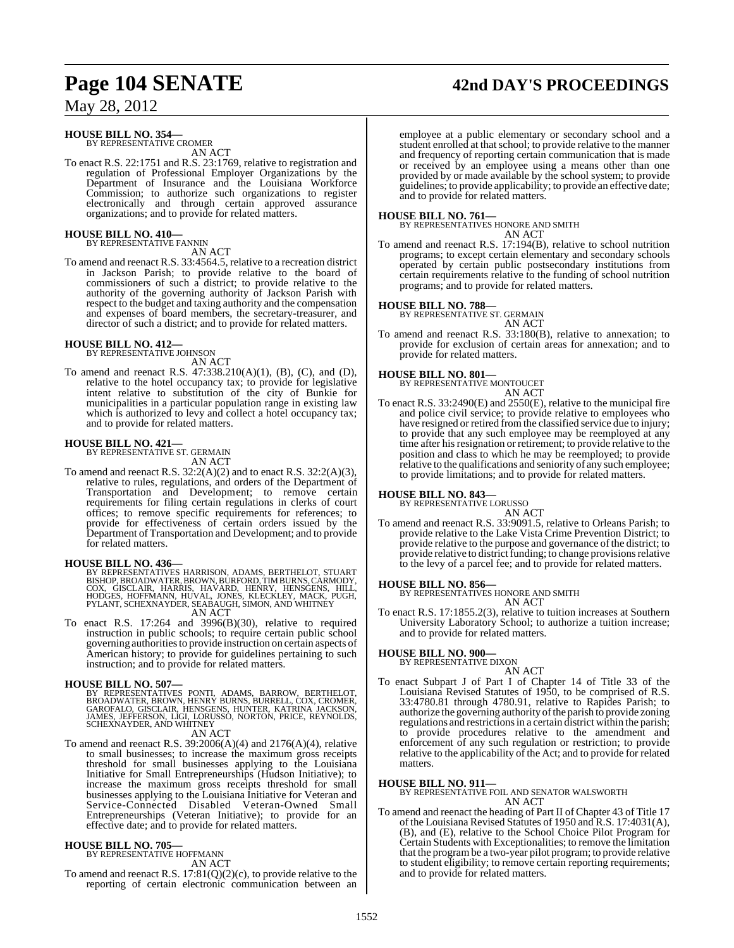# **Page 104 SENATE 42nd DAY'S PROCEEDINGS**

May 28, 2012

# **HOUSE BILL NO. 354—**

BY REPRESENTATIVE CROMER AN ACT

To enact R.S. 22:1751 and R.S. 23:1769, relative to registration and regulation of Professional Employer Organizations by the Department of Insurance and the Louisiana Workforce Commission; to authorize such organizations to register electronically and through certain approved assurance organizations; and to provide for related matters.

# **HOUSE BILL NO. 410—** BY REPRESENTATIVE FANNIN

AN ACT

To amend and reenact R.S. 33:4564.5, relative to a recreation district in Jackson Parish; to provide relative to the board of commissioners of such a district; to provide relative to the authority of the governing authority of Jackson Parish with respect to the budget and taxing authority and the compensation and expenses of board members, the secretary-treasurer, and director of such a district; and to provide for related matters.

# **HOUSE BILL NO. 412—** BY REPRESENTATIVE JOHNSON

AN ACT

To amend and reenact R.S. 47:338.210(A)(1), (B), (C), and (D), relative to the hotel occupancy tax; to provide for legislative intent relative to substitution of the city of Bunkie for municipalities in a particular population range in existing law which is authorized to levy and collect a hotel occupancy tax; and to provide for related matters.

# **HOUSE BILL NO. 421—** BY REPRESENTATIVE ST. GERMAIN

AN ACT

To amend and reenact R.S.  $32:2(A)(2)$  and to enact R.S.  $32:2(A)(3)$ , relative to rules, regulations, and orders of the Department of Transportation and Development; to remove certain requirements for filing certain regulations in clerks of court offices; to remove specific requirements for references; to provide for effectiveness of certain orders issued by the Department of Transportation and Development; and to provide for related matters.

## **HOUSE BILL NO. 436—**

BY REPRESENTATIVES HARRISON, ADAMS, BERTHELOT, STUART<br>BISHOP,BROADWATER,BROWN,BURFORD,TIMBURNS,CARMODY,<br>COX, GISCLAIR, HARRIS, HAVARD, HENRY, HENSGENS, HILL,<br>HODGES, HOFFMANN, HUVAL, JONES, KLECKLEY, MACK, PUGH,<br>PYLANT, SC

AN ACT

To enact R.S. 17:264 and 3996(B)(30), relative to required instruction in public schools; to require certain public school governing authoritiesto provide instruction on certain aspects of American history; to provide for guidelines pertaining to such instruction; and to provide for related matters.

## **HOUSE BILL NO. 507—**

BY REPRESENTATIVES PONTI, ADAMS, BARROW, BERTHELOT,<br>BROADWATER,BROWN,HENRYBURNS,BURRELL,COX,CROMER,<br>GAROFALO,GISCLAIR,HENRYBURNS,HUNTER,KATRINA JACKSON,<br>JAMES,JEFFERSON,LIGI,LORUSSO,NORTON,PRICE,REYNOLDS,<br>SCHEXNAYDER,ANDWH

# AN ACT

To amend and reenact R.S. 39:2006(A)(4) and 2176(A)(4), relative to small businesses; to increase the maximum gross receipts threshold for small businesses applying to the Louisiana Initiative for Small Entrepreneurships (Hudson Initiative); to increase the maximum gross receipts threshold for small businesses applying to the Louisiana Initiative for Veteran and Service-Connected Disabled Veteran-Owned Small Entrepreneurships (Veteran Initiative); to provide for an effective date; and to provide for related matters.

# **HOUSE BILL NO. 705—** BY REPRESENTATIVE HOFFMANN

AN ACT

To amend and reenact R.S. 17:81(Q)(2)(c), to provide relative to the reporting of certain electronic communication between an

employee at a public elementary or secondary school and a student enrolled at that school; to provide relative to the manner and frequency of reporting certain communication that is made or received by an employee using a means other than one provided by or made available by the school system; to provide guidelines; to provide applicability; to provide an effective date; and to provide for related matters.

**HOUSE BILL NO. 761—** BY REPRESENTATIVES HONORE AND SMITH AN ACT

To amend and reenact R.S. 17:194(B), relative to school nutrition programs; to except certain elementary and secondary schools operated by certain public postsecondary institutions from certain requirements relative to the funding of school nutrition programs; and to provide for related matters.

### **HOUSE BILL NO. 788—**

BY REPRESENTATIVE ST. GERMAIN

AN ACT To amend and reenact R.S. 33:180(B), relative to annexation; to provide for exclusion of certain areas for annexation; and to provide for related matters.

# **HOUSE BILL NO. 801—**

BY REPRESENTATIVE MONTOUCET AN ACT

To enact R.S. 33:2490(E) and 2550(E), relative to the municipal fire and police civil service; to provide relative to employees who have resigned or retired from the classified service due to injury; to provide that any such employee may be reemployed at any time after his resignation or retirement; to provide relative to the position and class to which he may be reemployed; to provide relative to the qualifications and seniority of any such employee; to provide limitations; and to provide for related matters.

# **HOUSE BILL NO. 843—** BY REPRESENTATIVE LORUSSO

### AN ACT

To amend and reenact R.S. 33:9091.5, relative to Orleans Parish; to provide relative to the Lake Vista Crime Prevention District; to provide relative to the purpose and governance of the district; to provide relative to district funding; to change provisions relative to the levy of a parcel fee; and to provide for related matters.

## **HOUSE BILL NO. 856—**

BY REPRESENTATIVES HONORE AND SMITH

AN ACT To enact R.S. 17:1855.2(3), relative to tuition increases at Southern University Laboratory School; to authorize a tuition increase; and to provide for related matters.

# **HOUSE BILL NO. 900—**

BY REPRESENTATIVE DIXON

- AN ACT
- To enact Subpart J of Part I of Chapter 14 of Title 33 of the Louisiana Revised Statutes of 1950, to be comprised of R.S. 33:4780.81 through 4780.91, relative to Rapides Parish; to authorize the governing authority of the parish to provide zoning regulations and restrictions in a certain district within the parish; to provide procedures relative to the amendment and enforcement of any such regulation or restriction; to provide relative to the applicability of the Act; and to provide for related matters.

# **HOUSE BILL NO. 911—**

BY REPRESENTATIVE FOIL AND SENATOR WALSWORTH AN ACT

To amend and reenact the heading of Part II of Chapter 43 of Title 17 ofthe Louisiana Revised Statutes of 1950 and R.S. 17:4031(A), (B), and (E), relative to the School Choice Pilot Program for Certain Students with Exceptionalities; to remove the limitation that the programbe a two-year pilot program; to provide relative to student eligibility; to remove certain reporting requirements; and to provide for related matters.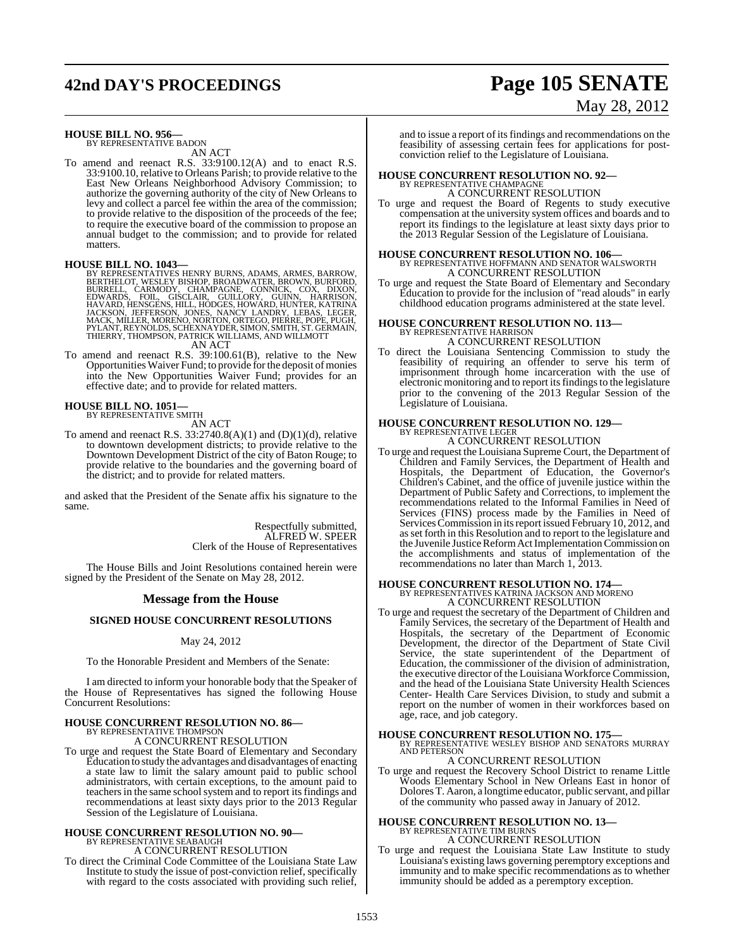# **42nd DAY'S PROCEEDINGS Page 105 SENATE**

# May 28, 2012

# **HOUSE BILL NO. 956—** BY REPRESENTATIVE BADON

AN ACT

To amend and reenact R.S. 33:9100.12(A) and to enact R.S. 33:9100.10, relative to Orleans Parish; to provide relative to the East New Orleans Neighborhood Advisory Commission; to authorize the governing authority of the city of New Orleans to levy and collect a parcel fee within the area of the commission; to provide relative to the disposition of the proceeds of the fee; to require the executive board of the commission to propose an annual budget to the commission; and to provide for related matters.

**HOUSE BILL NO. 1043—**<br>BY REPRESENTATIVES HENRY BURNS, ADAMS, ARMES, BARROW,<br>BERTHELOT, WESLEY BISHOP, BROADWATER, BROWN, BURFORD,<br>BURRELL, CARMODY, CHAMPAGNE, CONNICK, COX, DIXON,<br>EDWARDS, FOIL, GISCLAIR, GUILLORY, GUINN, AN ACT

To amend and reenact R.S. 39:100.61(B), relative to the New Opportunities Waiver Fund; to provide for the deposit of monies into the New Opportunities Waiver Fund; provides for an effective date; and to provide for related matters.

# **HOUSE BILL NO. 1051—** BY REPRESENTATIVE SMITH

AN ACT

To amend and reenact R.S.  $33:2740.8(A)(1)$  and  $(D)(1)(d)$ , relative to downtown development districts; to provide relative to the Downtown Development District of the city of Baton Rouge; to provide relative to the boundaries and the governing board of the district; and to provide for related matters.

and asked that the President of the Senate affix his signature to the same.

> Respectfully submitted, ALFRED W. SPEER Clerk of the House of Representatives

The House Bills and Joint Resolutions contained herein were signed by the President of the Senate on May 28, 2012.

## **Message from the House**

# **SIGNED HOUSE CONCURRENT RESOLUTIONS**

# May 24, 2012

To the Honorable President and Members of the Senate:

I am directed to inform your honorable body that the Speaker of the House of Representatives has signed the following House Concurrent Resolutions:

# **HOUSE CONCURRENT RESOLUTION NO. 86—** BY REPRESENTATIVE THOMPSON

A CONCURRENT RESOLUTION

To urge and request the State Board of Elementary and Secondary Education to study the advantages and disadvantages of enacting a state law to limit the salary amount paid to public school administrators, with certain exceptions, to the amount paid to teachers in the same school system and to report its findings and recommendations at least sixty days prior to the 2013 Regular Session of the Legislature of Louisiana.

# **HOUSE CONCURRENT RESOLUTION NO. 90—** BY REPRESENTATIVE SEABAUGH A CONCURRENT RESOLUTION

To direct the Criminal Code Committee of the Louisiana State Law Institute to study the issue of post-conviction relief, specifically with regard to the costs associated with providing such relief,

and to issue a report of its findings and recommendations on the feasibility of assessing certain fees for applications for postconviction relief to the Legislature of Louisiana.

# **HOUSE CONCURRENT RESOLUTION NO. 92—** BY REPRESENTATIVE CHAMPAGNE

A CONCURRENT RESOLUTION

To urge and request the Board of Regents to study executive compensation at the university system offices and boards and to report its findings to the legislature at least sixty days prior to the 2013 Regular Session of the Legislature of Louisiana.

# **HOUSE CONCURRENT RESOLUTION NO. 106—** BY REPRESENTATIVE HOFFMANN AND SENATOR WALSWORTH A CONCURRENT RESOLUTION

To urge and request the State Board of Elementary and Secondary Education to provide for the inclusion of "read alouds" in early childhood education programs administered at the state level.

# **HOUSE CONCURRENT RESOLUTION NO. 113—** BY REPRESENTATIVE HARRISON

A CONCURRENT RESOLUTION

To direct the Louisiana Sentencing Commission to study the feasibility of requiring an offender to serve his term of imprisonment through home incarceration with the use of electronic monitoring and to report its findings to the legislature prior to the convening of the 2013 Regular Session of the Legislature of Louisiana.

# **HOUSE CONCURRENT RESOLUTION NO. 129—** BY REPRESENTATIVE LEGER

A CONCURRENT RESOLUTION

To urge and request the Louisiana Supreme Court, the Department of Children and Family Services, the Department of Health and Hospitals, the Department of Education, the Governor's Children's Cabinet, and the office of juvenile justice within the Department of Public Safety and Corrections, to implement the recommendations related to the Informal Families in Need of Services (FINS) process made by the Families in Need of Services Commission in its report issued February 10, 2012, and asset forth in this Resolution and to report to the legislature and the Juvenile Justice Reform Act Implementation Commission on the accomplishments and status of implementation of the recommendations no later than March 1, 2013.

# **HOUSE CONCURRENT RESOLUTION NO. 174—** BY REPRESENTATIVES KATRINA JACKSON AND MORENO A CONCURRENT RESOLUTION

To urge and request the secretary of the Department of Children and Family Services, the secretary of the Department of Health and Hospitals, the secretary of the Department of Economic Development, the director of the Department of State Civil Service, the state superintendent of the Department of Education, the commissioner of the division of administration, the executive director of the Louisiana Workforce Commission, and the head of the Louisiana State University Health Sciences Center- Health Care Services Division, to study and submit a report on the number of women in their workforces based on age, race, and job category.

# **HOUSE CONCURRENT RESOLUTION NO. 175—** BY REPRESENTATIVE WESLEY BISHOP AND SENATORS MURRAY

AND PETERSON A CONCURRENT RESOLUTION

To urge and request the Recovery School District to rename Little Woods Elementary School in New Orleans East in honor of DoloresT. Aaron, a longtime educator, public servant, and pillar of the community who passed away in January of 2012.

# **HOUSE CONCURRENT RESOLUTION NO. 13—** BY REPRESENTATIVE TIM BURNS

A CONCURRENT RESOLUTION

To urge and request the Louisiana State Law Institute to study Louisiana's existing laws governing peremptory exceptions and immunity and to make specific recommendations as to whether immunity should be added as a peremptory exception.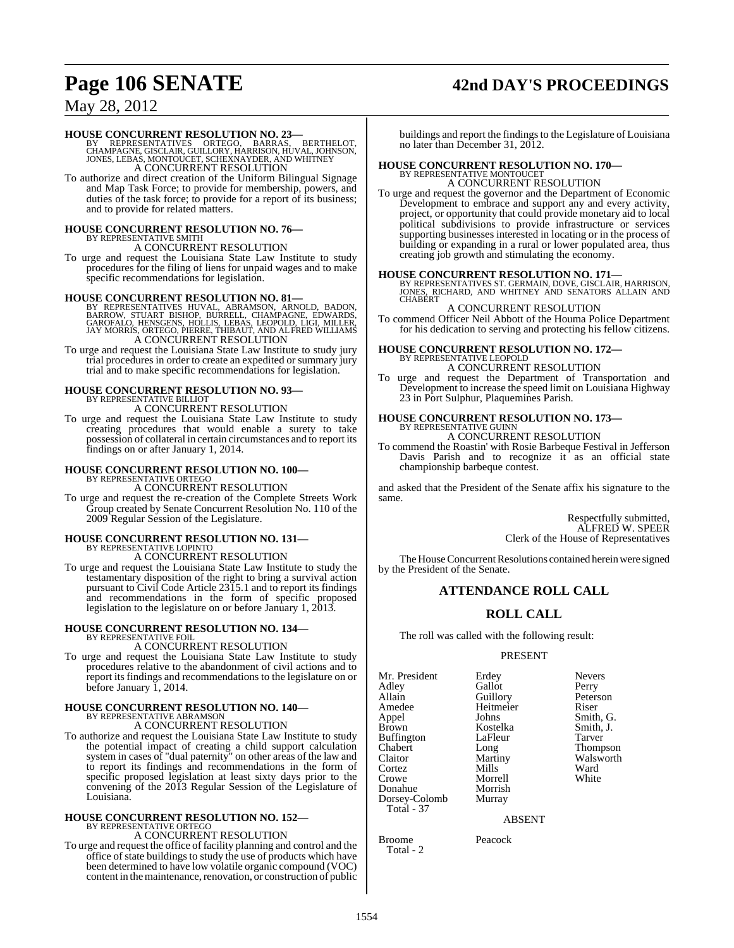# **Page 106 SENATE 42nd DAY'S PROCEEDINGS**

# May 28, 2012

**HOUSE CONCURRENT RESOLUTION NO. 23—**<br>BY REPRESENTATIVES ORTEGO, BARRAS, BERTHELOT,<br>CHAMPAGNE, GISCLAIR, GUILLORY, HARRISON, HUVAL, JOHNSON,<br>JONES, LEBAS, MONTOUCET, SCHEXNAYDER, AND WHITNEY A CONCURRENT RESOLUTION

To authorize and direct creation of the Uniform Bilingual Signage and Map Task Force; to provide for membership, powers, and duties of the task force; to provide for a report of its business; and to provide for related matters.

# **HOUSE CONCURRENT RESOLUTION NO. 76—** BY REPRESENTATIVE SMITH

A CONCURRENT RESOLUTION

To urge and request the Louisiana State Law Institute to study procedures for the filing of liens for unpaid wages and to make specific recommendations for legislation.

**HOUSE CONCURRENT RESOLUTION NO. 81—**<br>BY REPRESENTATIVES HUVAL, ABRAMSON, ARNOLD, BADON, STUART BISHOP, BORROW, STUART BISHOP BAROGANE, GAROFALO, GAROFALO, HENSCENS, HOLLIS, LEBAS, LEOPOLD, LIGI, MILLER, JAY MORRIS, ORTEGO

To urge and request the Louisiana State Law Institute to study jury trial procedures in order to create an expedited or summary jury trial and to make specific recommendations for legislation.

# **HOUSE CONCURRENT RESOLUTION NO. 93—** BY REPRESENTATIVE BILLIOT A CONCURRENT RESOLUTION

To urge and request the Louisiana State Law Institute to study creating procedures that would enable a surety to take possession of collateral in certain circumstances and to report its findings on or after January 1, 2014.

# **HOUSE CONCURRENT RESOLUTION NO. 100—** BY REPRESENTATIVE ORTEGO

A CONCURRENT RESOLUTION

To urge and request the re-creation of the Complete Streets Work Group created by Senate Concurrent Resolution No. 110 of the 2009 Regular Session of the Legislature.

# **HOUSE CONCURRENT RESOLUTION NO. 131—** BY REPRESENTATIVE LOPINTO A CONCURRENT RESOLUTION

To urge and request the Louisiana State Law Institute to study the testamentary disposition of the right to bring a survival action pursuant to Civil Code Article 2315.1 and to report its findings and recommendations in the form of specific proposed legislation to the legislature on or before January 1, 2013.

### **HOUSE CONCURRENT RESOLUTION NO. 134—** BY REPRESENTATIVE FOIL

A CONCURRENT RESOLUTION

To urge and request the Louisiana State Law Institute to study procedures relative to the abandonment of civil actions and to report its findings and recommendations to the legislature on or before January 1, 2014.

# **HOUSE CONCURRENT RESOLUTION NO. 140—** BY REPRESENTATIVE ABRAMSON

A CONCURRENT RESOLUTION

To authorize and request the Louisiana State Law Institute to study the potential impact of creating a child support calculation system in cases of "dual paternity" on other areas of the law and to report its findings and recommendations in the form of specific proposed legislation at least sixty days prior to the convening of the 2013 Regular Session of the Legislature of Louisiana.

# **HOUSE CONCURRENT RESOLUTION NO. 152—** BY REPRESENTATIVE ORTEGO A CONCURRENT RESOLUTION

To urge and request the office of facility planning and control and the office of state buildings to study the use of products which have been determined to have low volatile organic compound (VOC) content in the maintenance, renovation, or construction of public

buildings and report the findings to the Legislature of Louisiana no later than December 31, 2012.

# **HOUSE CONCURRENT RESOLUTION NO. 170—** BY REPRESENTATIVE MONTOUCET

A CONCURRENT RESOLUTION

To urge and request the governor and the Department of Economic Development to embrace and support any and every activity, project, or opportunity that could provide monetary aid to local political subdivisions to provide infrastructure or services supporting businesses interested in locating or in the process of building or expanding in a rural or lower populated area, thus creating job growth and stimulating the economy.

**HOUSE CONCURRENT RESOLUTION NO. 171—** BY REPRESENTATIVES ST. GERMAIN, DOVE, GISCLAIR, HARRISON, JONES, RICHARD, AND WHITNEY AND SENATORS ALLAIN AND **CHABERT** 

# A CONCURRENT RESOLUTION

To commend Officer Neil Abbott of the Houma Police Department for his dedication to serving and protecting his fellow citizens.

### **HOUSE CONCURRENT RESOLUTION NO. 172—** BY REPRESENTATIVE LEOPOLD

A CONCURRENT RESOLUTION

To urge and request the Department of Transportation and Development to increase the speed limit on Louisiana Highway 23 in Port Sulphur, Plaquemines Parish.

# **HOUSE CONCURRENT RESOLUTION NO. 173—** BY REPRESENTATIVE GUINN

A CONCURRENT RESOLUTION

To commend the Roastin' with Rosie Barbeque Festival in Jefferson Davis Parish and to recognize it as an official state championship barbeque contest.

and asked that the President of the Senate affix his signature to the same.

> Respectfully submitted, ALFRED W. SPEER Clerk of the House of Representatives

The House Concurrent Resolutions contained herein were signed by the President of the Senate.

# **ATTENDANCE ROLL CALL**

# **ROLL CALL**

The roll was called with the following result:

## PRESENT

Mr. President Erdey Nevers<br>Adley Gallot Perry Adley Gallot<br>Allain Guillory Allain Guillory Peterson<br>Amedee Heitmeier Riser Amedee Heitmeier<br>Appel Johns Appel Johns Smith, G.<br>Brown Kostelka Smith, J. Buffington LaFle<br>Chabert Long Chabert Long Thompson<br>Claitor Martiny Walsworth Claitor Martiny Walsworth<br>
Cortez Mills Ward Cortez Mills Ward Crowe Morrell White<br>
Morrish White<br>
Morrish Donahue Morrish<br>Dorsey-Colomb Murray Dorsey-Colomb Total - 37

Kostelka Smith,<br>LaFleur Tarver

ABSENT

Broome Peacock Total - 2